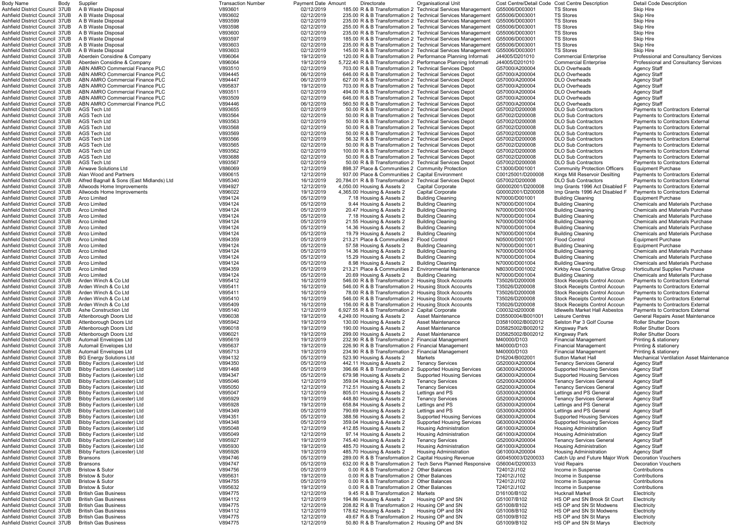| <b>Body Name</b>                                                                      | Body | Supplier                                                           | <b>Transaction Number</b> | <b>Payment Date Amount</b> | Directorate                                                                                                      | <b>Organisational Unit</b>                                                                                                 |                                        | Cost Centre/Detail Code Cost Centre Description                               | <b>Detail Code Description</b>                                                     |
|---------------------------------------------------------------------------------------|------|--------------------------------------------------------------------|---------------------------|----------------------------|------------------------------------------------------------------------------------------------------------------|----------------------------------------------------------------------------------------------------------------------------|----------------------------------------|-------------------------------------------------------------------------------|------------------------------------------------------------------------------------|
| Ashfield District Council 37UB<br>Ashfield District Council 37UB                      |      | A B Waste Disposal<br>A B Waste Disposal                           | V893601<br>V893602        | 02/12/2019<br>02/12/2019   |                                                                                                                  | 185.00 R & B Transformation 2 Technical Services Management<br>235.00 R & B Transformation 2 Technical Services Management | G55006/D003001<br>G55006/D003001       | <b>TS Stores</b><br><b>TS Stores</b>                                          | <b>Skip Hire</b><br><b>Skip Hire</b>                                               |
| Ashfield District Council 37UB                                                        |      | A B Waste Disposal                                                 | V893599                   | 02/12/2019                 |                                                                                                                  | 235.00 R & B Transformation 2 Technical Services Management                                                                | G55006/D003001                         | <b>TS Stores</b>                                                              | <b>Skip Hire</b>                                                                   |
| Ashfield District Council 37UB                                                        |      | A B Waste Disposal                                                 | V893598                   | 02/12/2019                 |                                                                                                                  | 255.00 R & B Transformation 2 Technical Services Management                                                                | G55006/D003001                         | <b>TS Stores</b>                                                              | <b>Skip Hire</b>                                                                   |
| Ashfield District Council 37UB                                                        |      | A B Waste Disposal                                                 | V893600                   | 02/12/2019                 |                                                                                                                  | 235.00 R & B Transformation 2 Technical Services Management                                                                | G55006/D003001                         | <b>TS Stores</b>                                                              | <b>Skip Hire</b>                                                                   |
| Ashfield District Council 37UB<br>Ashfield District Council 37UB                      |      | A B Waste Disposal<br>A B Waste Disposal                           | V893597<br>V893603        | 02/12/2019<br>02/12/2019   |                                                                                                                  | 185.00 R & B Transformation 2 Technical Services Management<br>235.00 R & B Transformation 2 Technical Services Management | G55006/D003001<br>G55006/D003001       | <b>TS Stores</b><br><b>TS Stores</b>                                          | <b>Skip Hire</b><br><b>Skip Hire</b>                                               |
| Ashfield District Council 37UB                                                        |      | A B Waste Disposal                                                 | V893603                   | 02/12/2019                 |                                                                                                                  | 145.00 R & B Transformation 2 Technical Services Management                                                                | G55006/D003001                         | <b>TS Stores</b>                                                              | <b>Skip Hire</b>                                                                   |
| Ashfield District Council 37UB                                                        |      | Aberdein Considine & Company                                       | V896064                   | 19/12/2019                 | 120.00 R & B Transformation 2 Performance Planning Informati                                                     |                                                                                                                            | J44005/D201010                         | <b>Commercial Enterprise</b>                                                  | Professional and Consultancy Serv                                                  |
| Ashfield District Council 37UB                                                        |      | Aberdein Considine & Company                                       | V896064                   | 19/12/2019                 | 5,722.40 R & B Transformation 2 Performance Planning Informati                                                   |                                                                                                                            | J44005/D201010                         | <b>Commercial Enterprise</b>                                                  | Professional and Consultancy Serv                                                  |
| Ashfield District Council 37UB<br>Ashfield District Council 37UB                      |      | ABN AMRO Commercial Finance PLC<br>ABN AMRO Commercial Finance PLC | V893510<br>V894445        | 02/12/2019<br>06/12/2019   | 703.00 R & B Transformation 2 Technical Services Depot<br>646.00 R & B Transformation 2 Technical Services Depot |                                                                                                                            | G57000/A200004<br>G57000/A200004       | <b>DLO Overheads</b><br>DLO Overheads                                         | <b>Agency Staff</b><br><b>Agency Staff</b>                                         |
| Ashfield District Council 37UB                                                        |      | ABN AMRO Commercial Finance PLC                                    | V894447                   | 06/12/2019                 | 627.00 R & B Transformation 2 Technical Services Depot                                                           |                                                                                                                            | G57000/A200004                         | <b>DLO Overheads</b>                                                          | <b>Agency Staff</b>                                                                |
| Ashfield District Council 37UB                                                        |      | ABN AMRO Commercial Finance PLC                                    | V895837                   | 19/12/2019                 | 703.00 R & B Transformation 2 Technical Services Depot                                                           |                                                                                                                            | G57000/A200004                         | DLO Overheads                                                                 | <b>Agency Staff</b>                                                                |
| Ashfield District Council 37UB                                                        |      | ABN AMRO Commercial Finance PLC                                    | V893511                   | 02/12/2019                 | 494.00 R & B Transformation 2 Technical Services Depot                                                           |                                                                                                                            | G57000/A200004                         | DLO Overheads                                                                 | <b>Agency Staff</b>                                                                |
| Ashfield District Council 37UB<br>Ashfield District Council 37UB                      |      | ABN AMRO Commercial Finance PLC<br>ABN AMRO Commercial Finance PLC | V893509<br>V894446        | 02/12/2019<br>06/12/2019   | 646.00 R & B Transformation 2 Technical Services Depot<br>560.50 R & B Transformation 2 Technical Services Depot |                                                                                                                            | G57000/A200004<br>G57000/A200004       | <b>DLO Overheads</b><br><b>DLO Overheads</b>                                  | <b>Agency Staff</b><br><b>Agency Staff</b>                                         |
| Ashfield District Council 37UB                                                        |      | AGS Tech Ltd                                                       | V893655                   | 02/12/2019                 | 50.00 R & B Transformation 2 Technical Services Depot                                                            |                                                                                                                            | G57002/D200008                         | <b>DLO Sub Contractors</b>                                                    | <b>Payments to Contractors External</b>                                            |
| Ashfield District Council 37UB                                                        |      | AGS Tech Ltd                                                       | V893564                   | 02/12/2019                 | 50.00 R & B Transformation 2 Technical Services Depot                                                            |                                                                                                                            | G57002/D200008                         | <b>DLO Sub Contractors</b>                                                    | <b>Payments to Contractors External</b>                                            |
| Ashfield District Council 37UB                                                        |      | AGS Tech Ltd                                                       | V893563                   | 02/12/2019                 | 50.00 R & B Transformation 2 Technical Services Depot                                                            |                                                                                                                            | G57002/D200008                         | <b>DLO Sub Contractors</b>                                                    | <b>Payments to Contractors External</b>                                            |
| Ashfield District Council 37UB<br>Ashfield District Council 37UB                      |      | AGS Tech Ltd<br>AGS Tech Ltd                                       | V893568<br>V893569        | 02/12/2019<br>02/12/2019   | 50.00 R & B Transformation 2 Technical Services Depot<br>50.00 R & B Transformation 2 Technical Services Depot   |                                                                                                                            | G57002/D200008<br>G57002/D200008       | <b>DLO Sub Contractors</b><br><b>DLO Sub Contractors</b>                      | <b>Payments to Contractors External</b><br><b>Payments to Contractors External</b> |
| Ashfield District Council 37UB                                                        |      | AGS Tech Ltd                                                       | V893566                   | 02/12/2019                 | 56.32 R & B Transformation 2 Technical Services Depot                                                            |                                                                                                                            | G57002/D200008                         | <b>DLO Sub Contractors</b>                                                    | <b>Payments to Contractors External</b>                                            |
| Ashfield District Council 37UB                                                        |      | <b>AGS Tech Ltd</b>                                                | V893565                   | 02/12/2019                 | 50.00 R & B Transformation 2 Technical Services Depot                                                            |                                                                                                                            | G57002/D200008                         | <b>DLO Sub Contractors</b>                                                    | <b>Payments to Contractors External</b>                                            |
| Ashfield District Council 37UB                                                        |      | AGS Tech Ltd                                                       | V893562                   | 02/12/2019                 | 100.00 R & B Transformation 2 Technical Services Depot                                                           |                                                                                                                            | G57002/D200008                         | <b>DLO Sub Contractors</b>                                                    | <b>Payments to Contractors External</b>                                            |
| Ashfield District Council 37UB<br>Ashfield District Council 37UB                      |      | AGS Tech Ltd<br>AGS Tech Ltd                                       | V893688<br>V893567        | 02/12/2019<br>02/12/2019   | 50.00 R & B Transformation 2 Technical Services Depot<br>50.00 R & B Transformation 2 Technical Services Depot   |                                                                                                                            | G57002/D200008<br>G57002/D200008       | <b>DLO Sub Contractors</b><br><b>DLO Sub Contractors</b>                      | <b>Payments to Contractors External</b><br><b>Payments to Contractors External</b> |
| Ashfield District Council 37UB                                                        |      | Airwave Solutions Ltd                                              | V886069                   | 12/12/2019                 | 898.37 Place & Communities 2 Community Protection                                                                |                                                                                                                            | C13000/D001001                         | <b>Community Protection Officers</b>                                          | <b>Equipment Purchase</b>                                                          |
| Ashfield District Council 37UB                                                        |      | Alan Wood and Partners                                             | V890615                   | 12/12/2019                 | 937.00 Place & Communities 2 Capital Environment                                                                 |                                                                                                                            | C00125001/D200008                      | Kings Mill Reservoir Desilting                                                | <b>Payments to Contractors Externa</b>                                             |
| Ashfield District Council 37UB                                                        |      | Alfred Bagnall & Sons (East Midlands) Ltd                          | V895340                   | 16/12/2019                 | 20.784.01 R & B Transformation 2 Technical Services Depot                                                        |                                                                                                                            | G57002/D200008                         | <b>DLO Sub Contractors</b>                                                    | <b>Payments to Contractors External</b>                                            |
| Ashfield District Council 37UB<br>Ashfield District Council 37UB                      |      | Allwoods Home Improvements<br>Allwoods Home Improvements           | V894927<br>V896022        | 12/12/2019<br>19/12/2019   | 4,050.00 Housing & Assets 2<br>4,365.00 Housing & Assets 2                                                       | <b>Capital Corporate</b><br><b>Capital Corporate</b>                                                                       | G00002001/D200008<br>G00002001/D200008 | Imp Grants 1996 Act Disabled F<br>Imp Grants 1996 Act Disabled F              | Payments to Contractors External<br>Payments to Contractors External               |
| Ashfield District Council 37UB                                                        |      | Arco Limited                                                       | V894124                   | 05/12/2019                 | 7.18 Housing & Assets 2                                                                                          | <b>Building Cleaning</b>                                                                                                   | N70000/D001001                         | <b>Building Cleaning</b>                                                      | <b>Equipment Purchase</b>                                                          |
| Ashfield District Council 37UB                                                        |      | Arco Limited                                                       | V894124                   | 05/12/2019                 | 9.44 Housing & Assets 2                                                                                          | <b>Building Cleaning</b>                                                                                                   | N70000/D001004                         | <b>Building Cleaning</b>                                                      | <b>Chemicals and Materials Purchase</b>                                            |
| Ashfield District Council 37UB                                                        |      | Arco Limited                                                       | V894124                   | 05/12/2019                 | 20.47 Housing & Assets 2                                                                                         | <b>Building Cleaning</b>                                                                                                   | N70000/D001004                         | <b>Building Cleaning</b>                                                      | <b>Chemicals and Materials Purchase</b>                                            |
| Ashfield District Council 37UB<br>Ashfield District Council 37UB                      |      | Arco Limited<br>Arco Limited                                       | V894124<br>V894124        | 05/12/2019<br>05/12/2019   | 7.18 Housing & Assets 2<br>21.55 Housing & Assets 2                                                              | <b>Building Cleaning</b><br><b>Building Cleaning</b>                                                                       | N70000/D001004<br>N70000/D001004       | <b>Building Cleaning</b><br><b>Building Cleaning</b>                          | <b>Chemicals and Materials Purchase</b><br><b>Chemicals and Materials Purchase</b> |
| Ashfield District Council 37UB                                                        |      | Arco Limited                                                       | V894124                   | 05/12/2019                 | 14.36 Housing & Assets 2                                                                                         | <b>Building Cleaning</b>                                                                                                   | N70000/D001004                         | <b>Building Cleaning</b>                                                      | <b>Chemicals and Materials Purchase</b>                                            |
| Ashfield District Council 37UB                                                        |      | Arco Limited                                                       | V894124                   | 05/12/2019                 | 19.79 Housing & Assets 2                                                                                         | <b>Building Cleaning</b>                                                                                                   | N70000/D001004                         | <b>Building Cleaning</b>                                                      | <b>Chemicals and Materials Purchase</b>                                            |
| Ashfield District Council 37UB                                                        |      | Arco Limited                                                       | V894359                   | 05/12/2019                 | 213.21 Place & Communities 2                                                                                     | <b>Flood Control</b>                                                                                                       | N05000/D001001                         | <b>Flood Control</b>                                                          | <b>Equipment Purchase</b>                                                          |
| Ashfield District Council 37UB<br>Ashfield District Council 37UB                      |      | Arco Limited<br>Arco Limited                                       | V894124<br>V894124        | 05/12/2019<br>05/12/2019   | 57.58 Housing & Assets 2<br>14.36 Housing & Assets 2                                                             | <b>Building Cleaning</b><br><b>Building Cleaning</b>                                                                       | N70000/D001001<br>N70000/D001004       | <b>Building Cleaning</b><br><b>Building Cleaning</b>                          | <b>Equipment Purchase</b><br><b>Chemicals and Materials Purchase</b>               |
| Ashfield District Council 37UB                                                        |      | Arco Limited                                                       | V894124                   | 05/12/2019                 | 15.29 Housing & Assets 2                                                                                         | <b>Building Cleaning</b>                                                                                                   | N70000/D001004                         | <b>Building Cleaning</b>                                                      | <b>Chemicals and Materials Purchase</b>                                            |
| Ashfield District Council 37UB                                                        |      | Arco Limited                                                       | V894124                   | 05/12/2019                 | 8.98 Housing & Assets 2                                                                                          | <b>Building Cleaning</b>                                                                                                   | N70000/D001004                         | <b>Building Cleaning</b>                                                      | <b>Chemicals and Materials Purchase</b>                                            |
| Ashfield District Council 37UB                                                        |      | Arco Limited                                                       | V894359                   | 05/12/2019                 | 213.21 Place & Communities 2 Environmental Maintenance                                                           |                                                                                                                            | N80300/D001002                         | Kirkby Area Consultative Group                                                | <b>Horticultural Supplies Purchase</b>                                             |
| Ashfield District Council 37UB<br>Ashfield District Council 37UB Arden Winch & Co Ltd |      | Arco Limited                                                       | V894124<br>V895412        | 05/12/2019<br>16/12/2019   | 20.69 Housing & Assets 2<br>546.00 R & B Transformation 2 Housing Stock Accounts                                 | <b>Building Cleaning</b>                                                                                                   | N70000/D001004<br>T35026/D200008       | <b>Building Cleaning</b><br>Stock Receipts Control Accoun                     | <b>Chemicals and Materials Purchase</b><br>Payments to Contractors External        |
| Ashfield District Council 37UB                                                        |      | Arden Winch & Co Ltd                                               | V895411                   | 16/12/2019                 | 546.00 R & B Transformation 2 Housing Stock Accounts                                                             |                                                                                                                            | T35026/D200008                         | <b>Stock Receipts Control Accoun</b>                                          | <b>Payments to Contractors External</b>                                            |
| Ashfield District Council 37UB                                                        |      | Arden Winch & Co Ltd                                               | V895411                   | 16/12/2019                 | 78.00 R & B Transformation 2 Housing Stock Accounts                                                              |                                                                                                                            | T35026/D200008                         | <b>Stock Receipts Control Accoun</b>                                          | <b>Payments to Contractors External</b>                                            |
| Ashfield District Council 37UB                                                        |      | Arden Winch & Co Ltd                                               | V895410                   | 16/12/2019                 | 546.00 R & B Transformation 2 Housing Stock Accounts                                                             |                                                                                                                            | T35026/D200008                         | <b>Stock Receipts Control Accoun</b>                                          | <b>Payments to Contractors External</b>                                            |
| Ashfield District Council 37UB<br>Ashfield District Council 37UB                      |      | Arden Winch & Co Ltd<br>Ashe Construction Ltd                      | V895409<br>V895140        | 16/12/2019<br>12/12/2019   | 156.00 R & B Transformation 2 Housing Stock Accounts<br>6.927.55 R & B Transformation 2 Capital Corporate        |                                                                                                                            | T35026/D200008<br>C00032/d200008       | <b>Stock Receipts Control Accoun</b><br><b>Idlewells Market Hall Asbestos</b> | <b>Payments to Contractors External</b><br><b>Payments to Contractors External</b> |
| Ashfield District Council 37UB                                                        |      | Attenborough Doors Ltd                                             | V896038                   | 19/12/2019                 | 4.249.00 Housing & Assets 2                                                                                      | <b>Asset Maintenance</b>                                                                                                   | D35500004/B001001                      | Leisure Centres                                                               | <b>General Repairs Asset Maintenanc</b>                                            |
| Ashfield District Council 37UB                                                        |      | Attenborough Doors Ltd                                             | V895942                   | 19/12/2019                 | 130.00 Housing & Assets 2                                                                                        | <b>Asset Maintenance</b>                                                                                                   | D35810002/B002012                      | Selston Par 3 Golf Course                                                     | <b>Roller Shutter Doors</b>                                                        |
| Ashfield District Council 37UB                                                        |      | Attenborough Doors Ltd                                             | V896018                   | 19/12/2019                 | 190.00 Housing & Assets 2                                                                                        | <b>Asset Maintenance</b>                                                                                                   | D35825002/B002012                      | Kingsway Park                                                                 | <b>Roller Shutter Doors</b>                                                        |
| Ashfield District Council 37UB<br>Ashfield District Council 37UB                      |      | Attenborough Doors Ltd<br>Automail Envelopes Ltd                   | V896021<br>V895619        | 19/12/2019<br>19/12/2019   | 299.00 Housing & Assets 2<br>232.90 R & B Transformation 2 Financial Management                                  | Asset Maintenance                                                                                                          | D35825002/B002012<br>M40000/D103       | Kingsway Park<br><b>Financial Management</b>                                  | <b>Roller Shutter Doors</b><br>Printing & stationery                               |
| Ashfield District Council 37UB                                                        |      | Automail Envelopes Ltd                                             | V895637                   | 19/12/2019                 | 226.90 R & B Transformation 2 Financial Management                                                               |                                                                                                                            | M40000/D103                            | <b>Financial Management</b>                                                   | Printing & stationery                                                              |
| Ashfield District Council 37UB                                                        |      | Automail Envelopes Ltd                                             | V895713                   | 19/12/2019                 | 234.90 R & B Transformation 2 Financial Management                                                               |                                                                                                                            | M40000/D103                            | <b>Financial Management</b>                                                   | Printing & stationery                                                              |
| Ashfield District Council 37UB                                                        |      | <b>BG Energy Solutions Ltd</b>                                     | V894132                   | 05/12/2019                 | 523.90 Housing & Assets 2                                                                                        | Markets                                                                                                                    | D16204/B002001                         | <b>Sutton Market Hall</b>                                                     | <b>Mechanical Ventilation Asset Maint</b>                                          |
| Ashfield District Council 37UB<br>Ashfield District Council 37UB                      |      | Bibby Factors (Leicester) Ltd<br>Bibby Factors (Leicester) Ltd     | V894350<br>V891468        | 05/12/2019<br>05/12/2019   | 442.11 Housing & Assets 2<br>396.66 R & B Transformation 2                                                       | <b>Tenancy Services</b><br><b>Supported Housing Services</b>                                                               | G52000/A200004<br>G63000/A200004       | <b>Tenancy Services General</b><br><b>Supported Housing Services</b>          | <b>Agency Staff</b><br><b>Agency Staff</b>                                         |
| Ashfield District Council 37UB                                                        |      | Bibby Factors (Leicester) Ltd                                      | V894347                   | 05/12/2019                 | 679.98 Housing & Assets 2                                                                                        | <b>Supported Housing Services</b>                                                                                          | G63000/A200004                         | <b>Supported Housing Services</b>                                             | <b>Agency Staff</b>                                                                |
| Ashfield District Council 37UB                                                        |      | Bibby Factors (Leicester) Ltd                                      | V895046                   | 12/12/2019                 | 359.04 Housing & Assets 2                                                                                        | <b>Tenancy Services</b>                                                                                                    | G52000/A200004                         | <b>Tenancy Services General</b>                                               | <b>Agency Staff</b>                                                                |
| Ashfield District Council 37UB                                                        |      | Bibby Factors (Leicester) Ltd                                      | V895050                   | 12/12/2019                 | 712.51 Housing & Assets 2                                                                                        | <b>Tenancy Services</b>                                                                                                    | G52000/A200004                         | <b>Tenancy Services General</b>                                               | <b>Agency Staff</b>                                                                |
| Ashfield District Council 37UB<br>Ashfield District Council 37UB                      |      | Bibby Factors (Leicester) Ltd<br>Bibby Factors (Leicester) Ltd     | V895047<br>V895929        | 12/12/2019<br>19/12/2019   | 805.01 Housing & Assets 2<br>448.80 Housing & Assets 2                                                           | Lettings and PS<br><b>Tenancy Services</b>                                                                                 | G53000/A200004<br>G52000/A200004       | Lettings and PS General<br><b>Tenancy Services General</b>                    | <b>Agency Staff</b><br><b>Agency Staff</b>                                         |
| Ashfield District Council 37UB                                                        |      | Bibby Factors (Leicester) Ltd                                      | V895928                   | 19/12/2019                 | 658.84 Housing & Assets 2                                                                                        | Lettings and PS                                                                                                            | G53000/A200004                         | Lettings and PS General                                                       | <b>Agency Staff</b>                                                                |
| Ashfield District Council 37UB                                                        |      | Bibby Factors (Leicester) Ltd                                      | V894349                   | 05/12/2019                 | 790.69 Housing & Assets 2                                                                                        | Lettings and PS                                                                                                            | G53000/A200004                         | Lettings and PS General                                                       | <b>Agency Staff</b>                                                                |
| Ashfield District Council 37UB                                                        |      | Bibby Factors (Leicester) Ltd                                      | V894351                   | 05/12/2019                 | 388.56 Housing & Assets 2                                                                                        | <b>Supported Housing Services</b>                                                                                          | G63000/A200004                         | <b>Supported Housing Services</b>                                             | <b>Agency Staff</b>                                                                |
| Ashfield District Council 37UB                                                        |      | Bibby Factors (Leicester) Ltd                                      | V894348                   | 05/12/2019                 | 359.04 Housing & Assets 2                                                                                        | <b>Supported Housing Services</b>                                                                                          | G63000/A200004                         | <b>Supported Housing Services</b>                                             | <b>Agency Staff</b>                                                                |
| Ashfield District Council 37UB<br>Ashfield District Council 37UB                      |      | Bibby Factors (Leicester) Ltd<br>Bibby Factors (Leicester) Ltd     | V895048<br>V895049        | 12/12/2019<br>12/12/2019   | 412.85 Housing & Assets 2<br>97.14 Housing & Assets 2                                                            | <b>Housing Administration</b><br><b>Housing Administration</b>                                                             | G61000/A200004<br>G61000/A200004       | <b>Housing Administration</b><br><b>Housing Administration</b>                | <b>Agency Staff</b><br><b>Agency Staff</b>                                         |
| Ashfield District Council 37UB                                                        |      | Bibby Factors (Leicester) Ltd                                      | V895927                   | 19/12/2019                 | 745.40 Housing & Assets 2                                                                                        | <b>Tenancy Services</b>                                                                                                    | G52000/A200004                         | <b>Tenancy Services General</b>                                               | <b>Agency Staff</b>                                                                |
| Ashfield District Council 37UB                                                        |      | Bibby Factors (Leicester) Ltd                                      | V895930                   | 19/12/2019                 | 485.70 Housing & Assets 2                                                                                        | <b>Housing Administration</b>                                                                                              | G61000/A200004                         | <b>Housing Administration</b>                                                 | <b>Agency Staff</b>                                                                |
| Ashfield District Council 37UB                                                        |      | Bibby Factors (Leicester) Ltd                                      | V895926                   | 19/12/2019                 | 485.70 Housing & Assets 2                                                                                        | <b>Housing Administration</b>                                                                                              | G61000/A200004                         | <b>Housing Administration</b>                                                 | Agency Staff                                                                       |
| Ashfield District Council 37UB<br>Ashfield District Council 37UB                      |      | <b>Bransons</b><br>Bransons                                        | V894746<br>V894747        | 05/12/2019<br>05/12/2019   | 289.00 R & B Transformation 2 Capital Housing Revenue                                                            | 632.00 R & B Transformation 2 Tech Servs Planned Responsive                                                                | G00450003/D200033<br>G56004/D200033    | Catch Up and Future Major Work<br><b>Void Repairs</b>                         | <b>Decoration Vouchers</b><br><b>Decoration Vouchers</b>                           |
| Ashfield District Council 37UB                                                        |      | <b>Bristow &amp; Sutor</b>                                         | V894756                   | 05/12/2019                 | 0.00 R & B Transformation 2 Other Balances                                                                       |                                                                                                                            | T24012/J102                            | Income in Suspense                                                            | Contributions                                                                      |
| Ashfield District Council 37UB                                                        |      | <b>Bristow &amp; Sutor</b>                                         | V895631                   | 19/12/2019                 | 0.00 R & B Transformation 2 Other Balances                                                                       |                                                                                                                            | T24012/J102                            | Income in Suspense                                                            | Contributions                                                                      |
| Ashfield District Council 37UB                                                        |      | <b>Bristow &amp; Sutor</b>                                         | V894755                   | 05/12/2019                 | 0.00 R & B Transformation 2 Other Balances                                                                       |                                                                                                                            | T24012/J102                            | Income in Suspense                                                            | Contributions                                                                      |
| Ashfield District Council 37UB<br>Ashfield District Council 37UB                      |      | <b>Bristow &amp; Sutor</b><br><b>British Gas Business</b>          | V895632<br>V894775        | 19/12/2019<br>12/12/2019   | 0.00 R & B Transformation 2 Other Balances<br>9.45 R & B Transformation 2 Markets                                |                                                                                                                            | T24012/J102<br>D16100/B102             | Income in Suspense<br><b>Hucknall Market</b>                                  | Contributions<br>Electricity                                                       |
| Ashfield District Council 37UB                                                        |      | <b>British Gas Business</b>                                        | V894112                   | 12/12/2019                 | 194.86 Housing & Assets 2                                                                                        | Housing OP and SN                                                                                                          | G51007/B102                            | HS OP and SN Brook St Court                                                   | Electricity                                                                        |
| Ashfield District Council 37UB                                                        |      | <b>British Gas Business</b>                                        | V894775                   | 12/12/2019                 | 208.82 R & B Transformation 2 Housing OP and SN                                                                  |                                                                                                                            | G51008/B102                            | HS OP and SN St Modwens                                                       | Electricity                                                                        |
| Ashfield District Council 37UB                                                        |      | <b>British Gas Business</b>                                        | V894112                   | 12/12/2019                 | 178.62 Housing & Assets 2                                                                                        | Housing OP and SN                                                                                                          | G51008/B102                            | HS OP and SN St Modwens                                                       | Electricity                                                                        |
| Ashfield District Council 37UB                                                        |      | <b>British Gas Business</b>                                        | V894775                   | 12/12/2019                 | 49.67 R & B Transformation 2 Housing OP and SN                                                                   |                                                                                                                            | G51009/B102                            | HS OP and SN St Marys                                                         | Electricity                                                                        |
| Ashfield District Council 37UB                                                        |      | <b>British Gas Business</b>                                        | V894775                   | 12/12/2019                 | 50.80 R & B Transformation 2 Housing OP and SN                                                                   |                                                                                                                            | G51009/B102                            | HS OP and SN St Marys                                                         | Electricity                                                                        |

|        | າt Date Amount | Directorate                                       | Organisational Unit                                            | Cost Centre/Detail Code Cost C |                  |
|--------|----------------|---------------------------------------------------|----------------------------------------------------------------|--------------------------------|------------------|
| 2/2019 |                |                                                   | 185.00 R & B Transformation 2 Technical Services Management    | G55006/D003001                 | TS Sto           |
|        |                |                                                   |                                                                |                                |                  |
| 2/2019 |                |                                                   | 235.00 R & B Transformation 2 Technical Services Management    | G55006/D003001                 | TS Sto           |
| 2/2019 |                |                                                   | 235.00 R & B Transformation 2 Technical Services Management    | G55006/D003001                 | TS Sto           |
| 2/2019 |                |                                                   | 255.00 R & B Transformation 2 Technical Services Management    | G55006/D003001                 | <b>TS Sto</b>    |
| 2/2019 |                |                                                   | 235.00 R & B Transformation 2 Technical Services Management    | G55006/D003001                 | <b>TS Sto</b>    |
| 2/2019 |                |                                                   | 185.00 R & B Transformation 2 Technical Services Management    | G55006/D003001                 | TS Sto           |
| 2/2019 |                |                                                   | 235.00 R & B Transformation 2 Technical Services Management    | G55006/D003001                 | <b>TS Sto</b>    |
|        |                |                                                   |                                                                |                                | TS Sto           |
| 2/2019 |                |                                                   | 145.00 R & B Transformation 2 Technical Services Management    | G55006/D003001                 |                  |
| 2/2019 |                |                                                   | 120.00 R & B Transformation 2 Performance Planning Informati   | J44005/D201010                 | Comm             |
| 2/2019 |                |                                                   | 5,722.40 R & B Transformation 2 Performance Planning Informati | J44005/D201010                 | Comm             |
| 2/2019 |                |                                                   | 703.00 R & B Transformation 2 Technical Services Depot         | G57000/A200004                 | DLO C            |
| 2/2019 |                |                                                   | 646.00 R & B Transformation 2 Technical Services Depot         | G57000/A200004                 | DLO C            |
| 2/2019 |                |                                                   | 627.00 R & B Transformation 2 Technical Services Depot         | G57000/A200004                 | DLO C            |
|        |                |                                                   |                                                                | G57000/A200004                 |                  |
| 2/2019 |                |                                                   | 703.00 R & B Transformation 2 Technical Services Depot         |                                | DLO C            |
| 2/2019 |                |                                                   | 494.00 R & B Transformation 2 Technical Services Depot         | G57000/A200004                 | DLO C            |
| 2/2019 |                |                                                   | 646.00 R & B Transformation 2 Technical Services Depot         | G57000/A200004                 | DLO C            |
| 2/2019 |                |                                                   | 560.50 R & B Transformation 2 Technical Services Depot         | G57000/A200004                 | DLO C            |
| 2/2019 |                |                                                   | 50.00 R & B Transformation 2 Technical Services Depot          | G57002/D200008                 | DLO <sub>S</sub> |
| 2/2019 |                |                                                   | 50.00 R & B Transformation 2 Technical Services Depot          | G57002/D200008                 | DLO <sub>S</sub> |
| 2/2019 |                |                                                   | 50.00 R & B Transformation 2 Technical Services Depot          | G57002/D200008                 | DLO <sub>S</sub> |
|        |                |                                                   |                                                                |                                |                  |
| 2/2019 |                |                                                   | 50.00 R & B Transformation 2 Technical Services Depot          | G57002/D200008                 | DLO <sub>S</sub> |
| 2/2019 |                |                                                   | 50.00 R & B Transformation 2 Technical Services Depot          | G57002/D200008                 | DLO <sub>S</sub> |
| 2/2019 |                |                                                   | 56.32 R & B Transformation 2 Technical Services Depot          | G57002/D200008                 | DLO <sub>S</sub> |
| 2/2019 |                |                                                   | 50.00 R & B Transformation 2 Technical Services Depot          | G57002/D200008                 | DLO S            |
| 2/2019 |                |                                                   | 100.00 R & B Transformation 2 Technical Services Depot         | G57002/D200008                 | DLO <sub>S</sub> |
|        |                |                                                   | 50.00 R & B Transformation 2 Technical Services Depot          |                                |                  |
| 2/2019 |                |                                                   |                                                                | G57002/D200008                 | DLO S            |
| 2/2019 |                |                                                   | 50.00 R & B Transformation 2 Technical Services Depot          | G57002/D200008                 | DLO <sub>S</sub> |
| 2/2019 |                | 898.37 Place & Communities 2 Community Protection |                                                                | C13000/D001001                 | Comm             |
| 2/2019 |                | 937.00 Place & Communities 2 Capital Environment  |                                                                | C00125001/D200008              | Kings            |
| 2/2019 |                |                                                   | 20.784.01 R & B Transformation 2 Technical Services Depot      | G57002/D200008                 | DLO S            |
| 2/2019 |                | 4,050.00 Housing & Assets 2                       | Capital Corporate                                              | G00002001/D200008              | Imp G            |
|        |                |                                                   |                                                                |                                |                  |
| 2/2019 |                | 4,365.00 Housing & Assets 2                       | Capital Corporate                                              | G00002001/D200008              | Imp G            |
| 2/2019 |                | 7.18 Housing & Assets 2                           | <b>Building Cleaning</b>                                       | N70000/D001001                 | Buildir          |
| 2/2019 |                | 9.44 Housing & Assets 2                           | <b>Building Cleaning</b>                                       | N70000/D001004                 | Buildir          |
| 2/2019 |                | 20.47 Housing & Assets 2                          | Building Cleaning                                              | N70000/D001004                 | Buildir          |
| 2/2019 |                | 7.18 Housing & Assets 2                           | <b>Building Cleaning</b>                                       | N70000/D001004                 | Buildir          |
|        |                |                                                   |                                                                |                                |                  |
| 2/2019 |                | 21.55 Housing & Assets 2                          | <b>Building Cleaning</b>                                       | N70000/D001004                 | Buildir          |
| 2/2019 |                | 14.36 Housing & Assets 2                          | Building Cleaning                                              | N70000/D001004                 | Buildir          |
| 2/2019 |                | 19.79 Housing & Assets 2                          | <b>Building Cleaning</b>                                       | N70000/D001004                 | Buildir          |
| 2/2019 |                | 213.21 Place & Communities 2                      | <b>Flood Control</b>                                           | N05000/D001001                 | Flood            |
| 2/2019 |                | 57.58 Housing & Assets 2                          | <b>Building Cleaning</b>                                       | N70000/D001001                 | Buildir          |
| 2/2019 |                | 14.36 Housing & Assets 2                          | Building Cleaning                                              | N70000/D001004                 | Buildir          |
|        |                | 15.29 Housing & Assets 2                          |                                                                |                                |                  |
| 2/2019 |                |                                                   | <b>Building Cleaning</b>                                       | N70000/D001004                 | Buildir          |
| 2/2019 |                | 8.98 Housing & Assets 2                           | <b>Building Cleaning</b>                                       | N70000/D001004                 | Buildin          |
| 2/2019 |                | 213.21 Place & Communities 2                      | <b>Environmental Maintenance</b>                               | N80300/D001002                 | Kirkby           |
| 2/2019 |                | 20.69 Housing & Assets 2                          | Building Cleaning                                              | N70000/D001004                 | Buildir          |
| 2/2019 |                |                                                   | 546.00 R & B Transformation 2 Housing Stock Accounts           | T35026/D200008                 | Stock            |
| 2/2019 |                |                                                   | 546.00 R & B Transformation 2 Housing Stock Accounts           | T35026/D200008                 | Stock            |
|        |                |                                                   |                                                                |                                |                  |
| 2/2019 |                |                                                   | 78.00 R & B Transformation 2 Housing Stock Accounts            | T35026/D200008                 | Stock            |
| 2/2019 |                |                                                   | 546.00 R & B Transformation 2 Housing Stock Accounts           | T35026/D200008                 | Stock            |
| 2/2019 |                |                                                   | 156.00 R & B Transformation 2 Housing Stock Accounts           | T35026/D200008                 | Stock            |
| 2/2019 |                | 6,927.55 R & B Transformation 2 Capital Corporate |                                                                | C00032/d200008                 | Idlewe           |
| 2/2019 |                | 4,249.00 Housing & Assets 2                       | Asset Maintenance                                              | D35500004/B001001              | Leisur           |
| 2/2019 |                | 130.00 Housing & Assets 2                         | Asset Maintenance                                              | D35810002/B002012              | Selsto           |
|        |                |                                                   |                                                                |                                |                  |
| 2/2019 |                | 190.00 Housing & Assets 2                         | Asset Maintenance                                              | D35825002/B002012              | Kingsv           |
| 2/2019 |                | 299.00 Housing & Assets 2                         | Asset Maintenance                                              | D35825002/B002012              | Kingsv           |
| 2/2019 |                | 232.90 R & B Transformation 2                     | <b>Financial Management</b>                                    | M40000/D103                    | Financ           |
| 2/2019 |                | 226.90 R & B Transformation 2                     | <b>Financial Management</b>                                    | M40000/D103                    | Financ           |
| 2/2019 |                | 234.90 R & B Transformation 2                     | <b>Financial Management</b>                                    | M40000/D103                    | Financ           |
| 2/2019 |                | 523.90 Housing & Assets 2                         | Markets                                                        | D16204/B002001                 | Sutton           |
| 2/2019 |                | 442.11 Housing & Assets 2                         | <b>Tenancy Services</b>                                        | G52000/A200004                 | Tenan            |
|        |                |                                                   |                                                                |                                |                  |
| 2/2019 |                | 396.66 R & B Transformation 2                     | <b>Supported Housing Services</b>                              | G63000/A200004                 | Suppo            |
| 2/2019 |                | 679.98 Housing & Assets 2                         | <b>Supported Housing Services</b>                              | G63000/A200004                 | Suppo            |
| 2/2019 |                | 359.04 Housing & Assets 2                         | <b>Tenancy Services</b>                                        | G52000/A200004                 | Tenan            |
| 2/2019 |                | 712.51 Housing & Assets 2                         | <b>Tenancy Services</b>                                        | G52000/A200004                 | Tenan            |
| 2/2019 |                | 805.01 Housing & Assets 2                         | Lettings and PS                                                | G53000/A200004                 | Letting          |
| 2/2019 |                | 448.80 Housing & Assets 2                         | <b>Tenancy Services</b>                                        | G52000/A200004                 | Tenan            |
|        |                |                                                   |                                                                |                                | Letting          |
| 2/2019 |                | 658.84 Housing & Assets 2                         | Lettings and PS                                                | G53000/A200004                 |                  |
| 2/2019 |                | 790.69 Housing & Assets 2                         | Lettings and PS                                                | G53000/A200004                 | Letting          |
| 2/2019 |                | 388.56 Housing & Assets 2                         | <b>Supported Housing Services</b>                              | G63000/A200004                 | Suppo            |
| 2/2019 |                | 359.04 Housing & Assets 2                         | <b>Supported Housing Services</b>                              | G63000/A200004                 | Suppo            |
| 2/2019 |                | 412.85 Housing & Assets 2                         | Housing Administration                                         | G61000/A200004                 | Housir           |
| 2/2019 |                | 97.14 Housing & Assets 2                          | Housing Administration                                         | G61000/A200004                 | Housir           |
| 2/2019 |                | 745.40 Housing & Assets 2                         | <b>Tenancy Services</b>                                        | G52000/A200004                 | Tenan            |
|        |                |                                                   |                                                                |                                |                  |
| 2/2019 |                | 485.70 Housing & Assets 2                         | Housing Administration                                         | G61000/A200004                 | Housir           |
| 2/2019 |                | 485.70 Housing & Assets 2                         | Housing Administration                                         | G61000/A200004                 | Housir           |
| 2/2019 |                | 289.00 R & B Transformation 2                     | <b>Capital Housing Revenue</b>                                 | G00450003/D200033              | Catch            |
| 2/2019 |                |                                                   | 632.00 R & B Transformation 2 Tech Servs Planned Responsive    | G56004/D200033                 | Void R           |
| 2/2019 |                | 0.00 R & B Transformation 2                       | <b>Other Balances</b>                                          | T24012/J102                    | Incom            |
|        |                | 0.00 R & B Transformation 2 Other Balances        |                                                                |                                | Incom            |
| 2/2019 |                |                                                   |                                                                | T24012/J102                    |                  |
| 2/2019 |                | 0.00 R & B Transformation 2 Other Balances        |                                                                | T24012/J102                    | Incom            |
| 2/2019 |                | 0.00 R & B Transformation 2 Other Balances        |                                                                | T24012/J102                    | Incom            |
| 2/2019 |                | 9.45 R & B Transformation 2 Markets               |                                                                | D16100/B102                    | Huckn            |
| 2/2019 |                | 194.86 Housing & Assets 2                         | Housing OP and SN                                              | G51007/B102                    | HS OF            |
| 2/2019 |                | 208.82 R & B Transformation 2 Housing OP and SN   |                                                                | G51008/B102                    | HS OF            |
| 2/2019 |                | 178.62 Housing & Assets 2                         | Housing OP and SN                                              | G51008/B102                    | HS OF            |
|        |                |                                                   |                                                                |                                |                  |
| 2/2019 |                | 49.67 R & B Transformation 2 Housing OP and SN    |                                                                | G51009/B102                    | HS OF            |
| 2/2019 |                | 50.80 R & R Transformation 2. Housing OP and SN   |                                                                | G51009/R102                    | HS OF            |

Asherdia Enterprise **1986** 2 Professional and Consultancy Services nercial Enterprise **1976** Professional and Consultancy Services Aub Contractors Teqments to Contractors External<br>300 Contractors Teqments to Contractors External Ashfield District Council 37UB AGS Tech Ltd V893566 02/12/2019 56.32 R & B Transformation 2 Technical Services Depot G57002/D200008 DLO Sub Contractors Payments to Contractors External Ashfield District Council 37UB AGS Tech Ltd V893565 02/12/2019 50.00 R & B Transformation 2 Technical Services Depot G57002/D200008 DLO Sub Contractors Payments to Contractors External Ashfield District Council 37UB AGS Tech Ltd V893688 02/12/2019 50.00 R & B Transformation 2 Technical Services Depot G57002/D200008 DLO Sub Contractors Payments to Contractors External Sub Contractors Fequents to Contractors External<br>
Interview Payments to Contractors External Subment Payment Payments Payments Payments Payments External As Mill Reservoir Desilting Payments to Contractors External<br>Sub Contractors Payments to Contractors External Ashfield District Council 37UB Alfred Bagnall & Sons (East Midlands) Ltd V895340 16/12/2019 20,784.01 R & B Transformation 2 Technical Services Depot G57002/D200008 DLO Sub Contractors Payments to Contractors External Ashericat 2006 Act Disabled Forments to Contractors External Inq Cleaning & Assets 2 Capital Corporations 2 Cap<br>Ing Cleaning Act Disabled Form Equipment Purchase ng Cleaning **Arco Limited Council 37**<br>Chemicals and Materials Purchase Asheiman District Council 27 Uber 2013 Arco Limited Valencias<br>Arco Limited Council 2 Building Chemicals and Materials Purchase Chemicals and Materials Purchase as<br>Arco Limited Council 37 Up Arco Limited Valentials 2 Building Cleaning N7000 Enterprise 2 Building Cleaning C Asheiman District Council 27 Uberstand Valerials Purchase<br>The Arco Limited Chemicals 2 Building Cleaning Cleaning Cleaning Chemicals and Materials Purchase Asherical District Council 37 Chemicals 37UB Arco Limited Valencias 2<br>19.79 Equipment Purchase ng Cleaning **Arco Limited Council 37**<br>Arco Council 37 Council 37 Chemicals and Materials Purchase<br>Chemicals and Materials Purchase Chemicals and Materials Purchase Ashfield District Council 37UB Arco Limited V894124 05/12/2019 8.98 Housing & Assets 2 Building Cleaning N70000/D001004 Building Cleaning Chemicals and Materials Purchase Receipts Control Accoun Payments to Contractors External<br>Receipts Control Accoun Payments to Contractors External Receipts Control Accoun Payments to Contractors External<br>Receipts Control Accoun Payments to Contractors External e Centres <sup>Lec</sup>ton doors Council 38961 Repairs Asset Maintenance <mark>General Repairs Asset Maintenance Centres 2 Asset Maintenance Centres General Repairs Asset Maintenance Centres General Repairs Asset Maintenance Centres Ge</mark> ابو Alarket Hall وMechanical Ventilation Asset Maintenance<br>12 Narket Hall Mechanical Ventilation Asset Maintenance Up and Future Major Work Decoration Vouchers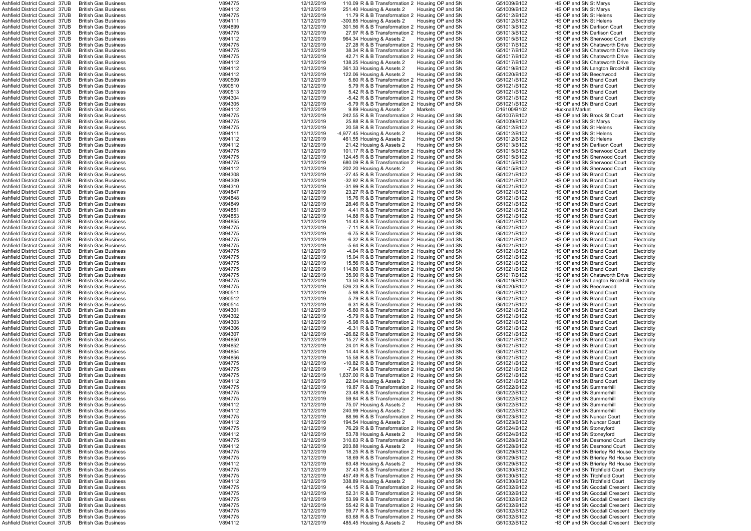| Ashfield District Council 37UB  | <b>British Gas Business</b> | V894775 | 12/12/2019 | 110.09 R & B Transformation 2 Housing OP and SN   |                   | G51009/B102 | HS OP and SN St Marys                      |             |
|---------------------------------|-----------------------------|---------|------------|---------------------------------------------------|-------------------|-------------|--------------------------------------------|-------------|
| Ashfield District Council 37UB  | <b>British Gas Business</b> |         |            |                                                   |                   |             |                                            | Electricity |
|                                 |                             | V894112 | 12/12/2019 | 251.40 Housing & Assets 2                         | Housing OP and SN | G51009/B102 | HS OP and SN St Marys                      | Electricity |
| Ashfield District Council 37UB  | <b>British Gas Business</b> | V894775 | 12/12/2019 | 11.79 R & B Transformation 2 Housing OP and SN    |                   | G51012/B102 | HS OP and SN St Helens                     | Electricity |
| Ashfield District Council 37UB  | <b>British Gas Business</b> | V894111 | 12/12/2019 | -300.85 Housing & Assets 2                        | Housing OP and SN | G51012/B102 | HS OP and SN St Helens                     | Electricity |
| Ashfield District Council  37UB | <b>British Gas Business</b> | V894899 | 12/12/2019 | 301.56 R & B Transformation 2 Housing OP and SN   |                   | G51013/B102 | HS OP and SN Darlison Court                | Electricity |
| Ashfield District Council 37UB  | <b>British Gas Business</b> | V894775 | 12/12/2019 | 27.97 R & B Transformation 2 Housing OP and SN    |                   | G51013/B102 | HS OP and SN Darlison Court                | Electricity |
| Ashfield District Council 37UB  | <b>British Gas Business</b> | V894112 | 12/12/2019 | 964.34 Housing & Assets 2                         | Housing OP and SN | G51015/B102 | HS OP and SN Sherwood Court                | Electricity |
| Ashfield District Council 37UB  | <b>British Gas Business</b> | V894775 | 12/12/2019 | 27.28 R & B Transformation 2 Housing OP and SN    |                   | G51017/B102 | HS OP and SN Chatsworth Drive Electricity  |             |
| Ashfield District Council 37UB  | <b>British Gas Business</b> | V894775 | 12/12/2019 |                                                   |                   | G51017/B102 | HS OP and SN Chatsworth Drive              |             |
|                                 |                             |         |            | 38.34 R & B Transformation 2 Housing OP and SN    |                   |             |                                            | Electricity |
| Ashfield District Council 37UB  | <b>British Gas Business</b> | V894775 | 12/12/2019 | 42.71 R & B Transformation 2 Housing OP and SN    |                   | G51017/B102 | HS OP and SN Chatsworth Drive              | Electricity |
| Ashfield District Council  37UB | <b>British Gas Business</b> | V894112 | 12/12/2019 | 138.25 Housing & Assets 2                         | Housing OP and SN | G51017/B102 | HS OP and SN Chatsworth Drive              | Electricity |
| Ashfield District Council 37UB  | <b>British Gas Business</b> | V894112 | 12/12/2019 | 361.33 Housing & Assets 2                         | Housing OP and SN | G51019/B102 | HS OP and SN Langton Brookhill             | Electricity |
| Ashfield District Council 37UB  | <b>British Gas Business</b> | V894112 | 12/12/2019 | 122.06 Housing & Assets 2                         | Housing OP and SN | G51020/B102 | HS OP and SN Beechwood                     | Electricity |
| Ashfield District Council 37UB  | <b>British Gas Business</b> | V890509 | 12/12/2019 | 5.60 R & B Transformation 2 Housing OP and SN     |                   | G51021/B102 | HS OP and SN Brand Court                   | Electricity |
| Ashfield District Council 37UB  | <b>British Gas Business</b> | V890510 | 12/12/2019 | 5.79 R & B Transformation 2 Housing OP and SN     |                   | G51021/B102 | HS OP and SN Brand Court                   | Electricity |
| Ashfield District Council 37UB  |                             |         |            |                                                   |                   |             |                                            |             |
|                                 | <b>British Gas Business</b> | V890513 | 12/12/2019 | 5.42 R & B Transformation 2 Housing OP and SN     |                   | G51021/B102 | HS OP and SN Brand Court                   | Electricity |
| Ashfield District Council 37UB  | <b>British Gas Business</b> | V894304 | 12/12/2019 | -5.42 R & B Transformation 2 Housing OP and SN    |                   | G51021/B102 | HS OP and SN Brand Court                   | Electricity |
| Ashfield District Council 37UB  | <b>British Gas Business</b> | V894305 | 12/12/2019 | -5.79 R & B Transformation 2 Housing OP and SN    |                   | G51021/B102 | HS OP and SN Brand Court                   | Electricity |
| Ashfield District Council 37UB  | <b>British Gas Business</b> | V894112 | 12/12/2019 | 9.89 Housing & Assets 2                           | Markets           | D16100/B102 | <b>Hucknall Market</b>                     | Electricity |
| Ashfield District Council  37UB | <b>British Gas Business</b> | V894775 | 12/12/2019 | 242.55 R & B Transformation 2 Housing OP and SN   |                   | G51007/B102 | HS OP and SN Brook St Court                | Electricity |
| Ashfield District Council  37UB | <b>British Gas Business</b> | V894775 | 12/12/2019 | 25.88 R & B Transformation 2 Housing OP and SN    |                   | G51009/B102 | HS OP and SN St Marys                      | Electricity |
| Ashfield District Council 37UB  | <b>British Gas Business</b> | V894775 | 12/12/2019 | 20.58 R & B Transformation 2 Housing OP and SN    |                   | G51012/B102 | HS OP and SN St Helens                     | Electricity |
| Ashfield District Council 37UB  | <b>British Gas Business</b> | V894111 | 12/12/2019 | -4,977.45 Housing & Assets 2                      | Housing OP and SN | G51012/B102 | HS OP and SN St Helens                     | Electricity |
| Ashfield District Council 37UB  | <b>British Gas Business</b> | V894112 | 12/12/2019 | 461.55 Housing & Assets 2                         | Housing OP and SN | G51012/B102 | HS OP and SN St Helens                     | Electricity |
|                                 |                             |         |            |                                                   |                   | G51013/B102 |                                            |             |
| Ashfield District Council  37UB | <b>British Gas Business</b> | V894112 | 12/12/2019 | 21.42 Housing & Assets 2                          | Housing OP and SN |             | HS OP and SN Darlison Court                | Electricity |
| Ashfield District Council 37UB  | <b>British Gas Business</b> | V894775 | 12/12/2019 | 101.17 R & B Transformation 2 Housing OP and SN   |                   | G51015/B102 | HS OP and SN Sherwood Court                | Electricity |
| Ashfield District Council 37UB  | <b>British Gas Business</b> | V894775 | 12/12/2019 | 124.45 R & B Transformation 2 Housing OP and SN   |                   | G51015/B102 | HS OP and SN Sherwood Court                | Electricity |
| Ashfield District Council  37UB | <b>British Gas Business</b> | V894775 | 12/12/2019 | 680.09 R & B Transformation 2 Housing OP and SN   |                   | G51015/B102 | HS OP and SN Sherwood Court                | Electricity |
| Ashfield District Council 37UB  | <b>British Gas Business</b> | V894112 | 12/12/2019 | 202.20 Housing & Assets 2                         | Housing OP and SN | G51015/B102 | HS OP and SN Sherwood Court                | Electricity |
| Ashfield District Council 37UB  | <b>British Gas Business</b> | V894308 | 12/12/2019 | -27.45 R & B Transformation 2 Housing OP and SN   |                   | G51021/B102 | HS OP and SN Brand Court                   | Electricity |
| Ashfield District Council 37UB  | <b>British Gas Business</b> | V894309 | 12/12/2019 | -32.92 R & B Transformation 2 Housing OP and SN   |                   | G51021/B102 | HS OP and SN Brand Court                   | Electricity |
| Ashfield District Council 37UB  | <b>British Gas Business</b> | V894310 | 12/12/2019 | -31.99 R & B Transformation 2 Housing OP and SN   |                   | G51021/B102 | HS OP and SN Brand Court                   | Electricity |
|                                 |                             |         |            |                                                   |                   |             |                                            |             |
| Ashfield District Council 37UB  | <b>British Gas Business</b> | V894847 | 12/12/2019 | 23.27 R & B Transformation 2 Housing OP and SN    |                   | G51021/B102 | HS OP and SN Brand Court                   | Electricity |
| Ashfield District Council  37UB | <b>British Gas Business</b> | V894848 | 12/12/2019 | 15.76 R & B Transformation 2 Housing OP and SN    |                   | G51021/B102 | HS OP and SN Brand Court                   | Electricity |
| Ashfield District Council 37UB  | <b>British Gas Business</b> | V894849 | 12/12/2019 | 28.46 R & B Transformation 2 Housing OP and SN    |                   | G51021/B102 | HS OP and SN Brand Court                   | Electricity |
| Ashfield District Council 37UB  | <b>British Gas Business</b> | V894851 | 12/12/2019 | 4.41 R & B Transformation 2 Housing OP and SN     |                   | G51021/B102 | HS OP and SN Brand Court                   | Electricity |
| Ashfield District Council  37UB | <b>British Gas Business</b> | V894853 | 12/12/2019 | 14.88 R & B Transformation 2 Housing OP and SN    |                   | G51021/B102 | HS OP and SN Brand Court                   | Electricity |
| Ashfield District Council 37UB  | <b>British Gas Business</b> | V894855 | 12/12/2019 | 14.43 R & B Transformation 2 Housing OP and SN    |                   | G51021/B102 | HS OP and SN Brand Court                   | Electricity |
| Ashfield District Council 37UB  | <b>British Gas Business</b> | V894775 | 12/12/2019 | -7.11 R & B Transformation 2 Housing OP and SN    |                   | G51021/B102 | HS OP and SN Brand Court                   | Electricity |
| Ashfield District Council 37UB  | <b>British Gas Business</b> | V894775 | 12/12/2019 | -6.75 R & B Transformation 2 Housing OP and SN    |                   | G51021/B102 | HS OP and SN Brand Court                   |             |
|                                 |                             |         |            |                                                   |                   |             |                                            | Electricity |
| Ashfield District Council 37UB  | <b>British Gas Business</b> | V894775 | 12/12/2019 | -6.32 R & B Transformation 2 Housing OP and SN    |                   | G51021/B102 | HS OP and SN Brand Court                   | Electricity |
| Ashfield District Council  37UB | <b>British Gas Business</b> | V894775 | 12/12/2019 | -5.64 R & B Transformation 2 Housing OP and SN    |                   | G51021/B102 | HS OP and SN Brand Court                   | Electricity |
| Ashfield District Council 37UB  | <b>British Gas Business</b> | V894775 | 12/12/2019 | -4.04 R & B Transformation 2 Housing OP and SN    |                   | G51021/B102 | HS OP and SN Brand Court                   | Electricity |
| Ashfield District Council 37UB  | <b>British Gas Business</b> | V894775 | 12/12/2019 | 15.04 R & B Transformation 2 Housing OP and SN    |                   | G51021/B102 | HS OP and SN Brand Court                   | Electricity |
| Ashfield District Council 37UB  | <b>British Gas Business</b> | V894775 | 12/12/2019 | 15.56 R & B Transformation 2 Housing OP and SN    |                   | G51021/B102 | HS OP and SN Brand Court                   | Electricity |
| Ashfield District Council 37UB  | <b>British Gas Business</b> | V894775 | 12/12/2019 | 114.80 R & B Transformation 2 Housing OP and SN   |                   | G51021/B102 | HS OP and SN Brand Court                   | Electricity |
| Ashfield District Council 37UB  | <b>British Gas Business</b> | V894775 | 12/12/2019 | 35.90 R & B Transformation 2 Housing OP and SN    |                   | G51017/B102 | HS OP and SN Chatsworth Drive              | Electricity |
|                                 |                             |         |            |                                                   |                   |             |                                            |             |
| Ashfield District Council 37UB  | <b>British Gas Business</b> | V894775 | 12/12/2019 | 13.50 R & B Transformation 2 Housing OP and SN    |                   | G51019/B102 | HS OP and SN Langton Brookhill Electricity |             |
| Ashfield District Council 37UB  | <b>British Gas Business</b> | V894775 | 12/12/2019 | 526.23 R & B Transformation 2 Housing OP and SN   |                   | G51020/B102 | HS OP and SN Beechwood                     | Electricity |
| Ashfield District Council 37UB  | <b>British Gas Business</b> | V890511 | 12/12/2019 | 5.98 R & B Transformation 2 Housing OP and SN     |                   | G51021/B102 | HS OP and SN Brand Court                   | Electricity |
| Ashfield District Council 37UB  | <b>British Gas Business</b> | V890512 | 12/12/2019 | 5.79 R & B Transformation 2 Housing OP and SN     |                   | G51021/B102 | HS OP and SN Brand Court                   | Electricity |
| Ashfield District Council 37UB  | <b>British Gas Business</b> | V890514 | 12/12/2019 | 6.31 R & B Transformation 2 Housing OP and SN     |                   | G51021/B102 | HS OP and SN Brand Court                   | Electricity |
| Ashfield District Council 37UB  | <b>British Gas Business</b> | V894301 | 12/12/2019 | -5.60 R & B Transformation 2 Housing OP and SN    |                   | G51021/B102 | HS OP and SN Brand Court                   | Electricity |
| Ashfield District Council 37UB  | <b>British Gas Business</b> | V894302 | 12/12/2019 | -5.79 R & B Transformation 2 Housing OP and SN    |                   | G51021/B102 | HS OP and SN Brand Court                   | Electricity |
|                                 |                             |         |            |                                                   |                   |             |                                            |             |
| Ashfield District Council 37UB  | <b>British Gas Business</b> | V894303 | 12/12/2019 | -5.98 R & B Transformation 2 Housing OP and SN    |                   | G51021/B102 | HS OP and SN Brand Court                   | Electricity |
| Ashfield District Council 37UB  | <b>British Gas Business</b> | V894306 | 12/12/2019 | -6.31 R & B Transformation 2 Housing OP and SN    |                   | G51021/B102 | HS OP and SN Brand Court                   | Electricity |
| Ashfield District Council 37UB  | <b>British Gas Business</b> | V894307 | 12/12/2019 | -26.62 R & B Transformation 2 Housing OP and SN   |                   | G51021/B102 | HS OP and SN Brand Court                   | Electricity |
| Ashfield District Council 37UB  | <b>British Gas Business</b> | V894850 | 12/12/2019 | 15.27 R & B Transformation 2 Housing OP and SN    |                   | G51021/B102 | HS OP and SN Brand Court                   | Electricity |
| Ashfield District Council 37UB  | <b>British Gas Business</b> | V894852 | 12/12/2019 | 24.01 R & B Transformation 2 Housing OP and SN    |                   | G51021/B102 | HS OP and SN Brand Court                   | Electricity |
| Ashfield District Council 37UB  | <b>British Gas Business</b> | V894854 | 12/12/2019 | 14.44 R & B Transformation 2 Housing OP and SN    |                   | G51021/B102 | HS OP and SN Brand Court                   | Electricity |
| Ashfield District Council 37UB  | <b>British Gas Business</b> | V894856 | 12/12/2019 | 15.58 R & B Transformation 2 Housing OP and SN    |                   | G51021/B102 | HS OP and SN Brand Court                   | Electricity |
| Ashfield District Council 37UB  | <b>British Gas Business</b> | V894775 | 12/12/2019 | -10.82 R & B Transformation 2 Housing OP and SN   |                   | G51021/B102 | HS OP and SN Brand Court                   |             |
| Ashfield District Council 37UB  | <b>British Gas Business</b> | V894775 | 12/12/2019 | -7.84 R & B Transformation 2 Housing OP and SN    |                   | G51021/B102 | HS OP and SN Brand Court                   | Electricity |
|                                 |                             |         |            |                                                   |                   |             |                                            | Electricity |
| Ashfield District Council 37UB  | <b>British Gas Business</b> | V894775 | 12/12/2019 | 1,637.00 R & B Transformation 2 Housing OP and SN |                   | G51021/B102 | HS OP and SN Brand Court                   | Electricity |
| Ashfield District Council 37UB  | <b>British Gas Business</b> | V894112 | 12/12/2019 | 22.04 Housing & Assets 2                          | Housing OP and SN | G51021/B102 | HS OP and SN Brand Court                   | Electricity |
| Ashfield District Council 37UB  | <b>British Gas Business</b> | V894775 | 12/12/2019 | 19.87 R & B Transformation 2 Housing OP and SN    |                   | G51022/B102 | HS OP and SN Summerhill                    | Electricity |
| Ashfield District Council 37UB  | <b>British Gas Business</b> | V894775 | 12/12/2019 | 23.48 R & B Transformation 2 Housing OP and SN    |                   | G51022/B102 | HS OP and SN Summerhill                    | Electricity |
| Ashfield District Council 37UB  | <b>British Gas Business</b> | V894775 | 12/12/2019 | 59.84 R & B Transformation 2 Housing OP and SN    |                   | G51022/B102 | HS OP and SN Summerhill                    | Electricity |
| Ashfield District Council 37UB  | <b>British Gas Business</b> | V894112 | 12/12/2019 | 75.07 Housing & Assets 2                          | Housing OP and SN | G51022/B102 | HS OP and SN Summerhill                    | Electricity |
| Ashfield District Council  37UB | <b>British Gas Business</b> | V894112 | 12/12/2019 | 240.99 Housing & Assets 2                         | Housing OP and SN | G51022/B102 | HS OP and SN Summerhill                    | Electricity |
| Ashfield District Council 37UB  | <b>British Gas Business</b> | V894775 | 12/12/2019 | 88.96 R & B Transformation 2 Housing OP and SN    |                   | G51023/B102 | HS OP and SN Nuncar Court                  | Electricity |
|                                 |                             |         |            |                                                   |                   |             |                                            |             |
| Ashfield District Council 37UB  | <b>British Gas Business</b> | V894112 | 12/12/2019 | 194.54 Housing & Assets 2                         | Housing OP and SN | G51023/B102 | HS OP and SN Nuncar Court                  | Electricity |
| Ashfield District Council 37UB  | <b>British Gas Business</b> | V894775 | 12/12/2019 | 76.29 R & B Transformation 2 Housing OP and SN    |                   | G51024/B102 | HS OP and SN Stoneyford                    | Electricity |
| Ashfield District Council 37UB  | <b>British Gas Business</b> | V894112 | 12/12/2019 | 53.78 Housing & Assets 2                          | Housing OP and SN | G51024/B102 | HS OP and SN Stoneyford                    | Electricity |
| Ashfield District Council 37UB  | <b>British Gas Business</b> | V894775 | 12/12/2019 | 310.63 R & B Transformation 2 Housing OP and SN   |                   | G51028/B102 | HS OP and SN Desmond Court                 | Electricity |
| Ashfield District Council 37UB  | <b>British Gas Business</b> | V894112 | 12/12/2019 | 203.88 Housing & Assets 2                         | Housing OP and SN | G51028/B102 | HS OP and SN Desmond Court                 | Electricity |
| Ashfield District Council 37UB  | <b>British Gas Business</b> | V894775 | 12/12/2019 | 18.25 R & B Transformation 2 Housing OP and SN    |                   | G51029/B102 | HS OP and SN Brierley Rd House Electricity |             |
| Ashfield District Council 37UB  | <b>British Gas Business</b> | V894775 | 12/12/2019 | 18.69 R & B Transformation 2 Housing OP and SN    |                   | G51029/B102 | HS OP and SN Brierley Rd House Electricity |             |
| Ashfield District Council 37UB  | <b>British Gas Business</b> | V894112 | 12/12/2019 | 63.48 Housing & Assets 2                          | Housing OP and SN | G51029/B102 | HS OP and SN Brierley Rd House Electricity |             |
| Ashfield District Council 37UB  | <b>British Gas Business</b> | V894775 | 12/12/2019 | 37.43 R & B Transformation 2 Housing OP and SN    |                   | G51030/B102 | HS OP and SN Titchfield Court              | Electricity |
|                                 |                             |         |            |                                                   |                   |             |                                            |             |
| Ashfield District Council 37UB  | <b>British Gas Business</b> | V894775 | 12/12/2019 | 457.49 R & B Transformation 2 Housing OP and SN   |                   | G51030/B102 | HS OP and SN Titchfield Court              | Electricity |
| Ashfield District Council 37UB  | <b>British Gas Business</b> | V894112 | 12/12/2019 | 338.89 Housing & Assets 2                         | Housing OP and SN | G51030/B102 | HS OP and SN Titchfield Court              | Electricity |
| Ashfield District Council 37UB  | <b>British Gas Business</b> | V894775 | 12/12/2019 | 44.15 R & B Transformation 2 Housing OP and SN    |                   | G51032/B102 | HS OP and SN Goodall Crescent Electricity  |             |
| Ashfield District Council 37UB  | <b>British Gas Business</b> | V894775 | 12/12/2019 | 52.31 R & B Transformation 2 Housing OP and SN    |                   | G51032/B102 | HS OP and SN Goodall Crescent Electricity  |             |
| Ashfield District Council 37UB  | <b>British Gas Business</b> | V894775 | 12/12/2019 | 53.99 R & B Transformation 2 Housing OP and SN    |                   | G51032/B102 | HS OP and SN Goodall Crescent              | Electricity |
| Ashfield District Council 37UB  | <b>British Gas Business</b> | V894775 | 12/12/2019 | 55.42 R & B Transformation 2 Housing OP and SN    |                   | G51032/B102 | HS OP and SN Goodall Crescent Electricity  |             |
| Ashfield District Council 37UB  | <b>British Gas Business</b> | V894775 | 12/12/2019 | 59.77 R & B Transformation 2 Housing OP and SN    |                   | G51032/B102 | HS OP and SN Goodall Crescent              | Electricity |
| Ashfield District Council 37UB  | <b>British Gas Business</b> | V894775 | 12/12/2019 | 63.68 R & B Transformation 2 Housing OP and SN    |                   | G51032/B102 | HS OP and SN Goodall Crescent              | Electricity |
|                                 |                             |         |            |                                                   |                   |             |                                            |             |
| Ashfield District Council 37UB  | <b>British Gas Business</b> | V894112 | 12/12/2019 | 485.45 Housing & Assets 2                         | Housing OP and SN | G51032/B102 | HS OP and SN Goodall Crescent Electricity  |             |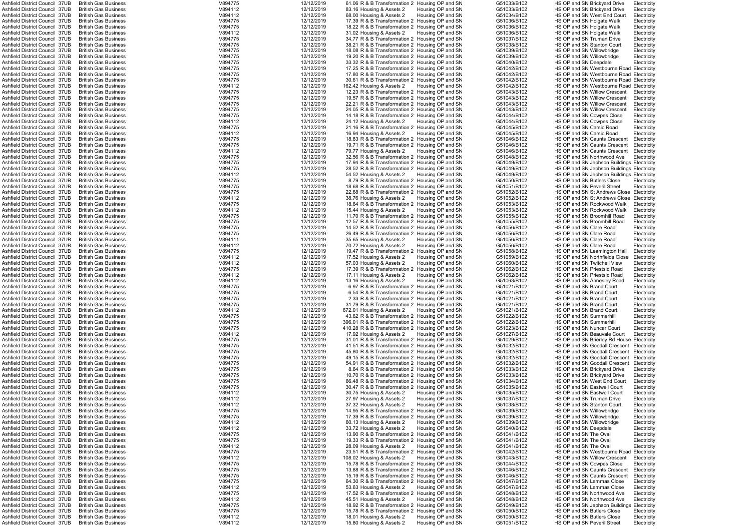| Ashfield District Council 37UB                                   | <b>British Gas Business</b>                                | V894775            | 12/12/2019               | 61.06 R & B Transformation 2 Housing OP and SN       |                                        | G51033/B102                | HS OP and SN Brickyard Drive                              | Electricity                |
|------------------------------------------------------------------|------------------------------------------------------------|--------------------|--------------------------|------------------------------------------------------|----------------------------------------|----------------------------|-----------------------------------------------------------|----------------------------|
| Ashfield District Council 37UB                                   | <b>British Gas Business</b>                                |                    |                          |                                                      |                                        |                            |                                                           |                            |
|                                                                  |                                                            | V894112            | 12/12/2019               | 83.16 Housing & Assets 2                             | Housing OP and SN                      | G51033/B102                | HS OP and SN Brickyard Drive                              | Electricity                |
| Ashfield District Council 37UB                                   | <b>British Gas Business</b>                                | V894112            | 12/12/2019               | 68.00 Housing & Assets 2                             | Housing OP and SN                      | G51034/B102                | HS OP and SN West End Court                               | Electricity                |
| Ashfield District Council 37UB                                   | <b>British Gas Business</b>                                | V894775            | 12/12/2019               | 17.39 R & B Transformation 2 Housing OP and SN       |                                        | G51036/B102                | HS OP and SN Holgate Walk                                 | Electricity                |
| Ashfield District Council 37UB                                   | <b>British Gas Business</b>                                | V894775            | 12/12/2019               | 18.22 R & B Transformation 2 Housing OP and SN       |                                        | G51036/B102                | HS OP and SN Holgate Walk                                 | Electricity                |
| Ashfield District Council 37UB                                   | <b>British Gas Business</b>                                | V894112            | 12/12/2019               | 31.02 Housing & Assets 2                             | Housing OP and SN                      | G51036/B102                | HS OP and SN Holgate Walk                                 | Electricity                |
| Ashfield District Council 37UB                                   | <b>British Gas Business</b>                                | V894775            | 12/12/2019               | 34.77 R & B Transformation 2 Housing OP and SN       |                                        | G51037/B102                | HS OP and SN Truman Drive                                 | Electricity                |
| Ashfield District Council  37UB                                  | <b>British Gas Business</b>                                | V894775            | 12/12/2019               | 38.21 R & B Transformation 2 Housing OP and SN       |                                        | G51038/B102                | HS OP and SN Stanton Court                                | Electricity                |
|                                                                  |                                                            |                    |                          |                                                      |                                        |                            |                                                           |                            |
| Ashfield District Council  37UB                                  | <b>British Gas Business</b>                                | V894775            | 12/12/2019               | 18.08 R & B Transformation 2 Housing OP and SN       |                                        | G51039/B102                | HS OP and SN Willowbridge                                 | Electricity                |
| Ashfield District Council 37UB                                   | <b>British Gas Business</b>                                | V894775            | 12/12/2019               | 19.20 R & B Transformation 2 Housing OP and SN       |                                        | G51039/B102                | HS OP and SN Willowbridge                                 | Electricity                |
| Ashfield District Council 37UB                                   | <b>British Gas Business</b>                                | V894775            | 12/12/2019               | 33.32 R & B Transformation 2 Housing OP and SN       |                                        | G51040/B102                | HS OP and SN Deepdale                                     | Electricity                |
| Ashfield District Council  37UB                                  | <b>British Gas Business</b>                                | V894775            | 12/12/2019               | 17.25 R & B Transformation 2 Housing OP and SN       |                                        | G51042/B102                | HS OP and SN Westbourne Road Electricity                  |                            |
| Ashfield District Council 37UB                                   | <b>British Gas Business</b>                                | V894775            | 12/12/2019               | 17.80 R & B Transformation 2 Housing OP and SN       |                                        | G51042/B102                | HS OP and SN Westbourne Road Electricity                  |                            |
| Ashfield District Council 37UB                                   | <b>British Gas Business</b>                                | V894775            | 12/12/2019               | 30.61 R & B Transformation 2 Housing OP and SN       |                                        | G51042/B102                | HS OP and SN Westbourne Road Electricity                  |                            |
|                                                                  |                                                            |                    |                          |                                                      |                                        |                            |                                                           |                            |
| Ashfield District Council 37UB                                   | <b>British Gas Business</b>                                | V894112            | 12/12/2019               | 162.42 Housing & Assets 2                            | Housing OP and SN                      | G51042/B102                | HS OP and SN Westbourne Road Electricity                  |                            |
| Ashfield District Council 37UB                                   | <b>British Gas Business</b>                                | V894775            | 12/12/2019               | 12.23 R & B Transformation 2 Housing OP and SN       |                                        | G51043/B102                | HS OP and SN Willow Crescent                              | Electricity                |
| Ashfield District Council  37UB                                  | <b>British Gas Business</b>                                | V894775            | 12/12/2019               | 19.57 R & B Transformation 2 Housing OP and SN       |                                        | G51043/B102                | HS OP and SN Willow Crescent                              | Electricity                |
| Ashfield District Council 37UB                                   | <b>British Gas Business</b>                                | V894775            | 12/12/2019               | 22.21 R & B Transformation 2 Housing OP and SN       |                                        | G51043/B102                | HS OP and SN Willow Crescent                              | Electricity                |
| Ashfield District Council 37UB                                   | <b>British Gas Business</b>                                | V894775            | 12/12/2019               | 24.05 R & B Transformation 2 Housing OP and SN       |                                        | G51043/B102                | HS OP and SN Willow Crescent                              | Electricity                |
| Ashfield District Council 37UB                                   | <b>British Gas Business</b>                                | V894775            | 12/12/2019               | 14.18 R & B Transformation 2 Housing OP and SN       |                                        | G51044/B102                | HS OP and SN Cowpes Close                                 | Electricity                |
|                                                                  |                                                            |                    |                          |                                                      |                                        |                            |                                                           |                            |
| Ashfield District Council  37UB                                  | <b>British Gas Business</b>                                | V894112            | 12/12/2019               | 24.12 Housing & Assets 2                             | Housing OP and SN                      | G51044/B102                | HS OP and SN Cowpes Close                                 | Electricity                |
| Ashfield District Council 37UB                                   | <b>British Gas Business</b>                                | V894775            | 12/12/2019               | 21.16 R & B Transformation 2 Housing OP and SN       |                                        | G51045/B102                | HS OP and SN Carsic Road                                  | Electricity                |
| Ashfield District Council 37UB                                   | <b>British Gas Business</b>                                | V894112            | 12/12/2019               | 16.94 Housing & Assets 2                             | Housing OP and SN                      | G51045/B102                | HS OP and SN Carsic Road                                  | Electricity                |
| Ashfield District Council 37UB                                   | <b>British Gas Business</b>                                | V894775            | 12/12/2019               | 18.83 R & B Transformation 2 Housing OP and SN       |                                        | G51046/B102                | HS OP and SN Caunts Crescent                              | Electricity                |
| Ashfield District Council 37UB                                   | <b>British Gas Business</b>                                | V894775            | 12/12/2019               | 19.71 R & B Transformation 2 Housing OP and SN       |                                        | G51046/B102                | HS OP and SN Caunts Crescent                              | Electricity                |
| Ashfield District Council 37UB                                   | <b>British Gas Business</b>                                | V894112            | 12/12/2019               | 79.77 Housing & Assets 2                             | Housing OP and SN                      | G51046/B102                | HS OP and SN Caunts Crescent                              | Electricity                |
|                                                                  |                                                            |                    |                          |                                                      |                                        |                            |                                                           |                            |
| Ashfield District Council 37UB                                   | <b>British Gas Business</b>                                | V894775            | 12/12/2019               | 32.56 R & B Transformation 2 Housing OP and SN       |                                        | G51048/B102                | HS OP and SN Northwood Ave                                | Electricity                |
| Ashfield District Council 37UB                                   | <b>British Gas Business</b>                                | V894775            | 12/12/2019               | 17.94 R & B Transformation 2 Housing OP and SN       |                                        | G51049/B102                | HS OP and SN Jephson Buildings Electricity                |                            |
| Ashfield District Council 37UB                                   | <b>British Gas Business</b>                                | V894775            | 12/12/2019               | 28.52 R & B Transformation 2 Housing OP and SN       |                                        | G51049/B102                | HS OP and SN Jephson Buildings Electricity                |                            |
| Ashfield District Council 37UB                                   | <b>British Gas Business</b>                                | V894112            | 12/12/2019               | 54.52 Housing & Assets 2                             | Housing OP and SN                      | G51049/B102                | HS OP and SN Jephson Buildings Electricity                |                            |
| Ashfield District Council 37UB                                   | <b>British Gas Business</b>                                | V894775            | 12/12/2019               | 8.79 R & B Transformation 2 Housing OP and SN        |                                        | G51050/B102                | HS OP and SN Butlers Close                                | Electricity                |
|                                                                  |                                                            |                    |                          |                                                      |                                        |                            |                                                           |                            |
| Ashfield District Council 37UB                                   | <b>British Gas Business</b>                                | V894775            | 12/12/2019               | 18.68 R & B Transformation 2 Housing OP and SN       |                                        | G51051/B102                | HS OP and SN Peveril Street                               | Electricity                |
| Ashfield District Council  37UB                                  | <b>British Gas Business</b>                                | V894775            | 12/12/2019               | 22.68 R & B Transformation 2 Housing OP and SN       |                                        | G51052/B102                | HS OP and SN St Andrews Close Electricity                 |                            |
| Ashfield District Council  37UB                                  | <b>British Gas Business</b>                                | V894112            | 12/12/2019               | 38.76 Housing & Assets 2 Housing OP and SN           |                                        | G51052/B102                | HS OP and SN St Andrews Close Electricity                 |                            |
| Ashfield District Council 37UB                                   | <b>British Gas Business</b>                                | V894775            | 12/12/2019               | 18.64 R & B Transformation 2 Housing OP and SN       |                                        | G51053/B102                | HS OP and SN Rockwood Walk                                | Electricity                |
| Ashfield District Council 37UB                                   | <b>British Gas Business</b>                                | V894112            | 12/12/2019               | 15.44 Housing & Assets 2                             | Housing OP and SN                      | G51053/B102                | HS OP and SN Rockwood Walk                                | Electricity                |
| Ashfield District Council 37UB                                   | <b>British Gas Business</b>                                | V894775            | 12/12/2019               | 11.70 R & B Transformation 2 Housing OP and SN       |                                        | G51055/B102                | HS OP and SN Broomhill Road                               | Electricity                |
|                                                                  |                                                            |                    |                          |                                                      |                                        |                            |                                                           |                            |
| Ashfield District Council 37UB                                   | <b>British Gas Business</b>                                | V894775            | 12/12/2019               | 12.57 R & B Transformation 2 Housing OP and SN       |                                        | G51055/B102                | HS OP and SN Broomhill Road                               | Electricity                |
| Ashfield District Council 37UB                                   | <b>British Gas Business</b>                                | V894775            | 12/12/2019               | 14.52 R & B Transformation 2 Housing OP and SN       |                                        | G51056/B102                | HS OP and SN Clare Road                                   | Electricity                |
| Ashfield District Council 37UB                                   | <b>British Gas Business</b>                                | V894775            | 12/12/2019               | 26.49 R & B Transformation 2 Housing OP and SN       |                                        | G51056/B102                | HS OP and SN Clare Road                                   | Electricity                |
| Ashfield District Council 37UB                                   | <b>British Gas Business</b>                                | V894111            | 12/12/2019               | -35.65 Housing & Assets 2                            | Housing OP and SN                      | G51056/B102                | HS OP and SN Clare Road                                   | Electricity                |
| Ashfield District Council 37UB                                   | <b>British Gas Business</b>                                | V894112            | 12/12/2019               | 70.72 Housing & Assets 2                             | Housing OP and SN                      | G51056/B102                | HS OP and SN Clare Road                                   | Electricity                |
| Ashfield District Council 37UB                                   | <b>British Gas Business</b>                                | V894775            | 12/12/2019               | 19.47 R & B Transformation 2 Housing OP and SN       |                                        | G51058/B102                |                                                           |                            |
|                                                                  |                                                            |                    |                          |                                                      |                                        |                            | HS OP and SN Leamington Hall                              | Electricity                |
| Ashfield District Council 37UB                                   | <b>British Gas Business</b>                                | V894112            | 12/12/2019               | 17.52 Housing & Assets 2                             | Housing OP and SN                      | G51059/B102                | HS OP and SN Northfields Close                            | Electricity                |
| Ashfield District Council 37UB                                   | <b>British Gas Business</b>                                | V894112            | 12/12/2019               | 57.03 Housing & Assets 2                             | Housing OP and SN                      | G51060/B102                | HS OP and SN Twitchell View                               | Electricity                |
| Ashfield District Council 37UB                                   | <b>British Gas Business</b>                                | V894775            | 12/12/2019               | 17.39 R & B Transformation 2 Housing OP and SN       |                                        | G51062/B102                | HS OP and SN Priestsic Road                               | Electricity                |
| Ashfield District Council 37UB                                   | <b>British Gas Business</b>                                | V894112            | 12/12/2019               | 17.11 Housing & Assets 2                             | Housing OP and SN                      | G51062/B102                | HS OP and SN Priestsic Road                               | Electricity                |
| Ashfield District Council 37UB                                   | <b>British Gas Business</b>                                | V894112            | 12/12/2019               | 13.16 Housing & Assets 2                             | Housing OP and SN                      | G51063/B102                | HS OP and SN Annesley Road                                | Electricity                |
|                                                                  |                                                            |                    |                          |                                                      |                                        |                            |                                                           |                            |
| Ashfield District Council 37UB                                   | <b>British Gas Business</b>                                | V894775            | 12/12/2019               | -6.97 R & B Transformation 2 Housing OP and SN       |                                        | G51021/B102                | HS OP and SN Brand Court                                  | Electricity                |
| Ashfield District Council 37UB                                   | <b>British Gas Business</b>                                | V894775            | 12/12/2019               | -6.54 R & B Transformation 2 Housing OP and SN       |                                        | G51021/B102                | HS OP and SN Brand Court                                  | Electricity                |
| Ashfield District Council 37UB                                   | <b>British Gas Business</b>                                | V894775            | 12/12/2019               | 2.33 R & B Transformation 2 Housing OP and SN        |                                        | G51021/B102                | HS OP and SN Brand Court                                  | Electricity                |
| Ashfield District Council 37UB                                   | <b>British Gas Business</b>                                | V894775            | 12/12/2019               | 31.79 R & B Transformation 2 Housing OP and SN       |                                        | G51021/B102                | HS OP and SN Brand Court                                  | Electricity                |
| Ashfield District Council 37UB                                   | <b>British Gas Business</b>                                | V894112            | 12/12/2019               | 672.01 Housing & Assets 2 Housing OP and SN          |                                        | G51021/B102                | HS OP and SN Brand Court                                  | Electricity                |
| Ashfield District Council 37UB                                   | <b>British Gas Business</b>                                | V894775            | 12/12/2019               | 43.62 R & B Transformation 2 Housing OP and SN       |                                        | G51022/B102                | HS OP and SN Summerhill                                   | Electricity                |
|                                                                  |                                                            |                    |                          |                                                      |                                        |                            |                                                           |                            |
| Ashfield District Council 37UB                                   | <b>British Gas Business</b>                                | V894775            | 12/12/2019               | 396.01 R & B Transformation 2 Housing OP and SN      |                                        | G51022/B102                | HS OP and SN Summerhill                                   | Electricity                |
| Ashfield District Council 37UB                                   | <b>British Gas Business</b>                                | V894775            | 12/12/2019               | 410.28 R & B Transformation 2 Housing OP and SN      |                                        | G51023/B102                | HS OP and SN Nuncar Court                                 | Electricity                |
| Ashfield District Council 37UB                                   | <b>British Gas Business</b>                                | V894112            | 12/12/2019               | 17.92 Housing & Assets 2 Housing OP and SN           |                                        | G51027/B102                | HS OP and SN Beauvale Court                               | Electricity                |
| Ashfield District Council  37UB                                  | <b>British Gas Business</b>                                | V894775            | 12/12/2019               | 31.01 R & B Transformation 2 Housing OP and SN       |                                        | G51029/B102                | HS OP and SN Brierley Rd House Electricity                |                            |
| Ashfield District Council 37UB                                   | <b>British Gas Business</b>                                | V894775            | 12/12/2019               | 41.51 R & B Transformation 2 Housing OP and SN       |                                        | G51032/B102                | HS OP and SN Goodall Crescent                             | Electricity                |
| Ashfield District Council 37UB                                   | <b>British Gas Business</b>                                | V894775            | 12/12/2019               | 45.80 R & B Transformation 2 Housing OP and SN       |                                        | G51032/B102                | HS OP and SN Goodall Crescent                             | Electricity                |
|                                                                  | <b>British Gas Business</b>                                | V894775            | 12/12/2019               | 49.15 R & B Transformation 2 Housing OP and SN       |                                        | G51032/B102                | HS OP and SN Goodall Crescent                             |                            |
| Ashfield District Council  37UB                                  |                                                            |                    |                          |                                                      |                                        |                            |                                                           | Electricity                |
| Ashfield District Council 37UB                                   | <b>British Gas Business</b>                                | V894775            | 12/12/2019               | 54.91 R & B Transformation 2 Housing OP and SN       |                                        | G51032/B102                | HS OP and SN Goodall Crescent                             | Electricity                |
| Ashfield District Council 37UB                                   | <b>British Gas Business</b>                                | V894775            | 12/12/2019               | 8.64 R & B Transformation 2 Housing OP and SN        |                                        | G51033/B102                | HS OP and SN Brickyard Drive                              | Electricity                |
| Ashfield District Council 37UB                                   | <b>British Gas Business</b>                                | V894775            | 12/12/2019               | 10.70 R & B Transformation 2 Housing OP and SN       |                                        | G51033/B102                | HS OP and SN Brickyard Drive                              | Electricity                |
| Ashfield District Council 37UB                                   | <b>British Gas Business</b>                                | V894775            | 12/12/2019               | 66.48 R & B Transformation 2 Housing OP and SN       |                                        | G51034/B102                | HS OP and SN West End Court                               | Electricity                |
| Ashfield District Council 37UB                                   | <b>British Gas Business</b>                                | V894775            | 12/12/2019               | 30.47 R & B Transformation 2 Housing OP and SN       |                                        | G51035/B102                | HS OP and SN Eastwell Court                               | Electricity                |
| Ashfield District Council 37UB                                   | <b>British Gas Business</b>                                | V894112            | 12/12/2019               | 30.75 Housing & Assets 2                             | Housing OP and SN                      | G51035/B102                | HS OP and SN Eastwell Court                               | Electricity                |
| Ashfield District Council 37UB                                   | <b>British Gas Business</b>                                | V894112            | 12/12/2019               | 27.97 Housing & Assets 2                             | Housing OP and SN                      | G51037/B102                | HS OP and SN Truman Drive                                 |                            |
|                                                                  |                                                            |                    |                          |                                                      |                                        |                            |                                                           | Electricity                |
| Ashfield District Council 37UB                                   | <b>British Gas Business</b>                                | V894112            | 12/12/2019               | 37.32 Housing & Assets 2                             | Housing OP and SN                      | G51038/B102                | HS OP and SN Stanton Court                                | Electricity                |
| Ashfield District Council  37UB                                  | <b>British Gas Business</b>                                | V894775            | 12/12/2019               | 14.95 R & B Transformation 2 Housing OP and SN       |                                        | G51039/B102                | HS OP and SN Willowbridge                                 | Electricity                |
| Ashfield District Council 37UB                                   | <b>British Gas Business</b>                                | V894775            | 12/12/2019               | 17.39 R & B Transformation 2 Housing OP and SN       |                                        | G51039/B102                | HS OP and SN Willowbridge                                 | Electricity                |
| Ashfield District Council 37UB                                   | <b>British Gas Business</b>                                | V894112            | 12/12/2019               | 60.13 Housing & Assets 2                             | Housing OP and SN                      | G51039/B102                | HS OP and SN Willowbridge                                 | Electricity                |
| Ashfield District Council 37UB                                   | <b>British Gas Business</b>                                | V894112            | 12/12/2019               | 33.72 Housing & Assets 2                             | Housing OP and SN                      | G51040/B102                | HS OP and SN Deepdale                                     | Electricity                |
|                                                                  | <b>British Gas Business</b>                                | V894775            | 12/12/2019               | 13.90 R & B Transformation 2 Housing OP and SN       |                                        | G51041/B102                | HS OP and SN The Oval                                     |                            |
| Ashfield District Council  37UB                                  |                                                            |                    |                          |                                                      |                                        |                            |                                                           | Electricity                |
| Ashfield District Council 37UB                                   | <b>British Gas Business</b>                                | V894775            | 12/12/2019               | 19.33 R & B Transformation 2 Housing OP and SN       |                                        | G51041/B102                | HS OP and SN The Oval                                     | Electricity                |
| Ashfield District Council 37UB                                   | <b>British Gas Business</b>                                | V894112            | 12/12/2019               | 28.09 Housing & Assets 2                             | Housing OP and SN                      | G51041/B102                | HS OP and SN The Oval                                     | Electricity                |
| Ashfield District Council 37UB                                   | <b>British Gas Business</b>                                | V894775            | 12/12/2019               | 23.51 R & B Transformation 2 Housing OP and SN       |                                        | G51042/B102                | HS OP and SN Westbourne Road                              | Electricity                |
| Ashfield District Council  37UB                                  | <b>British Gas Business</b>                                | V894112            | 12/12/2019               | 108.02 Housing & Assets 2                            | Housing OP and SN                      | G51043/B102                | HS OP and SN Willow Crescent                              | Electricity                |
| Ashfield District Council 37UB                                   | <b>British Gas Business</b>                                | V894775            | 12/12/2019               | 15.78 R & B Transformation 2 Housing OP and SN       |                                        | G51044/B102                | HS OP and SN Cowpes Close                                 | Electricity                |
| Ashfield District Council 37UB                                   | <b>British Gas Business</b>                                | V894775            | 12/12/2019               | 13.88 R & B Transformation 2 Housing OP and SN       |                                        | G51046/B102                | HS OP and SN Caunts Crescent                              | Electricity                |
|                                                                  |                                                            | V894775            |                          |                                                      |                                        |                            |                                                           |                            |
| Ashfield District Council 37UB                                   | <b>British Gas Business</b>                                |                    | 12/12/2019               | 15.19 R & B Transformation 2 Housing OP and SN       |                                        | G51046/B102                | HS OP and SN Caunts Crescent                              | Electricity                |
| Ashfield District Council 37UB                                   | <b>British Gas Business</b>                                | V894775            | 12/12/2019               | 64.30 R & B Transformation 2 Housing OP and SN       |                                        | G51047/B102                | HS OP and SN Lammas Close                                 | Electricity                |
| Ashfield District Council 37UB                                   | <b>British Gas Business</b>                                | V894112            | 12/12/2019               | 53.63 Housing & Assets 2                             | Housing OP and SN                      | G51047/B102                | HS OP and SN Lammas Close                                 | Electricity                |
| Ashfield District Council 37UB                                   | <b>British Gas Business</b>                                | V894775            | 12/12/2019               | 17.52 R & B Transformation 2 Housing OP and SN       |                                        | G51048/B102                | HS OP and SN Northwood Ave                                | Electricity                |
| Ashfield District Council 37UB                                   | <b>British Gas Business</b>                                | V894112            | 12/12/2019               | 45.51 Housing & Assets 2                             | Housing OP and SN                      | G51048/B102                | HS OP and SN Northwood Ave                                | Electricity                |
| Ashfield District Council 37UB                                   | <b>British Gas Business</b>                                | V894775            | 12/12/2019               | 18.92 R & B Transformation 2 Housing OP and SN       |                                        | G51049/B102                | HS OP and SN Jephson Buildings Electricity                |                            |
| Ashfield District Council 37UB                                   |                                                            |                    |                          |                                                      |                                        |                            |                                                           |                            |
|                                                                  |                                                            |                    |                          |                                                      |                                        |                            |                                                           |                            |
|                                                                  | <b>British Gas Business</b>                                | V894775            | 12/12/2019               | 15.78 R & B Transformation 2 Housing OP and SN       |                                        | G51050/B102                | HS OP and SN Butlers Close                                | Electricity                |
| Ashfield District Council 37UB<br>Ashfield District Council 37UB | <b>British Gas Business</b><br><b>British Gas Business</b> | V894112<br>V894112 | 12/12/2019<br>12/12/2019 | 18.01 Housing & Assets 2<br>15.80 Housing & Assets 2 | Housing OP and SN<br>Housing OP and SN | G51050/B102<br>G51051/B102 | HS OP and SN Butlers Close<br>HS OP and SN Peveril Street | Electricity<br>Electricity |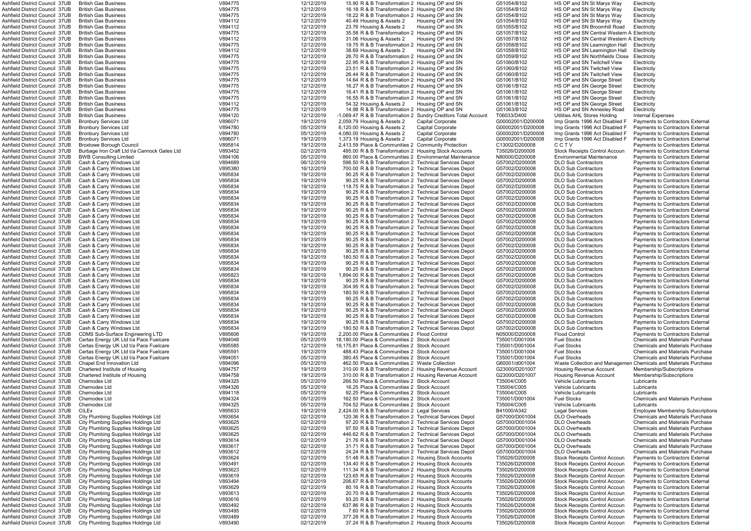| AShfield District Council 37UB                                   | <b>British Gas Business</b>                                                | V894775            | 12/12/2019               | 15.90 R & B Transformation 2 Housing OP and SN                                                              |                          | G51054/B102                      | HS OP and SN St Marys Way                                                    | Electricity                                                                 |
|------------------------------------------------------------------|----------------------------------------------------------------------------|--------------------|--------------------------|-------------------------------------------------------------------------------------------------------------|--------------------------|----------------------------------|------------------------------------------------------------------------------|-----------------------------------------------------------------------------|
| Ashfield District Council 37UB                                   | <b>British Gas Business</b>                                                | V894775            | 12/12/2019               | 16.18 R & B Transformation 2 Housing OP and SN                                                              |                          | G51054/B102                      | HS OP and SN St Marys Way                                                    | Electricity                                                                 |
| Ashfield District Council  37UB                                  | <b>British Gas Business</b>                                                | V894775            | 12/12/2019               | 18.22 R & B Transformation 2 Housing OP and SN                                                              |                          | G51054/B102                      | HS OP and SN St Marys Way                                                    | Electricity                                                                 |
| Ashfield District Council 37UB                                   | <b>British Gas Business</b>                                                | V894112            | 12/12/2019               | 40.49 Housing & Assets 2                                                                                    | Housing OP and SN        | G51054/B102                      | HS OP and SN St Marys Way                                                    | Electricity                                                                 |
| Ashfield District Council 37UB                                   | <b>British Gas Business</b>                                                | V894112            | 12/12/2019               | 23.76 Housing & Assets 2                                                                                    | Housing OP and SN        | G51055/B102                      | HS OP and SN Broomhill Road                                                  | Electricity                                                                 |
| Ashfield District Council 37UB                                   | <b>British Gas Business</b>                                                | V894775            | 12/12/2019               | 35.58 R & B Transformation 2 Housing OP and SN                                                              |                          | G51057/B102                      | HS OP and SN Central Western A Electricity                                   |                                                                             |
|                                                                  | <b>British Gas Business</b>                                                | V894112            | 12/12/2019               | 31.06 Housing & Assets 2                                                                                    | Housing OP and SN        |                                  | HS OP and SN Central Western A Electricity                                   |                                                                             |
| Ashfield District Council  37UB                                  |                                                                            |                    |                          |                                                                                                             |                          | G51057/B102                      |                                                                              |                                                                             |
| Ashfield District Council 37UB                                   | <b>British Gas Business</b>                                                | V894775            | 12/12/2019               | 19.75 R & B Transformation 2 Housing OP and SN                                                              |                          | G51058/B102                      | HS OP and SN Leamington Hall                                                 | Electricity                                                                 |
| Ashfield District Council 37UB                                   | <b>British Gas Business</b>                                                | V894112            | 12/12/2019               | 38.69 Housing & Assets 2                                                                                    | Housing OP and SN        | G51058/B102                      | HS OP and SN Leamington Hall                                                 | Electricity                                                                 |
| Ashfield District Council  37UB                                  | <b>British Gas Business</b>                                                | V894775            | 12/12/2019               | 26.70 R & B Transformation 2 Housing OP and SN                                                              |                          | G51059/B102                      | HS OP and SN Northfields Close                                               | Electricity                                                                 |
| Ashfield District Council  37UB                                  | <b>British Gas Business</b>                                                | V894775            | 12/12/2019               | 22.95 R & B Transformation 2 Housing OP and SN                                                              |                          | G51060/B102                      | HS OP and SN Twitchell View                                                  | Electricity                                                                 |
| Ashfield District Council 37UB                                   | <b>British Gas Business</b>                                                | V894775            | 12/12/2019               | 23.51 R & B Transformation 2 Housing OP and SN                                                              |                          | G51060/B102                      | HS OP and SN Twitchell View                                                  | Electricity                                                                 |
| Ashfield District Council 37UB                                   | <b>British Gas Business</b>                                                | V894775            | 12/12/2019               | 26.44 R & B Transformation 2 Housing OP and SN                                                              |                          | G51060/B102                      | HS OP and SN Twitchell View                                                  | Electricity                                                                 |
|                                                                  |                                                                            |                    |                          |                                                                                                             |                          |                                  |                                                                              |                                                                             |
| Ashfield District Council 37UB                                   | <b>British Gas Business</b>                                                | V894775            | 12/12/2019               | 14.64 R & B Transformation 2 Housing OP and SN                                                              |                          | G51061/B102                      | HS OP and SN George Street                                                   | Electricity                                                                 |
| Ashfield District Council 37UB                                   | <b>British Gas Business</b>                                                | V894775            | 12/12/2019               | 16.27 R & B Transformation 2 Housing OP and SN                                                              |                          | G51061/B102                      | HS OP and SN George Street                                                   | Electricity                                                                 |
| Ashfield District Council 37UB                                   | <b>British Gas Business</b>                                                | V894775            | 12/12/2019               | 16.41 R & B Transformation 2 Housing OP and SN                                                              |                          | G51061/B102                      | HS OP and SN George Street                                                   | Electricity                                                                 |
| Ashfield District Council 37UB                                   | <b>British Gas Business</b>                                                | V894775            | 12/12/2019               | 16.55 R & B Transformation 2 Housing OP and SN                                                              |                          | G51061/B102                      | HS OP and SN George Street                                                   | Electricity                                                                 |
| Ashfield District Council 37UB                                   | <b>British Gas Business</b>                                                | V894112            | 12/12/2019               | 54.32 Housing & Assets 2                                                                                    | Housing OP and SN        | G51061/B102                      | HS OP and SN George Street                                                   | Electricity                                                                 |
| Ashfield District Council  37UB                                  | <b>British Gas Business</b>                                                | V894775            | 12/12/2019               | 14.98 R & B Transformation 2 Housing OP and SN                                                              |                          | G51063/B102                      | HS OP and SN Annesley Road                                                   | Electricity                                                                 |
| Ashfield District Council 37UB                                   | <b>British Gas Business</b>                                                | V894120            | 12/12/2019               | -1,069.47 R & B Transformation 2 Sundry Creditors Total Account                                             |                          | T06033/D400                      | Utilities AHL Stores Holding                                                 | Internal Expenses                                                           |
|                                                                  |                                                                            |                    |                          |                                                                                                             |                          |                                  |                                                                              |                                                                             |
| Ashfield District Council 37UB                                   | <b>Bronbury Services Ltd</b>                                               | V896071            | 19/12/2019               | 2,059.79 Housing & Assets 2                                                                                 | <b>Capital Corporate</b> | G00002001/D200008                | Imp Grants 1996 Act Disabled F                                               | Payments to Contractors External                                            |
| Ashfield District Council 37UB                                   | <b>Bronbury Services Ltd</b>                                               | V894780            | 05/12/2019               | 6,120.00 Housing & Assets 2                                                                                 | <b>Capital Corporate</b> | G00002001/D200008                | Imp Grants 1996 Act Disabled F                                               | <b>Payments to Contractors External</b>                                     |
| Ashfield District Council 37UB                                   | <b>Bronbury Services Ltd</b>                                               | V894780            | 05/12/2019               | 4,080.00 Housing & Assets 2                                                                                 | <b>Capital Corporate</b> | G00002001/D200008                | Imp Grants 1996 Act Disabled F                                               | Payments to Contractors External                                            |
| Ashfield District Council 37UB                                   | <b>Bronbury Services Ltd</b>                                               | V896071            | 19/12/2019               | 1,373.19 Housing & Assets 2                                                                                 | <b>Capital Corporate</b> | G00002001/D200008                | Imp Grants 1996 Act Disabled F                                               | <b>Payments to Contractors External</b>                                     |
| Ashfield District Council 37UB                                   | <b>Broxtowe Borough Council</b>                                            | V895814            | 19/12/2019               | 2.413.59 Place & Communities 2 Community Protection                                                         |                          | C13002/D200008                   | CCTV                                                                         | Payments to Contractors External                                            |
| Ashfield District Council 37UB                                   | Burbage Iron Craft Ltd t/a Cannock Gates Ltd                               | V893452            | 02/12/2019               | 495.00 R & B Transformation 2 Housing Stock Accounts                                                        |                          | T35026/D200008                   | <b>Stock Receipts Control Accoun</b>                                         | Payments to Contractors External                                            |
|                                                                  |                                                                            |                    |                          |                                                                                                             |                          |                                  |                                                                              |                                                                             |
| Ashfield District Council 37UB                                   | <b>BWB Consulting Limited</b>                                              | V894106            | 05/12/2019               | 860.00 Place & Communities 2 Environmental Maintenance                                                      |                          | N80000/D200008                   | <b>Environmental Maintenance</b>                                             | <b>Payments to Contractors External</b>                                     |
| Ashfield District Council 37UB                                   | Cash & Carry Windows Ltd                                                   | V894689            | 06/12/2019               | 596.50 R & B Transformation 2 Technical Services Depot                                                      |                          | G57002/D200008                   | <b>DLO Sub Contractors</b>                                                   | Payments to Contractors External                                            |
| Ashfield District Council 37UB                                   | Cash & Carry Windows Ltd                                                   | V895380            | 16/12/2019               | 700.00 R & B Transformation 2 Technical Services Depot                                                      |                          | G57002/D200008                   | <b>DLO Sub Contractors</b>                                                   | Payments to Contractors External                                            |
| Ashfield District Council 37UB                                   | Cash & Carry Windows Ltd                                                   | V895834            | 19/12/2019               | 90.25 R & B Transformation 2 Technical Services Depot                                                       |                          | G57002/D200008                   | <b>DLO Sub Contractors</b>                                                   | Payments to Contractors External                                            |
| Ashfield District Council 37UB                                   | Cash & Carry Windows Ltd                                                   | V895834            | 19/12/2019               | 90.25 R & B Transformation 2 Technical Services Depot                                                       |                          | G57002/D200008                   | <b>DLO Sub Contractors</b>                                                   | Payments to Contractors External                                            |
|                                                                  |                                                                            |                    |                          |                                                                                                             |                          |                                  |                                                                              |                                                                             |
| Ashfield District Council  37UB                                  | Cash & Carry Windows Ltd                                                   | V895834            | 19/12/2019               | 118.75 R & B Transformation 2 Technical Services Depot                                                      |                          | G57002/D200008                   | <b>DLO Sub Contractors</b>                                                   | Payments to Contractors External                                            |
| Ashfield District Council 37UB                                   | Cash & Carry Windows Ltd                                                   | V895834            | 19/12/2019               | 90.25 R & B Transformation 2 Technical Services Depot                                                       |                          | G57002/D200008                   | <b>DLO Sub Contractors</b>                                                   | <b>Payments to Contractors External</b>                                     |
| Ashfield District Council  37UB                                  | Cash & Carry Windows Ltd                                                   | V895834            | 19/12/2019               | 90.25 R & B Transformation 2 Technical Services Depot                                                       |                          | G57002/D200008                   | <b>DLO Sub Contractors</b>                                                   | Payments to Contractors External                                            |
| Ashfield District Council  37UB                                  | Cash & Carry Windows Ltd                                                   | V895834            | 19/12/2019               | 90.25 R & B Transformation 2 Technical Services Depot                                                       |                          | G57002/D200008                   | <b>DLO Sub Contractors</b>                                                   | <b>Payments to Contractors External</b>                                     |
| Ashfield District Council  37UB                                  | Cash & Carry Windows Ltd                                                   | V895834            | 19/12/2019               | 90.25 R & B Transformation 2 Technical Services Depot                                                       |                          | G57002/D200008                   | <b>DLO Sub Contractors</b>                                                   | <b>Payments to Contractors External</b>                                     |
|                                                                  |                                                                            |                    |                          |                                                                                                             |                          |                                  |                                                                              |                                                                             |
| Ashfield District Council 37UB                                   | Cash & Carry Windows Ltd                                                   | V895834            | 19/12/2019               | 90.25 R & B Transformation 2 Technical Services Depot                                                       |                          | G57002/D200008                   | <b>DLO Sub Contractors</b>                                                   | Payments to Contractors External                                            |
| Ashfield District Council 37UB                                   | Cash & Carry Windows Ltd                                                   | V895834            | 19/12/2019               | 90.25 R & B Transformation 2 Technical Services Depot                                                       |                          | G57002/D200008                   | <b>DLO Sub Contractors</b>                                                   | Payments to Contractors External                                            |
| Ashfield District Council 37UB                                   | Cash & Carry Windows Ltd                                                   | V895834            | 19/12/2019               | 90.25 R & B Transformation 2 Technical Services Depot                                                       |                          | G57002/D200008                   | <b>DLO Sub Contractors</b>                                                   | Payments to Contractors External                                            |
| Ashfield District Council 37UB                                   | Cash & Carry Windows Ltd                                                   | V895834            | 19/12/2019               | 90.25 R & B Transformation 2 Technical Services Depot                                                       |                          | G57002/D200008                   | <b>DLO Sub Contractors</b>                                                   | Payments to Contractors External                                            |
| Ashfield District Council 37UB                                   | Cash & Carry Windows Ltd                                                   | V895834            | 19/12/2019               | 90.25 R & B Transformation 2 Technical Services Depot                                                       |                          | G57002/D200008                   | <b>DLO Sub Contractors</b>                                                   | Payments to Contractors External                                            |
|                                                                  |                                                                            | V895834            |                          |                                                                                                             |                          |                                  |                                                                              |                                                                             |
| Ashfield District Council 37UB                                   | Cash & Carry Windows Ltd                                                   |                    | 19/12/2019               | 90.25 R & B Transformation 2 Technical Services Depot                                                       |                          | G57002/D200008                   | <b>DLO Sub Contractors</b>                                                   | Payments to Contractors External                                            |
| Ashfield District Council 37UB                                   | Cash & Carry Windows Ltd                                                   | V895834            | 19/12/2019               | 90.25 R & B Transformation 2 Technical Services Depot                                                       |                          | G57002/D200008                   | <b>DLO Sub Contractors</b>                                                   | <b>Payments to Contractors External</b>                                     |
| Ashfield District Council  37UB                                  | Cash & Carry Windows Ltd                                                   | V895834            | 19/12/2019               | 180.50 R & B Transformation 2 Technical Services Depot                                                      |                          | G57002/D200008                   | <b>DLO Sub Contractors</b>                                                   | Payments to Contractors External                                            |
| Ashfield District Council 37UB                                   | Cash & Carry Windows Ltd                                                   | V895834            | 19/12/2019               | 90.25 R & B Transformation 2 Technical Services Depot                                                       |                          | G57002/D200008                   | <b>DLO Sub Contractors</b>                                                   | Payments to Contractors External                                            |
| Ashfield District Council 37UB                                   | Cash & Carry Windows Ltd                                                   | V895834            | 19/12/2019               | 90.25 R & B Transformation 2 Technical Services Depot                                                       |                          | G57002/D200008                   | <b>DLO Sub Contractors</b>                                                   | <b>Payments to Contractors External</b>                                     |
| Ashfield District Council 37UB                                   | Cash & Carry Windows Ltd                                                   | V895823            | 19/12/2019               | 1,894.00 R & B Transformation 2 Technical Services Depot                                                    |                          | G57002/D200008                   | <b>DLO Sub Contractors</b>                                                   | Payments to Contractors External                                            |
|                                                                  |                                                                            |                    |                          |                                                                                                             |                          |                                  |                                                                              |                                                                             |
| Ashfield District Council 37UB                                   | Cash & Carry Windows Ltd                                                   | V895834            | 19/12/2019               | 90.25 R & B Transformation 2 Technical Services Depot                                                       |                          | G57002/D200008                   | <b>DLO Sub Contractors</b>                                                   | <b>Payments to Contractors External</b>                                     |
| Ashfield District Council 37UB                                   | Cash & Carry Windows Ltd                                                   | V895834            | 19/12/2019               | 304.95 R & B Transformation 2 Technical Services Depot                                                      |                          | G57002/D200008                   | <b>DLO Sub Contractors</b>                                                   | Payments to Contractors External                                            |
| Ashfield District Council 37UB                                   | Cash & Carry Windows Ltd                                                   | V895834            | 19/12/2019               | 180.50 R & B Transformation 2 Technical Services Depot                                                      |                          | G57002/D200008                   | <b>DLO Sub Contractors</b>                                                   | Payments to Contractors External                                            |
| Ashfield District Council 37UB                                   | Cash & Carry Windows Ltd                                                   | V895834            | 19/12/2019               | 90.25 R & B Transformation 2 Technical Services Depot                                                       |                          | G57002/D200008                   | <b>DLO Sub Contractors</b>                                                   | Payments to Contractors External                                            |
| Ashfield District Council 37UB                                   | Cash & Carry Windows Ltd                                                   | V895834            | 19/12/2019               | 90.25 R & B Transformation 2 Technical Services Depot                                                       |                          | G57002/D200008                   | <b>DLO Sub Contractors</b>                                                   | Payments to Contractors External                                            |
|                                                                  |                                                                            |                    |                          |                                                                                                             |                          |                                  |                                                                              |                                                                             |
| Ashfield District Council 37UB                                   | Cash & Carry Windows Ltd                                                   | V895834            | 19/12/2019               | 90.25 R & B Transformation 2 Technical Services Depot                                                       |                          | G57002/D200008                   | <b>DLO Sub Contractors</b>                                                   | Payments to Contractors External                                            |
| Ashfield District Council 37UB                                   | Cash & Carry Windows Ltd                                                   | V895834            | 19/12/2019               | 90.25 R & B Transformation 2 Technical Services Depot                                                       |                          | G57002/D200008                   | <b>DLO Sub Contractors</b>                                                   | <b>Payments to Contractors External</b>                                     |
| Ashfield District Council 37UB                                   | Cash & Carry Windows Ltd                                                   | V895834            | 19/12/2019               | 90.25 R & B Transformation 2 Technical Services Depot                                                       |                          | G57002/D200008                   | <b>DLO Sub Contractors</b>                                                   | Payments to Contractors External                                            |
| Ashfield District Council 37UB                                   | Cash & Carry Windows Ltd                                                   | V895834            | 19/12/2019               | 180.50 R & B Transformation 2 Technical Services Depot                                                      |                          | G57002/D200008                   | <b>DLO Sub Contractors</b>                                                   | Payments to Contractors External                                            |
| Ashfield District Council 37UB                                   | <b>CDMS Sub-Surface Engineering LTD</b>                                    | V895606            | 19/12/2019               | 2.200.00 Place & Communities 2 Flood Control                                                                |                          | N05000/D200008                   | <b>Flood Control</b>                                                         | Payments to Contractors External                                            |
|                                                                  |                                                                            |                    |                          |                                                                                                             |                          |                                  |                                                                              | <b>Chemicals and Materials Purchase</b>                                     |
| Ashfield District Council 37UB                                   | Certas Energy UK Ltd t/a Pace Fuelcare                                     | V894048            | 05/12/2019               | 18,180.00 Place & Communities 2 Stock Account                                                               |                          | T35001/D001004                   | <b>Fuel Stocks</b>                                                           |                                                                             |
| Ashfield District Council 37UB                                   | Certas Energy UK Ltd t/a Pace Fuelcare                                     | V895585            | 12/12/2019               | 19.175.81 Place & Communities 2 Stock Account                                                               |                          | T35001/D001004                   | <b>Fuel Stocks</b>                                                           | <b>Chemicals and Materials Purchase</b>                                     |
| Ashfield District Council 37UB                                   | Certas Energy UK Ltd t/a Pace Fuelcare                                     | V895591            | 19/12/2019               | 488.43 Place & Communities 2 Stock Account                                                                  |                          | T35001/D001004                   | <b>Fuel Stocks</b>                                                           | <b>Chemicals and Materials Purchase</b>                                     |
| Ashfield District Council 37UB                                   | Certas Energy UK Ltd t/a Pace Fuelcare                                     | V894051            | 05/12/2019               | 380.45 Place & Communities 2 Stock Account                                                                  |                          | T35001/D001004                   | <b>Fuel Stocks</b>                                                           | <b>Chemicals and Materials Purchase</b>                                     |
| Ashfield District Council 37UB                                   | Chapel End Innovation Ltd                                                  | V894096            | 05/12/2019               | 462.50 Place & Communities 2 Waste Collection                                                               |                          | G60001/d001004                   |                                                                              | Waste Collection and Managemen Chemicals and Materials Purchase             |
| Ashfield District Council 37UB                                   | Chartered Institute of Housing                                             | V894757            | 19/12/2019               | 310.00 R & B Transformation 2 Housing Revenue Account                                                       |                          | G23000/D201007                   | <b>Housing Revenue Account</b>                                               | Membership/Subscriptions                                                    |
|                                                                  |                                                                            |                    | 19/12/2019               |                                                                                                             |                          |                                  |                                                                              |                                                                             |
| Ashfield District Council 37UB                                   | Chartered Institute of Housing                                             | V894758            |                          | 310.00 R & B Transformation 2 Housing Revenue Account                                                       |                          | G23000/D201007                   | Housing Revenue Account                                                      | Membership/Subscriptions                                                    |
| Ashfield District Council 37UB                                   | Chemodex Ltd                                                               | V894325            | 05/12/2019               | 266.50 Place & Communities 2 Stock Account                                                                  |                          | T35004/C005                      | <b>Vehicle Lubricants</b>                                                    | Lubricants                                                                  |
| Ashfield District Council 37UB                                   | Chemodex Ltd                                                               | V894326            | 05/12/2019               | 16.25 Place & Communities 2 Stock Account                                                                   |                          | T35004/C005                      | Vehicle Lubricants                                                           | Lubricants                                                                  |
| Ashfield District Council 37UB                                   | Chemodex Ltd                                                               | V894118            | 05/12/2019               | 92.25 Place & Communities 2 Stock Account                                                                   |                          | T35004/C005                      | <b>Vehicle Lubricants</b>                                                    | Lubricants                                                                  |
| Ashfield District Council  37UB                                  | Chemodex Ltd                                                               | V894324            | 05/12/2019               | 162.50 Place & Communities 2 Stock Account                                                                  |                          | T35001/D001004                   | <b>Fuel Stocks</b>                                                           | <b>Chemicals and Materials Purchase</b>                                     |
| Ashfield District Council  37UB                                  | Chemodex Ltd                                                               | V894325            | 05/12/2019               | 704.52 Place & Communities 2 Stock Account                                                                  |                          | T35004/C005                      | <b>Vehicle Lubricants</b>                                                    | Lubricants                                                                  |
| Ashfield District Council 37UB                                   | <b>CILEx</b>                                                               | V895633            | 19/12/2019               | 2,424.00 R & B Transformation 2 Legal Services                                                              |                          | B41000/A342                      | <b>Legal Services</b>                                                        | Employee Membership Subscriptio                                             |
| Ashfield District Council 37UB                                   | City Plumbing Supplies Holdings Ltd                                        | V893654            | 02/12/2019               | 120.36 R & B Transformation 2 Technical Services Depot                                                      |                          | G57000/D001004                   | <b>DLO Overheads</b>                                                         | <b>Chemicals and Materials Purchase</b>                                     |
|                                                                  |                                                                            |                    |                          |                                                                                                             |                          |                                  |                                                                              |                                                                             |
| Ashfield District Council 37UB                                   | City Plumbing Supplies Holdings Ltd                                        | V893625            | 02/12/2019               | 97.20 R & B Transformation 2 Technical Services Depot                                                       |                          | G57000/D001004                   | <b>DLO Overheads</b>                                                         | <b>Chemicals and Materials Purchase</b>                                     |
| Ashfield District Council  37UB                                  | City Plumbing Supplies Holdings Ltd                                        | V893625            | 02/12/2019               | 97.50 R & B Transformation 2 Technical Services Depot                                                       |                          | G57000/D001004                   | <b>DLO Overheads</b>                                                         | <b>Chemicals and Materials Purchase</b>                                     |
| Ashfield District Council 37UB                                   | City Plumbing Supplies Holdings Ltd                                        | V893625            | 02/12/2019               | 446.62 R & B Transformation 2 Technical Services Depot                                                      |                          | G57000/D001004                   | <b>DLO Overheads</b>                                                         | <b>Chemicals and Materials Purchase</b>                                     |
| Ashfield District Council 37UB                                   | City Plumbing Supplies Holdings Ltd                                        | V893614            | 02/12/2019               | 21.76 R & B Transformation 2 Technical Services Depot                                                       |                          | G57000/D001004                   | <b>DLO Overheads</b>                                                         | <b>Chemicals and Materials Purchase</b>                                     |
| Ashfield District Council 37UB                                   | City Plumbing Supplies Holdings Ltd                                        | V893617            | 02/12/2019               | 31.71 R & B Transformation 2 Technical Services Depot                                                       |                          | G57000/D001004                   | <b>DLO Overheads</b>                                                         | <b>Chemicals and Materials Purchase</b>                                     |
|                                                                  |                                                                            |                    |                          |                                                                                                             |                          |                                  |                                                                              |                                                                             |
| Ashfield District Council  37UB                                  | City Plumbing Supplies Holdings Ltd                                        | V893612            | 02/12/2019               | 24.24 R & B Transformation 2 Technical Services Depot                                                       |                          | G57000/D001004                   | <b>DLO Overheads</b>                                                         | <b>Chemicals and Materials Purchase</b>                                     |
| Ashfield District Council 37UB                                   | City Plumbing Supplies Holdings Ltd                                        | V893624            | 02/12/2019               | 51.48 R & B Transformation 2 Housing Stock Accounts                                                         |                          | T35026/D200008                   | <b>Stock Receipts Control Accoun</b>                                         | Payments to Contractors External                                            |
| Ashfield District Council 37UB                                   | City Plumbing Supplies Holdings Ltd                                        | V893491            | 02/12/2019               | 134.40 R & B Transformation 2 Housing Stock Accounts                                                        |                          | T35026/D200008                   | <b>Stock Receipts Control Accoun</b>                                         | <b>Payments to Contractors External</b>                                     |
| Ashfield District Council 37UB                                   | City Plumbing Supplies Holdings Ltd                                        | V893623            | 02/12/2019               | 111.34 R & B Transformation 2 Housing Stock Accounts                                                        |                          | T35026/D200008                   | Stock Receipts Control Accoun                                                | <b>Payments to Contractors External</b>                                     |
| Ashfield District Council 37UB                                   | City Plumbing Supplies Holdings Ltd                                        | V893619            | 02/12/2019               | 123.65 R & B Transformation 2 Housing Stock Accounts                                                        |                          | T35026/D200008                   | Stock Receipts Control Accoun                                                | Payments to Contractors External                                            |
| Ashfield District Council 37UB                                   |                                                                            | V893494            |                          |                                                                                                             |                          |                                  |                                                                              |                                                                             |
|                                                                  | City Plumbing Supplies Holdings Ltd                                        |                    | 02/12/2019               | 206.67 R & B Transformation 2 Housing Stock Accounts                                                        |                          | T35026/D200008                   | <b>Stock Receipts Control Accoun</b>                                         | Payments to Contractors External                                            |
| Ashfield District Council 37UB                                   | City Plumbing Supplies Holdings Ltd                                        | V893629            | 02/12/2019               | 80.16 R & B Transformation 2 Housing Stock Accounts                                                         |                          | T35026/D200008                   | <b>Stock Receipts Control Accoun</b>                                         | <b>Payments to Contractors External</b>                                     |
| Ashfield District Council 37UB                                   | City Plumbing Supplies Holdings Ltd                                        | V893613            | 02/12/2019               | 20.70 R & B Transformation 2 Housing Stock Accounts                                                         |                          | T35026/D200008                   | Stock Receipts Control Accoun                                                | <b>Payments to Contractors External</b>                                     |
| Ashfield District Council 37UB                                   | City Plumbing Supplies Holdings Ltd                                        | V893616            | 02/12/2019               | 93.20 R & B Transformation 2 Housing Stock Accounts                                                         |                          | T35026/D200008                   | <b>Stock Receipts Control Accoun</b>                                         | <b>Payments to Contractors External</b>                                     |
| Ashfield District Council 37UB                                   | City Plumbing Supplies Holdings Ltd                                        | V893492            | 02/12/2019               | 637.86 R & B Transformation 2 Housing Stock Accounts                                                        |                          | T35026/D200008                   | <b>Stock Receipts Control Accoun</b>                                         | <b>Payments to Contractors External</b>                                     |
|                                                                  |                                                                            |                    |                          |                                                                                                             |                          |                                  |                                                                              |                                                                             |
|                                                                  |                                                                            |                    |                          |                                                                                                             |                          |                                  |                                                                              |                                                                             |
| Ashfield District Council 37UB                                   | City Plumbing Supplies Holdings Ltd                                        | V893495            | 02/12/2019               | 7.60 R & B Transformation 2 Housing Stock Accounts                                                          |                          | T35026/D200008                   | <b>Stock Receipts Control Accoun</b>                                         | <b>Payments to Contractors External</b>                                     |
| Ashfield District Council 37UB<br>Ashfield District Council 37UB | City Plumbing Supplies Holdings Ltd<br>City Plumbing Supplies Holdings Ltd | V893489<br>V893490 | 02/12/2019<br>02/12/2019 | 377.28 R & B Transformation 2 Housing Stock Accounts<br>37.24 R & B Transformation 2 Housing Stock Accounts |                          | T35026/D200008<br>T35026/D200008 | <b>Stock Receipts Control Accoun</b><br><b>Stock Receipts Control Accoun</b> | <b>Payments to Contractors External</b><br>Payments to Contractors External |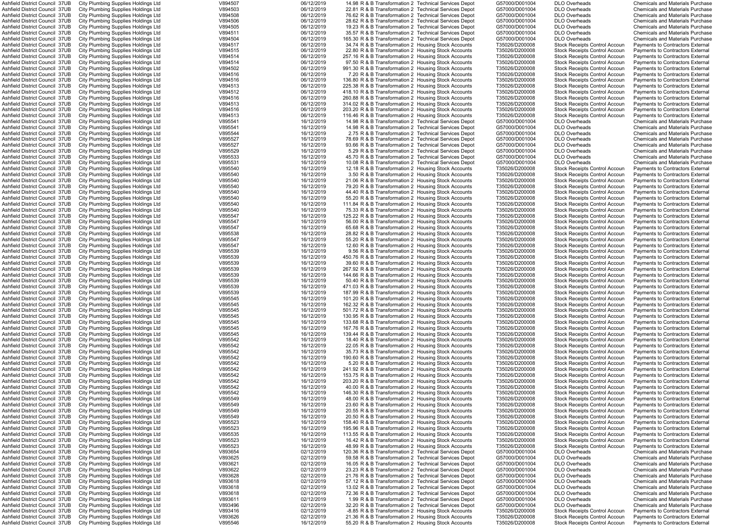| Ashfield District Council 37UB        | City Plumbing Supplies Holdings Ltd | V894507 | 06/12/2019 | 14.98 R & B Transformation 2 Technical Services Depot  | G57000/D001004 | <b>DLO Overheads</b>                 | <b>Chemicals and Materials Purchase</b> |
|---------------------------------------|-------------------------------------|---------|------------|--------------------------------------------------------|----------------|--------------------------------------|-----------------------------------------|
|                                       |                                     |         |            |                                                        |                |                                      |                                         |
| Ashfield District Council 37UB        | City Plumbing Supplies Holdings Ltd | V894503 | 06/12/2019 | 22.81 R & B Transformation 2 Technical Services Depot  | G57000/D001004 | <b>DLO Overheads</b>                 | <b>Chemicals and Materials Purchase</b> |
| Ashfield District Council 37UB        | City Plumbing Supplies Holdings Ltd | V894508 | 06/12/2019 | 76.62 R & B Transformation 2 Technical Services Depot  | G57000/D001004 | <b>DLO Overheads</b>                 | <b>Chemicals and Materials Purchase</b> |
| Ashfield District Council 37UB        | City Plumbing Supplies Holdings Ltd | V894506 | 06/12/2019 | 28.62 R & B Transformation 2 Technical Services Depot  | G57000/D001004 | <b>DLO Overheads</b>                 | <b>Chemicals and Materials Purchase</b> |
| Ashfield District Council 37UB        | City Plumbing Supplies Holdings Ltd | V894505 | 06/12/2019 | 19.23 R & B Transformation 2 Technical Services Depot  | G57000/D001004 | <b>DLO Overheads</b>                 | <b>Chemicals and Materials Purchase</b> |
| Ashfield District Council 37UB        | City Plumbing Supplies Holdings Ltd | V894511 | 06/12/2019 | 35.57 R & B Transformation 2 Technical Services Depot  | G57000/D001004 | <b>DLO Overheads</b>                 | <b>Chemicals and Materials Purchase</b> |
| Ashfield District Council 37UB        | City Plumbing Supplies Holdings Ltd | V894504 | 06/12/2019 | 165.30 R & B Transformation 2 Technical Services Depot | G57000/D001004 | <b>DLO Overheads</b>                 | <b>Chemicals and Materials Purchase</b> |
| Ashfield District Council 37UB        | City Plumbing Supplies Holdings Ltd | V894517 | 06/12/2019 | 34.74 R & B Transformation 2 Housing Stock Accounts    | T35026/D200008 | Stock Receipts Control Accour        | <b>Payments to Contractors External</b> |
| Ashfield District Council 37UB        | City Plumbing Supplies Holdings Ltd | V894515 | 06/12/2019 | 22.80 R & B Transformation 2 Housing Stock Accounts    | T35026/D200008 | <b>Stock Receipts Control Accoun</b> | Payments to Contractors External        |
| Ashfield District Council 37UB        |                                     | V894514 | 06/12/2019 | 257.16 R & B Transformation 2 Housing Stock Accounts   | T35026/D200008 | <b>Stock Receipts Control Accoun</b> | Payments to Contractors External        |
|                                       | City Plumbing Supplies Holdings Ltd |         |            |                                                        |                |                                      |                                         |
| Ashfield District Council 37UB        | City Plumbing Supplies Holdings Ltd | V894514 | 06/12/2019 | 97.50 R & B Transformation 2 Housing Stock Accounts    | T35026/D200008 | <b>Stock Receipts Control Accoun</b> | Payments to Contractors External        |
| Ashfield District Council 37UB        | City Plumbing Supplies Holdings Ltd | V894502 | 06/12/2019 | 991.30 R & B Transformation 2 Housing Stock Accounts   | T35026/D200008 | <b>Stock Receipts Control Accoun</b> | Payments to Contractors External        |
| Ashfield District Council 37UB        | City Plumbing Supplies Holdings Ltd | V894516 | 06/12/2019 | 7.20 R & B Transformation 2 Housing Stock Accounts     | T35026/D200008 | <b>Stock Receipts Control Accoun</b> | <b>Payments to Contractors External</b> |
| Ashfield District Council 37UB        | City Plumbing Supplies Holdings Ltd | V894516 | 06/12/2019 | 136.80 R & B Transformation 2 Housing Stock Accounts   | T35026/D200008 | <b>Stock Receipts Control Accoun</b> | <b>Payments to Contractors External</b> |
| Ashfield District Council 37UB        | City Plumbing Supplies Holdings Ltd | V894513 | 06/12/2019 | 225.38 R & B Transformation 2 Housing Stock Accounts   | T35026/D200008 | <b>Stock Receipts Control Accoun</b> | Payments to Contractors External        |
| Ashfield District Council 37UB        | City Plumbing Supplies Holdings Ltd | V894512 | 06/12/2019 | 418.10 R & B Transformation 2 Housing Stock Accounts   | T35026/D200008 | <b>Stock Receipts Control Accour</b> | Payments to Contractors External        |
| Ashfield District Council 37UB        | City Plumbing Supplies Holdings Ltd | V894516 | 06/12/2019 | 260.88 R & B Transformation 2 Housing Stock Accounts   | T35026/D200008 | <b>Stock Receipts Control Accour</b> | Payments to Contractors External        |
| Ashfield District Council 37UB        | City Plumbing Supplies Holdings Ltd | V894513 | 06/12/2019 | 314.02 R & B Transformation 2 Housing Stock Accounts   | T35026/D200008 | <b>Stock Receipts Control Accour</b> | Payments to Contractors Externa         |
| Ashfield District Council 37UB        | City Plumbing Supplies Holdings Ltd | V894516 | 06/12/2019 | 203.20 R & B Transformation 2 Housing Stock Accounts   | T35026/D200008 | <b>Stock Receipts Control Accoun</b> | Payments to Contractors External        |
|                                       |                                     |         |            |                                                        |                |                                      |                                         |
| Ashfield District Council 37UB        | City Plumbing Supplies Holdings Ltd | V894513 | 06/12/2019 | 116.46 R & B Transformation 2 Housing Stock Accounts   | T35026/D200008 | <b>Stock Receipts Control Accoun</b> | Payments to Contractors External        |
| Ashfield District Council 37UB        | City Plumbing Supplies Holdings Ltd | V895541 | 16/12/2019 | 14.98 R & B Transformation 2 Technical Services Depot  | G57000/D001004 | <b>DLO Overheads</b>                 | <b>Chemicals and Materials Purchase</b> |
| Ashfield District Council 37UB        | City Plumbing Supplies Holdings Ltd | V89554  | 16/12/2019 | 14.98 R & B Transformation 2 Technical Services Depot  | G57000/D001004 | <b>DLO Overheads</b>                 | <b>Chemicals and Materials Purchase</b> |
| Ashfield District Council 37UB        | City Plumbing Supplies Holdings Ltd | V895544 | 16/12/2019 | 2.75 R & B Transformation 2 Technical Services Depot   | G57000/D001004 | <b>DLO Overheads</b>                 | <b>Chemicals and Materials Purchase</b> |
| Ashfield District Council 37UB        | City Plumbing Supplies Holdings Ltd | V895527 | 16/12/2019 | 78.69 R & B Transformation 2 Technical Services Depot  | G57000/D001004 | <b>DLO Overheads</b>                 | <b>Chemicals and Materials Purchase</b> |
| Ashfield District Council 37UB        | City Plumbing Supplies Holdings Ltd | V895527 | 16/12/2019 | 93.66 R & B Transformation 2 Technical Services Depot  | G57000/D001004 | <b>DLO Overheads</b>                 | <b>Chemicals and Materials Purchase</b> |
| Ashfield District Council 37UB        | City Plumbing Supplies Holdings Ltd | V895529 | 16/12/2019 | 5.29 R & B Transformation 2 Technical Services Depot   | G57000/D001004 | <b>DLO Overheads</b>                 | <b>Chemicals and Materials Purchase</b> |
| Ashfield District Council 37UB        | City Plumbing Supplies Holdings Ltd | V895533 | 16/12/2019 | 45.70 R & B Transformation 2 Technical Services Depot  | G57000/D001004 | <b>DLO Overheads</b>                 | <b>Chemicals and Materials Purchase</b> |
| Ashfield District Council 37UB        | City Plumbing Supplies Holdings Ltd | V895531 | 16/12/2019 | 10.08 R & B Transformation 2 Technical Services Depot  | G57000/D001004 | <b>DLO Overheads</b>                 | <b>Chemicals and Materials Purchase</b> |
| Ashfield District Council 37UB        | City Plumbing Supplies Holdings Ltd | V895540 | 16/12/2019 | 12.18 R & B Transformation 2 Housing Stock Accounts    | T35026/D200008 | <b>Stock Receipts Control Accoun</b> | <b>Payments to Contractors External</b> |
|                                       |                                     |         |            | 3.50 R & B Transformation 2 Housing Stock Accounts     |                |                                      |                                         |
| Ashfield District Council 37UB        | City Plumbing Supplies Holdings Ltd | V895540 | 16/12/2019 |                                                        | T35026/D200008 | <b>Stock Receipts Control Accoun</b> | <b>Payments to Contractors External</b> |
| Ashfield District Council 37UB        | City Plumbing Supplies Holdings Ltd | V895540 | 16/12/2019 | 21.06 R & B Transformation 2 Housing Stock Accounts    | T35026/D200008 | <b>Stock Receipts Control Accoun</b> | Payments to Contractors External        |
| Ashfield District Council 37UB        | City Plumbing Supplies Holdings Ltd | V895540 | 16/12/2019 | 79.20 R & B Transformation 2 Housing Stock Accounts    | T35026/D200008 | Stock Receipts Control Accoun        | Payments to Contractors External        |
| Ashfield District Council 37UB        | City Plumbing Supplies Holdings Ltd | V895540 | 16/12/2019 | 44.40 R & B Transformation 2 Housing Stock Accounts    | T35026/D200008 | Stock Receipts Control Accoun        | Payments to Contractors External        |
| Ashfield District Council 37UB        | City Plumbing Supplies Holdings Ltd | V895540 | 16/12/2019 | 55.20 R & B Transformation 2 Housing Stock Accounts    | T35026/D200008 | <b>Stock Receipts Control Accour</b> | Payments to Contractors Externa         |
| Ashfield District Council 37UB        | City Plumbing Supplies Holdings Ltd | V895540 | 16/12/2019 | 111.84 R & B Transformation 2 Housing Stock Accounts   | T35026/D200008 | <b>Stock Receipts Control Accour</b> | Payments to Contractors External        |
| Ashfield District Council 37UB        | City Plumbing Supplies Holdings Ltd | V895540 | 16/12/2019 | 75.33 R & B Transformation 2 Housing Stock Accounts    | T35026/D200008 | <b>Stock Receipts Control Accoun</b> | Payments to Contractors External        |
| Ashfield District Council 37UB        | City Plumbing Supplies Holdings Ltd | V895547 | 16/12/2019 | 125.22 R & B Transformation 2 Housing Stock Accounts   | T35026/D200008 | <b>Stock Receipts Control Accoun</b> | Payments to Contractors External        |
| Ashfield District Council 37UB        | City Plumbing Supplies Holdings Ltd | V895547 | 16/12/2019 | 56.00 R & B Transformation 2 Housing Stock Accounts    | T35026/D200008 | <b>Stock Receipts Control Accoun</b> | Payments to Contractors External        |
| Ashfield District Council 37UB        | City Plumbing Supplies Holdings Ltd | V895547 | 16/12/2019 | 65.68 R & B Transformation 2 Housing Stock Accounts    | T35026/D200008 | <b>Stock Receipts Control Accoun</b> | Payments to Contractors External        |
| Ashfield District Council 37UB        |                                     | V895538 | 16/12/2019 | 28.82 R & B Transformation 2 Housing Stock Accounts    | T35026/D200008 |                                      |                                         |
|                                       | City Plumbing Supplies Holdings Ltd |         |            |                                                        |                | Stock Receipts Control Accoun        | Payments to Contractors External        |
| Ashfield District Council 37UB        | City Plumbing Supplies Holdings Ltd | V895547 | 16/12/2019 | 55.20 R & B Transformation 2 Housing Stock Accounts    | T35026/D200008 | Stock Receipts Control Accoun        | Payments to Contractors External        |
| Ashfield District Council 37UB        | City Plumbing Supplies Holdings Ltd | V895547 | 16/12/2019 | 12.60 R & B Transformation 2 Housing Stock Accounts    | T35026/D200008 | <b>Stock Receipts Control Accour</b> | Payments to Contractors External        |
| Ashfield District Council 37UB        | City Plumbing Supplies Holdings Ltd | V895539 | 16/12/2019 | 9.56 R & B Transformation 2 Housing Stock Accounts     | T35026/D200008 | <b>Stock Receipts Control Accour</b> | Payments to Contractors External        |
| Ashfield District Council 37UB        | City Plumbing Supplies Holdings Ltd | V895539 | 16/12/2019 | 450.76 R & B Transformation 2 Housing Stock Accounts   | T35026/D200008 | <b>Stock Receipts Control Accoun</b> | Payments to Contractors External        |
| Ashfield District Council 37UB        | City Plumbing Supplies Holdings Ltd | V895539 | 16/12/2019 | 39.60 R & B Transformation 2 Housing Stock Accounts    | T35026/D200008 | Stock Receipts Control Accoun        | Pavments to Contractors External        |
| Ashfield District Council  37UB       | City Plumbing Supplies Holdings Ltd | V895539 | 16/12/2019 | 267.92 R & B Transformation 2 Housing Stock Accounts   | T35026/D200008 | <b>Stock Receipts Control Accoun</b> | Pavments to Contractors External        |
| Ashfield District Council  37UB       | City Plumbing Supplies Holdings Ltd | V895539 | 16/12/2019 | 144.66 R & B Transformation 2 Housing Stock Accounts   | T35026/D200008 | <b>Stock Receipts Control Accoun</b> | Payments to Contractors External        |
| Ashfield District Council 37UB        | City Plumbing Supplies Holdings Ltd | V895539 | 16/12/2019 | 50.40 R & B Transformation 2 Housing Stock Accounts    | T35026/D200008 | <b>Stock Receipts Control Accoun</b> | Payments to Contractors External        |
| Ashfield District Council 37UB        | City Plumbing Supplies Holdings Ltd | V895539 | 16/12/2019 | 471.03 R & B Transformation 2 Housing Stock Accounts   | T35026/D200008 | <b>Stock Receipts Control Accoun</b> | Payments to Contractors External        |
| Ashfield District Council 37UB        | City Plumbing Supplies Holdings Ltd | V895539 | 16/12/2019 | 187.99 R & B Transformation 2 Housing Stock Accounts   | T35026/D200008 | <b>Stock Receipts Control Accoun</b> | Payments to Contractors External        |
|                                       |                                     |         |            |                                                        |                |                                      |                                         |
| Ashfield District Council 37UB        | City Plumbing Supplies Holdings Ltd | V895545 | 16/12/2019 | 101.20 R & B Transformation 2 Housing Stock Accounts   | T35026/D200008 | <b>Stock Receipts Control Accoun</b> | Payments to Contractors External        |
| Ashfield District Council 37UB        | City Plumbing Supplies Holdings Ltd | V895545 | 16/12/2019 | 162.32 R & B Transformation 2 Housing Stock Accounts   | T35026/D200008 | <b>Stock Receipts Control Accoun</b> | Payments to Contractors External        |
| Ashfield District Council 37UB        | City Plumbing Supplies Holdings Ltd | V895545 | 16/12/2019 | 501.72 R & B Transformation 2 Housing Stock Accounts   | T35026/D200008 | <b>Stock Receipts Control Accoun</b> | Payments to Contractors External        |
| Ashfield District Council 37UB        | City Plumbing Supplies Holdings Ltd | V895545 | 16/12/2019 | 130.95 R & B Transformation 2 Housing Stock Accounts   | T35026/D200008 | <b>Stock Receipts Control Accoun</b> | <b>Payments to Contractors External</b> |
| Ashfield District Council 37UB        | City Plumbing Supplies Holdings Ltd | V895545 | 16/12/2019 | 133.68 R & B Transformation 2 Housing Stock Accounts   | T35026/D200008 | <b>Stock Receipts Control Accoun</b> | Payments to Contractors External        |
| Ashfield District Council 37UB        | City Plumbing Supplies Holdings Ltd | V895545 | 16/12/2019 | 167.76 R & B Transformation 2 Housing Stock Accounts   | T35026/D200008 | <b>Stock Receipts Control Accoun</b> | Payments to Contractors External        |
| Ashfield District Council 37UB        | City Plumbing Supplies Holdings Ltd | V895545 | 16/12/2019 | 139.44 R & B Transformation 2 Housing Stock Accounts   | T35026/D200008 | Stock Receipts Control Accoun        | Payments to Contractors External        |
| Ashfield District Council 37UB        | City Plumbing Supplies Holdings Ltd | V895542 | 16/12/2019 | 18.40 R & B Transformation 2 Housing Stock Accounts    | T35026/D200008 | <b>Stock Receipts Control Accoun</b> | Pavments to Contractors External        |
| Ashfield District Council 37UB        | City Plumbing Supplies Holdings Ltd | V895542 | 16/12/2019 | 22.05 R & B Transformation 2 Housing Stock Accounts    | T35026/D200008 | <b>Stock Receipts Control Accour</b> | Payments to Contractors Externa         |
| Ashfield District Council 37UB        | City Plumbing Supplies Holdings Ltd | V895542 | 16/12/2019 | 35.73 R & B Transformation 2 Housing Stock Accounts    | T35026/D200008 | <b>Stock Receipts Control Accoun</b> |                                         |
|                                       |                                     |         |            | 190.60 R & B Transformation 2 Housing Stock Accounts   | T35026/D200008 |                                      | Payments to Contractors External        |
| Ashfield District Council 37UB        | City Plumbing Supplies Holdings Ltd | V895542 | 16/12/2019 |                                                        |                | <b>Stock Receipts Control Accoun</b> | <b>Payments to Contractors External</b> |
| Ashfield District Council 37UB        | City Plumbing Supplies Holdings Ltd | V895542 | 16/12/2019 | 5.20 R & B Transformation 2 Housing Stock Accounts     | T35026/D200008 | <b>Stock Receipts Control Accoun</b> | Payments to Contractors External        |
| Ashfield District Council 37UB        | City Plumbing Supplies Holdings Ltd | V895542 | 16/12/2019 | 241.92 R & B Transformation 2 Housing Stock Accounts   | T35026/D200008 | <b>Stock Receipts Control Accoun</b> | Payments to Contractors External        |
| Ashfield District Council 37UB        | City Plumbing Supplies Holdings Ltd | V895542 | 16/12/2019 | 153.75 R & B Transformation 2 Housing Stock Accounts   | T35026/D200008 | <b>Stock Receipts Control Accoun</b> | Payments to Contractors External        |
| Ashfield District Council 37UB        | City Plumbing Supplies Holdings Ltd | V895542 | 16/12/2019 | 203.20 R & B Transformation 2 Housing Stock Accounts   | T35026/D200008 | <b>Stock Receipts Control Accoun</b> | <b>Payments to Contractors External</b> |
| Ashfield District Council  37UB       | City Plumbing Supplies Holdings Ltd | V895542 | 16/12/2019 | 40.00 R & B Transformation 2 Housing Stock Accounts    | T35026/D200008 | <b>Stock Receipts Control Accoun</b> | Payments to Contractors External        |
| Ashfield District Council 37UB        | City Plumbing Supplies Holdings Ltd | V895542 | 16/12/2019 | 146.30 R & B Transformation 2 Housing Stock Accounts   | T35026/D200008 | <b>Stock Receipts Control Accoun</b> | Payments to Contractors External        |
| Ashfield District Council 37UB        | City Plumbing Supplies Holdings Ltd | V895549 | 16/12/2019 | 48.00 R & B Transformation 2 Housing Stock Accounts    | T35026/D200008 | <b>Stock Receipts Control Accoun</b> | Payments to Contractors External        |
| Ashfield District Council 37UB        | City Plumbing Supplies Holdings Ltd | V895549 | 16/12/2019 | 23.60 R & B Transformation 2 Housing Stock Accounts    | T35026/D200008 | <b>Stock Receipts Control Accoun</b> | Payments to Contractors External        |
| Ashfield District Council 37UB        | City Plumbing Supplies Holdings Ltd | V895549 | 16/12/2019 | 20.55 R & B Transformation 2 Housing Stock Accounts    | T35026/D200008 | <b>Stock Receipts Control Accoun</b> | <b>Payments to Contractors External</b> |
| Ashfield District Council 37UB        | City Plumbing Supplies Holdings Ltd | V895549 | 16/12/2019 | 20.50 R & B Transformation 2 Housing Stock Accounts    | T35026/D200008 | <b>Stock Receipts Control Accoun</b> | Payments to Contractors External        |
| Ashfield District Council 37UB        | City Plumbing Supplies Holdings Ltd | V895523 | 16/12/2019 | 158.40 R & B Transformation 2 Housing Stock Accounts   | T35026/D200008 | <b>Stock Receipts Control Accoun</b> | Payments to Contractors External        |
|                                       |                                     |         |            |                                                        |                |                                      |                                         |
| Ashfield District Council 37UB        | City Plumbing Supplies Holdings Ltd | V895523 | 16/12/2019 | 195.96 R & B Transformation 2 Housing Stock Accounts   | T35026/D200008 | Stock Receipts Control Accoun        | Payments to Contractors External        |
| Ashfield District Council 37UB        | City Plumbing Supplies Holdings Ltd | V895535 | 16/12/2019 | 113.55 R & B Transformation 2 Housing Stock Accounts   | T35026/D200008 | <b>Stock Receipts Control Accoun</b> | Payments to Contractors External        |
| Ashfield District Council 37UB        | City Plumbing Supplies Holdings Ltd | V895523 | 16/12/2019 | 16.42 R & B Transformation 2 Housing Stock Accounts    | T35026/D200008 | <b>Stock Receipts Control Accour</b> | Payments to Contractors External        |
| Ashfield District Council 37UB        | City Plumbing Supplies Holdings Ltd | V895523 | 16/12/2019 | 48.99 R & B Transformation 2 Housing Stock Accounts    | T35026/D200008 | <b>Stock Receipts Control Accoun</b> | Payments to Contractors External        |
| Ashfield District Council 37UB        | City Plumbing Supplies Holdings Ltd | V893654 | 02/12/2019 | 120.36 R & B Transformation 2 Technical Services Depot | G57000/D001004 | <b>DLO Overheads</b>                 | <b>Chemicals and Materials Purchase</b> |
| Ashfield District Council 37UB        | City Plumbing Supplies Holdings Ltd | V893625 | 02/12/2019 | 59.58 R & B Transformation 2 Technical Services Depot  | G57000/D001004 | <b>DLO Overheads</b>                 | <b>Chemicals and Materials Purchase</b> |
| Ashfield District Council 37UB        | City Plumbing Supplies Holdings Ltd | V893621 | 02/12/2019 | 16.05 R & B Transformation 2 Technical Services Depot  | G57000/D001004 | <b>DLO Overheads</b>                 | <b>Chemicals and Materials Purchase</b> |
| Ashfield District Council 37UB        | City Plumbing Supplies Holdings Ltd | V893622 | 02/12/2019 | 23.23 R & B Transformation 2 Technical Services Depot  | G57000/D001004 | <b>DLO Overheads</b>                 | <b>Chemicals and Materials Purchase</b> |
| Ashfield District Council 37UB        | City Plumbing Supplies Holdings Ltd | V893628 | 02/12/2019 | 21.76 R & B Transformation 2 Technical Services Depot  | G57000/D001004 | <b>DLO Overheads</b>                 | <b>Chemicals and Materials Purchase</b> |
|                                       |                                     | V893618 |            |                                                        |                |                                      |                                         |
| Ashfield District Council  37UB       | City Plumbing Supplies Holdings Ltd |         | 02/12/2019 | 57.12 R & B Transformation 2 Technical Services Depot  | G57000/D001004 | <b>DLO Overheads</b>                 | <b>Chemicals and Materials Purchase</b> |
| Ashfield District Council 37UB        | City Plumbing Supplies Holdings Ltd | V893618 | 02/12/2019 | 13.02 R & B Transformation 2 Technical Services Depot  | G57000/D001004 | <b>DLO Overheads</b>                 | <b>Chemicals and Materials Purchase</b> |
| Ashfield District Council 37UB        | City Plumbing Supplies Holdings Ltd | V893618 | 02/12/2019 | 72.36 R & B Transformation 2 Technical Services Depot  | G57000/D001004 | <b>DLO Overheads</b>                 | <b>Chemicals and Materials Purchase</b> |
| Ashfield District Council 37UB        | City Plumbing Supplies Holdings Ltd | V893611 | 02/12/2019 | 1.99 R & B Transformation 2 Technical Services Depot   | G57000/D001004 | <b>DLO Overheads</b>                 | <b>Chemicals and Materials Purchase</b> |
| <b>Ashfield District Council 37UB</b> | City Plumbing Supplies Holdings Ltd | V893496 | 02/12/2019 | 32.20 R & B Transformation 2 Technical Services Depot  | G57000/D001004 | <b>DLO Overheads</b>                 | <b>Chemicals and Materials Purchase</b> |
| Ashfield District Council 37UB        | City Plumbing Supplies Holdings Ltd | V893416 | 02/12/2019 | -8.85 R & B Transformation 2 Housing Stock Accounts    | T35026/D200008 | <b>Stock Receipts Control Accoun</b> | Payments to Contractors External        |
| Ashfield District Council 37UB        | City Plumbing Supplies Holdings Ltd | V893626 | 02/12/2019 | 21.36 R & B Transformation 2 Housing Stock Accounts    | T35026/D200008 | <b>Stock Receipts Control Accoun</b> | Payments to Contractors External        |
| Ashfield District Council 37UB        | City Plumbing Supplies Holdings Ltd | V895546 | 16/12/2019 | 55.20 R & B Transformation 2 Housing Stock Accounts    | T35026/D200008 | <b>Stock Receipts Control Accoun</b> | Payments to Contractors External        |
|                                       |                                     |         |            |                                                        |                |                                      |                                         |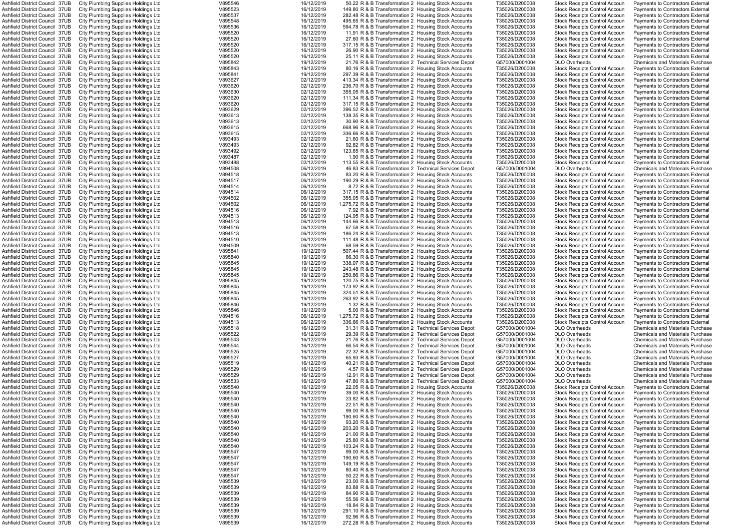| Ashfield District Council 37UB  | City Plumbing Supplies Holdings Ltd | V895546 | 16/12/2019 | 50.22 R & B Transformation 2 Housing Stock Accounts    | T35026/D200008 | <b>Stock Receipts Control Accour</b> | <b>Payments to Contractors Externa</b>  |
|---------------------------------|-------------------------------------|---------|------------|--------------------------------------------------------|----------------|--------------------------------------|-----------------------------------------|
| Ashfield District Council 37UB  | City Plumbing Supplies Holdings Ltd | V895523 | 16/12/2019 | 149.80 R & B Transformation 2 Housing Stock Accounts   | T35026/D200008 | <b>Stock Receipts Control Accour</b> | Payments to Contractors Externa         |
| Ashfield District Council 37UB  |                                     | V895537 | 16/12/2019 | 282.48 R & B Transformation 2 Housing Stock Accounts   |                |                                      |                                         |
|                                 | City Plumbing Supplies Holdings Ltd |         |            |                                                        | T35026/D200008 | <b>Stock Receipts Control Accoun</b> | Payments to Contractors External        |
| Ashfield District Council 37UB  | City Plumbing Supplies Holdings Ltd | V895548 | 16/12/2019 | 495.65 R & B Transformation 2 Housing Stock Accounts   | T35026/D200008 | <b>Stock Receipts Control Accoun</b> | Payments to Contractors External        |
| Ashfield District Council 37UB  | City Plumbing Supplies Holdings Ltd | V895536 | 16/12/2019 | 594.78 R & B Transformation 2 Housing Stock Accounts   | T35026/D200008 | <b>Stock Receipts Control Accoun</b> | <b>Payments to Contractors External</b> |
| Ashfield District Council 37UB  | City Plumbing Supplies Holdings Ltd | V895520 | 16/12/2019 | 11.91 R & B Transformation 2 Housing Stock Accounts    | T35026/D200008 | <b>Stock Receipts Control Accoun</b> | Payments to Contractors External        |
| Ashfield District Council  37UB | City Plumbing Supplies Holdings Ltd | V895520 | 16/12/2019 | 27.60 R & B Transformation 2 Housing Stock Accounts    | T35026/D200008 | <b>Stock Receipts Control Accoun</b> | Payments to Contractors External        |
| Ashfield District Council 37UB  | City Plumbing Supplies Holdings Ltd | V895520 | 16/12/2019 | 317.15 R & B Transformation 2 Housing Stock Accounts   | T35026/D200008 | <b>Stock Receipts Control Accoun</b> | Payments to Contractors External        |
| Ashfield District Council 37UB  | City Plumbing Supplies Holdings Ltd | V895520 | 16/12/2019 | 26.90 R & B Transformation 2 Housing Stock Accounts    | T35026/D200008 | <b>Stock Receipts Control Accoun</b> | Payments to Contractors External        |
| Ashfield District Council 37UB  | City Plumbing Supplies Holdings Ltd | V895520 | 16/12/2019 | 25.11 R & B Transformation 2 Housing Stock Accounts    | T35026/D200008 | <b>Stock Receipts Control Accoun</b> | Payments to Contractors External        |
|                                 |                                     | V895842 | 19/12/2019 |                                                        |                | <b>DLO Overheads</b>                 |                                         |
| Ashfield District Council 37UB  | City Plumbing Supplies Holdings Ltd |         |            | 21.76 R & B Transformation 2 Technical Services Depot  | G57000/D001004 |                                      | <b>Chemicals and Materials Purchase</b> |
| Ashfield District Council 37UB  | City Plumbing Supplies Holdings Ltd | V895843 | 19/12/2019 | 80.16 R & B Transformation 2 Housing Stock Accounts    | T35026/D200008 | <b>Stock Receipts Control Accoun</b> | Payments to Contractors External        |
| Ashfield District Council 37UB  | City Plumbing Supplies Holdings Ltd | V895841 | 19/12/2019 | 297.39 R & B Transformation 2 Housing Stock Accounts   | T35026/D200008 | <b>Stock Receipts Control Accoun</b> | <b>Payments to Contractors External</b> |
| Ashfield District Council 37UB  | City Plumbing Supplies Holdings Ltd | V893627 | 02/12/2019 | 413.34 R & B Transformation 2 Housing Stock Accounts   | T35026/D200008 | <b>Stock Receipts Control Accoun</b> | <b>Payments to Contractors External</b> |
| Ashfield District Council 37UB  | City Plumbing Supplies Holdings Ltd | V893620 | 02/12/2019 | 236.70 R & B Transformation 2 Housing Stock Accounts   | T35026/D200008 | <b>Stock Receipts Control Accoun</b> | Payments to Contractors External        |
| Ashfield District Council  37UB | City Plumbing Supplies Holdings Ltd | V893630 | 02/12/2019 | 355.05 R & B Transformation 2 Housing Stock Accounts   | T35026/D200008 | <b>Stock Receipts Control Accour</b> | Payments to Contractors External        |
| Ashfield District Council  37UB | City Plumbing Supplies Holdings Ltd | V893620 | 02/12/2019 | 111.34 R & B Transformation 2 Housing Stock Accounts   | T35026/D200008 | <b>Stock Receipts Control Accour</b> | Payments to Contractors External        |
| Ashfield District Council 37UB  | City Plumbing Supplies Holdings Ltd | V893620 | 02/12/2019 | 317.15 R & B Transformation 2 Housing Stock Accounts   | T35026/D200008 | <b>Stock Receipts Control Accour</b> | Payments to Contractors Externa         |
|                                 |                                     |         |            |                                                        |                |                                      |                                         |
| Ashfield District Council 37UB  | City Plumbing Supplies Holdings Ltd | V893629 | 02/12/2019 | 396.52 R & B Transformation 2 Housing Stock Accounts   | T35026/D200008 | <b>Stock Receipts Control Accoun</b> | Payments to Contractors External        |
| Ashfield District Council 37UB  | City Plumbing Supplies Holdings Ltd | V893613 | 02/12/2019 | 138.35 R & B Transformation 2 Housing Stock Accounts   | T35026/D200008 | <b>Stock Receipts Control Accoun</b> | Payments to Contractors External        |
| Ashfield District Council 37UB  | City Plumbing Supplies Holdings Ltd | V893613 | 02/12/2019 | 30.90 R & B Transformation 2 Housing Stock Accounts    | T35026/D200008 | <b>Stock Receipts Control Accoun</b> | Payments to Contractors External        |
| Ashfield District Council 37UB  | City Plumbing Supplies Holdings Ltd | V893615 | 02/12/2019 | 668.96 R & B Transformation 2 Housing Stock Accounts   | T35026/D200008 | <b>Stock Receipts Control Accoun</b> | Payments to Contractors External        |
| Ashfield District Council 37UB  | City Plumbing Supplies Holdings Ltd | V893615 | 02/12/2019 | 336.66 R & B Transformation 2 Housing Stock Accounts   | T35026/D200008 | Stock Receipts Control Accoun        | Payments to Contractors External        |
| Ashfield District Council 37UB  | City Plumbing Supplies Holdings Ltd | V893493 | 02/12/2019 | 21.60 R & B Transformation 2 Housing Stock Accounts    | T35026/D200008 | <b>Stock Receipts Control Accoun</b> | Payments to Contractors External        |
| Ashfield District Council  37UB | City Plumbing Supplies Holdings Ltd | V893493 | 02/12/2019 | 92.82 R & B Transformation 2 Housing Stock Accounts    | T35026/D200008 | <b>Stock Receipts Control Accour</b> | Payments to Contractors Externa         |
| Ashfield District Council 37UB  | City Plumbing Supplies Holdings Ltd | V893492 | 02/12/2019 | 123.65 R & B Transformation 2 Housing Stock Accounts   | T35026/D200008 | <b>Stock Receipts Control Accoun</b> | Pavments to Contractors External        |
|                                 |                                     |         |            |                                                        |                |                                      |                                         |
| Ashfield District Council 37UB  | City Plumbing Supplies Holdings Ltd | V893487 | 02/12/2019 | 1.90 R & B Transformation 2 Housing Stock Accounts     | T35026/D200008 | <b>Stock Receipts Control Accoun</b> | Payments to Contractors External        |
| Ashfield District Council 37UB  | City Plumbing Supplies Holdings Ltd | V893488 | 02/12/2019 | 113.55 R & B Transformation 2 Housing Stock Accounts   | T35026/D200008 | <b>Stock Receipts Control Accoun</b> | <b>Payments to Contractors External</b> |
| Ashfield District Council 37UB  | City Plumbing Supplies Holdings Ltd | V894508 | 06/12/2019 | 46.83 R & B Transformation 2 Technical Services Depot  | G57000/D001004 | <b>DLO Overheads</b>                 | <b>Chemicals and Materials Purchase</b> |
| Ashfield District Council 37UB  | City Plumbing Supplies Holdings Ltd | V894518 | 06/12/2019 | 83.20 R & B Transformation 2 Housing Stock Accounts    | T35026/D200008 | <b>Stock Receipts Control Accoun</b> | <b>Payments to Contractors External</b> |
| Ashfield District Council 37UB  | City Plumbing Supplies Holdings Ltd | V894517 | 06/12/2019 | 190.29 R & B Transformation 2 Housing Stock Accounts   | T35026/D200008 | <b>Stock Receipts Control Accoun</b> | <b>Payments to Contractors External</b> |
| Ashfield District Council  37UB | City Plumbing Supplies Holdings Ltd | V894514 | 06/12/2019 | 8.72 R & B Transformation 2 Housing Stock Accounts     | T35026/D200008 | Stock Receipts Control Accoun        | Payments to Contractors External        |
| Ashfield District Council  37UB | City Plumbing Supplies Holdings Ltd | V894514 | 06/12/2019 | 317.15 R & B Transformation 2 Housing Stock Accounts   | T35026/D200008 | <b>Stock Receipts Control Accoun</b> | Payments to Contractors External        |
|                                 |                                     |         | 06/12/2019 |                                                        |                |                                      |                                         |
| Ashfield District Council  37UB | City Plumbing Supplies Holdings Ltd | V894502 |            | 355.05 R & B Transformation 2 Housing Stock Accounts   | T35026/D200008 | <b>Stock Receipts Control Accour</b> | Payments to Contractors Externa         |
| Ashfield District Council 37UB  | City Plumbing Supplies Holdings Ltd | V894502 | 06/12/2019 | 1,275.72 R & B Transformation 2 Housing Stock Accounts | T35026/D200008 | <b>Stock Receipts Control Accour</b> | Payments to Contractors External        |
| Ashfield District Council 37UB  | City Plumbing Supplies Holdings Ltd | V894516 | 06/12/2019 | 7.92 R & B Transformation 2 Housing Stock Accounts     | T35026/D200008 | <b>Stock Receipts Control Accoun</b> | Payments to Contractors External        |
| Ashfield District Council  37UB | City Plumbing Supplies Holdings Ltd | V894513 | 06/12/2019 | 124.95 R & B Transformation 2 Housing Stock Accounts   | T35026/D200008 | <b>Stock Receipts Control Accoun</b> | Payments to Contractors External        |
| Ashfield District Council 37UB  | City Plumbing Supplies Holdings Ltd | V894513 | 06/12/2019 | 144.66 R & B Transformation 2 Housing Stock Accounts   | T35026/D200008 | <b>Stock Receipts Control Accoun</b> | Payments to Contractors External        |
| Ashfield District Council 37UB  | City Plumbing Supplies Holdings Ltd | V894516 | 06/12/2019 | 67.58 R & B Transformation 2 Housing Stock Accounts    | T35026/D200008 | <b>Stock Receipts Control Accoun</b> | Payments to Contractors External        |
| Ashfield District Council 37UB  | City Plumbing Supplies Holdings Ltd | V894513 | 06/12/2019 | 186.24 R & B Transformation 2 Housing Stock Accounts   | T35026/D200008 | <b>Stock Receipts Control Accoun</b> | Payments to Contractors External        |
| Ashfield District Council  37UB | City Plumbing Supplies Holdings Ltd | V894510 | 06/12/2019 | 111.48 R & B Transformation 2 Housing Stock Accounts   | T35026/D200008 | Stock Receipts Control Accoun        | Payments to Contractors External        |
|                                 |                                     | V894509 | 06/12/2019 |                                                        |                |                                      |                                         |
| Ashfield District Council  37UB | City Plumbing Supplies Holdings Ltd |         |            | 68.59 R & B Transformation 2 Housing Stock Accounts    | T35026/D200008 | <b>Stock Receipts Control Accour</b> | Payments to Contractors External        |
| Ashfield District Council 37UB  | City Plumbing Supplies Holdings Ltd | V895841 | 19/12/2019 | 507.44 R & B Transformation 2 Housing Stock Accounts   | T35026/D200008 | <b>Stock Receipts Control Accour</b> | Pavments to Contractors External        |
| Ashfield District Council 37UB  | City Plumbing Supplies Holdings Ltd | V895840 | 19/12/2019 | 66.30 R & B Transformation 2 Housing Stock Accounts    | T35026/D200008 | <b>Stock Receipts Control Accoun</b> | Payments to Contractors External        |
| Ashfield District Council 37UB  | City Plumbing Supplies Holdings Ltd | V895845 | 19/12/2019 | 338.07 R & B Transformation 2 Housing Stock Accounts   | T35026/D200008 | Stock Receipts Control Accoun        | Payments to Contractors External        |
| Ashfield District Council 37UB  | City Plumbing Supplies Holdings Ltd | V895845 | 19/12/2019 | 243.48 R & B Transformation 2 Housing Stock Accounts   | T35026/D200008 | <b>Stock Receipts Control Accoun</b> | <b>Payments to Contractors External</b> |
| Ashfield District Council 37UB  | City Plumbing Supplies Holdings Ltd | V895845 | 19/12/2019 | 250.86 R & B Transformation 2 Housing Stock Accounts   | T35026/D200008 | <b>Stock Receipts Control Accoun</b> | Payments to Contractors External        |
| Ashfield District Council 37UB  | City Plumbing Supplies Holdings Ltd | V895845 | 19/12/2019 | 120.75 R & B Transformation 2 Housing Stock Accounts   | T35026/D200008 | <b>Stock Receipts Control Accoun</b> | Payments to Contractors External        |
| Ashfield District Council 37UB  | City Plumbing Supplies Holdings Ltd | V895845 | 19/12/2019 | 173.92 R & B Transformation 2 Housing Stock Accounts   | T35026/D200008 | <b>Stock Receipts Control Accoun</b> | Payments to Contractors External        |
|                                 |                                     |         |            |                                                        |                |                                      |                                         |
| Ashfield District Council 37UB  | City Plumbing Supplies Holdings Ltd | V895845 | 19/12/2019 | 324.51 R & B Transformation 2 Housing Stock Accounts   | T35026/D200008 | <b>Stock Receipts Control Accoun</b> | Payments to Contractors External        |
| Ashfield District Council 37UB  | City Plumbing Supplies Holdings Ltd | V895845 | 19/12/2019 | 263.92 R & B Transformation 2 Housing Stock Accounts   | T35026/D200008 | <b>Stock Receipts Control Accoun</b> | Payments to Contractors External        |
| Ashfield District Council 37UB  | City Plumbing Supplies Holdings Ltd | V895846 | 19/12/2019 | 1.32 R & B Transformation 2 Housing Stock Accounts     | T35026/D200008 | <b>Stock Receipts Control Accoun</b> | Payments to Contractors External        |
| Ashfield District Council 37UB  | City Plumbing Supplies Holdings Ltd | V895846 | 19/12/2019 | 5.00 R & B Transformation 2 Housing Stock Accounts     | T35026/D200008 | <b>Stock Receipts Control Accoun</b> | Payments to Contractors External        |
| Ashfield District Council 37UB  | City Plumbing Supplies Holdings Ltd | V894516 | 06/12/2019 | 1,275.72 R & B Transformation 2 Housing Stock Accounts | T35026/D200008 | <b>Stock Receipts Control Accoun</b> | Payments to Contractors External        |
| Ashfield District Council 37UB  | City Plumbing Supplies Holdings Ltd | V894513 | 06/12/2019 | 336.66 R & B Transformation 2 Housing Stock Accounts   | T35026/D200008 | <b>Stock Receipts Control Accoun</b> | Payments to Contractors External        |
| Ashfield District Council 37UB  | City Plumbing Supplies Holdings Ltd | V895518 | 16/12/2019 | 31.31 R & B Transformation 2 Technical Services Depot  | G57000/D001004 | <b>DLO Overheads</b>                 | <b>Chemicals and Materials Purchase</b> |
|                                 | City Plumbing Supplies Holdings Ltd | V895522 | 16/12/2019 | 29.39 R & B Transformation 2 Technical Services Depot  | G57000/D001004 | <b>DLO Overheads</b>                 | <b>Chemicals and Materials Purchase</b> |
| Ashfield District Council  37UB |                                     |         |            |                                                        |                |                                      |                                         |
| Ashfield District Council 37UB  | City Plumbing Supplies Holdings Ltd | V895543 | 16/12/2019 | 21.76 R & B Transformation 2 Technical Services Depot  | G57000/D001004 | <b>DLO Overheads</b>                 | <b>Chemicals and Materials Purchase</b> |
| Ashfield District Council 37UB  | City Plumbing Supplies Holdings Ltd | V895544 | 16/12/2019 | 66.54 R & B Transformation 2 Technical Services Depot  | G57000/D001004 | <b>DLO Overheads</b>                 | <b>Chemicals and Materials Purchase</b> |
| Ashfield District Council 37UB  | City Plumbing Supplies Holdings Ltd | V895525 | 16/12/2019 | 22.32 R & B Transformation 2 Technical Services Depot  | G57000/D001004 | <b>DLO Overheads</b>                 | <b>Chemicals and Materials Purchase</b> |
| Ashfield District Council 37UB  | City Plumbing Supplies Holdings Ltd | V895527 | 16/12/2019 | 65.93 R & B Transformation 2 Technical Services Depot  | G57000/D001004 | <b>DLO Overheads</b>                 | <b>Chemicals and Materials Purchase</b> |
| Ashfield District Council 37UB  | City Plumbing Supplies Holdings Ltd | V895519 | 16/12/2019 | 40.21 R & B Transformation 2 Technical Services Depot  | G57000/D001004 | <b>DLO Overheads</b>                 | <b>Chemicals and Materials Purchase</b> |
| Ashfield District Council 37UB  | City Plumbing Supplies Holdings Ltd | V895529 | 16/12/2019 | 4.57 R & B Transformation 2 Technical Services Depot   | G57000/D001004 | <b>DLO Overheads</b>                 | <b>Chemicals and Materials Purchase</b> |
| Ashfield District Council 37UB  | City Plumbing Supplies Holdings Ltd | V895529 | 16/12/2019 | 12.91 R & B Transformation 2 Technical Services Depot  | G57000/D001004 | <b>DLO Overheads</b>                 | <b>Chemicals and Materials Purchase</b> |
| Ashfield District Council 37UB  | City Plumbing Supplies Holdings Ltd | V895533 | 16/12/2019 | 47.80 R & B Transformation 2 Technical Services Depot  | G57000/D001004 | <b>DLO Overheads</b>                 | <b>Chemicals and Materials Purchase</b> |
| Ashfield District Council 37UB  | City Plumbing Supplies Holdings Ltd | V895540 | 16/12/2019 | 22.05 R & B Transformation 2 Housing Stock Accounts    | T35026/D200008 | <b>Stock Receipts Control Accoun</b> | Payments to Contractors External        |
|                                 |                                     |         |            |                                                        |                |                                      |                                         |
| Ashfield District Council 37UB  | City Plumbing Supplies Holdings Ltd | V895540 | 16/12/2019 | 39.00 R & B Transformation 2 Housing Stock Accounts    | T35026/D200008 | <b>Stock Receipts Control Accoun</b> | Payments to Contractors External        |
| Ashfield District Council 37UB  | City Plumbing Supplies Holdings Ltd | V895540 | 16/12/2019 | 23.82 R & B Transformation 2 Housing Stock Accounts    | T35026/D200008 | <b>Stock Receipts Control Accoun</b> | Payments to Contractors External        |
| Ashfield District Council 37UB  | City Plumbing Supplies Holdings Ltd | V895540 | 16/12/2019 | 22.51 R & B Transformation 2 Housing Stock Accounts    | T35026/D200008 | <b>Stock Receipts Control Accoun</b> | Payments to Contractors External        |
| Ashfield District Council 37UB  | City Plumbing Supplies Holdings Ltd | V895540 | 16/12/2019 | 99.00 R & B Transformation 2 Housing Stock Accounts    | T35026/D200008 | <b>Stock Receipts Control Accoun</b> | Payments to Contractors External        |
| Ashfield District Council 37UB  | City Plumbing Supplies Holdings Ltd | V895540 | 16/12/2019 | 190.60 R & B Transformation 2 Housing Stock Accounts   | T35026/D200008 | <b>Stock Receipts Control Accoun</b> | <b>Payments to Contractors External</b> |
| Ashfield District Council 37UB  | City Plumbing Supplies Holdings Ltd | V895540 | 16/12/2019 | 93.20 R & B Transformation 2 Housing Stock Accounts    | T35026/D200008 | <b>Stock Receipts Control Accoun</b> | Payments to Contractors External        |
| Ashfield District Council 37UB  | City Plumbing Supplies Holdings Ltd | V895540 | 16/12/2019 | 203.20 R & B Transformation 2 Housing Stock Accounts   | T35026/D200008 | <b>Stock Receipts Control Accoun</b> | Payments to Contractors External        |
|                                 |                                     | V895540 | 16/12/2019 | 21.00 R & B Transformation 2 Housing Stock Accounts    | T35026/D200008 |                                      |                                         |
| Ashfield District Council 37UB  | City Plumbing Supplies Holdings Ltd |         |            |                                                        |                | <b>Stock Receipts Control Accoun</b> | Payments to Contractors External        |
| Ashfield District Council 37UB  | City Plumbing Supplies Holdings Ltd | V895540 | 16/12/2019 | 25.80 R & B Transformation 2 Housing Stock Accounts    | T35026/D200008 | <b>Stock Receipts Control Accoun</b> | Payments to Contractors Externa         |
| Ashfield District Council 37UB  | City Plumbing Supplies Holdings Ltd | V895540 | 16/12/2019 | 103.24 R & B Transformation 2 Housing Stock Accounts   | T35026/D200008 | <b>Stock Receipts Control Accoun</b> | Payments to Contractors External        |
| Ashfield District Council 37UB  | City Plumbing Supplies Holdings Ltd | V895547 | 16/12/2019 | 99.00 R & B Transformation 2 Housing Stock Accounts    | T35026/D200008 | <b>Stock Receipts Control Accoun</b> | Payments to Contractors External        |
| Ashfield District Council 37UB  | City Plumbing Supplies Holdings Ltd | V895547 | 16/12/2019 | 190.60 R & B Transformation 2 Housing Stock Accounts   | T35026/D200008 | <b>Stock Receipts Control Accoun</b> | Payments to Contractors External        |
| Ashfield District Council 37UB  | City Plumbing Supplies Holdings Ltd | V895547 | 16/12/2019 | 149.19 R & B Transformation 2 Housing Stock Accounts   | T35026/D200008 | <b>Stock Receipts Control Accoun</b> | <b>Payments to Contractors External</b> |
| Ashfield District Council 37UB  | City Plumbing Supplies Holdings Ltd | V895547 | 16/12/2019 | 80.40 R & B Transformation 2 Housing Stock Accounts    | T35026/D200008 | <b>Stock Receipts Control Accoun</b> | <b>Payments to Contractors External</b> |
| Ashfield District Council 37UB  |                                     | V895547 | 16/12/2019 | 50.22 R & B Transformation 2 Housing Stock Accounts    | T35026/D200008 | <b>Stock Receipts Control Accoun</b> |                                         |
|                                 | City Plumbing Supplies Holdings Ltd |         |            |                                                        |                |                                      | Payments to Contractors External        |
| Ashfield District Council 37UB  | City Plumbing Supplies Holdings Ltd | V895539 | 16/12/2019 | 23.00 R & B Transformation 2 Housing Stock Accounts    | T35026/D200008 | <b>Stock Receipts Control Accoun</b> | Payments to Contractors External        |
| Ashfield District Council 37UB  | City Plumbing Supplies Holdings Ltd | V895539 | 16/12/2019 | 83.88 R & B Transformation 2 Housing Stock Accounts    | T35026/D200008 | <b>Stock Receipts Control Accoun</b> | <b>Payments to Contractors External</b> |
| Ashfield District Council 37UB  | City Plumbing Supplies Holdings Ltd | V895539 | 16/12/2019 | 84.90 R & B Transformation 2 Housing Stock Accounts    | T35026/D200008 | <b>Stock Receipts Control Accoun</b> | Payments to Contractors External        |
| Ashfield District Council 37UB  | City Plumbing Supplies Holdings Ltd | V895539 | 16/12/2019 | 55.56 R & B Transformation 2 Housing Stock Accounts    | T35026/D200008 | <b>Stock Receipts Control Accoun</b> | Payments to Contractors External        |
| Ashfield District Council 37UB  | City Plumbing Supplies Holdings Ltd | V895539 | 16/12/2019 | 18.84 R & B Transformation 2 Housing Stock Accounts    | T35026/D200008 | Stock Receipts Control Accoun        | <b>Payments to Contractors External</b> |
| Ashfield District Council 37UB  | City Plumbing Supplies Holdings Ltd | V895539 | 16/12/2019 | 291.10 R & B Transformation 2 Housing Stock Accounts   | T35026/D200008 | <b>Stock Receipts Control Accoun</b> | Payments to Contractors External        |
| Ashfield District Council 37UB  | City Plumbing Supplies Holdings Ltd | V895539 | 16/12/2019 | 92.96 R & B Transformation 2 Housing Stock Accounts    | T35026/D200008 | <b>Stock Receipts Control Accoun</b> | Payments to Contractors External        |
|                                 |                                     |         |            |                                                        |                |                                      |                                         |
| Ashfield District Council 37UB  | City Plumbing Supplies Holdings Ltd | V895539 | 16/12/2019 | 272.28 R & B Transformation 2 Housing Stock Accounts   | T35026/D200008 | <b>Stock Receipts Control Accoun</b> | Payments to Contractors External        |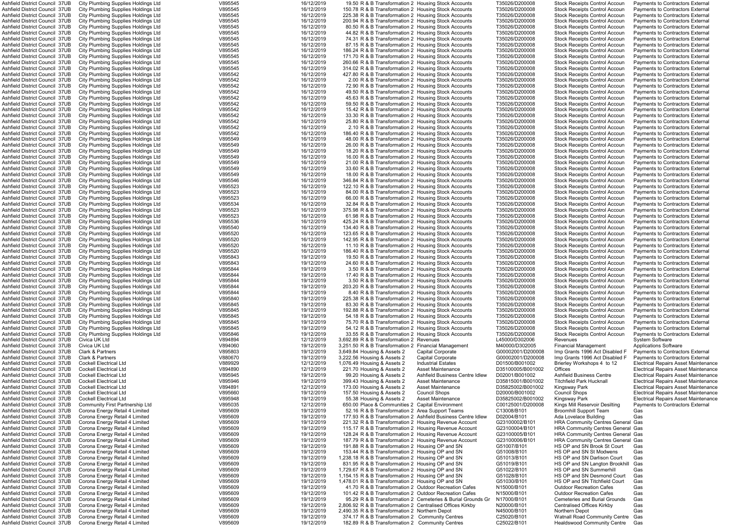| Ashfield District Council  37UB |                                        | V895545 | 16/12/2019 | 19.50 R & B Transformation 2 Housing Stock Accounts          | T35026/D200008    | Stock Receipts Control Accoun            |                                             |
|---------------------------------|----------------------------------------|---------|------------|--------------------------------------------------------------|-------------------|------------------------------------------|---------------------------------------------|
|                                 | City Plumbing Supplies Holdings Ltd    |         |            |                                                              |                   |                                          | Payments to Contractors External            |
| Ashfield District Council 37UB  | City Plumbing Supplies Holdings Ltd    | V895545 | 16/12/2019 | 150.78 R & B Transformation 2 Housing Stock Accounts         | T35026/D200008    | Stock Receipts Control Accour            | Payments to Contractors External            |
| Ashfield District Council  37UB | City Plumbing Supplies Holdings Ltd    | V895545 | 16/12/2019 | 225.38 R & B Transformation 2 Housing Stock Accounts         | T35026/D200008    | Stock Receipts Control Accour            | <b>Payments to Contractors External</b>     |
| Ashfield District Council  37UB | City Plumbing Supplies Holdings Ltd    | V895545 | 16/12/2019 | 200.94 R & B Transformation 2 Housing Stock Accounts         | T35026/D200008    | <b>Stock Receipts Control Accour</b>     | Payments to Contractors External            |
| Ashfield District Council 37UB  | City Plumbing Supplies Holdings Ltd    | V895545 | 16/12/2019 | 80.50 R & B Transformation 2 Housing Stock Accounts          | T35026/D200008    | Stock Receipts Control Accour            | <b>Payments to Contractors External</b>     |
| Ashfield District Council 37UB  | City Plumbing Supplies Holdings Ltd    | V895545 | 16/12/2019 | 44.82 R & B Transformation 2 Housing Stock Accounts          | T35026/D200008    | Stock Receipts Control Accour            | Payments to Contractors External            |
| Ashfield District Council  37UB | City Plumbing Supplies Holdings Ltd    | V895545 | 16/12/2019 | 74.31 R & B Transformation 2 Housing Stock Accounts          | T35026/D200008    | <b>Stock Receipts Control Accoun</b>     | <b>Payments to Contractors External</b>     |
| Ashfield District Council 37UB  | City Plumbing Supplies Holdings Ltd    | V895545 | 16/12/2019 | 87.15 R & B Transformation 2 Housing Stock Accounts          | T35026/D200008    | <b>Stock Receipts Control Accoun</b>     | <b>Payments to Contractors External</b>     |
|                                 |                                        |         |            |                                                              |                   |                                          |                                             |
| Ashfield District Council  37UB | City Plumbing Supplies Holdings Ltd    | V895545 | 16/12/2019 | 186.24 R & B Transformation 2 Housing Stock Accounts         | T35026/D200008    | <b>Stock Receipts Control Accour</b>     | Payments to Contractors External            |
| Ashfield District Council  37UB | City Plumbing Supplies Holdings Ltd    | V895545 | 16/12/2019 | 171.70 R & B Transformation 2 Housing Stock Accounts         | T35026/D200008    | Stock Receipts Control Accour            | Payments to Contractors External            |
| Ashfield District Council  37UB | City Plumbing Supplies Holdings Ltd    | V895545 | 16/12/2019 | 260.66 R & B Transformation 2 Housing Stock Accounts         | T35026/D200008    | <b>Stock Receipts Control Accour</b>     | Payments to Contractors External            |
| Ashfield District Council  37UB | City Plumbing Supplies Holdings Ltd    | V895545 | 16/12/2019 | 314.02 R & B Transformation 2 Housing Stock Accounts         | T35026/D200008    | <b>Stock Receipts Control Accour</b>     | <b>Payments to Contractors External</b>     |
| Ashfield District Council 37UB  | City Plumbing Supplies Holdings Ltd    | V895542 | 16/12/2019 | 427.80 R & B Transformation 2 Housing Stock Accounts         | T35026/D200008    | Stock Receipts Control Accour            | Payments to Contractors External            |
| Ashfield District Council 37UB  | City Plumbing Supplies Holdings Ltd    | V895542 | 16/12/2019 | 2.00 R & B Transformation 2 Housing Stock Accounts           | T35026/D200008    | Stock Receipts Control Accour            | <b>Payments to Contractors External</b>     |
| Ashfield District Council 37UB  |                                        | V895542 | 16/12/2019 | 72.90 R & B Transformation 2 Housing Stock Accounts          | T35026/D200008    | Stock Receipts Control Accour            | <b>Payments to Contractors External</b>     |
|                                 | City Plumbing Supplies Holdings Ltd    |         |            |                                                              |                   |                                          |                                             |
| Ashfield District Council  37UB | City Plumbing Supplies Holdings Ltd    | V895542 | 16/12/2019 | 49.50 R & B Transformation 2 Housing Stock Accounts          | T35026/D200008    | <b>Stock Receipts Control Accour</b>     | <b>Payments to Contractors External</b>     |
| Ashfield District Council  37UB | City Plumbing Supplies Holdings Ltd    | V895542 | 16/12/2019 | 45.63 R & B Transformation 2 Housing Stock Accounts          | T35026/D200008    | Stock Receipts Control Accour            | Payments to Contractors External            |
| Ashfield District Council  37UB | City Plumbing Supplies Holdings Ltd    | V895542 | 16/12/2019 | 59.50 R & B Transformation 2 Housing Stock Accounts          | T35026/D200008    | Stock Receipts Control Accour            | Payments to Contractors External            |
| Ashfield District Council  37UB | City Plumbing Supplies Holdings Ltd    | V895542 | 16/12/2019 | 15.42 R & B Transformation 2 Housing Stock Accounts          | T35026/D200008    | <b>Stock Receipts Control Accour</b>     | Payments to Contractors External            |
| Ashfield District Council  37UB | City Plumbing Supplies Holdings Ltd    | V895542 | 16/12/2019 | 33.30 R & B Transformation 2 Housing Stock Accounts          | T35026/D200008    | <b>Stock Receipts Control Accour</b>     | Payments to Contractors External            |
| Ashfield District Council 37UB  | City Plumbing Supplies Holdings Ltd    | V895542 | 16/12/2019 | 25.80 R & B Transformation 2 Housing Stock Accounts          | T35026/D200008    | Stock Receipts Control Accour            | <b>Payments to Contractors External</b>     |
|                                 |                                        |         |            | 2.10 R & B Transformation 2 Housing Stock Accounts           |                   |                                          |                                             |
| Ashfield District Council 37UB  | City Plumbing Supplies Holdings Ltd    | V895542 | 16/12/2019 |                                                              | T35026/D200008    | Stock Receipts Control Accour            | Payments to Contractors External            |
| Ashfield District Council  37UB | City Plumbing Supplies Holdings Ltd    | V895542 | 16/12/2019 | 186.40 R & B Transformation 2 Housing Stock Accounts         | T35026/D200008    | <b>Stock Receipts Control Accoun</b>     | <b>Payments to Contractors External</b>     |
| Ashfield District Council  37UB | City Plumbing Supplies Holdings Ltd    | V895549 | 16/12/2019 | 48.00 R & B Transformation 2 Housing Stock Accounts          | T35026/D200008    | Stock Receipts Control Accour            | <b>Payments to Contractors External</b>     |
| Ashfield District Council  37UB | City Plumbing Supplies Holdings Ltd    | V895549 | 16/12/2019 | 26.00 R & B Transformation 2 Housing Stock Accounts          | T35026/D200008    | Stock Receipts Control Accour            | Payments to Contractors External            |
| Ashfield District Council  37UB | City Plumbing Supplies Holdings Ltd    | V895549 | 16/12/2019 | 18.20 R & B Transformation 2 Housing Stock Accounts          | T35026/D200008    | Stock Receipts Control Accour            | <b>Payments to Contractors External</b>     |
| Ashfield District Council 37UB  | City Plumbing Supplies Holdings Ltd    | V895549 | 16/12/2019 | 16.00 R & B Transformation 2 Housing Stock Accounts          | T35026/D200008    | <b>Stock Receipts Control Accour</b>     | Payments to Contractors External            |
| Ashfield District Council  37UB | City Plumbing Supplies Holdings Ltd    | V895549 | 16/12/2019 | 21.00 R & B Transformation 2 Housing Stock Accounts          | T35026/D200008    | <b>Stock Receipts Control Accour</b>     | <b>Payments to Contractors External</b>     |
|                                 |                                        |         |            |                                                              |                   |                                          |                                             |
| Ashfield District Council 37UB  | City Plumbing Supplies Holdings Ltd    | V895549 | 16/12/2019 | 33.60 R & B Transformation 2 Housing Stock Accounts          | T35026/D200008    | Stock Receipts Control Accour            | Payments to Contractors External            |
| Ashfield District Council 37UB  | City Plumbing Supplies Holdings Ltd    | V895549 | 16/12/2019 | 18.00 R & B Transformation 2 Housing Stock Accounts          | T35026/D200008    | Stock Receipts Control Accour            | <b>Payments to Contractors External</b>     |
| Ashfield District Council 37UB  | City Plumbing Supplies Holdings Ltd    | V895546 | 16/12/2019 | 346.84 R & B Transformation 2 Housing Stock Accounts         | T35026/D200008    | Stock Receipts Control Accour            | <b>Payments to Contractors External</b>     |
| Ashfield District Council  37UB | City Plumbing Supplies Holdings Ltd    | V895523 | 16/12/2019 | 122.10 R & B Transformation 2 Housing Stock Accounts         | T35026/D200008    | Stock Receipts Control Accour            | Payments to Contractors External            |
| Ashfield District Council 37UB  | City Plumbing Supplies Holdings Ltd    | V895523 | 16/12/2019 | 84.00 R & B Transformation 2 Housing Stock Accounts          | T35026/D200008    | Stock Receipts Control Accour            | Payments to Contractors External            |
| Ashfield District Council 37UB  | City Plumbing Supplies Holdings Ltd    | V895523 | 16/12/2019 | 66.00 R & B Transformation 2 Housing Stock Accounts          | T35026/D200008    | Stock Receipts Control Accour            | Payments to Contractors External            |
| Ashfield District Council  37UB |                                        | V895534 | 16/12/2019 | 32.84 R & B Transformation 2 Housing Stock Accounts          | T35026/D200008    |                                          |                                             |
|                                 | City Plumbing Supplies Holdings Ltd    |         |            |                                                              |                   | Stock Receipts Control Accour            | Payments to Contractors External            |
| Ashfield District Council  37UB | City Plumbing Supplies Holdings Ltd    | V895523 | 16/12/2019 | 375.98 R & B Transformation 2 Housing Stock Accounts         | T35026/D200008    | <b>Stock Receipts Control Accour</b>     | Payments to Contractors External            |
| Ashfield District Council  37UB | City Plumbing Supplies Holdings Ltd    | V895523 | 16/12/2019 | 61.98 R & B Transformation 2 Housing Stock Accounts          | T35026/D200008    | <b>Stock Receipts Control Accour</b>     | <b>Payments to Contractors External</b>     |
| Ashfield District Council 37UB  | City Plumbing Supplies Holdings Ltd    | V895536 | 16/12/2019 | 425.24 R & B Transformation 2 Housing Stock Accounts         | T35026/D200008    | Stock Receipts Control Accour            | Payments to Contractors External            |
| Ashfield District Council  37UB | City Plumbing Supplies Holdings Ltd    | V895540 | 16/12/2019 | 134.40 R & B Transformation 2 Housing Stock Accounts         | T35026/D200008    | Stock Receipts Control Accour            | Payments to Contractors External            |
| Ashfield District Council 37UB  | City Plumbing Supplies Holdings Ltd    | V895520 | 16/12/2019 | 123.65 R & B Transformation 2 Housing Stock Accounts         | T35026/D200008    | Stock Receipts Control Accour            | Payments to Contractors External            |
| Ashfield District Council 37UB  | City Plumbing Supplies Holdings Ltd    | V895520 | 16/12/2019 | 142.95 R & B Transformation 2 Housing Stock Accounts         | T35026/D200008    | <b>Stock Receipts Control Accoun</b>     | Payments to Contractors External            |
|                                 |                                        | V895520 | 16/12/2019 |                                                              |                   |                                          |                                             |
| Ashfield District Council 37UB  | City Plumbing Supplies Holdings Ltd    |         |            | 11.10 R & B Transformation 2 Housing Stock Accounts          | T35026/D200008    | Stock Receipts Control Accour            | Payments to Contractors External            |
| Ashfield District Council  37UB | City Plumbing Supplies Holdings Ltd    | V895520 | 16/12/2019 | 186.40 R & B Transformation 2 Housing Stock Accounts         | T35026/D200008    | Stock Receipts Control Accour            | Payments to Contractors External            |
| Ashfield District Council  37UB | City Plumbing Supplies Holdings Ltd    | V895843 | 19/12/2019 | 19.50 R & B Transformation 2 Housing Stock Accounts          | T35026/D200008    | <b>Stock Receipts Control Accour</b>     | <b>Payments to Contractors External</b>     |
| Ashfield District Council 37UB  | City Plumbing Supplies Holdings Ltd    | V895843 | 19/12/2019 | 24.60 R & B Transformation 2 Housing Stock Accounts          | T35026/D200008    | <b>Stock Receipts Control Accour</b>     | Payments to Contractors External            |
| Ashfield District Council 37UB  | City Plumbing Supplies Holdings Ltd    | V895844 | 19/12/2019 | 3.50 R & B Transformation 2 Housing Stock Accounts           | T35026/D200008    | <b>Stock Receipts Control Accoun</b>     | <b>Payments to Contractors External</b>     |
| Ashfield District Council 37UB  | City Plumbing Supplies Holdings Ltd    | V895844 | 19/12/2019 | 17.40 R & B Transformation 2 Housing Stock Accounts          | T35026/D200008    | <b>Stock Receipts Control Accoun</b>     | Payments to Contractors External            |
| Ashfield District Council 37UB  | City Plumbing Supplies Holdings Ltd    | V895844 | 19/12/2019 | 3.50 R & B Transformation 2 Housing Stock Accounts           | T35026/D200008    | Stock Receipts Control Accoun            | Payments to Contractors External            |
|                                 |                                        |         |            |                                                              |                   |                                          |                                             |
| Ashfield District Council 37UB  | City Plumbing Supplies Holdings Ltd    | V895844 | 19/12/2019 | 203.20 R & B Transformation 2 Housing Stock Accounts         | T35026/D200008    | <b>Stock Receipts Control Accoun</b>     | Payments to Contractors External            |
| Ashfield District Council 37UB  | City Plumbing Supplies Holdings Ltd    | V895844 | 19/12/2019 | 8.40 R & B Transformation 2 Housing Stock Accounts           | T35026/D200008    | <b>Stock Receipts Control Accour</b>     | Payments to Contractors External            |
| Ashfield District Council 37UB  | City Plumbing Supplies Holdings Ltd    | V895840 | 19/12/2019 | 225.38 R & B Transformation 2 Housing Stock Accounts         | T35026/D200008    | <b>Stock Receipts Control Accoun</b>     | Payments to Contractors External            |
| Ashfield District Council 37UB  | City Plumbing Supplies Holdings Ltd    | V895845 | 19/12/2019 | 83.30 R & B Transformation 2 Housing Stock Accounts          | T35026/D200008    | <b>Stock Receipts Control Accour</b>     | <b>Payments to Contractors External</b>     |
| Ashfield District Council 37UB  | City Plumbing Supplies Holdings Ltd    | V895845 | 19/12/2019 | 192.88 R & B Transformation 2 Housing Stock Accounts         | T35026/D200008    | <b>Stock Receipts Control Accour</b>     | <b>Payments to Contractors External</b>     |
| Ashfield District Council 37UB  | City Plumbing Supplies Holdings Ltd    | V895845 | 19/12/2019 | 54.18 R & B Transformation 2 Housing Stock Accounts          | T35026/D200008    | <b>Stock Receipts Control Accour</b>     | Payments to Contractors External            |
|                                 | City Plumbing Supplies Holdings Ltd    |         |            | 75.70 R & B Transformation 2 Housing Stock Accounts          |                   |                                          | <b>Payments to Contractors External</b>     |
| Ashfield District Council 37UB  |                                        | V895845 | 19/12/2019 |                                                              | T35026/D200008    | <b>Stock Receipts Control Accoun</b>     |                                             |
| Ashfield District Council 37UB  | City Plumbing Supplies Holdings Ltd    | V895845 | 19/12/2019 | 54.12 R & B Transformation 2 Housing Stock Accounts          | T35026/D200008    | <b>Stock Receipts Control Accoun</b>     | <b>Payments to Contractors External</b>     |
| Ashfield District Council 37UB  | City Plumbing Supplies Holdings Ltd    | V895846 | 19/12/2019 | 33.55 R & B Transformation 2 Housing Stock Accounts          | T35026/D200008    | <b>Stock Receipts Control Accoun</b>     | Payments to Contractors External            |
| Ashfield District Council 37UB  | Civica UK Ltd                          | V894894 | 12/12/2019 | 3,692.89 R & B Transformation 2 Revenues                     | L45000/D302006    | Revenues                                 | <b>System Software</b>                      |
| Ashfield District Council 37UB  | Civica UK Ltd                          | V894060 | 19/12/2019 | 3,251.50 R & B Transformation 2 Financial Management         | M40000/D302005    | <b>Financial Management</b>              | <b>Applications Software</b>                |
| Ashfield District Council 37UB  | <b>Clark &amp; Partners</b>            | V895803 | 19/12/2019 | 3,649.84 Housing & Assets 2<br>Capital Corporate             | G00002001/D200008 | Imp Grants 1996 Act Disabled F           | <b>Payments to Contractors External</b>     |
| Ashfield District Council 37UB  | <b>Clark &amp; Partners</b>            | V880670 | 19/12/2019 | 3,222.56 Housing & Assets 2<br><b>Capital Corporate</b>      | G00002001/D200008 | Imp Grants 1996 Act Disabled F           | <b>Payments to Contractors External</b>     |
|                                 | <b>Cockell Electrical Ltd</b>          |         |            |                                                              |                   | Brierley Workshops 4 to 12               | <b>Electrical Repairs Asset Maintenance</b> |
| Ashfield District Council 37UB  |                                        | V889929 | 12/12/2019 | 1,076.49 Housing & Assets 2<br><b>Industrial Estates</b>     | D01500/B001002    |                                          |                                             |
| Ashfield District Council 37UB  | <b>Cockell Electrical Ltd</b>          | V894890 | 12/12/2019 | 221.70 Housing & Assets 2<br>Asset Maintenance               | D35100005/B001002 | Offices                                  | <b>Electrical Repairs Asset Maintenance</b> |
| Ashfield District Council 37UB  | <b>Cockell Electrical Ltd</b>          | V895945 | 19/12/2019 | 99.20 Housing & Assets 2<br>Ashfield Business Centre Idlew   | D02001/B001002    | <b>Ashfield Business Centre</b>          | <b>Electrical Repairs Asset Maintenance</b> |
| Ashfield District Council 37UB  | <b>Cockell Electrical Ltd</b>          | V895946 | 19/12/2019 | 399.43 Housing & Assets 2<br>Asset Maintenance               | D35815001/B001002 | <b>Titchfield Park Hucknall</b>          | <b>Electrical Repairs Asset Maintenance</b> |
| Ashfield District Council 37UB  | <b>Cockell Electrical Ltd</b>          | V894891 | 12/12/2019 | 173.00 Housing & Assets 2<br>Asset Maintenance               | D35825002/B001002 | Kingsway Park                            | <b>Electrical Repairs Asset Maintenance</b> |
| Ashfield District Council 37UB  | <b>Cockell Electrical Ltd</b>          | V895660 | 19/12/2019 | 157.50 Housing & Assets 2<br>Council Shops                   | D20000/B001002    | <b>Council Shops</b>                     | <b>Electrical Repairs Asset Maintenance</b> |
| Ashfield District Council  37UB | <b>Cockell Electrical Ltd</b>          | V895948 | 19/12/2019 | 55.38 Housing & Assets 2<br>Asset Maintenance                | D35825002/B001002 | Kingsway Park                            | <b>Electrical Repairs Asset Maintenance</b> |
| Ashfield District Council 37UB  | <b>Community First Partnership Ltd</b> | V895035 | 12/12/2019 | 650.00 Place & Communities 2 Capital Environment             | C00125001/D200008 | Kings Mill Reservoir Desilting           | Payments to Contractors External            |
|                                 |                                        | V895609 |            |                                                              |                   |                                          |                                             |
| Ashfield District Council 37UB  | Corona Energy Retail 4 Limited         |         | 19/12/2019 | 52.16 R & B Transformation 2 Area Support Teams              | C13008/B101       | <b>Broomhill Support Team</b>            | Gas                                         |
| Ashfield District Council 37UB  | Corona Energy Retail 4 Limited         | V895609 | 19/12/2019 | 177.93 R & B Transformation 2 Ashfield Business Centre Idlew | D02004/B101       | Ada Lovelace Building                    | Gas                                         |
| Ashfield District Council 37UB  | Corona Energy Retail 4 Limited         | V895609 | 19/12/2019 | 221.32 R & B Transformation 2 Housing Revenue Account        | G23100002/B101    | <b>HRA Community Centres General Gas</b> |                                             |
| Ashfield District Council 37UB  | Corona Energy Retail 4 Limited         | V895609 | 19/12/2019 | 115.17 R & B Transformation 2 Housing Revenue Account        | G23100004/B101    | <b>HRA Community Centres General Gas</b> |                                             |
| Ashfield District Council 37UB  | Corona Energy Retail 4 Limited         | V895609 | 19/12/2019 | 128.24 R & B Transformation 2 Housing Revenue Account        | G23100005/B101    | <b>HRA Community Centres General Gas</b> |                                             |
| Ashfield District Council 37UB  | Corona Energy Retail 4 Limited         | V895609 | 19/12/2019 | 187.79 R & B Transformation 2 Housing Revenue Account        | G23100006/B101    | <b>HRA Community Centres General Gas</b> |                                             |
| Ashfield District Council  37UB | Corona Energy Retail 4 Limited         | V895609 | 19/12/2019 | 191.88 R & B Transformation 2 Housing OP and SN              | G51007/B101       | HS OP and SN Brook St Court              |                                             |
|                                 |                                        |         |            |                                                              |                   |                                          | Gas                                         |
| Ashfield District Council 37UB  | Corona Energy Retail 4 Limited         | V895609 | 19/12/2019 | 153.44 R & B Transformation 2 Housing OP and SN              | G51008/B101       | HS OP and SN St Modwens                  | Gas                                         |
| Ashfield District Council 37UB  | Corona Energy Retail 4 Limited         | V895609 | 19/12/2019 | 1,238.18 R & B Transformation 2 Housing OP and SN            | G51013/B101       | HS OP and SN Darlison Court              | Gas                                         |
| Ashfield District Council 37UB  | Corona Energy Retail 4 Limited         | V895609 | 19/12/2019 | 831.95 R & B Transformation 2 Housing OP and SN              | G51019/B101       | HS OP and SN Langton Brookhill           | Gas                                         |
| Ashfield District Council 37UB  | Corona Energy Retail 4 Limited         | V895609 | 19/12/2019 | 1,729.67 R & B Transformation 2 Housing OP and SN            | G51022/B101       | HS OP and SN Summerhill                  | Gas                                         |
| Ashfield District Council 37UB  | Corona Energy Retail 4 Limited         | V895609 | 19/12/2019 | 1,154.15 R & B Transformation 2 Housing OP and SN            | G51028/B101       | HS OP and SN Desmond Court               | Gas                                         |
| Ashfield District Council 37UB  | Corona Energy Retail 4 Limited         | V895609 | 19/12/2019 | 1,478.01 R & B Transformation 2 Housing OP and SN            | G51030/B101       | HS OP and SN Titchfield Court            | Gas                                         |
| Ashfield District Council 37UB  | Corona Energy Retail 4 Limited         | V895609 | 19/12/2019 | 41.70 R & B Transformation 2 Outdoor Recreation Cafes        | N15000/B101       | <b>Outdoor Recreation Cafes</b>          | Gas                                         |
|                                 |                                        |         |            |                                                              |                   |                                          |                                             |
| Ashfield District Council  37UB | Corona Energy Retail 4 Limited         | V895609 | 19/12/2019 | 101.42 R & B Transformation 2 Outdoor Recreation Cafes       | N15000/B101       | <b>Outdoor Recreation Cafes</b>          | Gas                                         |
| Ashfield District Council 37UB  | Corona Energy Retail 4 Limited         | V895609 | 19/12/2019 | 95.29 R & B Transformation 2 Cemeteries & Burial Grounds Gr  | N17000/B101       | <b>Cemeteries and Burial Grounds</b>     | Gas                                         |
| Ashfield District Council 37UB  | Corona Energy Retail 4 Limited         | V895609 | 19/12/2019 | 2,806.92 R & B Transformation 2 Centralised Offices Kirkby   | N20000/B101       | <b>Centralised Offices Kirkby</b>        | Gas                                         |
| Ashfield District Council 37UB  | Corona Energy Retail 4 Limited         | V895609 | 19/12/2019 | 2,490.35 R & B Transformation 2 Northern Depot               | N45000/B101       | Northern Depot                           | Gas                                         |
| Ashfield District Council 37UB  | Corona Energy Retail 4 Limited         | V895609 | 19/12/2019 | 374.17 R & B Transformation 2 Community Centres              | C25020/B101       | Watnall Road Community Centre Gas        |                                             |
| Ashfield District Council 37UB  | Corona Energy Retail 4 Limited         | V895609 | 19/12/2019 | 182.89 R & B Transformation 2 Community Centres              | C25022/B101       | <b>Healdswood Community Centre</b>       | Gas                                         |
|                                 |                                        |         |            |                                                              |                   |                                          |                                             |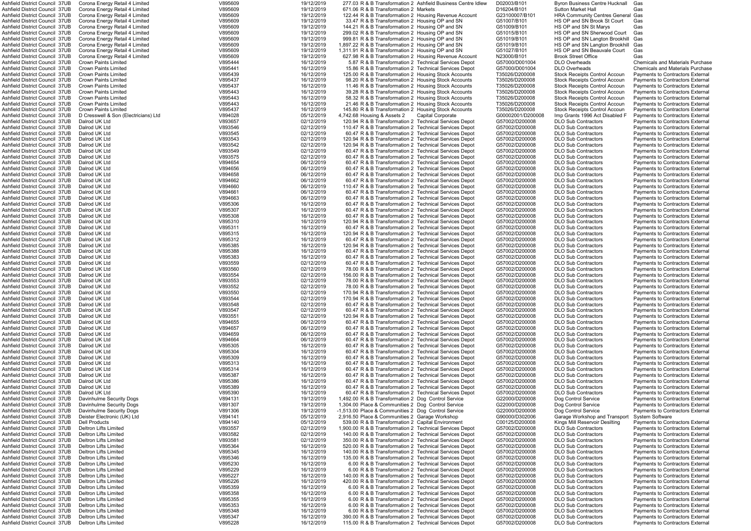| Ashfield District Council 37UB                                   | Corona Energy Retail 4 Limited                                   | V895609            | 19/12/2019               | 277.03 R & B Transformation 2 Ashfield Business Centre Idlew                                                    |                   | D02003/B101                      | <b>Byron Business Centre Hucknall</b>                         | Gas                                                                  |
|------------------------------------------------------------------|------------------------------------------------------------------|--------------------|--------------------------|-----------------------------------------------------------------------------------------------------------------|-------------------|----------------------------------|---------------------------------------------------------------|----------------------------------------------------------------------|
| Ashfield District Council 37UB                                   | Corona Energy Retail 4 Limited                                   | V895609            | 19/12/2019               | 671.06 R & B Transformation 2 Markets                                                                           |                   | D16204/B101                      | <b>Sutton Market Hall</b>                                     | Gas                                                                  |
| Ashfield District Council 37UB                                   | Corona Energy Retail 4 Limited                                   | V895609            | 19/12/2019               | 122.44 R & B Transformation 2 Housing Revenue Account                                                           |                   | G23100007/B101                   | <b>HRA Community Centres General Gas</b>                      |                                                                      |
| Ashfield District Council 37UB                                   | Corona Energy Retail 4 Limited                                   | V895609            | 19/12/2019               | 33.47 R & B Transformation 2 Housing OP and SN                                                                  |                   | G51007/B101                      | HS OP and SN Brook St Court                                   | Gas                                                                  |
| Ashfield District Council 37UB                                   | Corona Energy Retail 4 Limited                                   | V895609            | 19/12/2019               | 144.21 R & B Transformation 2 Housing OP and SN                                                                 |                   | G51009/B101                      | HS OP and SN St Marys                                         | Gas                                                                  |
| Ashfield District Council 37UB                                   | Corona Energy Retail 4 Limited                                   | V895609            | 19/12/2019               | 299.02 R & B Transformation 2 Housing OP and SN                                                                 |                   | G51015/B101                      | HS OP and SN Sherwood Court                                   | Gas                                                                  |
| Ashfield District Council 37UB                                   | Corona Energy Retail 4 Limited                                   | V895609            | 19/12/2019               | 999.81 R & B Transformation 2 Housing OP and SN                                                                 |                   | G51019/B101                      | HS OP and SN Langton Brookhill                                | Gas                                                                  |
| Ashfield District Council 37UB                                   | Corona Energy Retail 4 Limited                                   | V895609<br>V895609 | 19/12/2019               | 1,897.22 R & B Transformation 2 Housing OP and SN                                                               |                   | G51019/B101                      | HS OP and SN Langton Brookhill<br>HS OP and SN Beauvale Court | Gas                                                                  |
| Ashfield District Council 37UB<br>Ashfield District Council 37UB | Corona Energy Retail 4 Limited<br>Corona Energy Retail 4 Limited | V895609            | 19/12/2019<br>19/12/2019 | 1,311.91 R & B Transformation 2 Housing OP and SN<br>627.98 R & B Transformation 2 Housing Revenue Account      |                   | G51027/B101<br>N23000/B101       | <b>Brook Street Office</b>                                    | Gas<br>Gas                                                           |
| Ashfield District Council 37UB                                   | <b>Crown Paints Limited</b>                                      | V895444            | 16/12/2019               | 5.87 R & B Transformation 2 Technical Services Depot                                                            |                   | G57000/D001004                   | DLO Overheads                                                 | <b>Chemicals and Materials Purchase</b>                              |
| Ashfield District Council 37UB                                   | <b>Crown Paints Limited</b>                                      | V895441            | 16/12/2019               | 15.86 R & B Transformation 2 Technical Services Depot                                                           |                   | G57000/D001004                   | <b>DLO Overheads</b>                                          | <b>Chemicals and Materials Purchase</b>                              |
| Ashfield District Council 37UB                                   | <b>Crown Paints Limited</b>                                      | V895439            | 16/12/2019               | 125.00 R & B Transformation 2 Housing Stock Accounts                                                            |                   | T35026/D200008                   | <b>Stock Receipts Control Accoun</b>                          | Payments to Contractors External                                     |
| Ashfield District Council 37UB                                   | <b>Crown Paints Limited</b>                                      | V895437            | 16/12/2019               | 98.20 R & B Transformation 2 Housing Stock Accounts                                                             |                   | T35026/D200008                   | Stock Receipts Control Accoun                                 | Payments to Contractors External                                     |
| Ashfield District Council 37UB                                   | <b>Crown Paints Limited</b>                                      | V895437            | 16/12/2019               | 11.46 R & B Transformation 2 Housing Stock Accounts                                                             |                   | T35026/D200008                   | <b>Stock Receipts Control Accour</b>                          | Pavments to Contractors Externa                                      |
| Ashfield District Council 37UB                                   | <b>Crown Paints Limited</b>                                      | V895443            | 16/12/2019               | 39.28 R & B Transformation 2 Housing Stock Accounts                                                             |                   | T35026/D200008                   | <b>Stock Receipts Control Accour</b>                          | Payments to Contractors Externa                                      |
| Ashfield District Council 37UB                                   | <b>Crown Paints Limited</b>                                      | V895443            | 16/12/2019               | 58.32 R & B Transformation 2 Housing Stock Accounts                                                             |                   | T35026/D200008                   | <b>Stock Receipts Control Accoun</b>                          | Payments to Contractors External                                     |
| Ashfield District Council 37UB                                   | <b>Crown Paints Limited</b>                                      | V895443            | 16/12/2019               | 21.46 R & B Transformation 2 Housing Stock Accounts                                                             |                   | T35026/D200008                   | <b>Stock Receipts Control Accoun</b>                          | Payments to Contractors External                                     |
| Ashfield District Council 37UB                                   | <b>Crown Paints Limited</b>                                      | V895437            | 16/12/2019               | 145.80 R & B Transformation 2 Housing Stock Accounts                                                            |                   | T35026/D200008                   | <b>Stock Receipts Control Accoun</b>                          | Payments to Contractors External                                     |
| Ashfield District Council 37UB                                   | D Cresswell & Son (Electricians) Ltd                             | V894028            | 05/12/2019               | 4,742.68 Housing & Assets 2                                                                                     | Capital Corporate | G00002001/D200008                | Imp Grants 1996 Act Disabled F                                | Payments to Contractors External                                     |
| Ashfield District Council 37UB                                   | Dalrod UK Ltd                                                    | V893657            | 02/12/2019               | 120.94 R & B Transformation 2 Technical Services Depot                                                          |                   | G57002/D200008                   | <b>DLO Sub Contractors</b>                                    | Payments to Contractors External                                     |
| Ashfield District Council 37UB                                   | Dalrod UK Ltd                                                    | V893546            | 02/12/2019               | 110.47 R & B Transformation 2 Technical Services Depot                                                          |                   | G57002/D200008                   | <b>DLO Sub Contractors</b>                                    | Payments to Contractors External                                     |
| Ashfield District Council 37UB                                   | Dalrod UK Ltd                                                    | V893545            | 02/12/2019               | 60.47 R & B Transformation 2 Technical Services Depot                                                           |                   | G57002/D200008                   | <b>DLO Sub Contractors</b>                                    | Payments to Contractors External                                     |
| Ashfield District Council 37UB                                   | Dalrod UK Ltd                                                    | V893543            | 02/12/2019               | 120.94 R & B Transformation 2 Technical Services Depot                                                          |                   | G57002/D200008                   | <b>DLO Sub Contractors</b>                                    | Payments to Contractors External                                     |
| Ashfield District Council 37UB                                   | Dalrod UK Ltd                                                    | V893542            | 02/12/2019               | 120.94 R & B Transformation 2 Technical Services Depot                                                          |                   | G57002/D200008                   | <b>DLO Sub Contractors</b>                                    | Payments to Contractors External                                     |
| Ashfield District Council 37UB                                   | Dalrod UK Ltd                                                    | V893549            | 02/12/2019               | 60.47 R & B Transformation 2 Technical Services Depot                                                           |                   | G57002/D200008                   | <b>DLO Sub Contractors</b>                                    | <b>Payments to Contractors External</b>                              |
| Ashfield District Council 37UB                                   | Dalrod UK Ltd                                                    | V893575            | 02/12/2019               | 60.47 R & B Transformation 2 Technical Services Depot                                                           |                   | G57002/D200008                   | <b>DLO Sub Contractors</b>                                    | <b>Payments to Contractors External</b>                              |
| Ashfield District Council 37UB                                   | Dalrod UK Ltd                                                    | V894654            | 06/12/2019               | 60.47 R & B Transformation 2 Technical Services Depot                                                           |                   | G57002/D200008                   | <b>DLO Sub Contractors</b>                                    | Payments to Contractors External                                     |
| Ashfield District Council 37UB                                   | Dalrod UK Ltd                                                    | V894656            | 06/12/2019               | 60.47 R & B Transformation 2 Technical Services Depot                                                           |                   | G57002/D200008                   | <b>DLO Sub Contractors</b>                                    | Payments to Contractors External                                     |
| Ashfield District Council 37UB                                   | Dalrod UK Ltd                                                    | V894658            | 06/12/2019               | 60.47 R & B Transformation 2 Technical Services Depot                                                           |                   | G57002/D200008                   | <b>DLO Sub Contractors</b>                                    | Payments to Contractors External                                     |
| Ashfield District Council 37UB                                   | Dalrod UK Ltd                                                    | V894662            | 06/12/2019               | 60.47 R & B Transformation 2 Technical Services Depot                                                           |                   | G57002/D200008                   | <b>DLO Sub Contractors</b>                                    | <b>Payments to Contractors External</b>                              |
| Ashfield District Council  37UB                                  | Dalrod UK Ltd                                                    | V894660            | 06/12/2019               | 110.47 R & B Transformation 2 Technical Services Depot                                                          |                   | G57002/D200008                   | <b>DLO Sub Contractors</b>                                    | Payments to Contractors External                                     |
| Ashfield District Council 37UB                                   | Dalrod UK Ltd                                                    | V894661            | 06/12/2019               | 60.47 R & B Transformation 2 Technical Services Depot                                                           |                   | G57002/D200008                   | <b>DLO Sub Contractors</b>                                    | Payments to Contractors External                                     |
| Ashfield District Council 37UB                                   | Dalrod UK Ltd                                                    | V894663            | 06/12/2019               | 60.47 R & B Transformation 2 Technical Services Depot                                                           |                   | G57002/D200008                   | <b>DLO Sub Contractors</b>                                    | Payments to Contractors External                                     |
| Ashfield District Council 37UB                                   | Dalrod UK Ltd                                                    | V895306            | 16/12/2019               | 60.47 R & B Transformation 2 Technical Services Depot                                                           |                   | G57002/D200008                   | <b>DLO Sub Contractors</b>                                    | Payments to Contractors External                                     |
| Ashfield District Council 37UB                                   | Dalrod UK Ltd                                                    | V895307            | 16/12/2019               | 60.47 R & B Transformation 2 Technical Services Depot                                                           |                   | G57002/D200008                   | <b>DLO Sub Contractors</b>                                    | Payments to Contractors External                                     |
| Ashfield District Council 37UB                                   | Dalrod UK Ltd                                                    | V895308            | 16/12/2019               | 60.47 R & B Transformation 2 Technical Services Depot                                                           |                   | G57002/D200008                   | <b>DLO Sub Contractors</b>                                    | Payments to Contractors External                                     |
| Ashfield District Council 37UB                                   | Dalrod UK Ltd                                                    | V895310            | 16/12/2019               | 120.94 R & B Transformation 2 Technical Services Depot                                                          |                   | G57002/D200008                   | <b>DLO Sub Contractors</b>                                    | Payments to Contractors External                                     |
| Ashfield District Council  37UB                                  | Dalrod UK Ltd                                                    | V895311            | 16/12/2019               | 60.47 R & B Transformation 2 Technical Services Depot                                                           |                   | G57002/D200008                   | <b>DLO Sub Contractors</b>                                    | Payments to Contractors External                                     |
| Ashfield District Council  37UB                                  | Dalrod UK Ltd                                                    | V895315            | 16/12/2019               | 120.94 R & B Transformation 2 Technical Services Depot                                                          |                   | G57002/D200008                   | <b>DLO Sub Contractors</b>                                    | Payments to Contractors External                                     |
| Ashfield District Council 37UB                                   | Dalrod UK Ltd                                                    | V895312            | 16/12/2019               | 60.47 R & B Transformation 2 Technical Services Depot                                                           |                   | G57002/D200008                   | <b>DLO Sub Contractors</b>                                    | Payments to Contractors External                                     |
| Ashfield District Council 37UB                                   | Dalrod UK Ltd                                                    | V895385            | 16/12/2019               | 120.94 R & B Transformation 2 Technical Services Depot                                                          |                   | G57002/D200008                   | <b>DLO Sub Contractors</b>                                    | Payments to Contractors External                                     |
| Ashfield District Council 37UB                                   | Dalrod UK Ltd                                                    | V895388            | 16/12/2019               | 60.47 R & B Transformation 2 Technical Services Depot                                                           |                   | G57002/D200008                   | <b>DLO Sub Contractors</b>                                    | Payments to Contractors External                                     |
| Ashfield District Council 37UB                                   | Dalrod UK Ltd                                                    | V895383            | 16/12/2019               | 60.47 R & B Transformation 2 Technical Services Depot                                                           |                   | G57002/D200008                   | <b>DLO Sub Contractors</b>                                    | Payments to Contractors External                                     |
| Ashfield District Council 37UB                                   | Dalrod UK Ltd                                                    | V893559            | 02/12/2019               | 60.47 R & B Transformation 2 Technical Services Depot                                                           |                   | G57002/D200008                   | <b>DLO Sub Contractors</b>                                    | Payments to Contractors External                                     |
| Ashfield District Council 37UB                                   | Dalrod UK Ltd                                                    | V893560            | 02/12/2019               | 78.00 R & B Transformation 2 Technical Services Depot                                                           |                   | G57002/D200008                   | <b>DLO Sub Contractors</b>                                    | Payments to Contractors External                                     |
| Ashfield District Council 37UB                                   | Dalrod UK Ltd                                                    | V893554            | 02/12/2019               | 156.00 R & B Transformation 2 Technical Services Depot                                                          |                   | G57002/D200008                   | <b>DLO Sub Contractors</b>                                    | <b>Payments to Contractors External</b>                              |
| Ashfield District Council 37UB                                   | Dalrod UK Ltd                                                    | V893553            | 02/12/2019               | 78.00 R & B Transformation 2 Technical Services Depot                                                           |                   | G57002/D200008                   | <b>DLO Sub Contractors</b>                                    | Payments to Contractors External                                     |
| Ashfield District Council 37UB<br>Ashfield District Council 37UB | Dalrod UK Ltd                                                    | V893552<br>V893550 | 02/12/2019               | 78.00 R & B Transformation 2 Technical Services Depot<br>170.94 R & B Transformation 2 Technical Services Depot |                   | G57002/D200008                   | <b>DLO Sub Contractors</b>                                    | Payments to Contractors External                                     |
| Ashfield District Council 37UB                                   | Dalrod UK Ltd                                                    |                    | 02/12/2019               |                                                                                                                 |                   | G57002/D200008                   | <b>DLO Sub Contractors</b><br><b>DLO Sub Contractors</b>      | Payments to Contractors External                                     |
| Ashfield District Council 37UB                                   | Dalrod UK Ltd<br>Dalrod UK Ltd                                   | V893544<br>V893548 | 02/12/2019<br>02/12/2019 | 170.94 R & B Transformation 2 Technical Services Depot<br>60.47 R & B Transformation 2 Technical Services Depot |                   | G57002/D200008<br>G57002/D200008 | <b>DLO Sub Contractors</b>                                    | Payments to Contractors External<br>Payments to Contractors External |
| Ashfield District Council 37UB                                   | Dalrod UK Ltd                                                    | V893547            | 02/12/2019               | 60.47 R & B Transformation 2 Technical Services Depot                                                           |                   | G57002/D200008                   | <b>DLO Sub Contractors</b>                                    | Payments to Contractors External                                     |
| Ashfield District Council 37UB                                   | Dalrod UK Ltd                                                    | V893551            | 02/12/2019               | 120.94 R & B Transformation 2 Technical Services Depot                                                          |                   | G57002/D200008                   | <b>DLO Sub Contractors</b>                                    | Payments to Contractors External                                     |
| Ashfield District Council  37UB                                  | Dalrod UK Ltd                                                    | V894655            | 06/12/2019               | 60.47 R & B Transformation 2 Technical Services Depot                                                           |                   | G57002/D200008                   | <b>DLO Sub Contractors</b>                                    |                                                                      |
| Ashfield District Council  37UB                                  | Dalrod UK Ltd                                                    |                    |                          |                                                                                                                 |                   |                                  |                                                               |                                                                      |
|                                                                  |                                                                  |                    |                          |                                                                                                                 |                   |                                  |                                                               | Payments to Contractors External                                     |
|                                                                  |                                                                  | V894657            | 06/12/2019               | 60.47 R & B Transformation 2 Technical Services Depot                                                           |                   | G57002/D200008                   | <b>DLO Sub Contractors</b>                                    | <b>Payments to Contractors External</b>                              |
| Ashfield District Council 37UB                                   | Dalrod UK Ltd                                                    | V894659            | 06/12/2019               | 60.47 R & B Transformation 2 Technical Services Depot                                                           |                   | G57002/D200008                   | <b>DLO Sub Contractors</b>                                    | Payments to Contractors External                                     |
| Ashfield District Council 37UB                                   | Dalrod UK Ltd                                                    | V894664            | 06/12/2019               | 60.47 R & B Transformation 2 Technical Services Depot                                                           |                   | G57002/D200008                   | <b>DLO Sub Contractors</b>                                    | Payments to Contractors External                                     |
| Ashfield District Council 37UB                                   | Dalrod UK Ltd                                                    | V895305            | 16/12/2019               | 60.47 R & B Transformation 2 Technical Services Depot                                                           |                   | G57002/D200008                   | <b>DLO Sub Contractors</b>                                    | Payments to Contractors External                                     |
| Ashfield District Council 37UB                                   | Dalrod UK Ltd                                                    | V895304            | 16/12/2019               | 60.47 R & B Transformation 2 Technical Services Depot                                                           |                   | G57002/D200008                   | <b>DLO Sub Contractors</b>                                    | Payments to Contractors External                                     |
| Ashfield District Council 37UB<br>Ashfield District Council 37UB | Dalrod UK Ltd                                                    | V895309            | 16/12/2019               | 60.47 R & B Transformation 2 Technical Services Depot                                                           |                   | G57002/D200008                   | <b>DLO Sub Contractors</b><br><b>DLO Sub Contractors</b>      | Payments to Contractors External                                     |
| Ashfield District Council 37UB                                   | Dalrod UK Ltd<br>Dalrod UK Ltd                                   | V895313<br>V895314 | 16/12/2019<br>16/12/2019 | 60.47 R & B Transformation 2 Technical Services Depot<br>60.47 R & B Transformation 2 Technical Services Depot  |                   | G57002/D200008<br>G57002/D200008 | <b>DLO Sub Contractors</b>                                    | Payments to Contractors External<br>Payments to Contractors External |
| Ashfield District Council 37UB                                   | Dalrod UK Ltd                                                    | V895387            | 16/12/2019               | 60.47 R & B Transformation 2 Technical Services Depot                                                           |                   | G57002/D200008                   | <b>DLO Sub Contractors</b>                                    | Payments to Contractors External                                     |
| Ashfield District Council  37UB                                  | Dalrod UK Ltd                                                    | V895386            | 16/12/2019               | 60.47 R & B Transformation 2 Technical Services Depot                                                           |                   | G57002/D200008                   | <b>DLO Sub Contractors</b>                                    | <b>Payments to Contractors External</b>                              |
| Ashfield District Council 37UB                                   | Dalrod UK Ltd                                                    | V895389            | 16/12/2019               | 60.47 R & B Transformation 2 Technical Services Depot                                                           |                   | G57002/D200008                   | <b>DLO Sub Contractors</b>                                    | Payments to Contractors External                                     |
| Ashfield District Council 37UB                                   | Dalrod UK Ltd                                                    | V895390            | 16/12/2019               | 60.47 R & B Transformation 2 Technical Services Depot                                                           |                   | G57002/D200008                   | <b>DLO Sub Contractors</b>                                    | Payments to Contractors External                                     |
| Ashfield District Council 37UB                                   | Davinhulme Security Dogs                                         | V894131            | 19/12/2019               | 1,492.00 R & B Transformation 2 Dog Control Service                                                             |                   | G22000/D200008                   | Dog Control Service                                           | <b>Payments to Contractors External</b>                              |
| Ashfield District Council 37UB                                   | Davinhulme Security Dogs                                         | V891307            | 19/12/2019               | 1,304.00 Place & Communities 2 Dog Control Service                                                              |                   | G22000/D200008                   | Dog Control Service                                           | <b>Payments to Contractors External</b>                              |
| Ashfield District Council 37UB                                   | Davinhulme Security Dogs                                         | V891306            | 19/12/2019               | -1,513.00 Place & Communities 2 Dog Control Service                                                             |                   | G22000/D200008                   | Dog Control Service                                           | Payments to Contractors External                                     |
| Ashfield District Council 37UB                                   | Deister Electronic (UK) Ltd                                      | V894141            | 05/12/2019               | 2,916.50 Place & Communities 2 Garage Workshop                                                                  |                   | G90000/D302006                   | Garage Workshop and Transport                                 | <b>System Software</b>                                               |
| Ashfield District Council  37UB                                  | Dell Products                                                    | V894140            | 05/12/2019               | 539.00 R & B Transformation 2 Capital Environment                                                               |                   | C00125/D200008                   | Kings Mill Reservoir Desilting                                | Payments to Contractors External                                     |
| Ashfield District Council  37UB                                  | Deltron Lifts Limited                                            | V893557            | 02/12/2019               | 1,900.00 R & B Transformation 2 Technical Services Depot                                                        |                   | G57002/D200008                   | <b>DLO Sub Contractors</b>                                    | Payments to Contractors External                                     |
| Ashfield District Council 37UB                                   | Deltron Lifts Limited                                            | V893582            | 02/12/2019               | 140.00 R & B Transformation 2 Technical Services Depot                                                          |                   | G57002/D200008                   | <b>DLO Sub Contractors</b>                                    | Payments to Contractors External                                     |
| Ashfield District Council 37UB                                   | <b>Deltron Lifts Limited</b>                                     | V893581            | 02/12/2019               | 350.00 R & B Transformation 2 Technical Services Depot                                                          |                   | G57002/D200008                   | <b>DLO Sub Contractors</b>                                    | Payments to Contractors External                                     |
| Ashfield District Council 37UB                                   | <b>Deltron Lifts Limited</b>                                     | V895364            | 16/12/2019               | 520.00 R & B Transformation 2 Technical Services Depot                                                          |                   | G57002/D200008                   | <b>DLO Sub Contractors</b>                                    | <b>Payments to Contractors External</b>                              |
| Ashfield District Council 37UB                                   | <b>Deltron Lifts Limited</b>                                     | V895345            | 16/12/2019               | 140.00 R & B Transformation 2 Technical Services Depot                                                          |                   | G57002/D200008                   | <b>DLO Sub Contractors</b>                                    | <b>Payments to Contractors External</b>                              |
| Ashfield District Council 37UB                                   | <b>Deltron Lifts Limited</b>                                     | V895346            | 16/12/2019               | 135.00 R & B Transformation 2 Technical Services Depot                                                          |                   | G57002/D200008                   | <b>DLO Sub Contractors</b>                                    | Payments to Contractors External                                     |
| Ashfield District Council 37UB                                   | Deltron Lifts Limited                                            | V895230            | 16/12/2019               | 6.00 R & B Transformation 2 Technical Services Depot                                                            |                   | G57002/D200008                   | <b>DLO Sub Contractors</b>                                    | Payments to Contractors External                                     |
| Ashfield District Council 37UB                                   | Deltron Lifts Limited                                            | V895229            | 16/12/2019               | 6.00 R & B Transformation 2 Technical Services Depot                                                            |                   | G57002/D200008                   | <b>DLO Sub Contractors</b>                                    | Payments to Contractors External                                     |
| Ashfield District Council 37UB                                   | <b>Deltron Lifts Limited</b>                                     | V895227            | 16/12/2019               | 140.00 R & B Transformation 2 Technical Services Depot                                                          |                   | G57002/D200008                   | <b>DLO Sub Contractors</b>                                    | <b>Payments to Contractors External</b>                              |
| Ashfield District Council 37UB                                   | Deltron Lifts Limited                                            | V895226            | 16/12/2019               | 420.00 R & B Transformation 2 Technical Services Depot                                                          |                   | G57002/D200008                   | <b>DLO Sub Contractors</b>                                    | Payments to Contractors External                                     |
| Ashfield District Council 37UB                                   | <b>Deltron Lifts Limited</b>                                     | V895359            | 16/12/2019               | 6.00 R & B Transformation 2 Technical Services Depot                                                            |                   | G57002/D200008                   | <b>DLO Sub Contractors</b>                                    | <b>Payments to Contractors External</b>                              |
| Ashfield District Council 37UB                                   | <b>Deltron Lifts Limited</b>                                     | V895358            | 16/12/2019               | 6.00 R & B Transformation 2 Technical Services Depot                                                            |                   | G57002/D200008                   | <b>DLO Sub Contractors</b>                                    | Payments to Contractors External                                     |
| Ashfield District Council 37UB<br>Ashfield District Council 37UB | Deltron Lifts Limited                                            | V895355            | 16/12/2019               | 6.00 R & B Transformation 2 Technical Services Depot                                                            |                   | G57002/D200008                   | <b>DLO Sub Contractors</b>                                    | <b>Payments to Contractors External</b>                              |
|                                                                  | Deltron Lifts Limited<br><b>Deltron Lifts Limited</b>            | V895353            | 16/12/2019               | 6.00 R & B Transformation 2 Technical Services Depot                                                            |                   | G57002/D200008                   | <b>DLO Sub Contractors</b><br><b>DLO Sub Contractors</b>      | Payments to Contractors External                                     |
| Ashfield District Council 37UB<br>Ashfield District Council 37UB | Deltron Lifts Limited                                            | V895348<br>V895347 | 16/12/2019<br>16/12/2019 | 6.00 R & B Transformation 2 Technical Services Depot<br>390.00 R & B Transformation 2 Technical Services Depot  |                   | G57002/D200008<br>G57002/D200008 | <b>DLO Sub Contractors</b>                                    | Payments to Contractors External<br>Payments to Contractors External |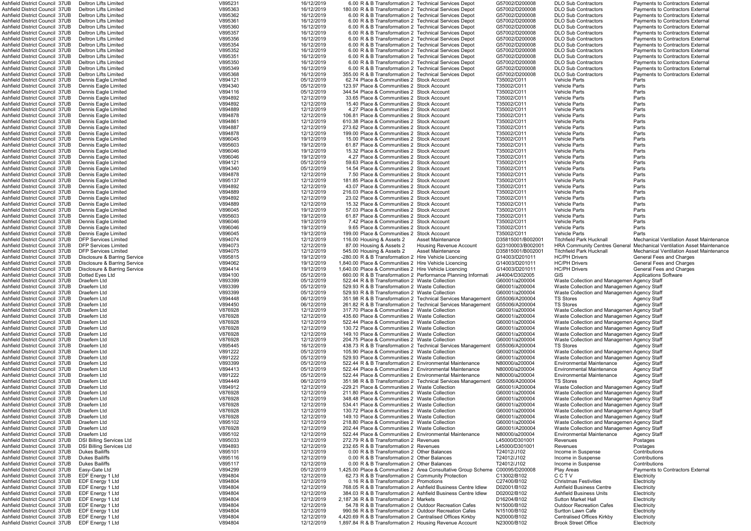| Ashfield District Council  37UB                                  | Deltron Lifts Limited                | V895231            | 16/12/2019               | 6.00 R & B Transformation 2 Technical Services Depot                                                                  |                                                             | G57002/D200008             | <b>DLO Sub Contractors</b>                               | Payments to Contractors External                                              |
|------------------------------------------------------------------|--------------------------------------|--------------------|--------------------------|-----------------------------------------------------------------------------------------------------------------------|-------------------------------------------------------------|----------------------------|----------------------------------------------------------|-------------------------------------------------------------------------------|
| Ashfield District Council 37UB                                   | Deltron Lifts Limited                | V895363            | 16/12/2019               | 180.00 R & B Transformation 2 Technical Services Depot                                                                |                                                             | G57002/D200008             | <b>DLO Sub Contractors</b>                               | <b>Payments to Contractors External</b>                                       |
| Ashfield District Council 37UB                                   | Deltron Lifts Limited                | V895362            | 16/12/2019               | 6.00 R & B Transformation 2 Technical Services Depot                                                                  |                                                             | G57002/D200008             | <b>DLO Sub Contractors</b>                               | <b>Payments to Contractors External</b>                                       |
|                                                                  |                                      |                    |                          |                                                                                                                       |                                                             |                            |                                                          |                                                                               |
| Ashfield District Council  37UB                                  | Deltron Lifts Limited                | V895361            | 16/12/2019               | 6.00 R & B Transformation 2 Technical Services Depot                                                                  |                                                             | G57002/D200008             | <b>DLO Sub Contractors</b>                               | <b>Payments to Contractors External</b>                                       |
| Ashfield District Council 37UB                                   | Deltron Lifts Limited                | V895360            | 16/12/2019               | 6.00 R & B Transformation 2 Technical Services Depot                                                                  |                                                             | G57002/D200008             | <b>DLO Sub Contractors</b>                               | <b>Payments to Contractors External</b>                                       |
| Ashfield District Council 37UB                                   | Deltron Lifts Limited                | V895357            | 16/12/2019               | 6.00 R & B Transformation 2 Technical Services Depot                                                                  |                                                             | G57002/D200008             | <b>DLO Sub Contractors</b>                               | <b>Payments to Contractors External</b>                                       |
| Ashfield District Council 37UB                                   | Deltron Lifts Limited                | V895356            | 16/12/2019               | 6.00 R & B Transformation 2 Technical Services Depot                                                                  |                                                             | G57002/D200008             | <b>DLO Sub Contractors</b>                               | <b>Payments to Contractors External</b>                                       |
| Ashfield District Council 37UB                                   | Deltron Lifts Limited                | V895354            | 16/12/2019               | 6.00 R & B Transformation 2 Technical Services Depot                                                                  |                                                             | G57002/D200008             | <b>DLO Sub Contractors</b>                               | <b>Payments to Contractors External</b>                                       |
|                                                                  |                                      |                    |                          |                                                                                                                       |                                                             |                            |                                                          |                                                                               |
| Ashfield District Council 37UB                                   | Deltron Lifts Limited                | V895352            | 16/12/2019               | 6.00 R & B Transformation 2 Technical Services Depot                                                                  |                                                             | G57002/D200008             | <b>DLO Sub Contractors</b>                               | <b>Payments to Contractors External</b>                                       |
| Ashfield District Council 37UB                                   | Deltron Lifts Limited                | V895351            | 16/12/2019               | 6.00 R & B Transformation 2 Technical Services Depot                                                                  |                                                             | G57002/D200008             | <b>DLO Sub Contractors</b>                               | <b>Payments to Contractors External</b>                                       |
| Ashfield District Council 37UB                                   | Deltron Lifts Limited                | V895350            | 16/12/2019               | 6.00 R & B Transformation 2 Technical Services Depot                                                                  |                                                             | G57002/D200008             | <b>DLO Sub Contractors</b>                               | <b>Payments to Contractors External</b>                                       |
| Ashfield District Council 37UB                                   | Deltron Lifts Limited                | V895349            | 16/12/2019               | 6.00 R & B Transformation 2 Technical Services Depot                                                                  |                                                             | G57002/D200008             | <b>DLO Sub Contractors</b>                               | <b>Payments to Contractors External</b>                                       |
|                                                                  |                                      |                    |                          |                                                                                                                       |                                                             |                            |                                                          |                                                                               |
| Ashfield District Council 37UB                                   | Deltron Lifts Limited                | V895368            | 16/12/2019               | 355.00 R & B Transformation 2 Technical Services Depot                                                                |                                                             | G57002/D200008             | <b>DLO Sub Contractors</b>                               | Payments to Contractors External                                              |
| Ashfield District Council 37UB                                   | Dennis Eagle Limited                 | V894121            | 05/12/2019               | 62.74 Place & Communities 2 Stock Account                                                                             |                                                             | T35002/C011                | <b>Vehicle Parts</b>                                     | Parts                                                                         |
| Ashfield District Council 37UB                                   | Dennis Eagle Limited                 | V894340            | 05/12/2019               | 123.97 Place & Communities 2 Stock Account                                                                            |                                                             | T35002/C011                | <b>Vehicle Parts</b>                                     | Parts                                                                         |
| Ashfield District Council 37UB                                   | Dennis Eagle Limited                 | V894116            | 05/12/2019               | 344.54 Place & Communities 2 Stock Account                                                                            |                                                             | T35002/C011                | <b>Vehicle Parts</b>                                     | Parts                                                                         |
|                                                                  |                                      |                    |                          |                                                                                                                       |                                                             |                            |                                                          |                                                                               |
| Ashfield District Council 37UB                                   | Dennis Eagle Limited                 | V894892            | 12/12/2019               | 33.65 Place & Communities 2 Stock Account                                                                             |                                                             | T35002/C011                | <b>Vehicle Parts</b>                                     | Parts                                                                         |
| Ashfield District Council 37UB                                   | Dennis Eagle Limited                 | V894892            | 12/12/2019               | 15.40 Place & Communities 2 Stock Account                                                                             |                                                             | T35002/C011                | <b>Vehicle Parts</b>                                     | Parts                                                                         |
| Ashfield District Council 37UB                                   | Dennis Eagle Limited                 | V894889            | 12/12/2019               | 4.27 Place & Communities 2 Stock Account                                                                              |                                                             | T35002/C011                | <b>Vehicle Parts</b>                                     | Parts                                                                         |
| Ashfield District Council  37UB                                  | Dennis Eagle Limited                 | V894878            | 12/12/2019               | 106.81 Place & Communities 2 Stock Account                                                                            |                                                             | T35002/C011                | <b>Vehicle Parts</b>                                     | Parts                                                                         |
| Ashfield District Council 37UB                                   |                                      | V894861            | 12/12/2019               |                                                                                                                       |                                                             | T35002/C011                | <b>Vehicle Parts</b>                                     | Parts                                                                         |
|                                                                  | Dennis Eagle Limited                 |                    |                          | 610.38 Place & Communities 2 Stock Account                                                                            |                                                             |                            |                                                          |                                                                               |
| Ashfield District Council 37UB                                   | Dennis Eagle Limited                 | V894887            | 12/12/2019               | 273.62 Place & Communities 2 Stock Account                                                                            |                                                             | T35002/C011                | <b>Vehicle Parts</b>                                     | Parts                                                                         |
| Ashfield District Council 37UB                                   | Dennis Eagle Limited                 | V894878            | 12/12/2019               | 199.00 Place & Communities 2 Stock Account                                                                            |                                                             | T35002/C011                | <b>Vehicle Parts</b>                                     | Parts                                                                         |
| Ashfield District Council 37UB                                   | Dennis Eagle Limited                 | V896045            | 19/12/2019               | 15.00 Place & Communities 2 Stock Account                                                                             |                                                             | T35002/C011                | <b>Vehicle Parts</b>                                     | Parts                                                                         |
| Ashfield District Council 37UB                                   | Dennis Eagle Limited                 | V895603            | 19/12/2019               | 61.87 Place & Communities 2 Stock Account                                                                             |                                                             | T35002/C011                | <b>Vehicle Parts</b>                                     | Parts                                                                         |
|                                                                  |                                      |                    |                          |                                                                                                                       |                                                             |                            |                                                          |                                                                               |
| Ashfield District Council 37UB                                   | Dennis Eagle Limited                 | V896046            | 19/12/2019               | 15.32 Place & Communities 2 Stock Account                                                                             |                                                             | T35002/C011                | <b>Vehicle Parts</b>                                     | Parts                                                                         |
| Ashfield District Council 37UB                                   | Dennis Eagle Limited                 | V896046            | 19/12/2019               | 4.27 Place & Communities 2 Stock Account                                                                              |                                                             | T35002/C011                | <b>Vehicle Parts</b>                                     | Parts                                                                         |
| Ashfield District Council 37UB                                   | Dennis Eagle Limited                 | V894121            | 05/12/2019               | 59.63 Place & Communities 2 Stock Account                                                                             |                                                             | T35002/C011                | <b>Vehicle Parts</b>                                     | Parts                                                                         |
| Ashfield District Council 37UB                                   | Dennis Eagle Limited                 | V894340            | 05/12/2019               | 14.54 Place & Communities 2 Stock Account                                                                             |                                                             | T35002/C011                | Vehicle Parts                                            | Parts                                                                         |
|                                                                  |                                      |                    |                          |                                                                                                                       |                                                             |                            |                                                          |                                                                               |
| Ashfield District Council 37UB                                   | Dennis Eagle Limited                 | V894878            | 12/12/2019               | 7.50 Place & Communities 2 Stock Account                                                                              |                                                             | T35002/C011                | <b>Vehicle Parts</b>                                     | Parts                                                                         |
| Ashfield District Council 37UB                                   | Dennis Eagle Limited                 | V895137            | 12/12/2019               | 181.85 Place & Communities 2 Stock Account                                                                            |                                                             | T35002/C011                | <b>Vehicle Parts</b>                                     | Parts                                                                         |
| Ashfield District Council 37UB                                   | Dennis Eagle Limited                 | V894892            | 12/12/2019               | 43.07 Place & Communities 2 Stock Account                                                                             |                                                             | T35002/C011                | <b>Vehicle Parts</b>                                     | Parts                                                                         |
| Ashfield District Council 37UB                                   | Dennis Eagle Limited                 | V894889            | 12/12/2019               | 216.03 Place & Communities 2 Stock Account                                                                            |                                                             | T35002/C011                | <b>Vehicle Parts</b>                                     | Parts                                                                         |
| Ashfield District Council 37UB                                   | Dennis Eagle Limited                 | V894892            | 12/12/2019               |                                                                                                                       |                                                             | T35002/C011                | <b>Vehicle Parts</b>                                     | Parts                                                                         |
|                                                                  |                                      |                    |                          | 23.02 Place & Communities 2 Stock Account                                                                             |                                                             |                            |                                                          |                                                                               |
| Ashfield District Council 37UB                                   | Dennis Eagle Limited                 | V894889            | 12/12/2019               | 15.32 Place & Communities 2 Stock Account                                                                             |                                                             | T35002/C011                | <b>Vehicle Parts</b>                                     | Parts                                                                         |
| Ashfield District Council 37UB                                   | Dennis Eagle Limited                 | V896045            | 19/12/2019               | 57.03 Place & Communities 2 Stock Account                                                                             |                                                             | T35002/C011                | <b>Vehicle Parts</b>                                     | Parts                                                                         |
| Ashfield District Council  37UB                                  | Dennis Eagle Limited                 | V895603            | 19/12/2019               | 61.87 Place & Communities 2 Stock Account                                                                             |                                                             | T35002/C011                | <b>Vehicle Parts</b>                                     | Parts                                                                         |
| Ashfield District Council  37UB                                  | Dennis Eagle Limited                 | V896046            | 19/12/2019               | 7.42 Place & Communities 2 Stock Account                                                                              |                                                             | T35002/C011                | Vehicle Parts                                            | Parts                                                                         |
|                                                                  |                                      |                    |                          |                                                                                                                       |                                                             |                            |                                                          |                                                                               |
| Ashfield District Council 37UB                                   | Dennis Eagle Limited                 | V896046            | 19/12/2019               | 9.65 Place & Communities 2 Stock Account                                                                              |                                                             | T35002/C011                | <b>Vehicle Parts</b>                                     | Parts                                                                         |
| Ashfield District Council 37UB                                   | Dennis Eagle Limited                 | V896045            | 19/12/2019               | 199.00 Place & Communities 2 Stock Account                                                                            |                                                             | T35002/C011                | <b>Vehicle Parts</b>                                     | Parts                                                                         |
| Ashfield District Council 37UB                                   | <b>DFP Services Limited</b>          | V894074            | 12/12/2019               | 116.00 Housing & Assets 2                                                                                             | <b>Asset Maintenance</b>                                    | D35815001/B002001          | <b>Titchfield Park Hucknall</b>                          | <b>Mechanical Ventilation Asset Maintenance</b>                               |
| Ashfield District Council 37UB                                   | <b>DFP Services Limited</b>          | V894073            | 12/12/2019               | 87.00 Housing & Assets 2                                                                                              | <b>Housing Revenue Account</b>                              | G23100003/B002001          |                                                          | <b>HRA Community Centres General Mechanical Ventilation Asset Maintenance</b> |
|                                                                  |                                      |                    |                          |                                                                                                                       |                                                             |                            |                                                          | <b>Mechanical Ventilation Asset Maintenance</b>                               |
| Ashfield District Council 37UB                                   | <b>DFP Services Limited</b>          | V894075            | 12/12/2019               | 545.00 Housing & Assets 2                                                                                             | <b>Asset Maintenance</b>                                    | D35815001/B002001          | <b>Titchfield Park Hucknall</b>                          |                                                                               |
| Ashfield District Council 37UB                                   | Disclosure & Barring Service         | V895815            | 19/12/2019               | -280.00 R & B Transformation 2 Hire Vehicle Licencing                                                                 |                                                             | G14003/D201011             | <b>HC/PH Drivers</b>                                     | <b>General Fees and Charges</b>                                               |
| Ashfield District Council 37UB                                   | Disclosure & Barring Service         | V894062            | 19/12/2019               | 1,840.00 Place & Communities 2 Hire Vehicle Licencing                                                                 |                                                             | G14003/D201011             | <b>HC/PH Drivers</b>                                     | <b>General Fees and Charges</b>                                               |
|                                                                  |                                      |                    |                          |                                                                                                                       |                                                             |                            |                                                          |                                                                               |
|                                                                  |                                      |                    |                          |                                                                                                                       |                                                             |                            |                                                          |                                                                               |
| Ashfield District Council 37UB                                   | Disclosure & Barring Service         | V894414            | 19/12/2019               | 1,640.00 Place & Communities 2 Hire Vehicle Licencing                                                                 |                                                             | G14003/D201011             | <b>HC/PH Drivers</b>                                     | <b>General Fees and Charges</b>                                               |
| Ashfield District Council 37UB                                   | Dotted Eyes Ltd                      | V894100            | 05/12/2019               | 660.00 R & B Transformation 2 Performance Planning Information                                                        |                                                             | J44004/D302005             | GIS.                                                     | <b>Applications Software</b>                                                  |
| Ashfield District Council 37UB                                   | Draefern Ltd                         | V893399            | 05/12/2019               | 522.44 R & B Transformation 2 Waste Collection                                                                        |                                                             | G60001/a200004             | Waste Collection and Managemen Agency Staff              |                                                                               |
| Ashfield District Council 37UB                                   | Draefern Ltd                         |                    |                          | 529.93 R & B Transformation 2 Waste Collection                                                                        |                                                             |                            |                                                          |                                                                               |
|                                                                  |                                      | V893399            | 05/12/2019               |                                                                                                                       |                                                             | G60001/a200004             | Waste Collection and Managemen Agency Staff              |                                                                               |
| Ashfield District Council 37UB                                   | Draefern Ltd                         | V893399            | 05/12/2019               | 529.93 R & B Transformation 2 Waste Collection                                                                        |                                                             | G60001/a200004             | Waste Collection and Managemen Agency Staff              |                                                                               |
| Ashfield District Council 37UB                                   | Draefern Ltd                         | V894448            | 06/12/2019               |                                                                                                                       | 351.98 R & B Transformation 2 Technical Services Management | G55006/A200004             | TS Stores                                                | <b>Agency Staff</b>                                                           |
| Ashfield District Council 37UB                                   | Draefern Ltd                         | V894450            | 06/12/2019               | 261.82 R & B Transformation 2 Technical Services Management                                                           |                                                             | G55006/A200004             | <b>TS Stores</b>                                         | <b>Agency Staff</b>                                                           |
| Ashfield District Council  37UB                                  | Draefern Ltd                         |                    |                          | 317.70 Place & Communities 2 Waste Collection                                                                         |                                                             | G60001/a200004             |                                                          |                                                                               |
|                                                                  |                                      | V876928            | 12/12/2019               |                                                                                                                       |                                                             |                            | Waste Collection and Managemen Agency Staff              |                                                                               |
| Ashfield District Council 37UB                                   | Draefern Ltd                         | V876928            | 12/12/2019               | 435.60 Place & Communities 2 Waste Collection                                                                         |                                                             | G60001/a200004             | Waste Collection and Managemen Agency Staff              |                                                                               |
| Ashfield District Council 37UB                                   | Draefern Ltd                         | V876928            | 12/12/2019               | 522.44 Place & Communities 2 Waste Collection                                                                         |                                                             | G60001/a200004             | Waste Collection and Managemen Agency Staff              |                                                                               |
| Ashfield District Council 37UB                                   | Draefern Ltd                         | V876928            | 12/12/2019               | 130.72 Place & Communities 2 Waste Collection                                                                         |                                                             | G60001/a200004             | Waste Collection and Managemen Agency Staff              |                                                                               |
| Ashfield District Council 37UB                                   | Draefern Ltd                         | V876928            | 12/12/2019               | 149.10 Place & Communities 2 Waste Collection                                                                         |                                                             | G60001/a200004             | Waste Collection and Managemen Agency Staff              |                                                                               |
|                                                                  |                                      |                    |                          |                                                                                                                       |                                                             |                            |                                                          |                                                                               |
| Ashfield District Council 37UB                                   | Draefern Ltd                         | V876928            | 12/12/2019               | 204.75 Place & Communities 2 Waste Collection                                                                         |                                                             | G60001/a200004             | Waste Collection and Managemen Agency Staff              |                                                                               |
| Ashfield District Council 37UB                                   | Draefern Ltd                         | V895445            | 16/12/2019               | 438.73 R & B Transformation 2 Technical Services Managemen                                                            |                                                             | G55006/A200004             | <b>TS Stores</b>                                         | Agency Staff                                                                  |
| Ashfield District Council 37UB                                   | Draefern Ltd                         | V891222            | 05/12/2019               | 105.90 Place & Communities 2 Waste Collection                                                                         |                                                             | G60001/a200004             | Waste Collection and Managemen Agency Staff              |                                                                               |
| Ashfield District Council  37UB                                  | Draefern Ltd                         | V891222            | 05/12/2019               | 529.93 Place & Communities 2 Waste Collection                                                                         |                                                             | G60001/a200004             | Waste Collection and Managemen Agency Staff              |                                                                               |
| Ashfield District Council 37UB                                   | Draefern Ltd                         | V893399            | 05/12/2019               | 522.44 R & B Transformation 2 Environmental Maintenance                                                               |                                                             | N80000/a200004             | <b>Environmental Maintenance</b>                         | Agency Staff                                                                  |
|                                                                  |                                      |                    |                          | 522.44 Place & Communities 2 Environmental Maintenance                                                                |                                                             |                            | <b>Environmental Maintenance</b>                         |                                                                               |
| Ashfield District Council 37UB                                   | Draefern Ltd                         | V894413            | 05/12/2019               |                                                                                                                       |                                                             | N80000/a200004             |                                                          | <b>Agency Staff</b>                                                           |
| Ashfield District Council 37UB                                   | Draefern Ltd                         | V891222            | 05/12/2019               | 522.44 Place & Communities 2 Environmental Maintenance                                                                |                                                             | N80000/a200004             | <b>Environmental Maintenance</b>                         | <b>Agency Staff</b>                                                           |
| Ashfield District Council 37UB                                   | Draefern Ltd                         | V894449            | 06/12/2019               | 351.98 R & B Transformation 2 Technical Services Management                                                           |                                                             | G55006/A200004             | <b>TS Stores</b>                                         | <b>Agency Staff</b>                                                           |
| Ashfield District Council 37UB                                   | Draefern Ltd                         | V894912            | 12/12/2019               | -229.21 Place & Communities 2 Waste Collection                                                                        |                                                             | G60001/A200004             | Waste Collection and Managemen Agency Staff              |                                                                               |
| Ashfield District Council 37UB                                   | Draefern Ltd                         | V876928            | 12/12/2019               | 211.80 Place & Communities 2 Waste Collection                                                                         |                                                             | G60001/a200004             | Waste Collection and Managemen Agency Staff              |                                                                               |
|                                                                  |                                      |                    |                          |                                                                                                                       |                                                             |                            |                                                          |                                                                               |
| Ashfield District Council 37UB                                   | Draefern Ltd                         | V876928            | 12/12/2019               | 348.48 Place & Communities 2 Waste Collection                                                                         |                                                             | G60001/a200004             | Waste Collection and Managemen Agency Staff              |                                                                               |
| Ashfield District Council 37UB                                   | Draefern Ltd                         | V876928            | 12/12/2019               | 534.41 Place & Communities 2 Waste Collection                                                                         |                                                             | G60001/a200004             | Waste Collection and Managemen Agency Staff              |                                                                               |
| Ashfield District Council 37UB                                   | Draefern Ltd                         | V876928            | 12/12/2019               | 130.72 Place & Communities 2 Waste Collection                                                                         |                                                             | G60001/a200004             | Waste Collection and Managemen Agency Staff              |                                                                               |
| Ashfield District Council  37UB                                  | Draefern Ltd                         | V876928            | 12/12/2019               | 149.10 Place & Communities 2 Waste Collection                                                                         |                                                             | G60001/a200004             | Waste Collection and Managemen Agency Staff              |                                                                               |
| Ashfield District Council 37UB                                   | Draefern Ltd                         | V895102            | 12/12/2019               | 218.80 Place & Communities 2 Waste Collection                                                                         |                                                             | G60001/a200004             | Waste Collection and Managemen Agency Staff              |                                                                               |
|                                                                  |                                      |                    |                          |                                                                                                                       |                                                             |                            |                                                          |                                                                               |
| Ashfield District Council 37UB                                   | Draefern Ltd                         | V876928            | 12/12/2019               | 202.44 Place & Communities 2 Waste Collection                                                                         |                                                             | G60001/A200004             | Waste Collection and Managemen Agency Staff              |                                                                               |
| Ashfield District Council 37UB                                   | Draefern Ltd                         | V895102            | 12/12/2019               | 522.44 Place & Communities 2 Environmental Maintenance                                                                |                                                             | N80000/a200004             | <b>Environmental Maintenance</b>                         | Agency Staff                                                                  |
| Ashfield District Council 37UB                                   | <b>DSI Billing Services Ltd</b>      | V895033            | 12/12/2019               | 272.79 R & B Transformation 2 Revenues                                                                                |                                                             | L45000/D301001             | Revenues                                                 | Postages                                                                      |
| Ashfield District Council 37UB                                   | <b>DSI Billing Services Ltd</b>      | V894893            | 12/12/2019               | 232.65 R & B Transformation 2 Revenues                                                                                |                                                             | L45000/D301001             | Revenues                                                 | Postages                                                                      |
|                                                                  |                                      |                    |                          |                                                                                                                       |                                                             |                            |                                                          |                                                                               |
| Ashfield District Council 37UB                                   | Dukes Bailiffs                       | V895101            | 12/12/2019               | 0.00 R & B Transformation 2 Other Balances                                                                            |                                                             | T24012/J102                | Income in Suspense                                       | Contributions                                                                 |
| Ashfield District Council 37UB                                   | Dukes Bailiffs                       | V895116            | 12/12/2019               | 0.00 R & B Transformation 2 Other Balances                                                                            |                                                             | T24012/J102                | Income in Suspense                                       | Contributions                                                                 |
| Ashfield District Council 37UB                                   | Dukes Bailiffs                       | V895117            | 12/12/2019               | 0.00 R & B Transformation 2 Other Balances                                                                            |                                                             | T24012/J102                | Income in Suspense                                       | Contributions                                                                 |
| Ashfield District Council 37UB                                   | Easy-Gate Ltd                        | V894299            | 05/12/2019               | 1,425.00 Place & Communities 2 Area Consultative Group Scheme                                                         |                                                             | C00095/D200008             | Play Areas                                               | <b>Payments to Contractors External</b>                                       |
|                                                                  |                                      |                    |                          |                                                                                                                       |                                                             |                            |                                                          |                                                                               |
| Ashfield District Council 37UB                                   | EDF Energy 1 Ltd                     | V894804            | 12/12/2019               | 62.73 R & B Transformation 2 Community Protection                                                                     |                                                             | C13002/B102                | CCTV                                                     | Electricity                                                                   |
| Ashfield District Council 37UB                                   | EDF Energy 1 Ltd                     | V894804            | 12/12/2019               | 0.16 R & B Transformation 2 Promotions                                                                                |                                                             | C27400/B102                | <b>Christmas Festivities</b>                             | Electricity                                                                   |
| Ashfield District Council 37UB                                   | EDF Energy 1 Ltd                     | V894804            | 12/12/2019               | 768.05 R & B Transformation 2 Ashfield Business Centre Idlew                                                          |                                                             | D02001/B102                | <b>Ashfield Business Centre</b>                          | Electricity                                                                   |
| Ashfield District Council 37UB                                   | EDF Energy 1 Ltd                     | V894804            | 12/12/2019               | 384.03 R & B Transformation 2 Ashfield Business Centre Idlew                                                          |                                                             | D02002/B102                | <b>Ashfield Business Units</b>                           | Electricity                                                                   |
| Ashfield District Council 37UB                                   |                                      |                    |                          |                                                                                                                       |                                                             |                            |                                                          |                                                                               |
|                                                                  | EDF Energy 1 Ltd                     | V894804            | 12/12/2019               | 2,187.36 R & B Transformation 2 Markets                                                                               |                                                             | D16204/B102                | <b>Sutton Market Hall</b>                                | Electricity                                                                   |
| Ashfield District Council 37UB                                   | EDF Energy 1 Ltd                     | V894804            | 12/12/2019               | 54.78 R & B Transformation 2 Outdoor Recreation Cafes                                                                 |                                                             | N15000/B102                | <b>Outdoor Recreation Cafes</b>                          | Electricity                                                                   |
| Ashfield District Council 37UB                                   | EDF Energy 1 Ltd                     | V894804            | 12/12/2019               | 990.56 R & B Transformation 2 Outdoor Recreation Cafes                                                                |                                                             | N15100/B102                | Surtton Lawn Cafe                                        | Electricity                                                                   |
| Ashfield District Council 37UB<br>Ashfield District Council 37UB | EDF Energy 1 Ltd<br>EDF Energy 1 Ltd | V894804<br>V894804 | 12/12/2019<br>12/12/2019 | 4,420.69 R & B Transformation 2 Centralised Offices Kirkby<br>1,897.84 R & B Transformation 2 Housing Revenue Account |                                                             | N20000/B102<br>N23000/B102 | Centralised Offices Kirkby<br><b>Brook Street Office</b> | Electricity<br>Electricity                                                    |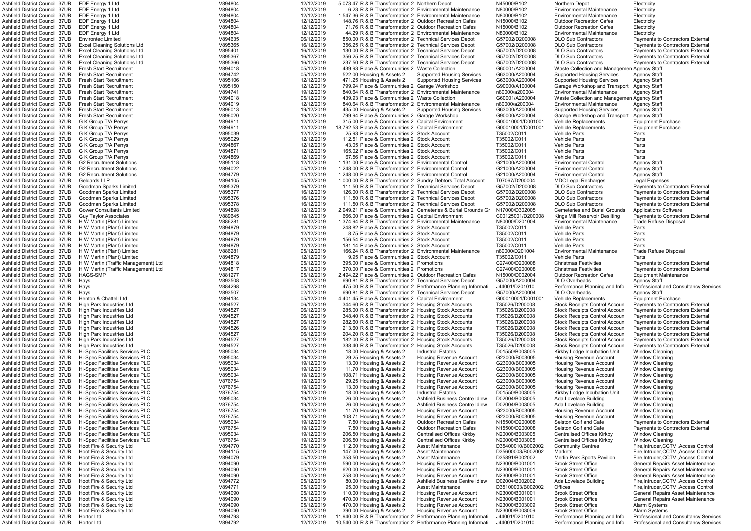| Ashfield District Council 37UB                                   | EDF Energy 1 Ltd                       | V894804            | 12/12/2019               | 5,073.47 R & B Transformation 2 Northern Depot                                                                                     |                                                               | N45000/B102                      | Northern Depot                                                 | Electricity                                                                   |
|------------------------------------------------------------------|----------------------------------------|--------------------|--------------------------|------------------------------------------------------------------------------------------------------------------------------------|---------------------------------------------------------------|----------------------------------|----------------------------------------------------------------|-------------------------------------------------------------------------------|
| Ashfield District Council 37UB                                   | EDF Energy 1 Ltd                       | V894804            | 12/12/2019               |                                                                                                                                    | 6.23 R & B Transformation 2 Environmental Maintenance         | N80000/B102                      | <b>Environmental Maintenance</b>                               | Electricity                                                                   |
| Ashfield District Council 37UB                                   | EDF Energy 1 Ltd                       | V894804            | 12/12/2019               | 1,547.36 R & B Transformation 2 Environmental Maintenance                                                                          |                                                               | N80000/B102                      | <b>Environmental Maintenance</b>                               | Electricity                                                                   |
|                                                                  |                                        |                    |                          |                                                                                                                                    |                                                               |                                  |                                                                |                                                                               |
| <b>Ashfield District Council 37UB</b>                            | EDF Energy 1 Ltd                       | V894804            | 12/12/2019               | 148.76 R & B Transformation 2 Outdoor Recreation Cafes                                                                             |                                                               | N15000/B102                      | <b>Outdoor Recreation Cafes</b>                                | Electricity                                                                   |
| Ashfield District Council 37UB                                   | EDF Energy 1 Ltd                       | V894804            | 12/12/2019               | 71.76 R & B Transformation 2 Outdoor Recreation Cafes                                                                              |                                                               | N15000/B102                      | <b>Outdoor Recreation Cafes</b>                                | Electricity                                                                   |
| Ashfield District Council 37UB                                   | EDF Energy 1 Ltd                       | V894804            | 12/12/2019               | 44.29 R & B Transformation 2 Environmental Maintenance                                                                             |                                                               | N80000/B102                      | <b>Environmental Maintenance</b>                               | Electricity                                                                   |
| Ashfield District Council 37UB                                   | <b>Environtec Limited</b>              | V894635            | 06/12/2019               | 850.00 R & B Transformation 2 Technical Services Depot                                                                             |                                                               | G57002/D200008                   | <b>DLO Sub Contractors</b>                                     | <b>Payments to Contractors External</b>                                       |
| Ashfield District Council 37UB                                   | <b>Excel Cleaning Solutions Ltd</b>    | V895365            | 16/12/2019               | 356.25 R & B Transformation 2 Technical Services Depot                                                                             |                                                               | G57002/D200008                   | <b>DLO Sub Contractors</b>                                     | <b>Payments to Contractors External</b>                                       |
| Ashfield District Council 37UB                                   | <b>Excel Cleaning Solutions Ltd</b>    | V895401            | 16/12/2019               | 130.00 R & B Transformation 2 Technical Services Depot                                                                             |                                                               | G57002/D200008                   | <b>DLO Sub Contractors</b>                                     | <b>Payments to Contractors External</b>                                       |
|                                                                  |                                        |                    |                          |                                                                                                                                    |                                                               |                                  |                                                                |                                                                               |
| Ashfield District Council 37UB                                   | <b>Excel Cleaning Solutions Ltd</b>    | V895367            | 16/12/2019               | 356.25 R & B Transformation 2 Technical Services Depot                                                                             |                                                               | G57002/D200008                   | <b>DLO Sub Contractors</b>                                     | <b>Payments to Contractors External</b>                                       |
| Ashfield District Council 37UB                                   | <b>Excel Cleaning Solutions Ltd</b>    | V895366            | 16/12/2019               | 237.50 R & B Transformation 2 Technical Services Depot                                                                             |                                                               | G57002/D200008                   | <b>DLO Sub Contractors</b>                                     | <b>Payments to Contractors External</b>                                       |
| Ashfield District Council 37UB                                   | <b>Fresh Start Recruitment</b>         | V894018            | 05/12/2019               | 439.93 Place & Communities 2 Waste Collection                                                                                      |                                                               | G60001/A200004                   | Waste Collection and Managemen Agency Staff                    |                                                                               |
| Ashfield District Council 37UB                                   | <b>Fresh Start Recruitment</b>         | V894742            | 05/12/2019               | 522.00 Housing & Assets 2                                                                                                          | <b>Supported Housing Services</b>                             | G63000/A200004                   | <b>Supported Housing Services</b>                              | Agency Staff                                                                  |
| Ashfield District Council 37UB                                   | <b>Fresh Start Recruitment</b>         | V895106            | 12/12/2019               | 471.25 Housing & Assets 2                                                                                                          | <b>Supported Housing Services</b>                             | G63000/A200004                   | <b>Supported Housing Services</b>                              | <b>Agency Staff</b>                                                           |
|                                                                  |                                        |                    |                          |                                                                                                                                    |                                                               |                                  |                                                                |                                                                               |
| <b>Ashfield District Council 37UB</b>                            | <b>Fresh Start Recruitment</b>         | V895150            | 12/12/2019               | 799.94 Place & Communities 2 Garage Workshop                                                                                       |                                                               | G90000/A100004                   | Garage Workshop and Transport                                  | <b>Agency Staff</b>                                                           |
| Ashfield District Council 37UB                                   | <b>Fresh Start Recruitment</b>         | V894741            | 19/12/2019               | 840.64 R & B Transformation 2 Environmental Maintenance                                                                            |                                                               | n80000/a200004                   | <b>Environmental Maintenance</b>                               | <b>Agency Staff</b>                                                           |
| Ashfield District Council 37UB                                   | <b>Fresh Start Recruitment</b>         | V894018            | 05/12/2019               | 439.93 Place & Communities 2 Waste Collection                                                                                      |                                                               | G60001/A200004                   | Waste Collection and Managemen Agency Staff                    |                                                                               |
| <b>Ashfield District Council 37UB</b>                            | <b>Fresh Start Recruitment</b>         | V894019            | 12/12/2019               | 840.64 R & B Transformation 2 Environmental Maintenance                                                                            |                                                               | n80000/a200004                   | <b>Environmental Maintenance</b>                               | <b>Agency Staff</b>                                                           |
| Ashfield District Council 37UB                                   | <b>Fresh Start Recruitment</b>         | V896013            | 19/12/2019               | 435.00 Housing & Assets 2                                                                                                          | <b>Supported Housing Services</b>                             | G63000/A200004                   | <b>Supported Housing Services</b>                              | <b>Agency Staff</b>                                                           |
|                                                                  |                                        | V896020            |                          |                                                                                                                                    |                                                               |                                  |                                                                |                                                                               |
| Ashfield District Council 37UB                                   | <b>Fresh Start Recruitment</b>         |                    | 19/12/2019               | 799.94 Place & Communities 2 Garage Workshop                                                                                       |                                                               | G90000/A200004                   | Garage Workshop and Transport                                  | <b>Agency Staff</b>                                                           |
| Ashfield District Council 37UB                                   | G K Group T/A Perrys                   | V894911            | 12/12/2019               | 315.00 Place & Communities 2 Capital Environment                                                                                   |                                                               | G00010001/D001001                | <b>Vehicle Replacements</b>                                    | Equipment Purchase                                                            |
| Ashfield District Council 37UB                                   | G K Group T/A Perrvs                   | V894911            | 12/12/2019               | 18,792.53 Place & Communities 2 Capital Environment                                                                                |                                                               | G00010001/D001001                | <b>Vehicle Replacements</b>                                    | <b>Equipment Purchase</b>                                                     |
| Ashfield District Council 37UB                                   | G K Group T/A Perrys                   | V895039            | 12/12/2019               | 25.93 Place & Communities 2 Stock Account                                                                                          |                                                               | T35002/C011                      | <b>Vehicle Parts</b>                                           | Parts                                                                         |
| Ashfield District Council 37UB                                   | G K Group T/A Perrys                   | V895029            | 12/12/2019               | 112.51 Place & Communities 2 Stock Account                                                                                         |                                                               | T35002/C011                      | <b>Vehicle Parts</b>                                           | Parts                                                                         |
| Ashfield District Council 37UB                                   | G K Group T/A Perrys                   | V894867            | 12/12/2019               | 43.05 Place & Communities 2 Stock Account                                                                                          |                                                               | T35002/C011                      | <b>Vehicle Parts</b>                                           | Parts                                                                         |
|                                                                  |                                        |                    |                          |                                                                                                                                    |                                                               |                                  |                                                                | Parts                                                                         |
| Ashfield District Council 37UB                                   | G K Group T/A Perrys                   | V894871            | 12/12/2019               | 165.02 Place & Communities 2 Stock Account                                                                                         |                                                               | T35002/C011                      | <b>Vehicle Parts</b>                                           |                                                                               |
| Ashfield District Council 37UB                                   | G K Group T/A Perrys                   | V894869            | 12/12/2019               | 67.56 Place & Communities 2 Stock Account                                                                                          |                                                               | T35002/C011                      | <b>Vehicle Parts</b>                                           | Parts                                                                         |
| Ashfield District Council 37UB                                   | <b>G2 Recruitment Solutions</b>        | V895118            | 12/12/2019               | 1.131.00 Place & Communities 2 Environmental Control                                                                               |                                                               | G21000/A200004                   | <b>Environmental Control</b>                                   | <b>Agency Staff</b>                                                           |
| Ashfield District Council 37UB                                   | <b>G2 Recruitment Solutions</b>        | V894022            | 05/12/2019               | 1.248.00 R & B Transformation 2 Environmental Control                                                                              |                                                               | G21000/A200004                   | <b>Environmental Control</b>                                   | <b>Agency Staff</b>                                                           |
| Ashfield District Council 37UB                                   | <b>G2 Recruitment Solutions</b>        | V894779            | 12/12/2019               | 1.248.00 Place & Communities 2 Environmental Control                                                                               |                                                               | G21000/A200004                   | <b>Environmental Control</b>                                   | <b>Agency Staff</b>                                                           |
| Ashfield District Council 37UB                                   |                                        | V894105            | 05/12/2019               |                                                                                                                                    |                                                               | T07067/D200004                   |                                                                |                                                                               |
|                                                                  | Geldards LLP                           |                    |                          | 1,000.00 R & B Transformation 2 Sundry Debtors Total Account                                                                       |                                                               |                                  | <b>MDC Legal Recharges</b>                                     | Legal Expenses                                                                |
| Ashfield District Council 37UB                                   | Goodman Sparks Limited                 | V895379            | 16/12/2019               | 111.50 R & B Transformation 2 Technical Services Depot                                                                             |                                                               | G57002/D200008                   | <b>DLO Sub Contractors</b>                                     | <b>Payments to Contractors External</b>                                       |
| Ashfield District Council 37UB                                   | Goodman Sparks Limited                 | V895377            | 16/12/2019               | 126.00 R & B Transformation 2 Technical Services Depot                                                                             |                                                               | G57002/D200008                   | <b>DLO Sub Contractors</b>                                     | <b>Payments to Contractors External</b>                                       |
| Ashfield District Council 37UB                                   | Goodman Sparks Limited                 | V895376            | 16/12/2019               | 111.50 R & B Transformation 2 Technical Services Depot                                                                             |                                                               | G57002/D200008                   | <b>DLO Sub Contractors</b>                                     | <b>Payments to Contractors External</b>                                       |
| <b>Ashfield District Council 37UB</b>                            | Goodman Sparks Limited                 | V895378            | 16/12/2019               | 111.50 R & B Transformation 2 Technical Services Depot                                                                             |                                                               | G57002/D200008                   | <b>DLO Sub Contractors</b>                                     | <b>Payments to Contractors External</b>                                       |
| Ashfield District Council 37UB                                   |                                        | V894898            |                          |                                                                                                                                    |                                                               |                                  |                                                                | <b>Applications Software</b>                                                  |
|                                                                  | <b>Gower Consultants Limited</b>       |                    | 12/12/2019               |                                                                                                                                    | 2,949.21 Place & Communities 2 Cemeteries & Burial Grounds Gr | N17000/D302005                   | <b>Cemeteries and Burial Grounds</b>                           |                                                                               |
| Ashfield District Council 37UB                                   | <b>Guy Taylor Associates</b>           | V889645            | 19/12/2019               | 666.00 Place & Communities 2 Capital Environment                                                                                   |                                                               | C00125001/D200008                | Kings Mill Reservoir Desilting                                 | <b>Payments to Contractors External</b>                                       |
| Ashfield District Council 37UB                                   | H W Martin (Plant) Limited             | V886281            | 05/12/2019               | 1.374.94 R & B Transformation 2 Environmental Maintenance                                                                          |                                                               | N80000/D201004                   | <b>Environmental Maintenance</b>                               | Trade Refuse Disposal                                                         |
| Ashfield District Council 37UB                                   | H W Martin (Plant) Limited             | V894879            | 12/12/2019               | 248.82 Place & Communities 2 Stock Account                                                                                         |                                                               | T35002/C011                      | <b>Vehicle Parts</b>                                           | Parts                                                                         |
| Ashfield District Council 37UB                                   | H W Martin (Plant) Limited             | V894879            | 12/12/2019               | 8.75 Place & Communities 2 Stock Account                                                                                           |                                                               | T35002/C011                      | <b>Vehicle Parts</b>                                           | Parts                                                                         |
| Ashfield District Council 37UB                                   | H W Martin (Plant) Limited             | V894879            | 12/12/2019               | 156.54 Place & Communities 2 Stock Account                                                                                         |                                                               | T35002/C011                      | Vehicle Parts                                                  | Parts                                                                         |
|                                                                  |                                        |                    |                          |                                                                                                                                    |                                                               |                                  |                                                                |                                                                               |
| Ashfield District Council 37UB                                   | H W Martin (Plant) Limited             | V894879            | 12/12/2019               | 181.14 Place & Communities 2 Stock Account                                                                                         |                                                               | T35002/C011                      | <b>Vehicle Parts</b>                                           | Parts                                                                         |
| Ashfield District Council 37UB                                   | H W Martin (Plant) Limited             | V886281            | 05/12/2019               | 166.24 R & B Transformation 2 Environmental Maintenance                                                                            |                                                               | n80000/D201004                   | <b>Environmental Maintenance</b>                               | Trade Refuse Disposal                                                         |
| Ashfield District Council 37UB                                   | H W Martin (Plant) Limited             | V894879            | 12/12/2019               | 9.95 Place & Communities 2 Stock Account                                                                                           |                                                               | T35002/C011                      | <b>Vehicle Parts</b>                                           | Parts                                                                         |
| Ashfield District Council 37UB                                   | H W Martin (Traffic Management) Ltd    | V894818            | 05/12/2019               | 395.00 Place & Communities 2 Promotions                                                                                            |                                                               | C27400/D200008                   | <b>Christmas Festivities</b>                                   | <b>Payments to Contractors External</b>                                       |
| Ashfield District Council 37UB                                   | H W Martin (Traffic Management) Ltd    | V894817            | 05/12/2019               | 370.00 Place & Communities 2 Promotions                                                                                            |                                                               | C27400/D200008                   | <b>Christmas Festivities</b>                                   | <b>Payments to Contractors External</b>                                       |
|                                                                  |                                        |                    |                          |                                                                                                                                    |                                                               |                                  |                                                                |                                                                               |
| Ashfield District Council 37UB                                   | <b>HAGS-SMP</b>                        | V881277            | 05/12/2019               | 2.494.22 Place & Communities 2 Outdoor Recreation Cafes                                                                            |                                                               | N15000/D002004                   | <b>Outdoor Recreation Cafes</b>                                | <b>Equipment Maintenance</b>                                                  |
| Ashfield District Council 37UB                                   | Havs                                   | V893508            | 02/12/2019               | 690.81 R & B Transformation 2 Technical Services Depot                                                                             |                                                               | G57000/A200004                   | <b>DLO Overheads</b>                                           | <b>Agency Staff</b>                                                           |
|                                                                  |                                        |                    | 05/12/2019               |                                                                                                                                    | 475.00 R & B Transformation 2 Performance Planning Informati  | J44001/D201010                   | Performance Planning and Info                                  | Professional and Consultancy Serv                                             |
| Ashfield District Council 37UB                                   |                                        |                    |                          |                                                                                                                                    |                                                               | G57000/A200004                   | <b>DLO Overheads</b>                                           |                                                                               |
|                                                                  | Hays                                   | V884298            |                          |                                                                                                                                    |                                                               |                                  |                                                                |                                                                               |
| Ashfield District Council 37UB                                   | Hays                                   | V893507            | 02/12/2019               | 690.81 R & B Transformation 2 Technical Services Depot                                                                             |                                                               |                                  |                                                                | Agency Staff                                                                  |
| Ashfield District Council 37UB                                   | Henton & Chattell Ltd                  | V894134            | 05/12/2019               | 4.401.45 Place & Communities 2 Capital Environment                                                                                 |                                                               | G00010001/D001001                | Vehicle Replacements                                           | <b>Equipment Purchase</b>                                                     |
| Ashfield District Council 37UB                                   | High Park Industries Ltd               | V894527            | 06/12/2019               | 344.60 R & B Transformation 2 Housing Stock Accounts                                                                               |                                                               | T35026/D200008                   | <b>Stock Receipts Control Accoun</b>                           | <b>Payments to Contractors External</b>                                       |
| Ashfield District Council 37UB                                   | High Park Industries Ltd               | V894527            | 06/12/2019               | 285.00 R & B Transformation 2 Housing Stock Accounts                                                                               |                                                               | T35026/D200008                   | <b>Stock Receipts Control Accoun</b>                           | <b>Payments to Contractors External</b>                                       |
| Ashfield District Council 37UB                                   | High Park Industries Ltd               | V894527            | 06/12/2019               | 348.40 R & B Transformation 2 Housing Stock Accounts                                                                               |                                                               | T35026/D200008                   | <b>Stock Receipts Control Accoun</b>                           | <b>Payments to Contractors External</b>                                       |
|                                                                  | High Park Industries Ltd               |                    |                          |                                                                                                                                    |                                                               | T35026/D200008                   | <b>Stock Receipts Control Accoun</b>                           |                                                                               |
| Ashfield District Council 37UB                                   |                                        | V894527            | 06/12/2019               | 282.60 R & B Transformation 2 Housing Stock Accounts                                                                               |                                                               |                                  |                                                                | <b>Payments to Contractors External</b>                                       |
| Ashfield District Council 37UB                                   | High Park Industries Ltd               | V894526            | 06/12/2019               | 213.60 R & B Transformation 2 Housing Stock Accounts                                                                               |                                                               | T35026/D200008                   | <b>Stock Receipts Control Accoun</b>                           | <b>Payments to Contractors External</b>                                       |
| Ashfield District Council 37UB                                   | High Park Industries Ltd               | V894527            | 06/12/2019               | 204.20 R & B Transformation 2 Housing Stock Accounts                                                                               |                                                               | T35026/D200008                   | <b>Stock Receipts Control Accoun</b>                           | <b>Payments to Contractors External</b>                                       |
| Ashfield District Council 37UB                                   | High Park Industries Ltd               | V894527            | 06/12/2019               | 182.00 R & B Transformation 2 Housing Stock Accounts                                                                               |                                                               | T35026/D200008                   | <b>Stock Receipts Control Accoun</b>                           | <b>Payments to Contractors External</b>                                       |
| Ashfield District Council 37UB                                   | High Park Industries Ltd               | V894527            | 06/12/2019               | 338.40 R & B Transformation 2 Housing Stock Accounts                                                                               |                                                               | T35026/D200008                   | <b>Stock Receipts Control Accoun</b>                           | <b>Payments to Contractors External</b>                                       |
| Ashfield District Council 37UB                                   | <b>Hi-Spec Facilities Services PLC</b> | V895034            | 19/12/2019               | 18.00 Housing & Assets 2                                                                                                           | <b>Industrial Estates</b>                                     | D01550/B003005                   | Kirkby Lodge Incubation Unit                                   | <b>Window Cleaning</b>                                                        |
|                                                                  |                                        |                    |                          |                                                                                                                                    |                                                               |                                  |                                                                |                                                                               |
| Ashfield District Council 37UB                                   | <b>Hi-Spec Facilities Services PLC</b> | V895034            | 19/12/2019               | 29.25 Housing & Assets 2                                                                                                           | <b>Housing Revenue Account</b>                                | G23000/B003005                   | <b>Housing Revenue Account</b>                                 | <b>Window Cleaning</b>                                                        |
| Ashfield District Council 37UB                                   | <b>Hi-Spec Facilities Services PLC</b> | V895034            | 19/12/2019               | 13.00 Housing & Assets 2                                                                                                           | Housing Revenue Account                                       | G23000/B003005                   | <b>Housing Revenue Account</b>                                 | <b>Window Cleaning</b>                                                        |
| Ashfield District Council 37UB                                   | Hi-Spec Facilities Services PLC        | V895034            | 19/12/2019               | 11.70 Housing & Assets 2                                                                                                           | <b>Housing Revenue Account</b>                                | G23000/B003005                   | <b>Housing Revenue Account</b>                                 | <b>Window Cleaning</b>                                                        |
| Ashfield District Council 37UB                                   | Hi-Spec Facilities Services PLC        | V895034            | 19/12/2019               | 108.71 Housing & Assets 2                                                                                                          | <b>Housing Revenue Account</b>                                | G23000/B003005                   | <b>Housing Revenue Account</b>                                 | <b>Window Cleaning</b>                                                        |
| Ashfield District Council 37UB                                   | Hi-Spec Facilities Services PLC        | V876754            | 19/12/2019               | 29.25 Housing & Assets 2                                                                                                           | <b>Housing Revenue Account</b>                                | G23000/B003005                   | <b>Housing Revenue Account</b>                                 | <b>Window Cleaning</b>                                                        |
| Ashfield District Council 37UB                                   | Hi-Spec Facilities Services PLC        | V876754            | 19/12/2019               | 13.00 Housing & Assets 2                                                                                                           | <b>Housing Revenue Account</b>                                | G23000/B003005                   | <b>Housing Revenue Account</b>                                 | <b>Window Cleaning</b>                                                        |
| Ashfield District Council 37UB                                   | Hi-Spec Facilities Services PLC        | V876754            | 19/12/2019               | 18.00 Housing & Assets 2                                                                                                           | <b>Industrial Estates</b>                                     | D01550/B003005                   | Kirkby Lodge Incubation Unit                                   | <b>Window Cleaning</b>                                                        |
| Ashfield District Council 37UB                                   | Hi-Spec Facilities Services PLC        | V895034            | 19/12/2019               | 26.00 Housing & Assets 2                                                                                                           | Ashfield Business Centre Idlew                                | D02004/B003005                   | Ada Lovelace Building                                          | <b>Window Cleaning</b>                                                        |
|                                                                  |                                        |                    |                          |                                                                                                                                    |                                                               |                                  |                                                                |                                                                               |
| Ashfield District Council 37UB                                   | Hi-Spec Facilities Services PLC        | V876754            | 19/12/2019               | 26.00 Housing & Assets 2                                                                                                           | Ashfield Business Centre Idlew                                | D02004/B003005                   | Ada Lovelace Building                                          | <b>Window Cleaning</b>                                                        |
| Ashfield District Council 37UB                                   | Hi-Spec Facilities Services PLC        | V876754            | 19/12/2019               | 11.70 Housing & Assets 2                                                                                                           | <b>Housing Revenue Account</b>                                | G23000/B003005                   | <b>Housing Revenue Account</b>                                 | <b>Window Cleaning</b>                                                        |
| Ashfield District Council 37UB                                   | <b>Hi-Spec Facilities Services PLC</b> | V876754            | 19/12/2019               | 108.71 Housing & Assets 2                                                                                                          | <b>Housing Revenue Account</b>                                | G23000/B003005                   | Housing Revenue Account                                        | <b>Window Cleaning</b>                                                        |
| Ashfield District Council 37UB                                   | <b>Hi-Spec Facilities Services PLC</b> | V895034            | 19/12/2019               | 7.50 Housing & Assets 2                                                                                                            | <b>Outdoor Recreation Cafes</b>                               | N15500/D200008                   | Selston Golf and Cafe                                          | <b>Payments to Contractors External</b>                                       |
| Ashfield District Council 37UB                                   | Hi-Spec Facilities Services PLC        | V876754            | 19/12/2019               | 7.50 Housing & Assets 2                                                                                                            | <b>Outdoor Recreation Cafes</b>                               | N15500/D200008                   | Selston Golf and Cafe                                          | Payments to Contractors External                                              |
|                                                                  |                                        |                    |                          |                                                                                                                                    |                                                               |                                  |                                                                |                                                                               |
| Ashfield District Council 37UB                                   | Hi-Spec Facilities Services PLC        | V895034            | 19/12/2019               | 206.50 Housing & Assets 2                                                                                                          | <b>Centralised Offices Kirkby</b>                             | N20000/B003005                   | Centralised Offices Kirkby                                     | <b>Window Cleaning</b>                                                        |
| Ashfield District Council 37UB                                   | <b>Hi-Spec Facilities Services PLC</b> | V876754            | 19/12/2019               | 206.50 Housing & Assets 2                                                                                                          | Centralised Offices Kirkby                                    | N20000/B003005                   | Centralised Offices Kirkby                                     | <b>Window Cleaning</b>                                                        |
| Ashfield District Council 37UB                                   | Hoot Fire & Security Ltd               | V894770            | 05/12/2019               | 112.00 Housing & Assets 2                                                                                                          | <b>Asset Maintenance</b>                                      | D35400010/B002002                | <b>Community Centres</b>                                       | Fire, Intruder, CCTV, Access Control                                          |
| Ashfield District Council 37UB                                   | Hoot Fire & Security Ltd               | V894115            | 05/12/2019               | 147.00 Housing & Assets 2                                                                                                          | <b>Asset Maintenance</b>                                      | D35600003/B002002                | Markets                                                        | Fire, Intruder, CCTV, Access Control                                          |
| Ashfield District Council 37UB                                   | Hoot Fire & Security Ltd               | V894079            | 05/12/2019               | 353.50 Housing & Assets 2                                                                                                          | Asset Maintenance                                             | D35891/B002002                   | Merlin Park Sports Pavilion                                    | Fire, Intruder, CCTV, Access Control                                          |
|                                                                  |                                        |                    |                          |                                                                                                                                    |                                                               |                                  |                                                                |                                                                               |
| Ashfield District Council 37UB                                   | Hoot Fire & Security Ltd               | V894090            | 05/12/2019               | 590.00 Housing & Assets 2                                                                                                          | <b>Housing Revenue Account</b>                                | N23000/B001001                   | <b>Brook Street Office</b>                                     | General Repairs Asset Maintenance                                             |
| Ashfield District Council 37UB                                   | Hoot Fire & Security Ltd               | V894090            | 05/12/2019               | 620.00 Housing & Assets 2                                                                                                          | <b>Housing Revenue Account</b>                                | N23000/B001001                   | <b>Brook Street Office</b>                                     | General Repairs Asset Maintenance                                             |
| Ashfield District Council 37UB                                   | Hoot Fire & Security Ltd               | V894090            | 05/12/2019               | 258.00 Housing & Assets 2                                                                                                          | <b>Housing Revenue Account</b>                                | N23000/B001001                   | <b>Brook Street Office</b>                                     | General Repairs Asset Maintenance                                             |
| Ashfield District Council 37UB                                   | Hoot Fire & Security Ltd               | V894772            | 05/12/2019               | 80.00 Housing & Assets 2                                                                                                           | Ashfield Business Centre Idlew                                | D02004/B002002                   | Ada Lovelace Building                                          | Fire, Intruder, CCTV, Access Control                                          |
| Ashfield District Council 37UB                                   | Hoot Fire & Security Ltd               | V894771            | 05/12/2019               | 95.00 Housing & Assets 2                                                                                                           | Asset Maintenance                                             | D35100003/B002002                | Offices                                                        | Fire, Intruder, CCTV, Access Control                                          |
| Ashfield District Council 37UB                                   | Hoot Fire & Security Ltd               | V894090            |                          |                                                                                                                                    | Housing Revenue Account                                       | N23000/B001001                   | <b>Brook Street Office</b>                                     | General Repairs Asset Maintenance                                             |
|                                                                  |                                        |                    | 05/12/2019               | 110.00 Housing & Assets 2                                                                                                          |                                                               |                                  |                                                                |                                                                               |
| Ashfield District Council 37UB                                   | Hoot Fire & Security Ltd               | V894090            | 05/12/2019               | 470.00 Housing & Assets 2                                                                                                          | <b>Housing Revenue Account</b>                                | N23000/B001001                   | <b>Brook Street Office</b>                                     | General Repairs Asset Maintenance                                             |
| Ashfield District Council 37UB                                   | Hoot Fire & Security Ltd               | V894090            | 05/12/2019               | 470.00 Housing & Assets 2                                                                                                          | <b>Housing Revenue Account</b>                                | N23000/B003009                   | <b>Brook Street Office</b>                                     | Alarm Systems                                                                 |
| Ashfield District Council 37UB                                   | Hoot Fire & Security Ltd               | V894090            | 05/12/2019               | 390.00 Housing & Assets 2                                                                                                          | <b>Housing Revenue Account</b>                                | N23000/B003009                   | <b>Brook Street Office</b>                                     | <b>Alarm Systems</b>                                                          |
| Ashfield District Council 37UB<br>Ashfield District Council 37UB | Hortor Ltd<br>Hortor Ltd               | V894793<br>V894792 | 12/12/2019<br>12/12/2019 | 11,940.00 R & B Transformation 2 Performance Planning Informati<br>10.540.00 R & B Transformation 2 Performance Planning Informati |                                                               | J44001/D201010<br>J44001/D201010 | Performance Planning and Info<br>Performance Planning and Info | <b>Professional and Consultancy Serv</b><br>Professional and Consultancy Serv |

LO Sub Contractors **External** Payments to Contractors External Ashfield District Council 37UB Excel Cleaning Solutions Ltd V895367 16/12/2019 356.25 R & B Transformation 2 Technical Services Depot G57002/D200008 DLO Sub Contractors Payments to Contractors External Ashfield District Council 37UB Fresh Start Recruitment V894018 05/12/2019 439.93 Place & Communities 2 Waste Collection G60001/A200004 Waste Collection and Managemen Agency Staff anage Workshop and Transport Agency Staff<br>Intrommental Maintenance Agency Staff aste Collection and Managemen Agency Staff<br>Intronmental Maintenance Agency Staff .<br>arage Workshop and Transport Agency Staff Ashfield District Council 37UB Goodman Sparks Limited V895377 16/12/2019 126.00 R & B Transformation 2 Technical Services Depot G57002/D200008 DLO Sub Contractors Payments to Contractors External LO Sub Contractors **Comen Sparks** Payments to Contractors External Ashfield District Council 37UB Guy Taylor Associates V889645 19/12/2019 666.00 Place & Communities 2 Capital Environment C00125001/D200008 Kings Mill Reservoir Desilting Payments to Contractors External Ashfield District Council 37UB H W Martin (Traffic Management) Ltd V894818 05/12/2019 395.00 Place & Communities 2 Promotions C27400/D200008 Christmas Festivities Payments to Contractors External Astrict Council 37 Enformance Planning and Informance Planning and Information 2 Professional and Consultancy Services<br>The Planning and Information Planning Agency Staff ock Receipts Control Accoun Payments to Contractors External ock Receipts Control Accoun Payments to Contractors External<br>ock Receipts Control Accoun Payments to Contractors External Aston Golf and Cafe Fayments to Contractors External<br>Histon Golf and Cafe The Payments to Contractors External Antets **Ashfield 27 Executive Fire Antruder,CCTV** ,Access Control<br>1911 Park Sports Pavilion Fire,Intruder,CCTV ,Access Control Fire, Intruder, CCTV, Access Control Ashfield District Council 37UB Hoot Fire & Security Ltd V894090 05/12/2019 590.00 Housing & Assets 2 Housing Revenue Account N23000/B001001 Brook Street Office General Repairs Asset Maintenance General Repairs Asset Maintenance ook Street Office Foot Fire Council 32040 669407 05.00 General Repairs Asset Maintenance<br>19 Annue Account Nazion Account Nazion Account Repairs Asset Maintenance ook Street Office Fire Boot General Repairs Asset Maintenance<br>Council 37 General Repairs Asset Maintenance Street Office ook Street Office Fire Boot General Repairs Asset Maintenance<br>Ook Street Office Fire Alarm Systems rformance Planning and Info Professional and Consultancy Services erformance Planning and Info Professional and Consultancy Services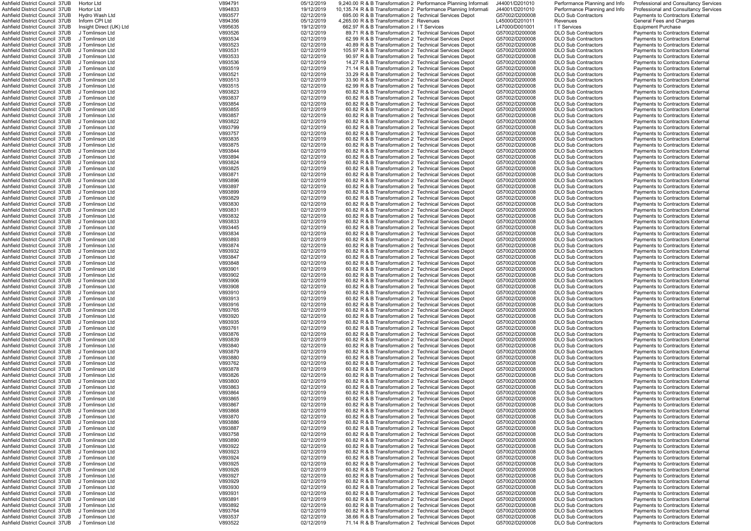| Ashfield District Council 37UB                                    | Hortor Ltd                         | V894791            | 05/12/2019               |                                                                                                                | 9,240.00 R & B Transformation 2 Performance Planning Informati  | J44001/D201010                   | Performance Planning and Info                            | Professional and Consultancy Ser                                     |
|-------------------------------------------------------------------|------------------------------------|--------------------|--------------------------|----------------------------------------------------------------------------------------------------------------|-----------------------------------------------------------------|----------------------------------|----------------------------------------------------------|----------------------------------------------------------------------|
| Ashfield District Council 37UB                                    | Hortor Ltd                         | V894833            | 19/12/2019               |                                                                                                                | 10,135.74 R & B Transformation 2 Performance Planning Informati | J44001/D201010                   | Performance Planning and Info                            | Professional and Consultancy Ser                                     |
| Ashfield District Council 37UB                                    | Hydro Wash Ltd                     | V893577            | 02/12/2019               | 695.00 R & B Transformation 2 Technical Services Depot                                                         |                                                                 | G57002/D200008                   | <b>DLO Sub Contractors</b>                               | Payments to Contractors External                                     |
| Ashfield District Council  37UB                                   | Inform CPI Ltd                     | V894356            | 05/12/2019               | 4.265.00 R & B Transformation 2 Revenues                                                                       |                                                                 | L45000/D201011                   | Revenues                                                 | <b>General Fees and Charges</b>                                      |
| Ashfield District Council 37UB                                    | Insight Direct (UK) Ltd            | V895635            | 19/12/2019               | 662.97 R & B Transformation 2 I T Services                                                                     |                                                                 | L47000/D001001                   | I T Services                                             | <b>Equipment Purchase</b>                                            |
| Ashfield District Council  37UB<br>Ashfield District Council 37UB | J Tomlinson Ltd<br>J Tomlinson Ltd | V893526<br>V893534 | 02/12/2019<br>02/12/2019 | 89.71 R & B Transformation 2 Technical Services Depot<br>62.99 R & B Transformation 2 Technical Services Depot |                                                                 | G57002/D200008<br>G57002/D200008 | <b>DLO Sub Contractors</b>                               | Payments to Contractors External<br>Payments to Contractors External |
| Ashfield District Council 37UB                                    | J Tomlinson Ltd                    | V893523            | 02/12/2019               | 40.89 R & B Transformation 2 Technical Services Depot                                                          |                                                                 | G57002/D200008                   | <b>DLO Sub Contractors</b><br><b>DLO Sub Contractors</b> | Payments to Contractors External                                     |
| Ashfield District Council 37UB                                    | J Tomlinson Ltd                    | V893531            | 02/12/2019               | 105.97 R & B Transformation 2 Technical Services Depot                                                         |                                                                 | G57002/D200008                   | <b>DLO Sub Contractors</b>                               | Payments to Contractors External                                     |
| Ashfield District Council 37UB                                    | J Tomlinson Ltd                    | V893533            | 02/12/2019               | 90.97 R & B Transformation 2 Technical Services Depot                                                          |                                                                 | G57002/D200008                   | <b>DLO Sub Contractors</b>                               | Payments to Contractors External                                     |
| Ashfield District Council 37UB                                    | J Tomlinson Ltd                    | V893536            | 02/12/2019               | 14.27 R & B Transformation 2 Technical Services Depot                                                          |                                                                 | G57002/D200008                   | <b>DLO Sub Contractors</b>                               | <b>Payments to Contractors External</b>                              |
| Ashfield District Council 37UB                                    | J Tomlinson Ltd                    | V893519            | 02/12/2019               | 71.14 R & B Transformation 2 Technical Services Depot                                                          |                                                                 | G57002/D200008                   | <b>DLO Sub Contractors</b>                               | <b>Payments to Contractors External</b>                              |
| Ashfield District Council 37UB                                    | J Tomlinson Ltd                    | V893521            | 02/12/2019               | 33.29 R & B Transformation 2 Technical Services Depot                                                          |                                                                 | G57002/D200008                   | <b>DLO Sub Contractors</b>                               | Payments to Contractors External                                     |
| Ashfield District Council  37UB                                   | J Tomlinson Ltd                    | V893513            | 02/12/2019               | 33.90 R & B Transformation 2 Technical Services Depot                                                          |                                                                 | G57002/D200008                   | <b>DLO Sub Contractors</b>                               | Payments to Contractors External                                     |
| Ashfield District Council  37UB                                   | J Tomlinson Ltd                    | V893515            | 02/12/2019               | 62.99 R & B Transformation 2 Technical Services Depot                                                          |                                                                 | G57002/D200008                   | <b>DLO Sub Contractors</b>                               | <b>Payments to Contractors External</b>                              |
| Ashfield District Council 37UB                                    | J Tomlinson Ltd                    | V893823            | 02/12/2019               | 60.82 R & B Transformation 2 Technical Services Depot                                                          |                                                                 | G57002/D200008                   | <b>DLO Sub Contractors</b>                               | Payments to Contractors External                                     |
| Ashfield District Council 37UB                                    | J Tomlinson Ltd                    | V893837            | 02/12/2019               | 60.82 R & B Transformation 2 Technical Services Depot                                                          |                                                                 | G57002/D200008                   | <b>DLO Sub Contractors</b>                               | <b>Payments to Contractors External</b>                              |
| Ashfield District Council 37UB                                    | J Tomlinson Ltd                    | V893854            | 02/12/2019               | 60.82 R & B Transformation 2 Technical Services Depot                                                          |                                                                 | G57002/D200008                   | <b>DLO Sub Contractors</b>                               | <b>Payments to Contractors External</b>                              |
| Ashfield District Council 37UB                                    | J Tomlinson Ltd                    | V893855            | 02/12/2019               | 60.82 R & B Transformation 2 Technical Services Depot                                                          |                                                                 | G57002/D200008                   | <b>DLO Sub Contractors</b>                               | <b>Payments to Contractors External</b>                              |
| Ashfield District Council 37UB                                    | J Tomlinson Ltd                    | V893857            | 02/12/2019               | 60.82 R & B Transformation 2 Technical Services Depot                                                          |                                                                 | G57002/D200008                   | <b>DLO Sub Contractors</b>                               | Payments to Contractors External                                     |
| Ashfield District Council 37UB                                    | J Tomlinson Ltd                    | V893822            | 02/12/2019               | 60.82 R & B Transformation 2 Technical Services Depot                                                          |                                                                 | G57002/D200008                   | <b>DLO Sub Contractors</b>                               | <b>Payments to Contractors External</b>                              |
| Ashfield District Council 37UB                                    | J Tomlinson Ltd                    | V893799            | 02/12/2019               | 60.82 R & B Transformation 2 Technical Services Depot                                                          |                                                                 | G57002/D200008                   | <b>DLO Sub Contractors</b>                               | <b>Payments to Contractors External</b>                              |
| Ashfield District Council 37UB                                    | J Tomlinson Ltd                    | V893757            | 02/12/2019               | 60.82 R & B Transformation 2 Technical Services Depot                                                          |                                                                 | G57002/D200008                   | <b>DLO Sub Contractors</b>                               | <b>Payments to Contractors External</b>                              |
| Ashfield District Council 37UB                                    | J Tomlinson Ltd                    | V893835            | 02/12/2019               | 60.82 R & B Transformation 2 Technical Services Depot                                                          |                                                                 | G57002/D200008                   | <b>DLO Sub Contractors</b>                               | <b>Payments to Contractors External</b>                              |
| Ashfield District Council 37UB                                    | J Tomlinson Ltd                    | V893875            | 02/12/2019               | 60.82 R & B Transformation 2 Technical Services Depot                                                          |                                                                 | G57002/D200008                   | <b>DLO Sub Contractors</b>                               | Payments to Contractors External                                     |
| Ashfield District Council 37UB                                    | J Tomlinson Ltd                    | V893844            | 02/12/2019               | 60.82 R & B Transformation 2 Technical Services Depot                                                          |                                                                 | G57002/D200008                   | <b>DLO Sub Contractors</b>                               | <b>Payments to Contractors External</b>                              |
| Ashfield District Council 37UB                                    | J Tomlinson Ltd                    | V893894            | 02/12/2019               | 60.82 R & B Transformation 2 Technical Services Depot                                                          |                                                                 | G57002/D200008                   | <b>DLO Sub Contractors</b>                               | <b>Payments to Contractors External</b>                              |
| Ashfield District Council 37UB                                    | J Tomlinson Ltd                    | V893824            | 02/12/2019               | 60.82 R & B Transformation 2 Technical Services Depot                                                          |                                                                 | G57002/D200008                   | <b>DLO Sub Contractors</b>                               | <b>Payments to Contractors External</b>                              |
| Ashfield District Council 37UB                                    | J Tomlinson Ltd                    | V893825            | 02/12/2019               | 60.82 R & B Transformation 2 Technical Services Depot                                                          |                                                                 | G57002/D200008                   | <b>DLO Sub Contractors</b>                               | Payments to Contractors External                                     |
| Ashfield District Council 37UB                                    | J Tomlinson Ltd                    | V893871<br>V893896 | 02/12/2019               | 60.82 R & B Transformation 2 Technical Services Depot<br>60.82 R & B Transformation 2 Technical Services Depot |                                                                 | G57002/D200008                   | <b>DLO Sub Contractors</b>                               | <b>Payments to Contractors External</b>                              |
| Ashfield District Council 37UB<br>Ashfield District Council  37UB | J Tomlinson Ltd<br>J Tomlinson Ltd | V893897            | 02/12/2019<br>02/12/2019 | 60.82 R & B Transformation 2 Technical Services Depot                                                          |                                                                 | G57002/D200008<br>G57002/D200008 | <b>DLO Sub Contractors</b><br><b>DLO Sub Contractors</b> | Payments to Contractors External<br>Payments to Contractors External |
| Ashfield District Council 37UB                                    | J Tomlinson Ltd                    | V893899            | 02/12/2019               | 60.82 R & B Transformation 2 Technical Services Depot                                                          |                                                                 | G57002/D200008                   | <b>DLO Sub Contractors</b>                               | <b>Payments to Contractors External</b>                              |
| Ashfield District Council 37UB                                    | J Tomlinson Ltd                    | V893829            | 02/12/2019               | 60.82 R & B Transformation 2 Technical Services Depot                                                          |                                                                 | G57002/D200008                   | <b>DLO Sub Contractors</b>                               | Payments to Contractors External                                     |
| Ashfield District Council 37UB                                    | J Tomlinson Ltd                    | V893830            | 02/12/2019               | 60.82 R & B Transformation 2 Technical Services Depot                                                          |                                                                 | G57002/D200008                   | <b>DLO Sub Contractors</b>                               | Payments to Contractors External                                     |
| Ashfield District Council 37UB                                    | J Tomlinson Ltd                    | V893831            | 02/12/2019               | 60.82 R & B Transformation 2 Technical Services Depot                                                          |                                                                 | G57002/D200008                   | <b>DLO Sub Contractors</b>                               | <b>Payments to Contractors External</b>                              |
| Ashfield District Council 37UB                                    | J Tomlinson Ltd                    | V893832            | 02/12/2019               | 60.82 R & B Transformation 2 Technical Services Depot                                                          |                                                                 | G57002/D200008                   | <b>DLO Sub Contractors</b>                               | <b>Payments to Contractors External</b>                              |
| Ashfield District Council 37UB                                    | J Tomlinson Ltd                    | V893833            | 02/12/2019               | 60.82 R & B Transformation 2 Technical Services Depot                                                          |                                                                 | G57002/D200008                   | <b>DLO Sub Contractors</b>                               | Payments to Contractors External                                     |
| Ashfield District Council 37UB                                    | J Tomlinson Ltd                    | V893445            | 02/12/2019               | 60.82 R & B Transformation 2 Technical Services Depot                                                          |                                                                 | G57002/D200008                   | <b>DLO Sub Contractors</b>                               | Payments to Contractors External                                     |
| Ashfield District Council 37UB                                    | J Tomlinson Ltd                    | V893834            | 02/12/2019               | 60.82 R & B Transformation 2 Technical Services Depot                                                          |                                                                 | G57002/D200008                   | <b>DLO Sub Contractors</b>                               | <b>Payments to Contractors External</b>                              |
| Ashfield District Council 37UB                                    | J Tomlinson Ltd                    | V893893            | 02/12/2019               | 60.82 R & B Transformation 2 Technical Services Depot                                                          |                                                                 | G57002/D200008                   | <b>DLO Sub Contractors</b>                               | <b>Payments to Contractors External</b>                              |
| Ashfield District Council 37UB                                    | J Tomlinson Ltd                    | V893874            | 02/12/2019               | 60.82 R & B Transformation 2 Technical Services Depot                                                          |                                                                 | G57002/D200008                   | <b>DLO Sub Contractors</b>                               | <b>Payments to Contractors External</b>                              |
| Ashfield District Council 37UB                                    | J Tomlinson Ltd                    | V893932            | 02/12/2019               | 60.82 R & B Transformation 2 Technical Services Depot                                                          |                                                                 | G57002/D200008                   | <b>DLO Sub Contractors</b>                               | <b>Payments to Contractors External</b>                              |
| Ashfield District Council 37UB                                    | J Tomlinson Ltd                    | V893847            | 02/12/2019               | 60.82 R & B Transformation 2 Technical Services Depot                                                          |                                                                 | G57002/D200008                   | <b>DLO Sub Contractors</b>                               | Payments to Contractors External                                     |
| Ashfield District Council 37UB                                    | J Tomlinson Ltd                    | V893848            | 02/12/2019               | 60.82 R & B Transformation 2 Technical Services Depot                                                          |                                                                 | G57002/D200008                   | <b>DLO Sub Contractors</b>                               | Payments to Contractors External                                     |
| Ashfield District Council 37UB                                    | J Tomlinson Ltd                    | V893901            | 02/12/2019               | 60.82 R & B Transformation 2 Technical Services Depot                                                          |                                                                 | G57002/D200008                   | <b>DLO Sub Contractors</b>                               | Payments to Contractors External                                     |
| Ashfield District Council 37UB                                    | J Tomlinson Ltd                    | V893902            | 02/12/2019               | 60.82 R & B Transformation 2 Technical Services Depot                                                          |                                                                 | G57002/D200008                   | <b>DLO Sub Contractors</b>                               | <b>Payments to Contractors External</b>                              |
| Ashfield District Council 37UB                                    | J Tomlinson Ltd                    | V893906            | 02/12/2019               | 60.82 R & B Transformation 2 Technical Services Depot                                                          |                                                                 | G57002/D200008                   | <b>DLO Sub Contractors</b>                               | Payments to Contractors External                                     |
| Ashfield District Council 37UB                                    | J Tomlinson Ltd                    | V893908            | 02/12/2019               | 60.82 R & B Transformation 2 Technical Services Depot                                                          |                                                                 | G57002/D200008                   | <b>DLO Sub Contractors</b>                               | Payments to Contractors External                                     |
| Ashfield District Council 37UB                                    | J Tomlinson Ltd                    | V893910            | 02/12/2019               | 60.82 R & B Transformation 2 Technical Services Depot                                                          |                                                                 | G57002/D200008                   | <b>DLO Sub Contractors</b>                               | Payments to Contractors External                                     |
| Ashfield District Council 37UB                                    | J Tomlinson Ltd                    | V893913            | 02/12/2019               | 60.82 R & B Transformation 2 Technical Services Depot<br>60.82 R & B Transformation 2 Technical Services Depot |                                                                 | G57002/D200008                   | <b>DLO Sub Contractors</b>                               | Payments to Contractors External                                     |
| Ashfield District Council 37UB<br>Ashfield District Council 37UB  | J Tomlinson Ltd<br>J Tomlinson Ltd | V893916<br>V893765 | 02/12/2019<br>02/12/2019 | 60.82 R & B Transformation 2 Technical Services Depot                                                          |                                                                 | G57002/D200008<br>G57002/D200008 | <b>DLO Sub Contractors</b><br><b>DLO Sub Contractors</b> | Payments to Contractors External<br>Payments to Contractors External |
| Ashfield District Council 37UB                                    | J Tomlinson Ltd                    | V893920            | 02/12/2019               | 60.82 R & B Transformation 2 Technical Services Depot                                                          |                                                                 | G57002/D200008                   | <b>DLO Sub Contractors</b>                               | Payments to Contractors External                                     |
| Ashfield District Council 37UB                                    | J Tomlinson Ltd                    | V893935            | 02/12/2019               | 60.82 R & B Transformation 2 Technical Services Depot                                                          |                                                                 | G57002/D200008                   | <b>DLO Sub Contractors</b>                               | Payments to Contractors External                                     |
| Ashfield District Council 37UB                                    | J Tomlinson Ltd                    | V893761            | 02/12/2019               | 60.82 R & B Transformation 2 Technical Services Depot                                                          |                                                                 | G57002/D200008                   | <b>DLO Sub Contractors</b>                               | <b>Payments to Contractors External</b>                              |
| Ashfield District Council 37UB                                    | J Tomlinson Ltd                    | V893876            | 02/12/2019               | 60.82 R & B Transformation 2 Technical Services Depot                                                          |                                                                 | G57002/D200008                   | <b>DLO Sub Contractors</b>                               | Payments to Contractors External                                     |
| Ashfield District Council 37UB                                    | J Tomlinson Ltd                    | V893839            | 02/12/2019               | 60.82 R & B Transformation 2 Technical Services Depot                                                          |                                                                 | G57002/D200008                   | <b>DLO Sub Contractors</b>                               | Payments to Contractors External                                     |
| Ashfield District Council 37UB                                    | J Tomlinson Ltd                    | V893840            | 02/12/2019               | 60.82 R & B Transformation 2 Technical Services Depot                                                          |                                                                 | G57002/D200008                   | <b>DLO Sub Contractors</b>                               | Payments to Contractors External                                     |
| Ashfield District Council 37UB                                    | J Tomlinson Ltd                    | V893879            | 02/12/2019               | 60.82 R & B Transformation 2 Technical Services Depot                                                          |                                                                 | G57002/D200008                   | <b>DLO Sub Contractors</b>                               | Payments to Contractors External                                     |
| Ashfield District Council  37UB                                   | J Tomlinson Ltd                    | V893880            | 02/12/2019               | 60.82 R & B Transformation 2 Technical Services Depot                                                          |                                                                 | G57002/D200008                   | <b>DLO Sub Contractors</b>                               | Payments to Contractors External                                     |
| Ashfield District Council 37UB                                    | J Tomlinson Ltd                    | V893762            | 02/12/2019               | 60.82 R & B Transformation 2 Technical Services Depot                                                          |                                                                 | G57002/D200008                   | <b>DLO Sub Contractors</b>                               | Payments to Contractors External                                     |
| Ashfield District Council 37UB                                    | J Tomlinson Ltd                    | V893878            | 02/12/2019               | 60.82 R & B Transformation 2 Technical Services Depot                                                          |                                                                 | G57002/D200008                   | <b>DLO Sub Contractors</b>                               | Payments to Contractors External                                     |
| Ashfield District Council  37UB                                   | J Tomlinson Ltd                    | V893826            | 02/12/2019               | 60.82 R & B Transformation 2 Technical Services Depot                                                          |                                                                 | G57002/D200008                   | <b>DLO Sub Contractors</b>                               | Payments to Contractors External                                     |
| Ashfield District Council 37UB                                    | J Tomlinson Ltd                    | V893800            | 02/12/2019               | 60.82 R & B Transformation 2 Technical Services Depot                                                          |                                                                 | G57002/D200008                   | <b>DLO Sub Contractors</b>                               | Payments to Contractors External                                     |
| Ashfield District Council 37UB                                    | J Tomlinson Ltd                    | V893863            | 02/12/2019               | 60.82 R & B Transformation 2 Technical Services Depot                                                          |                                                                 | G57002/D200008                   | <b>DLO Sub Contractors</b>                               | Payments to Contractors External                                     |
| Ashfield District Council 37UB                                    | J Tomlinson Ltd                    | V893864            | 02/12/2019               | 60.82 R & B Transformation 2 Technical Services Depot                                                          |                                                                 | G57002/D200008                   | <b>DLO Sub Contractors</b>                               | Payments to Contractors External                                     |
| Ashfield District Council 37UB                                    | J Tomlinson Ltd                    | V893865            | 02/12/2019               | 60.82 R & B Transformation 2 Technical Services Depot                                                          |                                                                 | G57002/D200008                   | <b>DLO Sub Contractors</b>                               | Payments to Contractors External                                     |
| Ashfield District Council 37UB                                    | J Tomlinson Ltd                    | V893867            | 02/12/2019               | 60.82 R & B Transformation 2 Technical Services Depot                                                          |                                                                 | G57002/D200008                   | <b>DLO Sub Contractors</b>                               | Payments to Contractors External                                     |
| Ashfield District Council 37UB                                    | J Tomlinson Ltd                    | V893868            | 02/12/2019               | 60.82 R & B Transformation 2 Technical Services Depot                                                          |                                                                 | G57002/D200008                   | <b>DLO Sub Contractors</b>                               | Payments to Contractors External                                     |
| Ashfield District Council 37UB                                    | J Tomlinson Ltd                    | V893870            | 02/12/2019               | 60.82 R & B Transformation 2 Technical Services Depot                                                          |                                                                 | G57002/D200008                   | <b>DLO Sub Contractors</b>                               | Payments to Contractors External                                     |
| Ashfield District Council 37UB                                    | J Tomlinson Ltd                    | V893886            | 02/12/2019               | 60.82 R & B Transformation 2 Technical Services Depot                                                          |                                                                 | G57002/D200008                   | <b>DLO Sub Contractors</b>                               | Payments to Contractors External                                     |
| Ashfield District Council 37UB                                    | J Tomlinson Ltd<br>J Tomlinson Ltd | V893887            | 02/12/2019               | 60.82 R & B Transformation 2 Technical Services Depot                                                          |                                                                 | G57002/D200008                   | <b>DLO Sub Contractors</b>                               | Payments to Contractors External                                     |
| Ashfield District Council 37UB<br>Ashfield District Council 37UB  |                                    | V893758<br>V893890 | 02/12/2019               | 60.82 R & B Transformation 2 Technical Services Depot                                                          |                                                                 | G57002/D200008<br>G57002/D200008 | <b>DLO Sub Contractors</b>                               | Payments to Contractors External                                     |
| Ashfield District Council 37UB                                    | J Tomlinson Ltd<br>J Tomlinson Ltd | V893922            | 02/12/2019<br>02/12/2019 | 60.82 R & B Transformation 2 Technical Services Depot<br>60.82 R & B Transformation 2 Technical Services Depot |                                                                 | G57002/D200008                   | <b>DLO Sub Contractors</b><br><b>DLO Sub Contractors</b> | Payments to Contractors External<br>Payments to Contractors External |
| Ashfield District Council 37UB                                    | J Tomlinson Ltd                    | V893923            | 02/12/2019               | 60.82 R & B Transformation 2 Technical Services Depot                                                          |                                                                 | G57002/D200008                   | <b>DLO Sub Contractors</b>                               | Payments to Contractors External                                     |
| Ashfield District Council 37UB                                    | J Tomlinson Ltd                    | V893924            | 02/12/2019               | 60.82 R & B Transformation 2 Technical Services Depot                                                          |                                                                 | G57002/D200008                   | <b>DLO Sub Contractors</b>                               | Payments to Contractors External                                     |
| Ashfield District Council 37UB                                    | J Tomlinson Ltd                    | V893925            | 02/12/2019               | 60.82 R & B Transformation 2 Technical Services Depot                                                          |                                                                 | G57002/D200008                   | <b>DLO Sub Contractors</b>                               | Payments to Contractors External                                     |
| Ashfield District Council 37UB                                    | J Tomlinson Ltd                    | V893926            | 02/12/2019               | 60.82 R & B Transformation 2 Technical Services Depot                                                          |                                                                 | G57002/D200008                   | <b>DLO Sub Contractors</b>                               | Payments to Contractors External                                     |
| Ashfield District Council 37UB                                    | J Tomlinson Ltd                    | V893927            | 02/12/2019               | 60.82 R & B Transformation 2 Technical Services Depot                                                          |                                                                 | G57002/D200008                   | <b>DLO Sub Contractors</b>                               | Payments to Contractors External                                     |
| Ashfield District Council 37UB                                    | J Tomlinson Ltd                    | V893929            | 02/12/2019               | 60.82 R & B Transformation 2 Technical Services Depot                                                          |                                                                 | G57002/D200008                   | <b>DLO Sub Contractors</b>                               | <b>Payments to Contractors External</b>                              |
| Ashfield District Council 37UB                                    | J Tomlinson Ltd                    | V893930            | 02/12/2019               | 60.82 R & B Transformation 2 Technical Services Depot                                                          |                                                                 | G57002/D200008                   | <b>DLO Sub Contractors</b>                               | <b>Payments to Contractors External</b>                              |
| Ashfield District Council 37UB                                    | J Tomlinson Ltd                    | V893931            | 02/12/2019               | 60.82 R & B Transformation 2 Technical Services Depot                                                          |                                                                 | G57002/D200008                   | <b>DLO Sub Contractors</b>                               | Payments to Contractors External                                     |
| Ashfield District Council 37UB                                    | J Tomlinson Ltd                    | V893891            | 02/12/2019               | 60.82 R & B Transformation 2 Technical Services Depot                                                          |                                                                 | G57002/D200008                   | <b>DLO Sub Contractors</b>                               | <b>Payments to Contractors External</b>                              |
| Ashfield District Council  37UB                                   | J Tomlinson Ltd                    | V893892            | 02/12/2019               | 60.82 R & B Transformation 2 Technical Services Depot                                                          |                                                                 | G57002/D200008                   | <b>DLO Sub Contractors</b>                               | Payments to Contractors External                                     |
| Ashfield District Council 37UB                                    | J Tomlinson Ltd                    | V893764            | 02/12/2019               | 60.82 R & B Transformation 2 Technical Services Depot                                                          |                                                                 | G57002/D200008                   | <b>DLO Sub Contractors</b>                               | <b>Payments to Contractors External</b>                              |
| Ashfield District Council 37UB                                    | J Tomlinson Ltd                    | V893537            | 02/12/2019               | 38.66 R & B Transformation 2 Technical Services Depot                                                          |                                                                 | G57002/D200008                   | <b>DLO Sub Contractors</b>                               | <b>Payments to Contractors External</b>                              |
| Ashfield District Council 37UB J Tomlinson Ltd                    |                                    | V893522            | 02/12/2019               | 71.14 R & B Transformation 2 Technical Services Depot                                                          |                                                                 | G57002/D200008                   | <b>DLO Sub Contractors</b>                               | Payments to Contractors External                                     |

formance Planning and Info Professional and Consultancy Services formance Planning and Info Professional and Consultancy Services D Sub Contractors **Council 37** Payments to Contractors External Ashfield District Council 37UB J Tomlinson Ltd V893526 02/12/2019 89.71 R & B Transformation 2 Technical Services Depot G57002/D200008 DLO Sub Contractors Payments to Contractors External O Sub Contractors **District 2 Transform Depote B** Transformation 2 Technical Services Depote B O Sub Contractors **District 2 Transform Depayments to Contractors External** D Sub Contractors **District 2 Transform Payments to Contractors External** O Sub Contractors **The Council 2 Technical Services Contractors External** O Sub Contractors **District 2** Technical Services Depote B Transformation 2 Technical Services Depote B Ashfield District Council 37UB J Tomlinson Ltd V893515 02/12/2019 62.99 R & B Transformation 2 Technical Services Depot G57002/D200008 DLO Sub Contractors Payments to Contractors External Payments to Contractors External Ashfield District Council 37UB J Tomlinson Ltd V893854 02/12/2019 60.82 R & B Transformation 2 Technical Services Depot G57002/D200008 DLO Sub Contractors Payments to Contractors External D Sub Contractors **District 2** Payments to Contractors External Ash District Council 37 Degments Council 37 Depot Council 37<br>3 Sub Contractors Contractors Depote to Contractors External Ashfield District Council 37UB J Tomlinson Ltd V893894 02/12/2019 60.82 R & B Transformation 2 Technical Services Depot G57002/D200008 DLO Sub Contractors Payments to Contractors External Ashfield District Council 37UB J Tomlinson Ltd V893824 02/12/2019 60.82 R & B Transformation 2 Technical Services Depot G57002/D200008 DLO Sub Contractors Payments to Contractors External Payments to Contractors External O Sub Contractors **District 2 Transform Payments to Contractors External** Ashfield District Council 37UB J Tomlinson Ltd V893896 02/12/2019 60.82 R & B Transformation 2 Technical Services Depot G57002/D200008 DLO Sub Contractors Payments to Contractors External Ashfield District Council 37UB J Tomlinson Ltd V893899 02/12/2019 60.82 R & B Transformation 2 Technical Services Depot G57002/D200008 DLO Sub Contractors Payments to Contractors External O Sub Contractors **District 2 Transform Payments to Contractors External** O Sub Contractors **District 2 Transform Depote the Contractors External** D Sub Contractors **District 2 Transform Depayments to Contractors External** O Sub Contractors **22. Lette Valuats** Payments to Contractors External Ashfield District Council 37UB J Tomlinson Ltd V893874 02/12/2019 60.82 R & B Transformation 2 Technical Services Depot G57002/D200008 DLO Sub Contractors Payments to Contractors External Payments to Contractors External O Sub Contractors **District 2 Transform Depote the Contractors External** O Sub Contractors **District 2 Transform Payments to Contractors External** Ashield District Council 37 Develops 20 District Contractors External<br>1939 Sub Contractors Contractors Depote Bayments to Contractors External O Sub Contractors **District 2 Transform Depote the Contractors External** O Sub Contractors **District 2** Payments to Contractors External O Sub Contractors **District 2 Transform Depote the Contractors External** D Sub Contractors **District 2 Transform Payments to Contractors External** O Sub Contractors **District 2 Transform Payments to Contractors External** O Sub Contractors **District 2 Transform Payments to Contractors External** Ashfield District Council 37UB J Tomlinson Ltd V893878 02/12/2019 60.82 R & B Transformation 2 Technical Services Depot G57002/D200008 DLO Sub Contractors Payments to Contractors External Payments to Contractors External O Sub Contractors **District 2 Transform Depoted V8038** Payments to Contractors External O Sub Contractors **District Contractors Contractors External** Ashfield District Council 37UB J Tomlinson Ltd V893868 02/12/2019 60.82 R & B Transformation 2 Technical Services Depot G57002/D200008 DLO Sub Contractors Payments to Contractors External O Sub Contractors **District 2 Transform Payments to Contractors External** O Sub Contractors **District 2 Transform Payments to Contractors External** D Sub Contractors **District 2 Transform Depayments to Contractors External** O Sub Contractors **District 2 Transform Payments to Contractors External** Ashfield District Council 37UB J Tomlinson Ltd V893927 02/12/2019 60.82 R & B Transformation 2 Technical Services Depot G57002/D200008 DLO Sub Contractors Payments to Contractors External Ashfield District Council 37UB J Tomlinson Ltd V893931 02/12/2019 60.82 R & B Transformation 2 Technical Services Depot G57002/D200008 DLO Sub Contractors Payments to Contractors External O Sub Contractors **District 2 Transform Payments to Contractors External**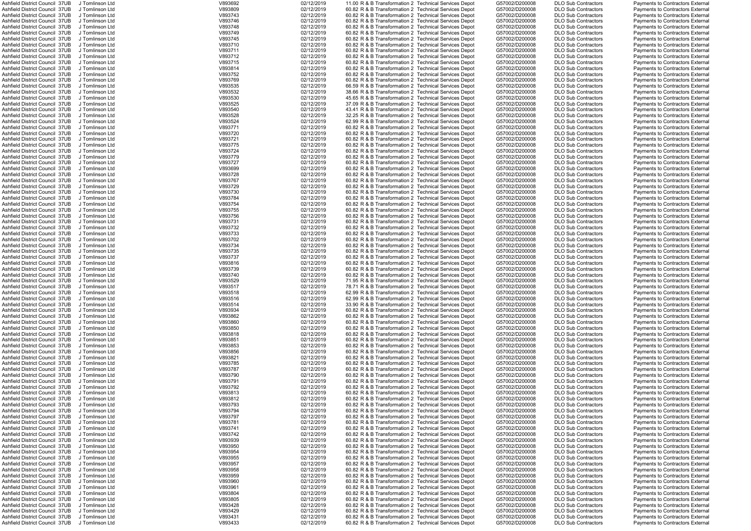| Ashfield District Council 37UB                 | J Tomlinson Ltd | V893692 | 02/12/2019 | 11.00 R & B Transformation 2 Technical Services Depot | G57002/D200008 | <b>DLO Sub Contractors</b> | Payments to Contractors External        |
|------------------------------------------------|-----------------|---------|------------|-------------------------------------------------------|----------------|----------------------------|-----------------------------------------|
| Ashfield District Council 37UB                 | J Tomlinson Ltd | V893809 | 02/12/2019 | 60.82 R & B Transformation 2 Technical Services Depot | G57002/D200008 | <b>DLO Sub Contractors</b> | Payments to Contractors External        |
| Ashfield District Council 37UB                 | J Tomlinson Ltd | V893743 | 02/12/2019 | 60.82 R & B Transformation 2 Technical Services Depot | G57002/D200008 | <b>DLO Sub Contractors</b> | Payments to Contractors External        |
| Ashfield District Council 37UB                 | J Tomlinson Ltd | V893746 | 02/12/2019 | 60.82 R & B Transformation 2 Technical Services Depot | G57002/D200008 | <b>DLO Sub Contractors</b> | Payments to Contractors External        |
| Ashfield District Council 37UB                 | J Tomlinson Ltd | V893748 | 02/12/2019 | 60.82 R & B Transformation 2 Technical Services Depot | G57002/D200008 | <b>DLO Sub Contractors</b> | Payments to Contractors External        |
| Ashfield District Council 37UB                 | J Tomlinson Ltd | V893749 | 02/12/2019 | 60.82 R & B Transformation 2 Technical Services Depot | G57002/D200008 | <b>DLO Sub Contractors</b> | Payments to Contractors External        |
| Ashfield District Council 37UB                 | J Tomlinson Ltd | V893745 | 02/12/2019 | 60.82 R & B Transformation 2 Technical Services Depot | G57002/D200008 | <b>DLO Sub Contractors</b> | Payments to Contractors External        |
| Ashfield District Council 37UB                 | J Tomlinson Ltd | V893710 | 02/12/2019 | 60.82 R & B Transformation 2 Technical Services Depot | G57002/D200008 | <b>DLO Sub Contractors</b> | Payments to Contractors External        |
| Ashfield District Council 37UB                 | J Tomlinson Ltd | V893711 | 02/12/2019 | 60.82 R & B Transformation 2 Technical Services Depot | G57002/D200008 | <b>DLO Sub Contractors</b> | Payments to Contractors External        |
| Ashfield District Council 37UB                 | J Tomlinson Ltd | V893712 | 02/12/2019 | 60.82 R & B Transformation 2 Technical Services Depot | G57002/D200008 | <b>DLO Sub Contractors</b> | Payments to Contractors External        |
| Ashfield District Council 37UB                 | J Tomlinson Ltd | V893715 | 02/12/2019 | 60.82 R & B Transformation 2 Technical Services Depot | G57002/D200008 | <b>DLO Sub Contractors</b> | Payments to Contractors External        |
| Ashfield District Council 37UB                 | J Tomlinson Ltd | V893814 | 02/12/2019 | 60.82 R & B Transformation 2 Technical Services Depot | G57002/D200008 | <b>DLO Sub Contractors</b> | Payments to Contractors External        |
| Ashfield District Council 37UB                 | J Tomlinson Ltd | V893752 | 02/12/2019 | 60.82 R & B Transformation 2 Technical Services Depot | G57002/D200008 | <b>DLO Sub Contractors</b> | <b>Payments to Contractors External</b> |
| Ashfield District Council 37UB                 | J Tomlinson Ltd | V893769 | 02/12/2019 | 60.82 R & B Transformation 2 Technical Services Depot | G57002/D200008 | <b>DLO Sub Contractors</b> | Payments to Contractors External        |
| Ashfield District Council 37UB                 | J Tomlinson Ltd | V893535 | 02/12/2019 | 66.59 R & B Transformation 2 Technical Services Depot | G57002/D200008 | <b>DLO Sub Contractors</b> | Payments to Contractors External        |
| Ashfield District Council 37UB                 | J Tomlinson Ltd | V893532 | 02/12/2019 | 38.66 R & B Transformation 2 Technical Services Depot | G57002/D200008 | <b>DLO Sub Contractors</b> | Payments to Contractors External        |
| Ashfield District Council 37UB                 | J Tomlinson Ltd | V893530 | 02/12/2019 | 45.65 R & B Transformation 2 Technical Services Depot | G57002/D200008 | <b>DLO Sub Contractors</b> | Payments to Contractors External        |
| Ashfield District Council 37UB                 | J Tomlinson Ltd | V893525 | 02/12/2019 | 37.09 R & B Transformation 2 Technical Services Depot | G57002/D200008 | <b>DLO Sub Contractors</b> | Payments to Contractors External        |
| Ashfield District Council 37UB                 | J Tomlinson Ltd | V893540 | 02/12/2019 | 43.41 R & B Transformation 2 Technical Services Depot | G57002/D200008 | <b>DLO Sub Contractors</b> | Payments to Contractors External        |
| Ashfield District Council 37UB                 | J Tomlinson Ltd | V893528 | 02/12/2019 | 32.25 R & B Transformation 2 Technical Services Depot | G57002/D200008 | <b>DLO Sub Contractors</b> | Payments to Contractors External        |
| Ashfield District Council 37UB                 | J Tomlinson Ltd | V893524 | 02/12/2019 | 62.99 R & B Transformation 2 Technical Services Depot | G57002/D200008 | <b>DLO Sub Contractors</b> | Payments to Contractors External        |
| Ashfield District Council 37UB                 | J Tomlinson Ltd | V893771 | 02/12/2019 | 60.82 R & B Transformation 2 Technical Services Depot | G57002/D200008 | <b>DLO Sub Contractors</b> | Payments to Contractors External        |
| Ashfield District Council 37UB                 | J Tomlinson Ltd | V893720 | 02/12/2019 | 60.82 R & B Transformation 2 Technical Services Depot | G57002/D200008 | <b>DLO Sub Contractors</b> | Payments to Contractors External        |
| Ashfield District Council 37UB                 | J Tomlinson Ltd | V893721 | 02/12/2019 | 60.82 R & B Transformation 2 Technical Services Depot | G57002/D200008 | <b>DLO Sub Contractors</b> | <b>Payments to Contractors External</b> |
| Ashfield District Council 37UB                 | J Tomlinson Ltd | V893775 | 02/12/2019 | 60.82 R & B Transformation 2 Technical Services Depot | G57002/D200008 | <b>DLO Sub Contractors</b> | Payments to Contractors External        |
| Ashfield District Council 37UB                 |                 | V893724 | 02/12/2019 | 60.82 R & B Transformation 2 Technical Services Depot | G57002/D200008 | <b>DLO Sub Contractors</b> | <b>Payments to Contractors External</b> |
|                                                | J Tomlinson Ltd |         |            |                                                       |                |                            |                                         |
| Ashfield District Council 37UB                 | J Tomlinson Ltd | V893779 | 02/12/2019 | 60.82 R & B Transformation 2 Technical Services Depot | G57002/D200008 | <b>DLO Sub Contractors</b> | Payments to Contractors External        |
| Ashfield District Council 37UB                 | J Tomlinson Ltd | V893727 | 02/12/2019 | 60.82 R & B Transformation 2 Technical Services Depot | G57002/D200008 | <b>DLO Sub Contractors</b> | Payments to Contractors External        |
| Ashfield District Council 37UB                 | J Tomlinson Ltd | V893699 | 02/12/2019 | 60.82 R & B Transformation 2 Technical Services Depot | G57002/D200008 | <b>DLO Sub Contractors</b> | Payments to Contractors External        |
| Ashfield District Council 37UB                 | J Tomlinson Ltd | V893728 | 02/12/2019 | 60.82 R & B Transformation 2 Technical Services Depot | G57002/D200008 | <b>DLO Sub Contractors</b> | Payments to Contractors External        |
| Ashfield District Council 37UB                 | J Tomlinson Ltd | V893767 | 02/12/2019 | 60.82 R & B Transformation 2 Technical Services Depot | G57002/D200008 | <b>DLO Sub Contractors</b> | Payments to Contractors External        |
| Ashfield District Council 37UB                 | J Tomlinson Ltd | V893729 | 02/12/2019 | 60.82 R & B Transformation 2 Technical Services Depot | G57002/D200008 | <b>DLO Sub Contractors</b> | Payments to Contractors External        |
| Ashfield District Council 37UB                 | J Tomlinson Ltd | V893730 | 02/12/2019 | 60.82 R & B Transformation 2 Technical Services Depot | G57002/D200008 | <b>DLO Sub Contractors</b> | Payments to Contractors External        |
| Ashfield District Council 37UB                 | J Tomlinson Ltd | V893784 | 02/12/2019 | 60.82 R & B Transformation 2 Technical Services Depot | G57002/D200008 | <b>DLO Sub Contractors</b> | Payments to Contractors External        |
| Ashfield District Council 37UB                 | J Tomlinson Ltd | V893754 | 02/12/2019 | 60.82 R & B Transformation 2 Technical Services Depot | G57002/D200008 | <b>DLO Sub Contractors</b> | Payments to Contractors External        |
| Ashfield District Council 37UB                 | J Tomlinson Ltd | V893755 | 02/12/2019 | 60.82 R & B Transformation 2 Technical Services Depot | G57002/D200008 | <b>DLO Sub Contractors</b> | Payments to Contractors External        |
| Ashfield District Council 37UB                 | J Tomlinson Ltd | V893756 | 02/12/2019 | 60.82 R & B Transformation 2 Technical Services Depot | G57002/D200008 | <b>DLO Sub Contractors</b> | Payments to Contractors External        |
| Ashfield District Council 37UB                 | J Tomlinson Ltd | V893731 | 02/12/2019 | 60.82 R & B Transformation 2 Technical Services Depot | G57002/D200008 | <b>DLO Sub Contractors</b> | Payments to Contractors External        |
| Ashfield District Council 37UB                 | J Tomlinson Ltd | V893732 | 02/12/2019 | 60.82 R & B Transformation 2 Technical Services Depot | G57002/D200008 | <b>DLO Sub Contractors</b> | Payments to Contractors External        |
| Ashfield District Council 37UB                 | J Tomlinson Ltd | V893733 | 02/12/2019 | 60.82 R & B Transformation 2 Technical Services Depot | G57002/D200008 | <b>DLO Sub Contractors</b> | Payments to Contractors External        |
| Ashfield District Council 37UB                 | J Tomlinson Ltd | V893702 | 02/12/2019 | 60.82 R & B Transformation 2 Technical Services Depot | G57002/D200008 | <b>DLO Sub Contractors</b> | Payments to Contractors External        |
| Ashfield District Council 37UB                 | J Tomlinson Ltd | V893734 | 02/12/2019 | 60.82 R & B Transformation 2 Technical Services Depot | G57002/D200008 | <b>DLO Sub Contractors</b> | Payments to Contractors External        |
| Ashfield District Council 37UB                 | J Tomlinson Ltd | V893735 | 02/12/2019 | 60.82 R & B Transformation 2 Technical Services Depot | G57002/D200008 | <b>DLO Sub Contractors</b> | Payments to Contractors External        |
| Ashfield District Council 37UB                 | J Tomlinson Ltd | V893737 | 02/12/2019 | 60.82 R & B Transformation 2 Technical Services Depot | G57002/D200008 | <b>DLO Sub Contractors</b> | Payments to Contractors External        |
| Ashfield District Council 37UB                 | J Tomlinson Ltd | V893816 | 02/12/2019 | 60.82 R & B Transformation 2 Technical Services Depot | G57002/D200008 | <b>DLO Sub Contractors</b> | <b>Payments to Contractors External</b> |
| Ashfield District Council 37UB                 | J Tomlinson Ltd | V893739 | 02/12/2019 | 60.82 R & B Transformation 2 Technical Services Depot | G57002/D200008 | <b>DLO Sub Contractors</b> | Payments to Contractors External        |
| Ashfield District Council 37UB                 | J Tomlinson Ltd | V893740 | 02/12/2019 | 60.82 R & B Transformation 2 Technical Services Depot | G57002/D200008 | <b>DLO Sub Contractors</b> | Payments to Contractors External        |
| Ashfield District Council 37UB                 | J Tomlinson Ltd | V893529 | 02/12/2019 | 71.95 R & B Transformation 2 Technical Services Depot | G57002/D200008 | <b>DLO Sub Contractors</b> | <b>Payments to Contractors External</b> |
| Ashfield District Council 37UB                 | J Tomlinson Ltd | V893517 | 02/12/2019 | 78.71 R & B Transformation 2 Technical Services Depot | G57002/D200008 | <b>DLO Sub Contractors</b> | Payments to Contractors External        |
| Ashfield District Council 37UB                 | J Tomlinson Ltd | V893518 | 02/12/2019 | 62.99 R & B Transformation 2 Technical Services Depot | G57002/D200008 | <b>DLO Sub Contractors</b> | Payments to Contractors External        |
| Ashfield District Council 37UB                 | J Tomlinson Ltd | V893516 | 02/12/2019 | 62.99 R & B Transformation 2 Technical Services Depot | G57002/D200008 | <b>DLO Sub Contractors</b> | Payments to Contractors External        |
| Ashfield District Council 37UB                 | J Tomlinson Ltd | V893514 | 02/12/2019 | 33.90 R & B Transformation 2 Technical Services Depot | G57002/D200008 | <b>DLO Sub Contractors</b> | Payments to Contractors External        |
| Ashfield District Council 37UB                 | J Tomlinson Ltd | V893934 | 02/12/2019 | 60.82 R & B Transformation 2 Technical Services Depot | G57002/D200008 | <b>DLO Sub Contractors</b> | Payments to Contractors External        |
|                                                |                 |         |            |                                                       | G57002/D200008 |                            |                                         |
| Ashfield District Council 37UB                 | J Tomlinson Ltd | V893862 | 02/12/2019 | 60.82 R & B Transformation 2 Technical Services Depot |                | <b>DLO Sub Contractors</b> | Payments to Contractors External        |
| Ashfield District Council 37UB                 | J Tomlinson Ltd | V893860 | 02/12/2019 | 60.82 R & B Transformation 2 Technical Services Depot | G57002/D200008 | <b>DLO Sub Contractors</b> | Payments to Contractors External        |
| Ashfield District Council 37UB                 | J Tomlinson Ltd | V893850 | 02/12/2019 | 60.82 R & B Transformation 2 Technical Services Depot | G57002/D200008 | <b>DLO Sub Contractors</b> | Payments to Contractors External        |
| Ashfield District Council 37UB                 | J Tomlinson Ltd | V893818 | 02/12/2019 | 60.82 R & B Transformation 2 Technical Services Depot | G57002/D200008 | <b>DLO Sub Contractors</b> | Payments to Contractors External        |
| Ashfield District Council 37UB                 | J Tomlinson Ltd | V893851 | 02/12/2019 | 60.82 R & B Transformation 2 Technical Services Depot | G57002/D200008 | <b>DLO Sub Contractors</b> | Payments to Contractors External        |
| Ashfield District Council 37UB                 | J Tomlinson Ltd | V893853 | 02/12/2019 | 60.82 R & B Transformation 2 Technical Services Depot | G57002/D200008 | <b>DLO Sub Contractors</b> | Payments to Contractors External        |
| Ashfield District Council 37UB                 | J Tomlinson Ltd | V893856 | 02/12/2019 | 60.82 R & B Transformation 2 Technical Services Depot | G57002/D200008 | <b>DLO Sub Contractors</b> | Payments to Contractors External        |
| Ashfield District Council 37UB                 | J Tomlinson Ltd | V893821 | 02/12/2019 | 60.82 R & B Transformation 2 Technical Services Depot | G57002/D200008 | <b>DLO Sub Contractors</b> | Payments to Contractors External        |
| Ashfield District Council 37UB                 | J Tomlinson Ltd | V893785 | 02/12/2019 | 60.82 R & B Transformation 2 Technical Services Depot | G57002/D200008 | <b>DLO Sub Contractors</b> | Payments to Contractors External        |
| Ashfield District Council 37UB                 | J Tomlinson Ltd | V893787 | 02/12/2019 | 60.82 R & B Transformation 2 Technical Services Depot | G57002/D200008 | <b>DLO Sub Contractors</b> | Payments to Contractors External        |
| Ashfield District Council 37UB                 | J Tomlinson Ltd | V893790 | 02/12/2019 | 60.82 R & B Transformation 2 Technical Services Depot | G57002/D200008 | <b>DLO Sub Contractors</b> | Payments to Contractors External        |
| Ashfield District Council 37UB                 | J Tomlinson Ltd | V893791 | 02/12/2019 | 60.82 R & B Transformation 2 Technical Services Depot | G57002/D200008 | <b>DLO Sub Contractors</b> | Payments to Contractors External        |
| Ashfield District Council 37UB                 | J Tomlinson Ltd | V893792 | 02/12/2019 | 60.82 R & B Transformation 2 Technical Services Depot | G57002/D200008 | <b>DLO Sub Contractors</b> | Payments to Contractors External        |
| Ashfield District Council 37UB                 | J Tomlinson Ltd | V893813 | 02/12/2019 | 60.82 R & B Transformation 2 Technical Services Depot | G57002/D200008 | <b>DLO Sub Contractors</b> | Payments to Contractors External        |
| Ashfield District Council 37UB                 | J Tomlinson Ltd | V893812 | 02/12/2019 | 60.82 R & B Transformation 2 Technical Services Depot | G57002/D200008 | <b>DLO Sub Contractors</b> | Payments to Contractors External        |
| Ashfield District Council 37UB                 | J Tomlinson Ltd | V893793 | 02/12/2019 | 60.82 R & B Transformation 2 Technical Services Depot | G57002/D200008 | <b>DLO Sub Contractors</b> | Payments to Contractors External        |
| Ashfield District Council 37UB                 | J Tomlinson Ltd | V893794 | 02/12/2019 | 60.82 R & B Transformation 2 Technical Services Depot | G57002/D200008 | <b>DLO Sub Contractors</b> | Payments to Contractors External        |
| Ashfield District Council 37UB                 | J Tomlinson Ltd | V893797 | 02/12/2019 | 60.82 R & B Transformation 2 Technical Services Depot | G57002/D200008 | <b>DLO Sub Contractors</b> | Payments to Contractors External        |
| Ashfield District Council 37UB                 | J Tomlinson Ltd | V893781 | 02/12/2019 | 60.82 R & B Transformation 2 Technical Services Depot | G57002/D200008 | <b>DLO Sub Contractors</b> | Payments to Contractors External        |
| Ashfield District Council 37UB                 | J Tomlinson Ltd | V893741 | 02/12/2019 | 60.82 R & B Transformation 2 Technical Services Depot | G57002/D200008 | <b>DLO Sub Contractors</b> | Payments to Contractors External        |
| Ashfield District Council 37UB                 | J Tomlinson Ltd | V893742 | 02/12/2019 | 60.82 R & B Transformation 2 Technical Services Depot | G57002/D200008 | <b>DLO Sub Contractors</b> | Payments to Contractors External        |
| Ashfield District Council 37UB                 | J Tomlinson Ltd | V893939 | 02/12/2019 | 60.82 R & B Transformation 2 Technical Services Depot | G57002/D200008 | <b>DLO Sub Contractors</b> | Payments to Contractors External        |
| Ashfield District Council 37UB                 | J Tomlinson Ltd | V893950 | 02/12/2019 | 60.82 R & B Transformation 2 Technical Services Depot | G57002/D200008 | <b>DLO Sub Contractors</b> | Payments to Contractors External        |
| Ashfield District Council 37UB                 | J Tomlinson Ltd | V893954 | 02/12/2019 | 60.82 R & B Transformation 2 Technical Services Depot | G57002/D200008 | <b>DLO Sub Contractors</b> | Payments to Contractors External        |
| Ashfield District Council 37UB                 | J Tomlinson Ltd | V893955 | 02/12/2019 | 60.82 R & B Transformation 2 Technical Services Depot | G57002/D200008 | <b>DLO Sub Contractors</b> | Payments to Contractors External        |
| Ashfield District Council 37UB                 | J Tomlinson Ltd | V893957 | 02/12/2019 | 60.82 R & B Transformation 2 Technical Services Depot | G57002/D200008 | <b>DLO Sub Contractors</b> | Payments to Contractors External        |
| Ashfield District Council 37UB                 | J Tomlinson Ltd | V893958 | 02/12/2019 | 60.82 R & B Transformation 2 Technical Services Depot | G57002/D200008 | <b>DLO Sub Contractors</b> | Payments to Contractors External        |
| Ashfield District Council 37UB                 | J Tomlinson Ltd | V893959 | 02/12/2019 | 60.82 R & B Transformation 2 Technical Services Depot | G57002/D200008 | <b>DLO Sub Contractors</b> | Payments to Contractors External        |
| Ashfield District Council 37UB                 | J Tomlinson Ltd | V893960 | 02/12/2019 | 60.82 R & B Transformation 2 Technical Services Depot | G57002/D200008 | <b>DLO Sub Contractors</b> | Payments to Contractors External        |
| Ashfield District Council 37UB                 | J Tomlinson Ltd | V893961 | 02/12/2019 | 60.82 R & B Transformation 2 Technical Services Depot | G57002/D200008 | <b>DLO Sub Contractors</b> | Payments to Contractors External        |
| Ashfield District Council 37UB                 | J Tomlinson Ltd | V893804 | 02/12/2019 | 60.82 R & B Transformation 2 Technical Services Depot | G57002/D200008 | <b>DLO Sub Contractors</b> | Payments to Contractors External        |
| Ashfield District Council 37UB                 | J Tomlinson Ltd | V893805 | 02/12/2019 | 60.82 R & B Transformation 2 Technical Services Depot | G57002/D200008 | <b>DLO Sub Contractors</b> | Payments to Contractors External        |
| Ashfield District Council 37UB                 | J Tomlinson Ltd | V893428 | 02/12/2019 | 60.82 R & B Transformation 2 Technical Services Depot | G57002/D200008 | <b>DLO Sub Contractors</b> | <b>Payments to Contractors External</b> |
|                                                |                 |         |            |                                                       |                |                            |                                         |
| Ashfield District Council 37UB                 | J Tomlinson Ltd | V893429 | 02/12/2019 | 60.82 R & B Transformation 2 Technical Services Depot | G57002/D200008 | <b>DLO Sub Contractors</b> | Payments to Contractors External        |
| Ashfield District Council 37UB                 | J Tomlinson Ltd | V893431 | 02/12/2019 | 60.82 R & B Transformation 2 Technical Services Depot | G57002/D200008 | <b>DLO Sub Contractors</b> | <b>Payments to Contractors External</b> |
| Ashfield District Council 37UB J Tomlinson Ltd |                 | V893433 | 02/12/2019 | 60.82 R & B Transformation 2 Technical Services Depot | G57002/D200008 | <b>DLO Sub Contractors</b> | Payments to Contractors External        |

|            |   | Sub Contractors                    |
|------------|---|------------------------------------|
|            |   | Sub Contractors                    |
|            |   | Sub Contractors                    |
| Sub        |   | Contractors                        |
| Sub<br>Sub |   | Contractors                        |
|            |   | Contractors                        |
| Sub        |   |                                    |
| .<br>Sub   |   | Contractors<br>Contractors         |
| Sub        |   | Contractors                        |
| Sub        |   | Contractors                        |
| Sub        |   |                                    |
|            |   | Contractors                        |
| Sub        |   | Contractors                        |
| .<br>Sub   |   | Contractors                        |
|            |   | Contractors                        |
| Sub<br>Sub |   | Contractors                        |
| Sub        |   | Contractors                        |
| Sub        |   | Contractors                        |
| Sub        | C | <b>Contractors</b>                 |
| Sub        |   | Contractors                        |
| Sub        |   | Contractors                        |
| Sub        |   | Contractors                        |
| -<br>Sub   |   | Contractors                        |
| Sub        |   |                                    |
|            |   | Contractors<br>Contractors         |
| Sub        |   |                                    |
| Sub        |   | Contractors                        |
| Sub        |   | Contractors                        |
| Sub        |   | Contractors                        |
| Sub        |   | Contractors                        |
| .<br>Sub   |   | Contractors                        |
|            |   | Contractors                        |
| Sub<br>Sub |   | Contractors                        |
| Sub        |   |                                    |
| Sub        |   | Contractors<br>Contractors         |
| Sub        |   | Contractors                        |
| Sub        |   | Contractors                        |
| Sub        |   |                                    |
|            |   | Contractors                        |
| Sub        |   | Contractors                        |
| -<br>Sub   |   | Contractors                        |
| Sub<br>Sub |   | Contractors                        |
|            |   | Contractors                        |
| Sub        |   | Contractors                        |
| Sub        |   | Contractors                        |
| Sub        |   | Contractors                        |
|            |   |                                    |
|            |   |                                    |
|            |   | Sub Contractors                    |
|            |   | Sub Contractors                    |
|            |   |                                    |
|            |   | Sub Contractors<br>Sub Contractors |
| Sub        |   | Contractors                        |
| Sub        |   | Contractors                        |
| Sub        |   | Contractors                        |
| Sub        |   | Contractors                        |
|            |   |                                    |
| Sub<br>Sub |   | Contractors<br>Contractors         |
|            |   |                                    |
| Sub        |   | Contractors                        |
| Sub        |   | Contractors                        |
| -<br>Sub   |   | Contractors                        |
| Sub        |   | Contractors                        |
| Sub        |   | Contractors                        |
| Sub        |   | Contractors                        |
| Sub        |   | Contractors                        |
| Sub        |   | Contractors                        |
| Sub        |   | Contractors                        |
|            |   | Contractors                        |
| Sub<br>Sub |   | Contractors                        |
| Sub        |   |                                    |
| Sub        |   | Contractors                        |
|            |   | Contractors                        |
| Sub        |   | Contractors                        |
| Sub        |   | Contractors                        |
| Sub        |   | Contractors                        |
| Sub        |   | Contractors                        |
| Sub        |   | Contractors                        |
| Sub        |   | Contractors                        |
| Sub        |   | Contractors                        |
| Sub        |   | Contractors                        |
| Sub        |   | Contractors                        |
| Sub        |   | Contractors                        |
| Sub        |   | Contractors                        |
| Sub        |   | Contractors                        |
|            |   |                                    |
| Sub        |   | Contractors                        |
| Sub        |   | Contractors                        |
| -<br>Sub   |   | Contractors                        |
| Sub        |   | Contractors                        |
| Sub        |   | Contractors                        |
| Sub        |   | Contractors                        |
| Sub        |   | Contractors                        |
| Sub        |   | Contractors                        |
|            |   | Sub Contractors                    |
| .<br>Sub   |   | Contractors                        |

|  | Payments to Contractors External                                     |  |
|--|----------------------------------------------------------------------|--|
|  | Payments to Contractors External                                     |  |
|  | Payments to Contractors External                                     |  |
|  | Payments to Contractors External                                     |  |
|  | Payments to Contractors External                                     |  |
|  | Payments to Contractors External                                     |  |
|  | Payments to Contractors External                                     |  |
|  | Payments to Contractors External                                     |  |
|  | Payments to Contractors External                                     |  |
|  |                                                                      |  |
|  | Payments to Contractors External                                     |  |
|  | Payments to Contractors External                                     |  |
|  | <b>Payments to Contractors External</b>                              |  |
|  | Payments to Contractors External                                     |  |
|  | Payments to Contractors External                                     |  |
|  | Payments to Contractors External                                     |  |
|  | Payments to Contractors External                                     |  |
|  | Payments to Contractors External                                     |  |
|  | Payments to Contractors External                                     |  |
|  | Payments to Contractors External                                     |  |
|  | Payments to Contractors External                                     |  |
|  | Payments to Contractors External                                     |  |
|  |                                                                      |  |
|  | Payments to Contractors External                                     |  |
|  | Payments to Contractors External                                     |  |
|  | Payments to Contractors External                                     |  |
|  | Payments to Contractors External                                     |  |
|  | Payments to Contractors External                                     |  |
|  | Payments to Contractors External                                     |  |
|  | Payments to Contractors External                                     |  |
|  | Payments to Contractors External                                     |  |
|  | Payments to Contractors External                                     |  |
|  | Payments to Contractors External                                     |  |
|  | Payments to Contractors External                                     |  |
|  | Payments to Contractors External                                     |  |
|  | Payments to Contractors External                                     |  |
|  |                                                                      |  |
|  | Payments to Contractors External                                     |  |
|  | Payments to Contractors External                                     |  |
|  | Payments to Contractors External                                     |  |
|  | Payments to Contractors External                                     |  |
|  | Payments to Contractors External                                     |  |
|  | Payments to Contractors External                                     |  |
|  | Payments to Contractors External                                     |  |
|  | Payments to Contractors External                                     |  |
|  | Payments to Contractors External                                     |  |
|  |                                                                      |  |
|  |                                                                      |  |
|  | Payments to Contractors External                                     |  |
|  | Payments to Contractors External                                     |  |
|  | Payments to Contractors External                                     |  |
|  | Payments to Contractors External                                     |  |
|  | Payments to Contractors External                                     |  |
|  | Payments to Contractors External                                     |  |
|  | Payments to Contractors External                                     |  |
|  | Payments to Contractors External                                     |  |
|  | Payments to Contractors External                                     |  |
|  | Payments to Contractors External                                     |  |
|  | Payments to Contractors External                                     |  |
|  | Payments to Contractors External                                     |  |
|  | Payments to Contractors External                                     |  |
|  |                                                                      |  |
|  | Payments to Contractors External                                     |  |
|  | Payments to Contractors External                                     |  |
|  | Payments to Contractors External                                     |  |
|  | Payments to Contractors External                                     |  |
|  | Payments to Contractors External                                     |  |
|  | Payments to Contractors External                                     |  |
|  | Payments to Contractors External                                     |  |
|  | Payments to Contractors External                                     |  |
|  | Payments to Contractors External                                     |  |
|  | Payments to Contractors External                                     |  |
|  | Payments to Contractors External                                     |  |
|  | Payments to Contractors External                                     |  |
|  | Payments to Contractors External                                     |  |
|  | Payments to Contractors External                                     |  |
|  | Payments to Contractors External                                     |  |
|  | Payments to Contractors External                                     |  |
|  | Payments to Contractors External                                     |  |
|  |                                                                      |  |
|  | Payments to Contractors External                                     |  |
|  | Payments to Contractors External                                     |  |
|  | Payments to Contractors External                                     |  |
|  | Payments to Contractors External                                     |  |
|  | Payments to Contractors External                                     |  |
|  | Payments to Contractors External                                     |  |
|  | Payments to Contractors External                                     |  |
|  | Payments to Contractors External                                     |  |
|  | Payments to Contractors External                                     |  |
|  | Payments to Contractors External                                     |  |
|  | Payments to Contractors External                                     |  |
|  | <b>Payments to Contractors External</b>                              |  |
|  | Payments to Contractors External                                     |  |
|  | Payments to Contractors External                                     |  |
|  | Payments to Contractors External<br>Payments to Contractors External |  |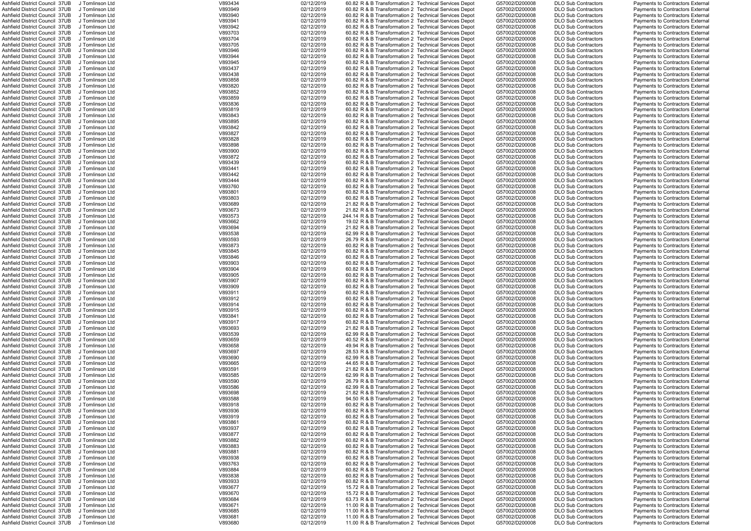| Ashfield District Council 37UB                 | J Tomlinson Ltd | V893434 | 02/12/2019 | 60.82 R & B Transformation 2 Technical Services Depot  | G57002/D200008 | <b>DLO Sub Contractors</b> | <b>Payments to Contractors External</b> |
|------------------------------------------------|-----------------|---------|------------|--------------------------------------------------------|----------------|----------------------------|-----------------------------------------|
| Ashfield District Council 37UB                 | J Tomlinson Ltd | V893949 | 02/12/2019 | 60.82 R & B Transformation 2 Technical Services Depot  | G57002/D200008 | <b>DLO Sub Contractors</b> | <b>Payments to Contractors External</b> |
| Ashfield District Council 37UB                 | J Tomlinson Ltd | V893940 | 02/12/2019 | 60.82 R & B Transformation 2 Technical Services Depot  | G57002/D200008 | <b>DLO Sub Contractors</b> | <b>Payments to Contractors External</b> |
| Ashfield District Council 37UB                 | J Tomlinson Ltd | V893941 | 02/12/2019 | 60.82 R & B Transformation 2 Technical Services Depot  | G57002/D200008 | <b>DLO Sub Contractors</b> | <b>Payments to Contractors External</b> |
| Ashfield District Council 37UB                 | J Tomlinson Ltd | V893942 | 02/12/2019 | 60.82 R & B Transformation 2 Technical Services Depot  | G57002/D200008 | <b>DLO Sub Contractors</b> | <b>Payments to Contractors External</b> |
| Ashfield District Council 37UB                 | J Tomlinson Ltd | V893703 | 02/12/2019 | 60.82 R & B Transformation 2 Technical Services Depot  | G57002/D200008 | <b>DLO Sub Contractors</b> | <b>Payments to Contractors External</b> |
| Ashfield District Council 37UB                 | J Tomlinson Ltd | V893704 | 02/12/2019 | 60.82 R & B Transformation 2 Technical Services Depot  | G57002/D200008 | <b>DLO Sub Contractors</b> | <b>Payments to Contractors External</b> |
|                                                |                 |         |            |                                                        | G57002/D200008 |                            |                                         |
| Ashfield District Council 37UB                 | J Tomlinson Ltd | V893705 | 02/12/2019 | 60.82 R & B Transformation 2 Technical Services Depot  |                | <b>DLO Sub Contractors</b> | Payments to Contractors External        |
| Ashfield District Council 37UB                 | J Tomlinson Ltd | V893946 | 02/12/2019 | 60.82 R & B Transformation 2 Technical Services Depot  | G57002/D200008 | <b>DLO Sub Contractors</b> | <b>Payments to Contractors External</b> |
| Ashfield District Council 37UB                 | J Tomlinson Ltd | V893944 | 02/12/2019 | 60.82 R & B Transformation 2 Technical Services Depot  | G57002/D200008 | <b>DLO Sub Contractors</b> | <b>Payments to Contractors External</b> |
| Ashfield District Council 37UB                 | J Tomlinson Ltd | V893945 | 02/12/2019 | 60.82 R & B Transformation 2 Technical Services Depot  | G57002/D200008 | <b>DLO Sub Contractors</b> | <b>Payments to Contractors External</b> |
| Ashfield District Council 37UB                 | J Tomlinson Ltd | V893437 | 02/12/2019 | 60.82 R & B Transformation 2 Technical Services Depot  | G57002/D200008 | <b>DLO Sub Contractors</b> | <b>Payments to Contractors External</b> |
| Ashfield District Council 37UB                 | J Tomlinson Ltd | V893438 | 02/12/2019 | 60.82 R & B Transformation 2 Technical Services Depot  | G57002/D200008 | <b>DLO Sub Contractors</b> | <b>Payments to Contractors External</b> |
| Ashfield District Council 37UB                 | J Tomlinson Ltd | V893858 | 02/12/2019 | 60.82 R & B Transformation 2 Technical Services Depot  | G57002/D200008 | <b>DLO Sub Contractors</b> | <b>Payments to Contractors External</b> |
|                                                |                 |         |            |                                                        |                |                            |                                         |
| Ashfield District Council 37UB                 | J Tomlinson Ltd | V893820 | 02/12/2019 | 60.82 R & B Transformation 2 Technical Services Depot  | G57002/D200008 | <b>DLO Sub Contractors</b> | Payments to Contractors External        |
| Ashfield District Council 37UB                 | J Tomlinson Ltd | V893852 | 02/12/2019 | 60.82 R & B Transformation 2 Technical Services Depot  | G57002/D200008 | <b>DLO Sub Contractors</b> | <b>Payments to Contractors External</b> |
| Ashfield District Council 37UB                 | J Tomlinson Ltd | V893859 | 02/12/2019 | 60.82 R & B Transformation 2 Technical Services Depot  | G57002/D200008 | <b>DLO Sub Contractors</b> | <b>Payments to Contractors External</b> |
| Ashfield District Council 37UB                 | J Tomlinson Ltd | V893836 | 02/12/2019 | 60.82 R & B Transformation 2 Technical Services Depot  | G57002/D200008 | <b>DLO Sub Contractors</b> | <b>Payments to Contractors External</b> |
| Ashfield District Council 37UB                 | J Tomlinson Ltd | V893819 | 02/12/2019 | 60.82 R & B Transformation 2 Technical Services Depot  | G57002/D200008 | <b>DLO Sub Contractors</b> | <b>Payments to Contractors External</b> |
| Ashfield District Council 37UB                 | J Tomlinson Ltd | V893843 | 02/12/2019 | 60.82 R & B Transformation 2 Technical Services Depot  | G57002/D200008 | <b>DLO Sub Contractors</b> | <b>Payments to Contractors External</b> |
| Ashfield District Council 37UB                 | J Tomlinson Ltd | V893895 | 02/12/2019 | 60.82 R & B Transformation 2 Technical Services Depot  | G57002/D200008 | <b>DLO Sub Contractors</b> | <b>Payments to Contractors External</b> |
|                                                |                 |         |            |                                                        |                |                            |                                         |
| Ashfield District Council 37UB                 | J Tomlinson Ltd | V893842 | 02/12/2019 | 60.82 R & B Transformation 2 Technical Services Depot  | G57002/D200008 | <b>DLO Sub Contractors</b> | <b>Payments to Contractors External</b> |
| Ashfield District Council 37UB                 | J Tomlinson Ltd | V893827 | 02/12/2019 | 60.82 R & B Transformation 2 Technical Services Depot  | G57002/D200008 | <b>DLO Sub Contractors</b> | <b>Payments to Contractors External</b> |
| Ashfield District Council 37UB                 | J Tomlinson Ltd | V893828 | 02/12/2019 | 60.82 R & B Transformation 2 Technical Services Depot  | G57002/D200008 | <b>DLO Sub Contractors</b> | Payments to Contractors External        |
| Ashfield District Council 37UB                 | J Tomlinson Ltd | V893898 | 02/12/2019 | 60.82 R & B Transformation 2 Technical Services Depot  | G57002/D200008 | <b>DLO Sub Contractors</b> | <b>Payments to Contractors External</b> |
| Ashfield District Council 37UB                 | J Tomlinson Ltd | V893900 | 02/12/2019 | 60.82 R & B Transformation 2 Technical Services Depot  | G57002/D200008 | <b>DLO Sub Contractors</b> | <b>Payments to Contractors External</b> |
| Ashfield District Council 37UB                 | J Tomlinson Ltd | V893872 | 02/12/2019 | 60.82 R & B Transformation 2 Technical Services Depot  | G57002/D200008 | <b>DLO Sub Contractors</b> | <b>Payments to Contractors External</b> |
| Ashfield District Council 37UB                 | J Tomlinson Ltd | V893439 | 02/12/2019 | 60.82 R & B Transformation 2 Technical Services Depot  | G57002/D200008 | <b>DLO Sub Contractors</b> | <b>Payments to Contractors External</b> |
|                                                |                 |         |            |                                                        |                |                            |                                         |
| Ashfield District Council 37UB                 | J Tomlinson Ltd | V893441 | 02/12/2019 | 60.82 R & B Transformation 2 Technical Services Depot  | G57002/D200008 | <b>DLO Sub Contractors</b> | <b>Payments to Contractors External</b> |
| Ashfield District Council 37UB                 | J Tomlinson Ltd | V893442 | 02/12/2019 | 60.82 R & B Transformation 2 Technical Services Depot  | G57002/D200008 | <b>DLO Sub Contractors</b> | <b>Payments to Contractors External</b> |
| Ashfield District Council 37UB                 | J Tomlinson Ltd | V893444 | 02/12/2019 | 60.82 R & B Transformation 2 Technical Services Depot  | G57002/D200008 | <b>DLO Sub Contractors</b> | <b>Payments to Contractors External</b> |
| Ashfield District Council 37UB                 | J Tomlinson Ltd | V893760 | 02/12/2019 | 60.82 R & B Transformation 2 Technical Services Depot  | G57002/D200008 | <b>DLO Sub Contractors</b> | Payments to Contractors External        |
| Ashfield District Council 37UB                 | J Tomlinson Ltd | V893801 | 02/12/2019 | 60.82 R & B Transformation 2 Technical Services Depot  | G57002/D200008 | <b>DLO Sub Contractors</b> | Payments to Contractors External        |
| Ashfield District Council 37UB                 | J Tomlinson Ltd | V893803 | 02/12/2019 | 60.82 R & B Transformation 2 Technical Services Depot  | G57002/D200008 | <b>DLO Sub Contractors</b> | Payments to Contractors External        |
| Ashfield District Council 37UB                 |                 | V893689 | 02/12/2019 | 21.82 R & B Transformation 2 Technical Services Depot  | G57002/D200008 | <b>DLO Sub Contractors</b> |                                         |
|                                                | J Tomlinson Ltd |         |            |                                                        |                |                            | Payments to Contractors External        |
| Ashfield District Council 37UB                 | J Tomlinson Ltd | V893673 | 02/12/2019 | 21.82 R & B Transformation 2 Technical Services Depot  | G57002/D200008 | <b>DLO Sub Contractors</b> | Payments to Contractors External        |
| Ashfield District Council 37UB                 | J Tomlinson Ltd | V893573 | 02/12/2019 | 244.14 R & B Transformation 2 Technical Services Depot | G57002/D200008 | <b>DLO Sub Contractors</b> | Payments to Contractors External        |
| Ashfield District Council 37UB                 | J Tomlinson Ltd | V893662 | 02/12/2019 | 19.02 R & B Transformation 2 Technical Services Depot  | G57002/D200008 | <b>DLO Sub Contractors</b> | Payments to Contractors External        |
| Ashfield District Council 37UB                 | J Tomlinson Ltd | V893694 | 02/12/2019 | 21.82 R & B Transformation 2 Technical Services Depot  | G57002/D200008 | <b>DLO Sub Contractors</b> | Payments to Contractors External        |
| Ashfield District Council 37UB                 | J Tomlinson Ltd | V893538 | 02/12/2019 | 62.99 R & B Transformation 2 Technical Services Depot  | G57002/D200008 | <b>DLO Sub Contractors</b> | Payments to Contractors External        |
| Ashfield District Council 37UB                 | J Tomlinson Ltd | V893593 | 02/12/2019 | 26.79 R & B Transformation 2 Technical Services Depot  | G57002/D200008 | <b>DLO Sub Contractors</b> | Payments to Contractors External        |
|                                                |                 |         |            |                                                        |                |                            |                                         |
| <b>Ashfield District Council 37UB</b>          | J Tomlinson Ltd | V893873 | 02/12/2019 | 60.82 R & B Transformation 2 Technical Services Depot  | G57002/D200008 | <b>DLO Sub Contractors</b> | Payments to Contractors External        |
| Ashfield District Council 37UB                 | J Tomlinson Ltd | V893845 | 02/12/2019 | 60.82 R & B Transformation 2 Technical Services Depot  | G57002/D200008 | <b>DLO Sub Contractors</b> | Payments to Contractors External        |
| Ashfield District Council 37UB                 | J Tomlinson Ltd | V893846 | 02/12/2019 | 60.82 R & B Transformation 2 Technical Services Depot  | G57002/D200008 | <b>DLO Sub Contractors</b> | Payments to Contractors External        |
| Ashfield District Council 37UB                 | J Tomlinson Ltd | V893903 | 02/12/2019 | 60.82 R & B Transformation 2 Technical Services Depot  | G57002/D200008 | <b>DLO Sub Contractors</b> | Payments to Contractors External        |
| Ashfield District Council 37UB                 | J Tomlinson Ltd | V893904 | 02/12/2019 | 60.82 R & B Transformation 2 Technical Services Depot  | G57002/D200008 | <b>DLO Sub Contractors</b> | <b>Payments to Contractors External</b> |
| Ashfield District Council 37UB                 | J Tomlinson Ltd | V893905 | 02/12/2019 | 60.82 R & B Transformation 2 Technical Services Depot  | G57002/D200008 | <b>DLO Sub Contractors</b> | Payments to Contractors External        |
| Ashfield District Council 37UB                 | J Tomlinson Ltd | V893907 | 02/12/2019 | 60.82 R & B Transformation 2 Technical Services Depot  | G57002/D200008 | <b>DLO Sub Contractors</b> | Payments to Contractors External        |
|                                                |                 |         |            |                                                        |                |                            |                                         |
| Ashfield District Council 37UB                 | J Tomlinson Ltd | V893909 | 02/12/2019 | 60.82 R & B Transformation 2 Technical Services Depot  | G57002/D200008 | <b>DLO Sub Contractors</b> | <b>Payments to Contractors External</b> |
| Ashfield District Council 37UB                 | J Tomlinson Ltd | V893911 | 02/12/2019 | 60.82 R & B Transformation 2 Technical Services Depot  | G57002/D200008 | <b>DLO Sub Contractors</b> | <b>Payments to Contractors External</b> |
| Ashfield District Council 37UB                 | J Tomlinson Ltd | V893912 | 02/12/2019 | 60.82 R & B Transformation 2 Technical Services Depot  | G57002/D200008 | <b>DLO Sub Contractors</b> | <b>Payments to Contractors External</b> |
| Ashfield District Council 37UB                 | J Tomlinson Ltd | V893914 | 02/12/2019 | 60.82 R & B Transformation 2 Technical Services Depot  | G57002/D200008 | <b>DLO Sub Contractors</b> | <b>Payments to Contractors External</b> |
| Ashfield District Council 37UB                 | J Tomlinson Ltd | V893915 | 02/12/2019 | 60.82 R & B Transformation 2 Technical Services Depot  | G57002/D200008 | <b>DLO Sub Contractors</b> | <b>Payments to Contractors External</b> |
| Ashfield District Council 37UB                 | J Tomlinson Ltd | V893841 | 02/12/2019 | 60.82 R & B Transformation 2 Technical Services Depot  | G57002/D200008 | <b>DLO Sub Contractors</b> | Payments to Contractors External        |
|                                                |                 |         |            |                                                        |                |                            |                                         |
| Ashfield District Council 37UB                 | J Tomlinson Ltd | V893917 | 02/12/2019 | 60.82 R & B Transformation 2 Technical Services Depot  | G57002/D200008 | <b>DLO Sub Contractors</b> | <b>Payments to Contractors External</b> |
| Ashfield District Council 37UB                 | J Tomlinson Ltd | V893693 | 02/12/2019 | 21.82 R & B Transformation 2 Technical Services Depot  | G57002/D200008 | <b>DLO Sub Contractors</b> | Payments to Contractors External        |
| Ashfield District Council 37UB                 | J Tomlinson Ltd | V893539 | 02/12/2019 | 62.99 R & B Transformation 2 Technical Services Depot  | G57002/D200008 | <b>DLO Sub Contractors</b> | Payments to Contractors External        |
| Ashfield District Council 37UB                 | J Tomlinson Ltd | V893659 | 02/12/2019 | 40.52 R & B Transformation 2 Technical Services Depot  | G57002/D200008 | <b>DLO Sub Contractors</b> | Payments to Contractors External        |
| Ashfield District Council 37UB                 | J Tomlinson Ltd | V893658 | 02/12/2019 | 49.94 R & B Transformation 2 Technical Services Depot  | G57002/D200008 | <b>DLO Sub Contractors</b> | Payments to Contractors External        |
| Ashfield District Council 37UB                 | J Tomlinson Ltd | V893697 | 02/12/2019 | 28.53 R & B Transformation 2 Technical Services Depot  | G57002/D200008 | <b>DLO Sub Contractors</b> | <b>Payments to Contractors External</b> |
| Ashfield District Council 37UB                 | J Tomlinson Ltd | V893690 | 02/12/2019 | 62.99 R & B Transformation 2 Technical Services Depot  | G57002/D200008 | <b>DLO Sub Contractors</b> | <b>Payments to Contractors External</b> |
|                                                |                 |         |            |                                                        |                |                            |                                         |
| Ashfield District Council 37UB                 | J Tomlinson Ltd | V893665 | 02/12/2019 | 44.65 R & B Transformation 2 Technical Services Depot  | G57002/D200008 | <b>DLO Sub Contractors</b> | <b>Payments to Contractors External</b> |
| Ashfield District Council 37UB                 | J Tomlinson Ltd | V893591 | 02/12/2019 | 21.82 R & B Transformation 2 Technical Services Depot  | G57002/D200008 | <b>DLO Sub Contractors</b> | <b>Payments to Contractors External</b> |
| Ashfield District Council 37UB                 | J Tomlinson Ltd | V893585 | 02/12/2019 | 62.99 R & B Transformation 2 Technical Services Depot  | G57002/D200008 | <b>DLO Sub Contractors</b> | Payments to Contractors External        |
| Ashfield District Council 37UB                 | J Tomlinson Ltd | V893590 | 02/12/2019 | 26.79 R & B Transformation 2 Technical Services Depot  | G57002/D200008 | <b>DLO Sub Contractors</b> | Payments to Contractors External        |
| Ashfield District Council 37UB                 | J Tomlinson Ltd | V893586 | 02/12/2019 | 62.99 R & B Transformation 2 Technical Services Depot  | G57002/D200008 | <b>DLO Sub Contractors</b> | <b>Payments to Contractors External</b> |
| Ashfield District Council 37UB                 | J Tomlinson Ltd | V893698 | 02/12/2019 | 21.82 R & B Transformation 2 Technical Services Depot  | G57002/D200008 | <b>DLO Sub Contractors</b> | <b>Payments to Contractors External</b> |
| Ashfield District Council 37UB                 | J Tomlinson Ltd | V893588 | 02/12/2019 | 94.50 R & B Transformation 2 Technical Services Depot  | G57002/D200008 | <b>DLO Sub Contractors</b> | Payments to Contractors External        |
| Ashfield District Council 37UB                 | J Tomlinson Ltd | V893918 | 02/12/2019 | 60.82 R & B Transformation 2 Technical Services Depot  | G57002/D200008 | <b>DLO Sub Contractors</b> | <b>Payments to Contractors External</b> |
|                                                |                 |         |            |                                                        |                |                            |                                         |
| Ashfield District Council 37UB                 | J Tomlinson Ltd | V893936 | 02/12/2019 | 60.82 R & B Transformation 2 Technical Services Depot  | G57002/D200008 | <b>DLO Sub Contractors</b> | <b>Payments to Contractors External</b> |
| Ashfield District Council 37UB                 | J Tomlinson Ltd | V893919 | 02/12/2019 | 60.82 R & B Transformation 2 Technical Services Depot  | G57002/D200008 | <b>DLO Sub Contractors</b> | <b>Payments to Contractors External</b> |
| Ashfield District Council 37UB                 | J Tomlinson Ltd | V893861 | 02/12/2019 | 60.82 R & B Transformation 2 Technical Services Depot  | G57002/D200008 | <b>DLO Sub Contractors</b> | <b>Payments to Contractors External</b> |
| Ashfield District Council 37UB                 | J Tomlinson Ltd | V893937 | 02/12/2019 | 60.82 R & B Transformation 2 Technical Services Depot  | G57002/D200008 | <b>DLO Sub Contractors</b> | <b>Payments to Contractors External</b> |
| Ashfield District Council 37UB                 | J Tomlinson Ltd | V893877 | 02/12/2019 | 60.82 R & B Transformation 2 Technical Services Depot  | G57002/D200008 | <b>DLO Sub Contractors</b> | <b>Payments to Contractors External</b> |
| Ashfield District Council 37UB                 | J Tomlinson Ltd | V893882 | 02/12/2019 | 60.82 R & B Transformation 2 Technical Services Depot  | G57002/D200008 | <b>DLO Sub Contractors</b> | <b>Payments to Contractors External</b> |
| Ashfield District Council 37UB                 | J Tomlinson Ltd | V893883 | 02/12/2019 | 60.82 R & B Transformation 2 Technical Services Depot  | G57002/D200008 | <b>DLO Sub Contractors</b> | <b>Payments to Contractors External</b> |
|                                                |                 |         |            |                                                        |                |                            |                                         |
| Ashfield District Council 37UB                 | J Tomlinson Ltd | V893881 | 02/12/2019 | 60.82 R & B Transformation 2 Technical Services Depot  | G57002/D200008 | <b>DLO Sub Contractors</b> | <b>Payments to Contractors External</b> |
| Ashfield District Council 37UB                 | J Tomlinson Ltd | V893938 | 02/12/2019 | 60.82 R & B Transformation 2 Technical Services Depot  | G57002/D200008 | <b>DLO Sub Contractors</b> | <b>Payments to Contractors External</b> |
| Ashfield District Council 37UB                 | J Tomlinson Ltd | V893763 | 02/12/2019 | 60.82 R & B Transformation 2 Technical Services Depot  | G57002/D200008 | <b>DLO Sub Contractors</b> | <b>Payments to Contractors External</b> |
| Ashfield District Council 37UB                 | J Tomlinson Ltd | V893884 | 02/12/2019 | 60.82 R & B Transformation 2 Technical Services Depot  | G57002/D200008 | <b>DLO Sub Contractors</b> | <b>Payments to Contractors External</b> |
| Ashfield District Council 37UB                 | J Tomlinson Ltd | V893838 | 02/12/2019 | 60.82 R & B Transformation 2 Technical Services Depot  | G57002/D200008 | <b>DLO Sub Contractors</b> | <b>Payments to Contractors External</b> |
| Ashfield District Council 37UB                 | J Tomlinson Ltd | V893933 | 02/12/2019 | 60.82 R & B Transformation 2 Technical Services Depot  | G57002/D200008 | <b>DLO Sub Contractors</b> | <b>Payments to Contractors External</b> |
| Ashfield District Council 37UB                 | J Tomlinson Ltd |         |            |                                                        |                | <b>DLO Sub Contractors</b> |                                         |
|                                                |                 | V893677 | 02/12/2019 | 15.72 R & B Transformation 2 Technical Services Depot  | G57002/D200008 |                            | <b>Payments to Contractors External</b> |
| Ashfield District Council 37UB                 | J Tomlinson Ltd | V893670 | 02/12/2019 | 15.72 R & B Transformation 2 Technical Services Depot  | G57002/D200008 | <b>DLO Sub Contractors</b> | <b>Payments to Contractors External</b> |
| Ashfield District Council 37UB                 | J Tomlinson Ltd | V893684 | 02/12/2019 | 63.73 R & B Transformation 2 Technical Services Depot  | G57002/D200008 | <b>DLO Sub Contractors</b> | <b>Payments to Contractors External</b> |
| Ashfield District Council 37UB                 | J Tomlinson Ltd | V893671 | 02/12/2019 | 11.00 R & B Transformation 2 Technical Services Depot  | G57002/D200008 | <b>DLO Sub Contractors</b> | <b>Payments to Contractors External</b> |
| Ashfield District Council 37UB                 | J Tomlinson Ltd | V893685 | 02/12/2019 | 11.00 R & B Transformation 2 Technical Services Depot  | G57002/D200008 | <b>DLO Sub Contractors</b> | <b>Payments to Contractors External</b> |
| Ashfield District Council 37UB                 | J Tomlinson Ltd | V893681 | 02/12/2019 | 11.00 R & B Transformation 2 Technical Services Depot  | G57002/D200008 | <b>DLO Sub Contractors</b> | <b>Payments to Contractors External</b> |
| Ashfield District Council 37UB J Tomlinson Ltd |                 | V893680 | 02/12/2019 | 11.00 R & B Transformation 2 Technical Services Depot  | G57002/D200008 | <b>DLO Sub Contractors</b> | Payments to Contractors External        |
|                                                |                 |         |            |                                                        |                |                            |                                         |

|            |   | Sub Contractors                    |
|------------|---|------------------------------------|
|            |   | Sub Contractors                    |
|            |   | Sub Contractors                    |
| Sub        |   | Contractors                        |
| Sub<br>Sub |   | Contractors                        |
|            |   | Contractors                        |
| Sub        |   |                                    |
| .<br>Sub   |   | Contractors<br>Contractors         |
| Sub        |   | Contractors                        |
| Sub        |   | Contractors                        |
| Sub        |   |                                    |
|            |   | Contractors                        |
| Sub        |   | Contractors                        |
| .<br>Sub   |   | Contractors                        |
|            |   | Contractors                        |
| Sub<br>Sub |   | Contractors                        |
| Sub        |   | Contractors                        |
| Sub        |   | Contractors                        |
| Sub        | C | <b>Contractors</b>                 |
| Sub        |   | Contractors                        |
| Sub        |   | Contractors                        |
| Sub        |   | Contractors                        |
| -<br>Sub   |   | Contractors                        |
| Sub        |   |                                    |
|            |   | Contractors<br>Contractors         |
| Sub        |   |                                    |
| Sub        |   | Contractors                        |
| Sub        |   | Contractors                        |
| Sub        |   | Contractors                        |
| Sub        |   | Contractors                        |
| .<br>Sub   |   | Contractors                        |
|            |   | Contractors                        |
| Sub<br>Sub |   | Contractors                        |
| Sub        |   |                                    |
| Sub        |   | Contractors<br>Contractors         |
| Sub        |   | Contractors                        |
| Sub        |   | Contractors                        |
| Sub        |   |                                    |
|            |   | Contractors                        |
| Sub        |   | Contractors                        |
| -<br>Sub   |   | Contractors                        |
| Sub<br>Sub |   | Contractors                        |
|            |   | Contractors                        |
| Sub        |   | Contractors                        |
| Sub        |   | Contractors                        |
| Sub        |   | Contractors                        |
|            |   |                                    |
|            |   |                                    |
|            |   | Sub Contractors                    |
|            |   | Sub Contractors                    |
|            |   |                                    |
|            |   | Sub Contractors<br>Sub Contractors |
| Sub        |   | Contractors                        |
| Sub        |   | Contractors                        |
| Sub        |   | Contractors                        |
| Sub        |   | Contractors                        |
|            |   |                                    |
| Sub<br>Sub |   | Contractors<br>Contractors         |
|            |   |                                    |
| Sub        |   | Contractors                        |
| Sub        |   | Contractors                        |
| -<br>Sub   |   | Contractors                        |
| Sub        |   | Contractors                        |
| Sub        |   | Contractors                        |
| Sub        |   | Contractors                        |
| Sub        |   | Contractors                        |
| Sub        |   | Contractors                        |
| Sub        |   | Contractors                        |
|            |   | Contractors                        |
| Sub<br>Sub |   | Contractors                        |
| Sub        |   |                                    |
| Sub        |   | Contractors                        |
|            |   | Contractors                        |
| Sub        |   | Contractors                        |
| Sub        |   | Contractors                        |
| Sub        |   | Contractors                        |
| Sub        |   | Contractors                        |
| Sub        |   | Contractors                        |
| Sub        |   | Contractors                        |
| Sub        |   | Contractors                        |
| Sub        |   | Contractors                        |
| Sub        |   | Contractors                        |
| Sub        |   | Contractors                        |
| Sub        |   | Contractors                        |
| Sub        |   | Contractors                        |
|            |   |                                    |
| Sub        |   | Contractors                        |
| Sub        |   | Contractors                        |
| -<br>Sub   |   | Contractors                        |
| Sub        |   | Contractors                        |
| Sub        |   | Contractors                        |
| Sub        |   | Contractors                        |
| Sub        |   | Contractors                        |
| Sub        |   | Contractors                        |
|            |   | Sub Contractors                    |
| .<br>Sub   |   | Contractors                        |

|  | Payments to Contractors External                                     |  |
|--|----------------------------------------------------------------------|--|
|  | Payments to Contractors External                                     |  |
|  | Payments to Contractors External                                     |  |
|  | Payments to Contractors External                                     |  |
|  | Payments to Contractors External                                     |  |
|  | Payments to Contractors External                                     |  |
|  | Payments to Contractors External                                     |  |
|  | Payments to Contractors External                                     |  |
|  | Payments to Contractors External                                     |  |
|  |                                                                      |  |
|  | Payments to Contractors External                                     |  |
|  | <b>Payments to Contractors External</b>                              |  |
|  | <b>Payments to Contractors External</b>                              |  |
|  | Payments to Contractors External                                     |  |
|  | Payments to Contractors External                                     |  |
|  | Payments to Contractors External                                     |  |
|  | Payments to Contractors External                                     |  |
|  | Payments to Contractors External                                     |  |
|  | Payments to Contractors External                                     |  |
|  | Payments to Contractors External                                     |  |
|  | Payments to Contractors External                                     |  |
|  | Payments to Contractors External                                     |  |
|  |                                                                      |  |
|  | Payments to Contractors External                                     |  |
|  | Payments to Contractors External                                     |  |
|  | Payments to Contractors External                                     |  |
|  | Payments to Contractors External                                     |  |
|  | Payments to Contractors External                                     |  |
|  | <b>Payments to Contractors External</b>                              |  |
|  | Payments to Contractors External                                     |  |
|  | Payments to Contractors External                                     |  |
|  | Payments to Contractors External                                     |  |
|  | Payments to Contractors External                                     |  |
|  | Payments to Contractors External                                     |  |
|  | Payments to Contractors External                                     |  |
|  | Payments to Contractors External                                     |  |
|  |                                                                      |  |
|  | Payments to Contractors External                                     |  |
|  | Payments to Contractors External                                     |  |
|  | Payments to Contractors External                                     |  |
|  | Payments to Contractors External                                     |  |
|  | Payments to Contractors External                                     |  |
|  | Payments to Contractors External                                     |  |
|  | Payments to Contractors External                                     |  |
|  | Payments to Contractors External                                     |  |
|  | Payments to Contractors External                                     |  |
|  |                                                                      |  |
|  |                                                                      |  |
|  | Payments to Contractors External                                     |  |
|  | Payments to Contractors External                                     |  |
|  | Payments to Contractors External                                     |  |
|  | Payments to Contractors External                                     |  |
|  | Payments to Contractors External                                     |  |
|  | Payments to Contractors External                                     |  |
|  | Payments to Contractors External                                     |  |
|  | Payments to Contractors External                                     |  |
|  | Payments to Contractors External                                     |  |
|  | Payments to Contractors External                                     |  |
|  | Payments to Contractors External                                     |  |
|  | Payments to Contractors External                                     |  |
|  | Payments to Contractors External                                     |  |
|  |                                                                      |  |
|  | Payments to Contractors External                                     |  |
|  | Payments to Contractors External                                     |  |
|  | Payments to Contractors External                                     |  |
|  | Payments to Contractors External                                     |  |
|  | Payments to Contractors External                                     |  |
|  | Payments to Contractors External                                     |  |
|  | Payments to Contractors External                                     |  |
|  | Payments to Contractors External                                     |  |
|  | Payments to Contractors External                                     |  |
|  | Payments to Contractors External                                     |  |
|  | Payments to Contractors External                                     |  |
|  | Payments to Contractors External                                     |  |
|  | Payments to Contractors External                                     |  |
|  | Payments to Contractors External                                     |  |
|  | Payments to Contractors External                                     |  |
|  | Payments to Contractors External                                     |  |
|  | Payments to Contractors External                                     |  |
|  |                                                                      |  |
|  | Payments to Contractors External                                     |  |
|  | Payments to Contractors External                                     |  |
|  | Payments to Contractors External                                     |  |
|  | Payments to Contractors External                                     |  |
|  | Payments to Contractors External                                     |  |
|  | Payments to Contractors External                                     |  |
|  | Payments to Contractors External                                     |  |
|  | Payments to Contractors External                                     |  |
|  | Payments to Contractors External                                     |  |
|  | Payments to Contractors External                                     |  |
|  | Payments to Contractors External                                     |  |
|  | <b>Payments to Contractors External</b>                              |  |
|  | Payments to Contractors External                                     |  |
|  | Payments to Contractors External                                     |  |
|  | Payments to Contractors External<br>Payments to Contractors External |  |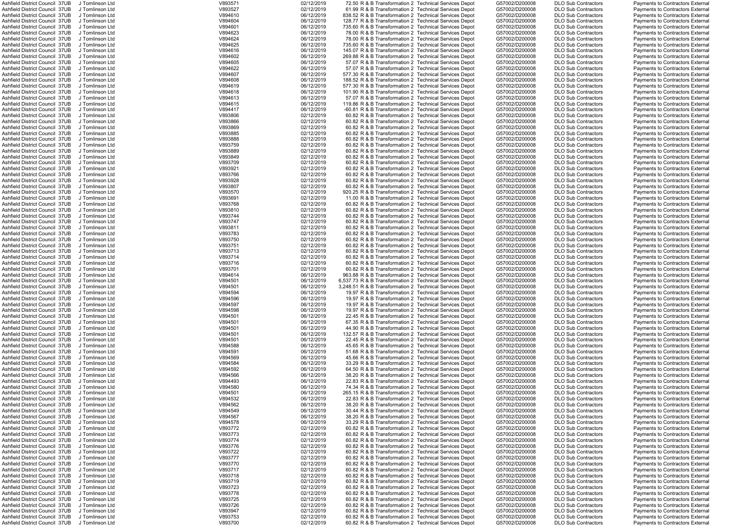| Ashfield District Council 37UB                                   | J Tomlinson Ltd | V893571 | 02/12/2019               | 72.50 R & B Transformation 2 Technical Services Depot    | G57002/D200008 | <b>DLO Sub Contractors</b> | Payments to Contractors External        |
|------------------------------------------------------------------|-----------------|---------|--------------------------|----------------------------------------------------------|----------------|----------------------------|-----------------------------------------|
| Ashfield District Council 37UB                                   | J Tomlinson Ltd | V893527 | 02/12/2019               | 61.99 R & B Transformation 2 Technical Services Depot    | G57002/D200008 | <b>DLO Sub Contractors</b> | Payments to Contractors External        |
| Ashfield District Council 37UB                                   | J Tomlinson Ltd | V894610 | 06/12/2019               | 838.52 R & B Transformation 2 Technical Services Depot   | G57002/D200008 | <b>DLO Sub Contractors</b> | Payments to Contractors External        |
| Ashfield District Council 37UB                                   | J Tomlinson Ltd | V894604 | 06/12/2019               | 128.77 R & B Transformation 2 Technical Services Depot   | G57002/D200008 | <b>DLO Sub Contractors</b> | Payments to Contractors External        |
| Ashfield District Council 37UB                                   | J Tomlinson Ltd | V894601 | 06/12/2019               | 735.60 R & B Transformation 2 Technical Services Depot   | G57002/D200008 | <b>DLO Sub Contractors</b> | Payments to Contractors External        |
| Ashfield District Council 37UB                                   | J Tomlinson Ltd | V894623 | 06/12/2019               | 78.00 R & B Transformation 2 Technical Services Depot    | G57002/D200008 | <b>DLO Sub Contractors</b> | Payments to Contractors External        |
| Ashfield District Council 37UB                                   | J Tomlinson Ltd | V894624 | 06/12/2019               | 78.00 R & B Transformation 2 Technical Services Depot    | G57002/D200008 | <b>DLO Sub Contractors</b> | Payments to Contractors External        |
|                                                                  |                 |         |                          |                                                          |                |                            |                                         |
| Ashfield District Council 37UB                                   | J Tomlinson Ltd | V894625 | 06/12/2019               | 735.60 R & B Transformation 2 Technical Services Depot   | G57002/D200008 | <b>DLO Sub Contractors</b> | Payments to Contractors External        |
| Ashfield District Council 37UB                                   | J Tomlinson Ltd | V894616 | 06/12/2019               | 145.07 R & B Transformation 2 Technical Services Depot   | G57002/D200008 | <b>DLO Sub Contractors</b> | Payments to Contractors External        |
| Ashfield District Council 37UB                                   | J Tomlinson Ltd | V894602 | 06/12/2019               | 269.88 R & B Transformation 2 Technical Services Depot   | G57002/D200008 | <b>DLO Sub Contractors</b> | Payments to Contractors External        |
| Ashfield District Council 37UB                                   | J Tomlinson Ltd | V894605 | 06/12/2019               | 57.07 R & B Transformation 2 Technical Services Depot    | G57002/D200008 | <b>DLO Sub Contractors</b> | <b>Payments to Contractors External</b> |
| Ashfield District Council 37UB                                   | J Tomlinson Ltd | V894622 | 06/12/2019               | 57.07 R & B Transformation 2 Technical Services Depot    | G57002/D200008 | <b>DLO Sub Contractors</b> | Payments to Contractors External        |
| Ashfield District Council 37UB                                   | J Tomlinson Ltd | V894607 | 06/12/2019               | 577.30 R & B Transformation 2 Technical Services Depot   | G57002/D200008 | <b>DLO Sub Contractors</b> | Payments to Contractors External        |
| Ashfield District Council 37UB                                   | J Tomlinson Ltd | V894608 | 06/12/2019               | 188.52 R & B Transformation 2 Technical Services Depot   | G57002/D200008 | <b>DLO Sub Contractors</b> | <b>Payments to Contractors External</b> |
|                                                                  |                 |         |                          |                                                          |                |                            |                                         |
| Ashfield District Council 37UB                                   | J Tomlinson Ltd | V894619 | 06/12/2019               | 577.30 R & B Transformation 2 Technical Services Depot   | G57002/D200008 | <b>DLO Sub Contractors</b> | Payments to Contractors External        |
| Ashfield District Council 37UB                                   | J Tomlinson Ltd | V894618 | 06/12/2019               | 101.90 R & B Transformation 2 Technical Services Depot   | G57002/D200008 | <b>DLO Sub Contractors</b> | Payments to Contractors External        |
| Ashfield District Council 37UB                                   | J Tomlinson Ltd | V894613 | 06/12/2019               | 57.07 R & B Transformation 2 Technical Services Depot    | G57002/D200008 | <b>DLO Sub Contractors</b> | Payments to Contractors External        |
| Ashfield District Council 37UB                                   | J Tomlinson Ltd | V894615 | 06/12/2019               | 119.86 R & B Transformation 2 Technical Services Depot   | G57002/D200008 | <b>DLO Sub Contractors</b> | Payments to Contractors External        |
| Ashfield District Council 37UB                                   | J Tomlinson Ltd | V894417 | 06/12/2019               | -60.81 R & B Transformation 2 Technical Services Depot   | G57002/D200008 | <b>DLO Sub Contractors</b> | Payments to Contractors External        |
| Ashfield District Council 37UB                                   | J Tomlinson Ltd | V893806 | 02/12/2019               | 60.82 R & B Transformation 2 Technical Services Depot    | G57002/D200008 | <b>DLO Sub Contractors</b> | Payments to Contractors External        |
| Ashfield District Council 37UB                                   | J Tomlinson Ltd | V893866 | 02/12/2019               | 60.82 R & B Transformation 2 Technical Services Depot    | G57002/D200008 | <b>DLO Sub Contractors</b> | Payments to Contractors External        |
|                                                                  |                 |         |                          |                                                          |                |                            |                                         |
| Ashfield District Council 37UB                                   | J Tomlinson Ltd | V893869 | 02/12/2019               | 60.82 R & B Transformation 2 Technical Services Depot    | G57002/D200008 | <b>DLO Sub Contractors</b> | <b>Payments to Contractors External</b> |
| Ashfield District Council 37UB                                   | J Tomlinson Ltd | V893885 | 02/12/2019               | 60.82 R & B Transformation 2 Technical Services Depot    | G57002/D200008 | <b>DLO Sub Contractors</b> | Payments to Contractors External        |
| Ashfield District Council 37UB                                   | J Tomlinson Ltd | V893888 | 02/12/2019               | 60.82 R & B Transformation 2 Technical Services Depot    | G57002/D200008 | <b>DLO Sub Contractors</b> | Payments to Contractors External        |
| Ashfield District Council 37UB                                   | J Tomlinson Ltd | V893759 | 02/12/2019               | 60.82 R & B Transformation 2 Technical Services Depot    | G57002/D200008 | <b>DLO Sub Contractors</b> | Payments to Contractors External        |
| Ashfield District Council 37UB                                   | J Tomlinson Ltd | V893889 | 02/12/2019               | 60.82 R & B Transformation 2 Technical Services Depot    | G57002/D200008 | <b>DLO Sub Contractors</b> | Payments to Contractors External        |
| Ashfield District Council 37UB                                   | J Tomlinson Ltd | V893849 | 02/12/2019               | 60.82 R & B Transformation 2 Technical Services Depot    | G57002/D200008 | <b>DLO Sub Contractors</b> | Payments to Contractors External        |
| Ashfield District Council 37UB                                   | J Tomlinson Ltd | V893709 | 02/12/2019               | 60.82 R & B Transformation 2 Technical Services Depot    | G57002/D200008 | <b>DLO Sub Contractors</b> | Payments to Contractors External        |
|                                                                  |                 |         |                          |                                                          |                |                            |                                         |
| Ashfield District Council 37UB                                   | J Tomlinson Ltd | V893921 | 02/12/2019               | 60.82 R & B Transformation 2 Technical Services Depot    | G57002/D200008 | <b>DLO Sub Contractors</b> | Payments to Contractors External        |
| Ashfield District Council 37UB                                   | J Tomlinson Ltd | V893766 | 02/12/2019               | 60.82 R & B Transformation 2 Technical Services Depot    | G57002/D200008 | <b>DLO Sub Contractors</b> | Payments to Contractors External        |
| Ashfield District Council  37UB                                  | J Tomlinson Ltd | V893928 | 02/12/2019               | 60.82 R & B Transformation 2 Technical Services Depot    | G57002/D200008 | <b>DLO Sub Contractors</b> | Payments to Contractors External        |
| Ashfield District Council 37UB                                   | J Tomlinson Ltd | V893807 | 02/12/2019               | 60.82 R & B Transformation 2 Technical Services Depot    | G57002/D200008 | <b>DLO Sub Contractors</b> | Payments to Contractors External        |
| Ashfield District Council 37UB                                   | J Tomlinson Ltd | V893570 | 02/12/2019               | 920.25 R & B Transformation 2 Technical Services Depot   | G57002/D200008 | <b>DLO Sub Contractors</b> | Payments to Contractors External        |
| Ashfield District Council 37UB                                   | J Tomlinson Ltd | V893691 | 02/12/2019               | 11.00 R & B Transformation 2 Technical Services Depot    | G57002/D200008 | <b>DLO Sub Contractors</b> | Payments to Contractors External        |
| Ashfield District Council 37UB                                   | J Tomlinson Ltd | V893768 | 02/12/2019               | 60.82 R & B Transformation 2 Technical Services Depot    | G57002/D200008 | <b>DLO Sub Contractors</b> | Payments to Contractors External        |
|                                                                  |                 |         |                          |                                                          |                |                            |                                         |
| Ashfield District Council 37UB                                   | J Tomlinson Ltd | V893810 | 02/12/2019               | 60.82 R & B Transformation 2 Technical Services Depot    | G57002/D200008 | <b>DLO Sub Contractors</b> | Payments to Contractors External        |
| Ashfield District Council 37UB                                   | J Tomlinson Ltd | V893744 | 02/12/2019               | 60.82 R & B Transformation 2 Technical Services Depot    | G57002/D200008 | <b>DLO Sub Contractors</b> | Payments to Contractors External        |
| Ashfield District Council 37UB                                   | J Tomlinson Ltd | V893747 | 02/12/2019               | 60.82 R & B Transformation 2 Technical Services Depot    | G57002/D200008 | <b>DLO Sub Contractors</b> | Payments to Contractors External        |
| Ashfield District Council 37UB                                   | J Tomlinson Ltd | V893811 | 02/12/2019               | 60.82 R & B Transformation 2 Technical Services Depot    | G57002/D200008 | <b>DLO Sub Contractors</b> | Payments to Contractors External        |
| Ashfield District Council 37UB                                   | J Tomlinson Ltd | V893783 | 02/12/2019               | 60.82 R & B Transformation 2 Technical Services Depot    | G57002/D200008 | <b>DLO Sub Contractors</b> | Payments to Contractors External        |
| Ashfield District Council 37UB                                   | J Tomlinson Ltd | V893750 | 02/12/2019               | 60.82 R & B Transformation 2 Technical Services Depot    | G57002/D200008 | <b>DLO Sub Contractors</b> | Payments to Contractors External        |
|                                                                  | J Tomlinson Ltd |         |                          |                                                          | G57002/D200008 |                            |                                         |
| Ashfield District Council 37UB                                   |                 | V893751 | 02/12/2019               | 60.82 R & B Transformation 2 Technical Services Depot    |                | <b>DLO Sub Contractors</b> | Payments to Contractors External        |
| Ashfield District Council 37UB                                   | J Tomlinson Ltd | V893713 | 02/12/2019               | 60.82 R & B Transformation 2 Technical Services Depot    | G57002/D200008 | <b>DLO Sub Contractors</b> | Payments to Contractors External        |
| Ashfield District Council 37UB                                   | J Tomlinson Ltd | V893714 | 02/12/2019               | 60.82 R & B Transformation 2 Technical Services Depot    | G57002/D200008 | <b>DLO Sub Contractors</b> | Payments to Contractors External        |
| Ashfield District Council 37UB                                   | J Tomlinson Ltd | V893716 | 02/12/2019               | 60.82 R & B Transformation 2 Technical Services Depot    | G57002/D200008 | <b>DLO Sub Contractors</b> | Payments to Contractors External        |
| Ashfield District Council 37UB                                   | J Tomlinson Ltd | V893701 | 02/12/2019               | 60.82 R & B Transformation 2 Technical Services Depot    | G57002/D200008 | <b>DLO Sub Contractors</b> | Payments to Contractors External        |
| Ashfield District Council 37UB                                   | J Tomlinson Ltd | V894614 | 06/12/2019               | 963.88 R & B Transformation 2 Technical Services Depot   | G57002/D200008 | <b>DLO Sub Contractors</b> | Payments to Contractors External        |
| Ashfield District Council 37UB                                   | J Tomlinson Ltd | V894501 | 06/12/2019               | 6,537.73 R & B Transformation 2 Technical Services Depot | G57002/D200008 | <b>DLO Sub Contractors</b> | <b>Payments to Contractors External</b> |
|                                                                  |                 |         |                          |                                                          |                |                            |                                         |
| Ashfield District Council  37UB                                  | J Tomlinson Ltd | V894501 | 06/12/2019               | 3,248.51 R & B Transformation 2 Technical Services Depot | G57002/D200008 | <b>DLO Sub Contractors</b> | Payments to Contractors External        |
| Ashfield District Council 37UB                                   | J Tomlinson Ltd | V894594 | 06/12/2019               | 19.97 R & B Transformation 2 Technical Services Depot    | G57002/D200008 | <b>DLO Sub Contractors</b> | Payments to Contractors External        |
| Ashfield District Council 37UB                                   | J Tomlinson Ltd | V894596 | 06/12/2019               | 19.97 R & B Transformation 2 Technical Services Depot    | G57002/D200008 | <b>DLO Sub Contractors</b> | <b>Payments to Contractors External</b> |
| Ashfield District Council 37UB                                   | J Tomlinson Ltd | V894597 | 06/12/2019               | 19.97 R & B Transformation 2 Technical Services Depot    | G57002/D200008 | <b>DLO Sub Contractors</b> | Payments to Contractors External        |
| Ashfield District Council 37UB                                   | J Tomlinson Ltd | V894598 | 06/12/2019               | 19.97 R & B Transformation 2 Technical Services Depot    | G57002/D200008 | <b>DLO Sub Contractors</b> | Payments to Contractors External        |
| Ashfield District Council 37UB                                   | J Tomlinson Ltd | V894501 | 06/12/2019               | 22.45 R & B Transformation 2 Technical Services Depot    | G57002/D200008 | <b>DLO Sub Contractors</b> | Payments to Contractors External        |
| Ashfield District Council 37UB                                   | J Tomlinson Ltd | V894501 | 06/12/2019               | 67.35 R & B Transformation 2 Technical Services Depot    | G57002/D200008 | <b>DLO Sub Contractors</b> | Payments to Contractors External        |
|                                                                  |                 |         |                          |                                                          |                |                            |                                         |
| Ashfield District Council 37UB                                   | J Tomlinson Ltd | V894501 | 06/12/2019               | 44.90 R & B Transformation 2 Technical Services Depot    | G57002/D200008 | <b>DLO Sub Contractors</b> | Payments to Contractors External        |
| Ashfield District Council 37UB                                   | J Tomlinson Ltd | V894501 | 06/12/2019               | 132.57 R & B Transformation 2 Technical Services Depot   | G57002/D200008 | <b>DLO Sub Contractors</b> | Payments to Contractors External        |
| Ashfield District Council 37UB                                   | J Tomlinson Ltd | V894501 | 06/12/2019               | 22.45 R & B Transformation 2 Technical Services Depot    | G57002/D200008 | <b>DLO Sub Contractors</b> | Payments to Contractors External        |
| Ashfield District Council 37UB                                   | J Tomlinson Ltd | V894588 | 06/12/2019               | 45.65 R & B Transformation 2 Technical Services Depot    | G57002/D200008 | <b>DLO Sub Contractors</b> | Payments to Contractors External        |
| Ashfield District Council 37UB                                   | J Tomlinson Ltd | V894591 | 06/12/2019               | 51.68 R & B Transformation 2 Technical Services Depot    | G57002/D200008 | <b>DLO Sub Contractors</b> | Payments to Contractors External        |
| Ashfield District Council 37UB                                   | J Tomlinson Ltd | V894569 | 06/12/2019               | 45.66 R & B Transformation 2 Technical Services Depot    | G57002/D200008 | <b>DLO Sub Contractors</b> | Payments to Contractors External        |
|                                                                  |                 |         |                          |                                                          |                |                            |                                         |
| Ashfield District Council 37UB                                   | J Tomlinson Ltd | V894584 | 06/12/2019               | 33.29 R & B Transformation 2 Technical Services Depot    | G57002/D200008 | <b>DLO Sub Contractors</b> | Payments to Contractors External        |
| Ashfield District Council 37UB                                   | J Tomlinson Ltd | V894592 | 06/12/2019               | 64.50 R & B Transformation 2 Technical Services Depot    | G57002/D200008 | <b>DLO Sub Contractors</b> | Payments to Contractors External        |
| Ashfield District Council 37UB                                   | J Tomlinson Ltd | V894566 | 06/12/2019               | 38.20 R & B Transformation 2 Technical Services Depot    | G57002/D200008 | <b>DLO Sub Contractors</b> | Payments to Contractors External        |
| Ashfield District Council 37UB                                   | J Tomlinson Ltd | V894493 | 06/12/2019               | 22.83 R & B Transformation 2 Technical Services Depot    | G57002/D200008 | <b>DLO Sub Contractors</b> | Payments to Contractors External        |
| Ashfield District Council 37UB                                   | J Tomlinson Ltd | V894580 | 06/12/2019               | 74.34 R & B Transformation 2 Technical Services Depot    | G57002/D200008 | <b>DLO Sub Contractors</b> | Payments to Contractors External        |
| Ashfield District Council 37UB                                   | J Tomlinson Ltd | V894501 | 06/12/2019               | 265.15 R & B Transformation 2 Technical Services Depot   | G57002/D200008 | <b>DLO Sub Contractors</b> | Payments to Contractors External        |
| Ashfield District Council 37UB                                   | J Tomlinson Ltd | V894532 | 06/12/2019               | 22.83 R & B Transformation 2 Technical Services Depot    | G57002/D200008 | <b>DLO Sub Contractors</b> | Payments to Contractors External        |
| Ashfield District Council 37UB                                   | J Tomlinson Ltd | V894562 | 06/12/2019               | 38.20 R & B Transformation 2 Technical Services Depot    | G57002/D200008 | <b>DLO Sub Contractors</b> | Payments to Contractors External        |
| Ashfield District Council 37UB                                   | J Tomlinson Ltd | V894549 | 06/12/2019               | 30.44 R & B Transformation 2 Technical Services Depot    | G57002/D200008 | <b>DLO Sub Contractors</b> | Payments to Contractors External        |
|                                                                  |                 |         |                          |                                                          |                |                            |                                         |
| Ashfield District Council 37UB                                   |                 | V894567 | 06/12/2019               | 38.20 R & B Transformation 2 Technical Services Depot    | G57002/D200008 | <b>DLO Sub Contractors</b> | Payments to Contractors External        |
|                                                                  | J Tomlinson Ltd |         | 06/12/2019               | 33.29 R & B Transformation 2 Technical Services Depot    |                |                            |                                         |
| Ashfield District Council 37UB                                   | J Tomlinson Ltd | V894578 |                          |                                                          | G57002/D200008 | <b>DLO Sub Contractors</b> | Payments to Contractors External        |
| Ashfield District Council 37UB                                   | J Tomlinson Ltd | V893772 | 02/12/2019               | 60.82 R & B Transformation 2 Technical Services Depot    | G57002/D200008 | <b>DLO Sub Contractors</b> | Payments to Contractors External        |
| Ashfield District Council 37UB                                   | J Tomlinson Ltd | V893773 | 02/12/2019               | 60.82 R & B Transformation 2 Technical Services Depot    | G57002/D200008 | <b>DLO Sub Contractors</b> | Payments to Contractors External        |
| Ashfield District Council 37UB                                   | J Tomlinson Ltd |         |                          | 60.82 R & B Transformation 2 Technical Services Depot    | G57002/D200008 | <b>DLO Sub Contractors</b> | Payments to Contractors External        |
|                                                                  |                 | V893774 | 02/12/2019               |                                                          |                |                            |                                         |
| Ashfield District Council 37UB                                   | J Tomlinson Ltd | V893776 | 02/12/2019               | 60.82 R & B Transformation 2 Technical Services Depot    | G57002/D200008 | <b>DLO Sub Contractors</b> | Payments to Contractors External        |
| Ashfield District Council 37UB                                   | J Tomlinson Ltd | V893722 | 02/12/2019               | 60.82 R & B Transformation 2 Technical Services Depot    | G57002/D200008 | <b>DLO Sub Contractors</b> | Payments to Contractors External        |
| Ashfield District Council 37UB                                   | J Tomlinson Ltd | V893777 | 02/12/2019               | 60.82 R & B Transformation 2 Technical Services Depot    | G57002/D200008 | <b>DLO Sub Contractors</b> | Payments to Contractors External        |
| Ashfield District Council 37UB                                   | J Tomlinson Ltd | V893770 | 02/12/2019               | 60.82 R & B Transformation 2 Technical Services Depot    | G57002/D200008 | <b>DLO Sub Contractors</b> | Payments to Contractors External        |
| Ashfield District Council 37UB                                   | J Tomlinson Ltd | V893717 | 02/12/2019               | 60.82 R & B Transformation 2 Technical Services Depot    | G57002/D200008 | <b>DLO Sub Contractors</b> | Payments to Contractors External        |
| Ashfield District Council 37UB                                   | J Tomlinson Ltd | V893718 | 02/12/2019               | 60.82 R & B Transformation 2 Technical Services Depot    | G57002/D200008 | <b>DLO Sub Contractors</b> | Payments to Contractors External        |
| Ashfield District Council 37UB                                   | J Tomlinson Ltd |         |                          |                                                          | G57002/D200008 | <b>DLO Sub Contractors</b> | Payments to Contractors External        |
|                                                                  |                 | V893719 | 02/12/2019               | 60.82 R & B Transformation 2 Technical Services Depot    |                |                            |                                         |
| Ashfield District Council 37UB                                   | J Tomlinson Ltd | V893723 | 02/12/2019               | 60.82 R & B Transformation 2 Technical Services Depot    | G57002/D200008 | <b>DLO Sub Contractors</b> | Payments to Contractors External        |
| Ashfield District Council 37UB                                   | J Tomlinson Ltd | V893778 | 02/12/2019               | 60.82 R & B Transformation 2 Technical Services Depot    | G57002/D200008 | <b>DLO Sub Contractors</b> | Payments to Contractors External        |
| Ashfield District Council 37UB                                   | J Tomlinson Ltd | V893725 | 02/12/2019               | 60.82 R & B Transformation 2 Technical Services Depot    | G57002/D200008 | <b>DLO Sub Contractors</b> | Payments to Contractors External        |
| Ashfield District Council 37UB                                   | J Tomlinson Ltd | V893726 | 02/12/2019               | 60.82 R & B Transformation 2 Technical Services Depot    | G57002/D200008 | <b>DLO Sub Contractors</b> | Payments to Contractors External        |
| Ashfield District Council 37UB                                   | J Tomlinson Ltd | V893947 | 02/12/2019               | 60.82 R & B Transformation 2 Technical Services Depot    | G57002/D200008 | <b>DLO Sub Contractors</b> | Payments to Contractors External        |
| Ashfield District Council 37UB<br>Ashfield District Council 37UB | J Tomlinson Ltd | V893753 | 02/12/2019<br>02/12/2019 | 60.82 R & B Transformation 2 Technical Services Depot    | G57002/D200008 | <b>DLO Sub Contractors</b> | Payments to Contractors External        |

|            |   | Sub Contractors                    |
|------------|---|------------------------------------|
|            |   | Sub Contractors                    |
|            |   | Sub Contractors                    |
| Sub        |   | Contractors                        |
| Sub<br>Sub |   | Contractors                        |
|            |   | Contractors                        |
| Sub        |   |                                    |
| .<br>Sub   |   | Contractors<br>Contractors         |
| Sub        |   | Contractors                        |
| Sub        |   | Contractors                        |
| Sub        |   |                                    |
|            |   | Contractors                        |
| Sub        |   | Contractors                        |
| .<br>Sub   |   | Contractors                        |
|            |   | Contractors                        |
| Sub<br>Sub |   | Contractors                        |
| Sub        |   | Contractors                        |
| Sub        |   | Contractors                        |
| Sub        | C | <b>Contractors</b>                 |
| Sub        |   | Contractors                        |
| Sub        |   | Contractors                        |
| Sub        |   | Contractors                        |
| -<br>Sub   |   | Contractors                        |
| Sub        |   |                                    |
|            |   | Contractors<br>Contractors         |
| Sub        |   |                                    |
| Sub        |   | Contractors                        |
| Sub        |   | Contractors                        |
| Sub        |   | Contractors                        |
| Sub        |   | Contractors                        |
| .<br>Sub   |   | Contractors                        |
|            |   | Contractors                        |
| Sub<br>Sub |   | Contractors                        |
| Sub        |   |                                    |
| Sub        |   | Contractors<br>Contractors         |
| Sub        |   | Contractors                        |
| Sub        |   | Contractors                        |
| Sub        |   |                                    |
|            |   | Contractors                        |
| Sub        |   | Contractors                        |
| -<br>Sub   |   | Contractors                        |
| Sub<br>Sub |   | Contractors                        |
|            |   | Contractors                        |
| Sub        |   | Contractors                        |
| Sub        |   | Contractors                        |
| Sub        |   | Contractors                        |
|            |   |                                    |
|            |   |                                    |
|            |   | Sub Contractors                    |
|            |   | Sub Contractors                    |
|            |   |                                    |
|            |   | Sub Contractors<br>Sub Contractors |
| Sub        |   | Contractors                        |
| Sub        |   | Contractors                        |
| Sub        |   | Contractors                        |
| Sub        |   | Contractors                        |
|            |   |                                    |
| Sub<br>Sub |   | Contractors<br>Contractors         |
|            |   |                                    |
| Sub        |   | Contractors                        |
| Sub        |   | Contractors                        |
| -<br>Sub   |   | Contractors                        |
| Sub        |   | Contractors                        |
| Sub        |   | Contractors                        |
| Sub        |   | Contractors                        |
| Sub        |   | Contractors                        |
| Sub        |   | Contractors                        |
| Sub        |   | Contractors                        |
|            |   | Contractors                        |
| Sub<br>Sub |   | Contractors                        |
| Sub        |   |                                    |
| Sub        |   | Contractors                        |
|            |   | Contractors                        |
| Sub        |   | Contractors                        |
| Sub        |   | Contractors                        |
| Sub        |   | Contractors                        |
| Sub        |   | Contractors                        |
| Sub        |   | Contractors                        |
| Sub        |   | Contractors                        |
| Sub        |   | Contractors                        |
| Sub        |   | Contractors                        |
| Sub        |   | Contractors                        |
| Sub        |   | Contractors                        |
| Sub        |   | Contractors                        |
| Sub        |   | Contractors                        |
|            |   |                                    |
| Sub        |   | Contractors                        |
| Sub        |   | Contractors                        |
| -<br>Sub   |   | Contractors                        |
| Sub        |   | Contractors                        |
| Sub        |   | Contractors                        |
| Sub        |   | Contractors                        |
| Sub        |   | Contractors                        |
| Sub        |   | Contractors                        |
|            |   | Sub Contractors                    |
| .<br>Sub   |   | Contractors                        |

|  | Payments to Contractors External                                     |  |
|--|----------------------------------------------------------------------|--|
|  | Payments to Contractors External                                     |  |
|  | Payments to Contractors External                                     |  |
|  | Payments to Contractors External                                     |  |
|  | Payments to Contractors External                                     |  |
|  | Payments to Contractors External                                     |  |
|  | Payments to Contractors External                                     |  |
|  | Payments to Contractors External                                     |  |
|  | Payments to Contractors External                                     |  |
|  |                                                                      |  |
|  | Payments to Contractors External                                     |  |
|  | <b>Payments to Contractors External</b>                              |  |
|  | <b>Payments to Contractors External</b>                              |  |
|  | Payments to Contractors External                                     |  |
|  | Payments to Contractors External                                     |  |
|  | Payments to Contractors External                                     |  |
|  | Payments to Contractors External                                     |  |
|  | Payments to Contractors External                                     |  |
|  | Payments to Contractors External                                     |  |
|  | Payments to Contractors External                                     |  |
|  | Payments to Contractors External                                     |  |
|  | Payments to Contractors External                                     |  |
|  |                                                                      |  |
|  | Payments to Contractors External                                     |  |
|  | Payments to Contractors External                                     |  |
|  | Payments to Contractors External                                     |  |
|  | Payments to Contractors External                                     |  |
|  | Payments to Contractors External                                     |  |
|  | Payments to Contractors External                                     |  |
|  | Payments to Contractors External                                     |  |
|  | Payments to Contractors External                                     |  |
|  | Payments to Contractors External                                     |  |
|  | Payments to Contractors External                                     |  |
|  | Payments to Contractors External                                     |  |
|  | Payments to Contractors External                                     |  |
|  | Payments to Contractors External                                     |  |
|  |                                                                      |  |
|  | Payments to Contractors External                                     |  |
|  | Payments to Contractors External                                     |  |
|  | Payments to Contractors External                                     |  |
|  | Payments to Contractors External                                     |  |
|  | Payments to Contractors External                                     |  |
|  | Payments to Contractors External                                     |  |
|  | Payments to Contractors External                                     |  |
|  | Payments to Contractors External                                     |  |
|  | Payments to Contractors External                                     |  |
|  |                                                                      |  |
|  |                                                                      |  |
|  | Payments to Contractors External                                     |  |
|  | Payments to Contractors External                                     |  |
|  | Payments to Contractors External                                     |  |
|  | Payments to Contractors External                                     |  |
|  | Payments to Contractors External                                     |  |
|  | Payments to Contractors External                                     |  |
|  | Payments to Contractors External                                     |  |
|  | Payments to Contractors External                                     |  |
|  | Payments to Contractors External                                     |  |
|  | Payments to Contractors External                                     |  |
|  | Payments to Contractors External                                     |  |
|  | Payments to Contractors External                                     |  |
|  | Payments to Contractors External                                     |  |
|  |                                                                      |  |
|  | Payments to Contractors External                                     |  |
|  | Payments to Contractors External                                     |  |
|  | Payments to Contractors External                                     |  |
|  | Payments to Contractors External                                     |  |
|  | Payments to Contractors External                                     |  |
|  | Payments to Contractors External                                     |  |
|  | Payments to Contractors External                                     |  |
|  | Payments to Contractors External                                     |  |
|  | Payments to Contractors External                                     |  |
|  | Payments to Contractors External                                     |  |
|  | Payments to Contractors External                                     |  |
|  | Payments to Contractors External                                     |  |
|  | Payments to Contractors External                                     |  |
|  | Payments to Contractors External                                     |  |
|  | Payments to Contractors External                                     |  |
|  | Payments to Contractors External                                     |  |
|  | Payments to Contractors External                                     |  |
|  |                                                                      |  |
|  | Payments to Contractors External                                     |  |
|  | Payments to Contractors External                                     |  |
|  | Payments to Contractors External                                     |  |
|  | Payments to Contractors External                                     |  |
|  | Payments to Contractors External                                     |  |
|  | Payments to Contractors External                                     |  |
|  | Payments to Contractors External                                     |  |
|  | Payments to Contractors External                                     |  |
|  | Payments to Contractors External                                     |  |
|  | Payments to Contractors External                                     |  |
|  | Payments to Contractors External                                     |  |
|  | <b>Payments to Contractors External</b>                              |  |
|  | Payments to Contractors External                                     |  |
|  | Payments to Contractors External                                     |  |
|  | Payments to Contractors External<br>Payments to Contractors External |  |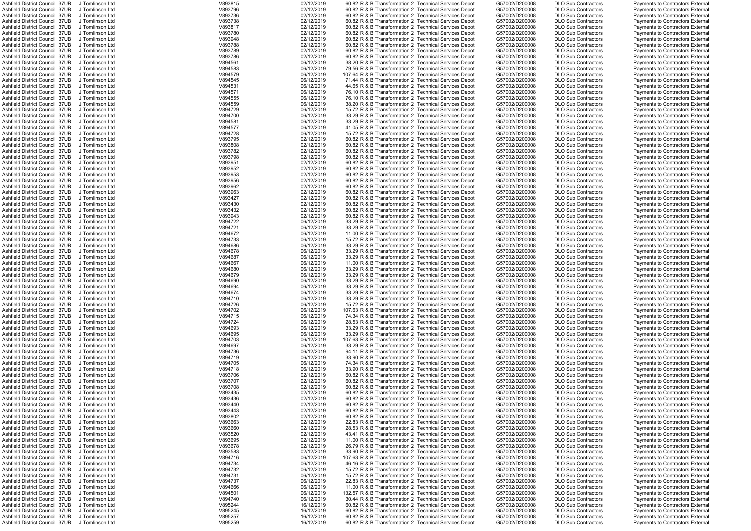| Ashfield District Council 37UB                 | J Tomlinson Ltd | V893815 | 02/12/2019 |  | 60.82 R & B Transformation 2 Technical Services Depot  | G57002/D200008 | <b>DLO Sub Contractors</b> | Payments to Contractors External        |
|------------------------------------------------|-----------------|---------|------------|--|--------------------------------------------------------|----------------|----------------------------|-----------------------------------------|
| Ashfield District Council 37UB                 | J Tomlinson Ltd | V893796 | 02/12/2019 |  | 60.82 R & B Transformation 2 Technical Services Depot  | G57002/D200008 | <b>DLO Sub Contractors</b> | Payments to Contractors External        |
| Ashfield District Council 37UB                 | J Tomlinson Ltd | V893736 | 02/12/2019 |  | 60.82 R & B Transformation 2 Technical Services Depot  | G57002/D200008 | <b>DLO Sub Contractors</b> | Payments to Contractors External        |
| Ashfield District Council 37UB                 | J Tomlinson Ltd | V893738 | 02/12/2019 |  | 60.82 R & B Transformation 2 Technical Services Depot  | G57002/D200008 | <b>DLO Sub Contractors</b> | Payments to Contractors External        |
| Ashfield District Council 37UB                 | J Tomlinson Ltd | V893817 | 02/12/2019 |  | 60.82 R & B Transformation 2 Technical Services Depot  | G57002/D200008 | <b>DLO Sub Contractors</b> | Payments to Contractors External        |
| Ashfield District Council 37UB                 | J Tomlinson Ltd | V893780 | 02/12/2019 |  | 60.82 R & B Transformation 2 Technical Services Depot  | G57002/D200008 | <b>DLO Sub Contractors</b> | Payments to Contractors External        |
|                                                |                 |         |            |  |                                                        |                |                            |                                         |
| Ashfield District Council 37UB                 | J Tomlinson Ltd | V893948 | 02/12/2019 |  | 60.82 R & B Transformation 2 Technical Services Depot  | G57002/D200008 | <b>DLO Sub Contractors</b> | Payments to Contractors External        |
| Ashfield District Council 37UB                 | J Tomlinson Ltd | V893788 | 02/12/2019 |  | 60.82 R & B Transformation 2 Technical Services Depot  | G57002/D200008 | <b>DLO Sub Contractors</b> | Payments to Contractors External        |
| Ashfield District Council 37UB                 | J Tomlinson Ltd | V893789 | 02/12/2019 |  | 60.82 R & B Transformation 2 Technical Services Depot  | G57002/D200008 | <b>DLO Sub Contractors</b> | Payments to Contractors External        |
| Ashfield District Council 37UB                 | J Tomlinson Ltd | V893786 | 02/12/2019 |  | 60.82 R & B Transformation 2 Technical Services Depot  | G57002/D200008 | <b>DLO Sub Contractors</b> | Payments to Contractors External        |
| Ashfield District Council 37UB                 | J Tomlinson Ltd | V894561 | 06/12/2019 |  | 38.20 R & B Transformation 2 Technical Services Depot  | G57002/D200008 | <b>DLO Sub Contractors</b> | Payments to Contractors External        |
| Ashfield District Council 37UB                 | J Tomlinson Ltd | V894583 | 06/12/2019 |  | 79.56 R & B Transformation 2 Technical Services Depot  | G57002/D200008 | <b>DLO Sub Contractors</b> | Payments to Contractors External        |
| Ashfield District Council 37UB                 | J Tomlinson Ltd | V894579 | 06/12/2019 |  | 107.64 R & B Transformation 2 Technical Services Depot | G57002/D200008 | <b>DLO Sub Contractors</b> | Payments to Contractors External        |
|                                                |                 |         |            |  |                                                        |                |                            |                                         |
| Ashfield District Council 37UB                 | J Tomlinson Ltd | V894545 | 06/12/2019 |  | 71.44 R & B Transformation 2 Technical Services Depot  | G57002/D200008 | <b>DLO Sub Contractors</b> | Payments to Contractors External        |
| Ashfield District Council 37UB                 | J Tomlinson Ltd | V894531 | 06/12/2019 |  | 44.65 R & B Transformation 2 Technical Services Depot  | G57002/D200008 | <b>DLO Sub Contractors</b> | Payments to Contractors External        |
| Ashfield District Council 37UB                 | J Tomlinson Ltd | V894571 | 06/12/2019 |  | 76.10 R & B Transformation 2 Technical Services Depot  | G57002/D200008 | <b>DLO Sub Contractors</b> | Payments to Contractors External        |
| Ashfield District Council 37UB                 | J Tomlinson Ltd | V894555 | 06/12/2019 |  | 76.10 R & B Transformation 2 Technical Services Depot  | G57002/D200008 | <b>DLO Sub Contractors</b> | Payments to Contractors External        |
| Ashfield District Council 37UB                 | J Tomlinson Ltd | V894559 | 06/12/2019 |  | 38.20 R & B Transformation 2 Technical Services Depot  | G57002/D200008 | <b>DLO Sub Contractors</b> | Payments to Contractors External        |
| Ashfield District Council 37UB                 | J Tomlinson Ltd | V894729 | 06/12/2019 |  | 15.72 R & B Transformation 2 Technical Services Depot  | G57002/D200008 | <b>DLO Sub Contractors</b> | Payments to Contractors External        |
| Ashfield District Council 37UB                 | J Tomlinson Ltd | V894700 | 06/12/2019 |  | 33.29 R & B Transformation 2 Technical Services Depot  | G57002/D200008 | <b>DLO Sub Contractors</b> | Payments to Contractors External        |
| Ashfield District Council 37UB                 | J Tomlinson Ltd | V894581 | 06/12/2019 |  | 33.29 R & B Transformation 2 Technical Services Depot  | G57002/D200008 | <b>DLO Sub Contractors</b> | Payments to Contractors External        |
|                                                |                 |         |            |  |                                                        |                |                            |                                         |
| Ashfield District Council 37UB                 | J Tomlinson Ltd | V894577 | 06/12/2019 |  | 41.05 R & B Transformation 2 Technical Services Depot  | G57002/D200008 | <b>DLO Sub Contractors</b> | Payments to Contractors External        |
| Ashfield District Council 37UB                 | J Tomlinson Ltd | V894728 | 06/12/2019 |  | 15.72 R & B Transformation 2 Technical Services Depot  | G57002/D200008 | <b>DLO Sub Contractors</b> | Payments to Contractors External        |
| Ashfield District Council 37UB                 | J Tomlinson Ltd | V893795 | 02/12/2019 |  | 60.82 R & B Transformation 2 Technical Services Depot  | G57002/D200008 | <b>DLO Sub Contractors</b> | <b>Payments to Contractors External</b> |
| Ashfield District Council 37UB                 | J Tomlinson Ltd | V893808 | 02/12/2019 |  | 60.82 R & B Transformation 2 Technical Services Depot  | G57002/D200008 | <b>DLO Sub Contractors</b> | Payments to Contractors External        |
| Ashfield District Council 37UB                 | J Tomlinson Ltd | V893782 | 02/12/2019 |  | 60.82 R & B Transformation 2 Technical Services Depot  | G57002/D200008 | <b>DLO Sub Contractors</b> | <b>Payments to Contractors External</b> |
| Ashfield District Council 37UB                 | J Tomlinson Ltd | V893798 | 02/12/2019 |  | 60.82 R & B Transformation 2 Technical Services Depot  | G57002/D200008 | <b>DLO Sub Contractors</b> | Payments to Contractors External        |
| Ashfield District Council 37UB                 | J Tomlinson Ltd | V893951 | 02/12/2019 |  | 60.82 R & B Transformation 2 Technical Services Depot  | G57002/D200008 | <b>DLO Sub Contractors</b> | Payments to Contractors External        |
|                                                |                 |         |            |  |                                                        | G57002/D200008 |                            |                                         |
| Ashfield District Council 37UB                 | J Tomlinson Ltd | V893952 | 02/12/2019 |  | 60.82 R & B Transformation 2 Technical Services Depot  |                | <b>DLO Sub Contractors</b> | Payments to Contractors External        |
| Ashfield District Council 37UB                 | J Tomlinson Ltd | V893953 | 02/12/2019 |  | 60.82 R & B Transformation 2 Technical Services Depot  | G57002/D200008 | <b>DLO Sub Contractors</b> | Payments to Contractors External        |
| Ashfield District Council  37UB                | J Tomlinson Ltd | V893956 | 02/12/2019 |  | 60.82 R & B Transformation 2 Technical Services Depot  | G57002/D200008 | <b>DLO Sub Contractors</b> | Payments to Contractors External        |
| Ashfield District Council 37UB                 | J Tomlinson Ltd | V893962 | 02/12/2019 |  | 60.82 R & B Transformation 2 Technical Services Depot  | G57002/D200008 | <b>DLO Sub Contractors</b> | Payments to Contractors External        |
| Ashfield District Council 37UB                 | J Tomlinson Ltd | V893963 | 02/12/2019 |  | 60.82 R & B Transformation 2 Technical Services Depot  | G57002/D200008 | <b>DLO Sub Contractors</b> | Payments to Contractors External        |
| Ashfield District Council 37UB                 | J Tomlinson Ltd | V893427 | 02/12/2019 |  | 60.82 R & B Transformation 2 Technical Services Depot  | G57002/D200008 | <b>DLO Sub Contractors</b> | Payments to Contractors External        |
| Ashfield District Council 37UB                 | J Tomlinson Ltd | V893430 | 02/12/2019 |  | 60.82 R & B Transformation 2 Technical Services Depot  | G57002/D200008 | <b>DLO Sub Contractors</b> | Payments to Contractors External        |
| Ashfield District Council 37UB                 | J Tomlinson Ltd |         |            |  |                                                        |                |                            |                                         |
|                                                |                 | V893432 | 02/12/2019 |  | 60.82 R & B Transformation 2 Technical Services Depot  | G57002/D200008 | <b>DLO Sub Contractors</b> | Payments to Contractors External        |
| Ashfield District Council 37UB                 | J Tomlinson Ltd | V893943 | 02/12/2019 |  | 60.82 R & B Transformation 2 Technical Services Depot  | G57002/D200008 | <b>DLO Sub Contractors</b> | Payments to Contractors External        |
| Ashfield District Council 37UB                 | J Tomlinson Ltd | V894722 | 06/12/2019 |  | 33.29 R & B Transformation 2 Technical Services Depot  | G57002/D200008 | <b>DLO Sub Contractors</b> | Payments to Contractors External        |
| Ashfield District Council 37UB                 | J Tomlinson Ltd | V894721 | 06/12/2019 |  | 33.29 R & B Transformation 2 Technical Services Depot  | G57002/D200008 | <b>DLO Sub Contractors</b> | Payments to Contractors External        |
| Ashfield District Council 37UB                 | J Tomlinson Ltd | V894672 | 06/12/2019 |  | 11.00 R & B Transformation 2 Technical Services Depot  | G57002/D200008 | <b>DLO Sub Contractors</b> | Payments to Contractors External        |
| Ashfield District Council 37UB                 | J Tomlinson Ltd | V894733 | 06/12/2019 |  | 15.72 R & B Transformation 2 Technical Services Depot  | G57002/D200008 | <b>DLO Sub Contractors</b> | Payments to Contractors External        |
| Ashfield District Council 37UB                 | J Tomlinson Ltd | V894686 | 06/12/2019 |  | 33.29 R & B Transformation 2 Technical Services Depot  | G57002/D200008 | <b>DLO Sub Contractors</b> | Payments to Contractors External        |
| Ashfield District Council 37UB                 | J Tomlinson Ltd | V894678 | 06/12/2019 |  | 33.29 R & B Transformation 2 Technical Services Depot  | G57002/D200008 | <b>DLO Sub Contractors</b> | Payments to Contractors External        |
|                                                |                 |         |            |  |                                                        |                |                            |                                         |
| Ashfield District Council 37UB                 | J Tomlinson Ltd | V894687 | 06/12/2019 |  | 33.29 R & B Transformation 2 Technical Services Depot  | G57002/D200008 | <b>DLO Sub Contractors</b> | Payments to Contractors External        |
| Ashfield District Council 37UB                 | J Tomlinson Ltd | V894667 | 06/12/2019 |  | 11.00 R & B Transformation 2 Technical Services Depot  | G57002/D200008 | <b>DLO Sub Contractors</b> | <b>Payments to Contractors External</b> |
| Ashfield District Council 37UB                 | J Tomlinson Ltd | V894680 | 06/12/2019 |  | 33.29 R & B Transformation 2 Technical Services Depot  | G57002/D200008 | <b>DLO Sub Contractors</b> | Payments to Contractors External        |
| Ashfield District Council 37UB                 | J Tomlinson Ltd | V894679 | 06/12/2019 |  | 33.29 R & B Transformation 2 Technical Services Depot  | G57002/D200008 | <b>DLO Sub Contractors</b> | Payments to Contractors External        |
| Ashfield District Council 37UB                 | J Tomlinson Ltd | V894690 | 06/12/2019 |  | 33.29 R & B Transformation 2 Technical Services Depot  | G57002/D200008 | <b>DLO Sub Contractors</b> | <b>Payments to Contractors External</b> |
| Ashfield District Council  37UB                | J Tomlinson Ltd | V894694 | 06/12/2019 |  | 33.29 R & B Transformation 2 Technical Services Depot  | G57002/D200008 | <b>DLO Sub Contractors</b> | Payments to Contractors External        |
|                                                |                 |         |            |  |                                                        |                |                            |                                         |
| Ashfield District Council 37UB                 | J Tomlinson Ltd | V894674 | 06/12/2019 |  | 33.29 R & B Transformation 2 Technical Services Depot  | G57002/D200008 | <b>DLO Sub Contractors</b> | Payments to Contractors External        |
| Ashfield District Council 37UB                 | J Tomlinson Ltd | V894710 | 06/12/2019 |  | 33.29 R & B Transformation 2 Technical Services Depot  | G57002/D200008 | <b>DLO Sub Contractors</b> | Payments to Contractors External        |
| Ashfield District Council 37UB                 | J Tomlinson Ltd | V894726 | 06/12/2019 |  | 15.72 R & B Transformation 2 Technical Services Depot  | G57002/D200008 | <b>DLO Sub Contractors</b> | Payments to Contractors External        |
| Ashfield District Council 37UB                 | J Tomlinson Ltd | V894702 | 06/12/2019 |  | 107.63 R & B Transformation 2 Technical Services Depot | G57002/D200008 | <b>DLO Sub Contractors</b> | Payments to Contractors External        |
| Ashfield District Council 37UB                 | J Tomlinson Ltd | V894715 | 06/12/2019 |  | 74.34 R & B Transformation 2 Technical Services Depot  | G57002/D200008 | <b>DLO Sub Contractors</b> | Payments to Contractors External        |
| Ashfield District Council 37UB                 | J Tomlinson Ltd | V894724 | 06/12/2019 |  | 28.53 R & B Transformation 2 Technical Services Depot  | G57002/D200008 | <b>DLO Sub Contractors</b> | Payments to Contractors External        |
| Ashfield District Council 37UB                 | J Tomlinson Ltd | V894693 | 06/12/2019 |  | 33.29 R & B Transformation 2 Technical Services Depot  | G57002/D200008 | <b>DLO Sub Contractors</b> | Payments to Contractors External        |
|                                                |                 |         |            |  |                                                        |                |                            |                                         |
| Ashfield District Council 37UB                 | J Tomlinson Ltd | V894695 | 06/12/2019 |  | 33.29 R & B Transformation 2 Technical Services Depot  | G57002/D200008 | <b>DLO Sub Contractors</b> | Payments to Contractors External        |
| Ashfield District Council 37UB                 | J Tomlinson Ltd | V894703 | 06/12/2019 |  | 107.63 R & B Transformation 2 Technical Services Depot | G57002/D200008 | <b>DLO Sub Contractors</b> | Payments to Contractors External        |
| Ashfield District Council 37UB                 | J Tomlinson Ltd | V894697 | 06/12/2019 |  | 33.29 R & B Transformation 2 Technical Services Depot  | G57002/D200008 | <b>DLO Sub Contractors</b> | Payments to Contractors External        |
| Ashfield District Council 37UB                 | J Tomlinson Ltd | V894736 | 06/12/2019 |  | 94.11 R & B Transformation 2 Technical Services Depot  | G57002/D200008 | <b>DLO Sub Contractors</b> | Payments to Contractors External        |
| Ashfield District Council 37UB                 | J Tomlinson Ltd | V894719 | 06/12/2019 |  | 33.90 R & B Transformation 2 Technical Services Depot  | G57002/D200008 | <b>DLO Sub Contractors</b> | <b>Payments to Contractors External</b> |
| Ashfield District Council 37UB                 | J Tomlinson Ltd | V894705 | 06/12/2019 |  | 74.34 R & B Transformation 2 Technical Services Depot  | G57002/D200008 | <b>DLO Sub Contractors</b> | Payments to Contractors External        |
| Ashfield District Council 37UB                 | J Tomlinson Ltd | V894718 | 06/12/2019 |  | 33.90 R & B Transformation 2 Technical Services Depot  | G57002/D200008 | <b>DLO Sub Contractors</b> | Payments to Contractors External        |
|                                                |                 |         |            |  |                                                        |                |                            |                                         |
| Ashfield District Council 37UB                 | J Tomlinson Ltd | V893706 | 02/12/2019 |  | 60.82 R & B Transformation 2 Technical Services Depot  | G57002/D200008 | <b>DLO Sub Contractors</b> | Payments to Contractors External        |
| Ashfield District Council 37UB                 | J Tomlinson Ltd | V893707 | 02/12/2019 |  | 60.82 R & B Transformation 2 Technical Services Depot  | G57002/D200008 | <b>DLO Sub Contractors</b> | Payments to Contractors External        |
| Ashfield District Council 37UB                 | J Tomlinson Ltd | V893708 | 02/12/2019 |  | 60.82 R & B Transformation 2 Technical Services Depot  | G57002/D200008 | <b>DLO Sub Contractors</b> | Payments to Contractors External        |
| Ashfield District Council 37UB                 | J Tomlinson Ltd | V893435 | 02/12/2019 |  | 60.82 R & B Transformation 2 Technical Services Depot  | G57002/D200008 | <b>DLO Sub Contractors</b> | Payments to Contractors External        |
| Ashfield District Council 37UB                 | J Tomlinson Ltd | V893436 | 02/12/2019 |  | 60.82 R & B Transformation 2 Technical Services Depot  | G57002/D200008 | <b>DLO Sub Contractors</b> | Payments to Contractors External        |
| Ashfield District Council 37UB                 | J Tomlinson Ltd | V893440 | 02/12/2019 |  | 60.82 R & B Transformation 2 Technical Services Depot  | G57002/D200008 | <b>DLO Sub Contractors</b> | Payments to Contractors External        |
| Ashfield District Council 37UB                 | J Tomlinson Ltd | V893443 | 02/12/2019 |  | 60.82 R & B Transformation 2 Technical Services Depot  | G57002/D200008 | <b>DLO Sub Contractors</b> | Payments to Contractors External        |
| Ashfield District Council 37UB                 | J Tomlinson Ltd | V893802 | 02/12/2019 |  | 60.82 R & B Transformation 2 Technical Services Depot  | G57002/D200008 | <b>DLO Sub Contractors</b> | Payments to Contractors External        |
|                                                |                 |         |            |  |                                                        |                |                            |                                         |
| Ashfield District Council 37UB                 | J Tomlinson Ltd | V893663 | 02/12/2019 |  | 22.83 R & B Transformation 2 Technical Services Depot  | G57002/D200008 | <b>DLO Sub Contractors</b> | Payments to Contractors External        |
| Ashfield District Council 37UB                 | J Tomlinson Ltd | V893660 | 02/12/2019 |  | 28.53 R & B Transformation 2 Technical Services Depot  | G57002/D200008 | <b>DLO Sub Contractors</b> | Payments to Contractors External        |
| Ashfield District Council 37UB                 | J Tomlinson Ltd | V893520 | 02/12/2019 |  | 43.41 R & B Transformation 2 Technical Services Depot  | G57002/D200008 | <b>DLO Sub Contractors</b> | Payments to Contractors External        |
| Ashfield District Council 37UB                 | J Tomlinson Ltd | V893695 | 02/12/2019 |  | 11.00 R & B Transformation 2 Technical Services Depot  | G57002/D200008 | <b>DLO Sub Contractors</b> | Payments to Contractors External        |
| Ashfield District Council 37UB                 | J Tomlinson Ltd | V893678 | 02/12/2019 |  | 26.79 R & B Transformation 2 Technical Services Depot  | G57002/D200008 | <b>DLO Sub Contractors</b> | Payments to Contractors External        |
| Ashfield District Council 37UB                 | J Tomlinson Ltd | V893583 | 02/12/2019 |  | 33.90 R & B Transformation 2 Technical Services Depot  | G57002/D200008 | <b>DLO Sub Contractors</b> | Payments to Contractors External        |
| Ashfield District Council 37UB                 | J Tomlinson Ltd | V894716 | 06/12/2019 |  | 107.63 R & B Transformation 2 Technical Services Depot | G57002/D200008 | <b>DLO Sub Contractors</b> | Payments to Contractors External        |
|                                                |                 |         |            |  |                                                        |                |                            |                                         |
| Ashfield District Council 37UB                 | J Tomlinson Ltd | V894734 | 06/12/2019 |  | 46.16 R & B Transformation 2 Technical Services Depot  | G57002/D200008 | <b>DLO Sub Contractors</b> | Payments to Contractors External        |
| Ashfield District Council 37UB                 | J Tomlinson Ltd | V894732 | 06/12/2019 |  | 15.72 R & B Transformation 2 Technical Services Depot  | G57002/D200008 | <b>DLO Sub Contractors</b> | Payments to Contractors External        |
| Ashfield District Council 37UB                 | J Tomlinson Ltd | V894731 | 06/12/2019 |  | 15.72 R & B Transformation 2 Technical Services Depot  | G57002/D200008 | <b>DLO Sub Contractors</b> | Payments to Contractors External        |
| Ashfield District Council 37UB                 | J Tomlinson Ltd | V894737 | 06/12/2019 |  | 22.83 R & B Transformation 2 Technical Services Depot  | G57002/D200008 | <b>DLO Sub Contractors</b> | Payments to Contractors External        |
| Ashfield District Council 37UB                 | J Tomlinson Ltd | V894666 | 06/12/2019 |  | 11.00 R & B Transformation 2 Technical Services Depot  | G57002/D200008 | <b>DLO Sub Contractors</b> | Payments to Contractors External        |
| Ashfield District Council 37UB                 | J Tomlinson Ltd | V894501 | 06/12/2019 |  | 132.57 R & B Transformation 2 Technical Services Depot | G57002/D200008 | <b>DLO Sub Contractors</b> | Payments to Contractors External        |
| Ashfield District Council 37UB                 | J Tomlinson Ltd | V894740 | 06/12/2019 |  | 30.44 R & B Transformation 2 Technical Services Depot  | G57002/D200008 | <b>DLO Sub Contractors</b> | Payments to Contractors External        |
| Ashfield District Council 37UB                 | J Tomlinson Ltd | V895244 | 16/12/2019 |  | 60.82 R & B Transformation 2 Technical Services Depot  | G57002/D200008 | <b>DLO Sub Contractors</b> | Payments to Contractors External        |
|                                                |                 |         |            |  |                                                        |                |                            |                                         |
| Ashfield District Council 37UB                 | J Tomlinson Ltd | V895245 | 16/12/2019 |  | 60.82 R & B Transformation 2 Technical Services Depot  | G57002/D200008 | <b>DLO Sub Contractors</b> | Payments to Contractors External        |
| Ashfield District Council 37UB                 | J Tomlinson Ltd | V895257 | 16/12/2019 |  | 60.82 R & B Transformation 2 Technical Services Depot  | G57002/D200008 | <b>DLO Sub Contractors</b> | <b>Payments to Contractors External</b> |
| Ashfield District Council 37UB J Tomlinson Ltd |                 | V895259 | 16/12/2019 |  | 60.82 R & B Transformation 2 Technical Services Depot  | G57002/D200008 | <b>DLO Sub Contractors</b> | Payments to Contractors External        |

|            |   | Sub Contractors                    |
|------------|---|------------------------------------|
|            |   | Sub Contractors                    |
|            |   | Sub Contractors                    |
| Sub        |   | Contractors                        |
| Sub<br>Sub |   | Contractors                        |
|            |   | Contractors                        |
| Sub        |   |                                    |
| .<br>Sub   |   | Contractors<br>Contractors         |
| Sub        |   | Contractors                        |
| Sub        |   | Contractors                        |
| Sub        |   |                                    |
|            |   | Contractors                        |
| Sub        |   | Contractors                        |
| .<br>Sub   |   | Contractors                        |
|            |   | Contractors                        |
| Sub<br>Sub |   | Contractors                        |
| Sub        |   | Contractors                        |
| Sub        |   | Contractors                        |
| Sub        | C | <b>Contractors</b>                 |
| Sub        |   | Contractors                        |
| Sub        |   | Contractors                        |
| Sub        |   | Contractors                        |
| -<br>Sub   |   | Contractors                        |
| Sub        |   |                                    |
|            |   | Contractors<br>Contractors         |
| Sub        |   |                                    |
| Sub        |   | Contractors                        |
| Sub        |   | Contractors                        |
| Sub        |   | Contractors                        |
| Sub        |   | Contractors                        |
| .<br>Sub   |   | Contractors                        |
|            |   | Contractors                        |
| Sub<br>Sub |   | Contractors                        |
| Sub        |   |                                    |
| Sub        |   | Contractors<br>Contractors         |
| Sub        |   | Contractors                        |
| Sub        |   | Contractors                        |
| Sub        |   |                                    |
|            |   | Contractors                        |
| Sub        |   | Contractors                        |
| -<br>Sub   |   | Contractors                        |
| Sub<br>Sub |   | Contractors                        |
|            |   | Contractors                        |
| Sub        |   | Contractors                        |
| Sub        |   | Contractors                        |
| Sub        |   | Contractors                        |
|            |   |                                    |
|            |   |                                    |
|            |   | Sub Contractors                    |
|            |   | Sub Contractors                    |
|            |   |                                    |
|            |   | Sub Contractors<br>Sub Contractors |
| Sub        |   | Contractors                        |
| Sub        |   | Contractors                        |
| Sub        |   | Contractors                        |
| Sub        |   | Contractors                        |
|            |   |                                    |
| Sub<br>Sub |   | Contractors<br>Contractors         |
|            |   |                                    |
| Sub        |   | Contractors                        |
| Sub        |   | Contractors                        |
| -<br>Sub   |   | Contractors                        |
| Sub        |   | Contractors                        |
| Sub        |   | Contractors                        |
| Sub        |   | Contractors                        |
| Sub        |   | Contractors                        |
| Sub        |   | Contractors                        |
| Sub        |   | Contractors                        |
|            |   | Contractors                        |
| Sub<br>Sub |   | Contractors                        |
| Sub        |   |                                    |
| Sub        |   | Contractors                        |
|            |   | Contractors                        |
| Sub        |   | Contractors                        |
| Sub        |   | Contractors                        |
| Sub        |   | Contractors                        |
| Sub        |   | Contractors                        |
| Sub        |   | Contractors                        |
| Sub        |   | Contractors                        |
| Sub        |   | Contractors                        |
| Sub        |   | Contractors                        |
| Sub        |   | Contractors                        |
| Sub        |   | Contractors                        |
| Sub        |   | Contractors                        |
| Sub        |   | Contractors                        |
|            |   |                                    |
| Sub        |   | Contractors                        |
| Sub        |   | Contractors                        |
| -<br>Sub   |   | Contractors                        |
| Sub        |   | Contractors                        |
| Sub        |   | Contractors                        |
| Sub        |   | Contractors                        |
| Sub        |   | Contractors                        |
| Sub        |   | Contractors                        |
|            |   | Sub Contractors                    |
| .<br>Sub   |   | Contractors                        |

|  | Payments to Contractors External                                     |  |
|--|----------------------------------------------------------------------|--|
|  | Payments to Contractors External                                     |  |
|  | Payments to Contractors External                                     |  |
|  | Payments to Contractors External                                     |  |
|  | Payments to Contractors External                                     |  |
|  | Payments to Contractors External                                     |  |
|  | Payments to Contractors External                                     |  |
|  | Payments to Contractors External                                     |  |
|  | Payments to Contractors External                                     |  |
|  |                                                                      |  |
|  | Payments to Contractors External                                     |  |
|  | Payments to Contractors External                                     |  |
|  | <b>Payments to Contractors External</b>                              |  |
|  | Payments to Contractors External                                     |  |
|  | Payments to Contractors External                                     |  |
|  | Payments to Contractors External                                     |  |
|  | Payments to Contractors External                                     |  |
|  | Payments to Contractors External                                     |  |
|  | Payments to Contractors External                                     |  |
|  | Payments to Contractors External                                     |  |
|  | Payments to Contractors External                                     |  |
|  | Payments to Contractors External                                     |  |
|  |                                                                      |  |
|  | Payments to Contractors External                                     |  |
|  | Payments to Contractors External                                     |  |
|  | Payments to Contractors External                                     |  |
|  | Payments to Contractors External                                     |  |
|  | Payments to Contractors External                                     |  |
|  | <b>Payments to Contractors External</b>                              |  |
|  | Payments to Contractors External                                     |  |
|  | Payments to Contractors External                                     |  |
|  | Payments to Contractors External                                     |  |
|  | Payments to Contractors External                                     |  |
|  | Payments to Contractors External                                     |  |
|  | Payments to Contractors External                                     |  |
|  | Payments to Contractors External                                     |  |
|  |                                                                      |  |
|  | Payments to Contractors External                                     |  |
|  | Payments to Contractors External                                     |  |
|  | Payments to Contractors External                                     |  |
|  | Payments to Contractors External                                     |  |
|  | Payments to Contractors External                                     |  |
|  | Payments to Contractors External                                     |  |
|  | Payments to Contractors External                                     |  |
|  | Payments to Contractors External                                     |  |
|  | Payments to Contractors External                                     |  |
|  |                                                                      |  |
|  |                                                                      |  |
|  | Payments to Contractors External                                     |  |
|  | Payments to Contractors External                                     |  |
|  | Payments to Contractors External                                     |  |
|  | Payments to Contractors External                                     |  |
|  | Payments to Contractors External                                     |  |
|  | Payments to Contractors External                                     |  |
|  | Payments to Contractors External                                     |  |
|  | <b>Payments to Contractors External</b>                              |  |
|  | Payments to Contractors External                                     |  |
|  | Payments to Contractors External                                     |  |
|  | Payments to Contractors External                                     |  |
|  | Payments to Contractors External                                     |  |
|  | Payments to Contractors External                                     |  |
|  |                                                                      |  |
|  | Payments to Contractors External                                     |  |
|  | Payments to Contractors External                                     |  |
|  | Payments to Contractors External                                     |  |
|  | <b>Payments to Contractors External</b>                              |  |
|  | Payments to Contractors External                                     |  |
|  | Payments to Contractors External                                     |  |
|  | Payments to Contractors External                                     |  |
|  | Payments to Contractors External                                     |  |
|  | Payments to Contractors External                                     |  |
|  | Payments to Contractors External                                     |  |
|  | Payments to Contractors External                                     |  |
|  | Payments to Contractors External                                     |  |
|  | Payments to Contractors External                                     |  |
|  | Payments to Contractors External                                     |  |
|  | Payments to Contractors External                                     |  |
|  | Payments to Contractors External                                     |  |
|  | Payments to Contractors External                                     |  |
|  |                                                                      |  |
|  | Payments to Contractors External                                     |  |
|  | Payments to Contractors External                                     |  |
|  | Payments to Contractors External                                     |  |
|  | Payments to Contractors External                                     |  |
|  | Payments to Contractors External                                     |  |
|  | Payments to Contractors External                                     |  |
|  | Payments to Contractors External                                     |  |
|  | Payments to Contractors External                                     |  |
|  | Payments to Contractors External                                     |  |
|  | Payments to Contractors External                                     |  |
|  | Payments to Contractors External                                     |  |
|  | <b>Payments to Contractors External</b>                              |  |
|  | Payments to Contractors External                                     |  |
|  | Payments to Contractors External                                     |  |
|  | Payments to Contractors External<br>Payments to Contractors External |  |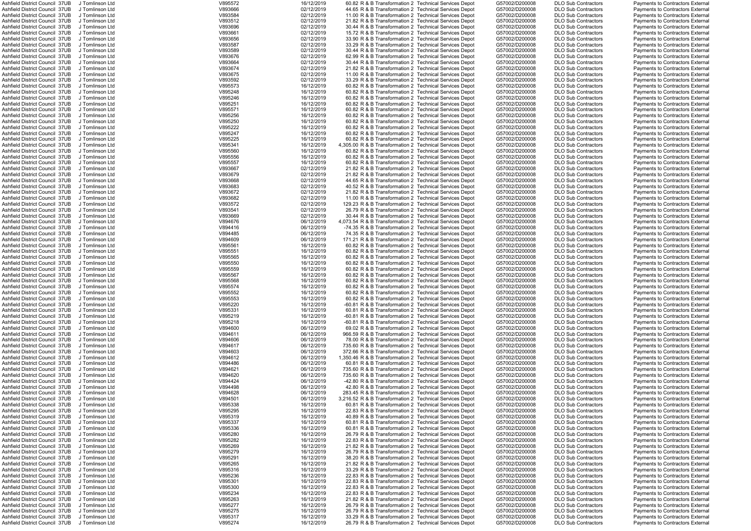| Ashfield District Council 37UB                                   | J Tomlinson Ltd                    | V895572            | 16/12/2019               | 60.82 R & B Transformation 2 Technical Services Depot                                                          | G57002/D200008                   | <b>DLO Sub Contractors</b>                               | <b>Payments to Contractors External</b>                                            |
|------------------------------------------------------------------|------------------------------------|--------------------|--------------------------|----------------------------------------------------------------------------------------------------------------|----------------------------------|----------------------------------------------------------|------------------------------------------------------------------------------------|
| Ashfield District Council 37UB                                   | J Tomlinson Ltd                    | V893666            | 02/12/2019               | 44.65 R & B Transformation 2 Technical Services Depot                                                          | G57002/D200008                   | <b>DLO Sub Contractors</b>                               | <b>Payments to Contractors External</b>                                            |
| Ashfield District Council 37UB                                   | J Tomlinson Ltd                    | V893584            | 02/12/2019               | 11.00 R & B Transformation 2 Technical Services Depot                                                          | G57002/D200008                   | <b>DLO Sub Contractors</b>                               | Payments to Contractors External                                                   |
| Ashfield District Council 37UB                                   | J Tomlinson Ltd                    | V893512            | 02/12/2019               | 21.82 R & B Transformation 2 Technical Services Depot                                                          | G57002/D200008                   | <b>DLO Sub Contractors</b>                               | <b>Payments to Contractors External</b>                                            |
| Ashfield District Council 37UB                                   | J Tomlinson Ltd                    | V893696            | 02/12/2019               | 30.44 R & B Transformation 2 Technical Services Depot                                                          | G57002/D200008                   | <b>DLO Sub Contractors</b>                               | <b>Payments to Contractors External</b>                                            |
| Ashfield District Council 37UB                                   | J Tomlinson Ltd                    | V893661            | 02/12/2019               | 15.72 R & B Transformation 2 Technical Services Depot                                                          | G57002/D200008                   | <b>DLO Sub Contractors</b>                               | Payments to Contractors External                                                   |
| Ashfield District Council 37UB                                   | J Tomlinson Ltd                    | V893656            | 02/12/2019               | 33.90 R & B Transformation 2 Technical Services Depot                                                          | G57002/D200008                   | <b>DLO Sub Contractors</b>                               | Payments to Contractors External                                                   |
|                                                                  |                                    |                    |                          |                                                                                                                |                                  |                                                          |                                                                                    |
| Ashfield District Council 37UB                                   | J Tomlinson Ltd                    | V893587            | 02/12/2019               | 33.29 R & B Transformation 2 Technical Services Depot                                                          | G57002/D200008                   | <b>DLO Sub Contractors</b>                               | Payments to Contractors External                                                   |
| Ashfield District Council 37UB                                   | J Tomlinson Ltd                    | V893589            | 02/12/2019               | 30.44 R & B Transformation 2 Technical Services Depot                                                          | G57002/D200008                   | <b>DLO Sub Contractors</b>                               | Payments to Contractors External                                                   |
| Ashfield District Council 37UB                                   | J Tomlinson Ltd                    | V893676            | 02/12/2019               | 62.99 R & B Transformation 2 Technical Services Depot                                                          | G57002/D200008                   | <b>DLO Sub Contractors</b>                               | Payments to Contractors External                                                   |
| Ashfield District Council 37UB                                   | J Tomlinson Ltd                    | V893664            | 02/12/2019               | 30.44 R & B Transformation 2 Technical Services Depot                                                          | G57002/D200008                   | <b>DLO Sub Contractors</b>                               | Payments to Contractors External                                                   |
| Ashfield District Council 37UB                                   | J Tomlinson Ltd                    | V893674            | 02/12/2019               | 21.82 R & B Transformation 2 Technical Services Depot                                                          | G57002/D200008                   | <b>DLO Sub Contractors</b>                               | Payments to Contractors External                                                   |
|                                                                  |                                    |                    |                          |                                                                                                                |                                  |                                                          |                                                                                    |
| Ashfield District Council 37UB                                   | J Tomlinson Ltd                    | V893675            | 02/12/2019               | 11.00 R & B Transformation 2 Technical Services Depot                                                          | G57002/D200008                   | <b>DLO Sub Contractors</b>                               | <b>Payments to Contractors External</b>                                            |
| Ashfield District Council 37UB                                   | J Tomlinson Ltd                    | V893592            | 02/12/2019               | 33.29 R & B Transformation 2 Technical Services Depot                                                          | G57002/D200008                   | <b>DLO Sub Contractors</b>                               | <b>Payments to Contractors External</b>                                            |
| Ashfield District Council 37UB                                   | J Tomlinson Ltd                    | V895573            | 16/12/2019               | 60.82 R & B Transformation 2 Technical Services Depot                                                          | G57002/D200008                   | <b>DLO Sub Contractors</b>                               | Payments to Contractors External                                                   |
| Ashfield District Council 37UB                                   | J Tomlinson Ltd                    | V895248            | 16/12/2019               | 60.82 R & B Transformation 2 Technical Services Depot                                                          | G57002/D200008                   | <b>DLO Sub Contractors</b>                               | Payments to Contractors External                                                   |
| Ashfield District Council 37UB                                   | J Tomlinson Ltd                    | V895246            | 16/12/2019               | 60.82 R & B Transformation 2 Technical Services Depot                                                          | G57002/D200008                   | <b>DLO Sub Contractors</b>                               | Payments to Contractors External                                                   |
| Ashfield District Council 37UB                                   | J Tomlinson Ltd                    | V895251            | 16/12/2019               | 60.82 R & B Transformation 2 Technical Services Depot                                                          | G57002/D200008                   | <b>DLO Sub Contractors</b>                               | Payments to Contractors External                                                   |
|                                                                  |                                    |                    |                          |                                                                                                                |                                  |                                                          |                                                                                    |
| Ashfield District Council 37UB                                   | J Tomlinson Ltd                    | V895571            | 16/12/2019               | 60.82 R & B Transformation 2 Technical Services Depot                                                          | G57002/D200008                   | <b>DLO Sub Contractors</b>                               | Payments to Contractors External                                                   |
| Ashfield District Council 37UB                                   | J Tomlinson Ltd                    | V895256            | 16/12/2019               | 60.82 R & B Transformation 2 Technical Services Depot                                                          | G57002/D200008                   | <b>DLO Sub Contractors</b>                               | Payments to Contractors External                                                   |
| Ashfield District Council 37UB                                   | J Tomlinson Ltd                    | V895250            | 16/12/2019               | 60.82 R & B Transformation 2 Technical Services Depot                                                          | G57002/D200008                   | <b>DLO Sub Contractors</b>                               | <b>Payments to Contractors External</b>                                            |
| Ashfield District Council 37UB                                   | J Tomlinson Ltd                    | V895222            | 16/12/2019               | 60.82 R & B Transformation 2 Technical Services Depot                                                          | G57002/D200008                   | <b>DLO Sub Contractors</b>                               | Payments to Contractors External                                                   |
| Ashfield District Council 37UB                                   | J Tomlinson Ltd                    | V895247            | 16/12/2019               | 60.82 R & B Transformation 2 Technical Services Depot                                                          | G57002/D200008                   | <b>DLO Sub Contractors</b>                               | Payments to Contractors External                                                   |
| Ashfield District Council 37UB                                   |                                    | V895225            | 16/12/2019               | 60.82 R & B Transformation 2 Technical Services Depot                                                          | G57002/D200008                   |                                                          |                                                                                    |
|                                                                  | J Tomlinson Ltd                    |                    |                          |                                                                                                                |                                  | <b>DLO Sub Contractors</b>                               | Payments to Contractors External                                                   |
| Ashfield District Council 37UB                                   | J Tomlinson Ltd                    | V895341            | 16/12/2019               | 4,305.00 R & B Transformation 2 Technical Services Depot                                                       | G57002/D200008                   | <b>DLO Sub Contractors</b>                               | Payments to Contractors External                                                   |
| Ashfield District Council 37UB                                   | J Tomlinson Ltd                    | V895560            | 16/12/2019               | 60.82 R & B Transformation 2 Technical Services Depot                                                          | G57002/D200008                   | <b>DLO Sub Contractors</b>                               | Payments to Contractors External                                                   |
| Ashfield District Council 37UB                                   | J Tomlinson Ltd                    | V895556            | 16/12/2019               | 60.82 R & B Transformation 2 Technical Services Depot                                                          | G57002/D200008                   | <b>DLO Sub Contractors</b>                               | Payments to Contractors External                                                   |
| Ashfield District Council 37UB                                   | J Tomlinson Ltd                    | V895557            | 16/12/2019               | 60.82 R & B Transformation 2 Technical Services Depot                                                          | G57002/D200008                   | <b>DLO Sub Contractors</b>                               | <b>Payments to Contractors External</b>                                            |
| Ashfield District Council 37UB                                   | J Tomlinson Ltd                    | V893667            | 02/12/2019               | 21.82 R & B Transformation 2 Technical Services Depot                                                          | G57002/D200008                   | <b>DLO Sub Contractors</b>                               | <b>Payments to Contractors External</b>                                            |
| Ashfield District Council 37UB                                   | J Tomlinson Ltd                    | V893679            | 02/12/2019               | 21.82 R & B Transformation 2 Technical Services Depot                                                          | G57002/D200008                   | <b>DLO Sub Contractors</b>                               | <b>Payments to Contractors External</b>                                            |
|                                                                  |                                    |                    |                          |                                                                                                                |                                  |                                                          |                                                                                    |
| Ashfield District Council 37UB                                   | J Tomlinson Ltd                    | V893668            | 02/12/2019               | 44.65 R & B Transformation 2 Technical Services Depot                                                          | G57002/D200008                   | <b>DLO Sub Contractors</b>                               | <b>Payments to Contractors External</b>                                            |
| Ashfield District Council 37UB                                   | J Tomlinson Ltd                    | V893683            | 02/12/2019               | 40.52 R & B Transformation 2 Technical Services Depot                                                          | G57002/D200008                   | <b>DLO Sub Contractors</b>                               | Payments to Contractors External                                                   |
| Ashfield District Council 37UB                                   | J Tomlinson Ltd                    | V893672            | 02/12/2019               | 21.82 R & B Transformation 2 Technical Services Depot                                                          | G57002/D200008                   | <b>DLO Sub Contractors</b>                               | Payments to Contractors External                                                   |
| Ashfield District Council 37UB                                   | J Tomlinson Ltd                    | V893682            | 02/12/2019               | 11.00 R & B Transformation 2 Technical Services Depot                                                          | G57002/D200008                   | <b>DLO Sub Contractors</b>                               | <b>Payments to Contractors External</b>                                            |
| Ashfield District Council 37UB                                   | J Tomlinson Ltd                    | V893572            | 02/12/2019               | 129.23 R & B Transformation 2 Technical Services Depot                                                         | G57002/D200008                   | <b>DLO Sub Contractors</b>                               | <b>Payments to Contractors External</b>                                            |
|                                                                  |                                    |                    |                          |                                                                                                                |                                  |                                                          |                                                                                    |
| Ashfield District Council 37UB                                   | J Tomlinson Ltd                    | V893541            | 02/12/2019               | 26.79 R & B Transformation 2 Technical Services Depot                                                          | G57002/D200008                   | <b>DLO Sub Contractors</b>                               | <b>Payments to Contractors External</b>                                            |
| Ashfield District Council 37UB                                   | J Tomlinson Ltd                    | V893669            | 02/12/2019               | 30.44 R & B Transformation 2 Technical Services Depot                                                          | G57002/D200008                   | <b>DLO Sub Contractors</b>                               | <b>Payments to Contractors External</b>                                            |
| Ashfield District Council 37UB                                   | J Tomlinson Ltd                    | V894676            | 06/12/2019               | 4,073.54 R & B Transformation 2 Technical Services Depot                                                       | G57002/D200008                   | <b>DLO Sub Contractors</b>                               | <b>Payments to Contractors External</b>                                            |
| Ashfield District Council 37UB                                   | J Tomlinson Ltd                    | V894416            | 06/12/2019               | -74.35 R & B Transformation 2 Technical Services Depot                                                         | G57002/D200008                   | <b>DLO Sub Contractors</b>                               | <b>Payments to Contractors External</b>                                            |
| Ashfield District Council 37UB                                   | J Tomlinson Ltd                    | V894485            | 06/12/2019               | 74.35 R & B Transformation 2 Technical Services Depot                                                          | G57002/D200008                   | <b>DLO Sub Contractors</b>                               | Payments to Contractors External                                                   |
| Ashfield District Council 37UB                                   | J Tomlinson Ltd                    | V894609            | 06/12/2019               | 171.21 R & B Transformation 2 Technical Services Depot                                                         | G57002/D200008                   | <b>DLO Sub Contractors</b>                               | <b>Payments to Contractors External</b>                                            |
|                                                                  |                                    |                    |                          |                                                                                                                |                                  |                                                          |                                                                                    |
| Ashfield District Council 37UB                                   | J Tomlinson Ltd                    | V895561            | 16/12/2019               | 60.82 R & B Transformation 2 Technical Services Depot                                                          | G57002/D200008                   | <b>DLO Sub Contractors</b>                               | Payments to Contractors External                                                   |
| Ashfield District Council 37UB                                   | J Tomlinson Ltd                    | V895551            | 16/12/2019               | 60.82 R & B Transformation 2 Technical Services Depot                                                          | G57002/D200008                   | <b>DLO Sub Contractors</b>                               | <b>Payments to Contractors External</b>                                            |
| Ashfield District Council 37UB                                   | J Tomlinson Ltd                    | V895565            | 16/12/2019               | 60.82 R & B Transformation 2 Technical Services Depot                                                          | G57002/D200008                   | <b>DLO Sub Contractors</b>                               | <b>Payments to Contractors External</b>                                            |
| Ashfield District Council 37UB                                   | J Tomlinson Ltd                    | V895550            | 16/12/2019               | 60.82 R & B Transformation 2 Technical Services Depot                                                          | G57002/D200008                   | <b>DLO Sub Contractors</b>                               | <b>Payments to Contractors External</b>                                            |
| Ashfield District Council 37UB                                   | J Tomlinson Ltd                    | V895559            | 16/12/2019               | 60.82 R & B Transformation 2 Technical Services Depot                                                          | G57002/D200008                   | <b>DLO Sub Contractors</b>                               | <b>Payments to Contractors External</b>                                            |
|                                                                  |                                    |                    |                          |                                                                                                                |                                  |                                                          |                                                                                    |
| Ashfield District Council 37UB                                   | J Tomlinson Ltd                    | V895567            | 16/12/2019               | 60.82 R & B Transformation 2 Technical Services Depot                                                          | G57002/D200008                   | <b>DLO Sub Contractors</b>                               | <b>Payments to Contractors External</b>                                            |
| Ashfield District Council 37UB                                   | J Tomlinson Ltd                    | V895568            | 16/12/2019               | 60.82 R & B Transformation 2 Technical Services Depot                                                          | G57002/D200008                   | <b>DLO Sub Contractors</b>                               | <b>Payments to Contractors External</b>                                            |
| Ashfield District Council 37UB                                   | J Tomlinson Ltd                    | V895574            | 16/12/2019               | 60.82 R & B Transformation 2 Technical Services Depot                                                          | G57002/D200008                   | <b>DLO Sub Contractors</b>                               | <b>Payments to Contractors External</b>                                            |
| Ashfield District Council 37UB                                   | J Tomlinson Ltd                    | V895552            | 16/12/2019               | 60.82 R & B Transformation 2 Technical Services Depot                                                          | G57002/D200008                   | <b>DLO Sub Contractors</b>                               | <b>Payments to Contractors External</b>                                            |
| Ashfield District Council 37UB                                   | J Tomlinson Ltd                    | V895553            | 16/12/2019               | 60.82 R & B Transformation 2 Technical Services Depot                                                          | G57002/D200008                   | <b>DLO Sub Contractors</b>                               | <b>Payments to Contractors External</b>                                            |
| Ashfield District Council 37UB                                   | J Tomlinson Ltd                    | V895220            | 16/12/2019               | -60.81 R & B Transformation 2 Technical Services Depot                                                         | G57002/D200008                   | <b>DLO Sub Contractors</b>                               | <b>Payments to Contractors External</b>                                            |
|                                                                  |                                    |                    |                          |                                                                                                                | G57002/D200008                   |                                                          |                                                                                    |
| Ashfield District Council 37UB                                   | J Tomlinson Ltd                    | V895331            | 16/12/2019               | 60.81 R & B Transformation 2 Technical Services Depot                                                          |                                  | <b>DLO Sub Contractors</b>                               | <b>Payments to Contractors External</b>                                            |
| Ashfield District Council 37UB                                   | J Tomlinson Ltd                    | V895219            | 16/12/2019               | -60.81 R & B Transformation 2 Technical Services Depot                                                         | G57002/D200008                   | <b>DLO Sub Contractors</b>                               | Payments to Contractors External                                                   |
| Ashfield District Council 37UB                                   | J Tomlinson Ltd                    | V895218            | 16/12/2019               | -60.81 R & B Transformation 2 Technical Services Depot                                                         | G57002/D200008                   | <b>DLO Sub Contractors</b>                               | <b>Payments to Contractors External</b>                                            |
| Ashfield District Council 37UB                                   | J Tomlinson Ltd                    | V894600            | 06/12/2019               | 69.02 R & B Transformation 2 Technical Services Depot                                                          | G57002/D200008                   | <b>DLO Sub Contractors</b>                               | Payments to Contractors External                                                   |
| Ashfield District Council 37UB                                   | J Tomlinson Ltd                    | V894611            | 06/12/2019               | 966.59 R & B Transformation 2 Technical Services Depot                                                         | G57002/D200008                   | <b>DLO Sub Contractors</b>                               | <b>Payments to Contractors External</b>                                            |
| Ashfield District Council 37UB                                   | J Tomlinson Ltd                    | V894606            | 06/12/2019               | 78.00 R & B Transformation 2 Technical Services Depot                                                          | G57002/D200008                   | <b>DLO Sub Contractors</b>                               | Payments to Contractors External                                                   |
| Ashfield District Council 37UB                                   |                                    |                    |                          | 735.60 R & B Transformation 2 Technical Services Depot                                                         |                                  |                                                          |                                                                                    |
|                                                                  | J Tomlinson Ltd                    | V894617            | 06/12/2019               |                                                                                                                | G57002/D200008                   | <b>DLO Sub Contractors</b>                               | <b>Payments to Contractors External</b>                                            |
| Ashfield District Council 37UB                                   | J Tomlinson Ltd                    | V894603            | 06/12/2019               | 372.66 R & B Transformation 2 Technical Services Depot                                                         | G57002/D200008                   | <b>DLO Sub Contractors</b>                               | <b>Payments to Contractors External</b>                                            |
| Ashfield District Council 37UB                                   | J Tomlinson Ltd                    | V894612            | 06/12/2019               | 1,350.46 R & B Transformation 2 Technical Services Depot                                                       | G57002/D200008                   | <b>DLO Sub Contractors</b>                               | <b>Payments to Contractors External</b>                                            |
| Ashfield District Council 37UB                                   | J Tomlinson Ltd                    | V894486            | 06/12/2019               | 60.81 R & B Transformation 2 Technical Services Depot                                                          | G57002/D200008                   | <b>DLO Sub Contractors</b>                               | <b>Payments to Contractors External</b>                                            |
| Ashfield District Council 37UB                                   | J Tomlinson Ltd                    | V894621            | 06/12/2019               | 735.60 R & B Transformation 2 Technical Services Depot                                                         | G57002/D200008                   | <b>DLO Sub Contractors</b>                               | Payments to Contractors External                                                   |
| Ashfield District Council 37UB                                   | J Tomlinson Ltd                    | V894620            | 06/12/2019               | 735.60 R & B Transformation 2 Technical Services Depot                                                         | G57002/D200008                   | <b>DLO Sub Contractors</b>                               | <b>Payments to Contractors External</b>                                            |
| Ashfield District Council 37UB                                   | J Tomlinson Ltd                    | V894424            | 06/12/2019               | -42.80 R & B Transformation 2 Technical Services Depot                                                         | G57002/D200008                   | <b>DLO Sub Contractors</b>                               | Payments to Contractors External                                                   |
|                                                                  |                                    |                    |                          |                                                                                                                |                                  |                                                          |                                                                                    |
| Ashfield District Council 37UB                                   | J Tomlinson Ltd                    | V894498            | 06/12/2019               | 42.80 R & B Transformation 2 Technical Services Depot                                                          | G57002/D200008                   | <b>DLO Sub Contractors</b>                               | Payments to Contractors External                                                   |
| Ashfield District Council 37UB                                   | J Tomlinson Ltd                    | V894628            | 06/12/2019               | 283.45 R & B Transformation 2 Technical Services Depot                                                         | G57002/D200008                   | <b>DLO Sub Contractors</b>                               | Payments to Contractors External                                                   |
| Ashfield District Council 37UB                                   | J Tomlinson Ltd                    | V894501            | 06/12/2019               | 3,216.52 R & B Transformation 2 Technical Services Depot                                                       | G57002/D200008                   | <b>DLO Sub Contractors</b>                               | <b>Payments to Contractors External</b>                                            |
|                                                                  |                                    |                    |                          |                                                                                                                |                                  |                                                          |                                                                                    |
| Ashfield District Council 37UB                                   | J Tomlinson Ltd                    | V895338            | 16/12/2019               | 60.81 R & B Transformation 2 Technical Services Depot                                                          | G57002/D200008                   | <b>DLO Sub Contractors</b>                               | Payments to Contractors External                                                   |
| Ashfield District Council 37UB                                   | J Tomlinson Ltd                    |                    |                          | 22.83 R & B Transformation 2 Technical Services Depot                                                          |                                  | <b>DLO Sub Contractors</b>                               | <b>Payments to Contractors External</b>                                            |
|                                                                  |                                    | V895295            | 16/12/2019               |                                                                                                                | G57002/D200008                   |                                                          |                                                                                    |
| Ashfield District Council 37UB                                   | J Tomlinson Ltd                    | V895319            | 16/12/2019               | 40.89 R & B Transformation 2 Technical Services Depot                                                          | G57002/D200008                   | <b>DLO Sub Contractors</b>                               | <b>Payments to Contractors External</b>                                            |
| Ashfield District Council 37UB                                   | J Tomlinson Ltd                    | V895337            | 16/12/2019               | 60.81 R & B Transformation 2 Technical Services Depot                                                          | G57002/D200008                   | <b>DLO Sub Contractors</b>                               | Payments to Contractors External                                                   |
| Ashfield District Council 37UB                                   | J Tomlinson Ltd                    | V895336            | 16/12/2019               | 60.81 R & B Transformation 2 Technical Services Depot                                                          | G57002/D200008                   | <b>DLO Sub Contractors</b>                               | <b>Payments to Contractors External</b>                                            |
| Ashfield District Council 37UB                                   | J Tomlinson Ltd                    | V895280            | 16/12/2019               | 26.79 R & B Transformation 2 Technical Services Depot                                                          | G57002/D200008                   | <b>DLO Sub Contractors</b>                               | <b>Payments to Contractors External</b>                                            |
| Ashfield District Council 37UB                                   | J Tomlinson Ltd                    | V895282            | 16/12/2019               | 22.83 R & B Transformation 2 Technical Services Depot                                                          | G57002/D200008                   | <b>DLO Sub Contractors</b>                               | <b>Payments to Contractors External</b>                                            |
| Ashfield District Council 37UB                                   | J Tomlinson Ltd                    | V895269            | 16/12/2019               | 21.82 R & B Transformation 2 Technical Services Depot                                                          | G57002/D200008                   | <b>DLO Sub Contractors</b>                               | <b>Payments to Contractors External</b>                                            |
|                                                                  |                                    |                    |                          |                                                                                                                |                                  |                                                          |                                                                                    |
| Ashfield District Council 37UB                                   | J Tomlinson Ltd                    | V895279            | 16/12/2019               | 26.79 R & B Transformation 2 Technical Services Depot                                                          | G57002/D200008                   | <b>DLO Sub Contractors</b>                               | Payments to Contractors External                                                   |
| Ashfield District Council 37UB                                   | J Tomlinson Ltd                    | V895291            | 16/12/2019               | 38.20 R & B Transformation 2 Technical Services Depot                                                          | G57002/D200008                   | <b>DLO Sub Contractors</b>                               | <b>Payments to Contractors External</b>                                            |
| Ashfield District Council 37UB                                   | J Tomlinson Ltd                    | V895265            | 16/12/2019               | 21.82 R & B Transformation 2 Technical Services Depot                                                          | G57002/D200008                   | <b>DLO Sub Contractors</b>                               | <b>Payments to Contractors External</b>                                            |
| Ashfield District Council 37UB                                   | J Tomlinson Ltd                    | V895316            | 16/12/2019               | 33.29 R & B Transformation 2 Technical Services Depot                                                          | G57002/D200008                   | <b>DLO Sub Contractors</b>                               | <b>Payments to Contractors External</b>                                            |
| Ashfield District Council 37UB                                   | J Tomlinson Ltd                    | V895236            | 16/12/2019               | 22.83 R & B Transformation 2 Technical Services Depot                                                          | G57002/D200008                   | <b>DLO Sub Contractors</b>                               | Payments to Contractors External                                                   |
| Ashfield District Council 37UB                                   | J Tomlinson Ltd                    | V895301            | 16/12/2019               | 22.83 R & B Transformation 2 Technical Services Depot                                                          | G57002/D200008                   | <b>DLO Sub Contractors</b>                               | <b>Payments to Contractors External</b>                                            |
|                                                                  | J Tomlinson Ltd                    |                    |                          |                                                                                                                |                                  |                                                          |                                                                                    |
| Ashfield District Council 37UB                                   |                                    | V895300            | 16/12/2019               | 22.83 R & B Transformation 2 Technical Services Depot                                                          | G57002/D200008                   | <b>DLO Sub Contractors</b>                               | Payments to Contractors External                                                   |
| Ashfield District Council 37UB                                   | J Tomlinson Ltd                    | V895234            | 16/12/2019               | 22.83 R & B Transformation 2 Technical Services Depot                                                          | G57002/D200008                   | <b>DLO Sub Contractors</b>                               | <b>Payments to Contractors External</b>                                            |
| Ashfield District Council 37UB                                   | J Tomlinson Ltd                    | V895263            | 16/12/2019               | 21.82 R & B Transformation 2 Technical Services Depot                                                          | G57002/D200008                   | <b>DLO Sub Contractors</b>                               | <b>Payments to Contractors External</b>                                            |
| Ashfield District Council 37UB                                   | J Tomlinson Ltd                    | V895277            | 16/12/2019               | 26.79 R & B Transformation 2 Technical Services Depot                                                          | G57002/D200008                   | <b>DLO Sub Contractors</b>                               | Payments to Contractors External                                                   |
| Ashfield District Council 37UB                                   | J Tomlinson Ltd                    | V895275            | 16/12/2019               | 26.79 R & B Transformation 2 Technical Services Depot                                                          | G57002/D200008                   | <b>DLO Sub Contractors</b>                               | <b>Payments to Contractors External</b>                                            |
| Ashfield District Council 37UB<br>Ashfield District Council 37UB | J Tomlinson Ltd<br>J Tomlinson Ltd | V895317<br>V895274 | 16/12/2019<br>16/12/2019 | 33.29 R & B Transformation 2 Technical Services Depot<br>26.79 R & B Transformation 2 Technical Services Depot | G57002/D200008<br>G57002/D200008 | <b>DLO Sub Contractors</b><br><b>DLO Sub Contractors</b> | <b>Payments to Contractors External</b><br><b>Payments to Contractors External</b> |

|            |   | Sub Contractors                    |
|------------|---|------------------------------------|
|            |   | Sub Contractors                    |
|            |   | Sub Contractors                    |
| Sub        |   | Contractors                        |
| Sub<br>Sub |   | Contractors                        |
|            |   | Contractors                        |
| Sub        |   |                                    |
| .<br>Sub   |   | Contractors<br>Contractors         |
| Sub        |   | Contractors                        |
| Sub        |   | Contractors                        |
| Sub        |   |                                    |
|            |   | Contractors                        |
| Sub        |   | Contractors                        |
| .<br>Sub   |   | Contractors                        |
|            |   | Contractors                        |
| Sub<br>Sub |   | Contractors                        |
| Sub        |   | Contractors                        |
| Sub        |   | Contractors                        |
| Sub        | C | <b>Contractors</b>                 |
| Sub        |   | Contractors                        |
| Sub        |   | Contractors                        |
| Sub        |   | Contractors                        |
| -<br>Sub   |   | Contractors                        |
| Sub        |   |                                    |
|            |   | Contractors<br>Contractors         |
| Sub        |   |                                    |
| Sub        |   | Contractors                        |
| Sub        |   | Contractors                        |
| Sub        |   | Contractors                        |
| Sub        |   | Contractors                        |
| .<br>Sub   |   | Contractors                        |
|            |   | Contractors                        |
| Sub<br>Sub |   | Contractors                        |
| Sub        |   |                                    |
| Sub        |   | Contractors<br>Contractors         |
| Sub        |   | Contractors                        |
| Sub        |   | Contractors                        |
| Sub        |   |                                    |
|            |   | Contractors                        |
| Sub        |   | Contractors                        |
| -<br>Sub   |   | Contractors                        |
| Sub<br>Sub |   | Contractors                        |
|            |   | Contractors                        |
| Sub        |   | Contractors                        |
| Sub        |   | Contractors                        |
| Sub        |   | Contractors                        |
|            |   |                                    |
|            |   |                                    |
|            |   | Sub Contractors                    |
|            |   | Sub Contractors                    |
|            |   |                                    |
|            |   | Sub Contractors<br>Sub Contractors |
| Sub        |   | Contractors                        |
| Sub        |   | Contractors                        |
| Sub        |   | Contractors                        |
| Sub        |   | Contractors                        |
|            |   |                                    |
| Sub<br>Sub |   | Contractors<br>Contractors         |
|            |   |                                    |
| Sub        |   | Contractors                        |
| Sub        |   | Contractors                        |
| -<br>Sub   |   | Contractors                        |
| Sub        |   | Contractors                        |
| Sub        |   | Contractors                        |
| Sub        |   | Contractors                        |
| Sub        |   | Contractors                        |
| Sub        |   | Contractors                        |
| Sub        |   | Contractors                        |
|            |   | Contractors                        |
| Sub<br>Sub |   | Contractors                        |
| Sub        |   |                                    |
| Sub        |   | Contractors                        |
|            |   | Contractors                        |
| Sub        |   | Contractors                        |
| Sub        |   | Contractors                        |
| Sub        |   | Contractors                        |
| Sub        |   | Contractors                        |
| Sub        |   | Contractors                        |
| Sub        |   | Contractors                        |
| Sub        |   | Contractors                        |
| Sub        |   | Contractors                        |
| Sub        |   | Contractors                        |
| Sub        |   | Contractors                        |
| Sub        |   | Contractors                        |
| Sub        |   | Contractors                        |
|            |   |                                    |
| Sub        |   | Contractors                        |
| Sub        |   | Contractors                        |
| -<br>Sub   |   | Contractors                        |
| Sub        |   | Contractors                        |
| Sub        |   | Contractors                        |
| Sub        |   | Contractors                        |
| Sub        |   | Contractors                        |
| Sub        |   | Contractors                        |
|            |   | Sub Contractors                    |
| .<br>Sub   |   | Contractors                        |

|  | Payments to Contractors External                                     |  |
|--|----------------------------------------------------------------------|--|
|  | Payments to Contractors External                                     |  |
|  | Payments to Contractors External                                     |  |
|  | Payments to Contractors External                                     |  |
|  | Payments to Contractors External                                     |  |
|  | Payments to Contractors External                                     |  |
|  | Payments to Contractors External                                     |  |
|  | Payments to Contractors External                                     |  |
|  | Payments to Contractors External                                     |  |
|  |                                                                      |  |
|  | Payments to Contractors External                                     |  |
|  | Payments to Contractors External                                     |  |
|  | <b>Payments to Contractors External</b>                              |  |
|  | Payments to Contractors External                                     |  |
|  | Payments to Contractors External                                     |  |
|  | Payments to Contractors External                                     |  |
|  | Payments to Contractors External                                     |  |
|  | Payments to Contractors External                                     |  |
|  | Payments to Contractors External                                     |  |
|  | Payments to Contractors External                                     |  |
|  | Payments to Contractors External                                     |  |
|  | Payments to Contractors External                                     |  |
|  |                                                                      |  |
|  | Payments to Contractors External                                     |  |
|  | Payments to Contractors External                                     |  |
|  | Payments to Contractors External                                     |  |
|  | Payments to Contractors External                                     |  |
|  | Payments to Contractors External                                     |  |
|  | Payments to Contractors External                                     |  |
|  | Payments to Contractors External                                     |  |
|  | Payments to Contractors External                                     |  |
|  | Payments to Contractors External                                     |  |
|  | Payments to Contractors External                                     |  |
|  | Payments to Contractors External                                     |  |
|  | Payments to Contractors External                                     |  |
|  | Payments to Contractors External                                     |  |
|  |                                                                      |  |
|  | Payments to Contractors External                                     |  |
|  | Payments to Contractors External                                     |  |
|  | Payments to Contractors External                                     |  |
|  | Payments to Contractors External                                     |  |
|  | Payments to Contractors External                                     |  |
|  | Payments to Contractors External                                     |  |
|  | Payments to Contractors External                                     |  |
|  | Payments to Contractors External                                     |  |
|  | Payments to Contractors External                                     |  |
|  |                                                                      |  |
|  |                                                                      |  |
|  | Payments to Contractors External                                     |  |
|  | Payments to Contractors External                                     |  |
|  | Payments to Contractors External                                     |  |
|  | Payments to Contractors External                                     |  |
|  | Payments to Contractors External                                     |  |
|  | Payments to Contractors External                                     |  |
|  | Payments to Contractors External                                     |  |
|  | <b>Payments to Contractors External</b>                              |  |
|  | Payments to Contractors External                                     |  |
|  | Payments to Contractors External                                     |  |
|  | Payments to Contractors External                                     |  |
|  | Payments to Contractors External                                     |  |
|  | Payments to Contractors External                                     |  |
|  |                                                                      |  |
|  | Payments to Contractors External                                     |  |
|  | Payments to Contractors External                                     |  |
|  | Payments to Contractors External                                     |  |
|  | <b>Payments to Contractors External</b>                              |  |
|  | Payments to Contractors External                                     |  |
|  | Payments to Contractors External                                     |  |
|  | Payments to Contractors External                                     |  |
|  | Payments to Contractors External                                     |  |
|  | Payments to Contractors External                                     |  |
|  | Payments to Contractors External                                     |  |
|  | Payments to Contractors External                                     |  |
|  | Payments to Contractors External                                     |  |
|  | Payments to Contractors External                                     |  |
|  | Payments to Contractors External                                     |  |
|  | Payments to Contractors External                                     |  |
|  | Payments to Contractors External                                     |  |
|  | Payments to Contractors External                                     |  |
|  |                                                                      |  |
|  | Payments to Contractors External                                     |  |
|  | Payments to Contractors External                                     |  |
|  | Payments to Contractors External                                     |  |
|  | Payments to Contractors External                                     |  |
|  | Payments to Contractors External                                     |  |
|  | Payments to Contractors External                                     |  |
|  | Payments to Contractors External                                     |  |
|  | Payments to Contractors External                                     |  |
|  | Payments to Contractors External                                     |  |
|  | Payments to Contractors External                                     |  |
|  | Payments to Contractors External                                     |  |
|  | <b>Payments to Contractors External</b>                              |  |
|  | Payments to Contractors External                                     |  |
|  | Payments to Contractors External                                     |  |
|  | Payments to Contractors External<br>Payments to Contractors External |  |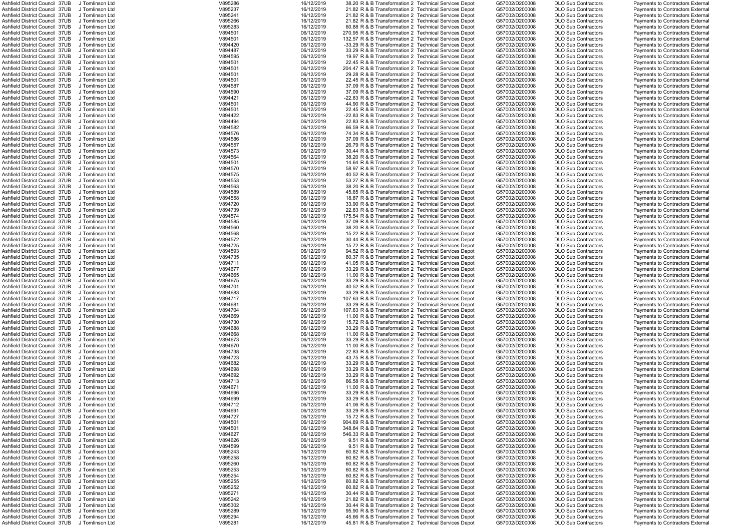| Ashfield District Council 37UB  | J Tomlinson Ltd | V895286 | 16/12/2019 | 38.20 R & B Transformation 2 Technical Services Depot  | G57002/D200008 | <b>DLO Sub Contractors</b> | <b>Payments to Contractors External</b> |
|---------------------------------|-----------------|---------|------------|--------------------------------------------------------|----------------|----------------------------|-----------------------------------------|
| Ashfield District Council 37UB  | J Tomlinson Ltd | V895237 | 16/12/2019 | 21.82 R & B Transformation 2 Technical Services Depot  | G57002/D200008 | <b>DLO Sub Contractors</b> | Payments to Contractors External        |
| Ashfield District Council 37UB  | J Tomlinson Ltd | V895241 | 16/12/2019 | 21.82 R & B Transformation 2 Technical Services Depot  | G57002/D200008 | <b>DLO Sub Contractors</b> | <b>Payments to Contractors External</b> |
| Ashfield District Council 37UB  | J Tomlinson Ltd | V895266 | 16/12/2019 | 21.82 R & B Transformation 2 Technical Services Depot  | G57002/D200008 | <b>DLO Sub Contractors</b> | <b>Payments to Contractors External</b> |
| Ashfield District Council 37UB  | J Tomlinson Ltd | V895283 | 16/12/2019 | 60.88 R & B Transformation 2 Technical Services Depot  | G57002/D200008 | <b>DLO Sub Contractors</b> | <b>Payments to Contractors External</b> |
| Ashfield District Council 37UB  | J Tomlinson Ltd | V894501 | 06/12/2019 | 270.95 R & B Transformation 2 Technical Services Depot | G57002/D200008 | <b>DLO Sub Contractors</b> | Payments to Contractors External        |
|                                 |                 |         |            |                                                        |                |                            |                                         |
| Ashfield District Council 37UB  | J Tomlinson Ltd | V894501 | 06/12/2019 | 132.57 R & B Transformation 2 Technical Services Depot | G57002/D200008 | <b>DLO Sub Contractors</b> | <b>Payments to Contractors External</b> |
| Ashfield District Council 37UB  | J Tomlinson Ltd | V894420 | 06/12/2019 | -33.29 R & B Transformation 2 Technical Services Depot | G57002/D200008 | <b>DLO Sub Contractors</b> | <b>Payments to Contractors External</b> |
| Ashfield District Council 37UB  | J Tomlinson Ltd | V894487 | 06/12/2019 | 33.29 R & B Transformation 2 Technical Services Depot  | G57002/D200008 | <b>DLO Sub Contractors</b> | <b>Payments to Contractors External</b> |
| Ashfield District Council 37UB  | J Tomlinson Ltd | V894595 | 06/12/2019 | 19.97 R & B Transformation 2 Technical Services Depot  | G57002/D200008 | <b>DLO Sub Contractors</b> | <b>Payments to Contractors External</b> |
| Ashfield District Council 37UB  | J Tomlinson Ltd | V894501 | 06/12/2019 | 22.45 R & B Transformation 2 Technical Services Depot  | G57002/D200008 | <b>DLO Sub Contractors</b> | <b>Payments to Contractors External</b> |
|                                 |                 |         |            |                                                        |                |                            |                                         |
| Ashfield District Council 37UB  | J Tomlinson Ltd | V894501 | 06/12/2019 | 204.47 R & B Transformation 2 Technical Services Depot | G57002/D200008 | <b>DLO Sub Contractors</b> | <b>Payments to Contractors External</b> |
| Ashfield District Council 37UB  | J Tomlinson Ltd | V894501 | 06/12/2019 | 29.28 R & B Transformation 2 Technical Services Depot  | G57002/D200008 | <b>DLO Sub Contractors</b> | <b>Payments to Contractors External</b> |
| Ashfield District Council 37UB  | J Tomlinson Ltd | V894501 | 06/12/2019 | 22.45 R & B Transformation 2 Technical Services Depot  | G57002/D200008 | <b>DLO Sub Contractors</b> | <b>Payments to Contractors External</b> |
| Ashfield District Council 37UB  | J Tomlinson Ltd | V894587 | 06/12/2019 | 37.09 R & B Transformation 2 Technical Services Depot  | G57002/D200008 | <b>DLO Sub Contractors</b> | Payments to Contractors External        |
| Ashfield District Council 37UB  | J Tomlinson Ltd | V894590 | 06/12/2019 | 37.09 R & B Transformation 2 Technical Services Depot  | G57002/D200008 | <b>DLO Sub Contractors</b> | <b>Payments to Contractors External</b> |
|                                 |                 |         |            |                                                        |                |                            |                                         |
| Ashfield District Council 37UB  | J Tomlinson Ltd | V894421 | 06/12/2019 | -22.83 R & B Transformation 2 Technical Services Depot | G57002/D200008 | <b>DLO Sub Contractors</b> | <b>Payments to Contractors External</b> |
| Ashfield District Council 37UB  | J Tomlinson Ltd | V894501 | 06/12/2019 | 44.90 R & B Transformation 2 Technical Services Depot  | G57002/D200008 | <b>DLO Sub Contractors</b> | <b>Payments to Contractors External</b> |
| Ashfield District Council 37UB  | J Tomlinson Ltd | V894501 | 06/12/2019 | 22.45 R & B Transformation 2 Technical Services Depot  | G57002/D200008 | <b>DLO Sub Contractors</b> | <b>Payments to Contractors External</b> |
| Ashfield District Council 37UB  | J Tomlinson Ltd | V894422 | 06/12/2019 | -22.83 R & B Transformation 2 Technical Services Depot | G57002/D200008 | <b>DLO Sub Contractors</b> | <b>Payments to Contractors External</b> |
| Ashfield District Council 37UB  | J Tomlinson Ltd | V894494 | 06/12/2019 | 22.83 R & B Transformation 2 Technical Services Depot  | G57002/D200008 | <b>DLO Sub Contractors</b> | <b>Payments to Contractors External</b> |
|                                 |                 |         |            |                                                        | G57002/D200008 |                            |                                         |
| Ashfield District Council 37UB  | J Tomlinson Ltd | V894582 | 06/12/2019 | 66.59 R & B Transformation 2 Technical Services Depot  |                | <b>DLO Sub Contractors</b> | Payments to Contractors External        |
| Ashfield District Council 37UB  | J Tomlinson Ltd | V894576 | 06/12/2019 | 74.34 R & B Transformation 2 Technical Services Depot  | G57002/D200008 | <b>DLO Sub Contractors</b> | <b>Payments to Contractors External</b> |
| Ashfield District Council 37UB  | J Tomlinson Ltd | V894586 | 06/12/2019 | 37.09 R & B Transformation 2 Technical Services Depot  | G57002/D200008 | <b>DLO Sub Contractors</b> | <b>Payments to Contractors External</b> |
| Ashfield District Council 37UB  | J Tomlinson Ltd | V894557 | 06/12/2019 | 26.79 R & B Transformation 2 Technical Services Depot  | G57002/D200008 | <b>DLO Sub Contractors</b> | Payments to Contractors External        |
| Ashfield District Council 37UB  | J Tomlinson Ltd | V894573 | 06/12/2019 | 30.44 R & B Transformation 2 Technical Services Depot  | G57002/D200008 | <b>DLO Sub Contractors</b> | <b>Payments to Contractors External</b> |
|                                 |                 |         |            |                                                        |                |                            |                                         |
| Ashfield District Council 37UB  | J Tomlinson Ltd | V894564 | 06/12/2019 | 38.20 R & B Transformation 2 Technical Services Depot  | G57002/D200008 | <b>DLO Sub Contractors</b> | <b>Payments to Contractors External</b> |
| Ashfield District Council 37UB  | J Tomlinson Ltd | V894501 | 06/12/2019 | 14.64 R & B Transformation 2 Technical Services Depot  | G57002/D200008 | <b>DLO Sub Contractors</b> | <b>Payments to Contractors External</b> |
| Ashfield District Council 37UB  | J Tomlinson Ltd | V894570 | 06/12/2019 | 58.97 R & B Transformation 2 Technical Services Depot  | G57002/D200008 | <b>DLO Sub Contractors</b> | <b>Payments to Contractors External</b> |
| Ashfield District Council 37UB  | J Tomlinson Ltd | V894575 | 06/12/2019 | 40.52 R & B Transformation 2 Technical Services Depot  | G57002/D200008 | <b>DLO Sub Contractors</b> | Payments to Contractors External        |
| Ashfield District Council 37UB  | J Tomlinson Ltd | V894553 | 06/12/2019 | 53.27 R & B Transformation 2 Technical Services Depot  | G57002/D200008 | <b>DLO Sub Contractors</b> | Payments to Contractors External        |
| Ashfield District Council 37UB  | J Tomlinson Ltd | V894563 | 06/12/2019 |                                                        |                |                            |                                         |
|                                 |                 |         |            | 38.20 R & B Transformation 2 Technical Services Depot  | G57002/D200008 | <b>DLO Sub Contractors</b> | Payments to Contractors External        |
| Ashfield District Council 37UB  | J Tomlinson Ltd | V894589 | 06/12/2019 | 45.65 R & B Transformation 2 Technical Services Depot  | G57002/D200008 | <b>DLO Sub Contractors</b> | Payments to Contractors External        |
| Ashfield District Council 37UB  | J Tomlinson Ltd | V894558 | 06/12/2019 | 18.87 R & B Transformation 2 Technical Services Depot  | G57002/D200008 | <b>DLO Sub Contractors</b> | Payments to Contractors External        |
| Ashfield District Council 37UB  | J Tomlinson Ltd | V894720 | 06/12/2019 | 33.90 R & B Transformation 2 Technical Services Depot  | G57002/D200008 | <b>DLO Sub Contractors</b> | <b>Payments to Contractors External</b> |
| Ashfield District Council 37UB  | J Tomlinson Ltd | V894739 | 06/12/2019 | 22.83 R & B Transformation 2 Technical Services Depot  | G57002/D200008 | <b>DLO Sub Contractors</b> | <b>Payments to Contractors External</b> |
| Ashfield District Council 37UB  | J Tomlinson Ltd | V894574 | 06/12/2019 | 175.54 R & B Transformation 2 Technical Services Depot | G57002/D200008 | <b>DLO Sub Contractors</b> | <b>Payments to Contractors External</b> |
|                                 |                 |         |            |                                                        |                |                            |                                         |
| Ashfield District Council 37UB  | J Tomlinson Ltd | V894585 | 06/12/2019 | 37.09 R & B Transformation 2 Technical Services Depot  | G57002/D200008 | <b>DLO Sub Contractors</b> | <b>Payments to Contractors External</b> |
| Ashfield District Council 37UB  | J Tomlinson Ltd | V894560 | 06/12/2019 | 38.20 R & B Transformation 2 Technical Services Depot  | G57002/D200008 | <b>DLO Sub Contractors</b> | <b>Payments to Contractors External</b> |
| Ashfield District Council 37UB  | J Tomlinson Ltd | V894568 | 06/12/2019 | 15.22 R & B Transformation 2 Technical Services Depot  | G57002/D200008 | <b>DLO Sub Contractors</b> | Payments to Contractors External        |
| Ashfield District Council 37UB  | J Tomlinson Ltd | V894572 | 06/12/2019 | 30.44 R & B Transformation 2 Technical Services Depot  | G57002/D200008 | <b>DLO Sub Contractors</b> | <b>Payments to Contractors External</b> |
| Ashfield District Council 37UB  | J Tomlinson Ltd | V894725 | 06/12/2019 | 15.72 R & B Transformation 2 Technical Services Depot  | G57002/D200008 | <b>DLO Sub Contractors</b> | <b>Payments to Contractors External</b> |
|                                 |                 |         |            |                                                        |                |                            |                                         |
| Ashfield District Council 37UB  | J Tomlinson Ltd | V894593 | 06/12/2019 | 94.52 R & B Transformation 2 Technical Services Depot  | G57002/D200008 | <b>DLO Sub Contractors</b> | <b>Payments to Contractors External</b> |
| Ashfield District Council 37UB  | J Tomlinson Ltd | V894735 | 06/12/2019 | 60.37 R & B Transformation 2 Technical Services Depot  | G57002/D200008 | <b>DLO Sub Contractors</b> | <b>Payments to Contractors External</b> |
| Ashfield District Council 37UB  | J Tomlinson Ltd | V894711 | 06/12/2019 | 41.05 R & B Transformation 2 Technical Services Depot  | G57002/D200008 | <b>DLO Sub Contractors</b> | <b>Payments to Contractors External</b> |
| Ashfield District Council 37UB  | J Tomlinson Ltd | V894677 | 06/12/2019 | 33.29 R & B Transformation 2 Technical Services Depot  | G57002/D200008 | <b>DLO Sub Contractors</b> | <b>Payments to Contractors External</b> |
| Ashfield District Council 37UB  | J Tomlinson Ltd | V894665 | 06/12/2019 | 11.00 R & B Transformation 2 Technical Services Depot  | G57002/D200008 | <b>DLO Sub Contractors</b> |                                         |
|                                 |                 |         |            |                                                        |                |                            | Payments to Contractors External        |
| Ashfield District Council 37UB  | J Tomlinson Ltd | V894675 | 06/12/2019 | 33.29 R & B Transformation 2 Technical Services Depot  | G57002/D200008 | <b>DLO Sub Contractors</b> | Payments to Contractors External        |
| Ashfield District Council 37UB  | J Tomlinson Ltd | V894701 | 06/12/2019 | 40.52 R & B Transformation 2 Technical Services Depot  | G57002/D200008 | <b>DLO Sub Contractors</b> | <b>Payments to Contractors External</b> |
| Ashfield District Council 37UB  | J Tomlinson Ltd | V894683 | 06/12/2019 | 33.29 R & B Transformation 2 Technical Services Depot  | G57002/D200008 | <b>DLO Sub Contractors</b> | Payments to Contractors External        |
| Ashfield District Council 37UB  | J Tomlinson Ltd | V894717 | 06/12/2019 | 107.63 R & B Transformation 2 Technical Services Depot | G57002/D200008 | <b>DLO Sub Contractors</b> | <b>Payments to Contractors External</b> |
| Ashfield District Council 37UB  | J Tomlinson Ltd | V894681 | 06/12/2019 | 33.29 R & B Transformation 2 Technical Services Depot  | G57002/D200008 | <b>DLO Sub Contractors</b> | <b>Payments to Contractors External</b> |
|                                 |                 |         |            |                                                        |                |                            |                                         |
| Ashfield District Council 37UB  | J Tomlinson Ltd | V894704 | 06/12/2019 | 107.63 R & B Transformation 2 Technical Services Depot | G57002/D200008 | <b>DLO Sub Contractors</b> | <b>Payments to Contractors External</b> |
| Ashfield District Council 37UB  | J Tomlinson Ltd | V894669 | 06/12/2019 | 11.00 R & B Transformation 2 Technical Services Depot  | G57002/D200008 | <b>DLO Sub Contractors</b> | Payments to Contractors External        |
| Ashfield District Council 37UB  | J Tomlinson Ltd | V894730 | 06/12/2019 | 15.72 R & B Transformation 2 Technical Services Depot  | G57002/D200008 | <b>DLO Sub Contractors</b> | Payments to Contractors External        |
| Ashfield District Council 37UB  | J Tomlinson Ltd | V894688 | 06/12/2019 | 33.29 R & B Transformation 2 Technical Services Depot  | G57002/D200008 | <b>DLO Sub Contractors</b> | Payments to Contractors External        |
| Ashfield District Council 37UB  | J Tomlinson Ltd | V894668 | 06/12/2019 | 11.00 R & B Transformation 2 Technical Services Depot  | G57002/D200008 | <b>DLO Sub Contractors</b> | <b>Payments to Contractors External</b> |
|                                 |                 |         |            |                                                        |                |                            |                                         |
| Ashfield District Council 37UB  | J Tomlinson Ltd | V894673 | 06/12/2019 | 33.29 R & B Transformation 2 Technical Services Depot  | G57002/D200008 | <b>DLO Sub Contractors</b> | Payments to Contractors External        |
| Ashfield District Council 37UB  | J Tomlinson Ltd | V894670 | 06/12/2019 | 11.00 R & B Transformation 2 Technical Services Depot  | G57002/D200008 | <b>DLO Sub Contractors</b> | Payments to Contractors External        |
| Ashfield District Council 37UB  | J Tomlinson Ltd | V894738 | 06/12/2019 | 22.83 R & B Transformation 2 Technical Services Depot  | G57002/D200008 | <b>DLO Sub Contractors</b> | <b>Payments to Contractors External</b> |
| Ashfield District Council 37UB  | J Tomlinson Ltd | V894723 | 06/12/2019 | 43.75 R & B Transformation 2 Technical Services Depot  | G57002/D200008 | <b>DLO Sub Contractors</b> | <b>Payments to Contractors External</b> |
| Ashfield District Council 37UB  | J Tomlinson Ltd | V894682 | 06/12/2019 | 33.29 R & B Transformation 2 Technical Services Depot  | G57002/D200008 | <b>DLO Sub Contractors</b> | Payments to Contractors External        |
|                                 |                 | V894698 | 06/12/2019 |                                                        | G57002/D200008 | <b>DLO Sub Contractors</b> |                                         |
| Ashfield District Council  37UB | J Tomlinson Ltd |         |            | 33.29 R & B Transformation 2 Technical Services Depot  |                |                            | Payments to Contractors External        |
| Ashfield District Council 37UB  | J Tomlinson Ltd | V894692 | 06/12/2019 | 33.29 R & B Transformation 2 Technical Services Depot  | G57002/D200008 | <b>DLO Sub Contractors</b> | Payments to Contractors External        |
| Ashfield District Council 37UB  | J Tomlinson Ltd | V894713 | 06/12/2019 | 66.58 R & B Transformation 2 Technical Services Depot  | G57002/D200008 | <b>DLO Sub Contractors</b> | Payments to Contractors External        |
| Ashfield District Council 37UB  | J Tomlinson Ltd | V894671 | 06/12/2019 | 11.00 R & B Transformation 2 Technical Services Depot  | G57002/D200008 | <b>DLO Sub Contractors</b> | Payments to Contractors External        |
| Ashfield District Council 37UB  | J Tomlinson Ltd | V894696 | 06/12/2019 | 33.29 R & B Transformation 2 Technical Services Depot  | G57002/D200008 | <b>DLO Sub Contractors</b> | <b>Payments to Contractors External</b> |
| Ashfield District Council 37UB  | J Tomlinson Ltd | V894699 | 06/12/2019 | 33.29 R & B Transformation 2 Technical Services Depot  | G57002/D200008 | <b>DLO Sub Contractors</b> | Payments to Contractors External        |
| Ashfield District Council 37UB  | J Tomlinson Ltd | V894712 | 06/12/2019 | 41.06 R & B Transformation 2 Technical Services Depot  | G57002/D200008 | <b>DLO Sub Contractors</b> | <b>Payments to Contractors External</b> |
|                                 |                 |         |            |                                                        |                |                            |                                         |
| Ashfield District Council 37UB  | J Tomlinson Ltd | V894691 | 06/12/2019 | 33.29 R & B Transformation 2 Technical Services Depot  | G57002/D200008 | <b>DLO Sub Contractors</b> | <b>Payments to Contractors External</b> |
| Ashfield District Council 37UB  | J Tomlinson Ltd | V894727 | 06/12/2019 | 15.72 R & B Transformation 2 Technical Services Depot  | G57002/D200008 | <b>DLO Sub Contractors</b> | <b>Payments to Contractors External</b> |
| Ashfield District Council 37UB  | J Tomlinson Ltd | V894501 | 06/12/2019 | 904.69 R & B Transformation 2 Technical Services Depot | G57002/D200008 | <b>DLO Sub Contractors</b> | <b>Payments to Contractors External</b> |
| Ashfield District Council 37UB  | J Tomlinson Ltd | V894501 | 06/12/2019 | 348.84 R & B Transformation 2 Technical Services Depot | G57002/D200008 | <b>DLO Sub Contractors</b> | <b>Payments to Contractors External</b> |
| Ashfield District Council 37UB  | J Tomlinson Ltd | V894627 | 06/12/2019 | 546.33 R & B Transformation 2 Technical Services Depot | G57002/D200008 | <b>DLO Sub Contractors</b> | <b>Payments to Contractors External</b> |
| Ashfield District Council 37UB  | J Tomlinson Ltd | V894626 | 06/12/2019 | 9.51 R & B Transformation 2 Technical Services Depot   | G57002/D200008 | <b>DLO Sub Contractors</b> | Payments to Contractors External        |
|                                 |                 |         |            |                                                        |                |                            |                                         |
| Ashfield District Council 37UB  | J Tomlinson Ltd | V894599 | 06/12/2019 | 9.51 R & B Transformation 2 Technical Services Depot   | G57002/D200008 | <b>DLO Sub Contractors</b> | <b>Payments to Contractors External</b> |
| Ashfield District Council 37UB  | J Tomlinson Ltd | V895243 | 16/12/2019 | 60.82 R & B Transformation 2 Technical Services Depot  | G57002/D200008 | <b>DLO Sub Contractors</b> | <b>Payments to Contractors External</b> |
| Ashfield District Council 37UB  | J Tomlinson Ltd | V895258 | 16/12/2019 | 60.82 R & B Transformation 2 Technical Services Depot  | G57002/D200008 | <b>DLO Sub Contractors</b> | <b>Payments to Contractors External</b> |
| Ashfield District Council 37UB  | J Tomlinson Ltd | V895260 | 16/12/2019 | 60.82 R & B Transformation 2 Technical Services Depot  | G57002/D200008 | <b>DLO Sub Contractors</b> | <b>Payments to Contractors External</b> |
| Ashfield District Council 37UB  | J Tomlinson Ltd | V895253 | 16/12/2019 | 60.82 R & B Transformation 2 Technical Services Depot  | G57002/D200008 | <b>DLO Sub Contractors</b> | Payments to Contractors External        |
| Ashfield District Council 37UB  | J Tomlinson Ltd | V895254 | 16/12/2019 | 60.82 R & B Transformation 2 Technical Services Depot  | G57002/D200008 | <b>DLO Sub Contractors</b> | Payments to Contractors External        |
|                                 |                 |         |            |                                                        |                |                            |                                         |
| Ashfield District Council 37UB  | J Tomlinson Ltd | V895255 | 16/12/2019 | 60.82 R & B Transformation 2 Technical Services Depot  | G57002/D200008 | <b>DLO Sub Contractors</b> | <b>Payments to Contractors External</b> |
| Ashfield District Council 37UB  | J Tomlinson Ltd | V895252 | 16/12/2019 | 60.82 R & B Transformation 2 Technical Services Depot  | G57002/D200008 | <b>DLO Sub Contractors</b> | Payments to Contractors External        |
| Ashfield District Council 37UB  | J Tomlinson Ltd | V895271 | 16/12/2019 | 30.44 R & B Transformation 2 Technical Services Depot  | G57002/D200008 | <b>DLO Sub Contractors</b> | Payments to Contractors External        |
| Ashfield District Council 37UB  | J Tomlinson Ltd | V895242 | 16/12/2019 | 21.82 R & B Transformation 2 Technical Services Depot  | G57002/D200008 | <b>DLO Sub Contractors</b> | <b>Payments to Contractors External</b> |
| Ashfield District Council 37UB  | J Tomlinson Ltd | V895302 | 16/12/2019 | 30.44 R & B Transformation 2 Technical Services Depot  | G57002/D200008 | <b>DLO Sub Contractors</b> | <b>Payments to Contractors External</b> |
| Ashfield District Council 37UB  | J Tomlinson Ltd | V895289 | 16/12/2019 | 95.90 R & B Transformation 2 Technical Services Depot  | G57002/D200008 | <b>DLO Sub Contractors</b> | Payments to Contractors External        |
|                                 |                 |         |            |                                                        |                |                            |                                         |
| Ashfield District Council 37UB  | J Tomlinson Ltd | V895294 | 16/12/2019 | 45.66 R & B Transformation 2 Technical Services Depot  | G57002/D200008 | <b>DLO Sub Contractors</b> | Payments to Contractors External        |
| Ashfield District Council 37UB  | J Tomlinson Ltd | V895281 | 16/12/2019 | 45.81 R & B Transformation 2 Technical Services Depot  | G57002/D200008 | <b>DLO Sub Contractors</b> | Payments to Contractors External        |

|            |   | Sub Contractors                    |
|------------|---|------------------------------------|
|            |   | Sub Contractors                    |
|            |   | Sub Contractors                    |
| Sub        |   | Contractors                        |
| Sub<br>Sub |   | Contractors                        |
|            |   | Contractors                        |
| Sub        |   |                                    |
| .<br>Sub   |   | Contractors<br>Contractors         |
| Sub        |   | Contractors                        |
| Sub        |   | Contractors                        |
| Sub        |   |                                    |
|            |   | Contractors                        |
| Sub        |   | Contractors                        |
| .<br>Sub   |   | Contractors                        |
|            |   | Contractors                        |
| Sub<br>Sub |   | Contractors                        |
| Sub        |   | Contractors                        |
| Sub        |   | Contractors                        |
| Sub        | C | <b>Contractors</b>                 |
| Sub        |   | Contractors                        |
| Sub        |   | Contractors                        |
| Sub        |   | Contractors                        |
| -<br>Sub   |   | Contractors                        |
| Sub        |   |                                    |
|            |   | Contractors<br>Contractors         |
| Sub        |   |                                    |
| Sub        |   | Contractors                        |
| Sub        |   | Contractors                        |
| Sub        |   | Contractors                        |
| Sub        |   | Contractors                        |
| .<br>Sub   |   | Contractors                        |
|            |   | Contractors                        |
| Sub<br>Sub |   | Contractors                        |
| Sub        |   |                                    |
| Sub        |   | Contractors<br>Contractors         |
| Sub        |   | Contractors                        |
| Sub        |   | Contractors                        |
| Sub        |   |                                    |
|            |   | Contractors                        |
| Sub        |   | Contractors                        |
| -<br>Sub   |   | Contractors                        |
| Sub<br>Sub |   | Contractors                        |
|            |   | Contractors                        |
| Sub        |   | Contractors                        |
| Sub        |   | Contractors                        |
| Sub        |   | Contractors                        |
|            |   |                                    |
|            |   |                                    |
|            |   | Sub Contractors                    |
|            |   | Sub Contractors                    |
|            |   |                                    |
|            |   | Sub Contractors<br>Sub Contractors |
| Sub        |   | Contractors                        |
| Sub        |   | Contractors                        |
| Sub        |   | Contractors                        |
| Sub        |   | Contractors                        |
|            |   |                                    |
| Sub<br>Sub |   | Contractors<br>Contractors         |
|            |   |                                    |
| Sub        |   | Contractors                        |
| Sub        |   | Contractors                        |
| -<br>Sub   |   | Contractors                        |
| Sub        |   | Contractors                        |
| Sub        |   | Contractors                        |
| Sub        |   | Contractors                        |
| Sub        |   | Contractors                        |
| Sub        |   | Contractors                        |
| Sub        |   | Contractors                        |
|            |   | Contractors                        |
| Sub<br>Sub |   | Contractors                        |
| Sub        |   |                                    |
| Sub        |   | Contractors                        |
|            |   | Contractors                        |
| Sub        |   | Contractors                        |
| Sub        |   | Contractors                        |
| Sub        |   | Contractors                        |
| Sub        |   | Contractors                        |
| Sub        |   | Contractors                        |
| Sub        |   | Contractors                        |
| Sub        |   | Contractors                        |
| Sub        |   | Contractors                        |
| Sub        |   | Contractors                        |
| Sub        |   | Contractors                        |
| Sub        |   | Contractors                        |
| Sub        |   | Contractors                        |
|            |   |                                    |
| Sub        |   | Contractors                        |
| Sub        |   | Contractors                        |
| -<br>Sub   |   | Contractors                        |
| Sub        |   | Contractors                        |
| Sub        |   | Contractors                        |
| Sub        |   | Contractors                        |
| Sub        |   | Contractors                        |
| Sub        |   | Contractors                        |
|            |   | Sub Contractors                    |
| .<br>Sub   |   | Contractors                        |

|  | Payments to Contractors External                                     |  |
|--|----------------------------------------------------------------------|--|
|  | Payments to Contractors External                                     |  |
|  | Payments to Contractors External                                     |  |
|  | Payments to Contractors External                                     |  |
|  | Payments to Contractors External                                     |  |
|  | Payments to Contractors External                                     |  |
|  | Payments to Contractors External                                     |  |
|  | Payments to Contractors External                                     |  |
|  | Payments to Contractors External                                     |  |
|  |                                                                      |  |
|  | Payments to Contractors External                                     |  |
|  | <b>Payments to Contractors External</b>                              |  |
|  | <b>Payments to Contractors External</b>                              |  |
|  | Payments to Contractors External                                     |  |
|  | Payments to Contractors External                                     |  |
|  | Payments to Contractors External                                     |  |
|  | Payments to Contractors External                                     |  |
|  | Payments to Contractors External                                     |  |
|  | Payments to Contractors External                                     |  |
|  | Payments to Contractors External                                     |  |
|  | Payments to Contractors External                                     |  |
|  | Payments to Contractors External                                     |  |
|  |                                                                      |  |
|  | Payments to Contractors External                                     |  |
|  | Payments to Contractors External                                     |  |
|  | Payments to Contractors External                                     |  |
|  | Payments to Contractors External                                     |  |
|  | Payments to Contractors External                                     |  |
|  | <b>Payments to Contractors External</b>                              |  |
|  | Payments to Contractors External                                     |  |
|  | Payments to Contractors External                                     |  |
|  | Payments to Contractors External                                     |  |
|  | Payments to Contractors External                                     |  |
|  | Payments to Contractors External                                     |  |
|  | Payments to Contractors External                                     |  |
|  | Payments to Contractors External                                     |  |
|  |                                                                      |  |
|  | Payments to Contractors External                                     |  |
|  | Payments to Contractors External                                     |  |
|  | Payments to Contractors External                                     |  |
|  | Payments to Contractors External                                     |  |
|  | Payments to Contractors External                                     |  |
|  | Payments to Contractors External                                     |  |
|  | Payments to Contractors External                                     |  |
|  | Payments to Contractors External                                     |  |
|  | Payments to Contractors External                                     |  |
|  |                                                                      |  |
|  |                                                                      |  |
|  | Payments to Contractors External                                     |  |
|  | Payments to Contractors External                                     |  |
|  | Payments to Contractors External                                     |  |
|  | Payments to Contractors External                                     |  |
|  | Payments to Contractors External                                     |  |
|  | Payments to Contractors External                                     |  |
|  | Payments to Contractors External                                     |  |
|  | Payments to Contractors External                                     |  |
|  | Payments to Contractors External                                     |  |
|  | Payments to Contractors External                                     |  |
|  | Payments to Contractors External                                     |  |
|  | Payments to Contractors External                                     |  |
|  | Payments to Contractors External                                     |  |
|  |                                                                      |  |
|  | Payments to Contractors External                                     |  |
|  | Payments to Contractors External                                     |  |
|  | Payments to Contractors External                                     |  |
|  | Payments to Contractors External                                     |  |
|  | Payments to Contractors External                                     |  |
|  | Payments to Contractors External                                     |  |
|  | Payments to Contractors External                                     |  |
|  | Payments to Contractors External                                     |  |
|  | Payments to Contractors External                                     |  |
|  | Payments to Contractors External                                     |  |
|  | Payments to Contractors External                                     |  |
|  | Payments to Contractors External                                     |  |
|  | Payments to Contractors External                                     |  |
|  | Payments to Contractors External                                     |  |
|  | Payments to Contractors External                                     |  |
|  | Payments to Contractors External                                     |  |
|  | Payments to Contractors External                                     |  |
|  |                                                                      |  |
|  | Payments to Contractors External                                     |  |
|  | Payments to Contractors External                                     |  |
|  | Payments to Contractors External                                     |  |
|  | Payments to Contractors External                                     |  |
|  | Payments to Contractors External                                     |  |
|  | Payments to Contractors External                                     |  |
|  | Payments to Contractors External                                     |  |
|  | Payments to Contractors External                                     |  |
|  | Payments to Contractors External                                     |  |
|  | Payments to Contractors External                                     |  |
|  | Payments to Contractors External                                     |  |
|  | <b>Payments to Contractors External</b>                              |  |
|  | Payments to Contractors External                                     |  |
|  | Payments to Contractors External                                     |  |
|  | Payments to Contractors External<br>Payments to Contractors External |  |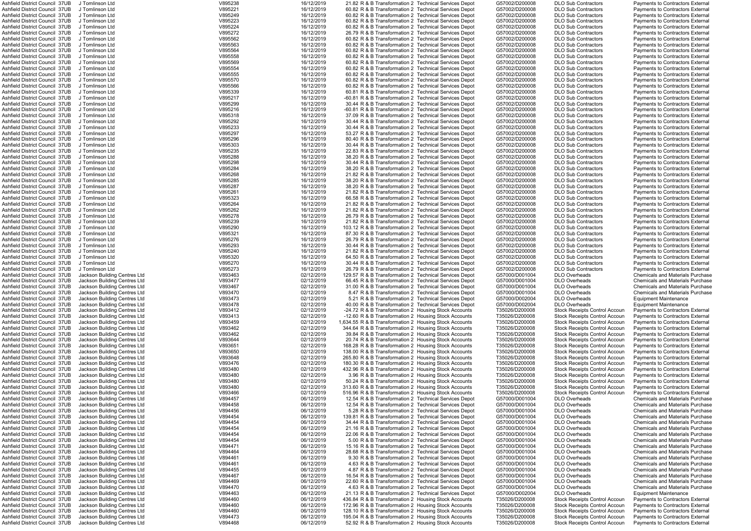| Ashfield District Council 37UB        |                              |         |            |                                                        |                |                                      |                                         |
|---------------------------------------|------------------------------|---------|------------|--------------------------------------------------------|----------------|--------------------------------------|-----------------------------------------|
|                                       | J Tomlinson Ltd              | V895238 | 16/12/2019 | 21.82 R & B Transformation 2 Technical Services Depot  | G57002/D200008 | <b>DLO Sub Contractors</b>           | Payments to Contractors External        |
|                                       | J Tomlinson Ltd              | V895221 | 16/12/2019 | 60.82 R & B Transformation 2 Technical Services Depot  | G57002/D200008 | <b>DLO Sub Contractors</b>           | Payments to Contractors External        |
| Ashfield District Council 37UB        |                              |         |            |                                                        |                |                                      |                                         |
| Ashfield District Council 37UB        | J Tomlinson Ltd              | V895249 | 16/12/2019 | 60.82 R & B Transformation 2 Technical Services Depot  | G57002/D200008 | <b>DLO Sub Contractors</b>           | <b>Payments to Contractors External</b> |
| Ashfield District Council 37UB        | J Tomlinson Ltd              | V895223 | 16/12/2019 | 60.82 R & B Transformation 2 Technical Services Depot  | G57002/D200008 | <b>DLO Sub Contractors</b>           | Payments to Contractors Externa         |
| Ashfield District Council 37UB        | J Tomlinson Ltd              | V895224 | 16/12/2019 | 60.82 R & B Transformation 2 Technical Services Depot  | G57002/D200008 | <b>DLO Sub Contractors</b>           | Payments to Contractors Externa         |
| Ashfield District Council 37UB        | J Tomlinson Ltd              | V895272 | 16/12/2019 | 26.79 R & B Transformation 2 Technical Services Depot  | G57002/D200008 | <b>DLO Sub Contractors</b>           | Payments to Contractors External        |
|                                       |                              |         |            |                                                        |                |                                      |                                         |
| Ashfield District Council 37UB        | J Tomlinson Ltd              | V895562 | 16/12/2019 | 60.82 R & B Transformation 2 Technical Services Depot  | G57002/D200008 | <b>DLO Sub Contractors</b>           | Payments to Contractors External        |
| Ashfield District Council 37UB        | J Tomlinson Ltd              | V895563 | 16/12/2019 | 60.82 R & B Transformation 2 Technical Services Depot  | G57002/D200008 | <b>DLO Sub Contractors</b>           | Payments to Contractors External        |
| Ashfield District Council 37UB        | J Tomlinson Ltd              | V895564 | 16/12/2019 | 60.82 R & B Transformation 2 Technical Services Depot  | G57002/D200008 | <b>DLO Sub Contractors</b>           | Payments to Contractors External        |
|                                       |                              |         |            |                                                        |                |                                      |                                         |
| Ashfield District Council 37UB        | J Tomlinson Ltd              | V895558 | 16/12/2019 | 60.82 R & B Transformation 2 Technical Services Depot  | G57002/D200008 | <b>DLO Sub Contractors</b>           | Payments to Contractors External        |
| Ashfield District Council 37UB        | J Tomlinson Ltd              | V895569 | 16/12/2019 | 60.82 R & B Transformation 2 Technical Services Depot  | G57002/D200008 | <b>DLO Sub Contractors</b>           | Payments to Contractors External        |
| Ashfield District Council  37UB       | J Tomlinson Ltd              | V895554 | 16/12/2019 | 60.82 R & B Transformation 2 Technical Services Depot  | G57002/D200008 | <b>DLO Sub Contractors</b>           | Payments to Contractors External        |
|                                       |                              |         |            |                                                        |                |                                      |                                         |
| Ashfield District Council 37UB        | J Tomlinson Ltd              | V895555 | 16/12/2019 | 60.82 R & B Transformation 2 Technical Services Depot  | G57002/D200008 | <b>DLO Sub Contractors</b>           | Payments to Contractors External        |
| Ashfield District Council 37UB        | J Tomlinson Ltd              | V895570 | 16/12/2019 | 60.82 R & B Transformation 2 Technical Services Depot  | G57002/D200008 | <b>DLO Sub Contractors</b>           | Payments to Contractors External        |
| Ashfield District Council 37UB        | J Tomlinson Ltd              | V895566 | 16/12/2019 | 60.82 R & B Transformation 2 Technical Services Depot  | G57002/D200008 | <b>DLO Sub Contractors</b>           | Payments to Contractors External        |
|                                       |                              |         |            |                                                        |                |                                      |                                         |
| Ashfield District Council 37UB        | J Tomlinson Ltd              | V895339 | 16/12/2019 | 60.81 R & B Transformation 2 Technical Services Depot  | G57002/D200008 | <b>DLO Sub Contractors</b>           | Payments to Contractors External        |
| Ashfield District Council 37UB        | J Tomlinson Ltd              | V895217 | 16/12/2019 | -60.81 R & B Transformation 2 Technical Services Depot | G57002/D200008 | <b>DLO Sub Contractors</b>           | Payments to Contractors External        |
| Ashfield District Council 37UB        | J Tomlinson Ltd              | V895299 | 16/12/2019 | 30.44 R & B Transformation 2 Technical Services Depot  | G57002/D200008 | <b>DLO Sub Contractors</b>           | Payments to Contractors External        |
|                                       |                              | V895216 | 16/12/2019 |                                                        |                |                                      |                                         |
| Ashfield District Council 37UB        | J Tomlinson Ltd              |         |            | -60.81 R & B Transformation 2 Technical Services Depot | G57002/D200008 | <b>DLO Sub Contractors</b>           | Payments to Contractors External        |
| Ashfield District Council 37UB        | J Tomlinson Ltd              | V895318 | 16/12/2019 | 37.09 R & B Transformation 2 Technical Services Depot  | G57002/D200008 | <b>DLO Sub Contractors</b>           | Payments to Contractors External        |
| Ashfield District Council 37UB        | J Tomlinson Ltd              | V895292 | 16/12/2019 | 30.44 R & B Transformation 2 Technical Services Depot  | G57002/D200008 | <b>DLO Sub Contractors</b>           | Payments to Contractors External        |
| Ashfield District Council 37UB        | J Tomlinson Ltd              | V895233 | 16/12/2019 | 30.44 R & B Transformation 2 Technical Services Depot  | G57002/D200008 | <b>DLO Sub Contractors</b>           | Payments to Contractors External        |
|                                       |                              |         |            |                                                        |                |                                      |                                         |
| Ashfield District Council 37UB        | J Tomlinson Ltd              | V895297 | 16/12/2019 | 53.27 R & B Transformation 2 Technical Services Depot  | G57002/D200008 | <b>DLO Sub Contractors</b>           | Payments to Contractors External        |
| Ashfield District Council 37UB        | J Tomlinson Ltd              | V895296 | 16/12/2019 | 80.40 R & B Transformation 2 Technical Services Depot  | G57002/D200008 | <b>DLO Sub Contractors</b>           | <b>Payments to Contractors External</b> |
| Ashfield District Council 37UB        | J Tomlinson Ltd              | V895303 | 16/12/2019 | 30.44 R & B Transformation 2 Technical Services Depot  | G57002/D200008 | <b>DLO Sub Contractors</b>           | Payments to Contractors External        |
|                                       |                              |         |            |                                                        |                |                                      |                                         |
| Ashfield District Council 37UB        | J Tomlinson Ltd              | V895235 | 16/12/2019 | 22.83 R & B Transformation 2 Technical Services Depot  | G57002/D200008 | <b>DLO Sub Contractors</b>           | Payments to Contractors Externa         |
| Ashfield District Council 37UB        | J Tomlinson Ltd              | V895288 | 16/12/2019 | 38.20 R & B Transformation 2 Technical Services Depot  | G57002/D200008 | <b>DLO Sub Contractors</b>           | Payments to Contractors External        |
| Ashfield District Council 37UB        | J Tomlinson Ltd              | V895298 | 16/12/2019 | 30.44 R & B Transformation 2 Technical Services Depot  | G57002/D200008 | <b>DLO Sub Contractors</b>           | Payments to Contractors Externa         |
|                                       |                              |         |            |                                                        |                |                                      |                                         |
| Ashfield District Council 37UB        | J Tomlinson Ltd              | V895284 | 16/12/2019 | 38.20 R & B Transformation 2 Technical Services Depot  | G57002/D200008 | <b>DLO Sub Contractors</b>           | Payments to Contractors Externa         |
| Ashfield District Council 37UB        | J Tomlinson Ltd              | V895268 | 16/12/2019 | 21.82 R & B Transformation 2 Technical Services Depot  | G57002/D200008 | <b>DLO Sub Contractors</b>           | <b>Payments to Contractors External</b> |
| Ashfield District Council 37UB        | J Tomlinson Ltd              | V895285 | 16/12/2019 | 38.20 R & B Transformation 2 Technical Services Depot  | G57002/D200008 | <b>DLO Sub Contractors</b>           | Payments to Contractors External        |
|                                       |                              |         |            |                                                        |                |                                      |                                         |
| Ashfield District Council 37UB        | J Tomlinson Ltd              | V895287 | 16/12/2019 | 38.20 R & B Transformation 2 Technical Services Depot  | G57002/D200008 | <b>DLO Sub Contractors</b>           | Payments to Contractors External        |
| Ashfield District Council 37UB        | J Tomlinson Ltd              | V895261 | 16/12/2019 | 21.82 R & B Transformation 2 Technical Services Depot  | G57002/D200008 | <b>DLO Sub Contractors</b>           | Payments to Contractors External        |
| Ashfield District Council 37UB        | J Tomlinson Ltd              | V895323 | 16/12/2019 | 66.58 R & B Transformation 2 Technical Services Depot  | G57002/D200008 | <b>DLO Sub Contractors</b>           | Payments to Contractors External        |
|                                       |                              |         |            |                                                        |                |                                      |                                         |
| Ashfield District Council 37UB        | J Tomlinson Ltd              | V895264 | 16/12/2019 | 21.82 R & B Transformation 2 Technical Services Depot  | G57002/D200008 | <b>DLO Sub Contractors</b>           | Payments to Contractors External        |
| Ashfield District Council 37UB        | J Tomlinson Ltd              | V895262 | 16/12/2019 | 21.82 R & B Transformation 2 Technical Services Depot  | G57002/D200008 | <b>DLO Sub Contractors</b>           | Payments to Contractors External        |
| Ashfield District Council 37UB        | J Tomlinson Ltd              | V895278 | 16/12/2019 | 26.79 R & B Transformation 2 Technical Services Depot  | G57002/D200008 | <b>DLO Sub Contractors</b>           | Payments to Contractors External        |
|                                       |                              |         |            |                                                        |                |                                      |                                         |
| Ashfield District Council 37UB        | J Tomlinson Ltd              | V895239 | 16/12/2019 | 21.82 R & B Transformation 2 Technical Services Depot  | G57002/D200008 | <b>DLO Sub Contractors</b>           | Payments to Contractors External        |
| Ashfield District Council 37UB        | J Tomlinson Ltd              | V895290 | 16/12/2019 | 103.12 R & B Transformation 2 Technical Services Depot | G57002/D200008 | <b>DLO Sub Contractors</b>           | Payments to Contractors External        |
| Ashfield District Council 37UB        | J Tomlinson Ltd              | V895321 | 16/12/2019 | 87.30 R & B Transformation 2 Technical Services Depot  | G57002/D200008 | <b>DLO Sub Contractors</b>           | Payments to Contractors External        |
|                                       |                              | V895276 | 16/12/2019 |                                                        | G57002/D200008 | <b>DLO Sub Contractors</b>           | <b>Payments to Contractors External</b> |
| Ashfield District Council 37UB        | J Tomlinson Ltd              |         |            | 26.79 R & B Transformation 2 Technical Services Depot  |                |                                      |                                         |
| Ashfield District Council 37UB        | J Tomlinson Ltd              | V895293 | 16/12/2019 | 30.44 R & B Transformation 2 Technical Services Depot  | G57002/D200008 | <b>DLO Sub Contractors</b>           | <b>Payments to Contractors External</b> |
| Ashfield District Council 37UB        | J Tomlinson Ltd              | V895240 | 16/12/2019 | 21.82 R & B Transformation 2 Technical Services Depot  | G57002/D200008 | <b>DLO Sub Contractors</b>           | Payments to Contractors External        |
| Ashfield District Council 37UB        | J Tomlinson Ltd              | V895320 | 16/12/2019 | 64.50 R & B Transformation 2 Technical Services Depot  | G57002/D200008 | <b>DLO Sub Contractors</b>           | Payments to Contractors Externa         |
|                                       |                              |         |            |                                                        |                |                                      |                                         |
| Ashfield District Council 37UB        | J Tomlinson Ltd              | V895270 | 16/12/2019 | 30.44 R & B Transformation 2 Technical Services Depot  | G57002/D200008 | <b>DLO Sub Contractors</b>           | <b>Payments to Contractors Externa</b>  |
| Ashfield District Council 37UB        | J Tomlinson Ltd              | V895273 | 16/12/2019 | 26.79 R & B Transformation 2 Technical Services Depot  | G57002/D200008 | <b>DLO Sub Contractors</b>           | Payments to Contractors External        |
| Ashfield District Council 37UB        | Jackson Building Centres Ltd | V893463 | 02/12/2019 | 129.57 R & B Transformation 2 Technical Services Depot | G57000/D001004 | <b>DLO Overheads</b>                 | <b>Chemicals and Materials Purchase</b> |
|                                       |                              |         |            |                                                        |                |                                      |                                         |
| Ashfield District Council 37UB        | Jackson Building Centres Ltd | V893477 | 02/12/2019 | 66.45 R & B Transformation 2 Technical Services Depot  | G57000/D001004 | <b>DLO Overheads</b>                 | <b>Chemicals and Materials Purchase</b> |
|                                       |                              |         |            |                                                        |                |                                      |                                         |
|                                       | Jackson Building Centres Ltd |         |            |                                                        |                |                                      |                                         |
| Ashfield District Council 37UB        |                              | V893467 | 02/12/2019 | 31.00 R & B Transformation 2 Technical Services Depot  | G57000/D001004 | <b>DLO Overheads</b>                 | <b>Chemicals and Materials Purchase</b> |
| <b>Ashfield District Council 37UB</b> | Jackson Building Centres Ltd | V893470 | 02/12/2019 | 8.47 R & B Transformation 2 Technical Services Depot   | G57000/D001004 | <b>DLO Overheads</b>                 | <b>Chemicals and Materials Purchase</b> |
| Ashfield District Council 37UB        | Jackson Building Centres Ltd | V893473 | 02/12/2019 | 5.21 R & B Transformation 2 Technical Services Depot   | G57000/D002004 | <b>DLO Overheads</b>                 | Equipment Maintenance                   |
| Ashfield District Council 37UB        | Jackson Building Centres Ltd | V893478 | 02/12/2019 | 40.00 R & B Transformation 2 Technical Services Depot  | G57000/D002004 | <b>DLO Overheads</b>                 | Equipment Maintenance                   |
|                                       |                              |         |            |                                                        |                |                                      |                                         |
| Ashfield District Council 37UB        | Jackson Building Centres Ltd | V893412 | 02/12/2019 | -24.72 R & B Transformation 2 Housing Stock Accounts   | T35026/D200008 | <b>Stock Receipts Control Accoun</b> | <b>Payments to Contractors External</b> |
| Ashfield District Council 37UB        | Jackson Building Centres Ltd | V893413 | 02/12/2019 | -12.60 R & B Transformation 2 Housing Stock Accounts   | T35026/D200008 | <b>Stock Receipts Control Accoun</b> | Payments to Contractors External        |
| Ashfield District Council 37UB        | Jackson Building Centres Ltd | V893459 |            |                                                        | T35026/D200008 | <b>Stock Receipts Control Accoun</b> | Payments to Contractors External        |
|                                       |                              |         | 02/12/2019 | 1,634.55 R & B Transformation 2 Housing Stock Accounts |                |                                      |                                         |
| Ashfield District Council 37UB        | Jackson Building Centres Ltd | V893462 | 02/12/2019 | 344.64 R & B Transformation 2 Housing Stock Accounts   | T35026/D200008 | <b>Stock Receipts Control Accoun</b> | Payments to Contractors External        |
| Ashfield District Council 37UB        | Jackson Building Centres Ltd | V893462 | 02/12/2019 | 39.84 R & B Transformation 2 Housing Stock Accounts    | T35026/D200008 | <b>Stock Receipts Control Accoun</b> | Payments to Contractors External        |
| Ashfield District Council 37UB        | Jackson Building Centres Ltd | V893644 | 02/12/2019 | 20.74 R & B Transformation 2 Housing Stock Accounts    | T35026/D200008 | <b>Stock Receipts Control Accoun</b> | Payments to Contractors External        |
|                                       |                              |         |            |                                                        |                |                                      |                                         |
| Ashfield District Council 37UB        | Jackson Building Centres Ltd | V893651 | 02/12/2019 | 168.28 R & B Transformation 2 Housing Stock Accounts   | T35026/D200008 | <b>Stock Receipts Control Accoun</b> | Payments to Contractors External        |
| Ashfield District Council 37UB        | Jackson Building Centres Ltd | V893650 | 02/12/2019 | 138.00 R & B Transformation 2 Housing Stock Accounts   | T35026/D200008 | <b>Stock Receipts Control Accoun</b> | Payments to Contractors External        |
| Ashfield District Council 37UB        | Jackson Building Centres Ltd | V893648 | 02/12/2019 | 265.80 R & B Transformation 2 Housing Stock Accounts   | T35026/D200008 | <b>Stock Receipts Control Accoun</b> | Payments to Contractors External        |
| Ashfield District Council 37UB        | Jackson Building Centres Ltd | V893476 | 02/12/2019 | 180.30 R & B Transformation 2 Housing Stock Accounts   | T35026/D200008 | <b>Stock Receipts Control Accoun</b> | Payments to Contractors External        |
|                                       |                              |         |            |                                                        |                |                                      |                                         |
| Ashfield District Council 37UB        | Jackson Building Centres Ltd | V893480 | 02/12/2019 | 432.96 R & B Transformation 2 Housing Stock Accounts   | T35026/D200008 | <b>Stock Receipts Control Accoun</b> | Payments to Contractors External        |
| Ashfield District Council 37UB        | Jackson Building Centres Ltd | V893480 | 02/12/2019 | 3.96 R & B Transformation 2 Housing Stock Accounts     | T35026/D200008 | <b>Stock Receipts Control Accoun</b> | Payments to Contractors External        |
| Ashfield District Council 37UB        | Jackson Building Centres Ltd | V893480 | 02/12/2019 | 50.24 R & B Transformation 2 Housing Stock Accounts    | T35026/D200008 | Stock Receipts Control Accoun        | <b>Payments to Contractors External</b> |
| Ashfield District Council 37UB        | Jackson Building Centres Ltd | V893480 | 02/12/2019 | 313.60 R & B Transformation 2 Housing Stock Accounts   | T35026/D200008 | <b>Stock Receipts Control Accoun</b> | <b>Payments to Contractors External</b> |
|                                       |                              |         |            |                                                        |                |                                      |                                         |
| Ashfield District Council 37UB        | Jackson Building Centres Ltd | V893466 | 02/12/2019 | 516.96 R & B Transformation 2 Housing Stock Accounts   | T35026/D200008 | <b>Stock Receipts Control Accoun</b> | Payments to Contractors External        |
| Ashfield District Council 37UB        | Jackson Building Centres Ltd | V894457 | 06/12/2019 | 12.54 R & B Transformation 2 Technical Services Depot  | G57000/D001004 | <b>DLO Overheads</b>                 | <b>Chemicals and Materials Purchase</b> |
| Ashfield District Council 37UB        | Jackson Building Centres Ltd | V894458 | 06/12/2019 | 12.54 R & B Transformation 2 Technical Services Depot  | G57000/D001004 | <b>DLO Overheads</b>                 | <b>Chemicals and Materials Purchase</b> |
|                                       |                              |         |            |                                                        |                |                                      |                                         |
| Ashfield District Council 37UB        | Jackson Building Centres Ltd | V894456 | 06/12/2019 | 5.28 R & B Transformation 2 Technical Services Depot   | G57000/D001004 | <b>DLO Overheads</b>                 | <b>Chemicals and Materials Purchase</b> |
| Ashfield District Council 37UB        | Jackson Building Centres Ltd | V894454 | 06/12/2019 | 139.81 R & B Transformation 2 Technical Services Depot | G57000/D001004 | <b>DLO Overheads</b>                 | <b>Chemicals and Materials Purchase</b> |
| Ashfield District Council 37UB        | Jackson Building Centres Ltd | V894454 | 06/12/2019 | 34.44 R & B Transformation 2 Technical Services Depot  | G57000/D001004 | <b>DLO Overheads</b>                 | <b>Chemicals and Materials Purchase</b> |
| Ashfield District Council 37UB        | Jackson Building Centres Ltd | V894454 |            | 21.16 R & B Transformation 2 Technical Services Depot  | G57000/D001004 | <b>DLO Overheads</b>                 | <b>Chemicals and Materials Purchase</b> |
|                                       |                              |         | 06/12/2019 |                                                        |                |                                      |                                         |
| Ashfield District Council 37UB        | Jackson Building Centres Ltd | V894454 | 06/12/2019 | 22.06 R & B Transformation 2 Technical Services Depot  | G57000/D001004 | <b>DLO Overheads</b>                 | <b>Chemicals and Materials Purchase</b> |
| Ashfield District Council 37UB        | Jackson Building Centres Ltd | V894454 | 06/12/2019 | 5.00 R & B Transformation 2 Technical Services Depot   | G57000/D001004 | <b>DLO Overheads</b>                 | <b>Chemicals and Materials Purchase</b> |
| Ashfield District Council 37UB        | Jackson Building Centres Ltd | V894471 | 06/12/2019 | 15.16 R & B Transformation 2 Technical Services Depot  | G57000/D001004 | <b>DLO Overheads</b>                 | <b>Chemicals and Materials Purchase</b> |
|                                       |                              |         |            |                                                        |                |                                      |                                         |
| Ashfield District Council 37UB        | Jackson Building Centres Ltd | V894464 | 06/12/2019 | 28.68 R & B Transformation 2 Technical Services Depot  | G57000/D001004 | <b>DLO Overheads</b>                 | <b>Chemicals and Materials Purchase</b> |
| Ashfield District Council 37UB        | Jackson Building Centres Ltd | V894461 | 06/12/2019 | 9.30 R & B Transformation 2 Technical Services Depot   | G57000/D001004 | <b>DLO Overheads</b>                 | <b>Chemicals and Materials Purchase</b> |
| Ashfield District Council 37UB        | Jackson Building Centres Ltd | V894461 |            | 4.63 R & B Transformation 2 Technical Services Depot   | G57000/D001004 | <b>DLO Overheads</b>                 | <b>Chemicals and Materials Purchase</b> |
|                                       |                              |         | 06/12/2019 |                                                        |                |                                      |                                         |
| Ashfield District Council 37UB        | Jackson Building Centres Ltd | V894455 | 06/12/2019 | 4.87 R & B Transformation 2 Technical Services Depot   | G57000/D001004 | <b>DLO Overheads</b>                 | <b>Chemicals and Materials Purchase</b> |
| Ashfield District Council 37UB        | Jackson Building Centres Ltd | V894467 | 06/12/2019 | 16.54 R & B Transformation 2 Technical Services Depot  | G57000/D001004 | <b>DLO Overheads</b>                 | <b>Chemicals and Materials Purchase</b> |
| Ashfield District Council 37UB        | Jackson Building Centres Ltd | V894469 | 06/12/2019 | 22.60 R & B Transformation 2 Technical Services Depot  | G57000/D001004 | <b>DLO Overheads</b>                 | <b>Chemicals and Materials Purchase</b> |
|                                       |                              |         |            |                                                        |                |                                      |                                         |
| Ashfield District Council 37UB        | Jackson Building Centres Ltd | V894470 | 06/12/2019 | 4.63 R & B Transformation 2 Technical Services Depot   | G57000/D001004 | <b>DLO Overheads</b>                 | <b>Chemicals and Materials Purchase</b> |
| Ashfield District Council 37UB        | Jackson Building Centres Ltd | V894463 | 06/12/2019 | 21.13 R & B Transformation 2 Technical Services Depot  | G57000/D002004 | <b>DLO Overheads</b>                 | <b>Equipment Maintenance</b>            |
| Ashfield District Council 37UB        | Jackson Building Centres Ltd | V894460 | 06/12/2019 | 436.84 R & B Transformation 2 Housing Stock Accounts   | T35026/D200008 | <b>Stock Receipts Control Accoun</b> | Payments to Contractors External        |
|                                       |                              |         |            |                                                        |                |                                      |                                         |
| Ashfield District Council 37UB        | Jackson Building Centres Ltd | V894460 | 06/12/2019 | 172.96 R & B Transformation 2 Housing Stock Accounts   | T35026/D200008 | <b>Stock Receipts Control Accoun</b> | <b>Payments to Contractors External</b> |
| Ashfield District Council 37UB        | Jackson Building Centres Ltd | V894460 | 06/12/2019 | 128.10 R & B Transformation 2 Housing Stock Accounts   | T35026/D200008 | <b>Stock Receipts Control Accoun</b> | Payments to Contractors External        |
| Ashfield District Council 37UB        | Jackson Building Centres Ltd | V894473 | 06/12/2019 | 195.04 R & B Transformation 2 Housing Stock Accounts   | T35026/D200008 | <b>Stock Receipts Control Accoun</b> | Payments to Contractors External        |
| Ashfield District Council 37UB        | Jackson Building Centres Ltd | V894468 | 06/12/2019 | 52.92 R & B Transformation 2 Housing Stock Accounts    | T35026/D200008 | <b>Stock Receipts Control Accoun</b> | Payments to Contractors External        |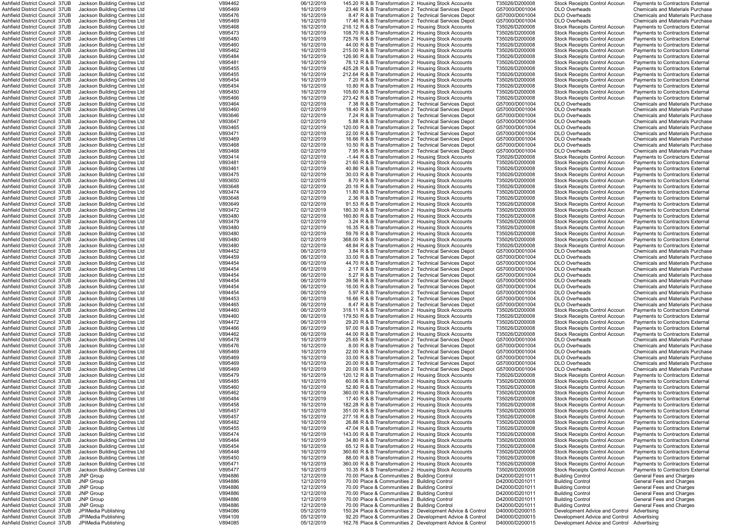| Ashfield District Council 37UB                                   | Jackson Building Centres Ltd               | V894462            | 06/12/2019               | 145.20 R & B Transformation 2 Housing Stock Accounts   |                                                                                                                       | T35026/D200008                   | <b>Stock Receipts Control Accoun</b>                                         | <b>Payments to Contractors External</b> |
|------------------------------------------------------------------|--------------------------------------------|--------------------|--------------------------|--------------------------------------------------------|-----------------------------------------------------------------------------------------------------------------------|----------------------------------|------------------------------------------------------------------------------|-----------------------------------------|
|                                                                  |                                            |                    |                          |                                                        |                                                                                                                       |                                  |                                                                              |                                         |
| Ashfield District Council 37UB                                   | Jackson Building Centres Ltd               | V895469            | 16/12/2019               | 23.46 R & B Transformation 2 Technical Services Depot  |                                                                                                                       | G57000/D001004                   | <b>DLO Overheads</b>                                                         | <b>Chemicals and Materials Purchase</b> |
| Ashfield District Council 37UB                                   | Jackson Building Centres Ltd               | V895476            | 16/12/2019               | 8.47 R & B Transformation 2 Technical Services Depot   |                                                                                                                       | G57000/D001004                   | DLO Overheads                                                                | <b>Chemicals and Materials Purchase</b> |
| Ashfield District Council 37UB                                   | Jackson Building Centres Ltd               | V895469            | 16/12/2019               | 17.46 R & B Transformation 2 Technical Services Depot  |                                                                                                                       | G57000/D001004                   | <b>DLO Overheads</b>                                                         | <b>Chemicals and Materials Purchase</b> |
| Ashfield District Council 37UB                                   | Jackson Building Centres Ltd               | V895468            | 16/12/2019               | 216.12 R & B Transformation 2 Housing Stock Accounts   |                                                                                                                       | T35026/D200008                   | <b>Stock Receipts Control Accoun</b>                                         | Payments to Contractors External        |
| Ashfield District Council 37UB                                   | Jackson Building Centres Ltd               | V895473            | 16/12/2019               | 108.70 R & B Transformation 2 Housing Stock Accounts   |                                                                                                                       | T35026/D200008                   | Stock Receipts Control Accoun                                                | <b>Payments to Contractors External</b> |
|                                                                  |                                            |                    |                          |                                                        |                                                                                                                       |                                  |                                                                              |                                         |
| Ashfield District Council 37UB                                   | Jackson Building Centres Ltd               | V895480            | 16/12/2019               | 725.76 R & B Transformation 2 Housing Stock Accounts   |                                                                                                                       | T35026/D200008                   | <b>Stock Receipts Control Accoun</b>                                         | Payments to Contractors External        |
| Ashfield District Council 37UB                                   | Jackson Building Centres Ltd               | V895460            | 16/12/2019               | 44.00 R & B Transformation 2 Housing Stock Accounts    |                                                                                                                       | T35026/D200008                   | <b>Stock Receipts Control Accoun</b>                                         | Payments to Contractors External        |
| Ashfield District Council 37UB                                   | Jackson Building Centres Ltd               | V895462            | 16/12/2019               | 215.00 R & B Transformation 2 Housing Stock Accounts   |                                                                                                                       | T35026/D200008                   | <b>Stock Receipts Control Accoun</b>                                         | Payments to Contractors External        |
| Ashfield District Council 37UB                                   | Jackson Building Centres Ltd               | V895484            | 16/12/2019               | 126.90 R & B Transformation 2 Housing Stock Accounts   |                                                                                                                       | T35026/D200008                   | <b>Stock Receipts Control Accoun</b>                                         | Payments to Contractors External        |
|                                                                  |                                            |                    |                          |                                                        |                                                                                                                       |                                  |                                                                              |                                         |
| Ashfield District Council 37UB                                   | Jackson Building Centres Ltd               | V895481            | 16/12/2019               | 78.12 R & B Transformation 2 Housing Stock Accounts    |                                                                                                                       | T35026/D200008                   | <b>Stock Receipts Control Accoun</b>                                         | Payments to Contractors External        |
| Ashfield District Council 37UB                                   | Jackson Building Centres Ltd               | V895455            | 16/12/2019               | 425.28 R & B Transformation 2 Housing Stock Accounts   |                                                                                                                       | T35026/D200008                   | <b>Stock Receipts Control Accoun</b>                                         | <b>Payments to Contractors External</b> |
| Ashfield District Council 37UB                                   | Jackson Building Centres Ltd               | V895455            | 16/12/2019               | 212.64 R & B Transformation 2 Housing Stock Accounts   |                                                                                                                       | T35026/D200008                   | <b>Stock Receipts Control Accoun</b>                                         | <b>Payments to Contractors External</b> |
|                                                                  | Jackson Building Centres Ltd               | V895454            |                          |                                                        |                                                                                                                       |                                  |                                                                              |                                         |
| Ashfield District Council 37UB                                   |                                            |                    | 16/12/2019               | 7.20 R & B Transformation 2 Housing Stock Accounts     |                                                                                                                       | T35026/D200008                   | <b>Stock Receipts Control Accoun</b>                                         | Payments to Contractors External        |
| Ashfield District Council 37UB                                   | Jackson Building Centres Ltd               | V895454            | 16/12/2019               | 10.80 R & B Transformation 2 Housing Stock Accounts    |                                                                                                                       | T35026/D200008                   | <b>Stock Receipts Control Accoun</b>                                         | Payments to Contractors External        |
| Ashfield District Council 37UB                                   | Jackson Building Centres Ltd               | V895450            | 16/12/2019               | 105.60 R & B Transformation 2 Housing Stock Accounts   |                                                                                                                       | T35026/D200008                   | Stock Receipts Control Accoun                                                | Payments to Contractors External        |
| Ashfield District Council 37UB                                   | Jackson Building Centres Ltd               | V895466            | 16/12/2019               | 273.42 R & B Transformation 2 Housing Stock Accounts   |                                                                                                                       | T35026/D200008                   | <b>Stock Receipts Control Accoun</b>                                         | Payments to Contractors External        |
|                                                                  |                                            |                    |                          |                                                        |                                                                                                                       |                                  |                                                                              |                                         |
| Ashfield District Council 37UB                                   | Jackson Building Centres Ltd               | V893464            | 02/12/2019               | 7.38 R & B Transformation 2 Technical Services Depot   |                                                                                                                       | G57000/D001004                   | <b>DLO Overheads</b>                                                         | <b>Chemicals and Materials Purchase</b> |
| Ashfield District Council 37UB                                   | Jackson Building Centres Ltd               | V893460            | 02/12/2019               | 18.40 R & B Transformation 2 Technical Services Depot  |                                                                                                                       | G57000/D001004                   | <b>DLO Overheads</b>                                                         | <b>Chemicals and Materials Purchase</b> |
| Ashfield District Council 37UB                                   | Jackson Building Centres Ltd               | V893646            | 02/12/2019               | 7.24 R & B Transformation 2 Technical Services Depot   |                                                                                                                       | G57000/D001004                   | <b>DLO Overheads</b>                                                         | <b>Chemicals and Materials Purchase</b> |
| Ashfield District Council 37UB                                   | Jackson Building Centres Ltd               | V893647            | 02/12/2019               | 5.88 R & B Transformation 2 Technical Services Depot   |                                                                                                                       | G57000/D001004                   | <b>DLO Overheads</b>                                                         | <b>Chemicals and Materials Purchase</b> |
|                                                                  |                                            |                    |                          |                                                        |                                                                                                                       |                                  |                                                                              |                                         |
| Ashfield District Council 37UB                                   | Jackson Building Centres Ltd               | V893465            | 02/12/2019               | 120.00 R & B Transformation 2 Technical Services Depot |                                                                                                                       | G57000/D001004                   | <b>DLO Overheads</b>                                                         | <b>Chemicals and Materials Purchase</b> |
| Ashfield District Council 37UB                                   | Jackson Building Centres Ltd               | V893471            | 02/12/2019               | 22.00 R & B Transformation 2 Technical Services Depot  |                                                                                                                       | G57000/D001004                   | <b>DLO Overheads</b>                                                         | <b>Chemicals and Materials Purchase</b> |
| Ashfield District Council 37UB                                   | Jackson Building Centres Ltd               | V893469            | 02/12/2019               | 16.66 R & B Transformation 2 Technical Services Depot  |                                                                                                                       | G57000/D001004                   | <b>DLO Overheads</b>                                                         | <b>Chemicals and Materials Purchase</b> |
| Ashfield District Council 37UB                                   | Jackson Building Centres Ltd               | V893468            | 02/12/2019               | 10.50 R & B Transformation 2 Technical Services Depot  |                                                                                                                       | G57000/D001004                   | <b>DLO Overheads</b>                                                         | <b>Chemicals and Materials Purchase</b> |
|                                                                  |                                            |                    |                          |                                                        |                                                                                                                       |                                  |                                                                              |                                         |
| Ashfield District Council 37UB                                   | Jackson Building Centres Ltd               | V893468            | 02/12/2019               | 7.95 R & B Transformation 2 Technical Services Depot   |                                                                                                                       | G57000/D001004                   | <b>DLO Overheads</b>                                                         | <b>Chemicals and Materials Purchase</b> |
| Ashfield District Council 37UB                                   | Jackson Building Centres Ltd               | V893414            | 02/12/2019               | -1.44 R & B Transformation 2 Housing Stock Accounts    |                                                                                                                       | T35026/D200008                   | <b>Stock Receipts Control Accoun</b>                                         | Payments to Contractors External        |
| Ashfield District Council 37UB                                   | Jackson Building Centres Ltd               | V893481            | 02/12/2019               | 21.60 R & B Transformation 2 Housing Stock Accounts    |                                                                                                                       | T35026/D200008                   | <b>Stock Receipts Control Accoun</b>                                         | <b>Payments to Contractors External</b> |
|                                                                  | Jackson Building Centres Ltd               | V893461            | 02/12/2019               | 40.86 R & B Transformation 2 Housing Stock Accounts    |                                                                                                                       |                                  |                                                                              |                                         |
| Ashfield District Council 37UB                                   |                                            |                    |                          |                                                        |                                                                                                                       | T35026/D200008                   | <b>Stock Receipts Control Accoun</b>                                         | <b>Payments to Contractors External</b> |
| Ashfield District Council 37UB                                   | Jackson Building Centres Ltd               | V893475            | 02/12/2019               | 30.03 R & B Transformation 2 Housing Stock Accounts    |                                                                                                                       | T35026/D200008                   | <b>Stock Receipts Control Accoun</b>                                         | Payments to Contractors External        |
| Ashfield District Council 37UB                                   | Jackson Building Centres Ltd               | V893650            | 02/12/2019               | 8.70 R & B Transformation 2 Housing Stock Accounts     |                                                                                                                       | T35026/D200008                   | <b>Stock Receipts Control Accoun</b>                                         | <b>Payments to Contractors External</b> |
| Ashfield District Council 37UB                                   | Jackson Building Centres Ltd               | V893648            | 02/12/2019               | 20.16 R & B Transformation 2 Housing Stock Accounts    |                                                                                                                       | T35026/D200008                   | <b>Stock Receipts Control Accoun</b>                                         | Payments to Contractors External        |
|                                                                  |                                            | V893474            | 02/12/2019               | 11.80 R & B Transformation 2 Housing Stock Accounts    |                                                                                                                       |                                  |                                                                              |                                         |
| Ashfield District Council 37UB                                   | Jackson Building Centres Ltd               |                    |                          |                                                        |                                                                                                                       | T35026/D200008                   | <b>Stock Receipts Control Accoun</b>                                         | Payments to Contractors External        |
| Ashfield District Council 37UB                                   | Jackson Building Centres Ltd               | V893648            | 02/12/2019               | 2.36 R & B Transformation 2 Housing Stock Accounts     |                                                                                                                       | T35026/D200008                   | Stock Receipts Control Accoun                                                | Payments to Contractors Externa         |
| Ashfield District Council 37UB                                   | Jackson Building Centres Ltd               | V893649            | 02/12/2019               | 91.53 R & B Transformation 2 Housing Stock Accounts    |                                                                                                                       | T35026/D200008                   | Stock Receipts Control Accoun                                                | Payments to Contractors External        |
| Ashfield District Council 37UB                                   | Jackson Building Centres Ltd               | V893472            | 02/12/2019               | 180.30 R & B Transformation 2 Housing Stock Accounts   |                                                                                                                       | T35026/D200008                   | Stock Receipts Control Accoun                                                | Payments to Contractors External        |
|                                                                  |                                            |                    |                          |                                                        |                                                                                                                       |                                  |                                                                              |                                         |
| Ashfield District Council 37UB                                   | Jackson Building Centres Ltd               | V893480            | 02/12/2019               | 160.80 R & B Transformation 2 Housing Stock Accounts   |                                                                                                                       | T35026/D200008                   | <b>Stock Receipts Control Accoun</b>                                         | Payments to Contractors External        |
| Ashfield District Council 37UB                                   | Jackson Building Centres Ltd               | V893479            | 02/12/2019               | 3.24 R & B Transformation 2 Housing Stock Accounts     |                                                                                                                       | T35026/D200008                   | <b>Stock Receipts Control Accoun</b>                                         | Payments to Contractors External        |
| Ashfield District Council 37UB                                   | Jackson Building Centres Ltd               | V893480            | 02/12/2019               | 16.35 R & B Transformation 2 Housing Stock Accounts    |                                                                                                                       | T35026/D200008                   | <b>Stock Receipts Control Accoun</b>                                         | <b>Payments to Contractors External</b> |
| Ashfield District Council 37UB                                   | Jackson Building Centres Ltd               | V893480            | 02/12/2019               | 59.76 R & B Transformation 2 Housing Stock Accounts    |                                                                                                                       | T35026/D200008                   | <b>Stock Receipts Control Accoun</b>                                         | Payments to Contractors External        |
|                                                                  |                                            |                    |                          |                                                        |                                                                                                                       |                                  |                                                                              |                                         |
| Ashfield District Council 37UB                                   | Jackson Building Centres Ltd               | V893480            | 02/12/2019               | 368.00 R & B Transformation 2 Housing Stock Accounts   |                                                                                                                       | T35026/D200008                   | Stock Receipts Control Accoun                                                | Payments to Contractors External        |
| Ashfield District Council 37UB                                   | Jackson Building Centres Ltd               | V893480            | 02/12/2019               | 48.84 R & B Transformation 2 Housing Stock Accounts    |                                                                                                                       | T35026/D200008                   | <b>Stock Receipts Control Accoun</b>                                         | Payments to Contractors External        |
| Ashfield District Council 37UB                                   | Jackson Building Centres Ltd               | V894452            | 06/12/2019               | 3.84 R & B Transformation 2 Technical Services Depot   |                                                                                                                       | G57000/D001004                   | <b>DLO Overheads</b>                                                         | <b>Chemicals and Materials Purchase</b> |
| Ashfield District Council 37UB                                   | Jackson Building Centres Ltd               | V894459            | 06/12/2019               | 33.00 R & B Transformation 2 Technical Services Depot  |                                                                                                                       | G57000/D001004                   | <b>DLO Overheads</b>                                                         | <b>Chemicals and Materials Purchase</b> |
|                                                                  |                                            |                    |                          |                                                        |                                                                                                                       |                                  |                                                                              |                                         |
| Ashfield District Council 37UB                                   | Jackson Building Centres Ltd               | V894454            | 06/12/2019               | 44.70 R & B Transformation 2 Technical Services Depot  |                                                                                                                       | G57000/D001004                   | <b>DLO Overheads</b>                                                         | <b>Chemicals and Materials Purchase</b> |
| Ashfield District Council 37UB                                   | Jackson Building Centres Ltd               | V894454            | 06/12/2019               | 2.17 R & B Transformation 2 Technical Services Depot   |                                                                                                                       | G57000/D001004                   | <b>DLO Overheads</b>                                                         | <b>Chemicals and Materials Purchase</b> |
| Ashfield District Council 37UB                                   | Jackson Building Centres Ltd               | V894454            | 06/12/2019               | 5.27 R & B Transformation 2 Technical Services Depot   |                                                                                                                       | G57000/D001004                   | <b>DLO Overheads</b>                                                         | <b>Chemicals and Materials Purchase</b> |
| Ashfield District Council 37UB                                   | Jackson Building Centres Ltd               | V894454            | 06/12/2019               | 39.56 R & B Transformation 2 Technical Services Depot  |                                                                                                                       | G57000/D001004                   | <b>DLO Overheads</b>                                                         | <b>Chemicals and Materials Purchase</b> |
|                                                                  |                                            |                    |                          |                                                        |                                                                                                                       |                                  |                                                                              |                                         |
| Ashfield District Council 37UB                                   | Jackson Building Centres Ltd               | V894454            | 06/12/2019               | 16.00 R & B Transformation 2 Technical Services Depot  |                                                                                                                       | G57000/D001004                   | <b>DLO Overheads</b>                                                         | <b>Chemicals and Materials Purchase</b> |
| Ashfield District Council 37UB                                   | Jackson Building Centres Ltd               | V894454            | 06/12/2019               | 5.97 R & B Transformation 2 Technical Services Depot   |                                                                                                                       | G57000/D001004                   | <b>DLO Overheads</b>                                                         | <b>Chemicals and Materials Purchase</b> |
| Ashfield District Council 37UB                                   | Jackson Building Centres Ltd               | V894453            | 06/12/2019               | 16.66 R & B Transformation 2 Technical Services Depot  |                                                                                                                       | G57000/D001004                   | <b>DLO Overheads</b>                                                         | <b>Chemicals and Materials Purchase</b> |
| Ashfield District Council 37UB                                   | Jackson Building Centres Ltd               | V894465            | 06/12/2019               | 8.47 R & B Transformation 2 Technical Services Depot   |                                                                                                                       | G57000/D001004                   | <b>DLO Overheads</b>                                                         | <b>Chemicals and Materials Purchase</b> |
|                                                                  |                                            |                    |                          |                                                        |                                                                                                                       |                                  |                                                                              |                                         |
| Ashfield District Council 37UB                                   | Jackson Building Centres Ltd               | V894460            | 06/12/2019               | 318.11 R & B Transformation 2 Housing Stock Accounts   |                                                                                                                       | T35026/D200008                   | <b>Stock Receipts Control Accoun</b>                                         | Payments to Contractors External        |
| Ashfield District Council 37UB                                   | Jackson Building Centres Ltd               | V894460            | 06/12/2019               | 179.50 R & B Transformation 2 Housing Stock Accounts   |                                                                                                                       | T35026/D200008                   | <b>Stock Receipts Control Accoun</b>                                         | Payments to Contractors External        |
| Ashfield District Council 37UB                                   | Jackson Building Centres Ltd               | V894472            | 06/12/2019               | 29.20 R & B Transformation 2 Housing Stock Accounts    |                                                                                                                       | T35026/D200008                   | <b>Stock Receipts Control Accoun</b>                                         | <b>Payments to Contractors External</b> |
| Ashfield District Council 37UB                                   | Jackson Building Centres Ltd               | V894466            | 06/12/2019               | 97.00 R & B Transformation 2 Housing Stock Accounts    |                                                                                                                       | T35026/D200008                   | <b>Stock Receipts Control Accoun</b>                                         | Payments to Contractors External        |
|                                                                  |                                            |                    |                          |                                                        |                                                                                                                       |                                  |                                                                              |                                         |
| Ashfield District Council 37UB                                   | Jackson Building Centres Ltd               | V894462            | 06/12/2019               | 44.00 R & B Transformation 2 Housing Stock Accounts    |                                                                                                                       | T35026/D200008                   | <b>Stock Receipts Control Accoun</b>                                         | Payments to Contractors External        |
| Ashfield District Council 37UB                                   | Jackson Building Centres Ltd               | V895478            | 16/12/2019               | 25.65 R & B Transformation 2 Technical Services Depot  |                                                                                                                       | G57000/D001004                   | <b>DLO Overheads</b>                                                         | <b>Chemicals and Materials Purchase</b> |
| Ashfield District Council 37UB                                   | Jackson Building Centres Ltd               | V895476            | 16/12/2019               | 8.00 R & B Transformation 2 Technical Services Depot   |                                                                                                                       | G57000/D001004                   | <b>DLO Overheads</b>                                                         | <b>Chemicals and Materials Purchase</b> |
| Ashfield District Council 37UB                                   |                                            |                    |                          |                                                        |                                                                                                                       |                                  |                                                                              |                                         |
|                                                                  | Jackson Building Centres Ltd               | V895469            | 16/12/2019               | 22.00 R & B Transformation 2 Technical Services Depot  |                                                                                                                       | G57000/D001004                   | <b>DLO Overheads</b>                                                         | <b>Chemicals and Materials Purchase</b> |
| Ashfield District Council 37UB                                   | Jackson Building Centres Ltd               | V895469            | 16/12/2019               | 33.00 R & B Transformation 2 Technical Services Depot  |                                                                                                                       | G57000/D001004                   | <b>DLO Overheads</b>                                                         | <b>Chemicals and Materials Purchase</b> |
| Ashfield District Council 37UB                                   | Jackson Building Centres Ltd               | V895469            | 16/12/2019               | 20.00 R & B Transformation 2 Technical Services Depot  |                                                                                                                       | G57000/D001004                   | <b>DLO Overheads</b>                                                         | <b>Chemicals and Materials Purchase</b> |
| Ashfield District Council 37UB                                   | Jackson Building Centres Ltd               | V895469            | 16/12/2019               | 20.00 R & B Transformation 2 Technical Services Depot  |                                                                                                                       | G57000/D001004                   | <b>DLO Overheads</b>                                                         | <b>Chemicals and Materials Purchase</b> |
| Ashfield District Council 37UB                                   | Jackson Building Centres Ltd               | V895479            | 16/12/2019               | 120.12 R & B Transformation 2 Housing Stock Accounts   |                                                                                                                       | T35026/D200008                   | Stock Receipts Control Accoun                                                | Payments to Contractors External        |
|                                                                  |                                            |                    |                          |                                                        |                                                                                                                       |                                  |                                                                              |                                         |
| Ashfield District Council 37UB                                   | Jackson Building Centres Ltd               | V895485            | 16/12/2019               | 60.06 R & B Transformation 2 Housing Stock Accounts    |                                                                                                                       | T35026/D200008                   | <b>Stock Receipts Control Accoun</b>                                         | Payments to Contractors External        |
| Ashfield District Council 37UB                                   | Jackson Building Centres Ltd               | V895460            | 16/12/2019               | 52.80 R & B Transformation 2 Housing Stock Accounts    |                                                                                                                       | T35026/D200008                   | Stock Receipts Control Accoun                                                | Payments to Contractors External        |
| Ashfield District Council 37UB                                   | Jackson Building Centres Ltd               | V895462            | 16/12/2019               | 360.00 R & B Transformation 2 Housing Stock Accounts   |                                                                                                                       | T35026/D200008                   | <b>Stock Receipts Control Accoun</b>                                         | Payments to Contractors External        |
| Ashfield District Council 37UB                                   | Jackson Building Centres Ltd               | V895484            | 16/12/2019               | 17.40 R & B Transformation 2 Housing Stock Accounts    |                                                                                                                       | T35026/D200008                   | <b>Stock Receipts Control Accoun</b>                                         | Payments to Contractors External        |
|                                                                  |                                            |                    |                          |                                                        |                                                                                                                       |                                  |                                                                              |                                         |
| Ashfield District Council 37UB                                   | Jackson Building Centres Ltd               | V895458            | 16/12/2019               | 182.28 R & B Transformation 2 Housing Stock Accounts   |                                                                                                                       | T35026/D200008                   | <b>Stock Receipts Control Accoun</b>                                         | Payments to Contractors External        |
| Ashfield District Council 37UB                                   | Jackson Building Centres Ltd               | V895457            | 16/12/2019               | 351.00 R & B Transformation 2 Housing Stock Accounts   |                                                                                                                       | T35026/D200008                   | <b>Stock Receipts Control Accoun</b>                                         | Payments to Contractors External        |
| Ashfield District Council 37UB                                   | Jackson Building Centres Ltd               | V895457            | 16/12/2019               | 277.16 R & B Transformation 2 Housing Stock Accounts   |                                                                                                                       | T35026/D200008                   | <b>Stock Receipts Control Accoun</b>                                         | Payments to Contractors External        |
| Ashfield District Council 37UB                                   | Jackson Building Centres Ltd               | V895482            | 16/12/2019               | 26.88 R & B Transformation 2 Housing Stock Accounts    |                                                                                                                       | T35026/D200008                   | <b>Stock Receipts Control Accoun</b>                                         | Payments to Contractors External        |
|                                                                  |                                            |                    |                          |                                                        |                                                                                                                       |                                  |                                                                              |                                         |
| Ashfield District Council 37UB                                   | Jackson Building Centres Ltd               | V895455            | 16/12/2019               | 47.04 R & B Transformation 2 Housing Stock Accounts    |                                                                                                                       | T35026/D200008                   | <b>Stock Receipts Control Accoun</b>                                         | Payments to Contractors External        |
| Ashfield District Council 37UB                                   | Jackson Building Centres Ltd               | V895474            | 16/12/2019               | 143.00 R & B Transformation 2 Housing Stock Accounts   |                                                                                                                       | T35026/D200008                   | <b>Stock Receipts Control Accoun</b>                                         | Payments to Contractors External        |
| Ashfield District Council 37UB                                   | Jackson Building Centres Ltd               | V895464            | 16/12/2019               | 34.80 R & B Transformation 2 Housing Stock Accounts    |                                                                                                                       | T35026/D200008                   | <b>Stock Receipts Control Accoun</b>                                         | Payments to Contractors Externa         |
| Ashfield District Council 37UB                                   | Jackson Building Centres Ltd               | V895454            | 16/12/2019               | 65.12 R & B Transformation 2 Housing Stock Accounts    |                                                                                                                       | T35026/D200008                   | <b>Stock Receipts Control Accoun</b>                                         | Payments to Contractors Externa         |
|                                                                  |                                            |                    |                          |                                                        |                                                                                                                       |                                  |                                                                              |                                         |
| Ashfield District Council 37UB                                   | Jackson Building Centres Ltd               | V895448            | 16/12/2019               | 360.60 R & B Transformation 2 Housing Stock Accounts   |                                                                                                                       | T35026/D200008                   | <b>Stock Receipts Control Accoun</b>                                         | Payments to Contractors External        |
| Ashfield District Council 37UB                                   | Jackson Building Centres Ltd               | V895450            | 16/12/2019               | 88.00 R & B Transformation 2 Housing Stock Accounts    |                                                                                                                       | T35026/D200008                   | <b>Stock Receipts Control Accoun</b>                                         | Payments to Contractors External        |
| Ashfield District Council 37UB                                   | Jackson Building Centres Ltd               | V895471            | 16/12/2019               | 360.00 R & B Transformation 2 Housing Stock Accounts   |                                                                                                                       | T35026/D200008                   | <b>Stock Receipts Control Accoun</b>                                         | <b>Payments to Contractors External</b> |
|                                                                  |                                            | V895477            |                          |                                                        |                                                                                                                       |                                  |                                                                              |                                         |
| Ashfield District Council 37UB                                   | Jackson Building Centres Ltd               |                    | 16/12/2019               | 10.35 R & B Transformation 2 Housing Stock Accounts    |                                                                                                                       | T35026/D200008                   | <b>Stock Receipts Control Accoun</b>                                         | Payments to Contractors External        |
| Ashfield District Council 37UB                                   | JNP Group                                  | V894886            | 12/12/2019               | 70.00 Place & Communities 2 Building Control           |                                                                                                                       | D42000/D201011                   | <b>Building Control</b>                                                      | <b>General Fees and Charges</b>         |
| Ashfield District Council 37UB                                   | JNP Group                                  | V894886            | 12/12/2019               | 70.00 Place & Communities 2 Building Control           |                                                                                                                       | D42000/D201011                   | <b>Building Control</b>                                                      | General Fees and Charges                |
| Ashfield District Council 37UB                                   | <b>JNP Group</b>                           | V894886            | 12/12/2019               | 70.00 Place & Communities 2 Building Control           |                                                                                                                       | D42000/D201011                   | <b>Building Control</b>                                                      | <b>General Fees and Charges</b>         |
|                                                                  |                                            |                    |                          |                                                        |                                                                                                                       |                                  |                                                                              |                                         |
| Ashfield District Council 37UB                                   | <b>JNP Group</b>                           | V894886            | 12/12/2019               | 70.00 Place & Communities 2 Building Control           |                                                                                                                       | D42000/D201011                   | <b>Building Control</b>                                                      | <b>General Fees and Charges</b>         |
| Ashfield District Council 37UB                                   | <b>JNP Group</b>                           | V894886            | 12/12/2019               | 70.00 Place & Communities 2 Building Control           |                                                                                                                       | D42000/D201011                   | <b>Building Control</b>                                                      | <b>General Fees and Charges</b>         |
| Ashfield District Council 37UB                                   | <b>JNP Group</b>                           | V894886            | 12/12/2019               | 70.00 Place & Communities 2 Building Control           |                                                                                                                       | D42000/D201011                   | <b>Building Control</b>                                                      | <b>General Fees and Charges</b>         |
|                                                                  |                                            |                    |                          |                                                        |                                                                                                                       |                                  |                                                                              |                                         |
|                                                                  |                                            |                    |                          |                                                        |                                                                                                                       |                                  |                                                                              |                                         |
| Ashfield District Council 37UB                                   | JPIMedia Publishing                        | V894086            | 05/12/2019               |                                                        | 150.24 Place & Communities 2 Development Advice & Control                                                             | D40000/D200015                   | Development Advice and Control                                               | Advertising                             |
| Ashfield District Council 37UB<br>Ashfield District Council 37UB | JPIMedia Publishing<br>JPIMedia Publishing | V894109<br>V894085 | 05/12/2019<br>05/12/2019 |                                                        | 92.20 Place & Communities 2 Development Advice & Control<br>162.76 Place & Communities 2 Development Advice & Control | D40000/D200015<br>D40000/D200015 | Development Advice and Control<br>Development Advice and Control Advertising | Advertisina                             |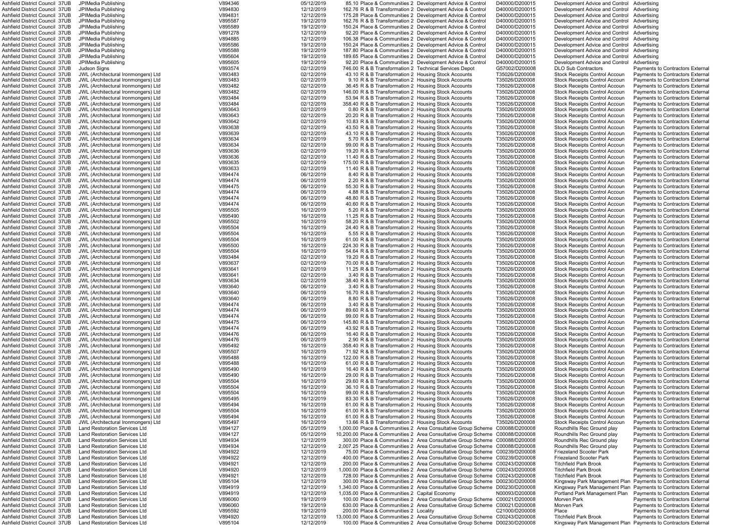| Ashfield District Council  37UB | JPIMedia Publishing                        | V894346 | 05/12/2019 |                                                        | 85.10 Place & Communities 2 Development Advice & Control                      | D40000/D200015 | Development Advice and Control Advertising |                                                                |
|---------------------------------|--------------------------------------------|---------|------------|--------------------------------------------------------|-------------------------------------------------------------------------------|----------------|--------------------------------------------|----------------------------------------------------------------|
| Ashfield District Council  37UB | JPIMedia Publishing                        | V894830 | 12/12/2019 |                                                        | 162.76 R & B Transformation 2 Development Advice & Control                    | D40000/D200015 | Development Advice and Control Advertising |                                                                |
| Ashfield District Council 37UB  | JPIMedia Publishing                        | V894831 | 12/12/2019 |                                                        | 175.28 Place & Communities 2 Development Advice & Control                     | D40000/D200015 | Development Advice and Control             | Advertising                                                    |
| Ashfield District Council 37UB  | JPIMedia Publishing                        | V895587 | 19/12/2019 |                                                        | 162.76 R & B Transformation 2 Development Advice & Control                    | D40000/D200015 | Development Advice and Control Advertising |                                                                |
| Ashfield District Council 37UB  | JPIMedia Publishing                        | V895589 | 19/12/2019 |                                                        | 150.24 Place & Communities 2 Development Advice & Control                     | D40000/D200015 | Development Advice and Control             | Advertising                                                    |
| Ashfield District Council 37UB  | JPIMedia Publishing                        | V891278 | 12/12/2019 |                                                        | 92.20 Place & Communities 2 Development Advice & Control                      | D40000/D200015 | Development Advice and Control Advertising |                                                                |
| Ashfield District Council 37UB  | JPIMedia Publishing                        | V894885 | 12/12/2019 |                                                        | 106.38 Place & Communities 2 Development Advice & Control                     | D40000/D200015 | Development Advice and Control             | Advertising                                                    |
| Ashfield District Council 37UB  | JPIMedia Publishing                        | V895586 | 19/12/2019 |                                                        | 150.24 Place & Communities 2 Development Advice & Control                     | D40000/D200015 | Development Advice and Control             | Advertising                                                    |
| Ashfield District Council 37UB  | JPIMedia Publishing                        | V895588 | 19/12/2019 |                                                        | 187.80 Place & Communities 2 Development Advice & Control                     | D40000/D200015 | Development Advice and Control             | Advertising                                                    |
| Ashfield District Council 37UB  | JPIMedia Publishing                        | V895604 | 19/12/2019 |                                                        | 189.65 Place & Communities 2 Development Advice & Control                     | D40000/D200015 | Development Advice and Control             | Advertising                                                    |
| Ashfield District Council 37UB  | JPIMedia Publishing                        | V895605 | 19/12/2019 |                                                        | 92.20 Place & Communities 2 Development Advice & Control                      | D40000/D200015 | Development Advice and Control             | Advertising                                                    |
| Ashfield District Council 37UB  | Judson Signs                               | V893574 | 02/12/2019 | 746.00 R & B Transformation 2 Technical Services Depot |                                                                               | G57002/D200008 | <b>DLO Sub Contractors</b>                 | <b>Payments to Contractors External</b>                        |
| Ashfield District Council 37UB  | JWL (Architectural Ironmongers) Ltd        | V893483 | 02/12/2019 | 43.10 R & B Transformation 2 Housing Stock Accounts    |                                                                               | T35026/D200008 | <b>Stock Receipts Control Accoun</b>       | <b>Payments to Contractors External</b>                        |
| Ashfield District Council 37UB  | JWL (Architectural Ironmongers) Ltd        | V893483 | 02/12/2019 | 9.10 R & B Transformation 2 Housing Stock Accounts     |                                                                               | T35026/D200008 | <b>Stock Receipts Control Accoun</b>       | Payments to Contractors External                               |
| Ashfield District Council 37UB  | JWL (Architectural Ironmongers) Ltd        | V893482 | 02/12/2019 | 36.45 R & B Transformation 2 Housing Stock Accounts    |                                                                               | T35026/D200008 | <b>Stock Receipts Control Accoun</b>       | <b>Payments to Contractors External</b>                        |
| Ashfield District Council 37UB  | <b>JWL (Architectural Ironmongers) Ltd</b> | V893482 | 02/12/2019 | 146.00 R & B Transformation 2 Housing Stock Accounts   |                                                                               | T35026/D200008 | <b>Stock Receipts Control Accoun</b>       | Payments to Contractors External                               |
| Ashfield District Council 37UB  | JWL (Architectural Ironmongers) Ltd        | V893484 | 02/12/2019 | 53.94 R & B Transformation 2 Housing Stock Accounts    |                                                                               | T35026/D200008 | <b>Stock Receipts Control Accoun</b>       | Payments to Contractors External                               |
| Ashfield District Council 37UB  | JWL (Architectural Ironmongers) Ltd        | V893484 | 02/12/2019 | 358.40 R & B Transformation 2 Housing Stock Accounts   |                                                                               | T35026/D200008 | <b>Stock Receipts Control Accoun</b>       | <b>Payments to Contractors External</b>                        |
| Ashfield District Council 37UB  | JWL (Architectural Ironmongers) Ltd        | V893643 | 02/12/2019 | 0.80 R & B Transformation 2 Housing Stock Accounts     |                                                                               | T35026/D200008 | <b>Stock Receipts Control Accoun</b>       | <b>Payments to Contractors External</b>                        |
| Ashfield District Council 37UB  | JWL (Architectural Ironmongers) Ltd        | V893643 | 02/12/2019 | 20.20 R & B Transformation 2 Housing Stock Accounts    |                                                                               | T35026/D200008 | <b>Stock Receipts Control Accoun</b>       | <b>Payments to Contractors External</b>                        |
| Ashfield District Council 37UB  | JWL (Architectural Ironmongers) Ltd        | V893642 | 02/12/2019 | 10.83 R & B Transformation 2 Housing Stock Accounts    |                                                                               | T35026/D200008 | <b>Stock Receipts Control Accoun</b>       | Payments to Contractors External                               |
| Ashfield District Council 37UB  | JWL (Architectural Ironmongers) Ltd        | V893638 | 02/12/2019 | 43.50 R & B Transformation 2 Housing Stock Accounts    |                                                                               | T35026/D200008 | <b>Stock Receipts Control Accoun</b>       | <b>Payments to Contractors External</b>                        |
| Ashfield District Council 37UB  | JWL (Architectural Ironmongers) Ltd        | V893639 | 02/12/2019 | 43.10 R & B Transformation 2 Housing Stock Accounts    |                                                                               | T35026/D200008 | <b>Stock Receipts Control Accoun</b>       | Payments to Contractors External                               |
| Ashfield District Council 37UB  | <b>JWL</b> (Architectural Ironmongers) Ltd | V893634 | 02/12/2019 | 5.70 R & B Transformation 2 Housing Stock Accounts     |                                                                               | T35026/D200008 | <b>Stock Receipts Control Accoun</b>       | <b>Payments to Contractors External</b>                        |
| Ashfield District Council 37UB  | JWL (Architectural Ironmongers) Ltd        | V893634 | 02/12/2019 | 99.00 R & B Transformation 2 Housing Stock Accounts    |                                                                               | T35026/D200008 | <b>Stock Receipts Control Accoun</b>       | Payments to Contractors External                               |
| Ashfield District Council 37UB  | JWL (Architectural Ironmongers) Ltd        | V893636 | 02/12/2019 | 19.20 R & B Transformation 2 Housing Stock Accounts    |                                                                               | T35026/D200008 | <b>Stock Receipts Control Accoun</b>       | <b>Payments to Contractors External</b>                        |
| Ashfield District Council 37UB  | JWL (Architectural Ironmongers) Ltd        | V893636 | 02/12/2019 | 11.40 R & B Transformation 2 Housing Stock Accounts    |                                                                               | T35026/D200008 | <b>Stock Receipts Control Accoun</b>       | <b>Payments to Contractors External</b>                        |
| Ashfield District Council 37UB  | JWL (Architectural Ironmongers) Ltd        | V893635 | 02/12/2019 | 175.00 R & B Transformation 2 Housing Stock Accounts   |                                                                               | T35026/D200008 | <b>Stock Receipts Control Accoun</b>       | <b>Payments to Contractors External</b>                        |
| Ashfield District Council 37UB  | JWL (Architectural Ironmongers) Ltd        | V893633 | 02/12/2019 | 11.40 R & B Transformation 2 Housing Stock Accounts    |                                                                               | T35026/D200008 | <b>Stock Receipts Control Accoun</b>       | <b>Payments to Contractors External</b>                        |
| Ashfield District Council 37UB  | JWL (Architectural Ironmongers) Ltd        | V894474 | 06/12/2019 | 8.40 R & B Transformation 2 Housing Stock Accounts     |                                                                               | T35026/D200008 | <b>Stock Receipts Control Accoun</b>       | <b>Payments to Contractors External</b>                        |
| Ashfield District Council 37UB  | <b>JWL (Architectural Ironmongers) Ltd</b> | V894474 | 06/12/2019 | 2.20 R & B Transformation 2 Housing Stock Accounts     |                                                                               | T35026/D200008 | <b>Stock Receipts Control Accoun</b>       | <b>Payments to Contractors External</b>                        |
| Ashfield District Council 37UB  | JWL (Architectural Ironmongers) Ltd        | V894475 | 06/12/2019 | 55.30 R & B Transformation 2 Housing Stock Accounts    |                                                                               | T35026/D200008 | <b>Stock Receipts Control Accoun</b>       | Payments to Contractors External                               |
| Ashfield District Council 37UB  | JWL (Architectural Ironmongers) Ltd        | V894474 | 06/12/2019 | 4.88 R & B Transformation 2 Housing Stock Accounts     |                                                                               | T35026/D200008 | <b>Stock Receipts Control Accoun</b>       | <b>Payments to Contractors External</b>                        |
| Ashfield District Council 37UB  | JWL (Architectural Ironmongers) Ltd        | V894474 | 06/12/2019 | 48.80 R & B Transformation 2 Housing Stock Accounts    |                                                                               | T35026/D200008 | <b>Stock Receipts Control Accoun</b>       | Payments to Contractors External                               |
| Ashfield District Council 37UB  | JWL (Architectural Ironmongers) Ltd        | V894474 | 06/12/2019 | 40.60 R & B Transformation 2 Housing Stock Accounts    |                                                                               | T35026/D200008 | <b>Stock Receipts Control Accoun</b>       | <b>Payments to Contractors External</b>                        |
| Ashfield District Council 37UB  | JWL (Architectural Ironmongers) Ltd        | V895505 | 16/12/2019 | 5.20 R & B Transformation 2 Housing Stock Accounts     |                                                                               | T35026/D200008 | <b>Stock Receipts Control Accoun</b>       | <b>Payments to Contractors External</b>                        |
| Ashfield District Council 37UB  | JWL (Architectural Ironmongers) Ltd        | V895490 | 16/12/2019 | 11.25 R & B Transformation 2 Housing Stock Accounts    |                                                                               | T35026/D200008 | <b>Stock Receipts Control Accoun</b>       | <b>Payments to Contractors External</b>                        |
| Ashfield District Council 37UB  | JWL (Architectural Ironmongers) Ltd        | V895502 | 16/12/2019 | 58.20 R & B Transformation 2 Housing Stock Accounts    |                                                                               | T35026/D200008 | <b>Stock Receipts Control Accoun</b>       | <b>Payments to Contractors External</b>                        |
| Ashfield District Council 37UB  | JWL (Architectural Ironmongers) Ltd        | V895504 | 16/12/2019 | 24.40 R & B Transformation 2 Housing Stock Accounts    |                                                                               | T35026/D200008 | <b>Stock Receipts Control Accoun</b>       | Payments to Contractors External                               |
| Ashfield District Council 37UB  | JWL (Architectural Ironmongers) Ltd        | V895504 | 16/12/2019 | 5.55 R & B Transformation 2 Housing Stock Accounts     |                                                                               | T35026/D200008 | <b>Stock Receipts Control Accoun</b>       | <b>Payments to Contractors External</b>                        |
| Ashfield District Council 37UB  | JWL (Architectural Ironmongers) Ltd        | V895504 | 16/12/2019 | 61.00 R & B Transformation 2 Housing Stock Accounts    |                                                                               | T35026/D200008 | <b>Stock Receipts Control Accoun</b>       | Payments to Contractors External                               |
| Ashfield District Council 37UB  | JWL (Architectural Ironmongers) Ltd        | V895500 | 16/12/2019 | 224.30 R & B Transformation 2 Housing Stock Accounts   |                                                                               | T35026/D200008 | <b>Stock Receipts Control Accoun</b>       | <b>Payments to Contractors External</b>                        |
| Ashfield District Council 37UB  | JWL (Architectural Ironmongers) Ltd        | V895504 | 16/12/2019 | 54.64 R & B Transformation 2 Housing Stock Accounts    |                                                                               | T35026/D200008 | <b>Stock Receipts Control Accoun</b>       | <b>Payments to Contractors External</b>                        |
| Ashfield District Council 37UB  | JWL (Architectural Ironmongers) Ltd        | V893484 | 02/12/2019 | 19.20 R & B Transformation 2 Housing Stock Accounts    |                                                                               | T35026/D200008 | <b>Stock Receipts Control Accoun</b>       | <b>Payments to Contractors External</b>                        |
| Ashfield District Council 37UB  | JWL (Architectural Ironmongers) Ltd        | V893637 | 02/12/2019 | 70.00 R & B Transformation 2 Housing Stock Accounts    |                                                                               | T35026/D200008 | <b>Stock Receipts Control Accoun</b>       | <b>Payments to Contractors External</b>                        |
| Ashfield District Council 37UB  | JWL (Architectural Ironmongers) Ltd        | V893641 | 02/12/2019 | 11.25 R & B Transformation 2 Housing Stock Accounts    |                                                                               | T35026/D200008 | <b>Stock Receipts Control Accoun</b>       | <b>Payments to Contractors External</b>                        |
| Ashfield District Council 37UB  | <b>JWL (Architectural Ironmongers) Ltd</b> | V893641 | 02/12/2019 | 3.40 R & B Transformation 2 Housing Stock Accounts     |                                                                               | T35026/D200008 | <b>Stock Receipts Control Accoun</b>       | <b>Payments to Contractors External</b>                        |
| Ashfield District Council 37UB  | JWL (Architectural Ironmongers) Ltd        | V893634 | 02/12/2019 | 38.40 R & B Transformation 2 Housing Stock Accounts    |                                                                               | T35026/D200008 | <b>Stock Receipts Control Accoun</b>       | <b>Payments to Contractors External</b>                        |
| Ashfield District Council 37UB  | JWL (Architectural Ironmongers) Ltd        | V893640 | 06/12/2019 | 3.40 R & B Transformation 2 Housing Stock Accounts     |                                                                               | T35026/D200008 | <b>Stock Receipts Control Accoun</b>       | <b>Payments to Contractors External</b>                        |
| Ashfield District Council 37UB  | JWL (Architectural Ironmongers) Ltd        | V893640 | 06/12/2019 | 16.70 R & B Transformation 2 Housing Stock Accounts    |                                                                               | T35026/D200008 | <b>Stock Receipts Control Accoun</b>       | <b>Payments to Contractors External</b>                        |
| Ashfield District Council 37UB  | JWL (Architectural Ironmongers) Ltd        | V893640 | 06/12/2019 | 8.80 R & B Transformation 2 Housing Stock Accounts     |                                                                               | T35026/D200008 | Stock Receipts Control Accoun              | <b>Payments to Contractors External</b>                        |
| Ashfield District Council 37UB  | JWL (Architectural Ironmongers) Ltd        | V894474 | 06/12/2019 | 3.40 R & B Transformation 2 Housing Stock Accounts     |                                                                               | T35026/D200008 | <b>Stock Receipts Control Accoun</b>       | <b>Payments to Contractors External</b>                        |
| Ashfield District Council 37UB  | JWL (Architectural Ironmongers) Ltd        | V894474 | 06/12/2019 | 89.60 R & B Transformation 2 Housing Stock Accounts    |                                                                               | T35026/D200008 | <b>Stock Receipts Control Accoun</b>       | <b>Payments to Contractors External</b>                        |
| Ashfield District Council 37UB  | JWL (Architectural Ironmongers) Ltd        | V894474 | 06/12/2019 | 99.00 R & B Transformation 2 Housing Stock Accounts    |                                                                               | T35026/D200008 | <b>Stock Receipts Control Accoun</b>       | Payments to Contractors External                               |
| Ashfield District Council 37UB  | JWL (Architectural Ironmongers) Ltd        | V894475 | 06/12/2019 | 145.80 R & B Transformation 2 Housing Stock Accounts   |                                                                               | T35026/D200008 | <b>Stock Receipts Control Accoun</b>       | Payments to Contractors External                               |
| Ashfield District Council 37UB  | JWL (Architectural Ironmongers) Ltd        | V894474 | 06/12/2019 | 43.92 R & B Transformation 2 Housing Stock Accounts    |                                                                               | T35026/D200008 | <b>Stock Receipts Control Accoun</b>       | <b>Payments to Contractors External</b>                        |
| Ashfield District Council 37UB  | JWL (Architectural Ironmongers) Ltd        | V894476 | 06/12/2019 | 16.40 R & B Transformation 2 Housing Stock Accounts    |                                                                               | T35026/D200008 | <b>Stock Receipts Control Accoun</b>       | <b>Payments to Contractors External</b>                        |
| Ashfield District Council 37UB  | JWL (Architectural Ironmongers) Ltd        | V894476 | 06/12/2019 | 2.90 R & B Transformation 2 Housing Stock Accounts     |                                                                               | T35026/D200008 | Stock Receipts Control Accoun              | <b>Payments to Contractors External</b>                        |
| Ashfield District Council 37UB  | JWL (Architectural Ironmongers) Ltd        | V895492 | 16/12/2019 | 358.40 R & B Transformation 2 Housing Stock Accounts   |                                                                               | T35026/D200008 | Stock Receipts Control Accoun              | <b>Payments to Contractors External</b>                        |
| Ashfield District Council 37UB  | JWL (Architectural Ironmongers) Ltd        | V895507 | 16/12/2019 | 71.92 R & B Transformation 2 Housing Stock Accounts    |                                                                               | T35026/D200008 | <b>Stock Receipts Control Accoun</b>       | <b>Payments to Contractors External</b>                        |
| Ashfield District Council 37UB  | JWL (Architectural Ironmongers) Ltd        | V895488 | 16/12/2019 | 122.00 R & B Transformation 2 Housing Stock Accounts   |                                                                               | T35026/D200008 | Stock Receipts Control Accoun              | <b>Payments to Contractors External</b>                        |
| Ashfield District Council 37UB  | JWL (Architectural Ironmongers) Ltd        | V895488 | 16/12/2019 | 61.00 R & B Transformation 2 Housing Stock Accounts    |                                                                               | T35026/D200008 | Stock Receipts Control Accoun              | <b>Payments to Contractors External</b>                        |
| Ashfield District Council 37UB  | JWL (Architectural Ironmongers) Ltd        | V895490 | 16/12/2019 | 16.40 R & B Transformation 2 Housing Stock Accounts    |                                                                               | T35026/D200008 | <b>Stock Receipts Control Accoun</b>       | Payments to Contractors External                               |
| Ashfield District Council 37UB  | JWL (Architectural Ironmongers) Ltd        | V895490 | 16/12/2019 | 29.00 R & B Transformation 2 Housing Stock Accounts    |                                                                               | T35026/D200008 | <b>Stock Receipts Control Accoun</b>       | Payments to Contractors External                               |
| Ashfield District Council 37UB  | JWL (Architectural Ironmongers) Ltd        | V895504 | 16/12/2019 | 29.60 R & B Transformation 2 Housing Stock Accounts    |                                                                               | T35026/D200008 | Stock Receipts Control Accoun              | <b>Payments to Contractors External</b>                        |
| Ashfield District Council 37UB  | JWL (Architectural Ironmongers) Ltd        | V895504 | 16/12/2019 | 36.10 R & B Transformation 2 Housing Stock Accounts    |                                                                               | T35026/D200008 | Stock Receipts Control Accoun              | Payments to Contractors External                               |
| Ashfield District Council 37UB  | JWL (Architectural Ironmongers) Ltd        | V895504 | 16/12/2019 | 99.00 R & B Transformation 2 Housing Stock Accounts    |                                                                               | T35026/D200008 | Stock Receipts Control Accoun              | <b>Payments to Contractors External</b>                        |
| Ashfield District Council 37UB  | JWL (Architectural Ironmongers) Ltd        | V895495 | 16/12/2019 | 83.30 R & B Transformation 2 Housing Stock Accounts    |                                                                               | T35026/D200008 | Stock Receipts Control Accoun              | <b>Payments to Contractors External</b>                        |
| Ashfield District Council 37UB  | JWL (Architectural Ironmongers) Ltd        | V895494 | 16/12/2019 | 61.00 R & B Transformation 2 Housing Stock Accounts    |                                                                               | T35026/D200008 | <b>Stock Receipts Control Accoun</b>       | <b>Payments to Contractors External</b>                        |
| Ashfield District Council 37UB  | JWL (Architectural Ironmongers) Ltd        | V895504 | 16/12/2019 | 61.00 R & B Transformation 2 Housing Stock Accounts    |                                                                               | T35026/D200008 | Stock Receipts Control Accoun              | <b>Payments to Contractors External</b>                        |
| Ashfield District Council 37UB  | JWL (Architectural Ironmongers) Ltd        | V895494 | 16/12/2019 | 61.00 R & B Transformation 2 Housing Stock Accounts    |                                                                               | T35026/D200008 | Stock Receipts Control Accoun              | <b>Payments to Contractors External</b>                        |
| Ashfield District Council 37UB  | JWL (Architectural Ironmongers) Ltd        | V895497 | 16/12/2019 | 13.66 R & B Transformation 2 Housing Stock Accounts    |                                                                               | T35026/D200008 | Stock Receipts Control Accoun              | <b>Payments to Contractors External</b>                        |
| Ashfield District Council 37UB  | Land Restoration Services Ltd              | V894127 | 05/12/2019 |                                                        | 1,000.00 Place & Communities 2 Area Consultative Group Scheme C00088/D200008  |                | Roundhills Rec Ground play                 | <b>Payments to Contractors External</b>                        |
| Ashfield District Council 37UB  | Land Restoration Services Ltd              | V894127 | 05/12/2019 |                                                        | 10,200.00 Place & Communities 2 Area Consultative Group Scheme C00088/D200008 |                | Roundhills Rec Ground play                 | <b>Payments to Contractors External</b>                        |
| Ashfield District Council 37UB  | Land Restoration Services Ltd              | V894934 | 12/12/2019 |                                                        | 300.00 Place & Communities 2 Area Consultative Group Scheme C00088/D200008    |                | Roundhills Rec Ground play                 | <b>Payments to Contractors External</b>                        |
| Ashfield District Council 37UB  | Land Restoration Services Ltd              | V894934 | 12/12/2019 |                                                        | 2,007.25 Place & Communities 2 Area Consultative Group Scheme C00088/D200008  |                | Roundhills Rec Ground play                 | <b>Payments to Contractors External</b>                        |
| Ashfield District Council 37UB  | Land Restoration Services Ltd              | V894922 | 12/12/2019 |                                                        | 75.00 Place & Communities 2 Area Consultative Group Scheme C00239/D200008     |                | <b>Friezeland Scooter Park</b>             | <b>Payments to Contractors External</b>                        |
| Ashfield District Council 37UB  | <b>Land Restoration Services Ltd</b>       | V894922 | 12/12/2019 |                                                        | 400.00 Place & Communities 2 Area Consultative Group Scheme C00239/D200008    |                | <b>Friezeland Scooter Park</b>             | <b>Payments to Contractors External</b>                        |
| Ashfield District Council 37UB  | <b>Land Restoration Services Ltd</b>       | V894921 | 12/12/2019 |                                                        | 200.00 Place & Communities 2 Area Consultative Group Scheme C00243/D200008    |                | <b>Titchfield Park Brook</b>               | <b>Payments to Contractors External</b>                        |
| Ashfield District Council 37UB  | <b>Land Restoration Services Ltd</b>       | V894920 | 12/12/2019 |                                                        | 1,000.00 Place & Communities 2 Area Consultative Group Scheme C00243/D200008  |                | <b>Titchfield Park Brook</b>               | <b>Payments to Contractors External</b>                        |
| Ashfield District Council 37UB  | Land Restoration Services Ltd              | V894921 | 12/12/2019 |                                                        | 728.00 Place & Communities 2 Area Consultative Group Scheme C00243/D200008    |                | <b>Titchfield Park Brook</b>               | <b>Payments to Contractors External</b>                        |
| Ashfield District Council 37UB  | Land Restoration Services Ltd              | V895104 | 12/12/2019 |                                                        | 300.00 Place & Communities 2 Area Consultative Group Scheme D00230/D200008    |                | Kingsway Park Management Plan              | <b>Payments to Contractors External</b>                        |
| Ashfield District Council 37UB  | <b>Land Restoration Services Ltd</b>       | V894919 | 12/12/2019 |                                                        | 1,340.00 Place & Communities 2 Area Consultative Group Scheme D00230/D200008  |                |                                            | Kingsway Park Management Plan Payments to Contractors External |
| Ashfield District Council 37UB  | Land Restoration Services Ltd              | V894919 | 12/12/2019 | 1,035.00 Place & Communities 2 Capital Economy         |                                                                               | N00093/D200008 | Portland Park Management Plan              | <b>Payments to Contractors External</b>                        |
| Ashfield District Council 37UB  | Land Restoration Services Ltd              | V896060 | 19/12/2019 |                                                        | 100.00 Place & Communities 2 Area Consultative Group Scheme C00021/D200008    |                | Morven Park                                | <b>Payments to Contractors External</b>                        |
| Ashfield District Council 37UB  | Land Restoration Services Ltd              | V896060 | 19/12/2019 |                                                        | 630.00 Place & Communities 2 Area Consultative Group Scheme C00021/D200008    |                | Morven Park                                | <b>Payments to Contractors External</b>                        |
| Ashfield District Council 37UB  | <b>Land Restoration Services Ltd</b>       | V895592 | 19/12/2019 | 200.00 Place & Communities 2 Locality                  |                                                                               | C21000/D200008 | Place                                      | <b>Payments to Contractors External</b>                        |
| Ashfield District Council 37UB  | <b>Land Restoration Services Ltd</b>       | V894920 | 12/12/2019 |                                                        | 13,000.00 Place & Communities 2 Area Consultative Group Scheme C00243/D200008 |                | <b>Titchfield Park Brook</b>               | <b>Payments to Contractors External</b>                        |
| Ashfield District Council 37UB  | <b>Land Restoration Services Ltd</b>       | V895104 | 12/12/2019 |                                                        | 100.00 Place & Communities 2 Area Consultative Group Scheme D00230/D200008    |                | Kingsway Park Management Plan              | Payments to Contractors External                               |
|                                 |                                            |         |            |                                                        |                                                                               |                |                                            |                                                                |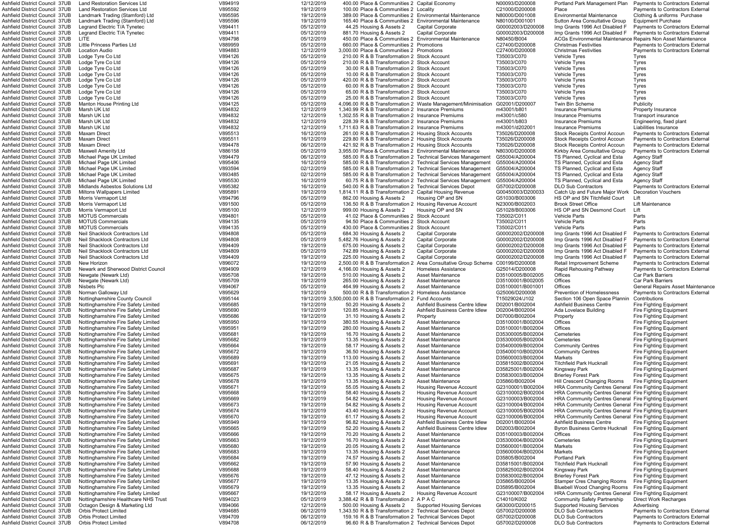| Ashfield District Council 37UB                                   | <b>Land Restoration Services Ltd</b>                                       | V894919            | 12/12/2019               |  | 400.00 Place & Communities 2 Capital Economy                                               |                                                                                                                     | N00093/D200008                         | Portland Park Management Plan                                                            | <b>Payments to Contractors External</b>                                            |
|------------------------------------------------------------------|----------------------------------------------------------------------------|--------------------|--------------------------|--|--------------------------------------------------------------------------------------------|---------------------------------------------------------------------------------------------------------------------|----------------------------------------|------------------------------------------------------------------------------------------|------------------------------------------------------------------------------------|
| Ashfield District Council 37UB<br>Ashfield District Council 37UB | <b>Land Restoration Services Ltd</b><br>Landmark Trading (Stamford) Ltd    | V895592<br>V895595 | 19/12/2019<br>19/12/2019 |  | 100.00 Place & Communities 2 Locality                                                      | 389.00 Place & Communities 2 Environmental Maintenance                                                              | C21000/D200008<br>N80000/D001008       | Place<br><b>Environmental Maintenance</b>                                                | <b>Payments to Contractors External</b><br>Clothing & uniforms Purchase            |
| Ashfield District Council 37UB                                   | Landmark Trading (Stamford) Ltd                                            | V895596            | 19/12/2019               |  |                                                                                            | 165.40 Place & Communities 2 Environmental Maintenance                                                              | N80100/D001001                         | Sutton Area Consultative Group                                                           | <b>Equipment Purchase</b>                                                          |
| Ashfield District Council 37UB                                   | Legrand Electric T/A Tynetec                                               | V894411            | 05/12/2019               |  | 44.25 Housing & Assets 2                                                                   | <b>Capital Corporate</b>                                                                                            | G00002003/D200008                      | Imp Grants 1996 Act Disabled F                                                           | <b>Payments to Contractors External</b>                                            |
| Ashfield District Council 37UB                                   | Legrand Electric T/A Tynetec                                               | V894411            | 05/12/2019               |  | 881.70 Housing & Assets 2                                                                  | <b>Capital Corporate</b>                                                                                            | G00002003/D200008                      | Imp Grants 1996 Act Disabled F                                                           | <b>Payments to Contractors External</b>                                            |
| Ashfield District Council 37UB                                   | LITE                                                                       | V894798            | 05/12/2019               |  |                                                                                            | 450.00 Place & Communities 2 Environmental Maintenance                                                              | N80450/B004                            | ACGs Environmental Maintenance Repairs Non Asset Maintenance                             |                                                                                    |
| Ashfield District Council 37UB                                   | Little Princess Parties Ltd                                                | V889959            | 05/12/2019               |  | 660.00 Place & Communities 2 Promotions                                                    |                                                                                                                     | C27400/D200008                         | <b>Christmas Festivities</b>                                                             | <b>Payments to Contractors External</b>                                            |
| Ashfield District Council 37UB                                   | Location Audio                                                             | V894883            | 12/12/2019               |  | 3,000.00 Place & Communities 2 Promotions                                                  |                                                                                                                     | C27400/D200008                         | <b>Christmas Festivities</b>                                                             | <b>Payments to Contractors External</b>                                            |
| Ashfield District Council 37UB<br>Ashfield District Council 37UB | Lodge Tyre Co Ltd<br>Lodge Tyre Co Ltd                                     | V894126<br>V894126 | 05/12/2019<br>05/12/2019 |  | 210.00 R & B Transformation 2 Stock Account<br>210.00 R & B Transformation 2 Stock Account |                                                                                                                     | T35003/C070<br>T35003/C070             | Vehicle Tyres<br>Vehicle Tyres                                                           | Tyres<br>Tyres                                                                     |
| Ashfield District Council 37UB                                   | Lodge Tyre Co Ltd                                                          | V894126            | 05/12/2019               |  | 30.00 R & B Transformation 2 Stock Account                                                 |                                                                                                                     | T35003/C070                            | Vehicle Tyres                                                                            | Tyres                                                                              |
| Ashfield District Council 37UB                                   | Lodge Tyre Co Ltd                                                          | V894126            | 05/12/2019               |  | 10.00 R & B Transformation 2 Stock Account                                                 |                                                                                                                     | T35003/C070                            | <b>Vehicle Tyres</b>                                                                     | Tyres                                                                              |
| Ashfield District Council 37UB                                   | Lodge Tyre Co Ltd                                                          | V894126            | 05/12/2019               |  | 420.00 R & B Transformation 2 Stock Account                                                |                                                                                                                     | T35003/C070                            | Vehicle Tyres                                                                            | Tyres                                                                              |
| Ashfield District Council 37UB                                   | Lodge Tyre Co Ltd                                                          | V894126            | 05/12/2019               |  | 60.00 R & B Transformation 2 Stock Account                                                 |                                                                                                                     | T35003/C070                            | Vehicle Tyres                                                                            | Tyres                                                                              |
| Ashfield District Council 37UB                                   | Lodge Tyre Co Ltd                                                          | V894126            | 05/12/2019               |  | 65.00 R & B Transformation 2 Stock Account                                                 |                                                                                                                     | T35003/C070                            | Vehicle Tyres                                                                            | <b>Tyres</b>                                                                       |
| Ashfield District Council 37UB                                   | Lodge Tyre Co Ltd                                                          | V894126            | 05/12/2019               |  | 25.00 R & B Transformation 2 Stock Account                                                 |                                                                                                                     | T35003/C070<br>G02001/D200007          | <b>Vehicle Tyres</b><br>Twin Bin Scheme                                                  | Tyres<br>Publicity                                                                 |
| Ashfield District Council 37UB<br>Ashfield District Council 37UB | Manton House Printing Ltd<br>Marsh UK Ltd                                  | V894125<br>V894832 | 05/12/2019<br>12/12/2019 |  |                                                                                            | 4,096.00 R & B Transformation 2 Waste Management/Minimisation<br>1,340.99 R & B Transformation 2 Insurance Premiums | m43001/b801                            | <b>Insurance Premiums</b>                                                                | <b>Property Insurance</b>                                                          |
| Ashfield District Council 37UB                                   | Marsh UK Ltd                                                               | V894832            | 12/12/2019               |  |                                                                                            | 1,302.55 R & B Transformation 2 Insurance Premiums                                                                  | m43001/c580                            | <b>Insurance Premiums</b>                                                                | <b>Transport insurance</b>                                                         |
| Ashfield District Council 37UB                                   | Marsh UK Ltd                                                               | V894832            | 12/12/2019               |  |                                                                                            | 228.39 R & B Transformation 2 Insurance Premiums                                                                    | m43001/b803                            | Insurance Premiums                                                                       | Engineering, fixed plant                                                           |
| Ashfield District Council 37UB                                   | Marsh UK Ltd                                                               | V894832            | 12/12/2019               |  |                                                                                            | 1,711.63 R & B Transformation 2 Insurance Premiums                                                                  | m43001/d202001                         | <b>Insurance Premiums</b>                                                                | Liabilities Insurance                                                              |
| Ashfield District Council 37UB                                   | <b>Maxam Direct</b>                                                        | V895513            | 16/12/2019               |  |                                                                                            | 261.00 R & B Transformation 2 Housing Stock Accounts                                                                | T35026/D200008                         | <b>Stock Receipts Control Accoun</b>                                                     | Payments to Contractors External                                                   |
| Ashfield District Council 37UB                                   | <b>Maxam Direct</b>                                                        | V895511            | 16/12/2019               |  |                                                                                            | 229.80 R & B Transformation 2 Housing Stock Accounts                                                                | T35026/D200008                         | <b>Stock Receipts Control Accoun</b>                                                     | Payments to Contractors External                                                   |
| Ashfield District Council 37UB<br>Ashfield District Council 37UB | <b>Maxam Direct</b><br><b>Maxwell Amenity Ltd</b>                          | V894478<br>V886158 | 06/12/2019<br>05/12/2019 |  |                                                                                            | 421.92 R & B Transformation 2 Housing Stock Accounts<br>3,955.00 Place & Communities 2 Environmental Maintenance    | T35026/D200008<br>N80300/D200008       | <b>Stock Receipts Control Accoun</b><br>Kirkby Area Consultative Group                   | <b>Payments to Contractors External</b><br><b>Payments to Contractors External</b> |
| <b>Ashfield District Council 37UB</b>                            | Michael Page UK Limited                                                    | V894479            | 06/12/2019               |  |                                                                                            | 585.00 R & B Transformation 2 Technical Services Management                                                         | G55004/A200004                         | TS Planned, Cyclical and Esta                                                            | <b>Agency Staff</b>                                                                |
| Ashfield District Council 37UB                                   | Michael Page UK Limited                                                    | V895406            | 16/12/2019               |  |                                                                                            | 585.00 R & B Transformation 2 Technical Services Management                                                         | G55004/A200004                         | TS Planned, Cyclical and Esta                                                            | <b>Agency Staff</b>                                                                |
| Ashfield District Council 37UB                                   | Michael Page UK Limited                                                    | V893594            | 02/12/2019               |  |                                                                                            | 585.00 R & B Transformation 2 Technical Services Management                                                         | G55004/A200004                         | TS Planned, Cyclical and Esta                                                            | <b>Agency Staff</b>                                                                |
| Ashfield District Council 37UB                                   | Michael Page UK Limited                                                    | V893485            | 02/12/2019               |  |                                                                                            | 585.00 R & B Transformation 2 Technical Services Management                                                         | G55004/A200004                         | TS Planned, Cyclical and Esta                                                            | <b>Agency Staff</b>                                                                |
| Ashfield District Council 37UB                                   | Michael Page UK Limited                                                    | V895530            | 16/12/2019               |  |                                                                                            | 60.75 R & B Transformation 2 Technical Services Management                                                          | G55004/A200004                         | TS Planned, Cyclical and Esta                                                            | <b>Agency Staff</b>                                                                |
| Ashfield District Council 37UB                                   | Midlands Asbestos Solutions Ltd                                            | V895382            | 16/12/2019               |  |                                                                                            | 540.00 R & B Transformation 2 Technical Services Depot                                                              | G57002/D200008                         | <b>DLO Sub Contractors</b>                                                               | Payments to Contractors External                                                   |
| Ashfield District Council 37UB<br>Ashfield District Council 37UB | Miltons Wallpapers Limited<br>Morris Vermaport Ltd                         | V895891<br>V894796 | 19/12/2019<br>05/12/2019 |  | 862.00 Housing & Assets 2                                                                  | 1,814.11 R & B Transformation 2 Capital Housing Revenue<br>Housing OP and SN                                        | G00450003/D200033<br>G51030/B003006    | Catch Up and Future Major Work<br>HS OP and SN Titchfield Court                          | <b>Decoration Vouchers</b><br>Lift                                                 |
| Ashfield District Council 37UB                                   | Morris Vermaport Ltd                                                       | V891500            | 05/12/2019               |  |                                                                                            | 136.50 R & B Transformation 2 Housing Revenue Account                                                               | N23000/B002003                         | <b>Brook Street Office</b>                                                               | <b>Lift Maintenance</b>                                                            |
| Ashfield District Council 37UB                                   | Morris Vermaport Ltd                                                       | V895100            | 12/12/2019               |  | 999.00 Housing & Assets 2                                                                  | Housing OP and SN                                                                                                   | G51028/B003006                         | HS OP and SN Desmond Court                                                               | Lift                                                                               |
| Ashfield District Council 37UB                                   | <b>MOTUS Commercials</b>                                                   | V894801            | 05/12/2019               |  | 41.02 Place & Communities 2 Stock Account                                                  |                                                                                                                     | T35002/C011                            | <b>Vehicle Parts</b>                                                                     | Parts                                                                              |
| Ashfield District Council 37UB                                   | <b>MOTUS Commercials</b>                                                   | V894135            | 05/12/2019               |  | 94.50 Place & Communities 2 Stock Account                                                  |                                                                                                                     | T35002/C011                            | <b>Vehicle Parts</b>                                                                     | Parts                                                                              |
| Ashfield District Council 37UB                                   | <b>MOTUS Commercials</b>                                                   | V894135            | 05/12/2019               |  | 430.00 Place & Communities 2 Stock Account                                                 |                                                                                                                     | T35002/C011                            | Vehicle Parts                                                                            | Parts                                                                              |
| Ashfield District Council 37UB<br>Ashfield District Council 37UB | Neil Shacklock Contractors Ltd<br>Neil Shacklock Contractors Ltd           | V894808<br>V894808 | 05/12/2019<br>05/12/2019 |  | 684.30 Housing & Assets 2<br>5,482.76 Housing & Assets 2                                   | <b>Capital Corporate</b><br><b>Capital Corporate</b>                                                                | G00002002/D200008<br>G00002002/D200008 | Imp Grants 1996 Act Disabled F<br>Imp Grants 1996 Act Disabled F                         | Payments to Contractors External<br>Payments to Contractors External               |
| Ashfield District Council 37UB                                   | Neil Shacklock Contractors Ltd                                             | V894409            | 19/12/2019               |  | 675.00 Housing & Assets 2                                                                  | <b>Capital Corporate</b>                                                                                            | G00002002/D200008                      | Imp Grants 1996 Act Disabled F                                                           | <b>Payments to Contractors External</b>                                            |
| Ashfield District Council 37UB                                   | Neil Shacklock Contractors Ltd                                             | V894809            | 05/12/2019               |  | 742.89 Housing & Assets 2                                                                  | <b>Capital Corporate</b>                                                                                            | G00002002/D200008                      | Imp Grants 1996 Act Disabled F                                                           | Payments to Contractors External                                                   |
| Ashfield District Council 37UB                                   | Neil Shacklock Contractors Ltd                                             | V894409            | 19/12/2019               |  | 225.00 Housing & Assets 2                                                                  | <b>Capital Corporate</b>                                                                                            | G00002002/D200008                      | Imp Grants 1996 Act Disabled F                                                           | <b>Payments to Contractors External</b>                                            |
| Ashfield District Council 37UB                                   | New Horizon                                                                | V896072            | 19/12/2019               |  | 2,500.00 R & B Transformation                                                              | Area Consultative Group Scheme                                                                                      | C00199/D200008                         | <b>Retail Improvement Scheme</b>                                                         | <b>Payments to Contractors External</b>                                            |
| Ashfield District Council 37UB                                   | Newark and Sherwood District Council                                       | V894909            | 12/12/2019               |  | 4,166.00 Housing & Assets 2                                                                | <b>Homeless Assistance</b>                                                                                          | G25014/D200008                         | Rapid Rehousing Pathway                                                                  | Payments to Contractors External                                                   |
| Ashfield District Council 37UB                                   | Newgate (Newark Ltd)                                                       | V895708            | 19/12/2019               |  | 510.00 Housing & Assets 2                                                                  | <b>Asset Maintenance</b>                                                                                            | D35100005/B002005                      | Offices                                                                                  | <b>Car Park Barriers</b>                                                           |
| Ashfield District Council 37UB<br>Ashfield District Council 37UB | Newgate (Newark Ltd)<br>Nisbets Plc                                        | V895709<br>V894067 | 19/12/2019<br>05/12/2019 |  | 265.00 Housing & Assets 2<br>464.99 Housing & Assets 2                                     | Asset Maintenance<br><b>Asset Maintenance</b>                                                                       | D35100001/B002005<br>D35100001/B001001 | Offices<br>Offices                                                                       | <b>Car Park Barriers</b><br>General Repairs Asset Maintenane                       |
| Ashfield District Council 37UB                                   | Norman Galloway Ltd                                                        | V895629            | 19/12/2019               |  |                                                                                            | 500.00 R & B Transformation 2 Homeless Assistance                                                                   | G25006/D200008                         | <b>Prevention of Homelessness</b>                                                        | Payments to Contractors External                                                   |
| Ashfield District Council 37UB                                   | Nottinghamshire County Council                                             | V895144            |                          |  | 19/12/2019 3,500,000.00 R & B Transformation 2 Fund Accounts                               |                                                                                                                     | T15029024/J102                         | Section 106 Open Space Plannin                                                           | Contributions                                                                      |
| Ashfield District Council 37UB                                   | Nottinghamshire Fire Safety Limited                                        | V895685            | 19/12/2019               |  | 50.20 Housing & Assets 2                                                                   | Ashfield Business Centre Idlew                                                                                      | D02001/B002004                         | <b>Ashfield Business Centre</b>                                                          | Fire Fighting Equipment                                                            |
| Ashfield District Council 37UB                                   | Nottinghamshire Fire Safety Limited                                        | V895690            | 19/12/2019               |  | 120.85 Housing & Assets 2                                                                  | Ashfield Business Centre Idlew                                                                                      | D02004/B002004                         | Ada Lovelace Building                                                                    | Fire Fighting Equipment                                                            |
| Ashfield District Council 37UB                                   | Nottinghamshire Fire Safety Limited                                        | V895686            | 19/12/2019               |  | 31.10 Housing & Assets 2                                                                   | Property                                                                                                            | D07000/B002004                         | Property                                                                                 | Fire Fighting Equipment                                                            |
| Ashfield District Council 37UB                                   | Nottinghamshire Fire Safety Limited                                        | V895950            | 19/12/2019               |  | 380.55 Housing & Assets 2                                                                  | <b>Asset Maintenance</b>                                                                                            | D35100001/B002004                      | Offices                                                                                  | Fire Fighting Equipment                                                            |
| Ashfield District Council 37UB<br>Ashfield District Council 37UB | Nottinghamshire Fire Safety Limited<br>Nottinghamshire Fire Safety Limited | V895951<br>V895681 | 19/12/2019<br>19/12/2019 |  | 280.00 Housing & Assets 2<br>16.70 Housing & Assets 2                                      | <b>Asset Maintenance</b><br><b>Asset Maintenance</b>                                                                | D35100001/B002004<br>D35300005/B002004 | Offices<br>Cemeteries                                                                    | Fire Fighting Equipment<br><b>Fire Fighting Equipment</b>                          |
| Ashfield District Council 37UB                                   | Nottinghamshire Fire Safety Limited                                        | V895682            | 19/12/2019               |  | 13.35 Housing & Assets 2                                                                   | <b>Asset Maintenance</b>                                                                                            | D35300005/B002004                      | Cemeteries                                                                               | <b>Fire Fighting Equipment</b>                                                     |
| Ashfield District Council 37UB                                   | Nottinghamshire Fire Safety Limited                                        | V895664            | 19/12/2019               |  | 58.17 Housing & Assets 2                                                                   | <b>Asset Maintenance</b>                                                                                            | D35400009/B002004                      | <b>Community Centres</b>                                                                 | <b>Fire Fighting Equipment</b>                                                     |
| Ashfield District Council 37UB                                   | Nottinghamshire Fire Safety Limited                                        | V895672            | 19/12/2019               |  | 36.50 Housing & Assets 2                                                                   | <b>Asset Maintenance</b>                                                                                            | D35400010/B002004                      | <b>Community Centres</b>                                                                 | <b>Fire Fighting Equipment</b>                                                     |
| Ashfield District Council 37UB                                   | Nottinghamshire Fire Safety Limited                                        | V895689            | 19/12/2019               |  | 113.00 Housing & Assets 2                                                                  | <b>Asset Maintenance</b>                                                                                            | D35600003/B002004                      | Markets                                                                                  | <b>Fire Fighting Equipment</b>                                                     |
| Ashfield District Council 37UB                                   | Nottinghamshire Fire Safety Limited                                        | V895691            | 19/12/2019               |  | 21.05 Housing & Assets 2                                                                   | Asset Maintenance                                                                                                   | D35815002/B002004                      | <b>Titchfield Park Hucknall</b>                                                          | <b>Fire Fighting Equipment</b>                                                     |
| Ashfield District Council 37UB                                   | Nottinghamshire Fire Safety Limited                                        | V895687            | 19/12/2019               |  | 13.35 Housing & Assets 2                                                                   | Asset Maintenance                                                                                                   | D35825001/B002004<br>D35830003/B002004 | Kingsway Park                                                                            | <b>Fire Fighting Equipment</b>                                                     |
| Ashfield District Council 37UB<br>Ashfield District Council 37UB | Nottinghamshire Fire Safety Limited<br>Nottinghamshire Fire Safety Limited | V895675<br>V895678 | 19/12/2019<br>19/12/2019 |  | 13.35 Housing & Assets 2<br>13.35 Housing & Assets 2                                       | Asset Maintenance<br><b>Asset Maintenance</b>                                                                       | D35860/B002004                         | <b>Brierley Forest Park</b><br>Hill Crescent Changing Rooms                              | Fire Fighting Equipment<br><b>Fire Fighting Equipment</b>                          |
| Ashfield District Council 37UB                                   | Nottinghamshire Fire Safety Limited                                        | V895671            | 19/12/2019               |  | 55.05 Housing & Assets 2                                                                   | Housing Revenue Account                                                                                             | G23100001/B002004                      | <b>HRA Community Centres General Fire Fighting Equipment</b>                             |                                                                                    |
| Ashfield District Council 37UB                                   | Nottinghamshire Fire Safety Limited                                        | V895668            | 19/12/2019               |  | 58.40 Housing & Assets 2                                                                   | Housing Revenue Account                                                                                             | G23100002/B002004                      | <b>HRA Community Centres General Fire Fighting Equipment</b>                             |                                                                                    |
| Ashfield District Council 37UB                                   | Nottinghamshire Fire Safety Limited                                        | V895669            | 19/12/2019               |  | 54.82 Housing & Assets 2                                                                   | Housing Revenue Account                                                                                             | G23100003/B002004                      | <b>HRA Community Centres General Fire Fighting Equipment</b>                             |                                                                                    |
| Ashfield District Council 37UB                                   | Nottinghamshire Fire Safety Limited                                        | V895673            | 19/12/2019               |  | 54.82 Housing & Assets 2                                                                   | Housing Revenue Account                                                                                             | G23100004/B002004                      | <b>HRA Community Centres General Fire Fighting Equipment</b>                             |                                                                                    |
| Ashfield District Council 37UB                                   | Nottinghamshire Fire Safety Limited                                        | V895674            | 19/12/2019               |  | 43.40 Housing & Assets 2                                                                   | Housing Revenue Account                                                                                             | G23100005/B002004                      | HRA Community Centres General Fire Fighting Equipment                                    |                                                                                    |
| Ashfield District Council 37UB<br>Ashfield District Council 37UB | Nottinghamshire Fire Safety Limited<br>Nottinghamshire Fire Safety Limited | V895670<br>V895949 | 19/12/2019<br>19/12/2019 |  | 61.17 Housing & Assets 2<br>96.82 Housing & Assets 2                                       | <b>Housing Revenue Account</b><br>Ashfield Business Centre Idlew                                                    | G23100006/B002004<br>D02001/B002004    | HRA Community Centres General Fire Fighting Equipment<br><b>Ashfield Business Centre</b> | Fire Fighting Equipment                                                            |
| Ashfield District Council 37UB                                   | Nottinghamshire Fire Safety Limited                                        | V895665            | 19/12/2019               |  | 52.20 Housing & Assets 2                                                                   | Ashfield Business Centre Idlew                                                                                      | D02003/B002004                         | <b>Byron Business Centre Hucknall</b>                                                    | <b>Fire Fighting Equipment</b>                                                     |
| Ashfield District Council 37UB                                   | Nottinghamshire Fire Safety Limited                                        | V895666            | 19/12/2019               |  | 70.20 Housing & Assets 2                                                                   | <b>Asset Maintenance</b>                                                                                            | D35100003/B002004                      | Offices                                                                                  | <b>Fire Fighting Equipment</b>                                                     |
| Ashfield District Council 37UB                                   | Nottinghamshire Fire Safety Limited                                        | V895663            | 19/12/2019               |  | 16.70 Housing & Assets 2                                                                   | <b>Asset Maintenance</b>                                                                                            | D35300004/B002004                      | Cemeteries                                                                               | <b>Fire Fighting Equipment</b>                                                     |
| Ashfield District Council 37UB                                   | Nottinghamshire Fire Safety Limited                                        | V895680            | 19/12/2019               |  | 20.05 Housing & Assets 2                                                                   | <b>Asset Maintenance</b>                                                                                            | D35600001/B002004                      | Markets                                                                                  | <b>Fire Fighting Equipment</b>                                                     |
| Ashfield District Council 37UB                                   | Nottinghamshire Fire Safety Limited                                        | V895683            | 19/12/2019               |  | 13.35 Housing & Assets 2                                                                   | <b>Asset Maintenance</b>                                                                                            | D35600004/B002004                      | Markets                                                                                  | <b>Fire Fighting Equipment</b>                                                     |
| Ashfield District Council 37UB                                   | Nottinghamshire Fire Safety Limited                                        | V895684            | 19/12/2019               |  | 74.57 Housing & Assets 2                                                                   | <b>Asset Maintenance</b>                                                                                            | D35805/B002004                         | <b>Portland Park</b>                                                                     | <b>Fire Fighting Equipment</b>                                                     |
| Ashfield District Council 37UB<br>Ashfield District Council 37UB | Nottinghamshire Fire Safety Limited<br>Nottinghamshire Fire Safety Limited | V895662<br>V895688 | 19/12/2019<br>19/12/2019 |  | 57.90 Housing & Assets 2<br>58.40 Housing & Assets 2                                       | Asset Maintenance<br>Asset Maintenance                                                                              | D35815001/B002004<br>D35825002/B002004 | <b>Titchfield Park Hucknall</b><br>Kingsway Park                                         | Fire Fighting Equipment<br><b>Fire Fighting Equipment</b>                          |
| Ashfield District Council 37UB                                   | Nottinghamshire Fire Safety Limited                                        | V895676            | 19/12/2019               |  | 47.12 Housing & Assets 2                                                                   | <b>Asset Maintenance</b>                                                                                            | D35830002/B002004                      | <b>Brierley Forest Park</b>                                                              | <b>Fire Fighting Equipment</b>                                                     |
| Ashfield District Council 37UB                                   | Nottinghamshire Fire Safety Limited                                        | V895677            | 19/12/2019               |  | 13.35 Housing & Assets 2                                                                   | <b>Asset Maintenance</b>                                                                                            | D35865/B002004                         | <b>Stamper Cres Changing Rooms</b>                                                       | <b>Fire Fighting Equipment</b>                                                     |
| Ashfield District Council 37UB                                   | Nottinghamshire Fire Safety Limited                                        | V895679            | 19/12/2019               |  | 13.35 Housing & Assets 2                                                                   | Asset Maintenance                                                                                                   | D35895/B002004                         | <b>Bluebell Wood Changing Rooms</b>                                                      | Fire Fighting Equipment                                                            |
| Ashfield District Council 37UB                                   | Nottinghamshire Fire Safety Limited                                        | V895667            | 19/12/2019               |  | 58.17 Housing & Assets 2                                                                   | <b>Housing Revenue Account</b>                                                                                      | G23100007/B002004                      | HRA Community Centres General Fire Fighting Equipment                                    |                                                                                    |
| Ashfield District Council 37UB                                   | Nottinghamshire Healthcare NHS Trust                                       | V894023            | 05/12/2019               |  | 3,388.42 R & B Transformation 2 A P A C                                                    |                                                                                                                     | C14010/K002                            | <b>Community Safety Partnership</b>                                                      | <b>Direct Work Recharges</b>                                                       |
| Ashfield District Council 37UB<br>Ashfield District Council 37UB | Octagon Design & Marketing Ltd<br><b>Orbis Protect Limited</b>             | V894066<br>V894685 | 12/12/2019<br>06/12/2019 |  | 500.00 Housing & Assets 2                                                                  | <b>Supported Housing Services</b><br>1,343.50 R & B Transformation 2 Technical Services Depot                       | G63000/D200015<br>G57002/D200008       | <b>Supported Housing Services</b><br><b>DLO Sub Contractors</b>                          | Advertising<br><b>Payments to Contractors External</b>                             |
| Ashfield District Council 37UB                                   | <b>Orbis Protect Limited</b>                                               | V894709            | 06/12/2019               |  |                                                                                            | 159.16 R & B Transformation 2 Technical Services Depot                                                              | G57002/D200008                         | <b>DLO Sub Contractors</b>                                                               | Payments to Contractors External                                                   |
|                                                                  | <b>Orbis Protect Limited</b>                                               | V894708            | 06/12/2019               |  |                                                                                            | 96.60 R & B Transformation 2 Technical Services Depot                                                               | G57002/D200008                         | <b>DLO Sub Contractors</b>                                                               | Payments to Contractors External                                                   |
| Ashfield District Council 37UB                                   |                                                                            |                    |                          |  |                                                                                            |                                                                                                                     |                                        |                                                                                          |                                                                                    |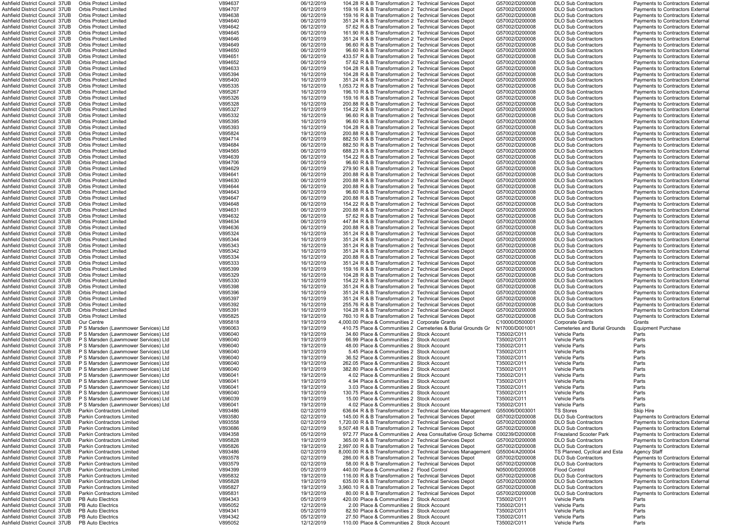| Ashfield District Council 37UB                                   | <b>Orbis Protect Limited</b>                         | V894637            | 06/12/2019               | 104.28 R & B Transformation 2 Technical Services Depot                                  |                                                                            | G57002/D200008             | DLO Sub Contractors                          | <b>Payments to Contractors External</b> |
|------------------------------------------------------------------|------------------------------------------------------|--------------------|--------------------------|-----------------------------------------------------------------------------------------|----------------------------------------------------------------------------|----------------------------|----------------------------------------------|-----------------------------------------|
| Ashfield District Council 37UB                                   | <b>Orbis Protect Limited</b>                         | V894707            | 06/12/2019               | 159.16 R & B Transformation 2 Technical Services Depot                                  |                                                                            | G57002/D200008             | <b>DLO Sub Contractors</b>                   | Payments to Contractors External        |
| Ashfield District Council 37UB                                   | <b>Orbis Protect Limited</b>                         | V894638            | 06/12/2019               | 159.16 R & B Transformation 2 Technical Services Depot                                  |                                                                            | G57002/D200008             | <b>DLO Sub Contractors</b>                   | Payments to Contractors External        |
| Ashfield District Council 37UB                                   | <b>Orbis Protect Limited</b>                         | V894640            | 06/12/2019               | 351.24 R & B Transformation 2 Technical Services Depot                                  |                                                                            | G57002/D200008             | <b>DLO Sub Contractors</b>                   | Payments to Contractors External        |
|                                                                  |                                                      |                    |                          |                                                                                         |                                                                            |                            |                                              |                                         |
| Ashfield District Council  37UB                                  | <b>Orbis Protect Limited</b>                         | V894642            | 06/12/2019               | 57.62 R & B Transformation 2 Technical Services Depot                                   |                                                                            | G57002/D200008             | <b>DLO Sub Contractors</b>                   | <b>Payments to Contractors External</b> |
| Ashfield District Council 37UB                                   | <b>Orbis Protect Limited</b>                         | V894645            | 06/12/2019               | 161.90 R & B Transformation 2 Technical Services Depot                                  |                                                                            | G57002/D200008             | <b>DLO Sub Contractors</b>                   | Payments to Contractors External        |
| Ashfield District Council 37UB                                   | <b>Orbis Protect Limited</b>                         | V894646            | 06/12/2019               | 351.24 R & B Transformation 2 Technical Services Depot                                  |                                                                            | G57002/D200008             | <b>DLO Sub Contractors</b>                   | Payments to Contractors External        |
| Ashfield District Council 37UB                                   | <b>Orbis Protect Limited</b>                         | V894649            | 06/12/2019               | 96.60 R & B Transformation 2 Technical Services Depot                                   |                                                                            | G57002/D200008             | <b>DLO Sub Contractors</b>                   | Payments to Contractors External        |
| Ashfield District Council 37UB                                   | <b>Orbis Protect Limited</b>                         | V894650            | 06/12/2019               | 96.60 R & B Transformation 2 Technical Services Depot                                   |                                                                            | G57002/D200008             | <b>DLO Sub Contractors</b>                   | <b>Payments to Contractors External</b> |
| Ashfield District Council 37UB                                   | <b>Orbis Protect Limited</b>                         | V894651            | 06/12/2019               | 433.57 R & B Transformation 2 Technical Services Depot                                  |                                                                            | G57002/D200008             | <b>DLO Sub Contractors</b>                   | <b>Payments to Contractors External</b> |
|                                                                  |                                                      |                    |                          |                                                                                         |                                                                            |                            |                                              |                                         |
| Ashfield District Council 37UB                                   | <b>Orbis Protect Limited</b>                         | V894652            | 06/12/2019               | 57.62 R & B Transformation 2 Technical Services Depot                                   |                                                                            | G57002/D200008             | <b>DLO Sub Contractors</b>                   | Payments to Contractors External        |
| Ashfield District Council 37UB                                   | <b>Orbis Protect Limited</b>                         | V894633            | 06/12/2019               | 104.28 R & B Transformation 2 Technical Services Depot                                  |                                                                            | G57002/D200008             | <b>DLO Sub Contractors</b>                   | Payments to Contractors External        |
| Ashfield District Council  37UB                                  | <b>Orbis Protect Limited</b>                         | V895394            | 16/12/2019               | 104.28 R & B Transformation 2 Technical Services Depot                                  |                                                                            | G57002/D200008             | <b>DLO Sub Contractors</b>                   | <b>Payments to Contractors External</b> |
| Ashfield District Council 37UB                                   | <b>Orbis Protect Limited</b>                         | V895400            | 16/12/2019               | 351.24 R & B Transformation 2 Technical Services Depot                                  |                                                                            | G57002/D200008             | <b>DLO Sub Contractors</b>                   | <b>Payments to Contractors External</b> |
| Ashfield District Council 37UB                                   | <b>Orbis Protect Limited</b>                         | V895335            | 16/12/2019               | 1,053.72 R & B Transformation 2 Technical Services Depot                                |                                                                            | G57002/D200008             | <b>DLO Sub Contractors</b>                   | Payments to Contractors External        |
|                                                                  |                                                      |                    |                          |                                                                                         |                                                                            |                            |                                              |                                         |
| Ashfield District Council 37UB                                   | <b>Orbis Protect Limited</b>                         | V895267            | 16/12/2019               | 196.10 R & B Transformation 2 Technical Services Depot                                  |                                                                            | G57002/D200008             | <b>DLO Sub Contractors</b>                   | Payments to Contractors External        |
| Ashfield District Council 37UB                                   | <b>Orbis Protect Limited</b>                         | V895326            | 16/12/2019               | 159.16 R & B Transformation 2 Technical Services Depot                                  |                                                                            | G57002/D200008             | <b>DLO Sub Contractors</b>                   | Payments to Contractors External        |
| Ashfield District Council 37UB                                   | <b>Orbis Protect Limited</b>                         | V895328            | 16/12/2019               | 200.88 R & B Transformation 2 Technical Services Depot                                  |                                                                            | G57002/D200008             | <b>DLO Sub Contractors</b>                   | <b>Payments to Contractors External</b> |
| Ashfield District Council 37UB                                   | <b>Orbis Protect Limited</b>                         | V895327            | 16/12/2019               | 154.22 R & B Transformation 2 Technical Services Depot                                  |                                                                            | G57002/D200008             | DLO Sub Contractors                          | Payments to Contractors External        |
| Ashfield District Council  37UB                                  | <b>Orbis Protect Limited</b>                         | V895332            | 16/12/2019               | 96.60 R & B Transformation 2 Technical Services Depot                                   |                                                                            | G57002/D200008             | <b>DLO Sub Contractors</b>                   | Payments to Contractors External        |
| Ashfield District Council  37UB                                  | <b>Orbis Protect Limited</b>                         | V895395            | 16/12/2019               | 96.60 R & B Transformation 2 Technical Services Depot                                   |                                                                            | G57002/D200008             | <b>DLO Sub Contractors</b>                   | <b>Payments to Contractors External</b> |
|                                                                  |                                                      |                    |                          |                                                                                         |                                                                            |                            |                                              |                                         |
| Ashfield District Council 37UB                                   | <b>Orbis Protect Limited</b>                         | V895393            | 16/12/2019               | 104.28 R & B Transformation 2 Technical Services Depot                                  |                                                                            | G57002/D200008             | DLO Sub Contractors                          | Payments to Contractors External        |
| Ashfield District Council 37UB                                   | <b>Orbis Protect Limited</b>                         | V895824            | 19/12/2019               | 200.88 R & B Transformation 2 Technical Services Depot                                  |                                                                            | G57002/D200008             | <b>DLO Sub Contractors</b>                   | Payments to Contractors External        |
| Ashfield District Council 37UB                                   | <b>Orbis Protect Limited</b>                         | V894714            | 06/12/2019               | 882.50 R & B Transformation 2 Technical Services Depot                                  |                                                                            | G57002/D200008             | DLO Sub Contractors                          | Payments to Contractors External        |
| Ashfield District Council  37UB                                  | <b>Orbis Protect Limited</b>                         | V894684            | 06/12/2019               | 882.50 R & B Transformation 2 Technical Services Depot                                  |                                                                            | G57002/D200008             | <b>DLO Sub Contractors</b>                   | <b>Payments to Contractors External</b> |
| Ashfield District Council 37UB                                   | <b>Orbis Protect Limited</b>                         | V894565            | 06/12/2019               | 688.23 R & B Transformation 2 Technical Services Depot                                  |                                                                            | G57002/D200008             | DLO Sub Contractors                          | <b>Payments to Contractors External</b> |
|                                                                  |                                                      | V894639            |                          |                                                                                         |                                                                            |                            |                                              |                                         |
| Ashfield District Council 37UB                                   | <b>Orbis Protect Limited</b>                         |                    | 06/12/2019               | 154.22 R & B Transformation 2 Technical Services Depot                                  |                                                                            | G57002/D200008             | <b>DLO Sub Contractors</b>                   | Payments to Contractors External        |
| Ashfield District Council  37UB                                  | <b>Orbis Protect Limited</b>                         | V894706            | 06/12/2019               | 96.60 R & B Transformation 2 Technical Services Depot                                   |                                                                            | G57002/D200008             | <b>DLO Sub Contractors</b>                   | <b>Payments to Contractors External</b> |
| Ashfield District Council  37UB                                  | <b>Orbis Protect Limited</b>                         | V894629            | 06/12/2019               | 279.90 R & B Transformation 2 Technical Services Depot                                  |                                                                            | G57002/D200008             | <b>DLO Sub Contractors</b>                   | <b>Payments to Contractors External</b> |
| Ashfield District Council 37UB                                   | <b>Orbis Protect Limited</b>                         | V894641            | 06/12/2019               | 200.88 R & B Transformation 2 Technical Services Depot                                  |                                                                            | G57002/D200008             | <b>DLO Sub Contractors</b>                   | <b>Payments to Contractors External</b> |
| Ashfield District Council 37UB                                   | <b>Orbis Protect Limited</b>                         | V894630            | 06/12/2019               | 200.88 R & B Transformation 2 Technical Services Depot                                  |                                                                            | G57002/D200008             | <b>DLO Sub Contractors</b>                   | Payments to Contractors External        |
| Ashfield District Council 37UB                                   | <b>Orbis Protect Limited</b>                         | V894644            | 06/12/2019               | 200.88 R & B Transformation 2 Technical Services Depot                                  |                                                                            | G57002/D200008             | <b>DLO Sub Contractors</b>                   | Payments to Contractors External        |
|                                                                  |                                                      |                    |                          |                                                                                         |                                                                            |                            |                                              |                                         |
| Ashfield District Council 37UB                                   | <b>Orbis Protect Limited</b>                         | V894643            | 06/12/2019               | 96.60 R & B Transformation 2 Technical Services Depot                                   |                                                                            | G57002/D200008             | <b>DLO Sub Contractors</b>                   | Payments to Contractors External        |
| Ashfield District Council 37UB                                   | <b>Orbis Protect Limited</b>                         | V894647            | 06/12/2019               | 200.88 R & B Transformation 2 Technical Services Depot                                  |                                                                            | G57002/D200008             | <b>DLO Sub Contractors</b>                   | <b>Payments to Contractors External</b> |
| Ashfield District Council 37UB                                   | <b>Orbis Protect Limited</b>                         | V894648            | 06/12/2019               | 154.22 R & B Transformation 2 Technical Services Depot                                  |                                                                            | G57002/D200008             | <b>DLO Sub Contractors</b>                   | Payments to Contractors External        |
| Ashfield District Council 37UB                                   | <b>Orbis Protect Limited</b>                         | V894631            | 06/12/2019               | 200.88 R & B Transformation 2 Technical Services Depot                                  |                                                                            | G57002/D200008             | DLO Sub Contractors                          | <b>Payments to Contractors External</b> |
| Ashfield District Council 37UB                                   | <b>Orbis Protect Limited</b>                         | V894632            | 06/12/2019               | 57.62 R & B Transformation 2 Technical Services Depot                                   |                                                                            | G57002/D200008             | <b>DLO Sub Contractors</b>                   | <b>Payments to Contractors External</b> |
|                                                                  |                                                      |                    |                          |                                                                                         |                                                                            |                            |                                              |                                         |
| Ashfield District Council  37UB                                  | <b>Orbis Protect Limited</b>                         | V894634            | 06/12/2019               | 447.84 R & B Transformation 2 Technical Services Depot                                  |                                                                            | G57002/D200008             | <b>DLO Sub Contractors</b>                   | <b>Payments to Contractors External</b> |
| Ashfield District Council 37UB                                   | <b>Orbis Protect Limited</b>                         | V894636            | 06/12/2019               | 200.88 R & B Transformation 2 Technical Services Depot                                  |                                                                            | G57002/D200008             | DLO Sub Contractors                          | <b>Payments to Contractors External</b> |
| Ashfield District Council 37UB                                   | <b>Orbis Protect Limited</b>                         | V895324            | 16/12/2019               | 351.24 R & B Transformation 2 Technical Services Depot                                  |                                                                            | G57002/D200008             | <b>DLO Sub Contractors</b>                   | Payments to Contractors External        |
| Ashfield District Council 37UB                                   | <b>Orbis Protect Limited</b>                         | V895344            | 16/12/2019               | 351.24 R & B Transformation 2 Technical Services Depot                                  |                                                                            | G57002/D200008             | <b>DLO Sub Contractors</b>                   | <b>Payments to Contractors External</b> |
| Ashfield District Council 37UB                                   | <b>Orbis Protect Limited</b>                         | V895343            | 16/12/2019               | 351.24 R & B Transformation 2 Technical Services Depot                                  |                                                                            | G57002/D200008             | <b>DLO Sub Contractors</b>                   | Payments to Contractors External        |
|                                                                  |                                                      | V895342            |                          | 351.24 R & B Transformation 2 Technical Services Depot                                  |                                                                            |                            | DLO Sub Contractors                          |                                         |
| Ashfield District Council 37UB                                   | <b>Orbis Protect Limited</b>                         |                    | 16/12/2019               |                                                                                         |                                                                            | G57002/D200008             | DLO Sub Contractors                          | <b>Payments to Contractors External</b> |
| Ashfield District Council 37UB                                   | <b>Orbis Protect Limited</b>                         | V895334            | 16/12/2019               |                                                                                         |                                                                            | G57002/D200008             |                                              | Payments to Contractors External        |
|                                                                  |                                                      |                    |                          | 200.88 R & B Transformation 2 Technical Services Depot                                  |                                                                            |                            |                                              |                                         |
| Ashfield District Council 37UB                                   | <b>Orbis Protect Limited</b>                         | V895333            | 16/12/2019               | 351.24 R & B Transformation 2 Technical Services Depot                                  |                                                                            | G57002/D200008             |                                              | Payments to Contractors External        |
|                                                                  |                                                      |                    |                          |                                                                                         |                                                                            |                            | DLO Sub Contractors                          |                                         |
| Ashfield District Council  37UB                                  | <b>Orbis Protect Limited</b>                         | V895399            | 16/12/2019               | 159.16 R & B Transformation 2 Technical Services Depot                                  |                                                                            | G57002/D200008             | <b>DLO Sub Contractors</b>                   | <b>Payments to Contractors External</b> |
| Ashfield District Council  37UB                                  | <b>Orbis Protect Limited</b>                         | V895329            | 16/12/2019               | 104.28 R & B Transformation 2 Technical Services Depot                                  |                                                                            | G57002/D200008             | <b>DLO Sub Contractors</b>                   | Payments to Contractors External        |
| Ashfield District Council 37UB                                   | <b>Orbis Protect Limited</b>                         | V895330            | 16/12/2019               | 154.22 R & B Transformation 2 Technical Services Depot                                  |                                                                            | G57002/D200008             | <b>DLO Sub Contractors</b>                   | Payments to Contractors External        |
| Ashfield District Council 37UB                                   | <b>Orbis Protect Limited</b>                         | V895398            | 16/12/2019               | 351.24 R & B Transformation 2 Technical Services Depot                                  |                                                                            | G57002/D200008             | <b>DLO Sub Contractors</b>                   | Payments to Contractors External        |
| Ashfield District Council 37UB                                   | <b>Orbis Protect Limited</b>                         | V895396            | 16/12/2019               | 351.24 R & B Transformation 2 Technical Services Depot                                  |                                                                            | G57002/D200008             | <b>DLO Sub Contractors</b>                   | <b>Payments to Contractors External</b> |
|                                                                  | <b>Orbis Protect Limited</b>                         |                    |                          |                                                                                         |                                                                            | G57002/D200008             |                                              | <b>Payments to Contractors External</b> |
| Ashfield District Council 37UB                                   |                                                      | V895397            | 16/12/2019               | 351.24 R & B Transformation 2 Technical Services Depot                                  |                                                                            |                            | <b>DLO Sub Contractors</b>                   |                                         |
| Ashfield District Council 37UB                                   | <b>Orbis Protect Limited</b>                         | V895392            | 16/12/2019               | 255.76 R & B Transformation 2 Technical Services Depot                                  |                                                                            | G57002/D200008             | <b>DLO Sub Contractors</b>                   | <b>Payments to Contractors External</b> |
| Ashfield District Council 37UB                                   | <b>Orbis Protect Limited</b>                         | V895391            | 16/12/2019               | 104.28 R & B Transformation 2 Technical Services Depot                                  |                                                                            | G57002/D200008             | <b>DLO Sub Contractors</b>                   | <b>Payments to Contractors External</b> |
| Ashfield District Council 37UB                                   | <b>Orbis Protect Limited</b>                         | V895825            | 19/12/2019               | 760.10 R & B Transformation 2 Technical Services Depot                                  |                                                                            | G57002/D200008             | <b>DLO Sub Contractors</b>                   | <b>Payments to Contractors External</b> |
| Ashfield District Council 37UB                                   | Our Centre                                           | V895818            | 19/12/2019               | 4,000.00 Place & Communities 2 Corporate Grants                                         |                                                                            | C10000/D500001             | <b>Corporate Grants</b>                      | Grants                                  |
| Ashfield District Council 37UB                                   | P S Marsden (Lawnmower Services) Ltd                 | V896063            | 19/12/2019               |                                                                                         | 410.75 Place & Communities 2 Cemeteries & Burial Grounds Gr                | N17000/D001001             | <b>Cemeteries and Burial Grounds</b>         | <b>Equipment Purchase</b>               |
|                                                                  |                                                      |                    |                          |                                                                                         |                                                                            |                            |                                              |                                         |
| Ashfield District Council 37UB                                   | P S Marsden (Lawnmower Services) Ltd                 | V896040            | 19/12/2019               | 34.60 Place & Communities 2 Stock Account                                               |                                                                            | T35002/C011                | <b>Vehicle Parts</b>                         | Parts                                   |
| Ashfield District Council 37UB                                   | P S Marsden (Lawnmower Services) Ltd                 | V896040            | 19/12/2019               | 66.99 Place & Communities 2 Stock Account                                               |                                                                            | T35002/C011                | <b>Vehicle Parts</b>                         | Parts                                   |
| Ashfield District Council 37UB                                   | P S Marsden (Lawnmower Services) Ltd                 | V896040            | 19/12/2019               | 48.00 Place & Communities 2 Stock Account                                               |                                                                            | T35002/C011                | <b>Vehicle Parts</b>                         | Parts                                   |
| Ashfield District Council 37UB                                   | P S Marsden (Lawnmower Services) Ltd                 | V896040            | 19/12/2019               | 5.45 Place & Communities 2 Stock Account                                                |                                                                            | T35002/C011                | <b>Vehicle Parts</b>                         | Parts                                   |
| Ashfield District Council 37UB                                   | P S Marsden (Lawnmower Services) Ltd                 | V896040            | 19/12/2019               | 36.52 Place & Communities 2 Stock Account                                               |                                                                            | T35002/C011                | <b>Vehicle Parts</b>                         | Parts                                   |
| Ashfield District Council 37UB                                   | P S Marsden (Lawnmower Services) Ltd                 | V896040            | 19/12/2019               | 262.05 Place & Communities 2 Stock Account                                              |                                                                            | T35002/C011                | <b>Vehicle Parts</b>                         | Parts                                   |
|                                                                  |                                                      |                    |                          |                                                                                         |                                                                            |                            |                                              |                                         |
| Ashfield District Council 37UB                                   | P S Marsden (Lawnmower Services) Ltd                 | V896040            | 19/12/2019               | 382.80 Place & Communities 2 Stock Account                                              |                                                                            | T35002/C011                | <b>Vehicle Parts</b>                         | Parts                                   |
| Ashfield District Council 37UB                                   | P S Marsden (Lawnmower Services) Ltd                 | V896041            | 19/12/2019               | 4.02 Place & Communities 2 Stock Account                                                |                                                                            | T35002/C011                | <b>Vehicle Parts</b>                         | Parts                                   |
| Ashfield District Council 37UB                                   | P S Marsden (Lawnmower Services) Ltd                 | V896041            | 19/12/2019               | 4.94 Place & Communities 2 Stock Account                                                |                                                                            | T35002/C011                | <b>Vehicle Parts</b>                         | Parts                                   |
| Ashfield District Council 37UB                                   | P S Marsden (Lawnmower Services) Ltd                 | V896041            | 19/12/2019               | 3.03 Place & Communities 2 Stock Account                                                |                                                                            | T35002/C011                | <b>Vehicle Parts</b>                         | Parts                                   |
| Ashfield District Council 37UB                                   | P S Marsden (Lawnmower Services) Ltd                 | V896040            | 19/12/2019               | 130.75 Place & Communities 2 Stock Account                                              |                                                                            | T35002/C011                | <b>Vehicle Parts</b>                         | Parts                                   |
| Ashfield District Council 37UB                                   | P S Marsden (Lawnmower Services) Ltd                 | V896039            | 19/12/2019               | 15.00 Place & Communities 2 Stock Account                                               |                                                                            | T35002/C011                | <b>Vehicle Parts</b>                         | Parts                                   |
|                                                                  |                                                      |                    |                          |                                                                                         |                                                                            |                            |                                              | Parts                                   |
| Ashfield District Council 37UB                                   | P S Marsden (Lawnmower Services) Ltd                 | V896041            | 19/12/2019               | 4.02 Place & Communities 2 Stock Account                                                |                                                                            | T35002/C011                | <b>Vehicle Parts</b>                         |                                         |
| Ashfield District Council  37UB                                  | <b>Parkin Contractors Limited</b>                    | V893486            | 02/12/2019               | 636.64 R & B Transformation 2 Technical Services Managemer                              |                                                                            | G55006/D003001             | <b>TS Stores</b>                             | Skip Hire                               |
| Ashfield District Council  37UB                                  | <b>Parkin Contractors Limited</b>                    | V893580            | 02/12/2019               | 145.00 R & B Transformation 2 Technical Services Depot                                  |                                                                            | G57002/D200008             | <b>DLO Sub Contractors</b>                   | <b>Payments to Contractors External</b> |
| Ashfield District Council 37UB                                   | <b>Parkin Contractors Limited</b>                    | V893558            | 02/12/2019               | 1,720.00 R & B Transformation 2 Technical Services Depot                                |                                                                            | G57002/D200008             | <b>DLO Sub Contractors</b>                   | Payments to Contractors External        |
| Ashfield District Council 37UB                                   | <b>Parkin Contractors Limited</b>                    | V893686            | 02/12/2019               | 9,507.48 R & B Transformation 2 Technical Services Depot                                |                                                                            | G57002/D200008             | <b>DLO Sub Contractors</b>                   | Payments to Contractors External        |
| Ashfield District Council 37UB                                   | <b>Parkin Contractors Limited</b>                    | V894358            | 05/12/2019               |                                                                                         | 972.77 Place & Communities 2 Area Consultative Group Scheme C00239/D200008 |                            | <b>Friezeland Scooter Park</b>               | Payments to Contractors External        |
| Ashfield District Council 37UB                                   | <b>Parkin Contractors Limited</b>                    | V895828            | 19/12/2019               | 365.00 R & B Transformation 2 Technical Services Depot                                  |                                                                            | G57002/D200008             | <b>DLO Sub Contractors</b>                   | Payments to Contractors External        |
|                                                                  |                                                      |                    |                          |                                                                                         |                                                                            |                            |                                              |                                         |
| Ashfield District Council 37UB                                   | <b>Parkin Contractors Limited</b>                    | V895826            | 19/12/2019               | 2,997.00 R & B Transformation 2 Technical Services Depot                                |                                                                            | G57002/D200008             | <b>DLO Sub Contractors</b>                   | <b>Payments to Contractors External</b> |
| Ashfield District Council 37UB                                   | <b>Parkin Contractors Limited</b>                    | V893486            | 02/12/2019               | 8,000.00 R & B Transformation 2 Technical Services Managemen                            |                                                                            | G55004/A200004             | TS Planned, Cyclical and Esta                | <b>Agency Staff</b>                     |
| Ashfield District Council  37UB                                  | <b>Parkin Contractors Limited</b>                    | V893578            | 02/12/2019               | 286.00 R & B Transformation 2 Technical Services Depot                                  |                                                                            | G57002/D200008             | <b>DLO Sub Contractors</b>                   | Payments to Contractors External        |
| Ashfield District Council  37UB                                  | <b>Parkin Contractors Limited</b>                    | V893579            | 02/12/2019               | 58.00 R & B Transformation 2 Technical Services Depot                                   |                                                                            | G57002/D200008             | <b>DLO Sub Contractors</b>                   | <b>Payments to Contractors External</b> |
| Ashfield District Council 37UB                                   | <b>Parkin Contractors Limited</b>                    | V894399            | 05/12/2019               | 440.00 Place & Communities 2 Flood Control                                              |                                                                            | N05000/D200008             | <b>Flood Control</b>                         | Payments to Contractors External        |
| Ashfield District Council 37UB                                   | <b>Parkin Contractors Limited</b>                    |                    |                          | 116.00 R & B Transformation 2 Technical Services Depot                                  |                                                                            |                            | <b>DLO Sub Contractors</b>                   |                                         |
|                                                                  |                                                      | V895832            | 19/12/2019               |                                                                                         |                                                                            | G57002/D200008             |                                              | Payments to Contractors External        |
| Ashfield District Council 37UB                                   | <b>Parkin Contractors Limited</b>                    | V895828            | 19/12/2019               | 635.00 R & B Transformation 2 Technical Services Depot                                  |                                                                            | G57002/D200008             | <b>DLO Sub Contractors</b>                   | Payments to Contractors External        |
| Ashfield District Council 37UB                                   | <b>Parkin Contractors Limited</b>                    | V895827            | 19/12/2019               | 3,960.10 R & B Transformation 2 Technical Services Depot                                |                                                                            | G57002/D200008             | <b>DLO Sub Contractors</b>                   | Payments to Contractors External        |
| Ashfield District Council 37UB                                   | <b>Parkin Contractors Limited</b>                    | V895831            | 19/12/2019               | 80.00 R & B Transformation 2 Technical Services Depot                                   |                                                                            | G57002/D200008             | <b>DLO Sub Contractors</b>                   | Payments to Contractors External        |
| Ashfield District Council 37UB                                   | <b>PB Auto Electrics</b>                             | V894343            | 05/12/2019               | 420.00 Place & Communities 2 Stock Account                                              |                                                                            | T35002/C011                | <b>Vehicle Parts</b>                         | Parts                                   |
| Ashfield District Council 37UB                                   | <b>PB Auto Electrics</b>                             | V895052            | 12/12/2019               | 2.00 Place & Communities 2 Stock Account                                                |                                                                            | T35002/C011                | <b>Vehicle Parts</b>                         | Parts                                   |
| Ashfield District Council  37UB                                  | <b>PB Auto Electrics</b>                             | V894341            | 05/12/2019               | 82.50 Place & Communities 2 Stock Account                                               |                                                                            | T35002/C011                | <b>Vehicle Parts</b>                         | Parts                                   |
|                                                                  |                                                      |                    |                          |                                                                                         |                                                                            |                            |                                              |                                         |
| Ashfield District Council 37UB<br>Ashfield District Council 37UB | <b>PB Auto Electrics</b><br><b>PB Auto Electrics</b> | V894342<br>V895052 | 05/12/2019<br>12/12/2019 | 27.50 Place & Communities 2 Stock Account<br>110.00 Place & Communities 2 Stock Account |                                                                            | T35002/C011<br>T35002/C011 | <b>Vehicle Parts</b><br><b>Vehicle Parts</b> | Parts<br>Parts                          |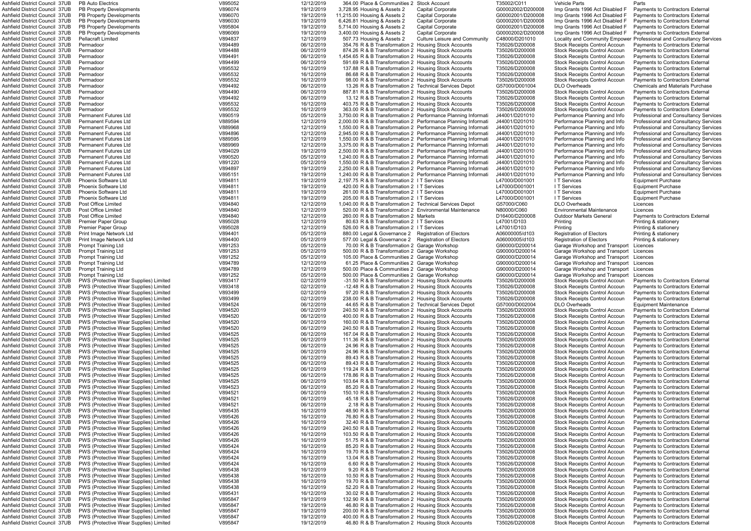| Ashfield District Council  37UB       | <b>PB Auto Electrics</b>                      | V895052 | 12/12/2019 | 364.00 Place & Communities 2 Stock Account                     |                                      | T35002/C011       | <b>Vehicle Parts</b>                   | Parts                                        |
|---------------------------------------|-----------------------------------------------|---------|------------|----------------------------------------------------------------|--------------------------------------|-------------------|----------------------------------------|----------------------------------------------|
| Ashfield District Council 37UB        | <b>PB Property Developments</b>               | V896074 | 19/12/2019 | 3,728.95 Housing & Assets 2                                    | <b>Capital Corporate</b>             | G00002002/D200008 | Imp Grants 1996 Act Disabled F         | <b>Payments to Contractors External</b>      |
| Ashfield District Council 37UB        | PB Property Developments                      | V896070 | 19/12/2019 | 11,215.00 Housing & Assets 2                                   | <b>Capital Corporate</b>             | G00002001/D200008 | Imp Grants 1996 Act Disabled F         | <b>Payments to Contractors External</b>      |
| Ashfield District Council 37UB        | <b>PB Property Developments</b>               | V896030 | 19/12/2019 | 6,426.81 Housing & Assets 2                                    | Capital Corporate                    | G00002001/D200008 | Imp Grants 1996 Act Disabled F         | <b>Payments to Contractors External</b>      |
| Ashfield District Council  37UB       | <b>PB Property Developments</b>               | V895804 | 19/12/2019 | 5,714.00 Housing & Assets 2                                    | Capital Corporate                    | G00002001/D200008 | Imp Grants 1996 Act Disabled F         | Payments to Contractors External             |
| Ashfield District Council 37UB        | <b>PB Property Developments</b>               | V896069 | 19/12/2019 | 3,400.00 Housing & Assets 2                                    | <b>Capital Corporate</b>             | G00002002/D200008 | Imp Grants 1996 Act Disabled F         | Payments to Contractors External             |
| Ashfield District Council 37UB        | <b>Pellacraft Limited</b>                     | V894837 | 12/12/2019 | 507.73 Housing & Assets 2                                      | <b>Culture Leisure and Community</b> | C48000/D201010    | Locality and Community Empower         | Professional and Consultancy Services        |
| Ashfield District Council 37UB        | Permadoor                                     | V894489 | 06/12/2019 | 354.76 R & B Transformation 2 Housing Stock Accounts           |                                      | T35026/D200008    | Stock Receipts Control Accoun          | Payments to Contractors External             |
| Ashfield District Council 37UB        | Permadoor                                     | V894488 | 06/12/2019 | 874.26 R & B Transformation 2 Housing Stock Accounts           |                                      | T35026/D200008    | Stock Receipts Control Accoun          | Payments to Contractors External             |
| Ashfield District Council 37UB        | Permadoor                                     | V894491 | 06/12/2019 | 1,454.65 R & B Transformation 2 Housing Stock Accounts         |                                      | T35026/D200008    | Stock Receipts Control Accoun          | Payments to Contractors External             |
| Ashfield District Council 37UB        | Permadoor                                     | V894499 | 06/12/2019 | 591.69 R & B Transformation 2 Housing Stock Accounts           |                                      | T35026/D200008    | Stock Receipts Control Accoun          | Payments to Contractors External             |
| Ashfield District Council 37UB        | Permadoor                                     | V895532 | 16/12/2019 | 137.88 R & B Transformation 2 Housing Stock Accounts           |                                      | T35026/D200008    | Stock Receipts Control Accoun          | <b>Payments to Contractors External</b>      |
|                                       |                                               | V895532 |            |                                                                |                                      |                   |                                        |                                              |
| Ashfield District Council 37UB        | Permadoor                                     |         | 16/12/2019 | 86.68 R & B Transformation 2 Housing Stock Accounts            |                                      | T35026/D200008    | Stock Receipts Control Accoun          | Payments to Contractors External             |
| Ashfield District Council 37UB        | Permadoor                                     | V895532 | 16/12/2019 | 98.00 R & B Transformation 2 Housing Stock Accounts            |                                      | T35026/D200008    | <b>Stock Receipts Control Accoun</b>   | Payments to Contractors External             |
| Ashfield District Council 37UB        | Permadoor                                     | V894492 | 06/12/2019 | 13.26 R & B Transformation 2 Technical Services Depot          |                                      | G57000/D001004    | <b>DLO Overheads</b>                   | <b>Chemicals and Materials Purchase</b>      |
| Ashfield District Council 37UB        | Permadoor                                     | V894490 | 06/12/2019 | 887.81 R & B Transformation 2 Housing Stock Accounts           |                                      | T35026/D200008    | Stock Receipts Control Accoun          | Payments to Contractors External             |
| Ashfield District Council 37UB        | Permadoor                                     | V894492 | 06/12/2019 | 13.12 R & B Transformation 2 Housing Stock Accounts            |                                      | T35026/D200008    | Stock Receipts Control Accoun          | Payments to Contractors External             |
| Ashfield District Council 37UB        | Permadoor                                     | V895532 | 16/12/2019 | 403.75 R & B Transformation 2 Housing Stock Accounts           |                                      | T35026/D200008    | Stock Receipts Control Accoun          | Payments to Contractors External             |
| Ashfield District Council 37UB        | Permadoor                                     | V895532 | 16/12/2019 | 363.00 R & B Transformation 2 Housing Stock Accounts           |                                      | T35026/D200008    | Stock Receipts Control Accoun          | Payments to Contractors External             |
| Ashfield District Council 37UB        | <b>Permanent Futures Ltd</b>                  | V890519 | 05/12/2019 | 3,750.00 R & B Transformation 2 Performance Planning Informati |                                      | J44001/D201010    | Performance Planning and Info          | Professional and Consultancy Services        |
| Ashfield District Council  37UB       | <b>Permanent Futures Ltd</b>                  | V889594 | 12/12/2019 | 2,000.00 R & B Transformation 2 Performance Planning Informati |                                      | J44001/D201010    | Performance Planning and Info          | <b>Professional and Consultancy Services</b> |
| Ashfield District Council 37UB        | <b>Permanent Futures Ltd</b>                  | V889968 | 12/12/2019 | 1,550.00 R & B Transformation 2 Performance Planning Informati |                                      | J44001/D201010    | Performance Planning and Info          | Professional and Consultancy Services        |
| Ashfield District Council 37UB        | <b>Permanent Futures Ltd</b>                  | V894896 | 12/12/2019 | 2,945.00 R & B Transformation 2 Performance Planning Informati |                                      | J44001/D201010    | Performance Planning and Info          | <b>Professional and Consultancy Services</b> |
| <b>Ashfield District Council 37UB</b> | <b>Permanent Futures Ltd</b>                  | V889595 | 12/12/2019 | 1,550.00 R & B Transformation 2 Performance Planning Informati |                                      | J44001/D201010    | Performance Planning and Info          | <b>Professional and Consultancy Services</b> |
| Ashfield District Council 37UB        | <b>Permanent Futures Ltd</b>                  | V889969 | 12/12/2019 | 3,375.00 R & B Transformation 2 Performance Planning Informati |                                      | J44001/D201010    | Performance Planning and Info          | <b>Professional and Consultancy Services</b> |
| Ashfield District Council 37UB        | <b>Permanent Futures Ltd</b>                  | V894029 | 19/12/2019 | 2,500.00 R & B Transformation 2 Performance Planning Informati |                                      | J44001/D201010    | Performance Planning and Info          | <b>Professional and Consultancy Services</b> |
| Ashfield District Council 37UB        | <b>Permanent Futures Ltd</b>                  | V890520 | 05/12/2019 | 1,240.00 R & B Transformation 2 Performance Planning Informati |                                      | J44001/D201010    | Performance Planning and Info          | <b>Professional and Consultancy Services</b> |
| Ashfield District Council 37UB        | <b>Permanent Futures Ltd</b>                  |         |            |                                                                |                                      |                   |                                        |                                              |
|                                       |                                               | V891220 | 05/12/2019 | 1,550.00 R & B Transformation 2 Performance Planning Informati |                                      | J44001/D201010    | Performance Planning and Info          | <b>Professional and Consultancy Services</b> |
| Ashfield District Council 37UB        | <b>Permanent Futures Ltd</b>                  | V894897 | 19/12/2019 | 2.250.00 R & B Transformation 2 Performance Planning Informati |                                      | J44001/D201010    | Performance Planning and Info          | <b>Professional and Consultancy Services</b> |
| Ashfield District Council 37UB        | <b>Permanent Futures Ltd</b>                  | V895151 | 19/12/2019 | 1.240.00 R & B Transformation 2 Performance Planning Informati |                                      | J44001/D201010    | Performance Planning and Info          | <b>Professional and Consultancy Services</b> |
| Ashfield District Council 37UB        | <b>Phoenix Software Ltd</b>                   | V894811 | 19/12/2019 | 2,197.75 R & B Transformation 2 I T Services                   |                                      | L47000/D001001    | I T Services                           | <b>Equipment Purchase</b>                    |
| Ashfield District Council 37UB        | <b>Phoenix Software Ltd</b>                   | V894811 | 19/12/2019 | 420.00 R & B Transformation 2 I T Services                     |                                      | L47000/D001001    | I T Services                           | <b>Equipment Purchase</b>                    |
| Ashfield District Council 37UB        | <b>Phoenix Software Ltd</b>                   | V894811 | 19/12/2019 | 261.00 R & B Transformation 2 I T Services                     |                                      | L47000/D001001    | I T Services                           | <b>Equipment Purchase</b>                    |
| Ashfield District Council 37UB        | <b>Phoenix Software Ltd</b>                   | V894811 | 19/12/2019 | 205.00 R & B Transformation 2 I T Services                     |                                      | L47000/D001001    | I T Services                           | <b>Equipment Purchase</b>                    |
| Ashfield District Council 37UB        | Post Office Limited                           | V894840 | 12/12/2019 | 1,040.00 R & B Transformation 2 Technical Services Depot       |                                      | G57000/C060       | <b>DLO Overheads</b>                   | Licences                                     |
| Ashfield District Council 37UB        | Post Office Limited                           | V894840 | 12/12/2019 | 520.00 R & B Transformation 2 Environmental Maintenance        |                                      | N80000/C060       | <b>Environmental Maintenance</b>       | Licences                                     |
| Ashfield District Council  37UB       | Post Office Limited                           | V894840 | 12/12/2019 | 260.00 R & B Transformation 2 Markets                          |                                      | D16400/D200008    | <b>Outdoor Markets General</b>         | Payments to Contractors External             |
| Ashfield District Council 37UB        | <b>Premier Paper Group</b>                    | V895028 | 12/12/2019 | 80.63 R & B Transformation 2 I T Services                      |                                      | L47001/D103       | Printing                               | Printing & stationery                        |
| Ashfield District Council 37UB        | <b>Premier Paper Group</b>                    | V895028 | 12/12/2019 | 526.00 R & B Transformation 2 I T Services                     |                                      | L47001/D103       | Printing                               | Printing & stationery                        |
| Ashfield District Council 37UB        | Print Image Network Ltd                       | V894401 | 05/12/2019 | 880.00 Legal & Governance 2 Registration of Electors           |                                      | A06000005/d103    | <b>Registration of Electors</b>        | Printing & stationery                        |
| Ashfield District Council 37UB        | Print Image Network Ltd                       | V894400 | 05/12/2019 | 577.00 Legal & Governance 2 Registration of Electors           |                                      | A06000005/d103    | <b>Registration of Electors</b>        | Printing & stationery                        |
|                                       |                                               |         |            |                                                                |                                      |                   |                                        |                                              |
| Ashfield District Council 37UB        | <b>Prompt Training Ltd</b>                    | V891253 | 05/12/2019 | 70.00 R & B Transformation 2 Garage Workshop                   |                                      | G90000/D200014    | Garage Workshop and Transport          | Licences                                     |
| Ashfield District Council 37UB        | <b>Prompt Training Ltd</b>                    | V891253 | 05/12/2019 | 500.00 R & B Transformation 2 Garage Workshop                  |                                      | G90000/D200014    | Garage Workshop and Transport          | Licences                                     |
| Ashfield District Council 37UB        | <b>Prompt Training Ltd</b>                    | V891252 | 05/12/2019 | 105.00 Place & Communities 2 Garage Workshop                   |                                      | G90000/D200014    | Garage Workshop and Transport Licences |                                              |
| Ashfield District Council  37UB       | <b>Prompt Training Ltd</b>                    | V894789 | 12/12/2019 | 61.25 Place & Communities 2 Garage Workshop                    |                                      | G90000/D200014    | Garage Workshop and Transport          | Licences                                     |
| Ashfield District Council 37UB        | <b>Prompt Training Ltd</b>                    | V894789 | 12/12/2019 | 500.00 Place & Communities 2 Garage Workshop                   |                                      | G90000/D200014    | Garage Workshop and Transport          | Licences                                     |
| Ashfield District Council 37UB        | <b>Prompt Training Ltd</b>                    | V891252 | 05/12/2019 | 500.00 Place & Communities 2 Garage Workshop                   |                                      | G90000/D200014    | Garage Workshop and Transport          | Licences                                     |
| Ashfield District Council 37UB        | PWS (Protective Wear Supplies) Limited        | V893417 | 02/12/2019 | -31.50 R & B Transformation 2 Housing Stock Accounts           |                                      | T35026/D200008    | Stock Receipts Control Accoun          | Payments to Contractors External             |
| <b>Ashfield District Council 37UB</b> | PWS (Protective Wear Supplies) Limited        | V893418 | 02/12/2019 | -12.48 R & B Transformation 2 Housing Stock Accounts           |                                      | T35026/D200008    | <b>Stock Receipts Control Accoun</b>   | <b>Payments to Contractors External</b>      |
| Ashfield District Council 37UB        | <b>PWS (Protective Wear Supplies) Limited</b> | V893499 | 02/12/2019 | 97.20 R & B Transformation 2 Housing Stock Accounts            |                                      | T35026/D200008    | Stock Receipts Control Accoun          | Payments to Contractors External             |
| Ashfield District Council 37UB        | <b>PWS (Protective Wear Supplies) Limited</b> | V893499 | 02/12/2019 | 238.00 R & B Transformation 2 Housing Stock Accounts           |                                      | T35026/D200008    | Stock Receipts Control Accoun          | Payments to Contractors External             |
| Ashfield District Council 37UB        | PWS (Protective Wear Supplies) Limited        | V894524 | 06/12/2019 | 44.65 R & B Transformation 2 Technical Services Depot          |                                      | G57000/D002004    | <b>DLO Overheads</b>                   | <b>Equipment Maintenance</b>                 |
| Ashfield District Council  37UB       | PWS (Protective Wear Supplies) Limited        | V894520 | 06/12/2019 | 240.50 R & B Transformation 2 Housing Stock Accounts           |                                      | T35026/D200008    | Stock Receipts Control Accoun          | Payments to Contractors External             |
| Ashfield District Council  37UB       | <b>PWS (Protective Wear Supplies) Limited</b> | V894520 | 06/12/2019 | 400.00 R & B Transformation 2 Housing Stock Accounts           |                                      | T35026/D200008    | <b>Stock Receipts Control Accoun</b>   | Payments to Contractors External             |
| Ashfield District Council  37UB       | <b>PWS (Protective Wear Supplies) Limited</b> | V894520 | 06/12/2019 | 160.00 R & B Transformation 2 Housing Stock Accounts           |                                      | T35026/D200008    | Stock Receipts Control Accoun          | <b>Payments to Contractors External</b>      |
| Ashfield District Council 37UB        | PWS (Protective Wear Supplies) Limited        | V894520 | 06/12/2019 | 240.50 R & B Transformation 2 Housing Stock Accounts           |                                      | T35026/D200008    | <b>Stock Receipts Control Accoun</b>   | <b>Payments to Contractors External</b>      |
| Ashfield District Council 37UB        | PWS (Protective Wear Supplies) Limited        | V894525 | 06/12/2019 | 167.04 R & B Transformation 2 Housing Stock Accounts           |                                      | T35026/D200008    | Stock Receipts Control Accoun          | Payments to Contractors External             |
| Ashfield District Council 37UB        | <b>PWS (Protective Wear Supplies) Limited</b> | V894525 | 06/12/2019 | 111.36 R & B Transformation 2 Housing Stock Accounts           |                                      | T35026/D200008    | Stock Receipts Control Accoun          | Payments to Contractors External             |
|                                       |                                               |         | 06/12/2019 |                                                                |                                      |                   |                                        |                                              |
| Ashfield District Council 37UB        | PWS (Protective Wear Supplies) Limited        | V894525 |            | 24.96 R & B Transformation 2 Housing Stock Accounts            |                                      | T35026/D200008    | Stock Receipts Control Accoun          | Payments to Contractors External             |
| Ashfield District Council 37UB        | PWS (Protective Wear Supplies) Limited        | V894525 | 06/12/2019 | 24.96 R & B Transformation 2 Housing Stock Accounts            |                                      | T35026/D200008    | Stock Receipts Control Accoun          | Payments to Contractors External             |
| Ashfield District Council  37UB       | PWS (Protective Wear Supplies) Limited        | V894525 | 06/12/2019 | 89.43 R & B Transformation 2 Housing Stock Accounts            |                                      | T35026/D200008    | Stock Receipts Control Accoun          | Payments to Contractors External             |
| Ashfield District Council 37UB        | <b>PWS (Protective Wear Supplies) Limited</b> | V894525 | 06/12/2019 | 89.43 R & B Transformation 2 Housing Stock Accounts            |                                      | T35026/D200008    | Stock Receipts Control Accoun          | <b>Payments to Contractors External</b>      |
| Ashfield District Council 37UB        | <b>PWS (Protective Wear Supplies) Limited</b> | V894525 | 06/12/2019 | 119.24 R & B Transformation 2 Housing Stock Accounts           |                                      | T35026/D200008    | <b>Stock Receipts Control Accoun</b>   | Payments to Contractors External             |
| Ashfield District Council 37UB        | <b>PWS (Protective Wear Supplies) Limited</b> | V894525 | 06/12/2019 | 178.86 R & B Transformation 2 Housing Stock Accounts           |                                      | T35026/D200008    | <b>Stock Receipts Control Accoun</b>   | Payments to Contractors External             |
| Ashfield District Council 37UB        | PWS (Protective Wear Supplies) Limited        | V894525 | 06/12/2019 | 103.64 R & B Transformation 2 Housing Stock Accounts           |                                      | T35026/D200008    | Stock Receipts Control Accoun          | Payments to Contractors External             |
| Ashfield District Council 37UB        | PWS (Protective Wear Supplies) Limited        | V894523 | 06/12/2019 | 85.20 R & B Transformation 2 Housing Stock Accounts            |                                      | T35026/D200008    | Stock Receipts Control Accoun          | Payments to Contractors External             |
| Ashfield District Council 37UB        | <b>PWS (Protective Wear Supplies) Limited</b> | V894521 | 06/12/2019 | 150.10 R & B Transformation 2 Housing Stock Accounts           |                                      | T35026/D200008    | Stock Receipts Control Accoun          | Payments to Contractors External             |
| Ashfield District Council 37UB        | PWS (Protective Wear Supplies) Limited        | V894521 | 06/12/2019 | 45.18 R & B Transformation 2 Housing Stock Accounts            |                                      | T35026/D200008    | Stock Receipts Control Accoun          | Payments to Contractors External             |
| Ashfield District Council 37UB        | PWS (Protective Wear Supplies) Limited        | V894521 | 06/12/2019 | 2.18 R & B Transformation 2 Housing Stock Accounts             |                                      | T35026/D200008    | Stock Receipts Control Accoun          | Payments to Contractors External             |
| Ashfield District Council  37UB       | PWS (Protective Wear Supplies) Limited        | V895435 | 16/12/2019 | 48.90 R & B Transformation 2 Housing Stock Accounts            |                                      | T35026/D200008    | Stock Receipts Control Accoun          | Payments to Contractors External             |
| Ashfield District Council  37UB       | <b>PWS (Protective Wear Supplies) Limited</b> | V895426 | 16/12/2019 | 76.80 R & B Transformation 2 Housing Stock Accounts            |                                      | T35026/D200008    | Stock Receipts Control Accoun          | Payments to Contractors External             |
| Ashfield District Council 37UB        | PWS (Protective Wear Supplies) Limited        | V895426 | 16/12/2019 | 32.40 R & B Transformation 2 Housing Stock Accounts            |                                      | T35026/D200008    | Stock Receipts Control Accoun          | Payments to Contractors External             |
| Ashfield District Council 37UB        | PWS (Protective Wear Supplies) Limited        | V895426 | 16/12/2019 | 240.50 R & B Transformation 2 Housing Stock Accounts           |                                      | T35026/D200008    | <b>Stock Receipts Control Accoun</b>   | Payments to Contractors External             |
| Ashfield District Council 37UB        | PWS (Protective Wear Supplies) Limited        | V895426 | 16/12/2019 | 103.50 R & B Transformation 2 Housing Stock Accounts           |                                      | T35026/D200008    | Stock Receipts Control Accoun          | Payments to Contractors External             |
| Ashfield District Council 37UB        | PWS (Protective Wear Supplies) Limited        | V895426 | 16/12/2019 | 51.75 R & B Transformation 2 Housing Stock Accounts            |                                      | T35026/D200008    | Stock Receipts Control Accoun          | Payments to Contractors External             |
| Ashfield District Council 37UB        | PWS (Protective Wear Supplies) Limited        | V895424 | 16/12/2019 | 85.20 R & B Transformation 2 Housing Stock Accounts            |                                      | T35026/D200008    | Stock Receipts Control Accoun          | Payments to Contractors External             |
| Ashfield District Council  37UB       | PWS (Protective Wear Supplies) Limited        | V895424 | 16/12/2019 | 19.70 R & B Transformation 2 Housing Stock Accounts            |                                      | T35026/D200008    | Stock Receipts Control Accoun          | Payments to Contractors External             |
|                                       |                                               |         |            |                                                                |                                      |                   |                                        |                                              |
| Ashfield District Council  37UB       | <b>PWS (Protective Wear Supplies) Limited</b> | V895424 | 16/12/2019 | 13.04 R & B Transformation 2 Housing Stock Accounts            |                                      | T35026/D200008    | Stock Receipts Control Accoun          | Payments to Contractors External             |
| Ashfield District Council 37UB        | PWS (Protective Wear Supplies) Limited        | V895424 | 16/12/2019 | 6.60 R & B Transformation 2 Housing Stock Accounts             |                                      | T35026/D200008    | Stock Receipts Control Accoun          | Payments to Contractors External             |
| Ashfield District Council 37UB        | PWS (Protective Wear Supplies) Limited        | V895438 | 16/12/2019 | 9.20 R & B Transformation 2 Housing Stock Accounts             |                                      | T35026/D200008    | <b>Stock Receipts Control Accoun</b>   | Payments to Contractors External             |
| Ashfield District Council 37UB        | PWS (Protective Wear Supplies) Limited        | V895438 | 16/12/2019 | 10.50 R & B Transformation 2 Housing Stock Accounts            |                                      | T35026/D200008    | Stock Receipts Control Accoun          | Payments to Contractors External             |
| Ashfield District Council 37UB        | PWS (Protective Wear Supplies) Limited        | V895438 | 16/12/2019 | 19.70 R & B Transformation 2 Housing Stock Accounts            |                                      | T35026/D200008    | Stock Receipts Control Accoun          | Payments to Contractors External             |
| Ashfield District Council 37UB        | PWS (Protective Wear Supplies) Limited        | V895438 | 16/12/2019 | 52.20 R & B Transformation 2 Housing Stock Accounts            |                                      | T35026/D200008    | Stock Receipts Control Accoun          | Payments to Contractors External             |
| Ashfield District Council 37UB        | PWS (Protective Wear Supplies) Limited        | V895431 | 16/12/2019 | 30.02 R & B Transformation 2 Housing Stock Accounts            |                                      | T35026/D200008    | Stock Receipts Control Accoun          | Payments to Contractors External             |
| Ashfield District Council 37UB        | PWS (Protective Wear Supplies) Limited        | V895847 | 19/12/2019 | 132.90 R & B Transformation 2 Housing Stock Accounts           |                                      | T35026/D200008    | Stock Receipts Control Accoun          | Payments to Contractors External             |
| Ashfield District Council 37UB        | PWS (Protective Wear Supplies) Limited        | V895847 | 19/12/2019 | 46.80 R & B Transformation 2 Housing Stock Accounts            |                                      | T35026/D200008    | Stock Receipts Control Accoun          | Payments to Contractors External             |
| Ashfield District Council  37UB       | PWS (Protective Wear Supplies) Limited        | V895847 | 19/12/2019 | 200.00 R & B Transformation 2 Housing Stock Accounts           |                                      | T35026/D200008    | Stock Receipts Control Accoun          | Payments to Contractors External             |
| Ashfield District Council 37UB        | <b>PWS (Protective Wear Supplies) Limited</b> | V895847 | 19/12/2019 | 400.00 R & B Transformation 2 Housing Stock Accounts           |                                      | T35026/D200008    | Stock Receipts Control Accoun          | Payments to Contractors External             |
| Ashfield District Council 37UB        | PWS (Protective Wear Supplies) Limited        | V895847 | 19/12/2019 | 46.80 R & B Transformation 2 Housing Stock Accounts            |                                      | T35026/D200008    | Stock Receipts Control Accoun          | Payments to Contractors External             |
|                                       |                                               |         |            |                                                                |                                      |                   |                                        |                                              |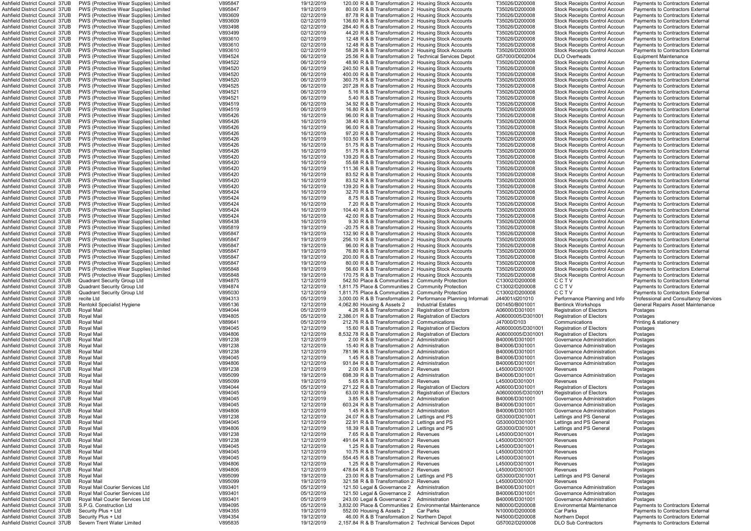| Ashfield District Council 37UB        | PWS (Protective Wear Supplies) Limited        | V895847 | 19/12/2019 | 120.00 R & B Transformation 2  Housing Stock Accounts            |                           | T35026/D200008    |                                      | Payments to Contractors External        |
|---------------------------------------|-----------------------------------------------|---------|------------|------------------------------------------------------------------|---------------------------|-------------------|--------------------------------------|-----------------------------------------|
|                                       |                                               |         | 19/12/2019 |                                                                  |                           | T35026/D200008    | Stock Receipts Control Accoun        |                                         |
| Ashfield District Council 37UB        | <b>PWS (Protective Wear Supplies) Limited</b> | V895847 |            | 80.00 R & B Transformation 2 Housing Stock Accounts              |                           |                   | Stock Receipts Control Accoun        | Payments to Contractors External        |
| Ashfield District Council 37UB        | <b>PWS (Protective Wear Supplies) Limited</b> | V893609 | 02/12/2019 | 87.78 R & B Transformation 2 Housing Stock Accounts              |                           | T35026/D200008    | Stock Receipts Control Accoun        | Payments to Contractors External        |
| Ashfield District Council 37UB        | <b>PWS (Protective Wear Supplies) Limited</b> | V893609 | 02/12/2019 | 136.60 R & B Transformation 2 Housing Stock Accounts             |                           | T35026/D200008    | Stock Receipts Control Accoun        | Payments to Contractors External        |
| Ashfield District Council 37UB        | <b>PWS (Protective Wear Supplies) Limited</b> | V893498 | 02/12/2019 | 284.40 R & B Transformation 2 Housing Stock Accounts             |                           | T35026/D200008    | Stock Receipts Control Accoun        | Payments to Contractors External        |
| <b>Ashfield District Council 37UB</b> | <b>PWS (Protective Wear Supplies) Limited</b> | V893499 | 02/12/2019 | 44.20 R & B Transformation 2 Housing Stock Accounts              |                           | T35026/D200008    | Stock Receipts Control Accoun        | Payments to Contractors External        |
| <b>Ashfield District Council 37UB</b> | <b>PWS (Protective Wear Supplies) Limited</b> | V893610 | 02/12/2019 | 12.48 R & B Transformation 2 Housing Stock Accounts              |                           | T35026/D200008    | Stock Receipts Control Accoun        | Payments to Contractors External        |
| Ashfield District Council 37UB        | <b>PWS (Protective Wear Supplies) Limited</b> | V893610 | 02/12/2019 | 12.48 R & B Transformation 2 Housing Stock Accounts              |                           | T35026/D200008    | <b>Stock Receipts Control Accoun</b> | Payments to Contractors External        |
|                                       |                                               |         |            |                                                                  |                           |                   |                                      |                                         |
| <b>Ashfield District Council 37UB</b> | <b>PWS (Protective Wear Supplies) Limited</b> | V893610 | 02/12/2019 | 58.26 R & B Transformation 2 Housing Stock Accounts              |                           | T35026/D200008    | <b>Stock Receipts Control Accoun</b> | Payments to Contractors External        |
| <b>Ashfield District Council 37UB</b> | <b>PWS (Protective Wear Supplies) Limited</b> | V894524 | 06/12/2019 | 25.56 R & B Transformation 2 Technical Services Depot            |                           | G57000/D002004    | <b>DLO Overheads</b>                 | Equipment Maintenance                   |
| <b>Ashfield District Council 37UB</b> | PWS (Protective Wear Supplies) Limited        | V894522 | 06/12/2019 | 48.90 R & B Transformation 2 Housing Stock Accounts              |                           | T35026/D200008    | Stock Receipts Control Accoun        | Payments to Contractors External        |
| Ashfield District Council 37UB        | PWS (Protective Wear Supplies) Limited        | V894520 | 06/12/2019 | 240.50 R & B Transformation 2 Housing Stock Accounts             |                           | T35026/D200008    | Stock Receipts Control Accoun        | Payments to Contractors External        |
| Ashfield District Council 37UB        | <b>PWS (Protective Wear Supplies) Limited</b> | V894520 | 06/12/2019 | 400.00 R & B Transformation 2 Housing Stock Accounts             |                           | T35026/D200008    | Stock Receipts Control Accoun        | Payments to Contractors External        |
| <b>Ashfield District Council 37UB</b> | <b>PWS (Protective Wear Supplies) Limited</b> | V894520 | 06/12/2019 | 360.75 R & B Transformation 2 Housing Stock Accounts             |                           | T35026/D200008    | Stock Receipts Control Accoun        | Payments to Contractors External        |
|                                       |                                               |         |            |                                                                  |                           |                   |                                      |                                         |
| <b>Ashfield District Council 37UB</b> | <b>PWS (Protective Wear Supplies) Limited</b> | V894525 | 06/12/2019 | 207.28 R & B Transformation 2 Housing Stock Accounts             |                           | T35026/D200008    | Stock Receipts Control Accoun        | Payments to Contractors External        |
| <b>Ashfield District Council 37UB</b> | <b>PWS (Protective Wear Supplies) Limited</b> | V894521 | 06/12/2019 | 5.16 R & B Transformation 2 Housing Stock Accounts               |                           | T35026/D200008    | <b>Stock Receipts Control Accoun</b> | Payments to Contractors External        |
| Ashfield District Council 37UB        | <b>PWS (Protective Wear Supplies) Limited</b> | V894521 | 06/12/2019 | 5.40 R & B Transformation 2 Housing Stock Accounts               |                           | T35026/D200008    | <b>Stock Receipts Control Accoun</b> | Payments to Contractors External        |
| <b>Ashfield District Council 37UB</b> | <b>PWS (Protective Wear Supplies) Limited</b> | V894519 | 06/12/2019 | 34.92 R & B Transformation 2 Housing Stock Accounts              |                           | T35026/D200008    | Stock Receipts Control Accoun        | Payments to Contractors External        |
| <b>Ashfield District Council 37UB</b> | <b>PWS (Protective Wear Supplies) Limited</b> | V894519 | 06/12/2019 | 16.80 R & B Transformation 2 Housing Stock Accounts              |                           | T35026/D200008    | Stock Receipts Control Accoun        | Payments to Contractors External        |
| Ashfield District Council 37UB        | PWS (Protective Wear Supplies) Limited        | V895426 | 16/12/2019 | 96.00 R & B Transformation 2 Housing Stock Accounts              |                           | T35026/D200008    | Stock Receipts Control Accoun        | Payments to Contractors External        |
|                                       |                                               |         |            |                                                                  |                           |                   |                                      |                                         |
| Ashfield District Council 37UB        | <b>PWS (Protective Wear Supplies) Limited</b> | V895426 | 16/12/2019 | 38.40 R & B Transformation 2 Housing Stock Accounts              |                           | T35026/D200008    | Stock Receipts Control Accoun        | Payments to Contractors External        |
| <b>Ashfield District Council 37UB</b> | <b>PWS (Protective Wear Supplies) Limited</b> | V895426 | 16/12/2019 | 96.00 R & B Transformation 2 Housing Stock Accounts              |                           | T35026/D200008    | Stock Receipts Control Accoun        | Payments to Contractors External        |
| Ashfield District Council 37UB        | <b>PWS (Protective Wear Supplies) Limited</b> | V895426 | 16/12/2019 | 97.20 R & B Transformation 2 Housing Stock Accounts              |                           | T35026/D200008    | Stock Receipts Control Accoun        | Payments to Contractors External        |
| <b>Ashfield District Council 37UB</b> | <b>PWS (Protective Wear Supplies) Limited</b> | V895426 | 16/12/2019 | 103.50 R & B Transformation 2 Housing Stock Accounts             |                           | T35026/D200008    | Stock Receipts Control Accoun        | Payments to Contractors External        |
| Ashfield District Council 37UB        | <b>PWS (Protective Wear Supplies) Limited</b> | V895426 | 16/12/2019 | 51.75 R & B Transformation 2 Housing Stock Accounts              |                           | T35026/D200008    | <b>Stock Receipts Control Accoun</b> | Payments to Contractors External        |
| <b>Ashfield District Council 37UB</b> | <b>PWS (Protective Wear Supplies) Limited</b> | V895426 | 16/12/2019 | 51.75 R & B Transformation 2 Housing Stock Accounts              |                           | T35026/D200008    | Stock Receipts Control Accoun        | Payments to Contractors External        |
| <b>Ashfield District Council 37UB</b> |                                               |         |            | 139.20 R & B Transformation 2 Housing Stock Accounts             |                           | T35026/D200008    |                                      |                                         |
|                                       | <b>PWS (Protective Wear Supplies) Limited</b> | V895420 | 16/12/2019 |                                                                  |                           |                   | Stock Receipts Control Accoun        | Payments to Contractors External        |
| Ashfield District Council 37UB        | PWS (Protective Wear Supplies) Limited        | V895420 | 16/12/2019 | 55.68 R & B Transformation 2 Housing Stock Accounts              |                           | T35026/D200008    | Stock Receipts Control Accoun        | Payments to Contractors External        |
| Ashfield District Council 37UB        | <b>PWS (Protective Wear Supplies) Limited</b> | V895420 | 16/12/2019 | 111.36 R & B Transformation 2 Housing Stock Accounts             |                           | T35026/D200008    | Stock Receipts Control Accoun        | Payments to Contractors External        |
| <b>Ashfield District Council 37UB</b> | <b>PWS (Protective Wear Supplies) Limited</b> | V895420 | 16/12/2019 | 83.52 R & B Transformation 2 Housing Stock Accounts              |                           | T35026/D200008    | Stock Receipts Control Accoun        | Payments to Contractors External        |
| <b>Ashfield District Council 37UB</b> | <b>PWS (Protective Wear Supplies) Limited</b> | V895420 | 16/12/2019 | 83.52 R & B Transformation 2 Housing Stock Accounts              |                           | T35026/D200008    | Stock Receipts Control Accoun        | Payments to Contractors External        |
| Ashfield District Council 37UB        | <b>PWS (Protective Wear Supplies) Limited</b> | V895420 | 16/12/2019 | 139.20 R & B Transformation 2 Housing Stock Accounts             |                           | T35026/D200008    | Stock Receipts Control Accoun        | Payments to Contractors External        |
| Ashfield District Council 37UB        | PWS (Protective Wear Supplies) Limited        | V895424 | 16/12/2019 | 32.70 R & B Transformation 2 Housing Stock Accounts              |                           | T35026/D200008    |                                      |                                         |
|                                       |                                               |         |            |                                                                  |                           |                   | Stock Receipts Control Accoun        | Payments to Contractors External        |
| Ashfield District Council 37UB        | <b>PWS (Protective Wear Supplies) Limited</b> | V895424 | 16/12/2019 | 8.75 R & B Transformation 2 Housing Stock Accounts               |                           | T35026/D200008    | Stock Receipts Control Accoun        | Payments to Contractors External        |
| Ashfield District Council 37UB        | <b>PWS (Protective Wear Supplies) Limited</b> | V895424 | 16/12/2019 | 7.20 R & B Transformation 2 Housing Stock Accounts               |                           | T35026/D200008    | Stock Receipts Control Accoun        | Payments to Contractors External        |
| Ashfield District Council 37UB        | PWS (Protective Wear Supplies) Limited        | V895424 | 16/12/2019 | 104.40 R & B Transformation 2 Housing Stock Accounts             |                           | T35026/D200008    | Stock Receipts Control Accoun        | Payments to Contractors External        |
| Ashfield District Council 37UB        | PWS (Protective Wear Supplies) Limited        | V895424 | 16/12/2019 | 42.00 R & B Transformation 2 Housing Stock Accounts              |                           | T35026/D200008    | Stock Receipts Control Accoun        | Payments to Contractors External        |
| Ashfield District Council 37UB        | <b>PWS (Protective Wear Supplies) Limited</b> | V895438 | 16/12/2019 | 9.30 R & B Transformation 2 Housing Stock Accounts               |                           | T35026/D200008    | Stock Receipts Control Accoun        | Payments to Contractors External        |
| Ashfield District Council 37UB        | <b>PWS (Protective Wear Supplies) Limited</b> | V895819 | 19/12/2019 | -20.75 R & B Transformation 2 Housing Stock Accounts             |                           | T35026/D200008    | Stock Receipts Control Accoun        | Payments to Contractors External        |
| Ashfield District Council 37UB        | <b>PWS (Protective Wear Supplies) Limited</b> | V895847 | 19/12/2019 | 132.90 R & B Transformation 2 Housing Stock Accounts             |                           | T35026/D200008    | Stock Receipts Control Accoun        | Payments to Contractors External        |
|                                       |                                               |         |            |                                                                  |                           |                   |                                      |                                         |
| Ashfield District Council 37UB        | PWS (Protective Wear Supplies) Limited        | V895847 | 19/12/2019 | 256.10 R & B Transformation 2 Housing Stock Accounts             |                           | T35026/D200008    | Stock Receipts Control Accoun        | Payments to Contractors External        |
| Ashfield District Council 37UB        | <b>PWS (Protective Wear Supplies) Limited</b> | V895847 | 19/12/2019 | 96.00 R & B Transformation 2 Housing Stock Accounts              |                           | T35026/D200008    | <b>Stock Receipts Control Accoun</b> | Payments to Contractors External        |
| Ashfield District Council 37UB        | <b>PWS (Protective Wear Supplies) Limited</b> | V895847 | 19/12/2019 | 76.80 R & B Transformation 2 Housing Stock Accounts              |                           | T35026/D200008    | <b>Stock Receipts Control Accoun</b> | Payments to Contractors External        |
| Ashfield District Council 37UB        | <b>PWS (Protective Wear Supplies) Limited</b> | V895847 | 19/12/2019 | 200.00 R & B Transformation 2 Housing Stock Accounts             |                           | T35026/D200008    | Stock Receipts Control Accoun        | Payments to Contractors External        |
| Ashfield District Council 37UB        | PWS (Protective Wear Supplies) Limited        | V895847 | 19/12/2019 | 80.00 R & B Transformation 2 Housing Stock Accounts              |                           | T35026/D200008    | Stock Receipts Control Accoun        | Payments to Contractors External        |
| Ashfield District Council 37UB        | PWS (Protective Wear Supplies) Limited        | V895848 | 19/12/2019 | 56.60 R & B Transformation 2 Housing Stock Accounts              |                           | T35026/D200008    | Stock Receipts Control Accoun        | Payments to Contractors External        |
| Ashfield District Council 37UB        | <b>PWS (Protective Wear Supplies) Limited</b> | V895848 | 19/12/2019 | 170.75 R & B Transformation 2 Housing Stock Accounts             |                           | T35026/D200008    | Stock Receipts Control Accoun        | Payments to Contractors External        |
| Ashfield District Council 37UB        |                                               | V894875 | 12/12/2019 |                                                                  |                           |                   |                                      |                                         |
|                                       | Quadrant Security Group Ltd                   |         |            | 542.50 Place & Communities 2 Community Protection                |                           | C13002/D200008    | CCTV                                 | Payments to Contractors External        |
| Ashfield District Council 37UB        | <b>Quadrant Security Group Ltd</b>            | V894874 | 12/12/2019 | 1,811.75 Place & Communities 2 Community Protection              |                           | C13002/D200008    | CCTV                                 | Payments to Contractors External        |
| Ashfield District Council 37UB        | <b>Quadrant Security Group Ltd</b>            | V895030 | 12/12/2019 | 1,811.75 Place & Communities 2 Community Protection              |                           | C13002/D200008    | CCTV                                 | <b>Payments to Contractors External</b> |
| Ashfield District Council 37UB        | recite Ltd                                    | V894313 | 05/12/2019 | 3,000,00 R & B Transformation 2 Performance Planning Information |                           | J44001/d201010    | Performance Planning and Info        | Professional and Consultancy Ser        |
| <b>Ashfield District Council 37UB</b> | <b>Rentokil Specialist Hygiene</b>            | V895136 | 12/12/2019 | 4,062.80 Housing & Assets 2                                      | <b>Industrial Estates</b> | D01450/B001001    | <b>Bentinck Workshops</b>            | <b>General Repairs Asset Maintenan</b>  |
| Ashfield District Council 37UB        | Royal Mail                                    | V894044 | 05/12/2019 | 4.26 R & B Transformation 2 Registration of Electors             |                           | A06000/D301001    | <b>Registration of Electors</b>      | Postages                                |
| Ashfield District Council 37UB        | Royal Mail                                    | V894805 | 05/12/2019 | 2.386.01 R & B Transformation 2 Registration of Electors         |                           | A06000005/D301001 | <b>Registration of Electors</b>      | Postages                                |
| <b>Ashfield District Council 37UB</b> | Royal Mail                                    | V889641 | 05/12/2019 | 212.76 R & B Transformation 2 Communications                     |                           | J47000/D103       |                                      | Printing & stationery                   |
|                                       |                                               |         |            |                                                                  |                           |                   | Communications                       |                                         |
| Ashfield District Council 37UB        | Royal Mail                                    | V894045 | 12/12/2019 | 15.60 R & B Transformation 2 Registration of Electors            |                           | A06000005/D301001 | <b>Registration of Electors</b>      | Postages                                |
| Ashfield District Council 37UB        | Royal Mail                                    | V894806 | 12/12/2019 | 8,532.78 R & B Transformation 2 Registration of Electors         |                           | A06000005/D301001 | <b>Registration of Electors</b>      | Postages                                |
| Ashfield District Council 37UB        | Royal Mail                                    | V891238 | 12/12/2019 | 2.00 R & B Transformation 2 Administration                       |                           | B40006/D301001    | Governance Administration            | Postages                                |
| Ashfield District Council 37UB        | Royal Mail                                    | V891238 | 12/12/2019 | 15.40 R & B Transformation 2 Administration                      |                           | B40006/D301001    | Governance Administration            | Postages                                |
| Ashfield District Council 37UB        | Royal Mail                                    | V891238 | 12/12/2019 | 781.96 R & B Transformation 2 Administration                     |                           | B40006/D301001    | Governance Administration            | Postages                                |
| Ashfield District Council 37UB        | Royal Mail                                    | V894045 | 12/12/2019 | 1.45 R & B Transformation 2 Administration                       |                           | B40006/D301001    | Governance Administration            | Postages                                |
| <b>Ashfield District Council 37UB</b> |                                               |         |            |                                                                  |                           |                   |                                      |                                         |
|                                       | Royal Mail                                    | V894806 | 12/12/2019 | 931.84 R & B Transformation 2 Administration                     |                           | B40006/D301001    | Governance Administration            | Postages                                |
| Ashfield District Council 37UB        | Royal Mail                                    | V891238 | 12/12/2019 | 2.00 R & B Transformation 2 Revenues                             |                           | L45000/D301001    | Revenues                             | Postages                                |
| Ashfield District Council 37UB        | Royal Mail                                    | V895099 | 19/12/2019 | 698.39 R & B Transformation 2 Administration                     |                           | B40006/D301001    | Governance Administration            | Postages                                |
| Ashfield District Council 37UB        | Royal Mail                                    | V895099 | 19/12/2019 | 5.65 R & B Transformation 2 Revenues                             |                           | L45000/D301001    | Revenues                             | Postages                                |
| Ashfield District Council 37UB        | Royal Mail                                    | V894044 | 05/12/2019 | 271.22 R & B Transformation 2 Registration of Electors           |                           | A06000/D301001    | <b>Registration of Electors</b>      | Postages                                |
| Ashfield District Council 37UB        | Royal Mail                                    | V894045 | 12/12/2019 | 63.00 R & B Transformation 2 Registration of Electors            |                           | A06000005/D301001 | <b>Registration of Electors</b>      | Postages                                |
| Ashfield District Council 37UB        | Royal Mail                                    | V894045 | 12/12/2019 | 3.85 R & B Transformation 2 Administration                       |                           | B40006/D301001    | Governance Administration            | Postages                                |
| Ashfield District Council 37UB        | Royal Mail                                    | V894045 | 12/12/2019 | 603.24 R & B Transformation 2 Administration                     |                           | B40006/D301001    | Governance Administration            | Postages                                |
|                                       |                                               |         |            |                                                                  |                           |                   |                                      |                                         |
| Ashfield District Council 37UB        | Royal Mail                                    | V894806 | 12/12/2019 | 1.45 R & B Transformation 2 Administration                       |                           | B40006/D301001    | Governance Administration            | Postages                                |
| Ashfield District Council 37UB        | Royal Mail                                    | V891238 | 12/12/2019 | 24.07 R & B Transformation 2 Lettings and PS                     |                           | G53000/D301001    | Lettings and PS General              | Postages                                |
| Ashfield District Council 37UB        | Royal Mail                                    | V894045 | 12/12/2019 | 22.91 R & B Transformation 2 Lettings and PS                     |                           | G53000/D301001    | Lettings and PS General              | Postages                                |
| <b>Ashfield District Council 37UB</b> | Royal Mail                                    | V894806 | 12/12/2019 | 18.39 R & B Transformation 2 Lettings and PS                     |                           | G53000/D301001    | Lettings and PS General              | Postages                                |
| Ashfield District Council 37UB        | Royal Mail                                    | V891238 | 12/12/2019 | 7.65 R & B Transformation 2 Revenues                             |                           | L45000/D301001    | Revenues                             | Postages                                |
| Ashfield District Council 37UB        | Royal Mail                                    | V891238 | 12/12/2019 | 491.64 R & B Transformation 2 Revenues                           |                           | L45000/D301001    | Revenues                             | Postages                                |
| Ashfield District Council 37UB        | Royal Mail                                    | V894045 | 12/12/2019 | 1.25 R & B Transformation 2 Revenues                             |                           | L45000/D301001    | Revenues                             | Postages                                |
|                                       | Royal Mail                                    | V894045 | 12/12/2019 |                                                                  |                           | L45000/D301001    |                                      |                                         |
| Ashfield District Council 37UB        |                                               |         |            | 10.75 R & B Transformation 2 Revenues                            |                           |                   | Revenues                             | Postages                                |
| Ashfield District Council 37UB        | Royal Mail                                    | V894045 | 12/12/2019 | 554.45 R & B Transformation 2 Revenues                           |                           | L45000/D301001    | Revenues                             | Postages                                |
| Ashfield District Council 37UB        | Royal Mail                                    | V894806 | 12/12/2019 | 1.25 R & B Transformation 2 Revenues                             |                           | L45000/D301001    | Revenues                             | Postages                                |
| Ashfield District Council 37UB        | Royal Mail                                    | V894806 | 12/12/2019 | 478.64 R & B Transformation 2 Revenues                           |                           | L45000/D301001    | Revenues                             | Postages                                |
| Ashfield District Council 37UB        | Royal Mail                                    | V895099 | 19/12/2019 | 23.00 R & B Transformation 2 Lettings and PS                     |                           | G53000/D301001    | Lettings and PS General              | Postages                                |
| Ashfield District Council 37UB        | Royal Mail                                    | V895099 | 19/12/2019 | 321.58 R & B Transformation 2 Revenues                           |                           | L45000/D301001    | Revenues                             | Postages                                |
| Ashfield District Council 37UB        | Royal Mail Courier Services Ltd               | V893401 | 05/12/2019 | 121.50 Legal & Governance 2 Administration                       |                           | B40006/D301001    | Governance Administration            | Postages                                |
| Ashfield District Council 37UB        | Roval Mail Courier Services Ltd               | V893401 | 05/12/2019 | 121.50 Legal & Governance 2 Administration                       |                           | B40006/D301001    | Governance Administration            | Postages                                |
|                                       |                                               |         |            |                                                                  |                           |                   |                                      |                                         |
| Ashfield District Council 37UB        | Roval Mail Courier Services Ltd               | V893401 | 05/12/2019 | 243.00 Legal & Governance 2 Administration                       |                           | B40006/D301001    | Governance Administration            | Postages                                |
| <b>Ashfield District Council 37UB</b> | S.P.G. Construction Ltd                       | V894095 | 05/12/2019 | 3,832.00 Place & Communities 2 Environmental Maintenance         |                           | N80000/D200008    | <b>Environmental Maintenance</b>     | Payments to Contractors External        |
| Ashfield District Council 37UB        | Security Plus + Ltd                           | V894355 | 19/12/2019 | 552.00 Housing & Assets 2 Car Parks                              |                           | N10000/D200008    | Car Parks                            | <b>Payments to Contractors External</b> |
| Ashfield District Council 37UB        | Security Plus + Ltd                           | V894354 | 19/12/2019 | 46.00 R & B Transformation 2 Northern Depot                      |                           | N45000/D200008    | Northern Depot                       | <b>Payments to Contractors External</b> |
| Ashfield District Council 37UB        | Severn Trent Water Limited                    | V895835 | 19/12/2019 | 2,157.84 R & B Transformation 2 Technical Services Depot         |                           | G57002/D200008    | <b>DLO Sub Contractors</b>           | <b>Payments to Contractors External</b> |
|                                       |                                               |         |            |                                                                  |                           |                   |                                      |                                         |

k Receipts Control Accoun Payments to Contractors External<br>Ik Receipts Control Accounts Payments to Contractors External Ashfield District Council 37UB PWS (Protective Wear Supplies) Limited V893609 02/12/2019 136.60 R & B Transformation 2 Housing Stock Accounts T35026/D200008 Stock Receipts Control Accoun Payments to Contractors External Ashfield District Council 37UB PWS (Protective Wear Supplies) Limited V893499 02/12/2019 44.20 R & B Transformation 2 Housing Stock Accounts T35026/D200008 Stock Receipts Control Accoun Payments to Contractors External k Receipts Control Accoun Payments to Contractors External Ashfield District Council 37UB PWS (Protective Wear Supplies) Limited V893610 02/12/2019 58.26 R & B Transformation 2 Housing Stock Accounts T35026/D200008 Stock Receipts Control Accoun Payments to Contractors External Ashfield District Council 37UB PWS (Protective Wear Supplies) Limited V894520 06/12/2019 240.50 R & B Transformation 2 Housing Stock Accounts T35026/D200008 Stock Receipts Control Accoun Payments to Contractors External k Receipts Control Accoun Payments to Contractors External Ashfield District Council 37UB PWS (Protective Wear Supplies) Limited V894525 06/12/2019 207.28 R & B Transformation 2 Housing Stock Accounts T35026/D200008 Stock Receipts Control Accoun Payments to Contractors External Ashfield District Council 37UB PWS (Protective Wear Supplies) Limited V894521 06/12/2019 5.16 R & B Transformation 2 Housing Stock Accounts T35026/D200008 Stock Receipts Control Accoun Payments to Contractors External Ashfield District Council 37UB PWS (Protective Wear Supplies) Limited V895426 16/12/2019 96.00 R & B Transformation 2 Housing Stock Accounts T35026/D200008 Stock Receipts Control Accoun Payments to Contractors External k Receipts Control Accoun Payments to Contractors External<br>k Receipts Control Accoun Payments to Contractors External Ashfield District Council 37UB PWS (Protective Wear Supplies) Limited V895420 16/12/2019 55.68 R & B Transformation 2 Housing Stock Accounts T35026/D200008 Stock Receipts Control Accoun Payments to Contractors External Ashfield District Council 37UB PWS (Protective Wear Supplies) Limited V895420 16/12/2019 83.52 R & B Transformation 2 Housing Stock Accounts T35026/D200008 Stock Receipts Control Accoun Payments to Contractors External Ashfield District Council 37UB PWS (Protective Wear Supplies) Limited V895420 16/12/2019 83.52 R & B Transformation 2 Housing Stock Accounts T35026/D200008 Stock Receipts Control Accoun Payments to Contractors External Ashfield District Council 37UB PWS (Protective Wear Supplies) Limited V895424 16/12/2019 32.70 R & B Transformation 2 Housing Stock Accounts T35026/D200008 Stock Receipts Control Accoun Payments to Contractors External k Receipts Control Accoun Payments to Contractors External Ashfield District Council 37UB PWS (Protective Wear Supplies) Limited V895424 16/12/2019 104.40 R & B Transformation 2 Housing Stock Accounts T35026/D200008 Stock Receipts Control Accoun Payments to Contractors External Payments to Contractors External<br>Payments to Contractors External k Receipts Control Accoun Payments to Contractors External<br>k Receipts Control Accoun Payments to Contractors External Ashfield District Council 37UB PWS (Protective Wear Supplies) Limited V895847 19/12/2019 96.00 R & B Transformation 2 Housing Stock Accounts T35026/D200008 Stock Receipts Control Accoun Payments to Contractors External Field District Control Accouncil 31<br>A Receipts Control Accouncil 2 Housing Stock Accounts Tatemation 2 Housing Stock Receipts Control Accounts Tat k Receipts Control Accoun Payments to Contractors External<br>:k Receipts Control Accoun Payments to Contractors External  $A: T\ V$   $T\ V$   $Payments$  to Contractors External<br> $B: T\ V$   $Pavments$  to Contractors External ormance Planning and Info Professional and Consultancy Services<br>1370 General Repairs Asset Maintenance Planning and Information Consultance Planning and Info Professional and inck Workshops <sup>2</sup>, Exerto General Repairs Asset Maintenance<br>Intration of Flectors Postages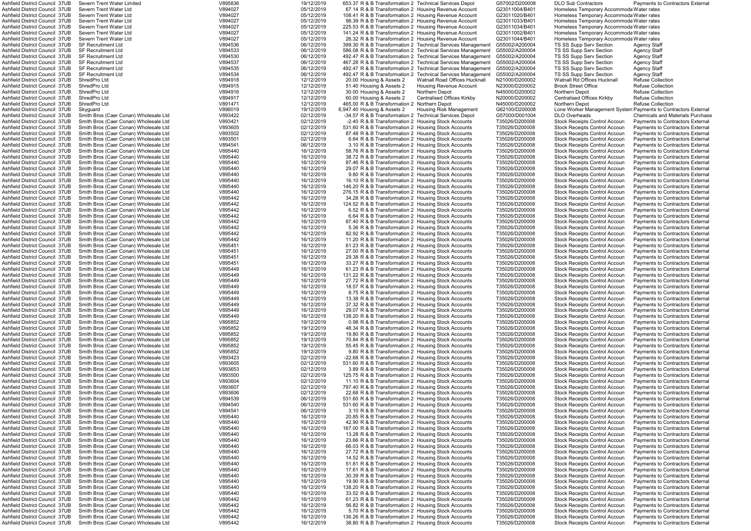| Ashfield District Council  37UB                                  | Severn Trent Water Limited            | V895836            | 19/12/2019               | 653.37 R & B Transformation 2 Technical Services Depot                                                     |                                                             | G57002/D200008                   | <b>DLO Sub Contractors</b>               | Payments to Contractors Externa                                |
|------------------------------------------------------------------|---------------------------------------|--------------------|--------------------------|------------------------------------------------------------------------------------------------------------|-------------------------------------------------------------|----------------------------------|------------------------------------------|----------------------------------------------------------------|
| Ashfield District Council 37UB                                   | Severn Trent Water Ltd                | V894027            | 05/12/2019               | 67.14 R & B Transformation 2 Housing Revenue Account                                                       |                                                             | G23011004/B401                   | Homeless Temporary Accommoda Water rates |                                                                |
| Ashfield District Council 37UB                                   | Severn Trent Water Ltd                | V894027            | 05/12/2019               | 108.41 R & B Transformation 2 Housing Revenue Account                                                      |                                                             | G23011020/B401                   | Homeless Temporary Accommoda Water rates |                                                                |
| Ashfield District Council 37UB                                   | Severn Trent Water Ltd                | V894027            | 05/12/2019               | 98.39 R & B Transformation 2 Housing Revenue Account                                                       |                                                             | G23011033/B401                   | Homeless Temporary Accommoda Water rates |                                                                |
| Ashfield District Council  37UB                                  | Severn Trent Water Ltd                | V894027            | 05/12/2019               | 225.53 R & B Transformation 2 Housing Revenue Account                                                      |                                                             | G23011034/B401                   | Homeless Temporary Accommoda Water rates |                                                                |
| Ashfield District Council 37UB                                   | Severn Trent Water Ltd                | V894027            | 05/12/2019               | 141.24 R & B Transformation 2 Housing Revenue Account                                                      |                                                             | G23011002/B401                   | Homeless Temporary Accommoda Water rates |                                                                |
| Ashfield District Council 37UB                                   | Severn Trent Water Ltd                | V894027            | 05/12/2019               | 26.32 R & B Transformation 2 Housing Revenue Account                                                       |                                                             | G23011044/B401                   | Homeless Temporary Accommoda Water rates |                                                                |
| Ashfield District Council 37UB                                   | <b>SF Recruitment Ltd</b>             | V894536            | 06/12/2019               |                                                                                                            | 399.30 R & B Transformation 2 Technical Services Management | G55002/A200004                   | TS SS Supp Serv Section                  | <b>Agency Staff</b>                                            |
| Ashfield District Council 37UB                                   | <b>SF Recruitment Ltd</b>             | V894533            | 06/12/2019               |                                                                                                            | 586.08 R & B Transformation 2 Technical Services Management | G55002/A200004                   | TS SS Supp Serv Section                  | <b>Agency Staff</b>                                            |
| Ashfield District Council 37UB                                   | <b>SF Recruitment Ltd</b>             | V894530            | 06/12/2019               |                                                                                                            | 492.47 R & B Transformation 2 Technical Services Management | G55002/A200004                   | TS SS Supp Serv Section                  | <b>Agency Staff</b>                                            |
| Ashfield District Council 37UB                                   | <b>SF Recruitment Ltd</b>             | V894537            | 06/12/2019               |                                                                                                            | 467.28 R & B Transformation 2 Technical Services Management | G55002/A200004                   | TS SS Supp Serv Section                  | <b>Agency Staff</b>                                            |
| Ashfield District Council  37UB                                  | <b>SF Recruitment Ltd</b>             | V894535            | 06/12/2019               |                                                                                                            | 492.47 R & B Transformation 2 Technical Services Management | G55002/A200004                   | TS SS Supp Serv Section                  | <b>Agency Staff</b>                                            |
| Ashfield District Council  37UB                                  | <b>SF Recruitment Ltd</b>             | V894534            | 06/12/2019               |                                                                                                            | 492.47 R & B Transformation 2 Technical Services Management | G55002/A200004                   | TS SS Supp Serv Section                  | <b>Agency Staff</b>                                            |
|                                                                  | ShredPro Ltd                          |                    |                          |                                                                                                            | <b>Watnall Road Offices Hucknall</b>                        |                                  |                                          |                                                                |
| Ashfield District Council 37UB                                   |                                       | V894918            | 12/12/2019               | 20.00 Housing & Assets 2                                                                                   |                                                             | N21000/D200002                   | Watnall Rd Offices Hucknall              | Refuse Collection                                              |
| Ashfield District Council 37UB                                   | ShredPro Ltd                          | V894915            | 12/12/2019               | 51.40 Housing & Assets 2                                                                                   | Housing Revenue Account                                     | N23000/D200002                   | <b>Brook Street Office</b>               | <b>Refuse Collection</b>                                       |
| Ashfield District Council 37UB                                   | ShredPro Ltd                          | V894916            | 12/12/2019               | 30.00 Housing & Assets 2                                                                                   | Northern Depot                                              | N45000/D200002                   | Northern Depot                           | <b>Refuse Collection</b>                                       |
| Ashfield District Council 37UB                                   | ShredPro Ltd                          | V894917            | 12/12/2019               | 60.00 Housing & Assets 2                                                                                   | Centralised Offices Kirkby                                  | N20000/D200002                   | Centralised Offices Kirkby               | <b>Refuse Collection</b>                                       |
| Ashfield District Council 37UB                                   | ShredPro Ltd                          | V891471            | 12/12/2019               | 465.00 R & B Transformation 2                                                                              | <b>Northern Depot</b>                                       | N45000/D200002                   | Northern Depot                           | <b>Refuse Collection</b>                                       |
| Ashfield District Council 37UB                                   | Skyguard                              | V896019            | 19/12/2019               | 6,947.40 Housing & Assets 2                                                                                | Housing Risk Management                                     | G62100/D200008                   |                                          | Lone Worker Management System Payments to Contractors External |
| Ashfield District Council 37UB                                   | Smith Bros (Caer Conan) Wholesale Ltd | V893422            | 02/12/2019               | -34.57 R & B Transformation 2 Technical Services Depot                                                     |                                                             | G57000/D001004                   | <b>DLO Overheads</b>                     | <b>Chemicals and Materials Purchase</b>                        |
| Ashfield District Council 37UB                                   | Smith Bros (Caer Conan) Wholesale Ltd | V893421            | 02/12/2019               | -2.40 R & B Transformation 2 Housing Stock Accounts                                                        |                                                             | T35026/D200008                   | <b>Stock Receipts Control Accoun</b>     | Payments to Contractors External                               |
| Ashfield District Council 37UB                                   | Smith Bros (Caer Conan) Wholesale Ltd | V893605            | 02/12/2019               | 531.60 R & B Transformation 2 Housing Stock Accounts                                                       |                                                             | T35026/D200008                   | <b>Stock Receipts Control Accoun</b>     | Payments to Contractors External                               |
| Ashfield District Council 37UB                                   | Smith Bros (Caer Conan) Wholesale Ltd | V893502            | 02/12/2019               | 87.48 R & B Transformation 2 Housing Stock Accounts                                                        |                                                             | T35026/D200008                   | <b>Stock Receipts Control Accoun</b>     | Payments to Contractors External                               |
| Ashfield District Council 37UB                                   | Smith Bros (Caer Conan) Wholesale Ltd | V893501            | 02/12/2019               | 6.64 R & B Transformation 2 Housing Stock Accounts                                                         |                                                             | T35026/D200008                   | <b>Stock Receipts Control Accoun</b>     | Payments to Contractors External                               |
| Ashfield District Council 37UB                                   | Smith Bros (Caer Conan) Wholesale Ltd | V894541            | 06/12/2019               | 3.10 R & B Transformation 2 Housing Stock Accounts                                                         |                                                             | T35026/D200008                   | <b>Stock Receipts Control Accoun</b>     | <b>Payments to Contractors External</b>                        |
| Ashfield District Council 37UB                                   | Smith Bros (Caer Conan) Wholesale Ltd | V895440            | 16/12/2019               | 58.76 R & B Transformation 2 Housing Stock Accounts                                                        |                                                             | T35026/D200008                   | <b>Stock Receipts Control Accoun</b>     | Payments to Contractors External                               |
| Ashfield District Council 37UB                                   | Smith Bros (Caer Conan) Wholesale Ltd | V895440            | 16/12/2019               | 38.72 R & B Transformation 2 Housing Stock Accounts                                                        |                                                             | T35026/D200008                   | <b>Stock Receipts Control Accoun</b>     | Payments to Contractors External                               |
| Ashfield District Council 37UB                                   | Smith Bros (Caer Conan) Wholesale Ltd | V895440            | 16/12/2019               | 87.46 R & B Transformation 2 Housing Stock Accounts                                                        |                                                             | T35026/D200008                   | <b>Stock Receipts Control Accoun</b>     | Payments to Contractors External                               |
| Ashfield District Council 37UB                                   | Smith Bros (Caer Conan) Wholesale Ltd | V895440            | 16/12/2019               | 29.07 R & B Transformation 2 Housing Stock Accounts                                                        |                                                             | T35026/D200008                   | <b>Stock Receipts Control Accour</b>     | Payments to Contractors Externa                                |
| Ashfield District Council 37UB                                   | Smith Bros (Caer Conan) Wholesale Ltd | V895440            | 16/12/2019               | 9.80 R & B Transformation 2 Housing Stock Accounts                                                         |                                                             | T35026/D200008                   | <b>Stock Receipts Control Accour</b>     | Payments to Contractors External                               |
|                                                                  |                                       |                    |                          |                                                                                                            |                                                             |                                  |                                          |                                                                |
| Ashfield District Council 37UB                                   | Smith Bros (Caer Conan) Wholesale Ltd | V895440            | 16/12/2019               | 16.10 R & B Transformation 2 Housing Stock Accounts                                                        |                                                             | T35026/D200008                   | <b>Stock Receipts Control Accoun</b>     | Payments to Contractors External                               |
| Ashfield District Council 37UB                                   | Smith Bros (Caer Conan) Wholesale Ltd | V895440            | 16/12/2019               | 146.20 R & B Transformation 2 Housing Stock Accounts                                                       |                                                             | T35026/D200008                   | <b>Stock Receipts Control Accoun</b>     | <b>Payments to Contractors External</b>                        |
| Ashfield District Council 37UB                                   | Smith Bros (Caer Conan) Wholesale Ltd | V895440            | 16/12/2019               | 276.15 R & B Transformation 2 Housing Stock Accounts                                                       |                                                             | T35026/D200008                   | <b>Stock Receipts Control Accoun</b>     | Payments to Contractors External                               |
| Ashfield District Council 37UB                                   | Smith Bros (Caer Conan) Wholesale Ltd | V895442            | 16/12/2019               | 34.28 R & B Transformation 2 Housing Stock Accounts                                                        |                                                             | T35026/D200008                   | <b>Stock Receipts Control Accoun</b>     | <b>Payments to Contractors External</b>                        |
| Ashfield District Council 37UB                                   | Smith Bros (Caer Conan) Wholesale Ltd | V895442            | 16/12/2019               | 124.52 R & B Transformation 2 Housing Stock Accounts                                                       |                                                             | T35026/D200008                   | <b>Stock Receipts Control Accoun</b>     | Payments to Contractors External                               |
| Ashfield District Council 37UB                                   | Smith Bros (Caer Conan) Wholesale Ltd | V895442            | 16/12/2019               | 6.52 R & B Transformation 2 Housing Stock Accounts                                                         |                                                             | T35026/D200008                   | <b>Stock Receipts Control Accoun</b>     | Payments to Contractors External                               |
| Ashfield District Council 37UB                                   | Smith Bros (Caer Conan) Wholesale Ltd | V895442            | 16/12/2019               | 6.64 R & B Transformation 2 Housing Stock Accounts                                                         |                                                             | T35026/D200008                   | <b>Stock Receipts Control Accoun</b>     | Payments to Contractors External                               |
| Ashfield District Council 37UB                                   | Smith Bros (Caer Conan) Wholesale Ltd | V895442            | 16/12/2019               | 87.40 R & B Transformation 2 Housing Stock Accounts                                                        |                                                             | T35026/D200008                   | <b>Stock Receipts Control Accoun</b>     | Payments to Contractors External                               |
| Ashfield District Council 37UB                                   | Smith Bros (Caer Conan) Wholesale Ltd | V895442            | 16/12/2019               | 5.36 R & B Transformation 2 Housing Stock Accounts                                                         |                                                             | T35026/D200008                   | <b>Stock Receipts Control Accoun</b>     | Payments to Contractors External                               |
| Ashfield District Council 37UB                                   | Smith Bros (Caer Conan) Wholesale Ltd | V895442            | 16/12/2019               | 82.92 R & B Transformation 2 Housing Stock Accounts                                                        |                                                             | T35026/D200008                   | <b>Stock Receipts Control Accoun</b>     | Payments to Contractors External                               |
| Ashfield District Council 37UB                                   | Smith Bros (Caer Conan) Wholesale Ltd | V895442            | 16/12/2019               | 11.20 R & B Transformation 2 Housing Stock Accounts                                                        |                                                             | T35026/D200008                   | <b>Stock Receipts Control Accoun</b>     | Payments to Contractors External                               |
| Ashfield District Council 37UB                                   | Smith Bros (Caer Conan) Wholesale Ltd | V895451            | 16/12/2019               | 61.23 R & B Transformation 2 Housing Stock Accounts                                                        |                                                             | T35026/D200008                   | <b>Stock Receipts Control Accoun</b>     | Payments to Contractors External                               |
| Ashfield District Council 37UB                                   | Smith Bros (Caer Conan) Wholesale Ltd | V895451            | 16/12/2019               | 27.00 R & B Transformation 2 Housing Stock Accounts                                                        |                                                             | T35026/D200008                   | <b>Stock Receipts Control Accoun</b>     | Payments to Contractors External                               |
| Ashfield District Council 37UB                                   | Smith Bros (Caer Conan) Wholesale Ltd | V895451            | 16/12/2019               | 29.38 R & B Transformation 2 Housing Stock Accounts                                                        |                                                             | T35026/D200008                   | Stock Receipts Control Accoun            | Payments to Contractors External                               |
| Ashfield District Council 37UB                                   | Smith Bros (Caer Conan) Wholesale Ltd | V895451            | 16/12/2019               | 33.27 R & B Transformation 2 Housing Stock Accounts                                                        |                                                             | T35026/D200008                   | <b>Stock Receipts Control Accour</b>     | Payments to Contractors External                               |
| Ashfield District Council 37UB                                   | Smith Bros (Caer Conan) Wholesale Ltd | V895449            | 16/12/2019               | 61.23 R & B Transformation 2 Housing Stock Accounts                                                        |                                                             | T35026/D200008                   | <b>Stock Receipts Control Accour</b>     | Payments to Contractors External                               |
| Ashfield District Council 37UB                                   |                                       |                    |                          |                                                                                                            |                                                             |                                  | <b>Stock Receipts Control Accour</b>     |                                                                |
|                                                                  | Smith Bros (Caer Conan) Wholesale Ltd | V895449            | 16/12/2019               | 131.22 R & B Transformation 2 Housing Stock Accounts                                                       |                                                             | T35026/D200008<br>T35026/D200008 |                                          | Payments to Contractors Externa                                |
| Ashfield District Council 37UB<br>Ashfield District Council 37UB | Smith Bros (Caer Conan) Wholesale Ltd | V895449            | 16/12/2019               | 27.72 R & B Transformation 2 Housing Stock Accounts<br>18.57 R & B Transformation 2 Housing Stock Accounts |                                                             |                                  | <b>Stock Receipts Control Accoun</b>     | Payments to Contractors External                               |
|                                                                  | Smith Bros (Caer Conan) Wholesale Ltd | V895449<br>V895449 | 16/12/2019<br>16/12/2019 |                                                                                                            |                                                             | T35026/D200008                   | Stock Receipts Control Accoun            | <b>Payments to Contractors External</b>                        |
| Ashfield District Council 37UB                                   | Smith Bros (Caer Conan) Wholesale Ltd |                    |                          | 8.75 R & B Transformation 2 Housing Stock Accounts                                                         |                                                             | T35026/D200008                   | <b>Stock Receipts Control Accoun</b>     | Payments to Contractors External                               |
| Ashfield District Council 37UB                                   | Smith Bros (Caer Conan) Wholesale Ltd | V895449            | 16/12/2019               | 13.38 R & B Transformation 2 Housing Stock Accounts                                                        |                                                             | T35026/D200008                   | <b>Stock Receipts Control Accoun</b>     | <b>Payments to Contractors External</b>                        |
| Ashfield District Council 37UB                                   | Smith Bros (Caer Conan) Wholesale Ltd | V895449            | 16/12/2019               | 37.32 R & B Transformation 2 Housing Stock Accounts                                                        |                                                             | T35026/D200008                   | <b>Stock Receipts Control Accoun</b>     | <b>Payments to Contractors External</b>                        |
| Ashfield District Council 37UB                                   | Smith Bros (Caer Conan) Wholesale Ltd | V895449            | 16/12/2019               | 29.07 R & B Transformation 2 Housing Stock Accounts                                                        |                                                             | T35026/D200008                   | <b>Stock Receipts Control Accoun</b>     | Payments to Contractors External                               |
| Ashfield District Council 37UB                                   | Smith Bros (Caer Conan) Wholesale Ltd | V895449            | 16/12/2019               | 138.20 R & B Transformation 2 Housing Stock Accounts                                                       |                                                             | T35026/D200008                   | <b>Stock Receipts Control Accoun</b>     | Payments to Contractors External                               |
| Ashfield District Council 37UB                                   | Smith Bros (Caer Conan) Wholesale Ltd | V895852            | 19/12/2019               | 0.98 R & B Transformation 2 Housing Stock Accounts                                                         |                                                             | T35026/D200008                   | Stock Receipts Control Accoun            | <b>Payments to Contractors External</b>                        |
| Ashfield District Council 37UB                                   | Smith Bros (Caer Conan) Wholesale Ltd | V895852            | 19/12/2019               | 48.34 R & B Transformation 2 Housing Stock Accounts                                                        |                                                             | T35026/D200008                   | <b>Stock Receipts Control Accoun</b>     | Payments to Contractors External                               |
| Ashfield District Council 37UB                                   | Smith Bros (Caer Conan) Wholesale Ltd | V895852            | 19/12/2019               | 19.80 R & B Transformation 2 Housing Stock Accounts                                                        |                                                             | T35026/D200008                   | <b>Stock Receipts Control Accoun</b>     | <b>Payments to Contractors External</b>                        |
| Ashfield District Council 37UB                                   | Smith Bros (Caer Conan) Wholesale Ltd | V895852            | 19/12/2019               | 70.84 R & B Transformation 2 Housing Stock Accounts                                                        |                                                             | T35026/D200008                   | <b>Stock Receipts Control Accoun</b>     | <b>Payments to Contractors External</b>                        |
| Ashfield District Council 37UB                                   | Smith Bros (Caer Conan) Wholesale Ltd | V895852            | 19/12/2019               | 55.45 R & B Transformation 2 Housing Stock Accounts                                                        |                                                             | T35026/D200008                   | <b>Stock Receipts Control Accoun</b>     | Payments to Contractors External                               |
| Ashfield District Council 37UB                                   | Smith Bros (Caer Conan) Wholesale Ltd | V895852            | 19/12/2019               | 9.80 R & B Transformation 2 Housing Stock Accounts                                                         |                                                             | T35026/D200008                   | <b>Stock Receipts Control Accoun</b>     | Payments to Contractors External                               |
| Ashfield District Council 37UB                                   | Smith Bros (Caer Conan) Wholesale Ltd | V893423            | 02/12/2019               | -22.68 R & B Transformation 2 Housing Stock Accounts                                                       |                                                             | T35026/D200008                   | <b>Stock Receipts Control Accoun</b>     | Payments to Contractors External                               |
| Ashfield District Council 37UB                                   | Smith Bros (Caer Conan) Wholesale Ltd | V893605            | 02/12/2019               | 531.60 R & B Transformation 2 Housing Stock Accounts                                                       |                                                             | T35026/D200008                   | <b>Stock Receipts Control Accoun</b>     | Pavments to Contractors External                               |
| Ashfield District Council 37UB                                   | Smith Bros (Caer Conan) Wholesale Ltd | V893653            | 02/12/2019               | 3.89 R & B Transformation 2 Housing Stock Accounts                                                         |                                                             | T35026/D200008                   | <b>Stock Receipts Control Accoun</b>     | Payments to Contractors External                               |
| Ashfield District Council 37UB                                   | Smith Bros (Caer Conan) Wholesale Ltd | V893500            | 02/12/2019               | 125.75 R & B Transformation 2 Housing Stock Accounts                                                       |                                                             | T35026/D200008                   | <b>Stock Receipts Control Accoun</b>     | Payments to Contractors External                               |
| Ashfield District Council 37UB                                   | Smith Bros (Caer Conan) Wholesale Ltd | V893604            | 02/12/2019               | 11.10 R & B Transformation 2 Housing Stock Accounts                                                        |                                                             | T35026/D200008                   | <b>Stock Receipts Control Accoun</b>     | <b>Payments to Contractors External</b>                        |
| Ashfield District Council 37UB                                   | Smith Bros (Caer Conan) Wholesale Ltd | V893607            | 02/12/2019               | 797.40 R & B Transformation 2 Housing Stock Accounts                                                       |                                                             | T35026/D200008                   | Stock Receipts Control Accoun            | <b>Payments to Contractors External</b>                        |
| Ashfield District Council 37UB                                   | Smith Bros (Caer Conan) Wholesale Ltd | V893606            | 02/12/2019               | 22.68 R & B Transformation 2 Housing Stock Accounts                                                        |                                                             | T35026/D200008                   | <b>Stock Receipts Control Accoun</b>     | <b>Payments to Contractors External</b>                        |
| Ashfield District Council 37UB                                   | Smith Bros (Caer Conan) Wholesale Ltd | V894539            | 06/12/2019               | 531.60 R & B Transformation 2 Housing Stock Accounts                                                       |                                                             | T35026/D200008                   | <b>Stock Receipts Control Accoun</b>     | <b>Payments to Contractors External</b>                        |
| Ashfield District Council 37UB                                   | Smith Bros (Caer Conan) Wholesale Ltd | V894540            | 06/12/2019               | 531.60 R & B Transformation 2 Housing Stock Accounts                                                       |                                                             | T35026/D200008                   | <b>Stock Receipts Control Accoun</b>     |                                                                |
|                                                                  |                                       | V894541            |                          |                                                                                                            |                                                             |                                  |                                          | <b>Payments to Contractors External</b>                        |
| Ashfield District Council 37UB                                   | Smith Bros (Caer Conan) Wholesale Ltd |                    | 06/12/2019               | 3.10 R & B Transformation 2 Housing Stock Accounts                                                         |                                                             | T35026/D200008                   | <b>Stock Receipts Control Accoun</b>     | Payments to Contractors External                               |
| Ashfield District Council 37UB                                   | Smith Bros (Caer Conan) Wholesale Ltd | V895440            | 16/12/2019               | 20.85 R & B Transformation 2 Housing Stock Accounts                                                        |                                                             | T35026/D200008                   | <b>Stock Receipts Control Accoun</b>     | Payments to Contractors External                               |
| Ashfield District Council 37UB                                   | Smith Bros (Caer Conan) Wholesale Ltd | V895440            | 16/12/2019               | 42.90 R & B Transformation 2 Housing Stock Accounts                                                        |                                                             | T35026/D200008                   | <b>Stock Receipts Control Accoun</b>     | Payments to Contractors External                               |
| Ashfield District Council 37UB                                   | Smith Bros (Caer Conan) Wholesale Ltd | V895440            | 16/12/2019               | 167.00 R & B Transformation 2 Housing Stock Accounts                                                       |                                                             | T35026/D200008                   | <b>Stock Receipts Control Accoun</b>     | Payments to Contractors External                               |
| Ashfield District Council 37UB                                   | Smith Bros (Caer Conan) Wholesale Ltd | V895440            | 16/12/2019               | 13.28 R & B Transformation 2 Housing Stock Accounts                                                        |                                                             | T35026/D200008                   | Stock Receipts Control Accoun            | Payments to Contractors External                               |
| Ashfield District Council 37UB                                   | Smith Bros (Caer Conan) Wholesale Ltd | V895440            | 16/12/2019               | 23.66 R & B Transformation 2 Housing Stock Accounts                                                        |                                                             | T35026/D200008                   | <b>Stock Receipts Control Accoun</b>     | <b>Payments to Contractors External</b>                        |
| Ashfield District Council 37UB                                   | Smith Bros (Caer Conan) Wholesale Ltd | V895440            | 16/12/2019               | 66.03 R & B Transformation 2 Housing Stock Accounts                                                        |                                                             | T35026/D200008                   | <b>Stock Receipts Control Accoun</b>     | Payments to Contractors External                               |
| Ashfield District Council 37UB                                   | Smith Bros (Caer Conan) Wholesale Ltd | V895440            | 16/12/2019               | 27.72 R & B Transformation 2 Housing Stock Accounts                                                        |                                                             | T35026/D200008                   | <b>Stock Receipts Control Accoun</b>     | Payments to Contractors External                               |
| Ashfield District Council 37UB                                   | Smith Bros (Caer Conan) Wholesale Ltd | V895440            | 16/12/2019               | 14.52 R & B Transformation 2 Housing Stock Accounts                                                        |                                                             | T35026/D200008                   | <b>Stock Receipts Control Accoun</b>     | <b>Payments to Contractors External</b>                        |
| Ashfield District Council 37UB                                   | Smith Bros (Caer Conan) Wholesale Ltd | V895440            | 16/12/2019               | 51.81 R & B Transformation 2 Housing Stock Accounts                                                        |                                                             | T35026/D200008                   | <b>Stock Receipts Control Accoun</b>     | Payments to Contractors External                               |
| Ashfield District Council 37UB                                   | Smith Bros (Caer Conan) Wholesale Ltd | V895440            | 16/12/2019               | 17.61 R & B Transformation 2 Housing Stock Accounts                                                        |                                                             | T35026/D200008                   | <b>Stock Receipts Control Accoun</b>     | Payments to Contractors External                               |
| Ashfield District Council 37UB                                   | Smith Bros (Caer Conan) Wholesale Ltd | V895440            | 16/12/2019               | 30.39 R & B Transformation 2 Housing Stock Accounts                                                        |                                                             | T35026/D200008                   | <b>Stock Receipts Control Accoun</b>     | Payments to Contractors External                               |
| Ashfield District Council 37UB                                   | Smith Bros (Caer Conan) Wholesale Ltd | V895440            | 16/12/2019               | 19.90 R & B Transformation 2 Housing Stock Accounts                                                        |                                                             | T35026/D200008                   | <b>Stock Receipts Control Accoun</b>     | <b>Payments to Contractors External</b>                        |
| Ashfield District Council 37UB                                   | Smith Bros (Caer Conan) Wholesale Ltd | V895440            | 16/12/2019               | 138.20 R & B Transformation 2 Housing Stock Accounts                                                       |                                                             | T35026/D200008                   | <b>Stock Receipts Control Accoun</b>     | <b>Payments to Contractors External</b>                        |
| Ashfield District Council 37UB                                   | Smith Bros (Caer Conan) Wholesale Ltd | V895440            | 16/12/2019               | 33.52 R & B Transformation 2 Housing Stock Accounts                                                        |                                                             | T35026/D200008                   | <b>Stock Receipts Control Accoun</b>     | Payments to Contractors External                               |
| Ashfield District Council 37UB                                   | Smith Bros (Caer Conan) Wholesale Ltd | V895442            | 16/12/2019               | 61.23 R & B Transformation 2 Housing Stock Accounts                                                        |                                                             | T35026/D200008                   | <b>Stock Receipts Control Accoun</b>     | Payments to Contractors External                               |
| Ashfield District Council 37UB                                   | Smith Bros (Caer Conan) Wholesale Ltd | V895442            | 16/12/2019               | 56.82 R & B Transformation 2 Housing Stock Accounts                                                        |                                                             | T35026/D200008                   | <b>Stock Receipts Control Accoun</b>     | Payments to Contractors External                               |
| Ashfield District Council 37UB                                   | Smith Bros (Caer Conan) Wholesale Ltd | V895442            | 16/12/2019               | 5.70 R & B Transformation 2 Housing Stock Accounts                                                         |                                                             | T35026/D200008                   | <b>Stock Receipts Control Accoun</b>     | Payments to Contractors External                               |
| Ashfield District Council 37UB                                   | Smith Bros (Caer Conan) Wholesale Ltd | V895442            | 16/12/2019               | 136.26 R & B Transformation 2 Housing Stock Accounts                                                       |                                                             | T35026/D200008                   | <b>Stock Receipts Control Accoun</b>     | Pavments to Contractors External                               |
|                                                                  | Smith Bros (Caer Conan) Wholesale Ltd | V895442            | 16/12/2019               | 38.80 R & B Transformation 2 Housing Stock Accounts                                                        |                                                             | T35026/D200008                   |                                          | Payments to Contractors External                               |
| Ashfield District Council 37UB                                   |                                       |                    |                          |                                                                                                            |                                                             |                                  | <b>Stock Receipts Control Accoun</b>     |                                                                |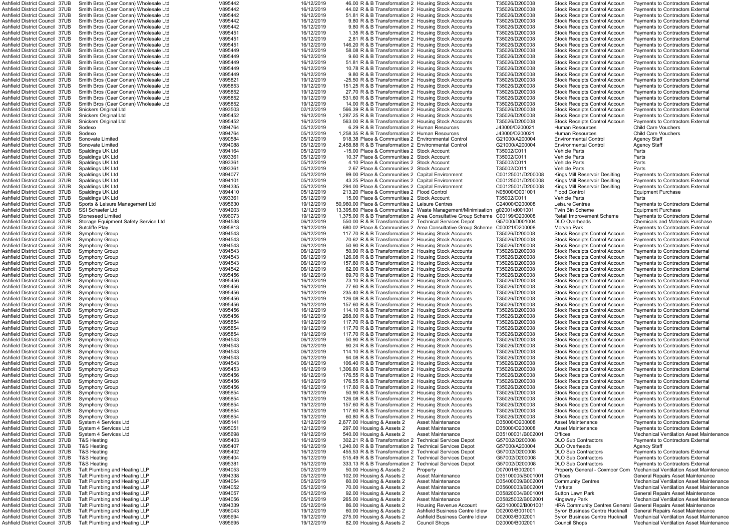| Ashfield District Council 37UB                                   | Smith Bros (Caer Conan) Wholesale Ltd                          | V895442            | 16/12/2019               | 46.00 R & B Transformation 2 Housing Stock Accounts      |                                                                               | T35026/D200008                   | Stock Receipts Control Accoun                                 | Payments to Contractors Externa                                                        |
|------------------------------------------------------------------|----------------------------------------------------------------|--------------------|--------------------------|----------------------------------------------------------|-------------------------------------------------------------------------------|----------------------------------|---------------------------------------------------------------|----------------------------------------------------------------------------------------|
| Ashfield District Council 37UB                                   | Smith Bros (Caer Conan) Wholesale Ltd                          | V895442            | 16/12/2019               | 44.02 R & B Transformation 2 Housing Stock Accounts      |                                                                               | T35026/D200008                   | <b>Stock Receipts Control Accoun</b>                          | Payments to Contractors External                                                       |
| Ashfield District Council 37UB                                   | Smith Bros (Caer Conan) Wholesale Ltd                          | V895442            | 16/12/2019               | 51.81 R & B Transformation 2 Housing Stock Accounts      |                                                                               | T35026/D200008                   | Stock Receipts Control Accoun                                 | <b>Payments to Contractors External</b>                                                |
| Ashfield District Council 37UB                                   | Smith Bros (Caer Conan) Wholesale Ltd                          | V895442            | 16/12/2019               | 9.80 R & B Transformation 2 Housing Stock Accounts       |                                                                               | T35026/D200008                   | <b>Stock Receipts Control Accoun</b>                          | Payments to Contractors External                                                       |
| Ashfield District Council 37UB                                   | Smith Bros (Caer Conan) Wholesale Ltd                          | V895442            | 16/12/2019               | 9.80 R & B Transformation 2 Housing Stock Accounts       |                                                                               | T35026/D200008                   | Stock Receipts Control Accoun                                 | Payments to Contractors External                                                       |
| Ashfield District Council 37UB                                   | Smith Bros (Caer Conan) Wholesale Ltd                          | V895451            | 16/12/2019               | 1.35 R & B Transformation 2 Housing Stock Accounts       |                                                                               | T35026/D200008                   |                                                               |                                                                                        |
|                                                                  |                                                                |                    |                          |                                                          |                                                                               |                                  | <b>Stock Receipts Control Accoun</b>                          | Payments to Contractors External                                                       |
| Ashfield District Council 37UB                                   | Smith Bros (Caer Conan) Wholesale Ltd                          | V895451            | 16/12/2019               | 2.81 R & B Transformation 2 Housing Stock Accounts       |                                                                               | T35026/D200008                   | <b>Stock Receipts Control Accoun</b>                          | Payments to Contractors External                                                       |
| Ashfield District Council 37UB                                   | Smith Bros (Caer Conan) Wholesale Ltd                          | V895451            | 16/12/2019               | 146.20 R & B Transformation 2 Housing Stock Accounts     |                                                                               | T35026/D200008                   | <b>Stock Receipts Control Accoun</b>                          | Payments to Contractors External                                                       |
| Ashfield District Council 37UB                                   | Smith Bros (Caer Conan) Wholesale Ltd                          | V895449            | 16/12/2019               | 58.08 R & B Transformation 2 Housing Stock Accounts      |                                                                               | T35026/D200008                   | <b>Stock Receipts Control Accoun</b>                          | Payments to Contractors External                                                       |
| Ashfield District Council 37UB                                   | Smith Bros (Caer Conan) Wholesale Ltd                          | V895449            | 16/12/2019               | 9.60 R & B Transformation 2 Housing Stock Accounts       |                                                                               | T35026/D200008                   | <b>Stock Receipts Control Accoun</b>                          | <b>Payments to Contractors External</b>                                                |
| Ashfield District Council 37UB                                   | Smith Bros (Caer Conan) Wholesale Ltd                          | V895449            | 16/12/2019               | 51.81 R & B Transformation 2 Housing Stock Accounts      |                                                                               | T35026/D200008                   | <b>Stock Receipts Control Accoun</b>                          | <b>Payments to Contractors External</b>                                                |
| Ashfield District Council 37UB                                   | Smith Bros (Caer Conan) Wholesale Ltd                          | V895449            | 16/12/2019               | 10.78 R & B Transformation 2 Housing Stock Accounts      |                                                                               | T35026/D200008                   | <b>Stock Receipts Control Accoun</b>                          | <b>Payments to Contractors External</b>                                                |
| Ashfield District Council 37UB                                   | Smith Bros (Caer Conan) Wholesale Ltd                          | V895449            | 16/12/2019               | 9.80 R & B Transformation 2 Housing Stock Accounts       |                                                                               | T35026/D200008                   | <b>Stock Receipts Control Accoun</b>                          | <b>Payments to Contractors External</b>                                                |
|                                                                  |                                                                |                    |                          |                                                          |                                                                               |                                  |                                                               |                                                                                        |
| Ashfield District Council 37UB                                   | Smith Bros (Caer Conan) Wholesale Ltd                          | V895821            | 19/12/2019               | -25.50 R & B Transformation 2 Housing Stock Accounts     |                                                                               | T35026/D200008                   | <b>Stock Receipts Control Accoun</b>                          | Payments to Contractors External                                                       |
| Ashfield District Council 37UB                                   | Smith Bros (Caer Conan) Wholesale Ltd                          | V895853            | 19/12/2019               | 151.25 R & B Transformation 2 Housing Stock Accounts     |                                                                               | T35026/D200008                   | <b>Stock Receipts Control Accoun</b>                          | Payments to Contractors External                                                       |
| Ashfield District Council 37UB                                   | Smith Bros (Caer Conan) Wholesale Ltd                          | V895852            | 19/12/2019               | 27.70 R & B Transformation 2 Housing Stock Accounts      |                                                                               | T35026/D200008                   | Stock Receipts Control Accoun                                 | Pavments to Contractors External                                                       |
| Ashfield District Council 37UB                                   | Smith Bros (Caer Conan) Wholesale Ltd                          | V895852            | 19/12/2019               | 531.60 R & B Transformation 2 Housing Stock Accounts     |                                                                               | T35026/D200008                   | <b>Stock Receipts Control Accoun</b>                          | Payments to Contractors External                                                       |
| Ashfield District Council 37UB                                   | Smith Bros (Caer Conan) Wholesale Ltd                          | V895852            | 19/12/2019               | 14.00 R & B Transformation 2 Housing Stock Accounts      |                                                                               | T35026/D200008                   | <b>Stock Receipts Control Accoun</b>                          | Payments to Contractors External                                                       |
| Ashfield District Council 37UB                                   | <b>Snickers Original Ltd</b>                                   | V893503            | 02/12/2019               | 566.39 R & B Transformation 2 Housing Stock Accounts     |                                                                               | T35026/D200008                   | <b>Stock Receipts Control Accoun</b>                          | Payments to Contractors External                                                       |
| Ashfield District Council 37UB                                   | <b>Snickers Original Ltd</b>                                   | V895452            | 16/12/2019               | 1,287.25 R & B Transformation 2 Housing Stock Accounts   |                                                                               | T35026/D200008                   | <b>Stock Receipts Control Accoun</b>                          | <b>Payments to Contractors External</b>                                                |
|                                                                  |                                                                |                    |                          |                                                          |                                                                               |                                  |                                                               |                                                                                        |
| Ashfield District Council 37UB                                   | Snickers Original Ltd                                          | V895452            | 16/12/2019               | 563.00 R & B Transformation 2 Housing Stock Accounts     |                                                                               | T35026/D200008                   | <b>Stock Receipts Control Accoun</b>                          | Payments to Contractors External                                                       |
| Ashfield District Council 37UB                                   | Sodexo                                                         | V894764            | 05/12/2019               | 6.29 R & B Transformation 2 Human Resources              |                                                                               | J43000/D200021                   | Human Resources                                               | Child Care Vouchers                                                                    |
| Ashfield District Council 37UB                                   | Sodexo                                                         | V894764            | 05/12/2019               | 1,258.35 R & B Transformation 2 Human Resources          |                                                                               | J43000/D200021                   | <b>Human Resources</b>                                        | <b>Child Care Vouchers</b>                                                             |
| Ashfield District Council 37UB                                   | Sonovate Limited                                               | V890584            | 05/12/2019               | 918.38 Place & Communities 2 Environmental Control       |                                                                               | G21000/A200004                   | <b>Environmental Control</b>                                  | <b>Agency Staff</b>                                                                    |
| Ashfield District Council 37UB                                   | Sonovate Limited                                               | V894088            | 05/12/2019               | 2.458.88 R & B Transformation 2 Environmental Control    |                                                                               | G21000/A200004                   | Environmental Control                                         | <b>Agency Staff</b>                                                                    |
| Ashfield District Council 37UB                                   | Spaldings UK Ltd                                               | V894164            | 05/12/2019               | -15.00 Place & Communities 2 Stock Account               |                                                                               | T35002/C011                      | <b>Vehicle Parts</b>                                          |                                                                                        |
|                                                                  |                                                                |                    |                          |                                                          |                                                                               |                                  |                                                               | Parts                                                                                  |
| Ashfield District Council 37UB                                   | Spaldings UK Ltd                                               | V893361            | 05/12/2019               | 10.37 Place & Communities 2 Stock Account                |                                                                               | T35002/C011                      | <b>Vehicle Parts</b>                                          | Parts                                                                                  |
| Ashfield District Council 37UB                                   | Spaldings UK Ltd                                               | V893361            | 05/12/2019               | 4.10 Place & Communities 2 Stock Account                 |                                                                               | T35002/C011                      | <b>Vehicle Parts</b>                                          | Parts                                                                                  |
| Ashfield District Council 37UB                                   | Spaldings UK Ltd                                               | V893361            | 05/12/2019               | 2.67 Place & Communities 2 Stock Account                 |                                                                               | T35002/C011                      | <b>Vehicle Parts</b>                                          | Parts                                                                                  |
| Ashfield District Council 37UB                                   | Spaldings UK Ltd                                               | V894077            | 05/12/2019               | 99.00 Place & Communities 2 Capital Environment          |                                                                               | C00125001/D200008                | Kings Mill Reservoir Desilting                                | Payments to Contractors External                                                       |
| Ashfield District Council 37UB                                   | Spaldings UK Ltd                                               | V894101            | 05/12/2019               | 43.25 Place & Communities 2 Capital Environment          |                                                                               | C00125001/D200008                | Kings Mill Reservoir Desilting                                | Payments to Contractors External                                                       |
|                                                                  |                                                                |                    |                          |                                                          |                                                                               |                                  |                                                               |                                                                                        |
| Ashfield District Council 37UB                                   | Spaldings UK Ltd                                               | V894335            | 05/12/2019               | 294.00 Place & Communities 2 Capital Environment         |                                                                               | C00125001/D200008                | Kings Mill Reservoir Desilting                                | <b>Payments to Contractors External</b>                                                |
| Ashfield District Council 37UB                                   | Spaldings UK Ltd                                               | V894410            | 05/12/2019               | 213.20 Place & Communities 2 Flood Control               |                                                                               | N05000/D001001                   | <b>Flood Control</b>                                          | <b>Equipment Purchase</b>                                                              |
| Ashfield District Council 37UB                                   | Spaldings UK Ltd                                               | V893361            | 05/12/2019               | 15.00 Place & Communities 2 Stock Account                |                                                                               | T35002/C011                      | <b>Vehicle Parts</b>                                          | Parts                                                                                  |
| Ashfield District Council 37UB                                   | Sports & Leisure Management Ltd                                | V895630            | 19/12/2019               | 50,960.00 Place & Communities 2 Leisure Centres          |                                                                               | C24000/D200008                   | Leisure Centres                                               | Payments to Contractors External                                                       |
| Ashfield District Council 37UB                                   | <b>SSI Schaefer Ltd</b>                                        | V894903            | 12/12/2019               |                                                          | 13,395.60 Place & Communities 2 Waste Management/Minimisation                 | q02001/d001001                   | Twin Bin Scheme                                               | <b>Equipment Purchase</b>                                                              |
|                                                                  |                                                                |                    |                          |                                                          |                                                                               |                                  |                                                               |                                                                                        |
| Ashfield District Council 37UB                                   | <b>Stoneseed Limited</b>                                       | V896073            | 19/12/2019               |                                                          | 1,375.00 R & B Transformation 2 Area Consultative Group Scheme C00199/D200008 |                                  | <b>Retail Improvement Scheme</b>                              | Payments to Contractors External                                                       |
| Ashfield District Council 37UB                                   | Storage Equipment Safety Service Ltd                           | V894538            | 06/12/2019               | 550.00 R & B Transformation 2 Technical Services Depot   |                                                                               | G57000/D001004                   | <b>DLO Overheads</b>                                          | <b>Chemicals and Materials Purchase</b>                                                |
| Ashfield District Council 37UB                                   | Sutcliffe Play                                                 | V895813            | 19/12/2019               |                                                          | 680.02 Place & Communities 2 Area Consultative Group Scheme C00021/D200008    |                                  | Morven Park                                                   | Payments to Contractors External                                                       |
| Ashfield District Council 37UB                                   | Symphony Group                                                 | V894543            | 06/12/2019               | 117.70 R & B Transformation 2 Housing Stock Accounts     |                                                                               | T35026/D200008                   | <b>Stock Receipts Control Accoun</b>                          | Payments to Contractors External                                                       |
| Ashfield District Council 37UB                                   | Symphony Group                                                 | V894543            | 06/12/2019               | 70.62 R & B Transformation 2 Housing Stock Accounts      |                                                                               | T35026/D200008                   | Stock Receipts Control Accoun                                 | Payments to Contractors External                                                       |
|                                                                  |                                                                |                    |                          | 50.90 R & B Transformation 2 Housing Stock Accounts      |                                                                               |                                  |                                                               |                                                                                        |
| Ashfield District Council 37UB                                   | <b>Symphony Group</b>                                          | V894543            | 06/12/2019               |                                                          |                                                                               | T35026/D200008                   | Stock Receipts Control Accoun                                 | Payments to Contractors External                                                       |
| Ashfield District Council 37UB                                   | Symphony Group                                                 | V894543            | 06/12/2019               | 50.90 R & B Transformation 2 Housing Stock Accounts      |                                                                               | T35026/D200008                   | <b>Stock Receipts Control Accoun</b>                          | Payments to Contractors External                                                       |
| Ashfield District Council 37UB                                   | <b>Symphony Group</b>                                          | V894543            | 06/12/2019               | 126.08 R & B Transformation 2 Housing Stock Accounts     |                                                                               | T35026/D200008                   | <b>Stock Receipts Control Accoun</b>                          | Payments to Contractors External                                                       |
| Ashfield District Council 37UB                                   | Symphony Group                                                 | V894543            | 06/12/2019               | 157.60 R & B Transformation 2 Housing Stock Accounts     |                                                                               | T35026/D200008                   | <b>Stock Receipts Control Accoun</b>                          | Payments to Contractors External                                                       |
| Ashfield District Council 37UB                                   | <b>Symphony Group</b>                                          | V894542            | 06/12/2019               | 62.00 R & B Transformation 2 Housing Stock Accounts      |                                                                               | T35026/D200008                   | <b>Stock Receipts Control Accoun</b>                          | Payments to Contractors External                                                       |
|                                                                  |                                                                | V895456            | 16/12/2019               | 69.70 R & B Transformation 2 Housing Stock Accounts      |                                                                               |                                  |                                                               |                                                                                        |
| Ashfield District Council 37UB                                   | Symphony Group                                                 |                    |                          |                                                          |                                                                               | T35026/D200008                   | <b>Stock Receipts Control Accoun</b>                          | Payments to Contractors External                                                       |
| Ashfield District Council 37UB                                   | <b>Symphony Group</b>                                          | V895456            | 16/12/2019               | 73.10 R & B Transformation 2 Housing Stock Accounts      |                                                                               | T35026/D200008                   | <b>Stock Receipts Control Accoun</b>                          | Payments to Contractors External                                                       |
| Ashfield District Council 37UB                                   | Symphony Group                                                 | V895456            | 16/12/2019               | 77.60 R & B Transformation 2 Housing Stock Accounts      |                                                                               | T35026/D200008                   | <b>Stock Receipts Control Accoun</b>                          | Payments to Contractors External                                                       |
| Ashfield District Council 37UB                                   | Symphony Group                                                 | V895456            | 16/12/2019               | 235.40 R & B Transformation 2 Housing Stock Accounts     |                                                                               | T35026/D200008                   | <b>Stock Receipts Control Accoun</b>                          | <b>Payments to Contractors External</b>                                                |
| Ashfield District Council 37UB                                   | <b>Symphony Group</b>                                          | V895456            | 16/12/2019               | 126.08 R & B Transformation 2 Housing Stock Accounts     |                                                                               | T35026/D200008                   | <b>Stock Receipts Control Accoun</b>                          | Payments to Contractors External                                                       |
| Ashfield District Council 37UB                                   | Symphony Group                                                 | V895456            | 16/12/2019               | 157.60 R & B Transformation 2 Housing Stock Accounts     |                                                                               | T35026/D200008                   | <b>Stock Receipts Control Accoun</b>                          | <b>Payments to Contractors External</b>                                                |
|                                                                  |                                                                |                    |                          |                                                          |                                                                               |                                  |                                                               |                                                                                        |
| Ashfield District Council 37UB                                   | <b>Symphony Group</b>                                          | V895456            | 16/12/2019               | 114.10 R & B Transformation 2 Housing Stock Accounts     |                                                                               | T35026/D200008                   | <b>Stock Receipts Control Accoun</b>                          | <b>Payments to Contractors External</b>                                                |
| Ashfield District Council 37UB                                   | <b>Symphony Group</b>                                          | V895456            | 16/12/2019               | 268.00 R & B Transformation 2 Housing Stock Accounts     |                                                                               | T35026/D200008                   | <b>Stock Receipts Control Accoun</b>                          | <b>Payments to Contractors External</b>                                                |
| Ashfield District Council 37UB                                   | <b>Symphony Group</b>                                          | V895854            | 19/12/2019               | 117.70 R & B Transformation 2 Housing Stock Accounts     |                                                                               | T35026/D200008                   | <b>Stock Receipts Control Accoun</b>                          | <b>Payments to Contractors External</b>                                                |
| Ashfield District Council 37UB                                   |                                                                | V895854            | 19/12/2019               | 117.70 R & B Transformation 2 Housing Stock Accounts     |                                                                               | T35026/D200008                   | <b>Stock Receipts Control Accoun</b>                          | Payments to Contractors External                                                       |
|                                                                  |                                                                |                    |                          |                                                          |                                                                               |                                  |                                                               |                                                                                        |
|                                                                  | <b>Symphony Group</b>                                          |                    |                          |                                                          |                                                                               |                                  |                                                               |                                                                                        |
| Ashfield District Council 37UB                                   | <b>Symphony Group</b>                                          | V895854            | 19/12/2019               |                                                          | 117.70 R & B Transformation 2 Housing Stock Accounts                          | T35026/D200008                   | <b>Stock Receipts Control Accoun</b>                          | Payments to Contractors External                                                       |
| Ashfield District Council 37UB                                   | <b>Symphony Group</b>                                          | V894543            | 06/12/2019               | 50.90 R & B Transformation 2 Housing Stock Accounts      |                                                                               | T35026/D200008                   | <b>Stock Receipts Control Accoun</b>                          | Payments to Contractors External                                                       |
| Ashfield District Council 37UB                                   | <b>Symphony Group</b>                                          | V894543            | 06/12/2019               | 90.24 R & B Transformation 2 Housing Stock Accounts      |                                                                               | T35026/D200008                   | <b>Stock Receipts Control Accoun</b>                          | Payments to Contractors External                                                       |
| Ashfield District Council 37UB                                   | <b>Symphony Group</b>                                          | V894543            | 06/12/2019               | 114.10 R & B Transformation 2 Housing Stock Accounts     |                                                                               | T35026/D200008                   | <b>Stock Receipts Control Accoun</b>                          | Payments to Contractors External                                                       |
| Ashfield District Council 37UB                                   | <b>Symphony Group</b>                                          | V894543            | 06/12/2019               | 94.08 R & B Transformation 2 Housing Stock Accounts      |                                                                               | T35026/D200008                   | <b>Stock Receipts Control Accoun</b>                          | <b>Payments to Contractors External</b>                                                |
| Ashfield District Council 37UB                                   | <b>Symphony Group</b>                                          | V894543            | 06/12/2019               | 106.40 R & B Transformation 2 Housing Stock Accounts     |                                                                               | T35026/D200008                   | <b>Stock Receipts Control Accoun</b>                          | Payments to Contractors External                                                       |
|                                                                  |                                                                |                    |                          |                                                          |                                                                               |                                  |                                                               |                                                                                        |
| Ashfield District Council 37UB                                   | <b>Symphony Group</b>                                          | V895453            | 16/12/2019               | 1,306.60 R & B Transformation 2 Housing Stock Accounts   |                                                                               | T35026/D200008                   | <b>Stock Receipts Control Accoun</b>                          | Payments to Contractors External                                                       |
| Ashfield District Council 37UB                                   | Symphony Group                                                 | V895456            | 16/12/2019               | 176.55 R & B Transformation 2 Housing Stock Accounts     |                                                                               | T35026/D200008                   | <b>Stock Receipts Control Accoun</b>                          | Payments to Contractors External                                                       |
| Ashfield District Council 37UB                                   | Symphony Group                                                 | V895456            | 16/12/2019               | 176.55 R & B Transformation 2 Housing Stock Accounts     |                                                                               | T35026/D200008                   | <b>Stock Receipts Control Accoun</b>                          | Payments to Contractors External                                                       |
| Ashfield District Council 37UB                                   | Symphony Group                                                 | V895456            | 16/12/2019               | 117.60 R & B Transformation 2 Housing Stock Accounts     |                                                                               | T35026/D200008                   | <b>Stock Receipts Control Accoun</b>                          | <b>Payments to Contractors External</b>                                                |
| Ashfield District Council 37UB                                   | <b>Symphony Group</b>                                          | V895854            | 19/12/2019               | 50.90 R & B Transformation 2 Housing Stock Accounts      |                                                                               | T35026/D200008                   | <b>Stock Receipts Control Accoun</b>                          | Payments to Contractors External                                                       |
| Ashfield District Council 37UB                                   |                                                                |                    |                          |                                                          |                                                                               |                                  | <b>Stock Receipts Control Accoun</b>                          | Payments to Contractors External                                                       |
|                                                                  | <b>Symphony Group</b>                                          | V895854            | 19/12/2019               | 126.08 R & B Transformation 2 Housing Stock Accounts     |                                                                               | T35026/D200008                   |                                                               |                                                                                        |
| Ashfield District Council 37UB                                   | <b>Symphony Group</b>                                          | V895854            | 19/12/2019               | 157.60 R & B Transformation 2 Housing Stock Accounts     |                                                                               | T35026/D200008                   | <b>Stock Receipts Control Accoun</b>                          | Payments to Contractors External                                                       |
| Ashfield District Council 37UB                                   | Symphony Group                                                 | V895854            | 19/12/2019               | 117.60 R & B Transformation 2 Housing Stock Accounts     |                                                                               | T35026/D200008                   | <b>Stock Receipts Control Accoun</b>                          | Payments to Contractors External                                                       |
| Ashfield District Council 37UB                                   | <b>Symphony Group</b>                                          | V895854            | 19/12/2019               | 60.80 R & B Transformation 2 Housing Stock Accounts      |                                                                               | T35026/D200008                   | <b>Stock Receipts Control Accoun</b>                          | Payments to Contractors External                                                       |
| Ashfield District Council 37UB                                   | System 4 Services Ltd                                          | V895141            | 12/12/2019               | 2,677.00 Housing & Assets 2                              | Asset Maintenance                                                             | D35000/D200008                   | Asset Maintenance                                             | Payments to Contractors External                                                       |
| Ashfield District Council 37UB                                   | System 4 Services Ltd                                          | V895051            | 12/12/2019               | 297.00 Housing & Assets 2                                | Asset Maintenance                                                             | D35000/D200008                   | Asset Maintenance                                             | Payments to Contractors External                                                       |
| Ashfield District Council 37UB                                   | System 4 Services Ltd                                          | V895698            | 19/12/2019               | 540.00 Housing & Assets 2                                | <b>Asset Maintenance</b>                                                      | D35100001/B00200                 | Offices                                                       | <b>Mechanical Ventilation Asset Maint</b>                                              |
| Ashfield District Council 37UB                                   | T&S Heating                                                    | V895403            |                          | 302.21 R & B Transformation 2 Technical Services Depot   |                                                                               | G57002/D200008                   | <b>DLO Sub Contractors</b>                                    | Payments to Contractors External                                                       |
|                                                                  |                                                                |                    | 16/12/2019               |                                                          |                                                                               |                                  |                                                               |                                                                                        |
| Ashfield District Council 37UB                                   | T&S Heating                                                    | V895407            | 16/12/2019               | 1,240.00 R & B Transformation 2 Technical Services Depot |                                                                               | G57000/A200004                   | <b>DLO Overheads</b>                                          | <b>Agency Staff</b>                                                                    |
| Ashfield District Council 37UB                                   | T&S Heating                                                    | V895402            | 16/12/2019               | 455.53 R & B Transformation 2 Technical Services Depot   |                                                                               | G57002/D200008                   | <b>DLO Sub Contractors</b>                                    | Payments to Contractors External                                                       |
| Ashfield District Council 37UB                                   | T&S Heating                                                    | V895404            | 16/12/2019               | 515.49 R & B Transformation 2 Technical Services Depot   |                                                                               | G57002/D200008                   | <b>DLO Sub Contractors</b>                                    | Payments to Contractors External                                                       |
| Ashfield District Council 37UB                                   | T&S Heating                                                    | V895381            | 16/12/2019               | 333.13 R & B Transformation 2 Technical Services Depot   |                                                                               | G57002/D200008                   | <b>DLO Sub Contractors</b>                                    | Payments to Contractors External                                                       |
| Ashfield District Council 37UB                                   | Taft Plumbing and Heating LLP                                  | V894053            | 05/12/2019               | 50.00 Housing & Assets 2                                 | Property                                                                      | D07001/B002001                   | Property General - Coxmoor Com                                | <b>Mechanical Ventilation Asset Maint</b>                                              |
|                                                                  |                                                                |                    |                          |                                                          |                                                                               |                                  |                                                               |                                                                                        |
| Ashfield District Council 37UB                                   | Taft Plumbing and Heating LLP                                  | V894338            | 05/12/2019               | 102.00 Housing & Assets 2                                | Asset Maintenance                                                             | D35100005/B001001                | Offices                                                       | General Repairs Asset Maintenanc                                                       |
| Ashfield District Council 37UB                                   | Taft Plumbing and Heating LLP                                  | V894054            | 05/12/2019               | 60.00 Housing & Assets 2                                 | Asset Maintenance                                                             | D35400009/B00200                 | <b>Community Centres</b>                                      | Mechanical Ventilation Asset Maint                                                     |
| Ashfield District Council 37UB                                   | Taft Plumbing and Heating LLP                                  | V894052            | 05/12/2019               | 70.00 Housing & Assets 2                                 | Asset Maintenance                                                             | D35600003/B00200                 | Markets                                                       | <b>Mechanical Ventilation Asset Maint</b>                                              |
| Ashfield District Council 37UB                                   | Taft Plumbing and Heating LLP                                  | V894057            | 05/12/2019               | 92.00 Housing & Assets 2                                 | <b>Asset Maintenance</b>                                                      | D35820004/B001001                | <b>Sutton Lawn Park</b>                                       | <b>General Repairs Asset Maintenanc</b>                                                |
| Ashfield District Council 37UB                                   | Taft Plumbing and Heating LLP                                  | V894056            | 05/12/2019               | 265.00 Housing & Assets 2                                | <b>Asset Maintenance</b>                                                      | D35825002/B002001                | Kingsway Park                                                 | <b>Mechanical Ventilation Asset Maint</b>                                              |
| Ashfield District Council 37UB                                   | Taft Plumbing and Heating LLP                                  | V894339            | 05/12/2019               | 86.00 Housing & Assets 2                                 | <b>Housing Revenue Account</b>                                                | G23100002/B001001                |                                                               | <b>HRA Community Centres General General Repairs Asset Maintenanc</b>                  |
|                                                                  | Taft Plumbing and Heating LLP                                  |                    |                          |                                                          | Ashfield Business Centre Idlew                                                |                                  |                                                               |                                                                                        |
| Ashfield District Council 37UB                                   |                                                                | V896043            | 19/12/2019               | 60.00 Housing & Assets 2                                 |                                                                               | D02003/B001001                   | <b>Byron Business Centre Hucknall</b>                         | <b>General Repairs Asset Maintenanc</b>                                                |
| Ashfield District Council 37UB<br>Ashfield District Council 37UB | Taft Plumbing and Heating LLP<br>Taft Plumbing and Heating LLP | V895694<br>V895695 | 19/12/2019<br>19/12/2019 | 275.00 Housing & Assets 2<br>82.00 Housing & Assets 2    | Ashfield Business Centre Idlew<br>Council Shops                               | D02003/B002001<br>D20000/B002001 | <b>Byron Business Centre Hucknall</b><br><b>Council Shops</b> | <b>Mechanical Ventilation Asset Maint</b><br><b>Mechanical Ventilation Asset Maint</b> |

ck Receipts Control Accoun Payments to Contractors External<br>ck Receipts Control Accounts Tayments to Contractors External ck Receipts Control Accoun Payments to Contractors External<br>ck Receipts Control Accoun Payments to Contractors External ck Receipts Control Accoun Payments to Contractors External<br>ck Receipts Control Accoun Payments to Contractors External ck Receipts Control Accoun Payments to Contractors External<br>ck Receipts Control Accoun Payments to Contractors External ck Receipts Control Accoun Payments to Contractors External ck Receipts Control Accoun Payments to Contractors External ck Receipts Control Accoun Payments to Contractors External<br>ck Receipts Control Accounts Tayments to Contractors External ck Receipts Control Accoun Payments to Contractors External<br>ck Receipts Control Accoun Payments to Contractors External ck Receipts Control Accoun Payments to Contractors External ck Receipts Control Accoun Payments to Contractors External<br>ck Receipts Control Accoun Payments to Contractors External Ashfield District Council 37UB Spaldings UK Ltd V894101 05/12/2019 43.25 Place & Communities 2 Capital Environment C00125001/D200008 Kings Mill Reservoir Desilting Payments to Contractors External aure Centres **Subset Council 2006** 2 Payments to Contractors External Ashfield District Council 37UB Stoneseed Limited V896073 19/12/2019 1,375.00 R & B Transformation 2 Area Consultative Group Scheme C00199/D200008 Retail Improvement Scheme Payments to Contractors External Ashfield District Council 37UB Sutcliffe Play V895813 19/12/2019 680.02 Place & Communities 2 Area Consultative Group Scheme C00021/D200008 Morven Park Payments to Contractors External ck Receipts Control Accoun Payments to Contractors External<br>ck Receipts Control Accoun Payments to Contractors External ck Receipts Control Accoun Payments to Contractors External<br>ck Receipts Control Accoun Payments to Contractors External ek Receipts Control Accoun Payments to Contractors External<br>ck Receipts Control Accoun Payments to Contractors External ck Receipts Control Accoun Payments to Contractors External<br>ck Receipts Control Accoun Payments to Contractors External ck Receipts Control Accoun Payments to Contractors External ck Receipts Control Accoun Payments to Contractors External<br>ck Receipts Control Accoun Payments to Contractors External ck Receipts Control Accoun Payments to Contractors External<br>ck Receipts Control Accoun Payments to Contractors External ck Receipts Control Accoun Payments to Contractors External<br>ck Receipts Control Accoun Payments to Contractors External ck Receipts Control Accoun Payments to Contractors External<br>ck Receipts Control Accoun Payments to Contractors External ck Receipts Control Accoun Payments to Contractors External<br>ck Receipts Control Accoun Payments to Contractors External Ashfield District Council 37UB System 4 Services Ltd V895141 12/12/2019 2,677.00 Housing & Assets 2 Asset Maintenance D35000/D200008 Asset Maintenance Payments to Contractors External Ashfield District Council 37UB System 4 Services Ltd V895698 19/12/2019 540.00 Housing & Assets 2 Asset Maintenance D35100001/B002001 Offices Mechanical Ventilation Asset Maintenance D Sub Contractors **The Transformation 2 Technical Services Contractors External** perty General - Coxmoor Com Mechanical Ventilation Asset Maintenance Ashfield District Council 37UB Taft Plumbing and Heating LLP V894338 05/12/2019 102.00 Housing & Assets 2 Asset Maintenance D35100005/B001001 Offices General Repairs Asset Maintenance Ashfield District Council 37UB Taft Plumbing and Heating LLP V894052 05/12/2019 70.00 Housing & Assets 2 Asset Maintenance D35600003/B002001 Markets Mechanical Ventilation Asset Maintenance ton Lawn Park Tambing Council 37 Reating Asset Maintenance<br>Heating Asset Maintenance 2 Asset Maintenance D3582001 Maintenance D3582001 Sutton Lawn Park General Repairs A <sup>.</sup><br>A Community Centres General General Repairs Asset Maintenance on Business Centre Hucknall General Repairs Asset Maintenance on Business Centre Hucknall Mechanical Ventilation Asset Maintenance Asheating District Council 37 UB Taft Plumbing and Heating Asset Maintenance

Payments to Contractors External<br>Payments to Contractors External Payments to Contractors External<br>Payments to Contractors External Payments to Contractors External Mechanical Ventilation Asset Maintenance Mechanical Ventilation Asset Maintenance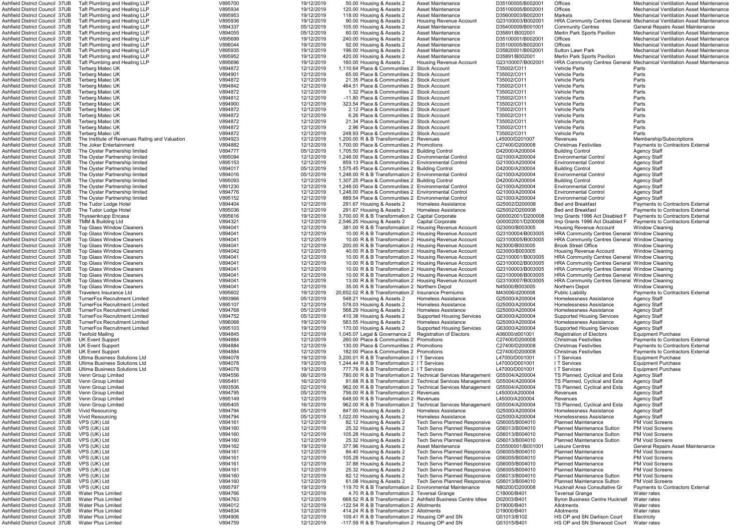| Ashfield District Council  37UB       | Taft Plumbing and Heating LLP                  | V895700 | 19/12/2019 | 50.00 Housing & Assets 2                                     | Asset Maintenance                                           | D35100005/B002001 | Offices                                              | Mechanical Ventilation Asset Maintenance                                      |
|---------------------------------------|------------------------------------------------|---------|------------|--------------------------------------------------------------|-------------------------------------------------------------|-------------------|------------------------------------------------------|-------------------------------------------------------------------------------|
| Ashfield District Council 37UB        | Taft Plumbing and Heating LLP                  | V895934 | 19/12/2019 | 120.00 Housing & Assets 2                                    | <b>Asset Maintenance</b>                                    | D35100005/B002001 | Offices                                              | <b>Mechanical Ventilation Asset Maintenance</b>                               |
| Ashfield District Council 37UB        | Taft Plumbing and Heating LLP                  | V895953 | 19/12/2019 | 118.00 Housing & Assets 2                                    | <b>Asset Maintenance</b>                                    | D35600003/B002001 | <b>Markets</b>                                       | <b>Mechanical Ventilation Asset Maintenance</b>                               |
| Ashfield District Council 37UB        | Taft Plumbing and Heating LLP                  | V895936 | 19/12/2019 | 90.00 Housing & Assets 2                                     | Housing Revenue Account                                     | G23100003/B002001 |                                                      | <b>HRA Community Centres General Mechanical Ventilation Asset Maintenance</b> |
|                                       |                                                |         |            |                                                              |                                                             |                   |                                                      |                                                                               |
| Ashfield District Council 37UB        | Taft Plumbing and Heating LLP                  | V894337 | 05/12/2019 | 105.00 Housing & Assets 2                                    | <b>Asset Maintenance</b>                                    | D35400009/B001001 | <b>Community Centres</b>                             | <b>General Repairs Asset Maintenance</b>                                      |
| Ashfield District Council 37UB        | Taft Plumbing and Heating LLP                  | V894055 | 05/12/2019 | 60.00 Housing & Assets 2                                     | <b>Asset Maintenance</b>                                    | D35891/B002001    | Merlin Park Sports Pavilion                          | <b>Mechanical Ventilation Asset Maintenance</b>                               |
| Ashfield District Council 37UB        | Taft Plumbing and Heating LLP                  | V895699 | 19/12/2019 | 240.00 Housing & Assets 2                                    | <b>Asset Maintenance</b>                                    | D35100001/B002001 | <b>Offices</b>                                       | <b>Mechanical Ventilation Asset Maintenance</b>                               |
| Ashfield District Council 37UB        | Taft Plumbing and Heating LLP                  | V896044 | 19/12/2019 | 92.00 Housing & Assets 2                                     | <b>Asset Maintenance</b>                                    | D35100005/B002001 | Offices                                              | <b>Mechanical Ventilation Asset Maintenance</b>                               |
| Ashfield District Council 37UB        | Taft Plumbing and Heating LLP                  | V895935 | 19/12/2019 | 196.00 Housing & Assets 2                                    | <b>Asset Maintenance</b>                                    | D35820001/B002001 | Sutton Lawn Park                                     | <b>Mechanical Ventilation Asset Maintenance</b>                               |
| Ashfield District Council 37UB        | Taft Plumbing and Heating LLP                  | V895952 | 19/12/2019 | 420.00 Housing & Assets 2                                    | <b>Asset Maintenance</b>                                    | D35891/B002001    | Merlin Park Sports Pavilion                          | <b>Mechanical Ventilation Asset Maintenance</b>                               |
| Ashfield District Council 37UB        | Taft Plumbing and Heating LLP                  | V895696 | 19/12/2019 | 160.00 Housing & Assets 2                                    | <b>Housing Revenue Account</b>                              | G23100007/B002001 |                                                      | HRA Community Centres General Mechanical Ventilation Asset Maintenance        |
|                                       | Terberg Matec UK                               |         | 12/12/2019 |                                                              |                                                             |                   |                                                      |                                                                               |
| <b>Ashfield District Council 37UB</b> |                                                | V894872 |            | 1,110.64 Place & Communities 2 Stock Account                 |                                                             | T35002/C011       | <b>Vehicle Parts</b>                                 | Parts                                                                         |
| Ashfield District Council 37UB        | <b>Terberg Matec UK</b>                        | V894901 | 12/12/2019 | 65.00 Place & Communities 2 Stock Account                    |                                                             | T35002/C011       | <b>Vehicle Parts</b>                                 | Parts                                                                         |
| Ashfield District Council 37UB        | Terberg Matec UK                               | V894872 | 12/12/2019 | 21.35 Place & Communities 2 Stock Account                    |                                                             | T35002/C011       | <b>Vehicle Parts</b>                                 | Parts                                                                         |
| <b>Ashfield District Council 37UB</b> | Terberg Matec UK                               | V894842 | 12/12/2019 | 464.51 Place & Communities 2 Stock Account                   |                                                             | T35002/C011       | <b>Vehicle Parts</b>                                 | Parts                                                                         |
| Ashfield District Council 37UB        | <b>Terberg Matec UK</b>                        | V894872 | 12/12/2019 | 1.32 Place & Communities 2 Stock Account                     |                                                             | T35002/C011       | <b>Vehicle Parts</b>                                 | Parts                                                                         |
| Ashfield District Council 37UB        | Terberg Matec UK                               | V894812 | 12/12/2019 | -11.80 Place & Communities 2 Stock Account                   |                                                             | T35002/C011       | <b>Vehicle Parts</b>                                 | Parts                                                                         |
| Ashfield District Council 37UB        | <b>Terberg Matec UK</b>                        | V894900 | 12/12/2019 | 323.54 Place & Communities 2 Stock Account                   |                                                             | T35002/C011       | <b>Vehicle Parts</b>                                 | Parts                                                                         |
|                                       |                                                |         |            |                                                              |                                                             |                   |                                                      |                                                                               |
| Ashfield District Council 37UB        | Terberg Matec UK                               | V894872 | 12/12/2019 | 2.12 Place & Communities 2 Stock Account                     |                                                             | T35002/C011       | <b>Vehicle Parts</b>                                 | Parts                                                                         |
| Ashfield District Council 37UB        | <b>Terberg Matec UK</b>                        | V894872 | 12/12/2019 | 6.26 Place & Communities 2 Stock Account                     |                                                             | T35002/C011       | <b>Vehicle Parts</b>                                 | Parts                                                                         |
| Ashfield District Council 37UB        | <b>Terberg Matec UK</b>                        | V894872 | 12/12/2019 | 21.34 Place & Communities 2 Stock Account                    |                                                             | T35002/C011       | <b>Vehicle Parts</b>                                 | Parts                                                                         |
| Ashfield District Council 37UB        | <b>Terberg Matec UK</b>                        | V894872 | 12/12/2019 | 2.96 Place & Communities 2 Stock Account                     |                                                             | T35002/C011       | <b>Vehicle Parts</b>                                 | Parts                                                                         |
| Ashfield District Council 37UB        | Terberg Matec UK                               | V894872 | 12/12/2019 | 248.93 Place & Communities 2 Stock Account                   |                                                             | T35002/C011       | <b>Vehicle Parts</b>                                 | Parts                                                                         |
| Ashfield District Council 37UB        | The Institute of Revenues Rating and Valuation | V894923 | 12/12/2019 | 1.200.00 R & B Transformation 2 Revenues                     |                                                             | L45000/D201007    | Revenues                                             | Membership/Subscriptions                                                      |
| Ashfield District Council 37UB        | The Joker Entertainment                        | V894882 | 12/12/2019 | 1,700.00 Place & Communities 2 Promotions                    |                                                             | C27400/D200008    | <b>Christmas Festivities</b>                         | <b>Payments to Contractors External</b>                                       |
|                                       |                                                |         |            |                                                              |                                                             |                   |                                                      |                                                                               |
| Ashfield District Council 37UB        | The Oyster Partnership limited                 | V894777 | 05/12/2019 | 1,705.50 Place & Communities 2 Building Control              |                                                             | D42000/A200004    | <b>Building Control</b>                              | <b>Agency Staff</b>                                                           |
| Ashfield District Council 37UB        | The Oyster Partnership limited                 | V895094 | 12/12/2019 | 1,248.00 Place & Communities 2 Environmental Control         |                                                             | G21000/A200004    | <b>Environmental Control</b>                         | <b>Agency Staff</b>                                                           |
| <b>Ashfield District Council 37UB</b> | The Oyster Partnership limited                 | V895153 | 12/12/2019 | 859.13 Place & Communities 2 Environmental Control           |                                                             | G21000/A200004    | <b>Environmental Control</b>                         | <b>Agency Staff</b>                                                           |
| Ashfield District Council 37UB        | The Ovster Partnership limited                 | V894017 | 05/12/2019 | 1,575.45 Place & Communities 2 Building Control              |                                                             | D42000/A200004    | <b>Building Control</b>                              | <b>Agency Staff</b>                                                           |
| Ashfield District Council 37UB        | The Oyster Partnership limited                 | V894016 | 05/12/2019 | 1,248.00 R & B Transformation 2 Environmental Control        |                                                             | G21000/A200004    | <b>Environmental Control</b>                         | <b>Agency Staff</b>                                                           |
| Ashfield District Council 37UB        | The Oyster Partnership limited                 | V895093 | 12/12/2019 | 1.307.25 Place & Communities 2 Building Control              |                                                             | D42000/A200004    | <b>Building Control</b>                              | <b>Agency Staff</b>                                                           |
|                                       |                                                | V891230 | 12/12/2019 |                                                              |                                                             | G21000/A200004    |                                                      |                                                                               |
| Ashfield District Council 37UB        | The Oyster Partnership limited                 |         |            | 1,248.00 Place & Communities 2 Environmental Control         |                                                             |                   | <b>Environmental Control</b>                         | Agency Staff                                                                  |
| Ashfield District Council 37UB        | The Oyster Partnership limited                 | V894776 | 12/12/2019 | 1,248.00 Place & Communities 2 Environmental Control         |                                                             | G21000/A200004    | <b>Environmental Control</b>                         | <b>Agency Staff</b>                                                           |
| Ashfield District Council 37UB        | The Oyster Partnership limited                 | V895152 | 12/12/2019 | 889.54 Place & Communities 2 Environmental Control           |                                                             | G21000/A200004    | <b>Environmental Control</b>                         | <b>Agency Staff</b>                                                           |
| Ashfield District Council 37UB        | The Tudor Lodge Hotel                          | V894404 | 12/12/2019 | 291.67 Housing & Assets 2                                    | Homeless Assistance                                         | G25002/D200008    | <b>Bed and Breakfast</b>                             | <b>Payments to Contractors External</b>                                       |
| Ashfield District Council 37UB        | The Tudor Lodge Hotel                          | V895036 | 12/12/2019 | 291.67 Housing & Assets 2                                    | Homeless Assistance                                         | G25002/D200008    | <b>Bed and Breakfast</b>                             | <b>Payments to Contractors External</b>                                       |
| <b>Ashfield District Council 37UB</b> | <b>Thyssenkrupp Encasa</b>                     | V895616 | 19/12/2019 | 3,700.00 R & B Transformation 2 Capital Corporate            |                                                             | G00002001/D200008 | Imp Grants 1996 Act Disabled F                       | <b>Payments to Contractors External</b>                                       |
| Ashfield District Council 37UB        | TMM & Building Ltd                             | V894321 | 12/12/2019 | 2,546.25 Housing & Assets 2                                  | <b>Capital Corporate</b>                                    | G00002001/D200008 | Imp Grants 1996 Act Disabled F                       | Payments to Contractors External                                              |
|                                       |                                                |         |            |                                                              |                                                             |                   |                                                      |                                                                               |
| Ashfield District Council 37UB        | <b>Top Glass Window Cleaners</b>               | V894041 | 12/12/2019 | 381.00 R & B Transformation 2 Housing Revenue Account        |                                                             | G23000/B003005    | Housing Revenue Account                              | Window Cleaning                                                               |
| Ashfield District Council 37UB        | <b>Top Glass Window Cleaners</b>               | V894041 | 12/12/2019 | 10.00 R & B Transformation 2 Housing Revenue Account         |                                                             | G23100004/B003005 | HRA Community Centres General Window Cleaning        |                                                                               |
| Ashfield District Council 37UB        | <b>Top Glass Window Cleaners</b>               | V894041 | 12/12/2019 | 10.00 R & B Transformation 2 Housing Revenue Account         |                                                             | G23100005/B003005 | HRA Community Centres General Window Cleaning        |                                                                               |
| Ashfield District Council 37UB        | <b>Top Glass Window Cleaners</b>               | V894041 | 12/12/2019 | 200.00 R & B Transformation 2 Housing Revenue Account        |                                                             | N23000/B003005    | <b>Brook Street Office</b>                           | <b>Window Cleaning</b>                                                        |
| <b>Ashfield District Council 37UB</b> | <b>Top Glass Window Cleaners</b>               | V894042 | 12/12/2019 | 40.00 R & B Transformation 2 Housing Revenue Account         |                                                             | G23000/B003005    | Housing Revenue Account                              | <b>Window Cleaning</b>                                                        |
| Ashfield District Council 37UB        | <b>Top Glass Window Cleaners</b>               | V894041 | 12/12/2019 | 10.00 R & B Transformation 2 Housing Revenue Account         |                                                             | G23100001/B003005 | <b>HRA Community Centres General Window Cleaning</b> |                                                                               |
| Ashfield District Council 37UB        | <b>Top Glass Window Cleaners</b>               | V894041 | 12/12/2019 | 10.00 R & B Transformation 2 Housing Revenue Account         |                                                             | G23100002/B003005 | <b>HRA Community Centres General Window Cleaning</b> |                                                                               |
|                                       |                                                |         |            |                                                              |                                                             |                   |                                                      |                                                                               |
| <b>Ashfield District Council 37UB</b> | <b>Top Glass Window Cleaners</b>               | V894041 | 12/12/2019 | 10.00 R & B Transformation 2 Housing Revenue Account         |                                                             | G23100003/B003005 | HRA Community Centres General Window Cleaning        |                                                                               |
| Ashfield District Council 37UB        | <b>Top Glass Window Cleaners</b>               | V894041 | 12/12/2019 | 10.00 R & B Transformation 2 Housing Revenue Account         |                                                             | G23100006/B003005 | HRA Community Centres General Window Cleaning        |                                                                               |
| Ashfield District Council 37UB        | <b>Top Glass Window Cleaners</b>               | V894041 | 12/12/2019 | 13.00 R & B Transformation 2 Housing Revenue Account         |                                                             | G23100007/B003005 | HRA Community Centres General Window Cleaning        |                                                                               |
| Ashfield District Council 37UB        | <b>Top Glass Window Cleaners</b>               | V894041 | 12/12/2019 | 35.00 R & B Transformation 2 Northern Depot                  |                                                             | N45000/B003005    | Northern Depot                                       | <b>Window Cleaning</b>                                                        |
| <b>Ashfield District Council 37UB</b> | Travelers Insurance Ltd                        | V895602 | 19/12/2019 | 20,652.02 R & B Transformation 2 Insurance Premiums          |                                                             | M43006/d200008    | <b>Public Liability</b>                              | <b>Payments to Contractors External</b>                                       |
| <b>Ashfield District Council 37UB</b> | <b>TurnerFox Recruitment Limited</b>           | V893966 | 05/12/2019 | 548.21 Housing & Assets 2                                    | Homeless Assistance                                         | G25000/A200004    | Homelessness Assistance                              | <b>Agency Staff</b>                                                           |
| Ashfield District Council 37UB        | <b>TurnerFox Recruitment Limited</b>           | V895107 | 12/12/2019 | 578.03 Housing & Assets 2                                    | <b>Homeless Assistance</b>                                  | G25000/A200004    | Homelessness Assistance                              | <b>Agency Staff</b>                                                           |
|                                       |                                                |         |            |                                                              |                                                             |                   |                                                      |                                                                               |
| Ashfield District Council 37UB        | <b>TurnerFox Recruitment Limited</b>           | V894768 | 05/12/2019 | 568.29 Housing & Assets 2                                    | <b>Homeless Assistance</b>                                  | G25000/A200004    | Homelessness Assistance                              | <b>Agency Staff</b>                                                           |
| Ashfield District Council 37UB        | <b>TurnerFox Recruitment Limited</b>           | V894752 | 05/12/2019 | 410.38 Housing & Assets 2                                    | <b>Supported Housing Services</b>                           | G63000/A200004    | <b>Supported Housing Services</b>                    | <b>Agency Staff</b>                                                           |
| Ashfield District Council 37UB        | <b>TurnerFox Recruitment Limited</b>           | V896068 | 19/12/2019 | 583.55 Housing & Assets 2                                    | Homeless Assistance                                         | G25000/A200004    | Homelessness Assistance                              | <b>Agency Staff</b>                                                           |
| Ashfield District Council 37UB        | <b>TurnerFox Recruitment Limited</b>           | V895103 | 19/12/2019 | 170.00 Housing & Assets 2                                    | <b>Supported Housing Services</b>                           | G63000/A200004    | <b>Supported Housing Services</b>                    | <b>Agency Staff</b>                                                           |
| <b>Ashfield District Council 37UB</b> | <b>Twofold Mailing</b>                         | V894845 | 12/12/2019 | 1,045.07 Legal & Governance 2                                | <b>Registration of Electors</b>                             | A06000/d001001    | <b>Registration of Electors</b>                      | <b>Equipment Purchase</b>                                                     |
| <b>Ashfield District Council 37UB</b> | <b>UK Event Support</b>                        | V894884 | 12/12/2019 | 260.00 Place & Communities 2 Promotions                      |                                                             | C27400/D200008    | <b>Christmas Festivities</b>                         | <b>Payments to Contractors External</b>                                       |
| <b>Ashfield District Council 37UB</b> | <b>UK Event Support</b>                        |         |            |                                                              |                                                             | C27400/D200008    |                                                      | <b>Payments to Contractors External</b>                                       |
|                                       |                                                | V894884 | 12/12/2019 | 130.00 Place & Communities 2 Promotions                      |                                                             |                   | <b>Christmas Festivities</b>                         |                                                                               |
| Ashfield District Council 37UB        | <b>UK Event Support</b>                        | V894884 | 12/12/2019 | 182.00 Place & Communities 2 Promotions                      |                                                             | C27400/D200008    | <b>Christmas Festivities</b>                         | <b>Payments to Contractors External</b>                                       |
| Ashfield District Council 37UB        | Ultima Business Solutions Ltd                  | V894078 | 19/12/2019 | 3,200.01 R & B Transformation 2 I T Services                 |                                                             | L47000/D001001    | I T Services                                         | <b>Equipment Purchase</b>                                                     |
| Ashfield District Council 37UB        | Ultima Business Solutions Ltd                  | V894078 | 19/12/2019 | 1,244.44 R & B Transformation 2 I T Services                 |                                                             | L47000/D001001    | I T Services                                         | <b>Equipment Purchase</b>                                                     |
| Ashfield District Council 37UB        | Ultima Business Solutions Ltd                  | V894078 | 19/12/2019 | 777.78 R & B Transformation 2 I T Services                   |                                                             | L47000/D001001    | I T Services                                         | <b>Equipment Purchase</b>                                                     |
| Ashfield District Council 37UB        | Venn Group Limited                             | V894556 | 06/12/2019 |                                                              | 780.00 R & B Transformation 2 Technical Services Management | G55004/A200004    | TS Planned, Cyclical and Esta                        | <b>Agency Staff</b>                                                           |
| Ashfield District Council 37UB        | Venn Group Limited                             | V895491 | 16/12/2019 |                                                              | 81.68 R & B Transformation 2 Technical Services Management  | G55004/A200004    | TS Planned, Cyclical and Esta                        | <b>Agency Staff</b>                                                           |
| Ashfield District Council 37UB        | Venn Group Limited                             | V893506 | 02/12/2019 |                                                              | 962.00 R & B Transformation 2 Technical Services Management | G55004/A200004    | TS Planned, Cyclical and Esta                        | <b>Agency Staff</b>                                                           |
|                                       |                                                |         |            |                                                              |                                                             |                   |                                                      |                                                                               |
| Ashfield District Council 37UB        | Venn Group Limited                             | V894795 | 05/12/2019 | 756.00 R & B Transformation 2 Revenues                       |                                                             | L45000/A200004    | Revenues                                             | <b>Agency Staff</b>                                                           |
| Ashfield District Council 37UB        | Venn Group Limited                             | V895149 | 12/12/2019 | 648.00 R & B Transformation 2 Revenues                       |                                                             | L45000/A200004    | Revenues                                             | <b>Agency Staff</b>                                                           |
| Ashfield District Council 37UB        | Venn Group Limited                             | V895405 | 16/12/2019 |                                                              | 962.00 R & B Transformation 2 Technical Services Management | G55004/A200004    | TS Planned, Cyclical and Esta                        | <b>Agency Staff</b>                                                           |
| Ashfield District Council 37UB        | Vivid Resourcing                               | V894794 | 05/12/2019 | 847.00 Housing & Assets 2                                    | Homeless Assistance                                         | G25000/A200004    | Homelessness Assistance                              | <b>Agency Staff</b>                                                           |
| Ashfield District Council 37UB        | Vivid Resourcing                               | V894794 | 05/12/2019 | 1,022.00 Housing & Assets 2                                  | <b>Homeless Assistance</b>                                  | G25000/A200004    | Homelessness Assistance                              | <b>Agency Staff</b>                                                           |
| Ashfield District Council 37UB        | VPS (UK) Ltd                                   | V894161 | 12/12/2019 | 82.12 Housing & Assets 2                                     | <b>Tech Servs Planned Responsive</b>                        | G56005/B004010    | <b>Planned Maintenance</b>                           | <b>PM Void Screens</b>                                                        |
|                                       |                                                |         |            |                                                              |                                                             |                   |                                                      |                                                                               |
| Ashfield District Council 37UB        | VPS (UK) Ltd                                   | V894160 | 12/12/2019 | 25.32 Housing & Assets 2                                     | <b>Tech Servs Planned Responsive</b>                        | G56013/B004010    | <b>Planned Maintenance Sutton</b>                    | <b>PM Void Screens</b>                                                        |
| Ashfield District Council 37UB        | VPS (UK) Ltd                                   | V894160 | 12/12/2019 | 105.28 Housing & Assets 2                                    | <b>Tech Servs Planned Responsive</b>                        | G56013/B004010    | <b>Planned Maintenance Sutton</b>                    | <b>PM Void Screens</b>                                                        |
| Ashfield District Council 37UB        | VPS (UK) Ltd                                   | V894160 | 12/12/2019 | 25.32 Housing & Assets 2                                     | Tech Servs Planned Responsive                               | G56013/B004010    | <b>Planned Maintenance Sutton</b>                    | <b>PM Void Screens</b>                                                        |
| Ashfield District Council 37UB        | VPS (UK) Ltd                                   | V894162 | 19/12/2019 | 377.96 Housing & Assets 2                                    | Asset Maintenance                                           | D35500001/B001001 | Leisure Centres                                      | <b>General Repairs Asset Maintenance</b>                                      |
| Ashfield District Council 37UB        | VPS (UK) Ltd                                   | V894161 | 12/12/2019 | 84.40 Housing & Assets 2                                     | <b>Tech Servs Planned Responsive</b>                        | G56005/B004010    | <b>Planned Maintenance</b>                           | <b>PM Void Screens</b>                                                        |
| Ashfield District Council 37UB        | VPS (UK) Ltd                                   | V894161 | 12/12/2019 | 105.28 Housing & Assets 2                                    | Tech Servs Planned Responsive                               | G56005/B004010    | <b>Planned Maintenance</b>                           | <b>PM Void Screens</b>                                                        |
| Ashfield District Council 37UB        | VPS (UK) Ltd                                   | V894161 | 12/12/2019 | 37.88 Housing & Assets 2                                     | Tech Servs Planned Responsive                               | G56005/B004010    | <b>Planned Maintenance</b>                           | <b>PM Void Screens</b>                                                        |
|                                       |                                                |         |            |                                                              |                                                             |                   |                                                      |                                                                               |
| Ashfield District Council 37UB        | VPS (UK) Ltd                                   | V894161 | 12/12/2019 | 25.32 Housing & Assets 2                                     | Tech Servs Planned Responsive                               | G56005/B004010    | <b>Planned Maintenance</b>                           | <b>PM Void Screens</b>                                                        |
| Ashfield District Council 37UB        | VPS (UK) Ltd                                   | V894160 | 12/12/2019 | 82.12 Housing & Assets 2                                     | Tech Servs Planned Responsive                               | G56013/B004010    | <b>Planned Maintenance Sutton</b>                    | <b>PM Void Screens</b>                                                        |
| Ashfield District Council 37UB        | VPS (UK) Ltd                                   | V894160 | 12/12/2019 | 61.08 Housing & Assets 2                                     | <b>Tech Servs Planned Responsive</b>                        | G56013/B004010    | <b>Planned Maintenance Sutton</b>                    | <b>PM Void Screens</b>                                                        |
| Ashfield District Council 37UB        | VPS (UK) Ltd                                   | V895797 | 19/12/2019 | 119.70 R & B Transformation 2 Environmental Maintenance      |                                                             | N80200/D200008    | Hucknall Area Consultative Gr                        | <b>Payments to Contractors External</b>                                       |
| <b>Ashfield District Council 37UB</b> | <b>Water Plus Limited</b>                      | V894766 | 12/12/2019 | 4.70 R & B Transformation 2 Teversal Grange                  |                                                             | C18000/B401       | <b>Teversal Grange</b>                               | Water rates                                                                   |
| Ashfield District Council 37UB        | <b>Water Plus Limited</b>                      | V894763 | 12/12/2019 | 668.52 R & B Transformation 2 Ashfield Business Centre Idlew |                                                             | D02003/B401       | <b>Byron Business Centre Hucknall</b>                | Water rates                                                                   |
| Ashfield District Council 37UB        | <b>Water Plus Limited</b>                      | V894012 | 12/12/2019 | -122.54 R & B Transformation 2 Allotments                    |                                                             | D19000/B401       | Allotments                                           |                                                                               |
|                                       |                                                |         |            |                                                              |                                                             |                   |                                                      | Water rates                                                                   |
| Ashfield District Council 37UB        | <b>Water Plus Limited</b>                      | V894834 | 12/12/2019 | 414.24 R & B Transformation 2 Allotments                     |                                                             | D19000/B401       | Allotments                                           | Water rates                                                                   |
| Ashfield District Council 37UB        | <b>Water Plus Limited</b>                      | V894906 | 12/12/2019 | 109.41 R & B Transformation 2 Housing OP and SN              |                                                             | G51013/B102       | HS OP and SN Darlison Court                          | Electricity                                                                   |
| Ashfield District Council 37UB        | <b>Water Plus Limited</b>                      | V894759 | 12/12/2019 | -117.59 R & B Transformation 2 Housing OP and SN             |                                                             | G51015/B401       | HS OP and SN Sherwood Court                          | Water rates                                                                   |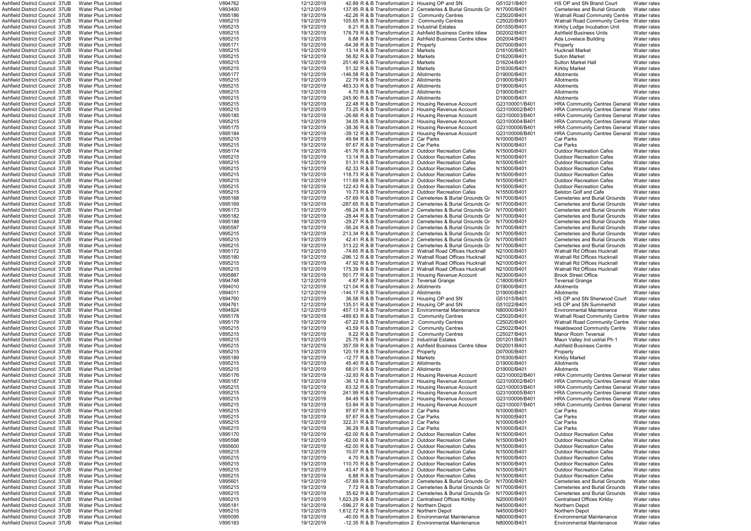| Ashfield District Council  37UB                                  | Water Plus Limited                                     | V894762            | 12/12/2019               | 42.89 R & B Transformation 2 Housing OP and SN                                                                     |                                                                           | G51021/B401                | HS OP and SN Brand Court                                             | Water rates                |
|------------------------------------------------------------------|--------------------------------------------------------|--------------------|--------------------------|--------------------------------------------------------------------------------------------------------------------|---------------------------------------------------------------------------|----------------------------|----------------------------------------------------------------------|----------------------------|
| Ashfield District Council 37UB                                   | Water Plus Limited                                     | V893400            | 12/12/2019               |                                                                                                                    | 137.95 R & B Transformation 2 Cemeteries & Burial Grounds Gr              | N17000/B401                | Cemeteries and Burial Grounds                                        | Water rates                |
| Ashfield District Council 37UB                                   | <b>Water Plus Limited</b>                              | V895186            | 19/12/2019               | -62.26 R & B Transformation 2 Community Centres                                                                    |                                                                           | C25020/B401                | <b>Watnall Road Community Centre</b>                                 | Water rates                |
| Ashfield District Council 37UB                                   | <b>Water Plus Limited</b>                              | V895215            | 19/12/2019               | 105.65 R & B Transformation 2 Community Centres                                                                    |                                                                           | C25020/B401                | <b>Watnall Road Community Centre</b>                                 | Water rates                |
| Ashfield District Council 37UB                                   | <b>Water Plus Limited</b>                              | V895215            | 19/12/2019               | 6.21 R & B Transformation 2 Industrial Estates                                                                     |                                                                           | D01550/B401                | Kirkby Lodge Incubation Unit                                         | Water rates                |
| Ashfield District Council 37UB                                   | Water Plus Limited                                     | V895215            | 19/12/2019               |                                                                                                                    | 178.79 R & B Transformation 2 Ashfield Business Centre Idlew              | D02002/B401                | <b>Ashfield Business Units</b>                                       | Water rates                |
| Ashfield District Council 37UB                                   | <b>Water Plus Limited</b>                              | V895215            | 19/12/2019               |                                                                                                                    | 6.88 R & B Transformation 2 Ashfield Business Centre Idlew                | D02004/B401                | Ada Lovelace Building                                                | Water rates                |
|                                                                  |                                                        |                    |                          |                                                                                                                    |                                                                           |                            |                                                                      |                            |
| Ashfield District Council 37UB                                   | <b>Water Plus Limited</b>                              | V895171            | 19/12/2019               | -64.38 R & B Transformation 2 Property                                                                             |                                                                           | D07000/B401                | Property                                                             | Water rates                |
| Ashfield District Council  37UB                                  | Water Plus Limited                                     | V895215            | 19/12/2019               | 13.14 R & B Transformation 2 Markets                                                                               |                                                                           | D16100/B401                | <b>Hucknall Market</b>                                               | Water rates                |
| Ashfield District Council 37UB                                   | Water Plus Limited                                     | V895215            | 19/12/2019               | 56.82 R & B Transformation 2 Markets                                                                               |                                                                           | D16200/B401                | <b>Suton Market</b>                                                  | Water rates                |
| Ashfield District Council 37UB                                   | <b>Water Plus Limited</b>                              | V895215            | 19/12/2019               | 251.46 R & B Transformation 2 Markets                                                                              |                                                                           | D16204/B401                | <b>Sutton Market Hall</b>                                            | Water rates                |
| Ashfield District Council 37UB                                   | <b>Water Plus Limited</b>                              | V895215            | 19/12/2019               | 51.32 R & B Transformation 2 Markets                                                                               |                                                                           | D16300/B401                | <b>Kirkby Market</b>                                                 | Water rates                |
| Ashfield District Council 37UB                                   | <b>Water Plus Limited</b>                              | V895177            | 19/12/2019               | -146.58 R & B Transformation 2 Allotments                                                                          |                                                                           | D19000/B401                | Allotments                                                           | Water rates                |
|                                                                  |                                                        |                    |                          |                                                                                                                    |                                                                           |                            |                                                                      |                            |
| Ashfield District Council 37UB                                   | Water Plus Limited                                     | V895215            | 19/12/2019               | 22.79 R & B Transformation 2 Allotments                                                                            |                                                                           | D19000/B401                | Allotments                                                           | Water rates                |
| Ashfield District Council 37UB                                   | <b>Water Plus Limited</b>                              | V895215            | 19/12/2019               | 463.33 R & B Transformation 2 Allotments                                                                           |                                                                           | D19000/B401                | Allotments                                                           | Water rates                |
| Ashfield District Council 37UB                                   | <b>Water Plus Limited</b>                              | V895215            | 19/12/2019               | 4.70 R & B Transformation 2 Allotments                                                                             |                                                                           | D19000/B401                | Allotments                                                           | Water rates                |
| Ashfield District Council  37UB                                  | <b>Water Plus Limited</b>                              | V895215            | 19/12/2019               | 245.90 R & B Transformation 2 Allotments                                                                           |                                                                           | D19000/B401                | Allotments                                                           | Water rates                |
| Ashfield District Council 37UB                                   | Water Plus Limited                                     | V895215            | 19/12/2019               | 22.48 R & B Transformation 2 Housing Revenue Account                                                               |                                                                           | G23100001/B401             | <b>HRA Community Centres General Water rates</b>                     |                            |
| Ashfield District Council 37UB                                   | <b>Water Plus Limited</b>                              | V895215            | 19/12/2019               | 73.25 R & B Transformation 2 Housing Revenue Account                                                               |                                                                           | G23100002/B401             | <b>HRA Community Centres General Water rates</b>                     |                            |
|                                                                  |                                                        |                    |                          |                                                                                                                    |                                                                           | G23100003/B401             |                                                                      |                            |
| Ashfield District Council 37UB                                   | <b>Water Plus Limited</b>                              | V895185            | 19/12/2019               | -26.66 R & B Transformation 2 Housing Revenue Account                                                              |                                                                           |                            | <b>HRA Community Centres General Water rates</b>                     |                            |
| Ashfield District Council 37UB                                   | <b>Water Plus Limited</b>                              | V895215            | 19/12/2019               | 34.05 R & B Transformation 2 Housing Revenue Account                                                               |                                                                           | G23100004/B401             | <b>HRA Community Centres General Water rates</b>                     |                            |
| Ashfield District Council 37UB                                   | <b>Water Plus Limited</b>                              | V895175            | 19/12/2019               | -38.36 R & B Transformation 2 Housing Revenue Account                                                              |                                                                           | G23100006/B401             | HRA Community Centres General Water rates                            |                            |
| Ashfield District Council 37UB                                   | Water Plus Limited                                     | V895184            | 19/12/2019               | -39.12 R & B Transformation 2 Housing Revenue Account                                                              |                                                                           | G23100006/B401             | HRA Community Centres General Water rates                            |                            |
| Ashfield District Council 37UB                                   | <b>Water Plus Limited</b>                              | V895215            | 19/12/2019               | 49.94 R & B Transformation 2 Car Parks                                                                             |                                                                           | N10000/B401                | Car Parks                                                            | Water rates                |
| Ashfield District Council  37UB                                  | Water Plus Limited                                     | V895215            | 19/12/2019               | 97.67 R & B Transformation 2 Car Parks                                                                             |                                                                           | N10000/B401                | Car Parks                                                            | Water rates                |
| Ashfield District Council 37UB                                   | <b>Water Plus Limited</b>                              | V895174            | 19/12/2019               | -61.76 R & B Transformation 2 Outdoor Recreation Cafes                                                             |                                                                           | N15000/B401                | <b>Outdoor Recreation Cafes</b>                                      | Water rates                |
|                                                                  |                                                        |                    |                          |                                                                                                                    |                                                                           |                            |                                                                      |                            |
| Ashfield District Council 37UB                                   | <b>Water Plus Limited</b>                              | V895215            | 19/12/2019               | 13.14 R & B Transformation 2 Outdoor Recreation Cafes                                                              |                                                                           | N15000/B401                | <b>Outdoor Recreation Cafes</b>                                      | Water rates                |
| Ashfield District Council 37UB                                   | <b>Water Plus Limited</b>                              | V895215            | 19/12/2019               | 51.31 R & B Transformation 2 Outdoor Recreation Cafes                                                              |                                                                           | N15000/B401                | <b>Outdoor Recreation Cafes</b>                                      | Water rates                |
| Ashfield District Council 37UB                                   | <b>Water Plus Limited</b>                              | V895215            | 19/12/2019               | 62.33 R & B Transformation 2 Outdoor Recreation Cafes                                                              |                                                                           | N15000/B401                | <b>Outdoor Recreation Cafes</b>                                      | Water rates                |
| Ashfield District Council 37UB                                   | Water Plus Limited                                     | V895215            | 19/12/2019               | 118.73 R & B Transformation 2 Outdoor Recreation Cafes                                                             |                                                                           | N15000/B401                | <b>Outdoor Recreation Cafes</b>                                      | Water rates                |
| Ashfield District Council 37UB                                   | <b>Water Plus Limited</b>                              | V895215            | 19/12/2019               | 111.69 R & B Transformation 2 Outdoor Recreation Cafes                                                             |                                                                           | N15000/B401                | <b>Outdoor Recreation Cafes</b>                                      | Water rates                |
| Ashfield District Council  37UB                                  | Water Plus Limited                                     | V895215            | 19/12/2019               | 122.43 R & B Transformation 2 Outdoor Recreation Cafes                                                             |                                                                           | N15000/B401                | <b>Outdoor Recreation Cafes</b>                                      | Water rates                |
| Ashfield District Council 37UB                                   | <b>Water Plus Limited</b>                              | V895215            | 19/12/2019               | 10.73 R & B Transformation 2 Outdoor Recreation Cafes                                                              |                                                                           | N15500/B401                | Selston Golf and Cafe                                                | Water rates                |
|                                                                  |                                                        |                    |                          |                                                                                                                    |                                                                           |                            |                                                                      |                            |
| Ashfield District Council  37UB                                  | Water Plus Limited                                     | V895168            | 19/12/2019               |                                                                                                                    | -57.69 R & B Transformation 2 Cemeteries & Burial Grounds Gr              | N17000/B401                | Cemeteries and Burial Grounds                                        | Water rates                |
| Ashfield District Council  37UB                                  | Water Plus Limited                                     | V895169            | 19/12/2019               |                                                                                                                    | -287.65 R & B Transformation 2 Cemeteries & Burial Grounds Gr             | N17000/B401                | Cemeteries and Burial Grounds                                        | Water rates                |
| Ashfield District Council 37UB                                   | <b>Water Plus Limited</b>                              | V895173            | 19/12/2019               |                                                                                                                    | -56.24 R & B Transformation 2 Cemeteries & Burial Grounds Gr              | N17000/B401                | <b>Cemeteries and Burial Grounds</b>                                 | Water rates                |
| Ashfield District Council 37UB                                   | <b>Water Plus Limited</b>                              | V895182            | 19/12/2019               |                                                                                                                    | -28.44 R & B Transformation 2 Cemeteries & Burial Grounds Gr              | N17000/B401                | <b>Cemeteries and Burial Grounds</b>                                 | Water rates                |
| Ashfield District Council 37UB                                   | <b>Water Plus Limited</b>                              | V895188            | 19/12/2019               |                                                                                                                    | -29.27 R & B Transformation 2 Cemeteries & Burial Grounds Gr  N17000/B401 |                            | <b>Cemeteries and Burial Grounds</b>                                 | Water rates                |
| Ashfield District Council  37UB                                  | Water Plus Limited                                     | V895597            | 19/12/2019               |                                                                                                                    | -56.24 R & B Transformation 2 Cemeteries & Burial Grounds Gr  N17000/B401 |                            | <b>Cemeteries and Burial Grounds</b>                                 | Water rates                |
| Ashfield District Council 37UB                                   | <b>Water Plus Limited</b>                              | V895215            | 19/12/2019               |                                                                                                                    | 213.34 R & B Transformation 2 Cemeteries & Burial Grounds Gr N17000/B401  |                            | <b>Cemeteries and Burial Grounds</b>                                 | Water rates                |
| Ashfield District Council 37UB                                   | <b>Water Plus Limited</b>                              | V895215            | 19/12/2019               |                                                                                                                    | 42.41 R & B Transformation 2 Cemeteries & Burial Grounds Gr  N17000/B401  |                            | <b>Cemeteries and Burial Grounds</b>                                 |                            |
|                                                                  |                                                        |                    |                          |                                                                                                                    |                                                                           |                            |                                                                      | Water rates                |
| Ashfield District Council 37UB                                   | Water Plus Limited                                     | V895215            | 19/12/2019               |                                                                                                                    | 313.22 R & B Transformation 2 Cemeteries & Burial Grounds Gr              | N17000/B401                | <b>Cemeteries and Burial Grounds</b>                                 | Water rates                |
| Ashfield District Council 37UB                                   | Water Plus Limited                                     | V895172            | 19/12/2019               |                                                                                                                    | -74.65 R & B Transformation 2 Watnall Road Offices Hucknall               | N21000/B401                | Watnall Rd Offices Hucknall                                          | Water rates                |
| Ashfield District Council 37UB                                   | <b>Water Plus Limited</b>                              | V895180            | 19/12/2019               |                                                                                                                    | -296.12 R & B Transformation 2 Watnall Road Offices Hucknall              | N21000/B401                | Watnall Rd Offices Hucknall                                          | Water rates                |
| Ashfield District Council 37UB                                   | <b>Water Plus Limited</b>                              | V895215            | 19/12/2019               |                                                                                                                    | 47.92 R & B Transformation 2 Watnall Road Offices Hucknall                | N21000/B401                | Watnall Rd Offices Hucknall                                          | Water rates                |
| Ashfield District Council 37UB                                   | Water Plus Limited                                     | V895215            | 19/12/2019               |                                                                                                                    | 175.39 R & B Transformation 2 Watnall Road Offices Hucknall               | N21000/B401                | Watnall Rd Offices Hucknall                                          | Water rates                |
| Ashfield District Council 37UB                                   | <b>Water Plus Limited</b>                              | V895887            | 19/12/2019               | 501.77 R & B Transformation 2 Housing Revenue Account                                                              |                                                                           | N23000/B401                | <b>Brook Street Office</b>                                           | Water rates                |
| Ashfield District Council 37UB                                   | Water Plus Limited                                     | V894748            | 12/12/2019               | 4.87 R & B Transformation 2 Teversal Grange                                                                        |                                                                           | C18000/B401                | <b>Teversal Grange</b>                                               |                            |
|                                                                  |                                                        |                    |                          |                                                                                                                    |                                                                           |                            |                                                                      | Water rates                |
| Ashfield District Council 37UB                                   | Water Plus Limited                                     | V894010            | 12/12/2019               | 121.04 R & B Transformation 2 Allotments                                                                           |                                                                           | D19000/B401                | Allotments                                                           | Water rates                |
| Ashfield District Council 37UB                                   | Water Plus Limited                                     | V894011            | 12/12/2019               | -144.17 R & B Transformation 2 Allotments                                                                          |                                                                           | D19000/B401                | Allotments                                                           | Water rates                |
| Ashfield District Council 37UB                                   | Water Plus Limited                                     | V894760            | 12/12/2019               | 36.58 R & B Transformation 2 Housing OP and SN                                                                     |                                                                           | G51015/B401                | HS OP and SN Sherwood Court                                          | Water rates                |
| Ashfield District Council 37UB                                   | <b>Water Plus Limited</b>                              | V894761            | 12/12/2019               | 135.51 R & B Transformation 2 Housing OP and SN                                                                    |                                                                           | G51022/B401                | HS OP and SN Summerhill                                              | Water rates                |
| Ashfield District Council 37UB                                   | <b>Water Plus Limited</b>                              | V894924            | 12/12/2019               | 457.13 R & B Transformation 2 Environmental Maintenance                                                            |                                                                           | N80000/B401                | <b>Environmental Maintenance</b>                                     | Water rates                |
| Ashfield District Council 37UB                                   | <b>Water Plus Limited</b>                              | V895178            | 19/12/2019               | -489.83 R & B Transformation 2 Community Centres                                                                   |                                                                           | C25020/B401                | <b>Watnall Road Community Centre</b>                                 | Water rates                |
| Ashfield District Council 37UB                                   | <b>Water Plus Limited</b>                              | V895179            | 19/12/2019               | -67.22 R & B Transformation 2 Community Centres                                                                    |                                                                           | C25020/B401                | <b>Watnall Road Community Centre</b>                                 | Water rates                |
|                                                                  |                                                        |                    |                          |                                                                                                                    |                                                                           |                            |                                                                      |                            |
| Ashfield District Council 37UB                                   | <b>Water Plus Limited</b>                              | V895215            | 19/12/2019               | 43.59 R & B Transformation 2 Community Centres                                                                     |                                                                           | C25022/B401                | <b>Healdswood Community Centre</b>                                   | Water rates                |
| Ashfield District Council 37UB                                   | <b>Water Plus Limited</b>                              | V895215            | 19/12/2019               | 9.22 R & B Transformation 2 Community Centres                                                                      |                                                                           | C25027/B401                | Manor Room Teversal                                                  | Water rates                |
| Ashfield District Council 37UB                                   | <b>Water Plus Limited</b>                              | V895215            | 19/12/2019               | 25.75 R & B Transformation 2 Industrial Estates                                                                    |                                                                           | D01201/B401                | Maun Valley Ind ustrial Ph 1                                         | Water rates                |
| Ashfield District Council 37UB                                   | Water Plus Limited                                     | V895215            | 19/12/2019               |                                                                                                                    | 357.59 R & B Transformation 2 Ashfield Business Centre Idlew              | D02001/B401                | <b>Ashfield Business Centre</b>                                      | Water rates                |
| Ashfield District Council 37UB                                   | <b>Water Plus Limited</b>                              | V895215            | 19/12/2019               | 120.19 R & B Transformation 2 Property                                                                             |                                                                           | D07000/B401                | Property                                                             | Water rates                |
| Ashfield District Council 37UB                                   | <b>Water Plus Limited</b>                              | V895189            | 19/12/2019               | -12.77 R & B Transformation 2 Markets                                                                              |                                                                           | D16300/B401                | <b>Kirkby Market</b>                                                 | Water rates                |
| Ashfield District Council 37UB                                   |                                                        |                    |                          | 45.40 R & B Transformation 2 Allotments                                                                            |                                                                           | D19000/B401                |                                                                      |                            |
|                                                                  | <b>Water Plus Limited</b><br><b>Water Plus Limited</b> | V895215            | 19/12/2019               |                                                                                                                    |                                                                           |                            | Allotments                                                           | Water rates<br>Water rates |
| Ashfield District Council 37UB                                   |                                                        |                    |                          |                                                                                                                    |                                                                           |                            |                                                                      |                            |
|                                                                  |                                                        | V895215            | 19/12/2019               | 68.01 R & B Transformation 2 Allotments                                                                            |                                                                           | D19000/B401                | Allotments                                                           |                            |
| Ashfield District Council 37UB                                   | <b>Water Plus Limited</b>                              | V895176            | 19/12/2019               | -32.93 R & B Transformation 2 Housing Revenue Account                                                              |                                                                           | G23100002/B401             | <b>HRA Community Centres General Water rates</b>                     |                            |
| Ashfield District Council 37UB                                   | Water Plus Limited                                     | V895187            | 19/12/2019               | -36.12 R & B Transformation 2 Housing Revenue Account                                                              |                                                                           | G23100002/B401             | <b>HRA Community Centres General Water rates</b>                     |                            |
| Ashfield District Council 37UB                                   | <b>Water Plus Limited</b>                              | V895215            | 19/12/2019               | 63.32 R & B Transformation 2 Housing Revenue Account                                                               |                                                                           | G23100003/B401             | <b>HRA Community Centres General Water rates</b>                     |                            |
| Ashfield District Council 37UB                                   | Water Plus Limited                                     |                    | 19/12/2019               | 241.99 R & B Transformation 2 Housing Revenue Account                                                              |                                                                           | G23100005/B401             | <b>HRA Community Centres General Water rates</b>                     |                            |
|                                                                  |                                                        | V895215            |                          |                                                                                                                    |                                                                           |                            |                                                                      |                            |
| Ashfield District Council 37UB                                   | Water Plus Limited                                     | V895215            | 19/12/2019               | 84.49 R & B Transformation 2 Housing Revenue Account                                                               |                                                                           | G23100006/B401             | <b>HRA Community Centres General Water rates</b>                     |                            |
| Ashfield District Council 37UB                                   | <b>Water Plus Limited</b>                              | V895215            | 19/12/2019               | 53.84 R & B Transformation 2 Housing Revenue Account                                                               |                                                                           | G23100007/B401             | HRA Community Centres General Water rates                            |                            |
| Ashfield District Council 37UB                                   | <b>Water Plus Limited</b>                              | V895215            | 19/12/2019               | 97.67 R & B Transformation 2 Car Parks                                                                             |                                                                           | N10000/B401                | Car Parks                                                            | Water rates                |
| Ashfield District Council 37UB                                   | <b>Water Plus Limited</b>                              | V895215            | 19/12/2019               | 97.67 R & B Transformation 2 Car Parks                                                                             |                                                                           | N10000/B401                | Car Parks                                                            | Water rates                |
| Ashfield District Council 37UB                                   | <b>Water Plus Limited</b>                              | V895215            | 19/12/2019               | 322.31 R & B Transformation 2 Car Parks                                                                            |                                                                           | N10000/B401                | Car Parks                                                            | Water rates                |
| Ashfield District Council 37UB                                   | <b>Water Plus Limited</b>                              | V895215            | 19/12/2019               | 36.29 R & B Transformation 2 Car Parks                                                                             |                                                                           | N10000/B401                | Car Parks                                                            | Water rates                |
| Ashfield District Council 37UB                                   | <b>Water Plus Limited</b>                              | V895170            | 19/12/2019               | -62.00 R & B Transformation 2 Outdoor Recreation Cafes                                                             |                                                                           | N15000/B401                | <b>Outdoor Recreation Cafes</b>                                      | Water rates                |
| Ashfield District Council 37UB                                   | Water Plus Limited                                     | V895598            | 19/12/2019               | -62.00 R & B Transformation 2 Outdoor Recreation Cafes                                                             |                                                                           |                            | <b>Outdoor Recreation Cafes</b>                                      | Water rates                |
|                                                                  |                                                        |                    |                          |                                                                                                                    |                                                                           | N15000/B401                |                                                                      |                            |
| Ashfield District Council 37UB                                   | Water Plus Limited                                     | V895600            | 19/12/2019               | -62.00 R & B Transformation 2 Outdoor Recreation Cafes                                                             |                                                                           | N15000/B401                | <b>Outdoor Recreation Cafes</b>                                      | Water rates                |
| Ashfield District Council 37UB                                   | <b>Water Plus Limited</b>                              | V895215            | 19/12/2019               | 10.07 R & B Transformation 2 Outdoor Recreation Cafes                                                              |                                                                           | N15000/B401                | <b>Outdoor Recreation Cafes</b>                                      | Water rates                |
| Ashfield District Council 37UB                                   | <b>Water Plus Limited</b>                              | V895215            | 19/12/2019               | 4.70 R & B Transformation 2 Outdoor Recreation Cafes                                                               |                                                                           | N15000/B401                | <b>Outdoor Recreation Cafes</b>                                      | Water rates                |
| Ashfield District Council 37UB                                   | <b>Water Plus Limited</b>                              | V895215            | 19/12/2019               | 110.70 R & B Transformation 2 Outdoor Recreation Cafes                                                             |                                                                           | N15000/B401                | <b>Outdoor Recreation Cafes</b>                                      | Water rates                |
| Ashfield District Council 37UB                                   | <b>Water Plus Limited</b>                              | V895215            | 19/12/2019               | 43.47 R & B Transformation 2 Outdoor Recreation Cafes                                                              |                                                                           | N15000/B401                | <b>Outdoor Recreation Cafes</b>                                      | Water rates                |
| Ashfield District Council 37UB                                   | <b>Water Plus Limited</b>                              | V895215            | 19/12/2019               | 6.88 R & B Transformation 2 Outdoor Recreation Cafes                                                               |                                                                           | N15000/B401                | <b>Outdoor Recreation Cafes</b>                                      | Water rates                |
| Ashfield District Council 37UB                                   | <b>Water Plus Limited</b>                              | V895601            | 19/12/2019               |                                                                                                                    | -57.69 R & B Transformation 2 Cemeteries & Burial Grounds Gr              | N17000/B401                | Cemeteries and Burial Grounds                                        | Water rates                |
| Ashfield District Council 37UB                                   | Water Plus Limited                                     |                    |                          |                                                                                                                    |                                                                           | N17000/B401                | Cemeteries and Burial Grounds                                        | Water rates                |
|                                                                  |                                                        | V895215            | 19/12/2019               |                                                                                                                    | 7.72 R & B Transformation 2 Cemeteries & Burial Grounds Gr                |                            |                                                                      |                            |
| Ashfield District Council 37UB                                   | Water Plus Limited                                     | V895215            | 19/12/2019               |                                                                                                                    | 35.62 R & B Transformation 2 Cemeteries & Burial Grounds Gr               | N17000/B401                | Cemeteries and Burial Grounds                                        | Water rates                |
| Ashfield District Council 37UB                                   | <b>Water Plus Limited</b>                              | V895215            | 19/12/2019               | 1,623.29 R & B Transformation 2 Centralised Offices Kirkby                                                         |                                                                           | N20000/B401                | Centralised Offices Kirkby                                           | Water rates                |
| Ashfield District Council 37UB                                   | <b>Water Plus Limited</b>                              | V895181            | 19/12/2019               | -596.27 R & B Transformation 2 Northern Depot                                                                      |                                                                           | N45000/B401                | Northern Depot                                                       | Water rates                |
| Ashfield District Council 37UB                                   | <b>Water Plus Limited</b>                              | V895215            | 19/12/2019               | 1,612.72 R & B Transformation 2 Northern Depot                                                                     |                                                                           | N45000/B401                | Northern Depot                                                       | Water rates                |
| Ashfield District Council 37UB<br>Ashfield District Council 37UB | <b>Water Plus Limited</b><br><b>Water Plus Limited</b> | V895095<br>V895183 | 19/12/2019<br>19/12/2019 | -40.00 R & B Transformation 2 Environmental Maintenance<br>-12.35 R & B Transformation 2 Environmental Maintenance |                                                                           | N80000/B401<br>N80000/B401 | <b>Environmental Maintenance</b><br><b>Environmental Maintenance</b> | Water rates<br>Water rates |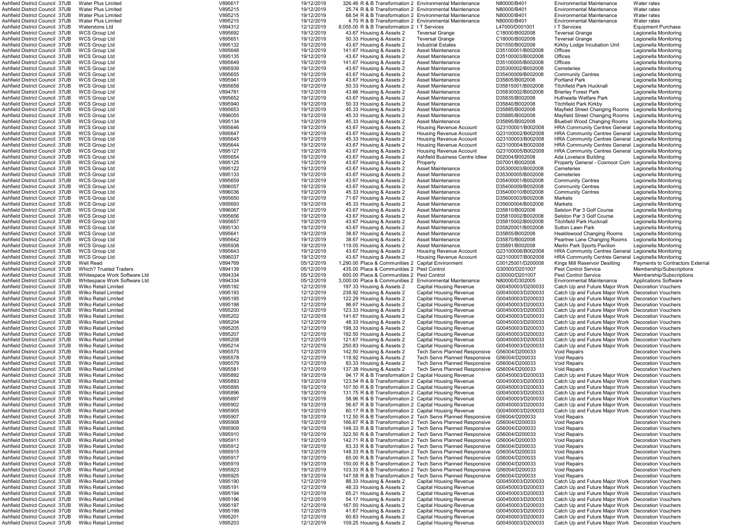|                                                                  | <b>Water Plus Limited</b>                           | V895617            | 19/12/2019               | 326.46 R & B Transformation 2 Environmental Maintenance     |                                                                  | N80000/B401                            | Environmental Maintenance                                                                                | Water rates                  |
|------------------------------------------------------------------|-----------------------------------------------------|--------------------|--------------------------|-------------------------------------------------------------|------------------------------------------------------------------|----------------------------------------|----------------------------------------------------------------------------------------------------------|------------------------------|
| Ashfield District Council 37UB<br>Ashfield District Council 37UB | <b>Water Plus Limited</b>                           | V895215            | 19/12/2019               | 25.74 R & B Transformation 2 Environmental Maintenance      |                                                                  | N80000/B401                            | Environmental Maintenance                                                                                | Water rates                  |
|                                                                  |                                                     |                    |                          |                                                             |                                                                  |                                        |                                                                                                          |                              |
| Ashfield District Council 37UB                                   | <b>Water Plus Limited</b>                           | V895215            | 19/12/2019               | 68.54 R & B Transformation 2 Environmental Maintenance      |                                                                  | N80000/B401                            | <b>Environmental Maintenance</b>                                                                         | Water rates                  |
| Ashfield District Council 37UB                                   | <b>Water Plus Limited</b>                           | V895215            | 19/12/2019               | 4.70 R & B Transformation 2 Environmental Maintenance       |                                                                  | N80000/B401                            | Environmental Maintenance                                                                                | Water rates                  |
| Ashfield District Council 37UB                                   | <b>Waterstons Ltd</b>                               | V894312            | 12/12/2019               | 8,055.00 R & B Transformation 2 I T Services                |                                                                  | L47000/D001001                         | I T Services                                                                                             | <b>Equipment Purchase</b>    |
| Ashfield District Council 37UB                                   | <b>WCS Group Ltd</b>                                | V895692            | 19/12/2019               | 43.67 Housing & Assets 2                                    | <b>Teversal Grange</b>                                           | C18000/B002008                         | <b>Teversal Grange</b>                                                                                   | Legionella Monitoring        |
| Ashfield District Council 37UB                                   | <b>WCS Group Ltd</b>                                | V895651            | 19/12/2019               | 50.33 Housing & Assets 2                                    | <b>Teversal Grange</b>                                           | C18000/B002008                         | <b>Teversal Grange</b>                                                                                   | Legionella Monitoring        |
| Ashfield District Council 37UB                                   | <b>WCS Group Ltd</b>                                | V895132            | 19/12/2019               | 43.67 Housing & Assets 2                                    | <b>Industrial Estates</b>                                        | D01550/B002008                         | Kirkby Lodge Incubation Unit                                                                             | Legionella Monitorino        |
|                                                                  |                                                     |                    |                          |                                                             |                                                                  |                                        |                                                                                                          |                              |
| Ashfield District Council 37UB                                   | <b>WCS Group Ltd</b>                                | V895648            | 19/12/2019               | 141.67 Housing & Assets 2                                   | <b>Asset Maintenance</b>                                         | D35100001/B002008                      | Offices                                                                                                  | Legionella Monitorino        |
| Ashfield District Council 37UB                                   | <b>WCS Group Ltd</b>                                | V895135            | 19/12/2019               | 43.67 Housing & Assets 2                                    | Asset Maintenance                                                | D35100003/B002008                      | Offices                                                                                                  | Legionella Monitoring        |
| Ashfield District Council 37UB                                   | <b>WCS Group Ltd</b>                                | V895649            | 19/12/2019               | 141.67 Housing & Assets 2                                   | Asset Maintenance                                                | D35100005/B002008                      | Offices                                                                                                  | Legionella Monitoring        |
| Ashfield District Council 37UB                                   | <b>WCS Group Ltd</b>                                | V895939            | 19/12/2019               | 43.67 Housing & Assets 2                                    | Asset Maintenance                                                | D35300002/B002008                      | Cemeteries                                                                                               | Legionella Monitoring        |
|                                                                  |                                                     |                    |                          |                                                             |                                                                  |                                        |                                                                                                          |                              |
| Ashfield District Council 37UB                                   | <b>WCS Group Ltd</b>                                | V895655            | 19/12/2019               | 43.67 Housing & Assets 2                                    | Asset Maintenance                                                | D35400009/B002008                      | <b>Community Centres</b>                                                                                 | Legionella Monitoring        |
| Ashfield District Council 37UB                                   | <b>WCS Group Ltd</b>                                | V895941            | 19/12/2019               | 43.67 Housing & Assets 2                                    | <b>Asset Maintenance</b>                                         | D35805/B002008                         | <b>Portland Park</b>                                                                                     | Legionella Monitoring        |
| Ashfield District Council 37UB                                   | <b>WCS Group Ltd</b>                                | V895658            | 19/12/2019               | 50.33 Housing & Assets 2                                    | Asset Maintenance                                                | D35815001/B002008                      | <b>Titchfield Park Hucknall</b>                                                                          | Legionella Monitoring        |
| Ashfield District Council 37UB                                   | <b>WCS Group Ltd</b>                                | V894781            | 19/12/2019               | 43.66 Housing & Assets 2                                    | <b>Asset Maintenance</b>                                         | D35830002/B002008                      | <b>Brierley Forest Park</b>                                                                              | Legionella Monitorino        |
| Ashfield District Council 37UB                                   | <b>WCS Group Ltd</b>                                | V895652            | 19/12/2019               | 43.67 Housing & Assets 2                                    | Asset Maintenance                                                | D35835/B002008                         | Huthwaite Welfare Park                                                                                   | Legionella Monitorino        |
|                                                                  |                                                     |                    |                          |                                                             |                                                                  |                                        |                                                                                                          |                              |
| Ashfield District Council 37UB                                   | <b>WCS Group Ltd</b>                                | V895940            | 19/12/2019               | 50.33 Housing & Assets 2                                    | Asset Maintenance                                                | D35840/B002008                         | <b>Titchfield Park Kirkby</b>                                                                            | Legionella Monitorino        |
| Ashfield District Council 37UB                                   | <b>WCS Group Ltd</b>                                | V895653            | 19/12/2019               | 45.33 Housing & Assets 2                                    | Asset Maintenance                                                | D35885/B002008                         | Mayfield Street Changing Rooms Legionella Monitoring                                                     |                              |
| Ashfield District Council 37UB                                   | <b>WCS Group Ltd</b>                                | V896055            | 19/12/2019               | 45.33 Housing & Assets 2                                    | Asset Maintenance                                                | D35885/B002008                         | Mayfield Street Changing Rooms                                                                           | Legionella Monitoring        |
| Ashfield District Council 37UB                                   | <b>WCS Group Ltd</b>                                | V895134            | 19/12/2019               | 45.33 Housing & Assets 2                                    | Asset Maintenance                                                | D35895/B002008                         | <b>Bluebell Wood Changing Rooms</b>                                                                      | Legionella Monitoring        |
| Ashfield District Council 37UB                                   | <b>WCS Group Ltd</b>                                |                    | 19/12/2019               | 43.67 Housing & Assets 2                                    |                                                                  | G23100001/B002008                      | HRA Community Centres General Legionella Monitoring                                                      |                              |
|                                                                  |                                                     | V895646            |                          |                                                             | Housing Revenue Account                                          |                                        |                                                                                                          |                              |
| Ashfield District Council 37UB                                   | <b>WCS Group Ltd</b>                                | V895647            | 19/12/2019               | 43.67 Housing & Assets 2                                    | Housing Revenue Account                                          | G23100002/B002008                      | HRA Community Centres General Legionella Monitoring                                                      |                              |
| Ashfield District Council 37UB                                   | <b>WCS Group Ltd</b>                                | V895645            | 19/12/2019               | 45.33 Housing & Assets 2                                    | Housing Revenue Account                                          | G23100003/B002008                      | HRA Community Centres General Legionella Monitorino                                                      |                              |
| Ashfield District Council 37UB                                   | <b>WCS Group Ltd</b>                                | V895644            | 19/12/2019               | 43.67 Housing & Assets 2                                    | Housing Revenue Account                                          | G23100004/B002008                      | HRA Community Centres General Legionella Monitoring                                                      |                              |
| Ashfield District Council 37UB                                   | <b>WCS Group Ltd</b>                                | V895127            | 19/12/2019               | 43.67 Housing & Assets 2                                    | Housing Revenue Account                                          | G23100005/B002008                      | <b>HRA Community Centres General Legionella Monitoring</b>                                               |                              |
| Ashfield District Council 37UB                                   |                                                     |                    |                          |                                                             | Ashfield Business Centre Idlew                                   |                                        |                                                                                                          |                              |
|                                                                  | <b>WCS Group Ltd</b>                                | V895654            | 19/12/2019               | 43.67 Housing & Assets 2                                    |                                                                  | D02004/B002008                         | Ada Lovelace Building                                                                                    | Legionella Monitoring        |
| Ashfield District Council 37UB                                   | <b>WCS Group Ltd</b>                                | V895125            | 19/12/2019               | 43.67 Housing & Assets 2                                    | Property                                                         | D07001/B002008                         | Property General - Coxmoor Com Legionella Monitoring                                                     |                              |
| Ashfield District Council 37UB                                   | <b>WCS Group Ltd</b>                                | V895122            | 19/12/2019               | 43.67 Housing & Assets 2                                    | Asset Maintenance                                                | D35300003/B002008                      | Cemeteries                                                                                               | Legionella Monitoring        |
| Ashfield District Council 37UB                                   | <b>WCS Group Ltd</b>                                | V895133            | 19/12/2019               | 43.67 Housing & Assets 2                                    | Asset Maintenance                                                | D35300005/B002008                      | Cemeteries                                                                                               | Legionella Monitoring        |
| Ashfield District Council 37UB                                   | <b>WCS Group Ltd</b>                                | V895659            | 19/12/2019               | 43.67 Housing & Assets 2                                    | Asset Maintenance                                                | D35400001/B002008                      | <b>Community Centres</b>                                                                                 | Legionella Monitoring        |
|                                                                  |                                                     |                    |                          |                                                             |                                                                  |                                        |                                                                                                          |                              |
| Ashfield District Council 37UB                                   | <b>WCS Group Ltd</b>                                | V896057            | 19/12/2019               | 43.67 Housing & Assets 2                                    | <b>Asset Maintenance</b>                                         | D35400009/B002008                      | <b>Community Centres</b>                                                                                 | Legionella Monitoring        |
| Ashfield District Council 37UB                                   | <b>WCS Group Ltd</b>                                | V896036            | 19/12/2019               | 45.33 Housing & Assets 2                                    | Asset Maintenance                                                | D35400010/B002008                      | Community Centres                                                                                        | Legionella Monitoring        |
| Ashfield District Council 37UB                                   | <b>WCS Group Ltd</b>                                | V895650            | 19/12/2019               | 71.67 Housing & Assets 2                                    | <b>Asset Maintenance</b>                                         | D35600003/B002008                      | Markets                                                                                                  | Legionella Monitorino        |
| Ashfield District Council 37UB                                   | <b>WCS Group Ltd</b>                                | V895693            | 19/12/2019               | 45.33 Housing & Assets 2                                    | Asset Maintenance                                                | D35600004/B002008                      | Markets                                                                                                  | Legionella Monitoring        |
| Ashfield District Council 37UB                                   | <b>WCS Group Ltd</b>                                | V896067            | 19/12/2019               | 43.67 Housing & Assets 2                                    | Asset Maintenance                                                | D35810/B002008                         | Selston Par 3 Golf Course                                                                                | Legionella Monitoring        |
|                                                                  |                                                     |                    |                          |                                                             |                                                                  |                                        |                                                                                                          |                              |
| Ashfield District Council 37UB                                   | <b>WCS Group Ltd</b>                                | V895656            | 19/12/2019               | 43.67 Housing & Assets 2                                    | Asset Maintenance                                                | D35810002/B002008                      | Selston Par 3 Golf Course                                                                                | Legionella Monitoring        |
| Ashfield District Council 37UB                                   | <b>WCS Group Ltd</b>                                | V895657            | 19/12/2019               | 43.67 Housing & Assets 2                                    | Asset Maintenance                                                | D35815002/B002008                      | <b>Titchfield Park Hucknall</b>                                                                          | Legionella Monitoring        |
| Ashfield District Council 37UB                                   | <b>WCS Group Ltd</b>                                | V895130            | 19/12/2019               | 43.67 Housing & Assets 2                                    | <b>Asset Maintenance</b>                                         | D35820001/B002008                      | <b>Sutton Lawn Park</b>                                                                                  | Legionella Monitoring        |
| Ashfield District Council 37UB                                   | <b>WCS Group Ltd</b>                                | V895641            | 19/12/2019               | 38.67 Housing & Assets 2                                    | Asset Maintenance                                                | D35855/B002008                         | <b>Healdswood Changing Rooms</b>                                                                         | Legionella Monitoring        |
| Ashfield District Council 37UB                                   | <b>WCS Group Ltd</b>                                | V895642            | 19/12/2019               | 38.67 Housing & Assets 2                                    | <b>Asset Maintenance</b>                                         | D35870/B002008                         | Peartree Lane Changing Rooms                                                                             | Legionella Monitoring        |
|                                                                  |                                                     |                    |                          |                                                             |                                                                  |                                        |                                                                                                          |                              |
| Ashfield District Council 37UB                                   | <b>WCS Group Ltd</b>                                | V895938            | 19/12/2019               | 119.00 Housing & Assets 2                                   | <b>Asset Maintenance</b>                                         | D35891/B002008                         | Merlin Park Sports Pavilion                                                                              | Legionella Monitorino        |
| Ashfield District Council 37UB                                   | <b>WCS Group Ltd</b>                                | V895643            | 19/12/2019               | 43.67 Housing & Assets 2                                    | <b>Housing Revenue Account</b>                                   | G23100006/B002008                      | HRA Community Centres General Legionella Monitoring                                                      |                              |
|                                                                  |                                                     |                    |                          |                                                             |                                                                  |                                        |                                                                                                          |                              |
| Ashfield District Council 37UB                                   |                                                     | V896037            |                          |                                                             | <b>Housing Revenue Account</b>                                   | G23100007/B002008                      |                                                                                                          |                              |
|                                                                  | <b>WCS Group Ltd</b>                                |                    | 19/12/2019               | 43.67 Housing & Assets 2                                    |                                                                  |                                        | HRA Community Centres General Legionella Monitoring                                                      |                              |
| Ashfield District Council 37UB                                   | <b>Well Read</b>                                    | V894769            | 05/12/2019               | 1,290.00 Place & Communities 2 Capital Environment          |                                                                  | C00125001/D200008                      | Kings Mill Reservoir Desilting                                                                           | Payments to Contractors E    |
| Ashfield District Council 37UB                                   | <b>Which? Trusted Traders</b>                       | V894139            | 05/12/2019               | 435.00 Place & Communities 2 Pest Control                   |                                                                  | G30000/D201007                         | Pest Control Service                                                                                     | Membership/Subscriptions     |
| Ashfield District Council 37UB                                   | Whitespace Work Software Ltd                        | V894334            | 05/12/2019               | 600.00 Place & Communities 2 Pest Control                   |                                                                  | G30000/D201007                         | <b>Pest Control Service</b>                                                                              | Membership/Subscriptions     |
| Ashfield District Council 37UB                                   | Whitespace Work Software Ltd                        | V894334            | 05/12/2019               | 3,000.00 Place & Communities 2 Environmental Maintenance    |                                                                  | N80000/D302005                         | <b>Environmental Maintenance</b>                                                                         | <b>Applications Software</b> |
|                                                                  |                                                     |                    |                          |                                                             |                                                                  |                                        |                                                                                                          |                              |
| Ashfield District Council 37UB                                   | <b>Wilko Retail Limited</b>                         | V895192            | 12/12/2019               | 197.33 Housing & Assets 2                                   | Capital Housing Revenue                                          | G00450003/D200033                      | Catch Up and Future Major Work Decoration Vouchers                                                       |                              |
| Ashfield District Council 37UB                                   | Wilko Retail Limited                                | V895193            | 12/12/2019               | 238.92 Housing & Assets 2                                   | <b>Capital Housing Revenue</b>                                   | G00450003/D200033                      | Catch Up and Future Major Work Decoration Vouchers                                                       |                              |
| Ashfield District Council 37UB                                   | <b>Wilko Retail Limited</b>                         | V895195            | 12/12/2019               | 122.29 Housing & Assets 2                                   | Capital Housing Revenue                                          | G00450003/D200033                      | Catch Up and Future Major Work Decoration Vouchers                                                       |                              |
| Ashfield District Council 37UB                                   | <b>Wilko Retail Limited</b>                         | V895198            | 12/12/2019               | 96.67 Housing & Assets 2                                    | <b>Capital Housing Revenue</b>                                   | G00450003/D200033                      | Catch Up and Future Major Work Decoration Vouchers                                                       |                              |
| Ashfield District Council 37UB                                   | Wilko Retail Limited                                | V895200            | 12/12/2019               | 123.33 Housing & Assets 2                                   | <b>Capital Housing Revenue</b>                                   | G00450003/D200033                      | Catch Up and Future Major Work Decoration Vouchers                                                       |                              |
|                                                                  |                                                     |                    |                          |                                                             |                                                                  |                                        |                                                                                                          |                              |
| Ashfield District Council 37UB                                   | <b>Wilko Retail Limited</b>                         | V895202            | 12/12/2019               | 141.67 Housing & Assets 2                                   | <b>Capital Housing Revenue</b>                                   | G00450003/D200033                      | Catch Up and Future Major Work                                                                           | <b>Decoration Vouchers</b>   |
| Ashfield District Council 37UB                                   | <b>Wilko Retail Limited</b>                         | V895204            | 12/12/2019               | 48.33 Housing & Assets 2                                    | <b>Capital Housing Revenue</b>                                   | G00450003/D200033                      | Catch Up and Future Major Work                                                                           | <b>Decoration Vouchers</b>   |
| Ashfield District Council 37UB                                   | <b>Wilko Retail Limited</b>                         | V895205            | 12/12/2019               | 198.33 Housing & Assets 2                                   | <b>Capital Housing Revenue</b>                                   | G00450003/D200033                      | Catch Up and Future Major Work                                                                           | <b>Decoration Vouchers</b>   |
| Ashfield District Council 37UB                                   | <b>Wilko Retail Limited</b>                         | V895207            | 12/12/2019               | 192.50 Housing & Assets 2                                   | <b>Capital Housing Revenue</b>                                   | G00450003/D200033                      | Catch Up and Future Major Work                                                                           | <b>Decoration Vouchers</b>   |
| Ashfield District Council 37UB                                   | <b>Wilko Retail Limited</b>                         | V895208            | 12/12/2019               | 121.67 Housing & Assets 2                                   | <b>Capital Housing Revenue</b>                                   | G00450003/D200033                      | Catch Up and Future Major Work                                                                           | <b>Decoration Vouchers</b>   |
|                                                                  |                                                     |                    |                          |                                                             |                                                                  |                                        |                                                                                                          |                              |
| Ashfield District Council 37UB                                   | <b>Wilko Retail Limited</b>                         | V895214            | 12/12/2019               | 250.83 Housing & Assets 2                                   | <b>Capital Housing Revenue</b>                                   | G00450003/D200033                      | Catch Up and Future Major Work                                                                           | <b>Decoration Vouchers</b>   |
| Ashfield District Council 37UB                                   | Wilko Retail Limited                                | V895575            | 12/12/2019               | 142.50 Housing & Assets 2                                   | <b>Tech Servs Planned Responsive</b>                             | G56004/D200033                         | <b>Void Repairs</b>                                                                                      | <b>Decoration Vouchers</b>   |
| Ashfield District Council 37UB                                   | <b>Wilko Retail Limited</b>                         | V895578            | 12/12/2019               | 118.92 Housing & Assets 2                                   | <b>Tech Servs Planned Responsive</b>                             | G56004/D200033                         | <b>Void Repairs</b>                                                                                      | <b>Decoration Vouchers</b>   |
| Ashfield District Council 37UB                                   | <b>Wilko Retail Limited</b>                         | V895579            | 12/12/2019               | 83.33 Housing & Assets 2                                    | <b>Tech Servs Planned Responsive</b>                             | G56004/D200033                         | <b>Void Repairs</b>                                                                                      | <b>Decoration Vouchers</b>   |
| Ashfield District Council 37UB                                   | <b>Wilko Retail Limited</b>                         | V895581            | 12/12/2019               | 137.38 Housing & Assets 2                                   | <b>Tech Servs Planned Responsive</b>                             | G56004/D200033                         | Void Repairs                                                                                             | <b>Decoration Vouchers</b>   |
| Ashfield District Council 37UB                                   | <b>Wilko Retail Limited</b>                         | V895892            | 19/12/2019               | 94.17 R & B Transformation 2 Capital Housing Revenue        |                                                                  | G00450003/D200033                      | Catch Up and Future Major Work                                                                           | <b>Decoration Vouchers</b>   |
|                                                                  |                                                     |                    |                          |                                                             |                                                                  |                                        |                                                                                                          |                              |
| Ashfield District Council 37UB                                   | Wilko Retail Limited                                | V895893            | 19/12/2019               | 123.54 R & B Transformation 2 Capital Housing Revenue       |                                                                  | G00450003/D200033                      | Catch Up and Future Major Work                                                                           | <b>Decoration Vouchers</b>   |
| Ashfield District Council 37UB                                   | <b>Wilko Retail Limited</b>                         | V895895            | 19/12/2019               | 107.50 R & B Transformation 2 Capital Housing Revenue       |                                                                  | G00450003/D200033                      | Catch Up and Future Major Work                                                                           | <b>Decoration Vouchers</b>   |
| Ashfield District Council 37UB                                   | <b>Wilko Retail Limited</b>                         | V895896            | 19/12/2019               | 131.75 R & B Transformation 2 Capital Housing Revenue       |                                                                  | G00450003/D200033                      | Catch Up and Future Major Work                                                                           | <b>Decoration Vouchers</b>   |
| Ashfield District Council 37UB                                   | <b>Wilko Retail Limited</b>                         | V895897            | 19/12/2019               | 58.96 R & B Transformation 2 Capital Housing Revenue        |                                                                  | G00450003/D200033                      | Catch Up and Future Major Work                                                                           | Decoration Vouchers          |
| Ashfield District Council 37UB                                   | Wilko Retail Limited                                | V895902            | 19/12/2019               | 56.67 R & B Transformation 2 Capital Housing Revenue        |                                                                  | G00450003/D200033                      | Catch Up and Future Major Work                                                                           | <b>Decoration Vouchers</b>   |
|                                                                  | <b>Wilko Retail Limited</b>                         | V895905            |                          | 60.17 R & B Transformation 2 Capital Housing Revenue        |                                                                  | G00450003/D200033                      | Catch Up and Future Major Work                                                                           | <b>Decoration Vouchers</b>   |
| Ashfield District Council 37UB                                   |                                                     |                    | 19/12/2019               |                                                             |                                                                  |                                        |                                                                                                          |                              |
| Ashfield District Council 37UB                                   | Wilko Retail Limited                                | V895907            | 19/12/2019               | 112.50 R & B Transformation 2 Tech Servs Planned Responsive |                                                                  | G56004/D200033                         | <b>Void Repairs</b>                                                                                      | <b>Decoration Vouchers</b>   |
| Ashfield District Council 37UB                                   | <b>Wilko Retail Limited</b>                         | V895908            | 19/12/2019               | 166.67 R & B Transformation 2 Tech Servs Planned Responsive |                                                                  | G56004/D200033                         | <b>Void Repairs</b>                                                                                      | <b>Decoration Vouchers</b>   |
| Ashfield District Council 37UB                                   | <b>Wilko Retail Limited</b>                         | V895909            | 19/12/2019               | 148.33 R & B Transformation 2 Tech Servs Planned Responsive |                                                                  | G56004/D200033                         | <b>Void Repairs</b>                                                                                      | <b>Decoration Vouchers</b>   |
| Ashfield District Council 37UB                                   | <b>Wilko Retail Limited</b>                         | V895910            | 19/12/2019               | 322.50 R & B Transformation 2 Tech Servs Planned Responsive |                                                                  | G56004/D200033                         | <b>Void Repairs</b>                                                                                      | <b>Decoration Vouchers</b>   |
| Ashfield District Council 37UB                                   | <b>Wilko Retail Limited</b>                         | V895911            | 19/12/2019               | 142.71 R & B Transformation 2 Tech Servs Planned Responsive |                                                                  | G56004/D200033                         | <b>Void Repairs</b>                                                                                      | <b>Decoration Vouchers</b>   |
|                                                                  |                                                     |                    |                          |                                                             |                                                                  |                                        |                                                                                                          |                              |
| Ashfield District Council 37UB                                   | <b>Wilko Retail Limited</b>                         | V895912            | 19/12/2019               |                                                             | 83.33 R & B Transformation 2 Tech Servs Planned Responsive       | G56004/D200033                         | <b>Void Repairs</b>                                                                                      | <b>Decoration Vouchers</b>   |
| Ashfield District Council 37UB                                   | <b>Wilko Retail Limited</b>                         | V895915            | 19/12/2019               | 148.33 R & B Transformation 2 Tech Servs Planned Responsive |                                                                  | G56004/D200033                         | <b>Void Repairs</b>                                                                                      | <b>Decoration Vouchers</b>   |
| Ashfield District Council 37UB                                   | Wilko Retail Limited                                | V895917            | 19/12/2019               |                                                             | 65.00 R & B Transformation 2 Tech Servs Planned Responsive       | G56004/D200033                         | <b>Void Repairs</b>                                                                                      | <b>Decoration Vouchers</b>   |
| Ashfield District Council 37UB                                   | <b>Wilko Retail Limited</b>                         | V895919            | 19/12/2019               | 150.00 R & B Transformation 2 Tech Servs Planned Responsive |                                                                  | G56004/D200033                         | Void Repairs                                                                                             | <b>Decoration Vouchers</b>   |
| Ashfield District Council 37UB                                   | <b>Wilko Retail Limited</b>                         | V895923            | 19/12/2019               | 103.33 R & B Transformation 2 Tech Servs Planned Responsive |                                                                  | G56004/D200033                         | <b>Void Repairs</b>                                                                                      | <b>Decoration Vouchers</b>   |
|                                                                  |                                                     |                    |                          |                                                             |                                                                  |                                        |                                                                                                          |                              |
| Ashfield District Council 37UB                                   | <b>Wilko Retail Limited</b>                         | V895925            | 19/12/2019               | 147.58 R & B Transformation 2 Tech Servs Planned Responsive |                                                                  | G56004/D200033                         | Void Repairs                                                                                             | <b>Decoration Vouchers</b>   |
| Ashfield District Council 37UB                                   | <b>Wilko Retail Limited</b>                         | V895190            | 12/12/2019               | 88.33 Housing & Assets 2                                    | <b>Capital Housing Revenue</b>                                   | G00450003/D200033                      | Catch Up and Future Major Work                                                                           | <b>Decoration Vouchers</b>   |
| Ashfield District Council 37UB                                   | <b>Wilko Retail Limited</b>                         | V895191            | 12/12/2019               | 48.33 Housing & Assets 2                                    | <b>Capital Housing Revenue</b>                                   | G00450003/D200033                      | Catch Up and Future Major Work Decoration Vouchers                                                       |                              |
| Ashfield District Council 37UB                                   | <b>Wilko Retail Limited</b>                         | V895194            | 12/12/2019               | 65.21 Housing & Assets 2                                    | <b>Capital Housing Revenue</b>                                   | G00450003/D200033                      | Catch Up and Future Major Work Decoration Vouchers                                                       |                              |
| Ashfield District Council 37UB                                   | Wilko Retail Limited                                | V895196            | 12/12/2019               | 54.17 Housing & Assets 2                                    | <b>Capital Housing Revenue</b>                                   | G00450003/D200033                      |                                                                                                          | Decoration Vouchers          |
|                                                                  |                                                     |                    |                          |                                                             |                                                                  |                                        | Catch Up and Future Major Work                                                                           |                              |
| Ashfield District Council 37UB                                   | Wilko Retail Limited                                | V895197            | 12/12/2019               | 167.50 Housing & Assets 2                                   | <b>Capital Housing Revenue</b>                                   | G00450003/D200033                      | Catch Up and Future Major Work Decoration Vouchers                                                       |                              |
| Ashfield District Council 37UB                                   | <b>Wilko Retail Limited</b>                         | V895199            | 12/12/2019               | 41.67 Housing & Assets 2                                    | <b>Capital Housing Revenue</b>                                   | G00450003/D200033                      | Catch Up and Future Major Work Decoration Vouchers                                                       |                              |
| Ashfield District Council 37UB<br>Ashfield District Council 37UB | <b>Wilko Retail Limited</b><br>Wilko Retail Limited | V895201<br>V895203 | 12/12/2019<br>12/12/2019 | 60.83 Housing & Assets 2<br>109.25 Housing & Assets 2       | <b>Capital Housing Revenue</b><br><b>Capital Housing Revenue</b> | G00450003/D200033<br>G00450003/D200033 | Catch Up and Future Major Work Decoration Vouchers<br>Catch Up and Future Major Work Decoration Vouchers |                              |

ayfield Street Changing Rooms Legionella Monitoring avfield Street Changing Rooms Legionella Monitoring uebell Wood Changing Rooms Legionella Monitoring RA Community Centres General Legionella Monitoring RA Community Centres General Legionella Monitoring RA Community Centres General Legionella Monitoring RA Community Centres General Legionella Monitoring RA Community Centres General Legionella Monitoring<br>19.67 Louelace Building Legionella Monitoring Ashfield District Council 37UB WCS Group Ltd V895125 19/12/2019 43.67 Housing & Assets 2 Property D07001/B002008 Property General - Coxmoor Com Legionella Monitoring RA Community Centres General Legionella Monitoring RA Community Centres General Legionella Monitoring Ashill Reservoir Desilting Payments to Contractors External<br>Strict Control Service Communities 2 Contractors Membership/Subscriptions atch Up and Future Major Work Decoration Vouchers atch Up and Future Major Work Decoration Vouchers atch Up and Future Major Work Decoration Vouchers atch Up and Future Major Work Decoration Vouchers atch Up and Future Major Work Decoration Vouchers atch Up and Future Major Work Decoration Vouchers atch Up and Future Major Work Decoration Vouchers Asent Digital 22<br>Atch Up and Future Major Work Decoration Vouchers atch Up and Future Major Work Decoration Vouchers atch Up and Future Major Work Decoration Vouchers atch Up and Future Maior Work Decoration Vouchers atch Up and Future Major Work Decoration Vouchers atch Up and Future Major Work Decoration Vouchers atch Up and Future Major Work Decoration Vouchers atch Up and Future Major Work Decoration Vouchers atch Up and Future Maior Work Decoration Vouchers atch Up and Future Major Work Decoration Vouchers atch Up and Future Major Work Decoration Vouchers atch Up and Future Maior Work Decoration Vouchers atch Up and Future Maior Work Decoration Vouchers atch Up and Future Major Work Decoration Vouchers atch Up and Future Major Work Decoration Vouchers atch Up and Future Major Work Decoration Vouchers atch Up and Future Major Work Decoration Vouchers atch Up and Future Major Work Decoration Vouchers atch Up and Future Major Work Decoration Vouchers